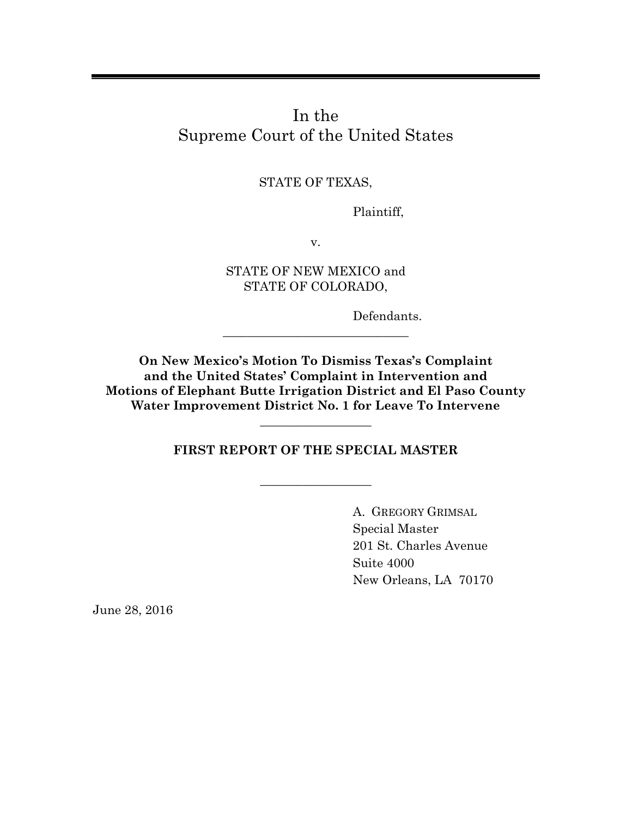In the Supreme Court of the United States

STATE OF TEXAS,

Plaintiff,

v.

STATE OF NEW MEXICO and STATE OF COLORADO,

Defendants.

**On New Mexico's Motion To Dismiss Texas's Complaint and the United States' Complaint in Intervention and Motions of Elephant Butte Irrigation District and El Paso County Water Improvement District No. 1 for Leave To Intervene**

\_\_\_\_\_\_\_\_\_\_\_\_\_\_\_\_\_\_\_\_\_\_\_\_\_\_\_\_\_\_

**FIRST REPORT OF THE SPECIAL MASTER**

 $\_$ 

\_\_\_\_\_\_\_\_\_\_\_\_\_\_\_\_\_\_

A. GREGORY GRIMSAL Special Master 201 St. Charles Avenue Suite 4000 New Orleans, LA 70170

June 28, 2016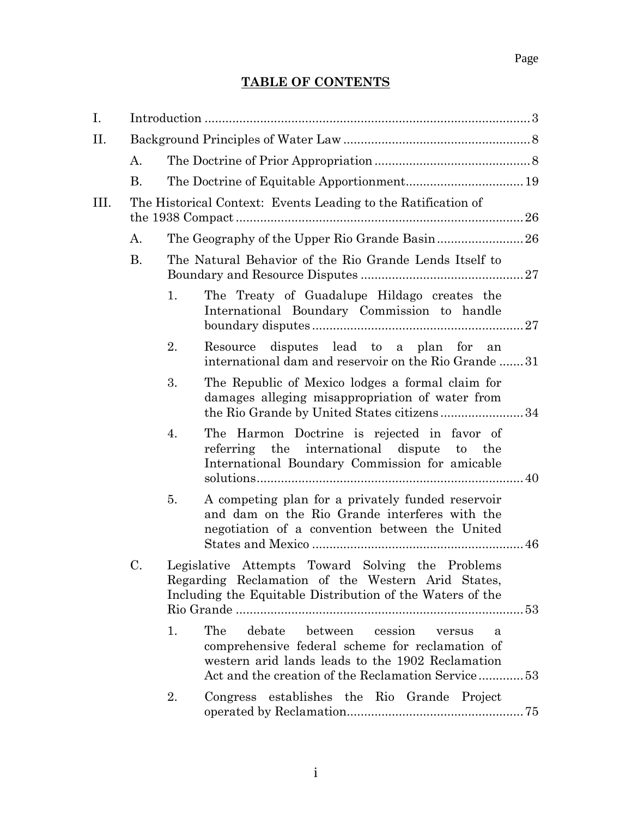## **TABLE OF CONTENTS**

| I.  |                                                               |    |                                                                                                                                                                                                             |  |  |  |
|-----|---------------------------------------------------------------|----|-------------------------------------------------------------------------------------------------------------------------------------------------------------------------------------------------------------|--|--|--|
| II. |                                                               |    |                                                                                                                                                                                                             |  |  |  |
|     | A.                                                            |    |                                                                                                                                                                                                             |  |  |  |
|     | B.                                                            |    |                                                                                                                                                                                                             |  |  |  |
| Ш.  | The Historical Context: Events Leading to the Ratification of |    |                                                                                                                                                                                                             |  |  |  |
|     | A.                                                            |    | The Geography of the Upper Rio Grande Basin 26                                                                                                                                                              |  |  |  |
|     | <b>B.</b>                                                     |    | The Natural Behavior of the Rio Grande Lends Itself to                                                                                                                                                      |  |  |  |
|     |                                                               | 1. | The Treaty of Guadalupe Hildago creates the<br>International Boundary Commission to handle                                                                                                                  |  |  |  |
|     |                                                               | 2. | Resource disputes lead to a plan for an<br>international dam and reservoir on the Rio Grande 31                                                                                                             |  |  |  |
|     |                                                               | 3. | The Republic of Mexico lodges a formal claim for<br>damages alleging misappropriation of water from<br>the Rio Grande by United States citizens34                                                           |  |  |  |
|     |                                                               | 4. | The Harmon Doctrine is rejected in favor of<br>referring the international dispute to the<br>International Boundary Commission for amicable                                                                 |  |  |  |
|     |                                                               | 5. | A competing plan for a privately funded reservoir<br>and dam on the Rio Grande interferes with the<br>negotiation of a convention between the United                                                        |  |  |  |
|     | C.                                                            |    | Legislative Attempts Toward Solving the Problems<br>Regarding Reclamation of the Western Arid States,<br>Including the Equitable Distribution of the Waters of the                                          |  |  |  |
|     |                                                               | 1. | The<br>debate<br>between cession<br>versus<br>a<br>comprehensive federal scheme for reclamation of<br>western arid lands leads to the 1902 Reclamation<br>Act and the creation of the Reclamation Service53 |  |  |  |
|     |                                                               | 2. | Congress establishes the Rio Grande Project                                                                                                                                                                 |  |  |  |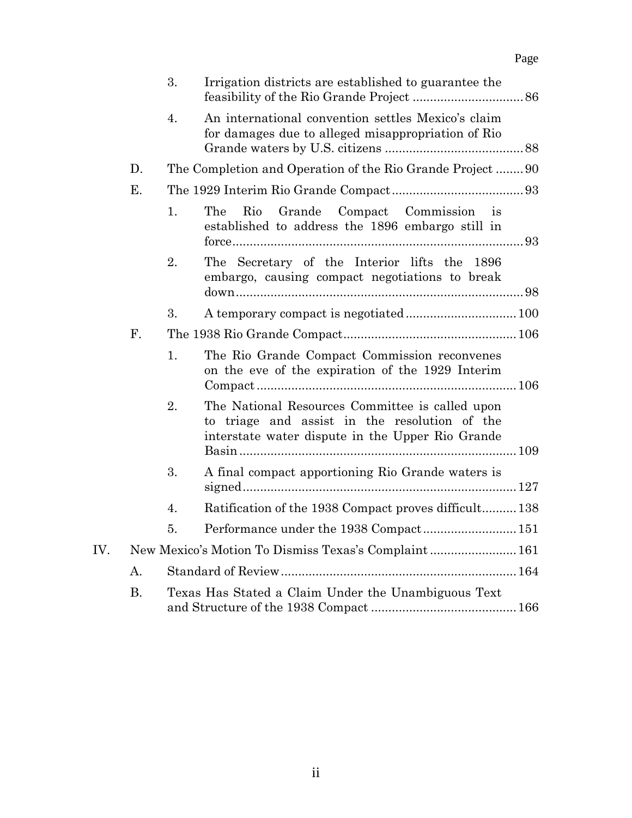|     |           | 3.                                                       | Irrigation districts are established to guarantee the                                                                                                |  |  |  |
|-----|-----------|----------------------------------------------------------|------------------------------------------------------------------------------------------------------------------------------------------------------|--|--|--|
|     |           | 4.                                                       | An international convention settles Mexico's claim<br>for damages due to alleged misappropriation of Rio                                             |  |  |  |
|     | D.        | The Completion and Operation of the Rio Grande Project90 |                                                                                                                                                      |  |  |  |
|     | E.        |                                                          |                                                                                                                                                      |  |  |  |
|     |           | 1.                                                       | Compact Commission<br>The<br>Rio<br>Grande<br>$\overline{18}$<br>established to address the 1896 embargo still in                                    |  |  |  |
|     |           | 2.                                                       | The Secretary of the Interior lifts the 1896<br>embargo, causing compact negotiations to break                                                       |  |  |  |
|     |           | 3.                                                       |                                                                                                                                                      |  |  |  |
|     | F.        |                                                          |                                                                                                                                                      |  |  |  |
|     |           | 1.                                                       | The Rio Grande Compact Commission reconvenes<br>on the eve of the expiration of the 1929 Interim                                                     |  |  |  |
|     |           | 2.                                                       | The National Resources Committee is called upon<br>to triage and assist in the resolution of the<br>interstate water dispute in the Upper Rio Grande |  |  |  |
|     |           | 3.                                                       | A final compact apportioning Rio Grande waters is                                                                                                    |  |  |  |
|     |           | 4.                                                       | Ratification of the 1938 Compact proves difficult 138                                                                                                |  |  |  |
|     |           | 5.                                                       |                                                                                                                                                      |  |  |  |
| IV. |           | New Mexico's Motion To Dismiss Texas's Complaint 161     |                                                                                                                                                      |  |  |  |
|     | А.        |                                                          |                                                                                                                                                      |  |  |  |
|     | <b>B.</b> |                                                          | Texas Has Stated a Claim Under the Unambiguous Text                                                                                                  |  |  |  |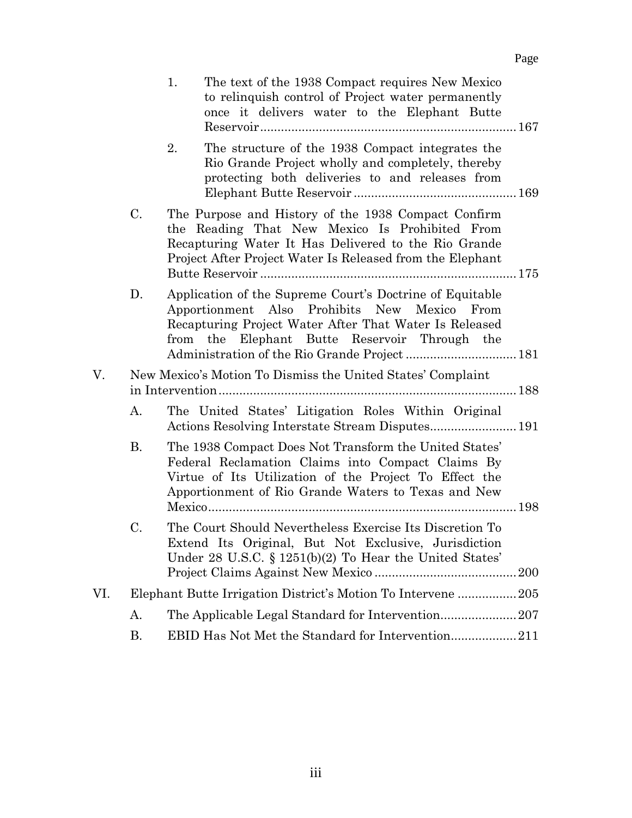|     |                                                             | 1.<br>The text of the 1938 Compact requires New Mexico<br>to relinquish control of Project water permanently<br>once it delivers water to the Elephant Butte                                                                 |  |  |  |
|-----|-------------------------------------------------------------|------------------------------------------------------------------------------------------------------------------------------------------------------------------------------------------------------------------------------|--|--|--|
|     |                                                             | 2.<br>The structure of the 1938 Compact integrates the<br>Rio Grande Project wholly and completely, thereby<br>protecting both deliveries to and releases from                                                               |  |  |  |
|     | C.                                                          | The Purpose and History of the 1938 Compact Confirm<br>the Reading That New Mexico Is Prohibited From<br>Recapturing Water It Has Delivered to the Rio Grande<br>Project After Project Water Is Released from the Elephant   |  |  |  |
|     | D.                                                          | Application of the Supreme Court's Doctrine of Equitable<br>Apportionment Also Prohibits New Mexico<br>From<br>Recapturing Project Water After That Water Is Released<br>from the Elephant Butte Reservoir Through the       |  |  |  |
| V.  | New Mexico's Motion To Dismiss the United States' Complaint |                                                                                                                                                                                                                              |  |  |  |
|     | A.                                                          | The United States' Litigation Roles Within Original                                                                                                                                                                          |  |  |  |
|     | <b>B.</b>                                                   | The 1938 Compact Does Not Transform the United States'<br>Federal Reclamation Claims into Compact Claims By<br>Virtue of Its Utilization of the Project To Effect the<br>Apportionment of Rio Grande Waters to Texas and New |  |  |  |
|     | C.                                                          | The Court Should Nevertheless Exercise Its Discretion To<br>Extend Its Original, But Not Exclusive, Jurisdiction<br>Under 28 U.S.C. $\S 1251(b)(2)$ To Hear the United States'<br><b>200</b>                                 |  |  |  |
| VI. |                                                             | Elephant Butte Irrigation District's Motion To Intervene 205                                                                                                                                                                 |  |  |  |
|     | А.                                                          |                                                                                                                                                                                                                              |  |  |  |
|     | Β.                                                          |                                                                                                                                                                                                                              |  |  |  |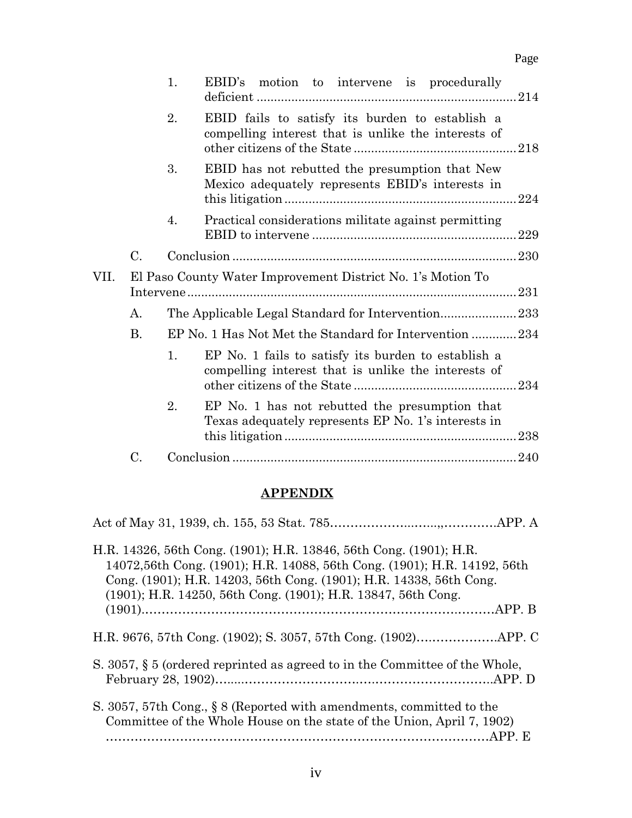|      |                                                             | 1.                                                | EBID's motion to intervene is procedurally                                                                 |      |  |
|------|-------------------------------------------------------------|---------------------------------------------------|------------------------------------------------------------------------------------------------------------|------|--|
|      |                                                             | 2.                                                | EBID fails to satisfy its burden to establish a<br>compelling interest that is unlike the interests of     |      |  |
|      |                                                             | 3.                                                | EBID has not rebutted the presumption that New<br>Mexico adequately represents EBID's interests in         |      |  |
|      |                                                             | 4.                                                | Practical considerations militate against permitting                                                       | 229  |  |
|      | C.                                                          |                                                   |                                                                                                            | .230 |  |
| VII. | El Paso County Water Improvement District No. 1's Motion To |                                                   |                                                                                                            |      |  |
|      | А.                                                          | The Applicable Legal Standard for Intervention233 |                                                                                                            |      |  |
|      | B.                                                          |                                                   | EP No. 1 Has Not Met the Standard for Intervention 234                                                     |      |  |
|      |                                                             | 1.                                                | EP No. 1 fails to satisfy its burden to establish a<br>compelling interest that is unlike the interests of |      |  |
|      |                                                             | 2.                                                | EP No. 1 has not rebutted the presumption that<br>Texas adequately represents EP No. 1's interests in      | .238 |  |
|      | C.                                                          |                                                   |                                                                                                            |      |  |

Page

## **APPENDIX**

iv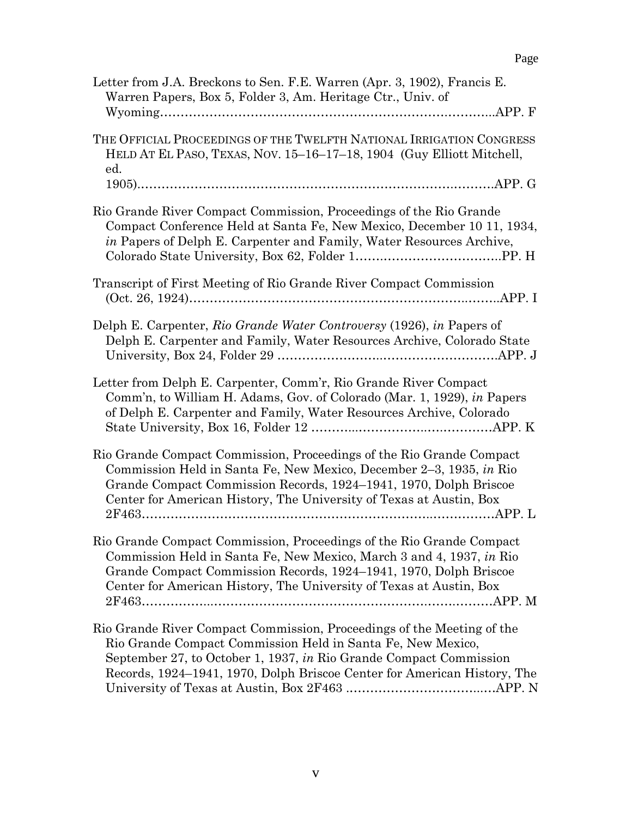| Letter from J.A. Breckons to Sen. F.E. Warren (Apr. 3, 1902), Francis E.<br>Warren Papers, Box 5, Folder 3, Am. Heritage Ctr., Univ. of                                                                                                                                                  |
|------------------------------------------------------------------------------------------------------------------------------------------------------------------------------------------------------------------------------------------------------------------------------------------|
| THE OFFICIAL PROCEEDINGS OF THE TWELFTH NATIONAL IRRIGATION CONGRESS<br>HELD AT EL PASO, TEXAS, NOV. 15-16-17-18, 1904 (Guy Elliott Mitchell,<br>ed.                                                                                                                                     |
|                                                                                                                                                                                                                                                                                          |
| Rio Grande River Compact Commission, Proceedings of the Rio Grande<br>Compact Conference Held at Santa Fe, New Mexico, December 10 11, 1934,<br><i>in</i> Papers of Delph E. Carpenter and Family, Water Resources Archive,                                                              |
| Transcript of First Meeting of Rio Grande River Compact Commission                                                                                                                                                                                                                       |
| Delph E. Carpenter, Rio Grande Water Controversy (1926), in Papers of<br>Delph E. Carpenter and Family, Water Resources Archive, Colorado State                                                                                                                                          |
| Letter from Delph E. Carpenter, Comm'r, Rio Grande River Compact<br>Comm'n, to William H. Adams, Gov. of Colorado (Mar. 1, 1929), in Papers<br>of Delph E. Carpenter and Family, Water Resources Archive, Colorado                                                                       |
| Rio Grande Compact Commission, Proceedings of the Rio Grande Compact<br>Commission Held in Santa Fe, New Mexico, December 2–3, 1935, in Rio<br>Grande Compact Commission Records, 1924–1941, 1970, Dolph Briscoe<br>Center for American History, The University of Texas at Austin, Box  |
| Rio Grande Compact Commission, Proceedings of the Rio Grande Compact<br>Commission Held in Santa Fe, New Mexico, March 3 and 4, 1937, in Rio<br>Grande Compact Commission Records, 1924–1941, 1970, Dolph Briscoe<br>Center for American History, The University of Texas at Austin, Box |
| Rio Grande River Compact Commission, Proceedings of the Meeting of the<br>Rio Grande Compact Commission Held in Santa Fe, New Mexico,<br>September 27, to October 1, 1937, in Rio Grande Compact Commission<br>Records, 1924–1941, 1970, Dolph Briscoe Center for American History, The  |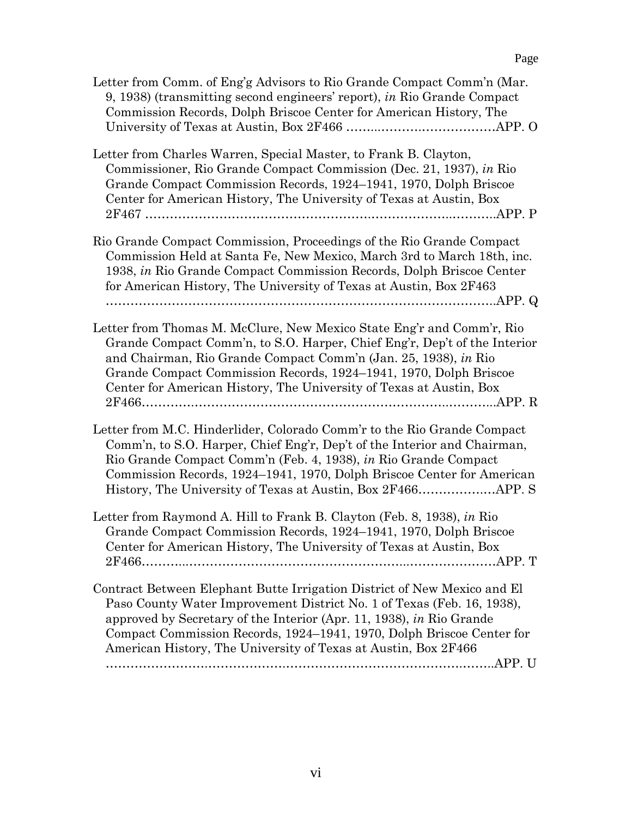| Letter from Comm. of Eng'g Advisors to Rio Grande Compact Comm'n (Mar.<br>9, 1938) (transmitting second engineers' report), in Rio Grande Compact<br>Commission Records, Dolph Briscoe Center for American History, The                                                                                                                                               |
|-----------------------------------------------------------------------------------------------------------------------------------------------------------------------------------------------------------------------------------------------------------------------------------------------------------------------------------------------------------------------|
| Letter from Charles Warren, Special Master, to Frank B. Clayton,<br>Commissioner, Rio Grande Compact Commission (Dec. 21, 1937), in Rio<br>Grande Compact Commission Records, 1924-1941, 1970, Dolph Briscoe<br>Center for American History, The University of Texas at Austin, Box                                                                                   |
| Rio Grande Compact Commission, Proceedings of the Rio Grande Compact<br>Commission Held at Santa Fe, New Mexico, March 3rd to March 18th, inc.<br>1938, in Rio Grande Compact Commission Records, Dolph Briscoe Center<br>for American History, The University of Texas at Austin, Box 2F463                                                                          |
| Letter from Thomas M. McClure, New Mexico State Eng'r and Comm'r, Rio<br>Grande Compact Comm'n, to S.O. Harper, Chief Eng'r, Dep't of the Interior<br>and Chairman, Rio Grande Compact Comm'n (Jan. 25, 1938), in Rio<br>Grande Compact Commission Records, 1924–1941, 1970, Dolph Briscoe<br>Center for American History, The University of Texas at Austin, Box     |
| Letter from M.C. Hinderlider, Colorado Comm'r to the Rio Grande Compact<br>Comm'n, to S.O. Harper, Chief Eng'r, Dep't of the Interior and Chairman,<br>Rio Grande Compact Comm'n (Feb. 4, 1938), in Rio Grande Compact<br>Commission Records, 1924–1941, 1970, Dolph Briscoe Center for American                                                                      |
| Letter from Raymond A. Hill to Frank B. Clayton (Feb. 8, 1938), in Rio<br>Grande Compact Commission Records, 1924–1941, 1970, Dolph Briscoe<br>Center for American History, The University of Texas at Austin, Box                                                                                                                                                    |
| Contract Between Elephant Butte Irrigation District of New Mexico and El<br>Paso County Water Improvement District No. 1 of Texas (Feb. 16, 1938),<br>approved by Secretary of the Interior (Apr. 11, 1938), in Rio Grande<br>Compact Commission Records, 1924–1941, 1970, Dolph Briscoe Center for<br>American History, The University of Texas at Austin, Box 2F466 |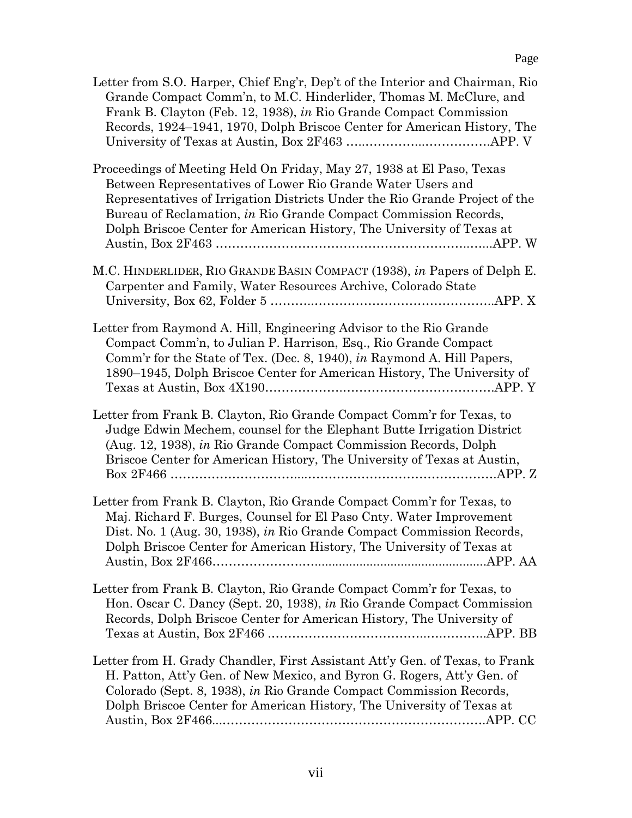| Letter from S.O. Harper, Chief Eng'r, Dep't of the Interior and Chairman, Rio<br>Grande Compact Comm'n, to M.C. Hinderlider, Thomas M. McClure, and<br>Frank B. Clayton (Feb. 12, 1938), in Rio Grande Compact Commission<br>Records, 1924–1941, 1970, Dolph Briscoe Center for American History, The                                                            |
|------------------------------------------------------------------------------------------------------------------------------------------------------------------------------------------------------------------------------------------------------------------------------------------------------------------------------------------------------------------|
| Proceedings of Meeting Held On Friday, May 27, 1938 at El Paso, Texas<br>Between Representatives of Lower Rio Grande Water Users and<br>Representatives of Irrigation Districts Under the Rio Grande Project of the<br>Bureau of Reclamation, in Rio Grande Compact Commission Records,<br>Dolph Briscoe Center for American History, The University of Texas at |
| M.C. HINDERLIDER, RIO GRANDE BASIN COMPACT (1938), in Papers of Delph E.<br>Carpenter and Family, Water Resources Archive, Colorado State                                                                                                                                                                                                                        |
| Letter from Raymond A. Hill, Engineering Advisor to the Rio Grande<br>Compact Comm'n, to Julian P. Harrison, Esq., Rio Grande Compact<br>Comm'r for the State of Tex. (Dec. 8, 1940), in Raymond A. Hill Papers,<br>1890–1945, Dolph Briscoe Center for American History, The University of                                                                      |
| Letter from Frank B. Clayton, Rio Grande Compact Comm'r for Texas, to<br>Judge Edwin Mechem, counsel for the Elephant Butte Irrigation District<br>(Aug. 12, 1938), in Rio Grande Compact Commission Records, Dolph<br>Briscoe Center for American History, The University of Texas at Austin,                                                                   |
| Letter from Frank B. Clayton, Rio Grande Compact Comm'r for Texas, to<br>Maj. Richard F. Burges, Counsel for El Paso Cnty. Water Improvement<br>Dist. No. 1 (Aug. 30, 1938), in Rio Grande Compact Commission Records,<br>Dolph Briscoe Center for American History, The University of Texas at                                                                  |
| Letter from Frank B. Clayton, Rio Grande Compact Comm'r for Texas, to<br>Hon. Oscar C. Dancy (Sept. 20, 1938), in Rio Grande Compact Commission<br>Records, Dolph Briscoe Center for American History, The University of                                                                                                                                         |
| Letter from H. Grady Chandler, First Assistant Att'y Gen. of Texas, to Frank<br>H. Patton, Att'y Gen. of New Mexico, and Byron G. Rogers, Att'y Gen. of<br>Colorado (Sept. 8, 1938), in Rio Grande Compact Commission Records,<br>Dolph Briscoe Center for American History, The University of Texas at                                                          |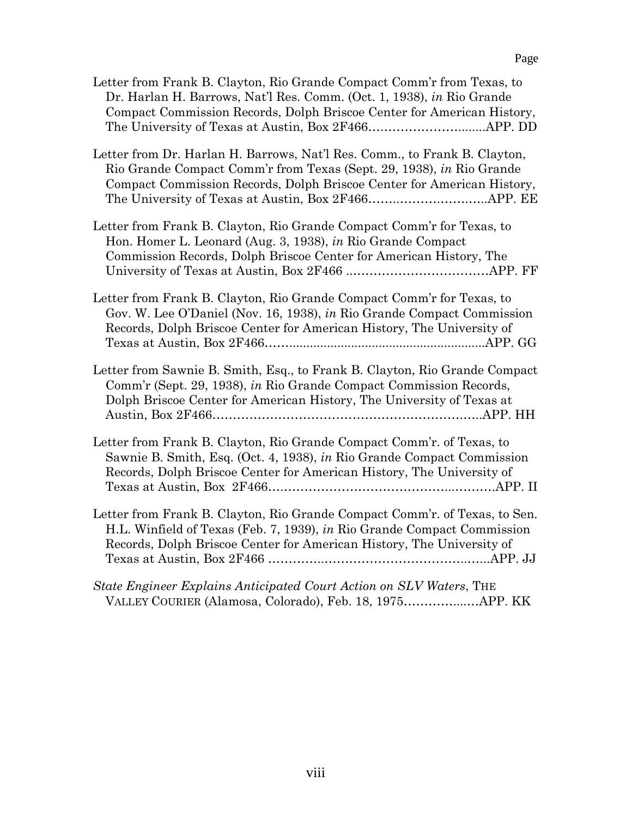| Letter from Frank B. Clayton, Rio Grande Compact Comm'r from Texas, to<br>Dr. Harlan H. Barrows, Nat'l Res. Comm. (Oct. 1, 1938), in Rio Grande<br>Compact Commission Records, Dolph Briscoe Center for American History,      |
|--------------------------------------------------------------------------------------------------------------------------------------------------------------------------------------------------------------------------------|
| Letter from Dr. Harlan H. Barrows, Nat'l Res. Comm., to Frank B. Clayton,<br>Rio Grande Compact Comm'r from Texas (Sept. 29, 1938), in Rio Grande<br>Compact Commission Records, Dolph Briscoe Center for American History,    |
| Letter from Frank B. Clayton, Rio Grande Compact Comm'r for Texas, to<br>Hon. Homer L. Leonard (Aug. 3, 1938), in Rio Grande Compact<br>Commission Records, Dolph Briscoe Center for American History, The                     |
| Letter from Frank B. Clayton, Rio Grande Compact Comm'r for Texas, to<br>Gov. W. Lee O'Daniel (Nov. 16, 1938), in Rio Grande Compact Commission<br>Records, Dolph Briscoe Center for American History, The University of       |
| Letter from Sawnie B. Smith, Esq., to Frank B. Clayton, Rio Grande Compact<br>Comm'r (Sept. 29, 1938), in Rio Grande Compact Commission Records,<br>Dolph Briscoe Center for American History, The University of Texas at      |
| Letter from Frank B. Clayton, Rio Grande Compact Comm'r. of Texas, to<br>Sawnie B. Smith, Esq. (Oct. 4, 1938), in Rio Grande Compact Commission<br>Records, Dolph Briscoe Center for American History, The University of       |
| Letter from Frank B. Clayton, Rio Grande Compact Comm'r. of Texas, to Sen.<br>H.L. Winfield of Texas (Feb. 7, 1939), in Rio Grande Compact Commission<br>Records, Dolph Briscoe Center for American History, The University of |
| State Engineer Explains Anticipated Court Action on SLV Waters, THE                                                                                                                                                            |

VALLEY COURIER (Alamosa, Colorado), Feb. 18, 1975…………....…APP. KK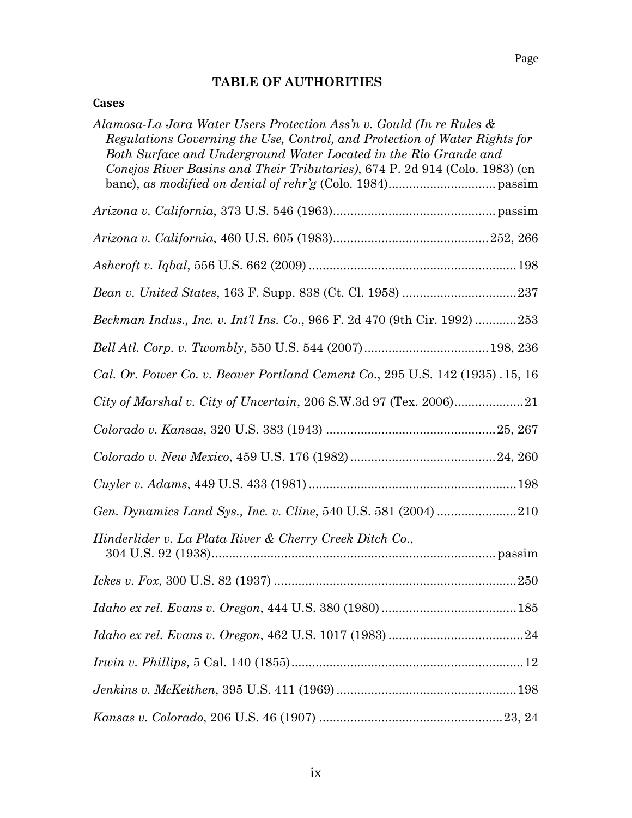## **TABLE OF AUTHORITIES**

#### **Cases**

| Alamosa-La Jara Water Users Protection Ass'n v. Gould (In re Rules &<br>Regulations Governing the Use, Control, and Protection of Water Rights for<br>Both Surface and Underground Water Located in the Rio Grande and<br>Conejos River Basins and Their Tributaries), 674 P. 2d 914 (Colo. 1983) (en |
|-------------------------------------------------------------------------------------------------------------------------------------------------------------------------------------------------------------------------------------------------------------------------------------------------------|
|                                                                                                                                                                                                                                                                                                       |
|                                                                                                                                                                                                                                                                                                       |
|                                                                                                                                                                                                                                                                                                       |
|                                                                                                                                                                                                                                                                                                       |
| Beckman Indus., Inc. v. Int'l Ins. Co., 966 F. 2d 470 (9th Cir. 1992) 253                                                                                                                                                                                                                             |
|                                                                                                                                                                                                                                                                                                       |
| Cal. Or. Power Co. v. Beaver Portland Cement Co., 295 U.S. 142 (1935) .15, 16                                                                                                                                                                                                                         |
|                                                                                                                                                                                                                                                                                                       |
|                                                                                                                                                                                                                                                                                                       |
|                                                                                                                                                                                                                                                                                                       |
|                                                                                                                                                                                                                                                                                                       |
| Gen. Dynamics Land Sys., Inc. v. Cline, 540 U.S. 581 (2004) 210                                                                                                                                                                                                                                       |
| Hinderlider v. La Plata River & Cherry Creek Ditch Co.,                                                                                                                                                                                                                                               |
|                                                                                                                                                                                                                                                                                                       |
|                                                                                                                                                                                                                                                                                                       |
|                                                                                                                                                                                                                                                                                                       |
|                                                                                                                                                                                                                                                                                                       |
|                                                                                                                                                                                                                                                                                                       |
|                                                                                                                                                                                                                                                                                                       |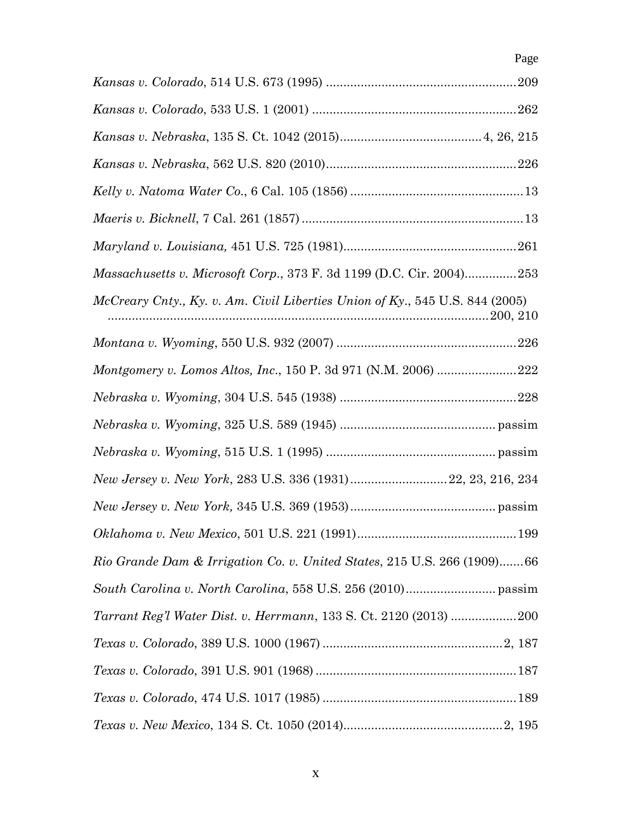*Kansas v. Colorado*, 514 U.S. 673 (1995) .......................................................209 *Kansas v. Colorado*, 533 U.S. 1 (2001) ...........................................................262 *Kansas v. Nebraska*, 135 S. Ct. 1042 (2015).........................................4, 26, 215 *Kansas v. Nebraska*, 562 U.S. 820 (2010).......................................................226 *Kelly v. Natoma Water Co*., 6 Cal. 105 (1856) ..................................................13 *Maeris v. Bicknell*, 7 Cal. 261 (1857) ................................................................13 *Maryland v. Louisiana,* 451 U.S. 725 (1981)..................................................261 *Massachusetts v. Microsoft Corp*., 373 F. 3d 1199 (D.C. Cir. 2004)...............253 *McCreary Cnty., Ky. v. Am. Civil Liberties Union of Ky*., 545 U.S. 844 (2005) ..............................................................................................................200, 210 *Montana v. Wyoming*, 550 U.S. 932 (2007) ....................................................226 *Montgomery v. Lomos Altos, Inc*., 150 P. 3d 971 (N.M. 2006) .......................222 *Nebraska v. Wyoming*, 304 U.S. 545 (1938) ...................................................228 *Nebraska v. Wyoming*, 325 U.S. 589 (1945) ............................................. passim *Nebraska v. Wyoming*, 515 U.S. 1 (1995) ................................................. passim *New Jersey v. New York*, 283 U.S. 336 (1931)............................22, 23, 216, 234 *New Jersey v. New York,* 345 U.S. 369 (1953).......................................... passim *Oklahoma v. New Mexico*, 501 U.S. 221 (1991)..............................................199 *Rio Grande Dam & Irrigation Co. v. United States*, 215 U.S. 266 (1909).......66 *South Carolina v. North Carolina*, 558 U.S. 256 (2010).......................... passim *Tarrant Reg'l Water Dist. v. Herrmann*, 133 S. Ct. 2120 (2013) ...................200 *Texas v. Colorado*, 389 U.S. 1000 (1967) ....................................................2, 187 *Texas v. Colorado*, 391 U.S. 901 (1968) ..........................................................187 *Texas v. Colorado*, 474 U.S. 1017 (1985) ........................................................189 *Texas v. New Mexico*, 134 S. Ct. 1050 (2014)..............................................2, 195

Page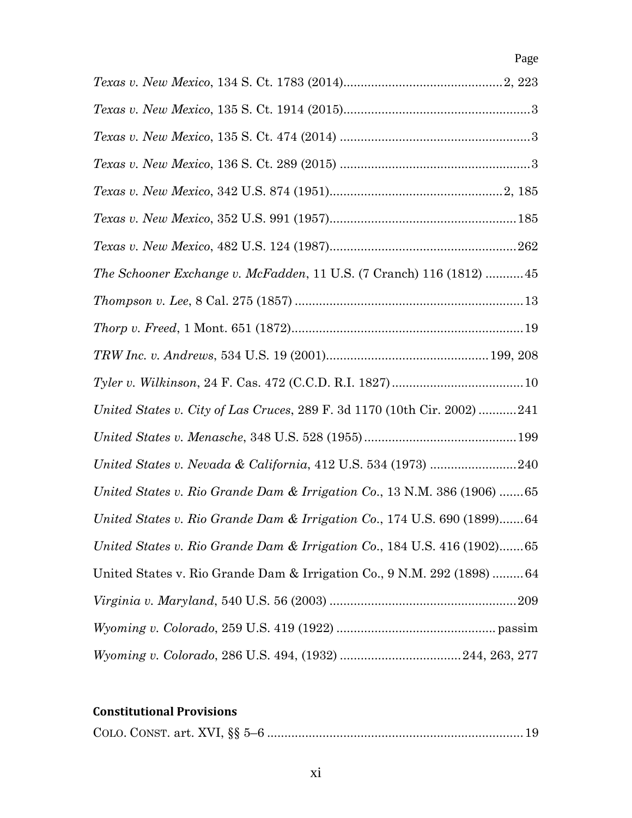| 1 0000 0. ITOW INCOVOO, IO I N. OV. ITOO (401 I/                           |
|----------------------------------------------------------------------------|
|                                                                            |
|                                                                            |
|                                                                            |
|                                                                            |
|                                                                            |
|                                                                            |
| <i>The Schooner Exchange v. McFadden, 11 U.S. (7 Cranch) 116 (1812) 45</i> |
|                                                                            |
|                                                                            |
|                                                                            |
|                                                                            |
| United States v. City of Las Cruces, 289 F. 3d 1170 (10th Cir. 2002) 241   |
|                                                                            |
| United States v. Nevada & California, 412 U.S. 534 (1973) 240              |
| United States v. Rio Grande Dam & Irrigation Co., 13 N.M. 386 (1906)  65   |
| United States v. Rio Grande Dam & Irrigation Co., 174 U.S. 690 (1899)64    |
| United States v. Rio Grande Dam & Irrigation Co., 184 U.S. 416 (1902)65    |
| United States v. Rio Grande Dam & Irrigation Co., 9 N.M. 292 (1898)  64    |
|                                                                            |
|                                                                            |
|                                                                            |

## **Constitutional Provisions**

|--|--|--|--|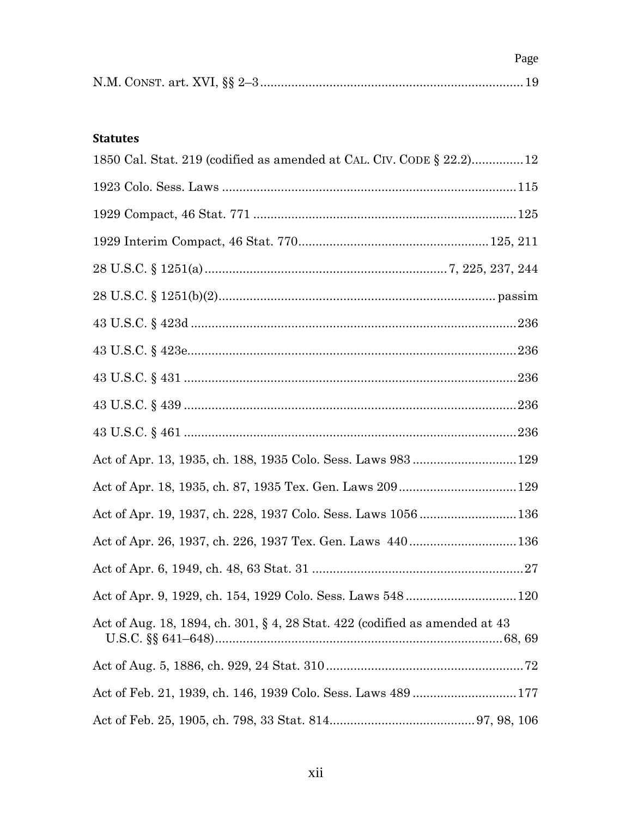Page

#### **Statutes**

| 1850 Cal. Stat. 219 (codified as amended at CAL. CIV. CODE § 22.2)12            |
|---------------------------------------------------------------------------------|
|                                                                                 |
|                                                                                 |
|                                                                                 |
|                                                                                 |
|                                                                                 |
|                                                                                 |
|                                                                                 |
|                                                                                 |
|                                                                                 |
|                                                                                 |
|                                                                                 |
|                                                                                 |
| Act of Apr. 19, 1937, ch. 228, 1937 Colo. Sess. Laws 1056136                    |
| Act of Apr. 26, 1937, ch. 226, 1937 Tex. Gen. Laws 440136                       |
|                                                                                 |
|                                                                                 |
| Act of Aug. 18, 1894, ch. 301, $\S 4$ , 28 Stat. 422 (codified as amended at 43 |
|                                                                                 |
|                                                                                 |
|                                                                                 |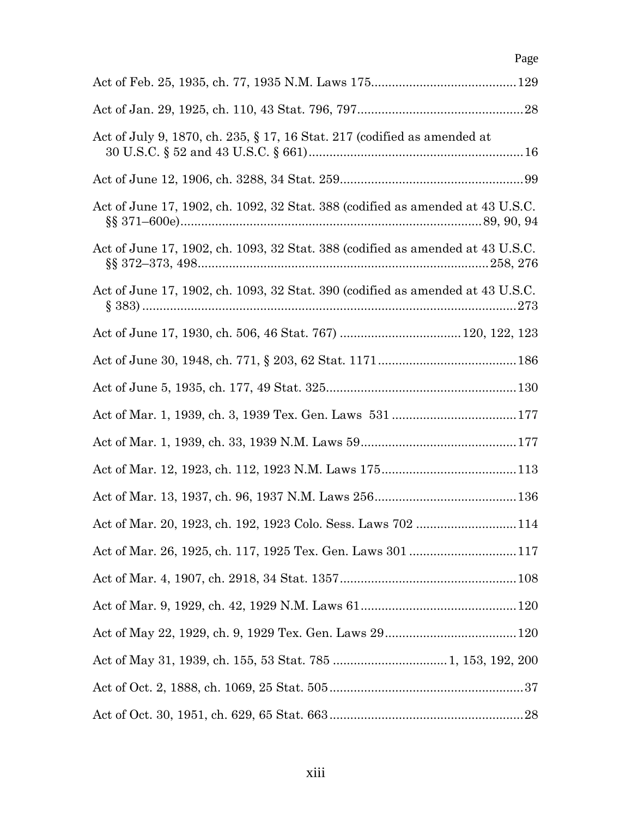| Page                                                                           |
|--------------------------------------------------------------------------------|
|                                                                                |
|                                                                                |
| Act of July 9, 1870, ch. 235, $\S 17$ , 16 Stat. 217 (codified as amended at   |
|                                                                                |
| Act of June 17, 1902, ch. 1092, 32 Stat. 388 (codified as amended at 43 U.S.C. |
| Act of June 17, 1902, ch. 1093, 32 Stat. 388 (codified as amended at 43 U.S.C. |
| Act of June 17, 1902, ch. 1093, 32 Stat. 390 (codified as amended at 43 U.S.C. |
|                                                                                |
|                                                                                |
|                                                                                |
|                                                                                |
|                                                                                |
|                                                                                |
|                                                                                |
| Act of Mar. 20, 1923, ch. 192, 1923 Colo. Sess. Laws 702 114                   |
|                                                                                |
|                                                                                |
|                                                                                |
|                                                                                |
|                                                                                |
|                                                                                |
|                                                                                |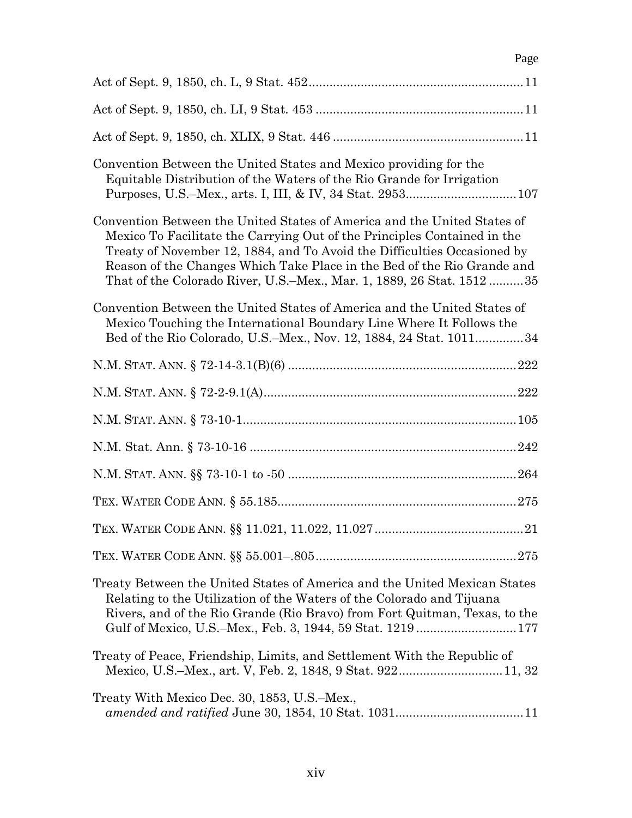## Page

| Convention Between the United States and Mexico providing for the<br>Equitable Distribution of the Waters of the Rio Grande for Irrigation                                                                                                                                                                                                                                            |
|---------------------------------------------------------------------------------------------------------------------------------------------------------------------------------------------------------------------------------------------------------------------------------------------------------------------------------------------------------------------------------------|
| Convention Between the United States of America and the United States of<br>Mexico To Facilitate the Carrying Out of the Principles Contained in the<br>Treaty of November 12, 1884, and To Avoid the Difficulties Occasioned by<br>Reason of the Changes Which Take Place in the Bed of the Rio Grande and<br>That of the Colorado River, U.S.–Mex., Mar. 1, 1889, 26 Stat. 1512  35 |
| Convention Between the United States of America and the United States of<br>Mexico Touching the International Boundary Line Where It Follows the<br>Bed of the Rio Colorado, U.S.–Mex., Nov. 12, 1884, 24 Stat. 101134                                                                                                                                                                |
|                                                                                                                                                                                                                                                                                                                                                                                       |
|                                                                                                                                                                                                                                                                                                                                                                                       |
|                                                                                                                                                                                                                                                                                                                                                                                       |
|                                                                                                                                                                                                                                                                                                                                                                                       |
|                                                                                                                                                                                                                                                                                                                                                                                       |
|                                                                                                                                                                                                                                                                                                                                                                                       |
|                                                                                                                                                                                                                                                                                                                                                                                       |
|                                                                                                                                                                                                                                                                                                                                                                                       |
| Treaty Between the United States of America and the United Mexican States<br>Relating to the Utilization of the Waters of the Colorado and Tijuana<br>Rivers, and of the Rio Grande (Rio Bravo) from Fort Quitman, Texas, to the<br>Gulf of Mexico, U.S.–Mex., Feb. 3, 1944, 59 Stat. 1219177                                                                                         |
| Treaty of Peace, Friendship, Limits, and Settlement With the Republic of                                                                                                                                                                                                                                                                                                              |
| Treaty With Mexico Dec. 30, 1853, U.S.–Mex.,                                                                                                                                                                                                                                                                                                                                          |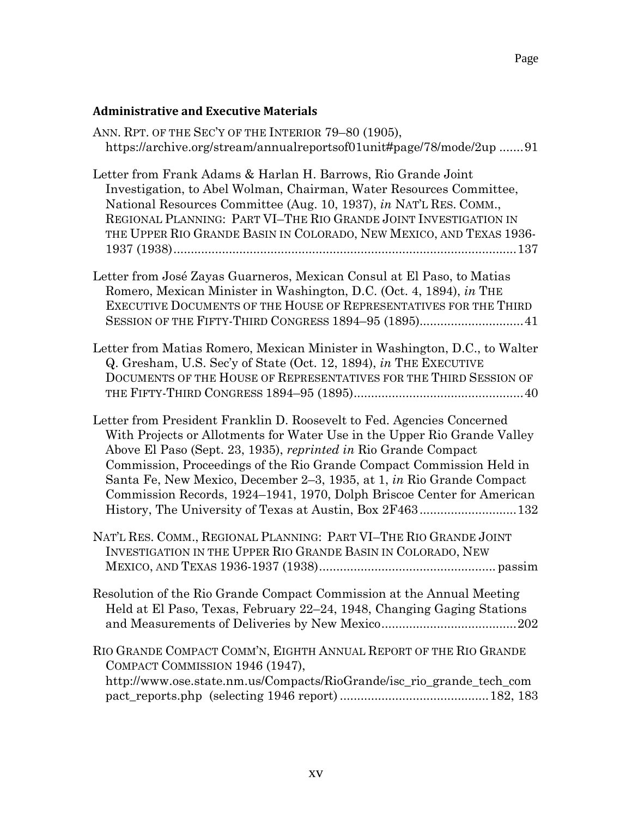| ANN. RPT. OF THE SEC'Y OF THE INTERIOR 79-80 (1905),<br>https://archive.org/stream/annualreportsof01unit#page/78/mode/2up 91                                                                                                                                                                                                                                                                                                                     |
|--------------------------------------------------------------------------------------------------------------------------------------------------------------------------------------------------------------------------------------------------------------------------------------------------------------------------------------------------------------------------------------------------------------------------------------------------|
| Letter from Frank Adams & Harlan H. Barrows, Rio Grande Joint<br>Investigation, to Abel Wolman, Chairman, Water Resources Committee,<br>National Resources Committee (Aug. 10, 1937), in NAT'L RES. COMM.,<br>REGIONAL PLANNING: PART VI-THE RIO GRANDE JOINT INVESTIGATION IN<br>THE UPPER RIO GRANDE BASIN IN COLORADO, NEW MEXICO, AND TEXAS 1936-                                                                                            |
| Letter from José Zayas Guarneros, Mexican Consul at El Paso, to Matias<br>Romero, Mexican Minister in Washington, D.C. (Oct. 4, 1894), in THE<br>EXECUTIVE DOCUMENTS OF THE HOUSE OF REPRESENTATIVES FOR THE THIRD<br>SESSION OF THE FIFTY-THIRD CONGRESS 1894–95 (1895)41                                                                                                                                                                       |
| Letter from Matias Romero, Mexican Minister in Washington, D.C., to Walter<br>Q. Gresham, U.S. Sec'y of State (Oct. 12, 1894), in THE EXECUTIVE<br>DOCUMENTS OF THE HOUSE OF REPRESENTATIVES FOR THE THIRD SESSION OF                                                                                                                                                                                                                            |
| Letter from President Franklin D. Roosevelt to Fed. Agencies Concerned<br>With Projects or Allotments for Water Use in the Upper Rio Grande Valley<br>Above El Paso (Sept. 23, 1935), reprinted in Rio Grande Compact<br>Commission, Proceedings of the Rio Grande Compact Commission Held in<br>Santa Fe, New Mexico, December 2–3, 1935, at 1, in Rio Grande Compact<br>Commission Records, 1924–1941, 1970, Dolph Briscoe Center for American |
| NAT'L RES. COMM., REGIONAL PLANNING: PART VI-THE RIO GRANDE JOINT<br>INVESTIGATION IN THE UPPER RIO GRANDE BASIN IN COLORADO, NEW                                                                                                                                                                                                                                                                                                                |
| Resolution of the Rio Grande Compact Commission at the Annual Meeting<br>Held at El Paso, Texas, February 22–24, 1948, Changing Gaging Stations                                                                                                                                                                                                                                                                                                  |
| RIO GRANDE COMPACT COMM'N, EIGHTH ANNUAL REPORT OF THE RIO GRANDE<br>COMPACT COMMISSION 1946 (1947),<br>http://www.ose.state.nm.us/Compacts/RioGrande/isc_rio_grande_tech_com                                                                                                                                                                                                                                                                    |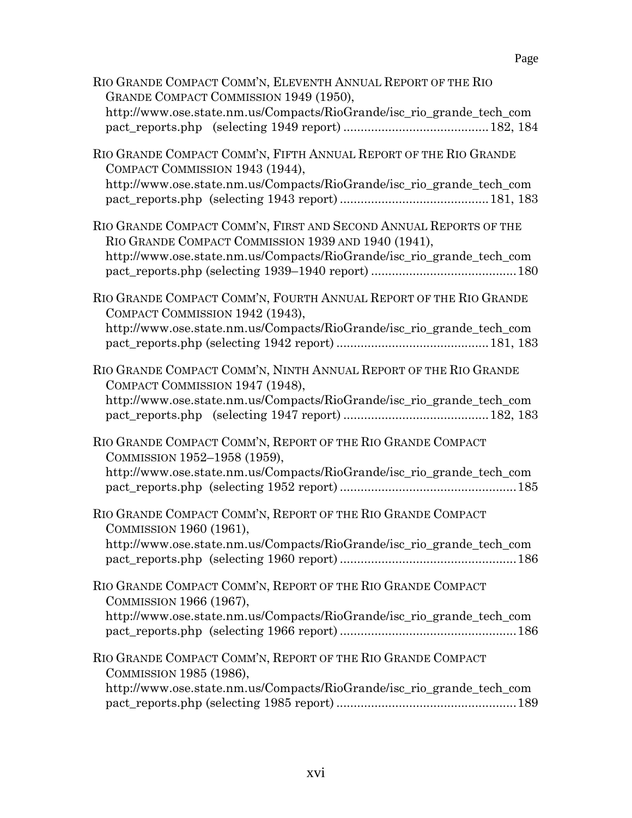| RIO GRANDE COMPACT COMM'N, ELEVENTH ANNUAL REPORT OF THE RIO<br>GRANDE COMPACT COMMISSION 1949 (1950),<br>http://www.ose.state.nm.us/Compacts/RioGrande/isc_rio_grande_tech_com                   |
|---------------------------------------------------------------------------------------------------------------------------------------------------------------------------------------------------|
| RIO GRANDE COMPACT COMM'N, FIFTH ANNUAL REPORT OF THE RIO GRANDE<br>COMPACT COMMISSION 1943 (1944),<br>http://www.ose.state.nm.us/Compacts/RioGrande/isc_rio_grande_tech_com                      |
| RIO GRANDE COMPACT COMM'N, FIRST AND SECOND ANNUAL REPORTS OF THE<br>RIO GRANDE COMPACT COMMISSION 1939 AND 1940 (1941),<br>http://www.ose.state.nm.us/Compacts/RioGrande/isc_rio_grande_tech_com |
| RIO GRANDE COMPACT COMM'N, FOURTH ANNUAL REPORT OF THE RIO GRANDE<br>COMPACT COMMISSION 1942 (1943),<br>http://www.ose.state.nm.us/Compacts/RioGrande/isc_rio_grande_tech_com                     |
| RIO GRANDE COMPACT COMM'N, NINTH ANNUAL REPORT OF THE RIO GRANDE<br>COMPACT COMMISSION 1947 (1948),<br>http://www.ose.state.nm.us/Compacts/RioGrande/isc_rio_grande_tech_com                      |
| RIO GRANDE COMPACT COMM'N, REPORT OF THE RIO GRANDE COMPACT<br>COMMISSION 1952-1958 (1959),<br>http://www.ose.state.nm.us/Compacts/RioGrande/isc_rio_grande_tech_com                              |
| RIO GRANDE COMPACT COMM'N, REPORT OF THE RIO GRANDE COMPACT<br>COMMISSION 1960 (1961),<br>http://www.ose.state.nm.us/Compacts/RioGrande/isc_rio_grande_tech_com                                   |
| RIO GRANDE COMPACT COMM'N, REPORT OF THE RIO GRANDE COMPACT<br>COMMISSION 1966 (1967),<br>http://www.ose.state.nm.us/Compacts/RioGrande/isc_rio_grande_tech_com                                   |
| RIO GRANDE COMPACT COMM'N, REPORT OF THE RIO GRANDE COMPACT<br>COMMISSION 1985 (1986),<br>http://www.ose.state.nm.us/Compacts/RioGrande/isc_rio_grande_tech_com                                   |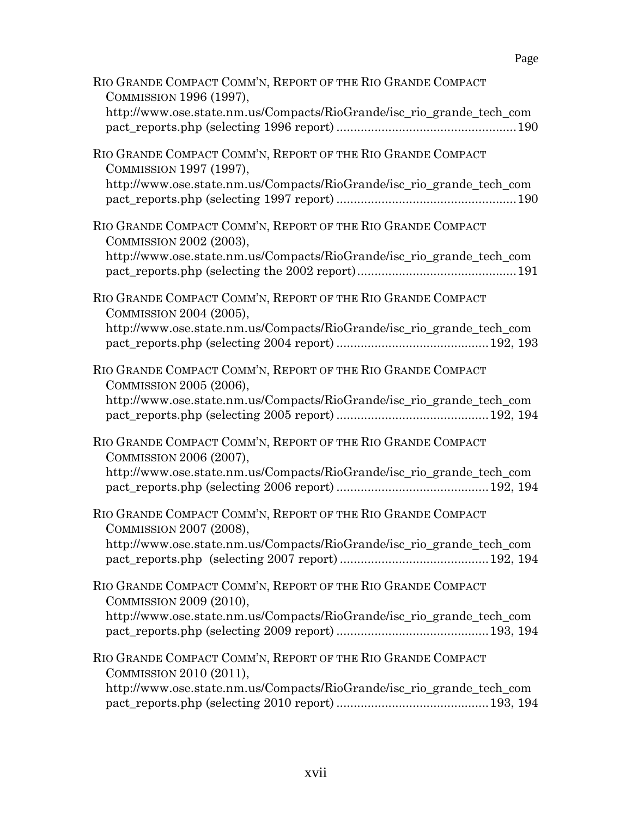| RIO GRANDE COMPACT COMM'N, REPORT OF THE RIO GRANDE COMPACT<br>COMMISSION 1996 (1997),                                                                          |
|-----------------------------------------------------------------------------------------------------------------------------------------------------------------|
| http://www.ose.state.nm.us/Compacts/RioGrande/isc_rio_grande_tech_com                                                                                           |
| RIO GRANDE COMPACT COMM'N, REPORT OF THE RIO GRANDE COMPACT<br>COMMISSION 1997 (1997),<br>http://www.ose.state.nm.us/Compacts/RioGrande/isc_rio_grande_tech_com |
| RIO GRANDE COMPACT COMM'N, REPORT OF THE RIO GRANDE COMPACT<br>COMMISSION 2002 (2003),<br>http://www.ose.state.nm.us/Compacts/RioGrande/isc_rio_grande_tech_com |
| RIO GRANDE COMPACT COMM'N, REPORT OF THE RIO GRANDE COMPACT<br>COMMISSION 2004 (2005),<br>http://www.ose.state.nm.us/Compacts/RioGrande/isc_rio_grande_tech_com |
| RIO GRANDE COMPACT COMM'N, REPORT OF THE RIO GRANDE COMPACT<br>COMMISSION 2005 (2006),<br>http://www.ose.state.nm.us/Compacts/RioGrande/isc_rio_grande_tech_com |
| RIO GRANDE COMPACT COMM'N, REPORT OF THE RIO GRANDE COMPACT<br>COMMISSION 2006 (2007),<br>http://www.ose.state.nm.us/Compacts/RioGrande/isc_rio_grande_tech_com |
| RIO GRANDE COMPACT COMM'N, REPORT OF THE RIO GRANDE COMPACT<br>COMMISSION 2007 (2008),<br>http://www.ose.state.nm.us/Compacts/RioGrande/isc_rio_grande_tech_com |
| RIO GRANDE COMPACT COMM'N, REPORT OF THE RIO GRANDE COMPACT<br>COMMISSION 2009 (2010),<br>http://www.ose.state.nm.us/Compacts/RioGrande/isc_rio_grande_tech_com |
| RIO GRANDE COMPACT COMM'N, REPORT OF THE RIO GRANDE COMPACT<br>COMMISSION 2010 (2011),<br>http://www.ose.state.nm.us/Compacts/RioGrande/isc_rio_grande_tech_com |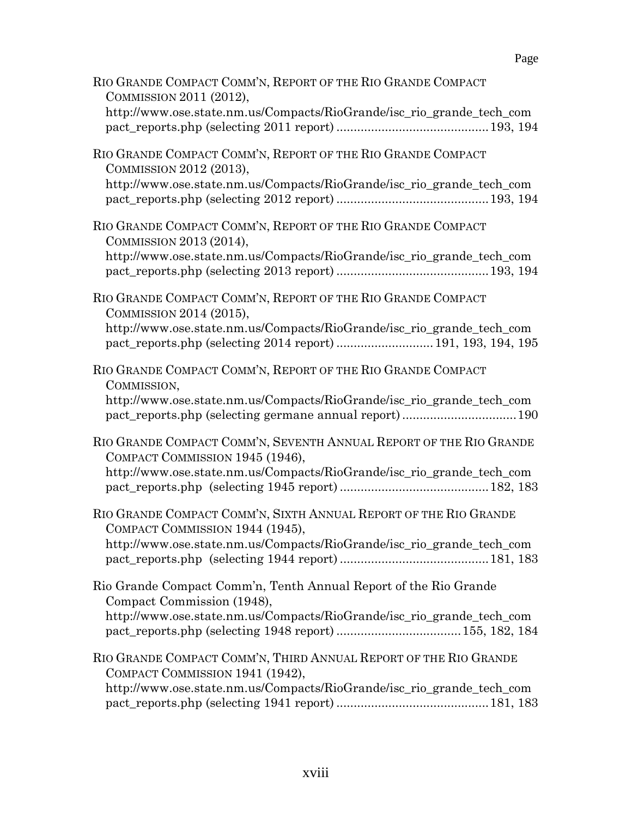| RIO GRANDE COMPACT COMM'N, REPORT OF THE RIO GRANDE COMPACT<br>COMMISSION 2011 (2012),                                                                          |
|-----------------------------------------------------------------------------------------------------------------------------------------------------------------|
| http://www.ose.state.nm.us/Compacts/RioGrande/isc_rio_grande_tech_com                                                                                           |
| RIO GRANDE COMPACT COMM'N, REPORT OF THE RIO GRANDE COMPACT<br>COMMISSION 2012 (2013),<br>http://www.ose.state.nm.us/Compacts/RioGrande/isc_rio_grande_tech_com |
|                                                                                                                                                                 |
| RIO GRANDE COMPACT COMM'N, REPORT OF THE RIO GRANDE COMPACT<br>COMMISSION 2013 (2014),                                                                          |
| http://www.ose.state.nm.us/Compacts/RioGrande/isc_rio_grande_tech_com                                                                                           |
| RIO GRANDE COMPACT COMM'N, REPORT OF THE RIO GRANDE COMPACT<br>COMMISSION 2014 (2015),                                                                          |
| http://www.ose.state.nm.us/Compacts/RioGrande/isc_rio_grande_tech_com<br>pact_reports.php (selecting 2014 report)  191, 193, 194, 195                           |
| RIO GRANDE COMPACT COMM'N, REPORT OF THE RIO GRANDE COMPACT<br>COMMISSION,                                                                                      |
| http://www.ose.state.nm.us/Compacts/RioGrande/isc_rio_grande_tech_com<br>pact_reports.php (selecting germane annual report)190                                  |
| RIO GRANDE COMPACT COMM'N, SEVENTH ANNUAL REPORT OF THE RIO GRANDE<br>COMPACT COMMISSION 1945 (1946),                                                           |
| http://www.ose.state.nm.us/Compacts/RioGrande/isc_rio_grande_tech_com                                                                                           |
| RIO GRANDE COMPACT COMM'N, SIXTH ANNUAL REPORT OF THE RIO GRANDE<br>COMPACT COMMISSION 1944 (1945),                                                             |
| http://www.ose.state.nm.us/Compacts/RioGrande/isc_rio_grande_tech_com                                                                                           |
| Rio Grande Compact Comm'n, Tenth Annual Report of the Rio Grande<br>Compact Commission (1948),                                                                  |
| http://www.ose.state.nm.us/Compacts/RioGrande/isc_rio_grande_tech_com                                                                                           |
| RIO GRANDE COMPACT COMM'N, THIRD ANNUAL REPORT OF THE RIO GRANDE<br>COMPACT COMMISSION 1941 (1942),                                                             |
| http://www.ose.state.nm.us/Compacts/RioGrande/isc_rio_grande_tech_com                                                                                           |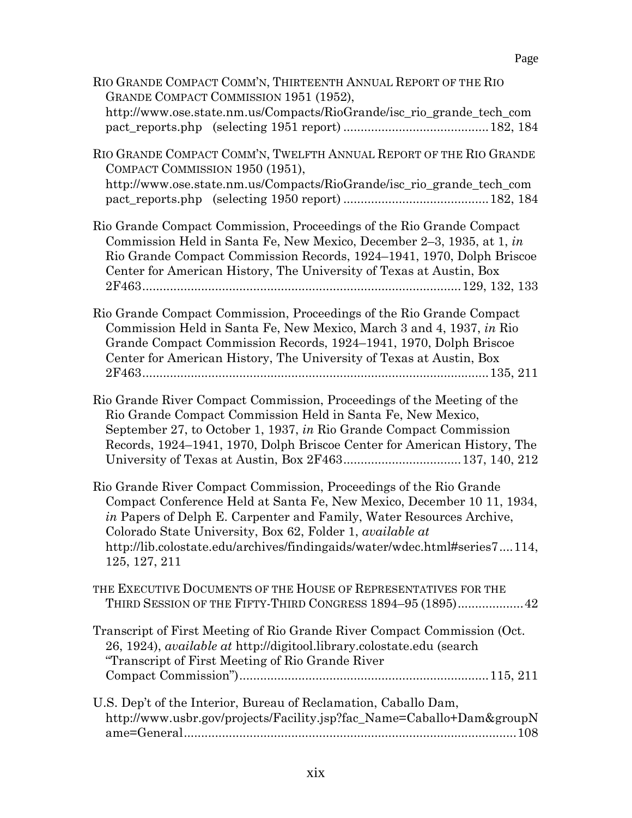| RIO GRANDE COMPACT COMM'N, THIRTEENTH ANNUAL REPORT OF THE RIO<br>GRANDE COMPACT COMMISSION 1951 (1952),<br>http://www.ose.state.nm.us/Compacts/RioGrande/isc_rio_grande_tech_com                                                                                                                                                                                               |
|---------------------------------------------------------------------------------------------------------------------------------------------------------------------------------------------------------------------------------------------------------------------------------------------------------------------------------------------------------------------------------|
| RIO GRANDE COMPACT COMM'N, TWELFTH ANNUAL REPORT OF THE RIO GRANDE<br>COMPACT COMMISSION 1950 (1951),<br>http://www.ose.state.nm.us/Compacts/RioGrande/isc_rio_grande_tech_com                                                                                                                                                                                                  |
| Rio Grande Compact Commission, Proceedings of the Rio Grande Compact<br>Commission Held in Santa Fe, New Mexico, December 2–3, 1935, at 1, in<br>Rio Grande Compact Commission Records, 1924–1941, 1970, Dolph Briscoe<br>Center for American History, The University of Texas at Austin, Box                                                                                   |
| Rio Grande Compact Commission, Proceedings of the Rio Grande Compact<br>Commission Held in Santa Fe, New Mexico, March 3 and 4, 1937, in Rio<br>Grande Compact Commission Records, 1924–1941, 1970, Dolph Briscoe<br>Center for American History, The University of Texas at Austin, Box                                                                                        |
| Rio Grande River Compact Commission, Proceedings of the Meeting of the<br>Rio Grande Compact Commission Held in Santa Fe, New Mexico,<br>September 27, to October 1, 1937, in Rio Grande Compact Commission<br>Records, 1924–1941, 1970, Dolph Briscoe Center for American History, The                                                                                         |
| Rio Grande River Compact Commission, Proceedings of the Rio Grande<br>Compact Conference Held at Santa Fe, New Mexico, December 10 11, 1934,<br>in Papers of Delph E. Carpenter and Family, Water Resources Archive,<br>Colorado State University, Box 62, Folder 1, available at<br>http://lib.colostate.edu/archives/findingaids/water/wdec.html#series7114,<br>125, 127, 211 |
| THE EXECUTIVE DOCUMENTS OF THE HOUSE OF REPRESENTATIVES FOR THE<br>THIRD SESSION OF THE FIFTY-THIRD CONGRESS 1894–95 (1895) 42                                                                                                                                                                                                                                                  |
| Transcript of First Meeting of Rio Grande River Compact Commission (Oct.<br>26, 1924), <i>available at http://digitool.library.colostate.edu</i> (search<br>"Transcript of First Meeting of Rio Grande River"                                                                                                                                                                   |
| U.S. Dep't of the Interior, Bureau of Reclamation, Caballo Dam,<br>http://www.usbr.gov/projects/Facility.jsp?fac_Name=Caballo+Dam&groupN                                                                                                                                                                                                                                        |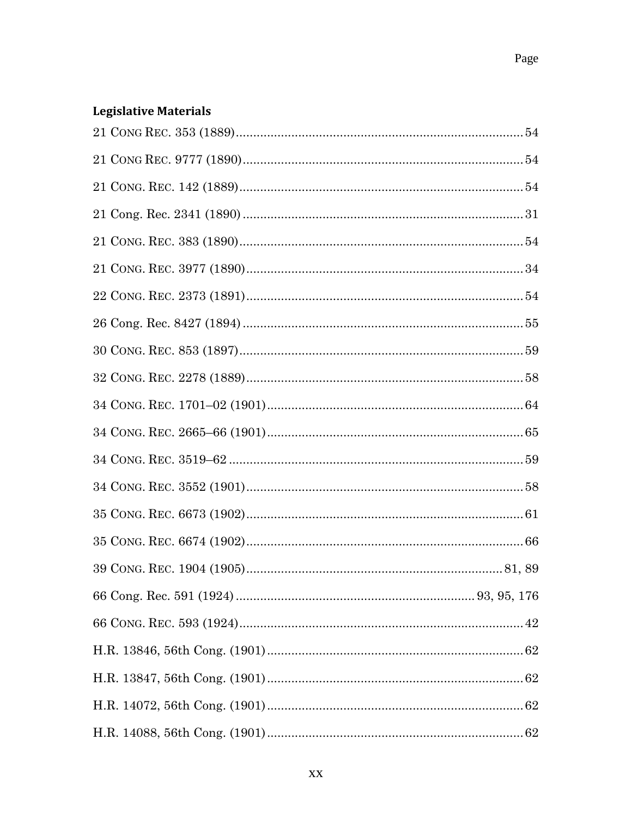## **Legislative Materials**

| $34~{\rm CONG.}\;{\rm REC.}\;3552~(1901)58$ |  |
|---------------------------------------------|--|
|                                             |  |
|                                             |  |
|                                             |  |
|                                             |  |
|                                             |  |
|                                             |  |
|                                             |  |
|                                             |  |
|                                             |  |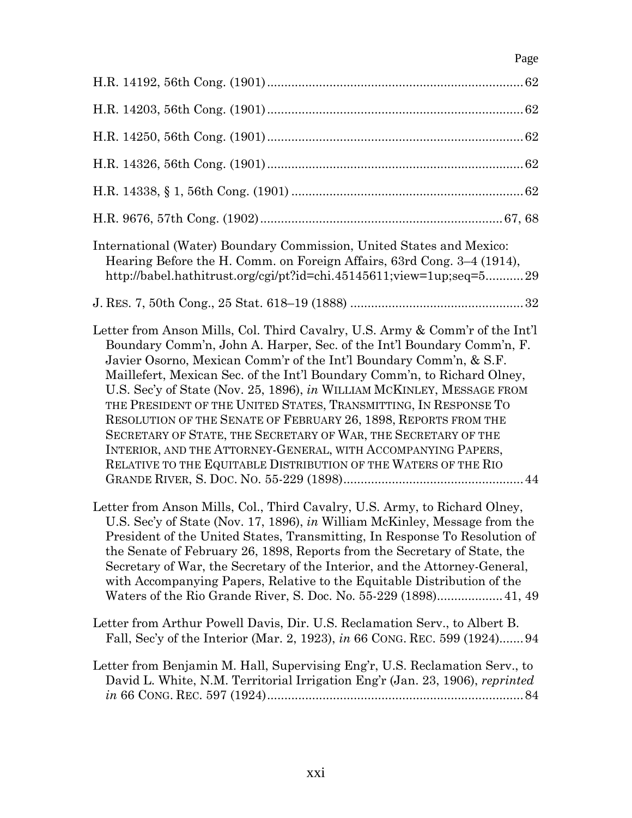| Page                                                                                                                                                                                                                                                                                                                                                                                                                                                                                                                                                                                                                                                                                                                            |
|---------------------------------------------------------------------------------------------------------------------------------------------------------------------------------------------------------------------------------------------------------------------------------------------------------------------------------------------------------------------------------------------------------------------------------------------------------------------------------------------------------------------------------------------------------------------------------------------------------------------------------------------------------------------------------------------------------------------------------|
|                                                                                                                                                                                                                                                                                                                                                                                                                                                                                                                                                                                                                                                                                                                                 |
|                                                                                                                                                                                                                                                                                                                                                                                                                                                                                                                                                                                                                                                                                                                                 |
|                                                                                                                                                                                                                                                                                                                                                                                                                                                                                                                                                                                                                                                                                                                                 |
|                                                                                                                                                                                                                                                                                                                                                                                                                                                                                                                                                                                                                                                                                                                                 |
|                                                                                                                                                                                                                                                                                                                                                                                                                                                                                                                                                                                                                                                                                                                                 |
|                                                                                                                                                                                                                                                                                                                                                                                                                                                                                                                                                                                                                                                                                                                                 |
| International (Water) Boundary Commission, United States and Mexico:<br>Hearing Before the H. Comm. on Foreign Affairs, 63rd Cong. 3–4 (1914),<br>http://babel.hathitrust.org/cgi/pt?id=chi.45145611;view=1up;seq=529                                                                                                                                                                                                                                                                                                                                                                                                                                                                                                           |
|                                                                                                                                                                                                                                                                                                                                                                                                                                                                                                                                                                                                                                                                                                                                 |
| Letter from Anson Mills, Col. Third Cavalry, U.S. Army & Comm'r of the Int'l<br>Boundary Comm'n, John A. Harper, Sec. of the Int'l Boundary Comm'n, F.<br>Javier Osorno, Mexican Comm'r of the Int'l Boundary Comm'n, & S.F.<br>Maillefert, Mexican Sec. of the Int'l Boundary Comm'n, to Richard Olney,<br>U.S. Sec'y of State (Nov. 25, 1896), in WILLIAM MCKINLEY, MESSAGE FROM<br>THE PRESIDENT OF THE UNITED STATES, TRANSMITTING, IN RESPONSE TO<br>RESOLUTION OF THE SENATE OF FEBRUARY 26, 1898, REPORTS FROM THE<br>SECRETARY OF STATE, THE SECRETARY OF WAR, THE SECRETARY OF THE<br>INTERIOR, AND THE ATTORNEY-GENERAL, WITH ACCOMPANYING PAPERS,<br>RELATIVE TO THE EQUITABLE DISTRIBUTION OF THE WATERS OF THE RIO |
| Letter from Anson Mills, Col., Third Cavalry, U.S. Army, to Richard Olney,<br>U.S. Sec'y of State (Nov. 17, 1896), in William McKinley, Message from the<br>President of the United States, Transmitting, In Response To Resolution of<br>the Senate of February 26, 1898, Reports from the Secretary of State, the<br>Secretary of War, the Secretary of the Interior, and the Attorney-General,<br>with Accompanying Papers, Relative to the Equitable Distribution of the<br>Waters of the Rio Grande River, S. Doc. No. 55-229 (1898) 41, 49                                                                                                                                                                                |
| Letter from Arthur Powell Davis, Dir. U.S. Reclamation Serv., to Albert B.<br>Fall, Sec'y of the Interior (Mar. 2, 1923), in 66 CONG. REC. 599 (1924)94                                                                                                                                                                                                                                                                                                                                                                                                                                                                                                                                                                         |
| Letter from Benjamin M. Hall, Supervising Eng'r, U.S. Reclamation Serv., to<br>David L. White, N.M. Territorial Irrigation Eng'r (Jan. 23, 1906), reprinted                                                                                                                                                                                                                                                                                                                                                                                                                                                                                                                                                                     |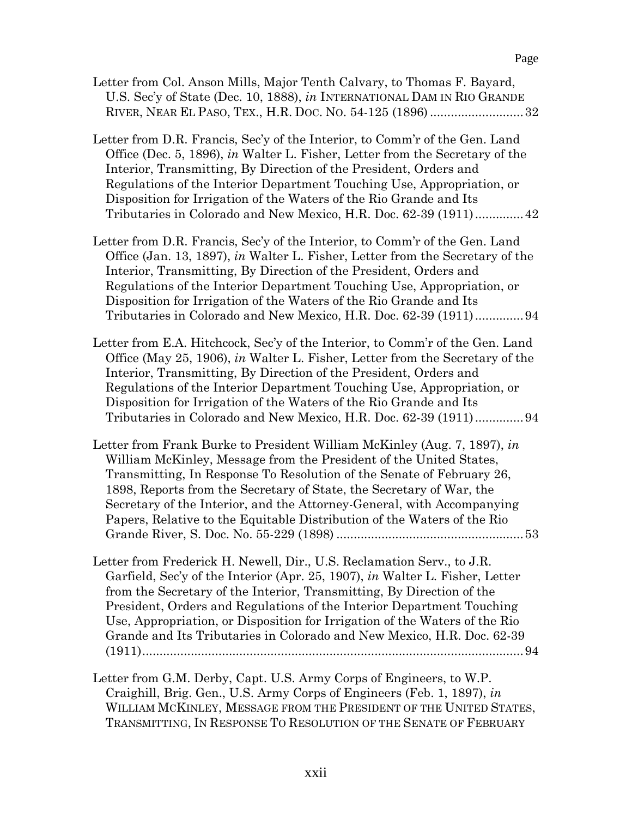| Letter from Col. Anson Mills, Major Tenth Calvary, to Thomas F. Bayard, |
|-------------------------------------------------------------------------|
| U.S. Sec'y of State (Dec. 10, 1888), in INTERNATIONAL DAM IN RIO GRANDE |
|                                                                         |

- Letter from D.R. Francis, Sec'y of the Interior, to Comm'r of the Gen. Land Office (Dec. 5, 1896), *in* Walter L. Fisher, Letter from the Secretary of the Interior, Transmitting, By Direction of the President, Orders and Regulations of the Interior Department Touching Use, Appropriation, or Disposition for Irrigation of the Waters of the Rio Grande and Its Tributaries in Colorado and New Mexico, H.R. Doc. 62-39 (1911)..............42
- Letter from D.R. Francis, Sec'y of the Interior, to Comm'r of the Gen. Land Office (Jan. 13, 1897), *in* Walter L. Fisher, Letter from the Secretary of the Interior, Transmitting, By Direction of the President, Orders and Regulations of the Interior Department Touching Use, Appropriation, or Disposition for Irrigation of the Waters of the Rio Grande and Its Tributaries in Colorado and New Mexico, H.R. Doc. 62-39 (1911)..............94

Letter from E.A. Hitchcock, Sec'y of the Interior, to Comm'r of the Gen. Land Office (May 25, 1906), *in* Walter L. Fisher, Letter from the Secretary of the Interior, Transmitting, By Direction of the President, Orders and Regulations of the Interior Department Touching Use, Appropriation, or Disposition for Irrigation of the Waters of the Rio Grande and Its Tributaries in Colorado and New Mexico, H.R. Doc. 62-39 (1911)..............94

Letter from Frank Burke to President William McKinley (Aug. 7, 1897), *in* William McKinley, Message from the President of the United States, Transmitting, In Response To Resolution of the Senate of February 26, 1898, Reports from the Secretary of State, the Secretary of War, the Secretary of the Interior, and the Attorney-General, with Accompanying Papers, Relative to the Equitable Distribution of the Waters of the Rio Grande River, S. Doc. No. 55-229 (1898) ......................................................53

- Letter from Frederick H. Newell, Dir., U.S. Reclamation Serv., to J.R. Garfield, Sec'y of the Interior (Apr. 25, 1907), *in* Walter L. Fisher, Letter from the Secretary of the Interior, Transmitting, By Direction of the President, Orders and Regulations of the Interior Department Touching Use, Appropriation, or Disposition for Irrigation of the Waters of the Rio Grande and Its Tributaries in Colorado and New Mexico, H.R. Doc. 62-39 (1911)..............................................................................................................94
- Letter from G.M. Derby, Capt. U.S. Army Corps of Engineers, to W.P. Craighill, Brig. Gen., U.S. Army Corps of Engineers (Feb. 1, 1897), *in* WILLIAM MCKINLEY, MESSAGE FROM THE PRESIDENT OF THE UNITED STATES, TRANSMITTING, IN RESPONSE TO RESOLUTION OF THE SENATE OF FEBRUARY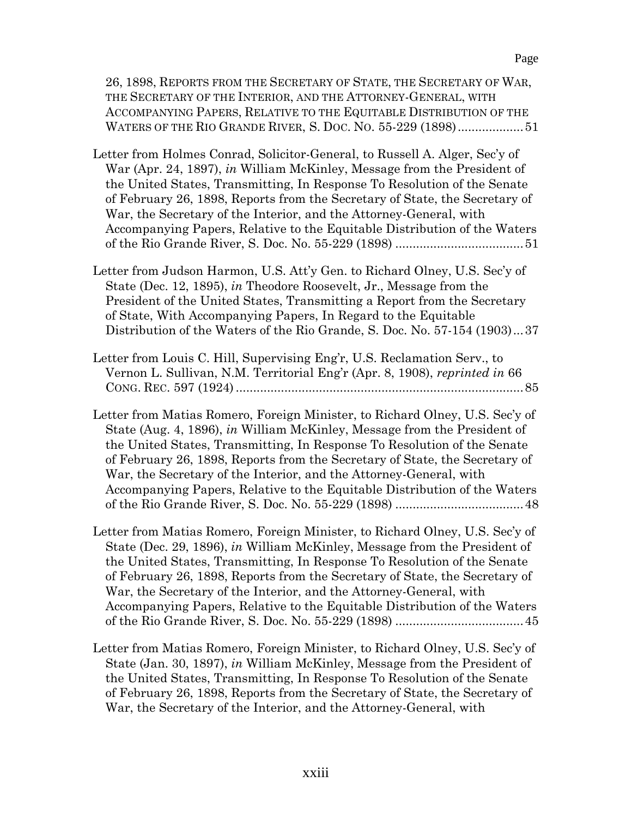| 26, 1898, REPORTS FROM THE SECRETARY OF STATE, THE SECRETARY OF WAR,<br>THE SECRETARY OF THE INTERIOR, AND THE ATTORNEY-GENERAL, WITH<br>ACCOMPANYING PAPERS, RELATIVE TO THE EQUITABLE DISTRIBUTION OF THE<br>WATERS OF THE RIO GRANDE RIVER, S. DOC. NO. 55-229 (1898) 51                                                                                                                                                                                             |
|-------------------------------------------------------------------------------------------------------------------------------------------------------------------------------------------------------------------------------------------------------------------------------------------------------------------------------------------------------------------------------------------------------------------------------------------------------------------------|
| Letter from Holmes Conrad, Solicitor-General, to Russell A. Alger, Sec'y of<br>War (Apr. 24, 1897), in William McKinley, Message from the President of<br>the United States, Transmitting, In Response To Resolution of the Senate<br>of February 26, 1898, Reports from the Secretary of State, the Secretary of<br>War, the Secretary of the Interior, and the Attorney-General, with<br>Accompanying Papers, Relative to the Equitable Distribution of the Waters    |
| Letter from Judson Harmon, U.S. Att'y Gen. to Richard Olney, U.S. Sec'y of<br>State (Dec. 12, 1895), in Theodore Roosevelt, Jr., Message from the<br>President of the United States, Transmitting a Report from the Secretary<br>of State, With Accompanying Papers, In Regard to the Equitable<br>Distribution of the Waters of the Rio Grande, S. Doc. No. 57-154 (1903)37                                                                                            |
| Letter from Louis C. Hill, Supervising Eng'r, U.S. Reclamation Serv., to<br>Vernon L. Sullivan, N.M. Territorial Eng'r (Apr. 8, 1908), reprinted in 66                                                                                                                                                                                                                                                                                                                  |
| Letter from Matias Romero, Foreign Minister, to Richard Olney, U.S. Sec'y of<br>State (Aug. 4, 1896), in William McKinley, Message from the President of<br>the United States, Transmitting, In Response To Resolution of the Senate<br>of February 26, 1898, Reports from the Secretary of State, the Secretary of<br>War, the Secretary of the Interior, and the Attorney-General, with<br>Accompanying Papers, Relative to the Equitable Distribution of the Waters  |
| Letter from Matias Romero, Foreign Minister, to Richard Olney, U.S. Sec'y of<br>State (Dec. 29, 1896), in William McKinley, Message from the President of<br>the United States, Transmitting, In Response To Resolution of the Senate<br>of February 26, 1898, Reports from the Secretary of State, the Secretary of<br>War, the Secretary of the Interior, and the Attorney-General, with<br>Accompanying Papers, Relative to the Equitable Distribution of the Waters |
| Letter from Matias Romero, Foreign Minister, to Richard Olney, U.S. Sec'y of<br>State (Jan. 30, 1897), in William McKinley, Message from the President of                                                                                                                                                                                                                                                                                                               |

State (Jan. 30, 1897), *in* William McKinley, Message from the President of the United States, Transmitting, In Response To Resolution of the Senate of February 26, 1898, Reports from the Secretary of State, the Secretary of War, the Secretary of the Interior, and the Attorney-General, with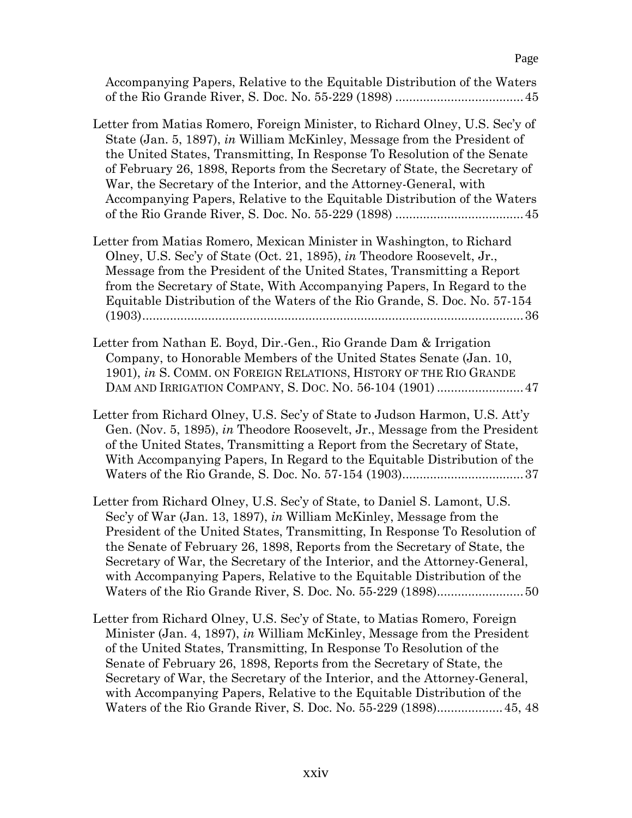| Letter from Matias Romero, Foreign Minister, to Richard Olney, U.S. Sec'y of<br>State (Jan. 5, 1897), in William McKinley, Message from the President of<br>the United States, Transmitting, In Response To Resolution of the Senate<br>of February 26, 1898, Reports from the Secretary of State, the Secretary of<br>War, the Secretary of the Interior, and the Attorney-General, with<br>Accompanying Papers, Relative to the Equitable Distribution of the Waters |
|------------------------------------------------------------------------------------------------------------------------------------------------------------------------------------------------------------------------------------------------------------------------------------------------------------------------------------------------------------------------------------------------------------------------------------------------------------------------|
| Letter from Matias Romero, Mexican Minister in Washington, to Richard<br>Olney, U.S. Sec'y of State (Oct. 21, 1895), in Theodore Roosevelt, Jr.,<br>Message from the President of the United States, Transmitting a Report<br>from the Secretary of State, With Accompanying Papers, In Regard to the<br>Equitable Distribution of the Waters of the Rio Grande, S. Doc. No. 57-154                                                                                    |
| Letter from Nathan E. Boyd, Dir.-Gen., Rio Grande Dam & Irrigation<br>Company, to Honorable Members of the United States Senate (Jan. 10,<br>1901), in S. COMM. ON FOREIGN RELATIONS, HISTORY OF THE RIO GRANDE<br>DAM AND IRRIGATION COMPANY, S. DOC. NO. 56-104 (1901)  47                                                                                                                                                                                           |
| Letter from Richard Olney, U.S. Sec'y of State to Judson Harmon, U.S. Att'y<br>Gen. (Nov. 5, 1895), in Theodore Roosevelt, Jr., Message from the President<br>of the United States, Transmitting a Report from the Secretary of State,<br>With Accompanying Papers, In Regard to the Equitable Distribution of the                                                                                                                                                     |
| Letter from Richard Olney, U.S. Sec'y of State, to Daniel S. Lamont, U.S.<br>Sec'y of War (Jan. 13, 1897), in William McKinley, Message from the<br>President of the United States, Transmitting, In Response To Resolution of<br>the Senate of February 26, 1898, Reports from the Secretary of State, the<br>Secretary of War, the Secretary of the Interior, and the Attorney-General,<br>with Accompanying Papers, Relative to the Equitable Distribution of the   |
| Letter from Richard Olney, U.S. Sec'y of State, to Matias Romero, Foreign<br>Minister (Jan. 4, 1897), in William McKinley, Message from the President<br>of the United States, Transmitting, In Response To Resolution of the<br>Senate of February 26, 1898, Reports from the Secretary of State, the<br>Secretary of War, the Secretary of the Interior, and the Attorney-General,<br>with Accompanying Papers, Relative to the Equitable Distribution of the        |

Accompanying Papers, Relative to the Equitable Distribution of the Waters of the Rio Grande River, S. Doc. No. 55-229 (1898) .....................................45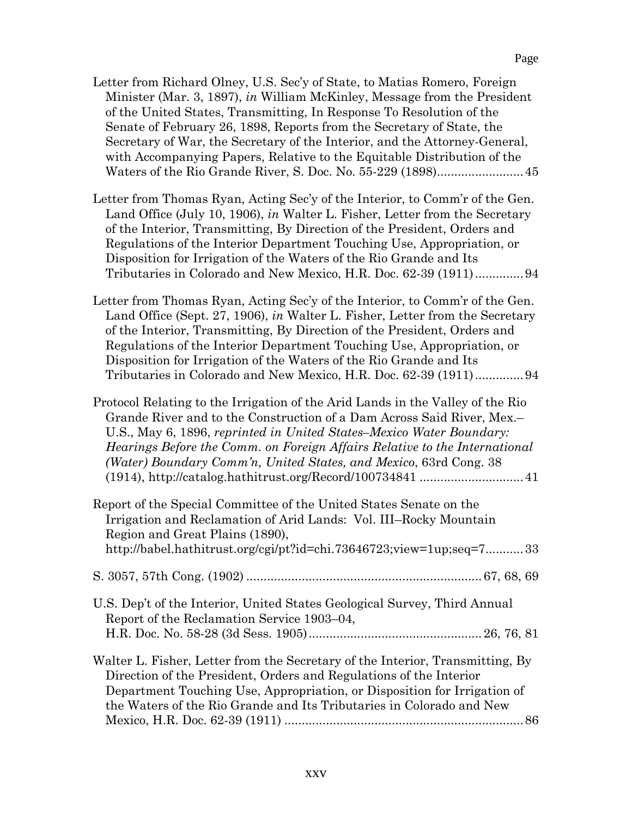Letter from Richard Olney, U.S. Sec'y of State, to Matias Romero, Foreign Minister (Mar. 3, 1897), *in* William McKinley, Message from the President of the United States, Transmitting, In Response To Resolution of the Senate of February 26, 1898, Reports from the Secretary of State, the Secretary of War, the Secretary of the Interior, and the Attorney-General, with Accompanying Papers, Relative to the Equitable Distribution of the Waters of the Rio Grande River, S. Doc. No. 55-229 (1898).........................45

Letter from Thomas Ryan, Acting Sec'y of the Interior, to Comm'r of the Gen. Land Office (July 10, 1906), *in* Walter L. Fisher, Letter from the Secretary of the Interior, Transmitting, By Direction of the President, Orders and Regulations of the Interior Department Touching Use, Appropriation, or Disposition for Irrigation of the Waters of the Rio Grande and Its Tributaries in Colorado and New Mexico, H.R. Doc. 62-39 (1911)..............94

Letter from Thomas Ryan, Acting Sec'y of the Interior, to Comm'r of the Gen. Land Office (Sept. 27, 1906), *in* Walter L. Fisher, Letter from the Secretary of the Interior, Transmitting, By Direction of the President, Orders and Regulations of the Interior Department Touching Use, Appropriation, or Disposition for Irrigation of the Waters of the Rio Grande and Its Tributaries in Colorado and New Mexico, H.R. Doc. 62-39 (1911)..............94

Protocol Relating to the Irrigation of the Arid Lands in the Valley of the Rio Grande River and to the Construction of a Dam Across Said River, Mex.– U.S., May 6, 1896, *reprinted in United States–Mexico Water Boundary: Hearings Before the Comm. on Foreign Affairs Relative to the International (Water) Boundary Comm'n, United States, and Mexico*, 63rd Cong. 38 (1914), http://catalog.hathitrust.org/Record/100734841 ..............................41

| Report of the Special Committee of the United States Senate on the            |
|-------------------------------------------------------------------------------|
| Irrigation and Reclamation of Arid Lands: Vol. III–Rocky Mountain             |
| Region and Great Plains (1890),                                               |
| http://babel.hathitrust.org/cgi/pt?id=chi.73646723;view=1up;seq=733           |
|                                                                               |
| U.S. Dep't of the Interior, United States Geological Survey, Third Annual     |
| Report of the Reclamation Service 1903–04,                                    |
|                                                                               |
| Walter L. Fisher, Letter from the Secretary of the Interior, Transmitting, By |

Direction of the President, Orders and Regulations of the Interior Department Touching Use, Appropriation, or Disposition for Irrigation of the Waters of the Rio Grande and Its Tributaries in Colorado and New Mexico, H.R. Doc. 62-39 (1911) .....................................................................86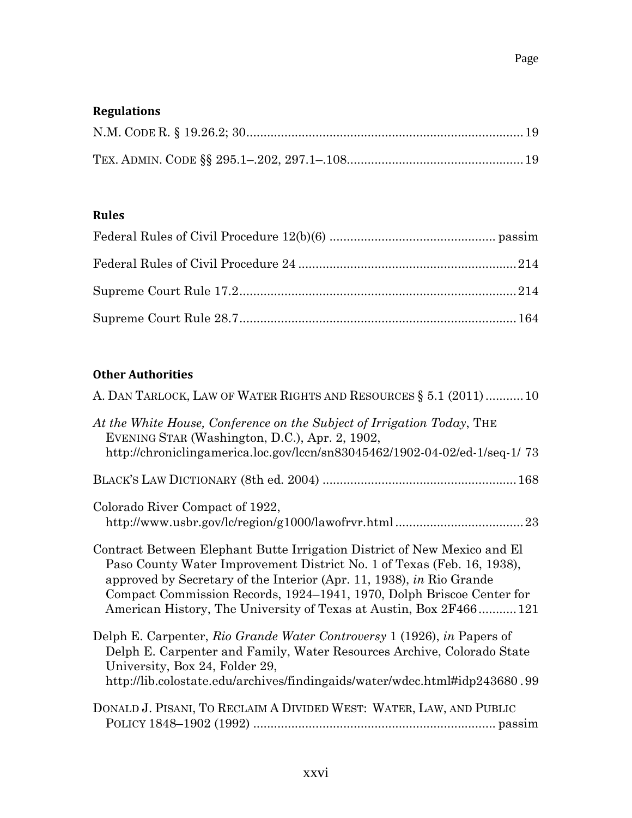# **Regulations**

#### **Rules**

### **Other Authorities**

| A. DAN TARLOCK, LAW OF WATER RIGHTS AND RESOURCES § 5.1 (2011)10                                                                                                                                                                                                                                                                                                         |
|--------------------------------------------------------------------------------------------------------------------------------------------------------------------------------------------------------------------------------------------------------------------------------------------------------------------------------------------------------------------------|
| At the White House, Conference on the Subject of Irrigation Today, THE<br>EVENING STAR (Washington, D.C.), Apr. 2, 1902,<br>http://chroniclingamerica.loc.gov/lccn/sn83045462/1902-04-02/ed-1/seq-1/73                                                                                                                                                                   |
|                                                                                                                                                                                                                                                                                                                                                                          |
| Colorado River Compact of 1922,                                                                                                                                                                                                                                                                                                                                          |
| Contract Between Elephant Butte Irrigation District of New Mexico and El<br>Paso County Water Improvement District No. 1 of Texas (Feb. 16, 1938),<br>approved by Secretary of the Interior (Apr. 11, 1938), in Rio Grande<br>Compact Commission Records, 1924–1941, 1970, Dolph Briscoe Center for<br>American History, The University of Texas at Austin, Box 2F466121 |
| Delph E. Carpenter, Rio Grande Water Controversy 1 (1926), in Papers of<br>Delph E. Carpenter and Family, Water Resources Archive, Colorado State<br>University, Box 24, Folder 29,<br>http://lib.colostate.edu/archives/findingaids/water/wdec.html#idp243680.99                                                                                                        |
| DONALD J. PISANI, TO RECLAIM A DIVIDED WEST: WATER, LAW, AND PUBLIC                                                                                                                                                                                                                                                                                                      |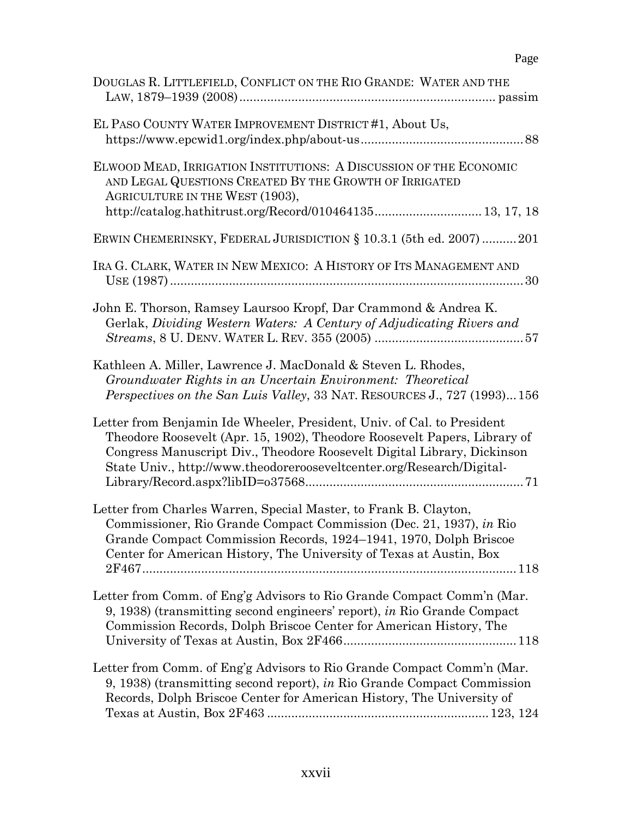| DOUGLAS R. LITTLEFIELD, CONFLICT ON THE RIO GRANDE: WATER AND THE                                                                                                                                                                                                                                        |
|----------------------------------------------------------------------------------------------------------------------------------------------------------------------------------------------------------------------------------------------------------------------------------------------------------|
| EL PASO COUNTY WATER IMPROVEMENT DISTRICT #1, About Us,                                                                                                                                                                                                                                                  |
| ELWOOD MEAD, IRRIGATION INSTITUTIONS: A DISCUSSION OF THE ECONOMIC<br>AND LEGAL QUESTIONS CREATED BY THE GROWTH OF IRRIGATED<br>AGRICULTURE IN THE WEST (1903),<br>http://catalog.hathitrust.org/Record/010464135 13, 17, 18                                                                             |
| ERWIN CHEMERINSKY, FEDERAL JURISDICTION § 10.3.1 (5th ed. 2007)  201                                                                                                                                                                                                                                     |
| IRA G. CLARK, WATER IN NEW MEXICO: A HISTORY OF ITS MANAGEMENT AND                                                                                                                                                                                                                                       |
| John E. Thorson, Ramsey Laursoo Kropf, Dar Crammond & Andrea K.<br>Gerlak, Dividing Western Waters: A Century of Adjudicating Rivers and                                                                                                                                                                 |
| Kathleen A. Miller, Lawrence J. MacDonald & Steven L. Rhodes,<br>Groundwater Rights in an Uncertain Environment: Theoretical<br><i>Perspectives on the San Luis Valley, 33 NAT. RESOURCES J., 727 (1993)156</i>                                                                                          |
| Letter from Benjamin Ide Wheeler, President, Univ. of Cal. to President<br>Theodore Roosevelt (Apr. 15, 1902), Theodore Roosevelt Papers, Library of<br>Congress Manuscript Div., Theodore Roosevelt Digital Library, Dickinson<br>State Univ., http://www.theodorerooseveltcenter.org/Research/Digital- |
| Letter from Charles Warren, Special Master, to Frank B. Clayton,<br>Commissioner, Rio Grande Compact Commission (Dec. 21, 1937), in Rio<br>Grande Compact Commission Records, 1924-1941, 1970, Dolph Briscoe<br>Center for American History, The University of Texas at Austin, Box                      |
| Letter from Comm. of Eng'g Advisors to Rio Grande Compact Comm'n (Mar.<br>9, 1938) (transmitting second engineers' report), in Rio Grande Compact<br>Commission Records, Dolph Briscoe Center for American History, The                                                                                  |
| Letter from Comm. of Eng'g Advisors to Rio Grande Compact Comm'n (Mar.<br>9, 1938) (transmitting second report), in Rio Grande Compact Commission<br>Records, Dolph Briscoe Center for American History, The University of                                                                               |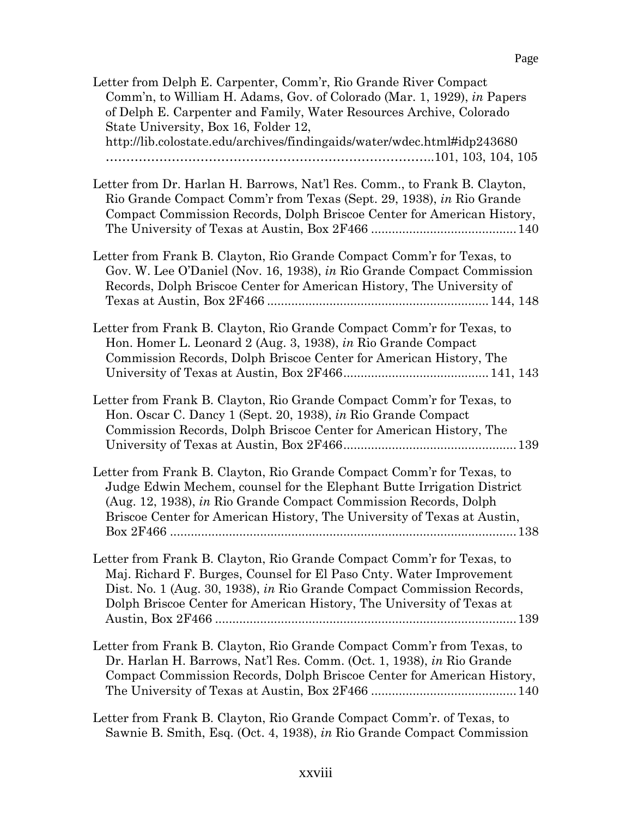| Letter from Delph E. Carpenter, Comm'r, Rio Grande River Compact<br>Comm'n, to William H. Adams, Gov. of Colorado (Mar. 1, 1929), in Papers<br>of Delph E. Carpenter and Family, Water Resources Archive, Colorado<br>State University, Box 16, Folder 12,<br>http://lib.colostate.edu/archives/findingaids/water/wdec.html#idp243680 |
|---------------------------------------------------------------------------------------------------------------------------------------------------------------------------------------------------------------------------------------------------------------------------------------------------------------------------------------|
| Letter from Dr. Harlan H. Barrows, Nat'l Res. Comm., to Frank B. Clayton,<br>Rio Grande Compact Comm'r from Texas (Sept. 29, 1938), in Rio Grande<br>Compact Commission Records, Dolph Briscoe Center for American History,                                                                                                           |
| Letter from Frank B. Clayton, Rio Grande Compact Comm'r for Texas, to<br>Gov. W. Lee O'Daniel (Nov. 16, 1938), in Rio Grande Compact Commission<br>Records, Dolph Briscoe Center for American History, The University of                                                                                                              |
| Letter from Frank B. Clayton, Rio Grande Compact Comm'r for Texas, to<br>Hon. Homer L. Leonard 2 (Aug. 3, 1938), in Rio Grande Compact<br>Commission Records, Dolph Briscoe Center for American History, The                                                                                                                          |
| Letter from Frank B. Clayton, Rio Grande Compact Comm'r for Texas, to<br>Hon. Oscar C. Dancy 1 (Sept. 20, 1938), in Rio Grande Compact<br>Commission Records, Dolph Briscoe Center for American History, The                                                                                                                          |
| Letter from Frank B. Clayton, Rio Grande Compact Comm'r for Texas, to<br>Judge Edwin Mechem, counsel for the Elephant Butte Irrigation District<br>(Aug. 12, 1938), in Rio Grande Compact Commission Records, Dolph<br>Briscoe Center for American History, The University of Texas at Austin,<br>138                                 |
| Letter from Frank B. Clayton, Rio Grande Compact Comm'r for Texas, to<br>Maj. Richard F. Burges, Counsel for El Paso Cnty. Water Improvement<br>Dist. No. 1 (Aug. 30, 1938), in Rio Grande Compact Commission Records,<br>Dolph Briscoe Center for American History, The University of Texas at                                       |
| Letter from Frank B. Clayton, Rio Grande Compact Comm'r from Texas, to<br>Dr. Harlan H. Barrows, Nat'l Res. Comm. (Oct. 1, 1938), in Rio Grande<br>Compact Commission Records, Dolph Briscoe Center for American History,                                                                                                             |
| Letter from Frank B. Clayton, Rio Grande Compact Comm'r. of Texas, to<br>Sawnie B. Smith, Esq. (Oct. 4, 1938), in Rio Grande Compact Commission                                                                                                                                                                                       |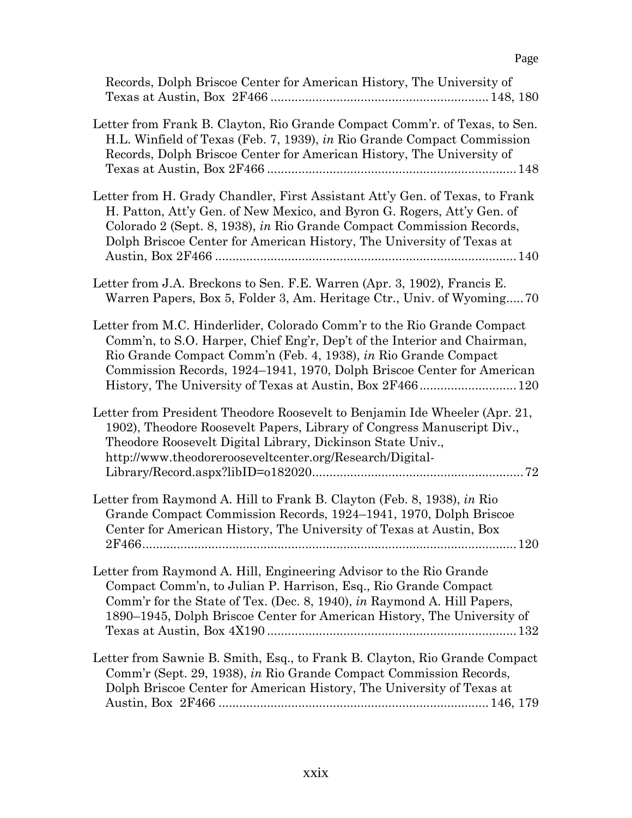| Records, Dolph Briscoe Center for American History, The University of                                                                                                                                                                                                                                     |
|-----------------------------------------------------------------------------------------------------------------------------------------------------------------------------------------------------------------------------------------------------------------------------------------------------------|
| Letter from Frank B. Clayton, Rio Grande Compact Comm'r. of Texas, to Sen.<br>H.L. Winfield of Texas (Feb. 7, 1939), in Rio Grande Compact Commission<br>Records, Dolph Briscoe Center for American History, The University of                                                                            |
| Letter from H. Grady Chandler, First Assistant Att'y Gen. of Texas, to Frank<br>H. Patton, Att'y Gen. of New Mexico, and Byron G. Rogers, Att'y Gen. of<br>Colorado 2 (Sept. 8, 1938), in Rio Grande Compact Commission Records,<br>Dolph Briscoe Center for American History, The University of Texas at |
| Letter from J.A. Breckons to Sen. F.E. Warren (Apr. 3, 1902), Francis E.<br>Warren Papers, Box 5, Folder 3, Am. Heritage Ctr., Univ. of Wyoming 70                                                                                                                                                        |
| Letter from M.C. Hinderlider, Colorado Comm'r to the Rio Grande Compact<br>Comm'n, to S.O. Harper, Chief Eng'r, Dep't of the Interior and Chairman,<br>Rio Grande Compact Comm'n (Feb. 4, 1938), in Rio Grande Compact<br>Commission Records, 1924–1941, 1970, Dolph Briscoe Center for American          |
| Letter from President Theodore Roosevelt to Benjamin Ide Wheeler (Apr. 21,<br>1902), Theodore Roosevelt Papers, Library of Congress Manuscript Div.,<br>Theodore Roosevelt Digital Library, Dickinson State Univ.,<br>http://www.theodorerooseveltcenter.org/Research/Digital-                            |
| Letter from Raymond A. Hill to Frank B. Clayton (Feb. 8, 1938), in Rio<br>Grande Compact Commission Records, 1924–1941, 1970, Dolph Briscoe<br>Center for American History, The University of Texas at Austin, Box                                                                                        |
| Letter from Raymond A. Hill, Engineering Advisor to the Rio Grande<br>Compact Comm'n, to Julian P. Harrison, Esq., Rio Grande Compact<br>Comm'r for the State of Tex. (Dec. 8, 1940), in Raymond A. Hill Papers,<br>1890-1945, Dolph Briscoe Center for American History, The University of               |
| Letter from Sawnie B. Smith, Esq., to Frank B. Clayton, Rio Grande Compact<br>Comm'r (Sept. 29, 1938), in Rio Grande Compact Commission Records,<br>Dolph Briscoe Center for American History, The University of Texas at                                                                                 |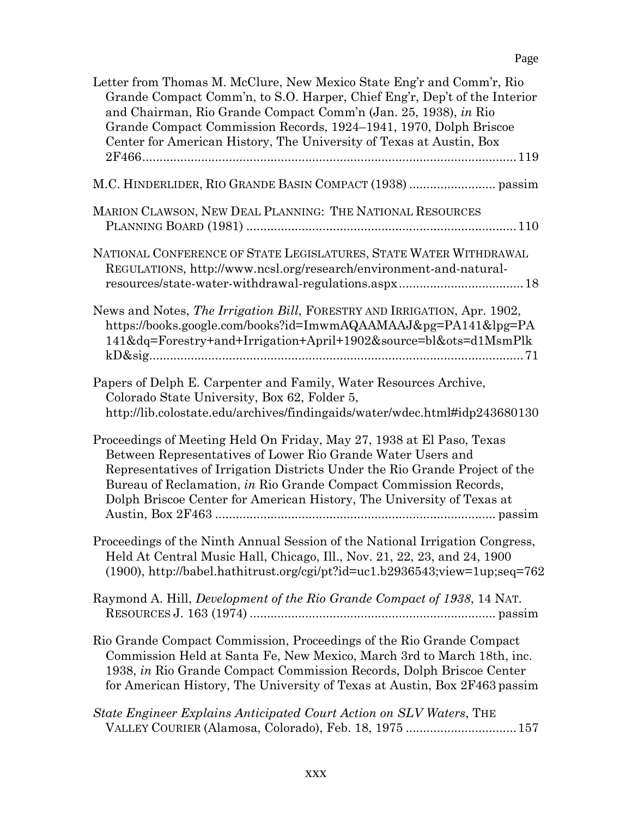| Letter from Thomas M. McClure, New Mexico State Eng'r and Comm'r, Rio<br>Grande Compact Comm'n, to S.O. Harper, Chief Eng'r, Dep't of the Interior<br>and Chairman, Rio Grande Compact Comm'n (Jan. 25, 1938), in Rio<br>Grande Compact Commission Records, 1924–1941, 1970, Dolph Briscoe<br>Center for American History, The University of Texas at Austin, Box |
|-------------------------------------------------------------------------------------------------------------------------------------------------------------------------------------------------------------------------------------------------------------------------------------------------------------------------------------------------------------------|
|                                                                                                                                                                                                                                                                                                                                                                   |
| MARION CLAWSON, NEW DEAL PLANNING: THE NATIONAL RESOURCES                                                                                                                                                                                                                                                                                                         |
| NATIONAL CONFERENCE OF STATE LEGISLATURES, STATE WATER WITHDRAWAL<br>REGULATIONS, http://www.ncsl.org/research/environment-and-natural-                                                                                                                                                                                                                           |
| News and Notes, <i>The Irrigation Bill</i> , FORESTRY AND IRRIGATION, Apr. 1902,<br>https://books.google.com/books?id=ImwmAQAAMAAJ&pg=PA141&lpg=PA<br>141&dq=Forestry+and+Irrigation+April+1902&source=bl&ots=d1MsmPlk<br>$kD\&sig$ 71                                                                                                                            |
| Papers of Delph E. Carpenter and Family, Water Resources Archive,<br>Colorado State University, Box 62, Folder 5,<br>http://lib.colostate.edu/archives/findingaids/water/wdec.html#idp243680130                                                                                                                                                                   |
| Proceedings of Meeting Held On Friday, May 27, 1938 at El Paso, Texas<br>Between Representatives of Lower Rio Grande Water Users and<br>Representatives of Irrigation Districts Under the Rio Grande Project of the<br>Bureau of Reclamation, in Rio Grande Compact Commission Records,<br>Dolph Briscoe Center for American History, The University of Texas at  |
| Proceedings of the Ninth Annual Session of the National Irrigation Congress,<br>Held At Central Music Hall, Chicago, Ill., Nov. 21, 22, 23, and 24, 1900<br>$(1900)$ , http://babel.hathitrust.org/cgi/pt?id=uc1.b2936543;view=1up;seq=762                                                                                                                        |
| Raymond A. Hill, <i>Development of the Rio Grande Compact of 1938</i> , 14 NAT.                                                                                                                                                                                                                                                                                   |
| Rio Grande Compact Commission, Proceedings of the Rio Grande Compact<br>Commission Held at Santa Fe, New Mexico, March 3rd to March 18th, inc.<br>1938, in Rio Grande Compact Commission Records, Dolph Briscoe Center<br>for American History, The University of Texas at Austin, Box 2F463 passim                                                               |
| State Engineer Explains Anticipated Court Action on SLV Waters, THE<br>VALLEY COURIER (Alamosa, Colorado), Feb. 18, 1975  157                                                                                                                                                                                                                                     |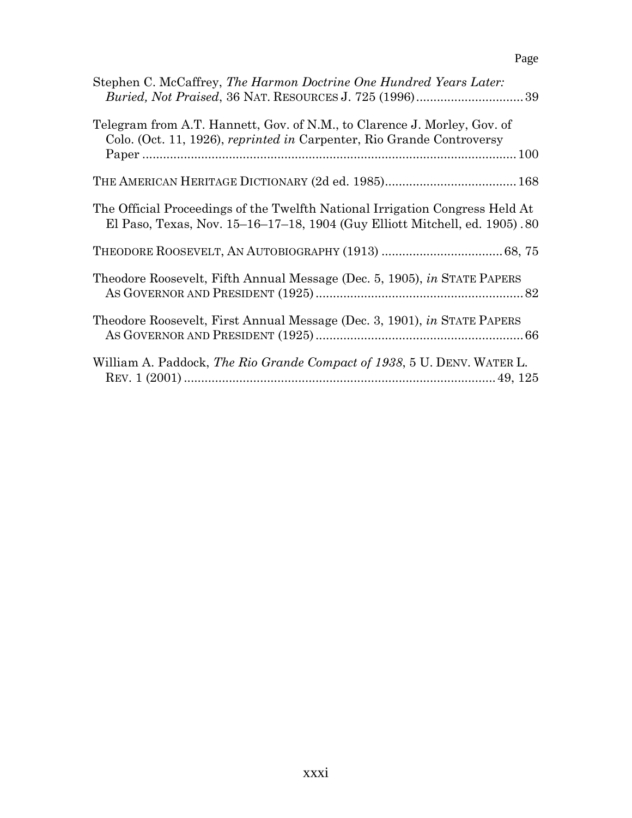| ۰. |
|----|
|----|

| Stephen C. McCaffrey, The Harmon Doctrine One Hundred Years Later:<br><i>Buried, Not Praised, 36 NAT. RESOURCES J. 725 (1996)</i> 39                        |
|-------------------------------------------------------------------------------------------------------------------------------------------------------------|
| Telegram from A.T. Hannett, Gov. of N.M., to Clarence J. Morley, Gov. of<br>Colo. (Oct. 11, 1926), reprinted in Carpenter, Rio Grande Controversy           |
|                                                                                                                                                             |
| The Official Proceedings of the Twelfth National Irrigation Congress Held At<br>El Paso, Texas, Nov. 15-16-17-18, 1904 (Guy Elliott Mitchell, ed. 1905). 80 |
|                                                                                                                                                             |
| Theodore Roosevelt, Fifth Annual Message (Dec. 5, 1905), in STATE PAPERS                                                                                    |
| Theodore Roosevelt, First Annual Message (Dec. 3, 1901), in STATE PAPERS                                                                                    |
| William A. Paddock, The Rio Grande Compact of 1938, 5 U. DENV. WATER L.                                                                                     |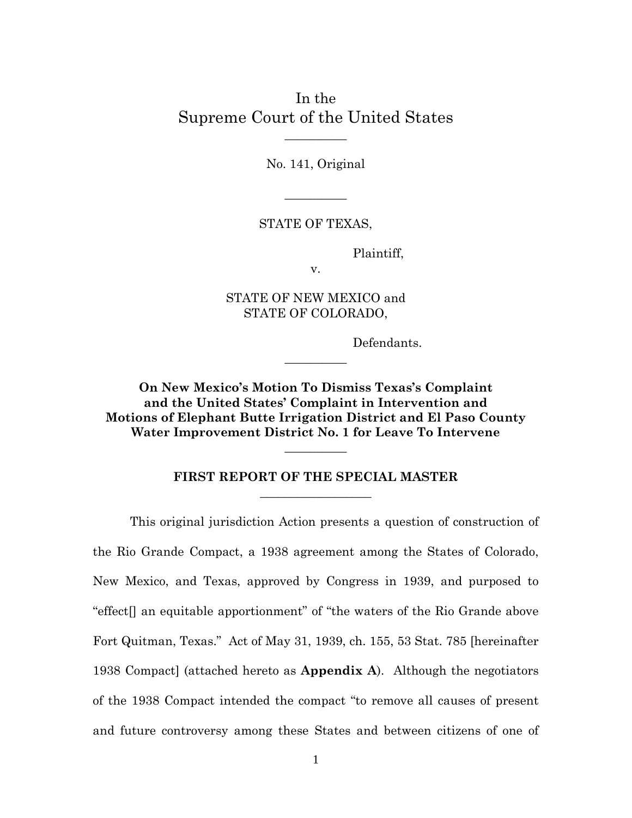In the Supreme Court of the United States

 $\overline{\phantom{a}}$ 

No. 141, Original

 $\overline{\phantom{a}}$ 

STATE OF TEXAS,

Plaintiff,

v.

STATE OF NEW MEXICO and STATE OF COLORADO,

 $\overline{\phantom{a}}$ 

Defendants.

**On New Mexico's Motion To Dismiss Texas's Complaint and the United States' Complaint in Intervention and Motions of Elephant Butte Irrigation District and El Paso County Water Improvement District No. 1 for Leave To Intervene**

> **FIRST REPORT OF THE SPECIAL MASTER** \_\_\_\_\_\_\_\_\_\_\_\_\_\_\_\_\_\_

 $\overline{\phantom{a}}$ 

This original jurisdiction Action presents a question of construction of the Rio Grande Compact, a 1938 agreement among the States of Colorado, New Mexico, and Texas, approved by Congress in 1939, and purposed to "effect[] an equitable apportionment" of "the waters of the Rio Grande above Fort Quitman, Texas." Act of May 31, 1939, ch. 155, 53 Stat. 785 [hereinafter 1938 Compact] (attached hereto as **Appendix A**). Although the negotiators of the 1938 Compact intended the compact "to remove all causes of present and future controversy among these States and between citizens of one of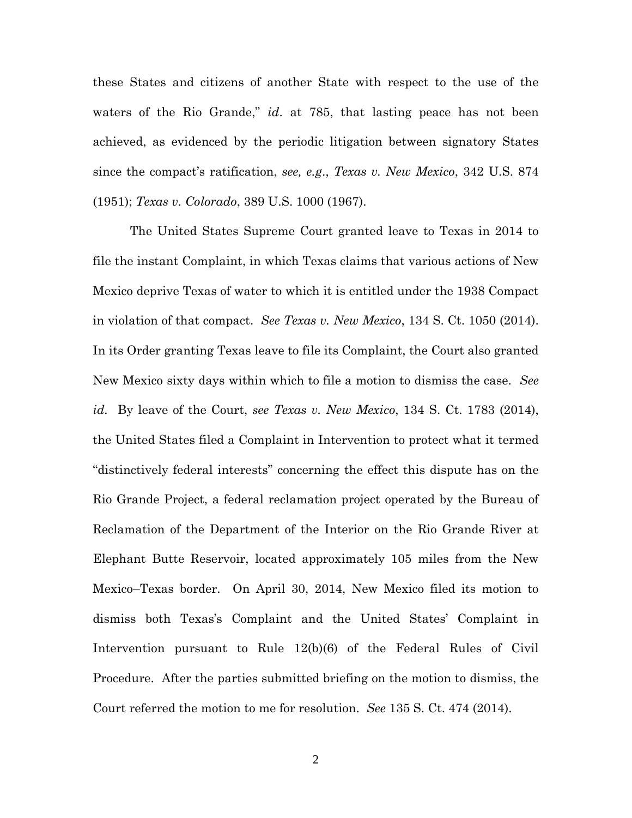these States and citizens of another State with respect to the use of the waters of the Rio Grande," *id*. at 785, that lasting peace has not been achieved, as evidenced by the periodic litigation between signatory States since the compact's ratification, *see, e.g*., *Texas v. New Mexico*, 342 U.S. 874 (1951); *Texas v. Colorado*, 389 U.S. 1000 (1967).

The United States Supreme Court granted leave to Texas in 2014 to file the instant Complaint, in which Texas claims that various actions of New Mexico deprive Texas of water to which it is entitled under the 1938 Compact in violation of that compact. *See Texas v. New Mexico*, 134 S. Ct. 1050 (2014). In its Order granting Texas leave to file its Complaint, the Court also granted New Mexico sixty days within which to file a motion to dismiss the case. *See id.* By leave of the Court, *see Texas v. New Mexico*, 134 S. Ct. 1783 (2014), the United States filed a Complaint in Intervention to protect what it termed "distinctively federal interests" concerning the effect this dispute has on the Rio Grande Project, a federal reclamation project operated by the Bureau of Reclamation of the Department of the Interior on the Rio Grande River at Elephant Butte Reservoir, located approximately 105 miles from the New Mexico–Texas border. On April 30, 2014, New Mexico filed its motion to dismiss both Texas's Complaint and the United States' Complaint in Intervention pursuant to Rule 12(b)(6) of the Federal Rules of Civil Procedure. After the parties submitted briefing on the motion to dismiss, the Court referred the motion to me for resolution. *See* 135 S. Ct. 474 (2014).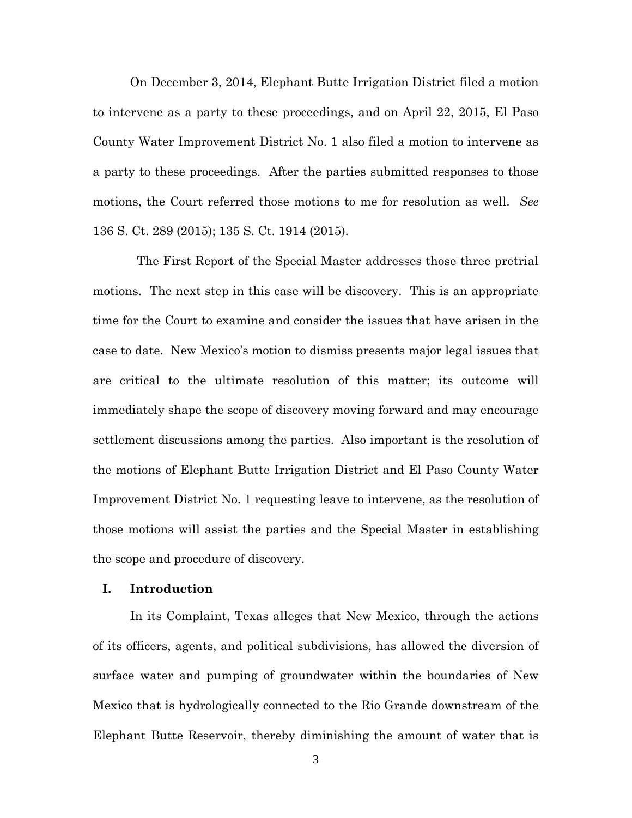On December 3, 2014, Elephant Butte Irrigation District filed a motion to intervene as a party to these proceedings, and on April 22, 2015, El Paso County Water Improvement District No. 1 also filed a motion to intervene as a party to these proceedings. After the parties submitted responses to those motions, the Court referred those motions to me for resolution as well. *See* 136 S. Ct. 289 (2015); 135 S. Ct. 1914 (2015).

The First Report of the Special Master addresses those three pretrial motions. The next step in this case will be discovery. This is an appropriate time for the Court to examine and consider the issues that have arisen in the case to date. New Mexico's motion to dismiss presents major legal issues that are critical to the ultimate resolution of this matter; its outcome will immediately shape the scope of discovery moving forward and may encourage settlement discussions among the parties. Also important is the resolution of the motions of Elephant Butte Irrigation District and El Paso County Water Improvement District No. 1 requesting leave to intervene, as the resolution of those motions will assist the parties and the Special Master in establishing the scope and procedure of discovery.

#### **I. Introduction**

In its Complaint, Texas alleges that New Mexico, through the actions of its officers, agents, and po**l**itical subdivisions, has allowed the diversion of surface water and pumping of groundwater within the boundaries of New Mexico that is hydrologically connected to the Rio Grande downstream of the Elephant Butte Reservoir, thereby diminishing the amount of water that is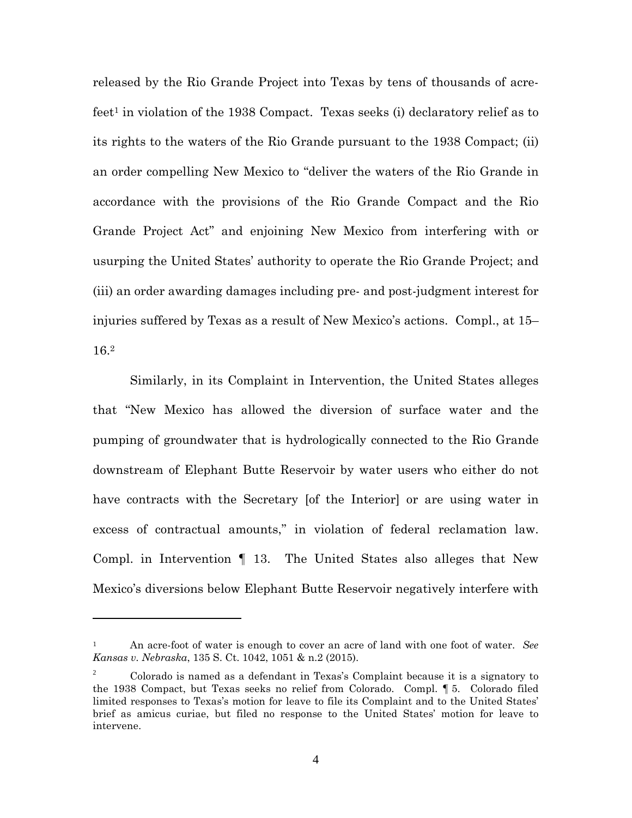released by the Rio Grande Project into Texas by tens of thousands of acrefeet<sup>1</sup> in violation of the 1938 Compact. Texas seeks (i) declaratory relief as to its rights to the waters of the Rio Grande pursuant to the 1938 Compact; (ii) an order compelling New Mexico to "deliver the waters of the Rio Grande in accordance with the provisions of the Rio Grande Compact and the Rio Grande Project Act" and enjoining New Mexico from interfering with or usurping the United States' authority to operate the Rio Grande Project; and (iii) an order awarding damages including pre- and post-judgment interest for injuries suffered by Texas as a result of New Mexico's actions. Compl., at 15– 16.<sup>2</sup>

Similarly, in its Complaint in Intervention, the United States alleges that "New Mexico has allowed the diversion of surface water and the pumping of groundwater that is hydrologically connected to the Rio Grande downstream of Elephant Butte Reservoir by water users who either do not have contracts with the Secretary [of the Interior] or are using water in excess of contractual amounts," in violation of federal reclamation law. Compl. in Intervention ¶ 13. The United States also alleges that New Mexico's diversions below Elephant Butte Reservoir negatively interfere with

<sup>1</sup> An acre-foot of water is enough to cover an acre of land with one foot of water. *See Kansas v. Nebraska*, 135 S. Ct. 1042, 1051 & n.2 (2015).

<sup>&</sup>lt;sup>2</sup> Colorado is named as a defendant in Texas's Complaint because it is a signatory to the 1938 Compact, but Texas seeks no relief from Colorado. Compl. ¶ 5. Colorado filed limited responses to Texas's motion for leave to file its Complaint and to the United States' brief as amicus curiae, but filed no response to the United States' motion for leave to intervene.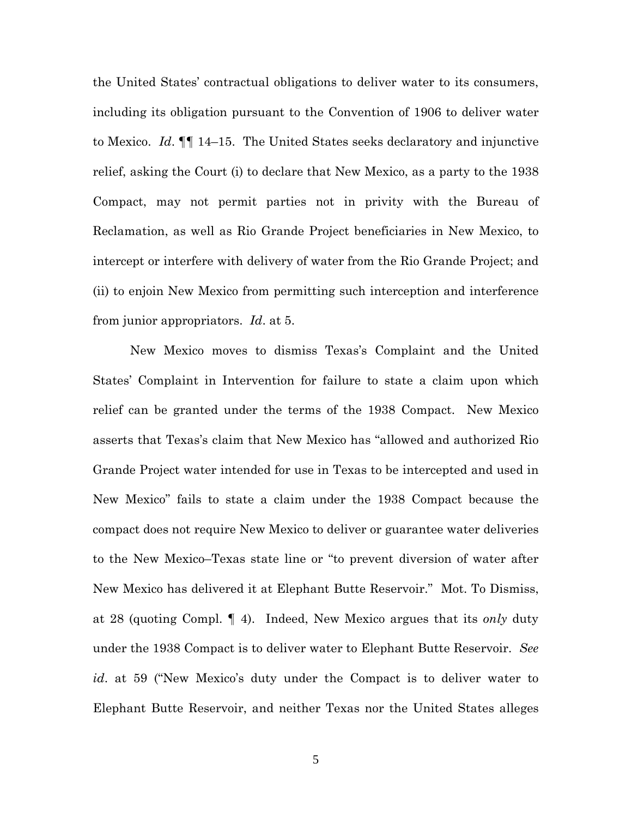the United States' contractual obligations to deliver water to its consumers, including its obligation pursuant to the Convention of 1906 to deliver water to Mexico. *Id*. ¶¶ 14–15. The United States seeks declaratory and injunctive relief, asking the Court (i) to declare that New Mexico, as a party to the 1938 Compact, may not permit parties not in privity with the Bureau of Reclamation, as well as Rio Grande Project beneficiaries in New Mexico, to intercept or interfere with delivery of water from the Rio Grande Project; and (ii) to enjoin New Mexico from permitting such interception and interference from junior appropriators. *Id*. at 5.

New Mexico moves to dismiss Texas's Complaint and the United States' Complaint in Intervention for failure to state a claim upon which relief can be granted under the terms of the 1938 Compact. New Mexico asserts that Texas's claim that New Mexico has "allowed and authorized Rio Grande Project water intended for use in Texas to be intercepted and used in New Mexico" fails to state a claim under the 1938 Compact because the compact does not require New Mexico to deliver or guarantee water deliveries to the New Mexico–Texas state line or "to prevent diversion of water after New Mexico has delivered it at Elephant Butte Reservoir." Mot. To Dismiss, at 28 (quoting Compl. ¶ 4). Indeed, New Mexico argues that its *only* duty under the 1938 Compact is to deliver water to Elephant Butte Reservoir. *See id*. at 59 ("New Mexico's duty under the Compact is to deliver water to Elephant Butte Reservoir, and neither Texas nor the United States alleges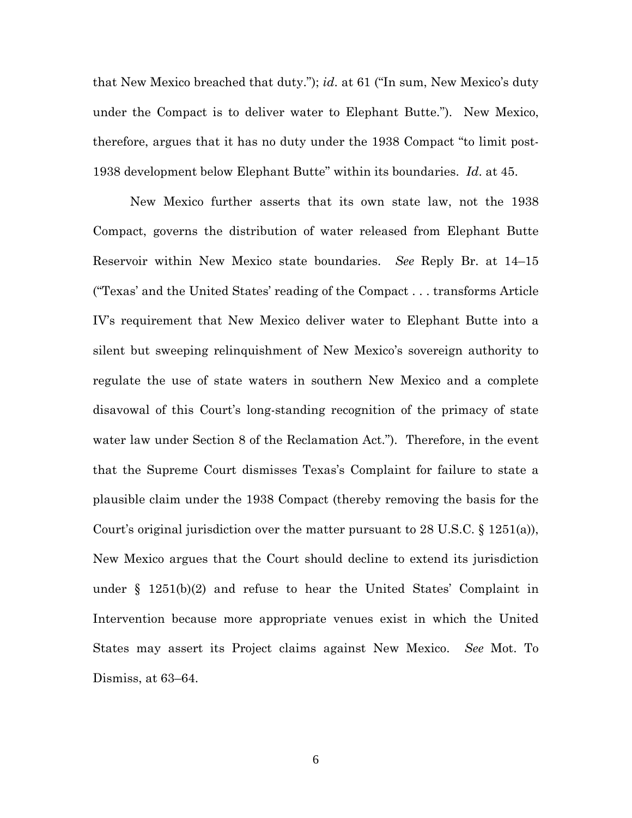that New Mexico breached that duty."); *id*. at 61 ("In sum, New Mexico's duty under the Compact is to deliver water to Elephant Butte."). New Mexico, therefore, argues that it has no duty under the 1938 Compact "to limit post-1938 development below Elephant Butte" within its boundaries. *Id*. at 45.

New Mexico further asserts that its own state law, not the 1938 Compact, governs the distribution of water released from Elephant Butte Reservoir within New Mexico state boundaries. *See* Reply Br. at 14–15 ("Texas' and the United States' reading of the Compact . . . transforms Article IV's requirement that New Mexico deliver water to Elephant Butte into a silent but sweeping relinquishment of New Mexico's sovereign authority to regulate the use of state waters in southern New Mexico and a complete disavowal of this Court's long-standing recognition of the primacy of state water law under Section 8 of the Reclamation Act."). Therefore, in the event that the Supreme Court dismisses Texas's Complaint for failure to state a plausible claim under the 1938 Compact (thereby removing the basis for the Court's original jurisdiction over the matter pursuant to 28 U.S.C.  $\S$  1251(a)), New Mexico argues that the Court should decline to extend its jurisdiction under § 1251(b)(2) and refuse to hear the United States' Complaint in Intervention because more appropriate venues exist in which the United States may assert its Project claims against New Mexico. *See* Mot. To Dismiss, at 63–64.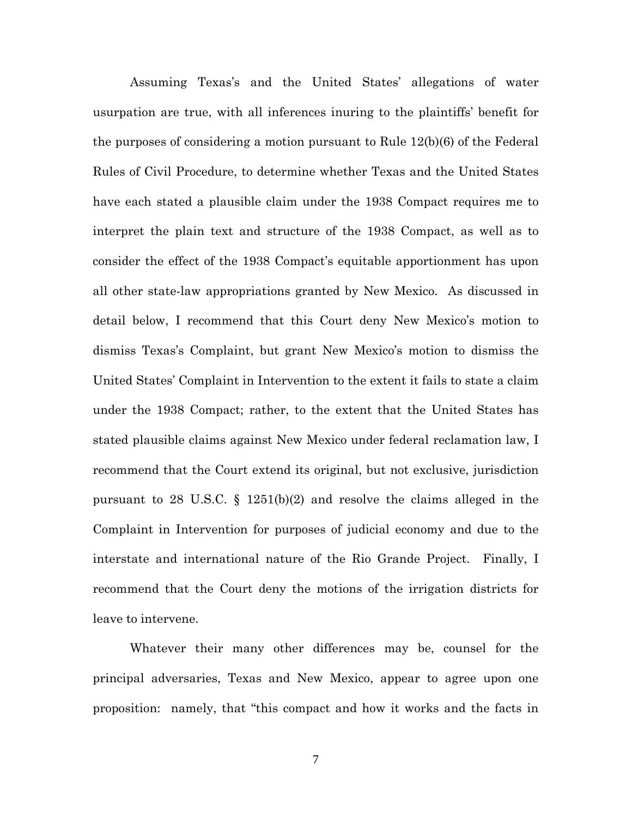Assuming Texas's and the United States' allegations of water usurpation are true, with all inferences inuring to the plaintiffs' benefit for the purposes of considering a motion pursuant to Rule 12(b)(6) of the Federal Rules of Civil Procedure, to determine whether Texas and the United States have each stated a plausible claim under the 1938 Compact requires me to interpret the plain text and structure of the 1938 Compact, as well as to consider the effect of the 1938 Compact's equitable apportionment has upon all other state-law appropriations granted by New Mexico. As discussed in detail below, I recommend that this Court deny New Mexico's motion to dismiss Texas's Complaint, but grant New Mexico's motion to dismiss the United States' Complaint in Intervention to the extent it fails to state a claim under the 1938 Compact; rather, to the extent that the United States has stated plausible claims against New Mexico under federal reclamation law, I recommend that the Court extend its original, but not exclusive, jurisdiction pursuant to 28 U.S.C. § 1251(b)(2) and resolve the claims alleged in the Complaint in Intervention for purposes of judicial economy and due to the interstate and international nature of the Rio Grande Project. Finally, I recommend that the Court deny the motions of the irrigation districts for leave to intervene.

Whatever their many other differences may be, counsel for the principal adversaries, Texas and New Mexico, appear to agree upon one proposition: namely, that "this compact and how it works and the facts in

7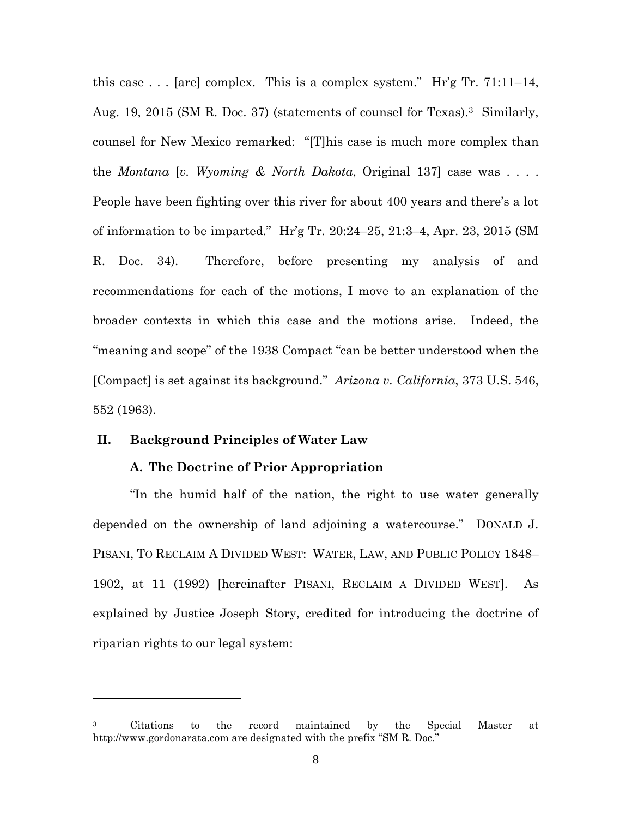this case  $\ldots$  [are] complex. This is a complex system." Hr'g Tr. 71:11-14, Aug. 19, 2015 (SM R. Doc. 37) (statements of counsel for Texas).<sup>3</sup> Similarly, counsel for New Mexico remarked: "[T]his case is much more complex than the *Montana* [*v. Wyoming & North Dakota*, Original 137] case was . . . . People have been fighting over this river for about 400 years and there's a lot of information to be imparted." Hr'g Tr. 20:24–25, 21:3–4, Apr. 23, 2015 (SM R. Doc. 34). Therefore, before presenting my analysis of and recommendations for each of the motions, I move to an explanation of the broader contexts in which this case and the motions arise. Indeed, the "meaning and scope" of the 1938 Compact "can be better understood when the [Compact] is set against its background." *Arizona v. California*, 373 U.S. 546, 552 (1963).

# **II. Background Principles of Water Law**

## **A. The Doctrine of Prior Appropriation**

"In the humid half of the nation, the right to use water generally depended on the ownership of land adjoining a watercourse." DONALD J. PISANI, TO RECLAIM A DIVIDED WEST: WATER, LAW, AND PUBLIC POLICY 1848– 1902, at 11 (1992) [hereinafter PISANI, RECLAIM A DIVIDED WEST]. As explained by Justice Joseph Story, credited for introducing the doctrine of riparian rights to our legal system:

<sup>3</sup> Citations to the record maintained by the Special Master at http://www.gordonarata.com are designated with the prefix "SM R. Doc."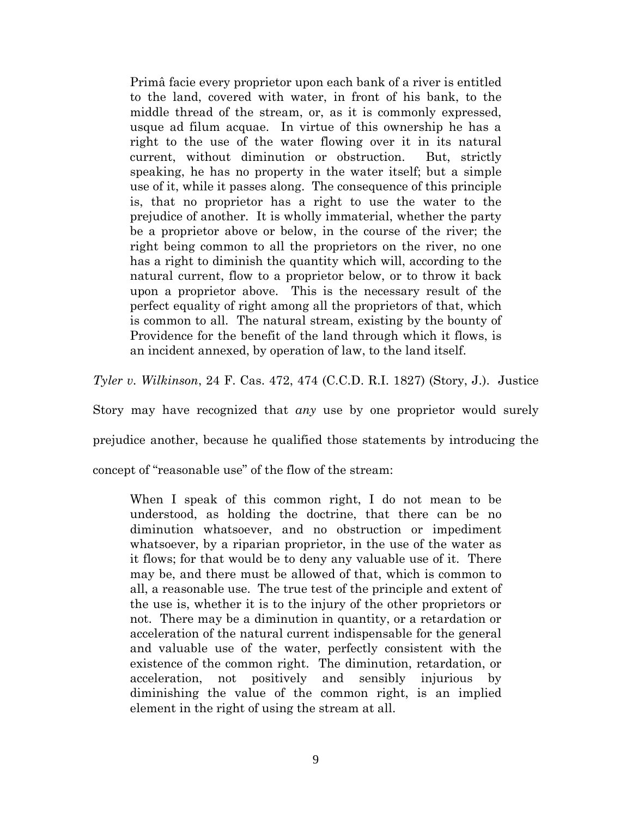Primâ facie every proprietor upon each bank of a river is entitled to the land, covered with water, in front of his bank, to the middle thread of the stream, or, as it is commonly expressed, usque ad filum acquae. In virtue of this ownership he has a right to the use of the water flowing over it in its natural current, without diminution or obstruction. But, strictly speaking, he has no property in the water itself; but a simple use of it, while it passes along. The consequence of this principle is, that no proprietor has a right to use the water to the prejudice of another. It is wholly immaterial, whether the party be a proprietor above or below, in the course of the river; the right being common to all the proprietors on the river, no one has a right to diminish the quantity which will, according to the natural current, flow to a proprietor below, or to throw it back upon a proprietor above. This is the necessary result of the perfect equality of right among all the proprietors of that, which is common to all. The natural stream, existing by the bounty of Providence for the benefit of the land through which it flows, is an incident annexed, by operation of law, to the land itself.

*Tyler v. Wilkinson*, 24 F. Cas. 472, 474 (C.C.D. R.I. 1827) (Story, J.). Justice

Story may have recognized that *any* use by one proprietor would surely

prejudice another, because he qualified those statements by introducing the

concept of "reasonable use" of the flow of the stream:

When I speak of this common right, I do not mean to be understood, as holding the doctrine, that there can be no diminution whatsoever, and no obstruction or impediment whatsoever, by a riparian proprietor, in the use of the water as it flows; for that would be to deny any valuable use of it. There may be, and there must be allowed of that, which is common to all, a reasonable use. The true test of the principle and extent of the use is, whether it is to the injury of the other proprietors or not. There may be a diminution in quantity, or a retardation or acceleration of the natural current indispensable for the general and valuable use of the water, perfectly consistent with the existence of the common right. The diminution, retardation, or acceleration, not positively and sensibly injurious by diminishing the value of the common right, is an implied element in the right of using the stream at all.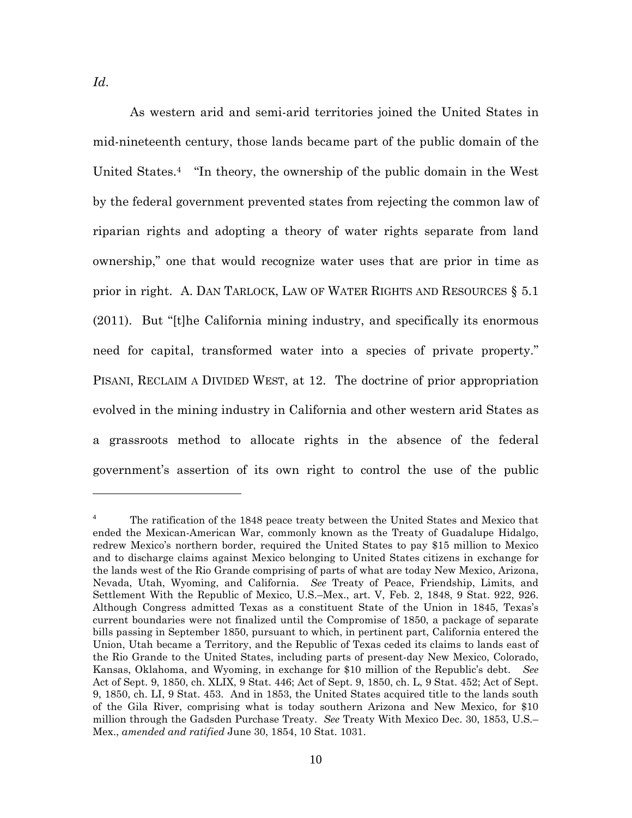As western arid and semi-arid territories joined the United States in mid-nineteenth century, those lands became part of the public domain of the United States.<sup>4</sup> "In theory, the ownership of the public domain in the West by the federal government prevented states from rejecting the common law of riparian rights and adopting a theory of water rights separate from land ownership," one that would recognize water uses that are prior in time as prior in right. A. DAN TARLOCK, LAW OF WATER RIGHTS AND RESOURCES § 5.1 (2011). But "[t]he California mining industry, and specifically its enormous need for capital, transformed water into a species of private property." PISANI, RECLAIM A DIVIDED WEST, at 12. The doctrine of prior appropriation evolved in the mining industry in California and other western arid States as a grassroots method to allocate rights in the absence of the federal government's assertion of its own right to control the use of the public

<sup>4</sup> The ratification of the 1848 peace treaty between the United States and Mexico that ended the Mexican-American War, commonly known as the Treaty of Guadalupe Hidalgo, redrew Mexico's northern border, required the United States to pay \$15 million to Mexico and to discharge claims against Mexico belonging to United States citizens in exchange for the lands west of the Rio Grande comprising of parts of what are today New Mexico, Arizona, Nevada, Utah, Wyoming, and California. *See* Treaty of Peace, Friendship, Limits, and Settlement With the Republic of Mexico, U.S.–Mex., art. V, Feb. 2, 1848, 9 Stat. 922, 926. Although Congress admitted Texas as a constituent State of the Union in 1845, Texas's current boundaries were not finalized until the Compromise of 1850, a package of separate bills passing in September 1850, pursuant to which, in pertinent part, California entered the Union, Utah became a Territory, and the Republic of Texas ceded its claims to lands east of the Rio Grande to the United States, including parts of present-day New Mexico, Colorado, Kansas, Oklahoma, and Wyoming, in exchange for \$10 million of the Republic's debt. *See* Act of Sept. 9, 1850, ch. XLIX, 9 Stat. 446; Act of Sept. 9, 1850, ch. L, 9 Stat. 452; Act of Sept. 9, 1850, ch. LI, 9 Stat. 453. And in 1853, the United States acquired title to the lands south of the Gila River, comprising what is today southern Arizona and New Mexico, for \$10 million through the Gadsden Purchase Treaty. *See* Treaty With Mexico Dec. 30, 1853, U.S.– Mex., *amended and ratified* June 30, 1854, 10 Stat. 1031.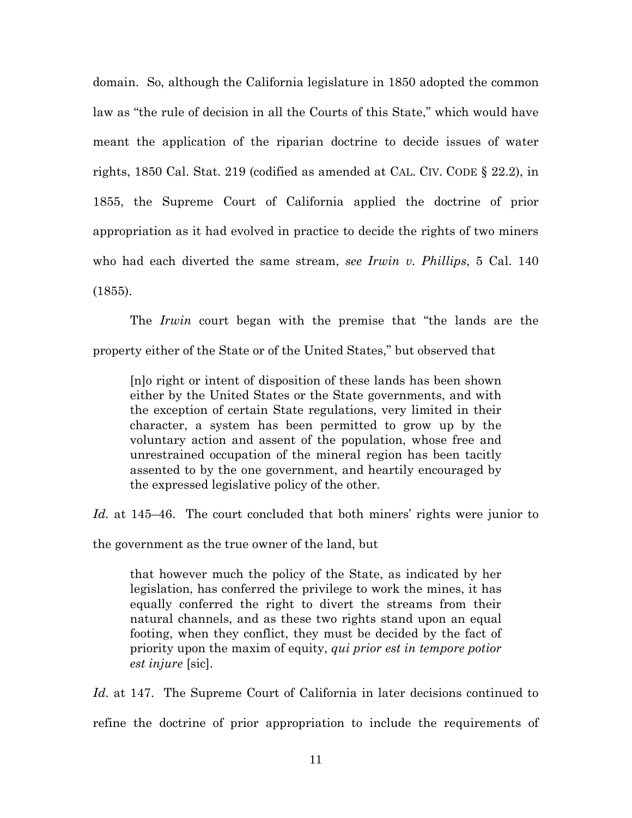domain. So, although the California legislature in 1850 adopted the common law as "the rule of decision in all the Courts of this State," which would have meant the application of the riparian doctrine to decide issues of water rights, 1850 Cal. Stat. 219 (codified as amended at CAL. CIV. CODE § 22.2), in 1855, the Supreme Court of California applied the doctrine of prior appropriation as it had evolved in practice to decide the rights of two miners who had each diverted the same stream, *see Irwin v. Phillips*, 5 Cal. 140 (1855).

The *Irwin* court began with the premise that "the lands are the property either of the State or of the United States," but observed that

[n]o right or intent of disposition of these lands has been shown either by the United States or the State governments, and with the exception of certain State regulations, very limited in their character, a system has been permitted to grow up by the voluntary action and assent of the population, whose free and unrestrained occupation of the mineral region has been tacitly assented to by the one government, and heartily encouraged by the expressed legislative policy of the other.

*Id.* at 145–46. The court concluded that both miners' rights were junior to

the government as the true owner of the land, but

that however much the policy of the State, as indicated by her legislation, has conferred the privilege to work the mines, it has equally conferred the right to divert the streams from their natural channels, and as these two rights stand upon an equal footing, when they conflict, they must be decided by the fact of priority upon the maxim of equity, *qui prior est in tempore potior est injure* [sic].

*Id*. at 147. The Supreme Court of California in later decisions continued to refine the doctrine of prior appropriation to include the requirements of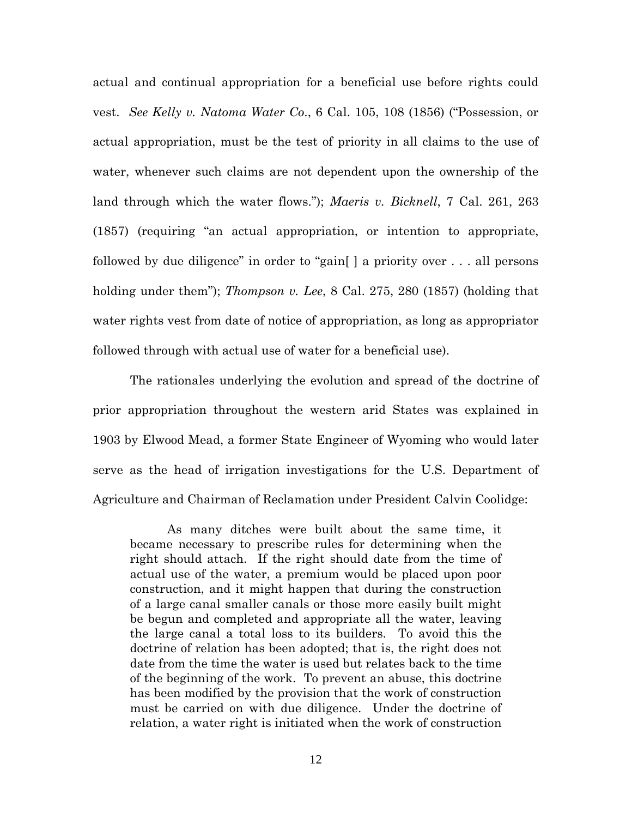actual and continual appropriation for a beneficial use before rights could vest. *See Kelly v. Natoma Water Co*., 6 Cal. 105, 108 (1856) ("Possession, or actual appropriation, must be the test of priority in all claims to the use of water, whenever such claims are not dependent upon the ownership of the land through which the water flows."); *Maeris v. Bicknell*, 7 Cal. 261, 263 (1857) (requiring "an actual appropriation, or intention to appropriate, followed by due diligence" in order to "gain[ ] a priority over . . . all persons holding under them"); *Thompson v. Lee*, 8 Cal. 275, 280 (1857) (holding that water rights vest from date of notice of appropriation, as long as appropriator followed through with actual use of water for a beneficial use).

The rationales underlying the evolution and spread of the doctrine of prior appropriation throughout the western arid States was explained in 1903 by Elwood Mead, a former State Engineer of Wyoming who would later serve as the head of irrigation investigations for the U.S. Department of Agriculture and Chairman of Reclamation under President Calvin Coolidge:

As many ditches were built about the same time, it became necessary to prescribe rules for determining when the right should attach. If the right should date from the time of actual use of the water, a premium would be placed upon poor construction, and it might happen that during the construction of a large canal smaller canals or those more easily built might be begun and completed and appropriate all the water, leaving the large canal a total loss to its builders. To avoid this the doctrine of relation has been adopted; that is, the right does not date from the time the water is used but relates back to the time of the beginning of the work. To prevent an abuse, this doctrine has been modified by the provision that the work of construction must be carried on with due diligence. Under the doctrine of relation, a water right is initiated when the work of construction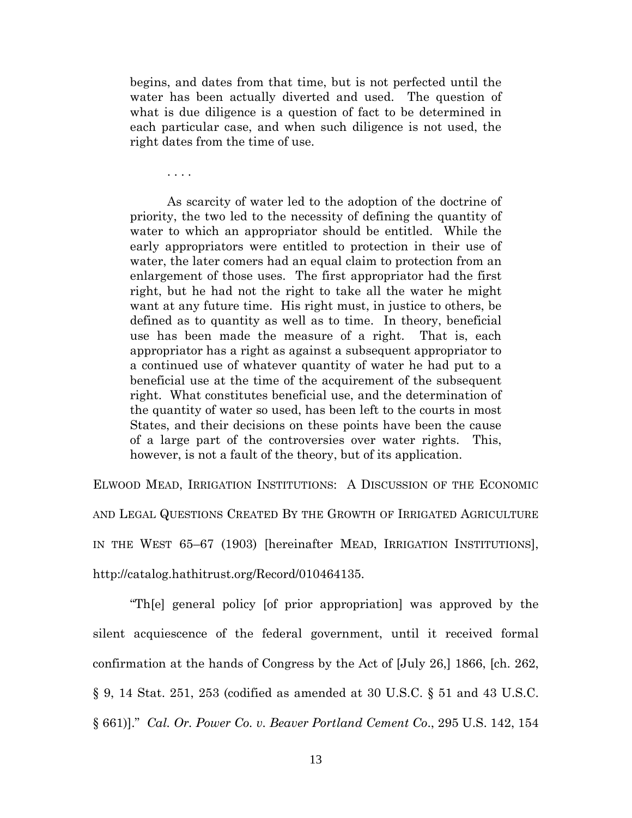begins, and dates from that time, but is not perfected until the water has been actually diverted and used. The question of what is due diligence is a question of fact to be determined in each particular case, and when such diligence is not used, the right dates from the time of use.

. . . .

As scarcity of water led to the adoption of the doctrine of priority, the two led to the necessity of defining the quantity of water to which an appropriator should be entitled. While the early appropriators were entitled to protection in their use of water, the later comers had an equal claim to protection from an enlargement of those uses. The first appropriator had the first right, but he had not the right to take all the water he might want at any future time. His right must, in justice to others, be defined as to quantity as well as to time. In theory, beneficial use has been made the measure of a right. That is, each appropriator has a right as against a subsequent appropriator to a continued use of whatever quantity of water he had put to a beneficial use at the time of the acquirement of the subsequent right. What constitutes beneficial use, and the determination of the quantity of water so used, has been left to the courts in most States, and their decisions on these points have been the cause of a large part of the controversies over water rights. This, however, is not a fault of the theory, but of its application.

ELWOOD MEAD, IRRIGATION INSTITUTIONS: A DISCUSSION OF THE ECONOMIC AND LEGAL QUESTIONS CREATED BY THE GROWTH OF IRRIGATED AGRICULTURE IN THE WEST 65–67 (1903) [hereinafter MEAD, IRRIGATION INSTITUTIONS], http://catalog.hathitrust.org/Record/010464135.

"Th[e] general policy [of prior appropriation] was approved by the silent acquiescence of the federal government, until it received formal confirmation at the hands of Congress by the Act of [July 26,] 1866, [ch. 262, § 9, 14 Stat. 251, 253 (codified as amended at 30 U.S.C. § 51 and 43 U.S.C. § 661)]." *Cal. Or. Power Co. v. Beaver Portland Cement Co*., 295 U.S. 142, 154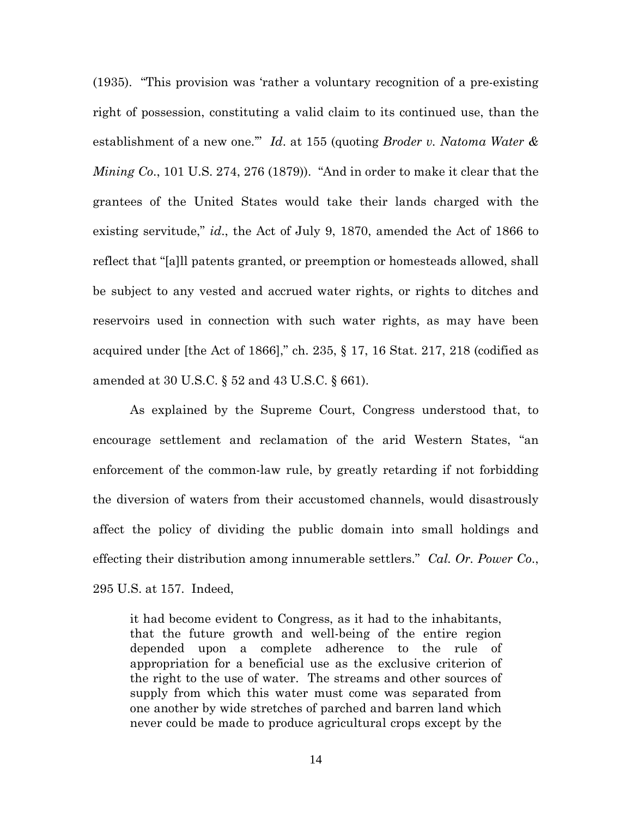(1935). "This provision was 'rather a voluntary recognition of a pre-existing right of possession, constituting a valid claim to its continued use, than the establishment of a new one.'" *Id*. at 155 (quoting *Broder v. Natoma Water & Mining Co*., 101 U.S. 274, 276 (1879)). "And in order to make it clear that the grantees of the United States would take their lands charged with the existing servitude," *id*., the Act of July 9, 1870, amended the Act of 1866 to reflect that "[a]ll patents granted, or preemption or homesteads allowed, shall be subject to any vested and accrued water rights, or rights to ditches and reservoirs used in connection with such water rights, as may have been acquired under [the Act of 1866]," ch. 235, § 17, 16 Stat. 217, 218 (codified as amended at 30 U.S.C. § 52 and 43 U.S.C. § 661).

As explained by the Supreme Court, Congress understood that, to encourage settlement and reclamation of the arid Western States, "an enforcement of the common-law rule, by greatly retarding if not forbidding the diversion of waters from their accustomed channels, would disastrously affect the policy of dividing the public domain into small holdings and effecting their distribution among innumerable settlers." *Cal. Or. Power Co*., 295 U.S. at 157. Indeed,

it had become evident to Congress, as it had to the inhabitants, that the future growth and well-being of the entire region depended upon a complete adherence to the rule of appropriation for a beneficial use as the exclusive criterion of the right to the use of water. The streams and other sources of supply from which this water must come was separated from one another by wide stretches of parched and barren land which never could be made to produce agricultural crops except by the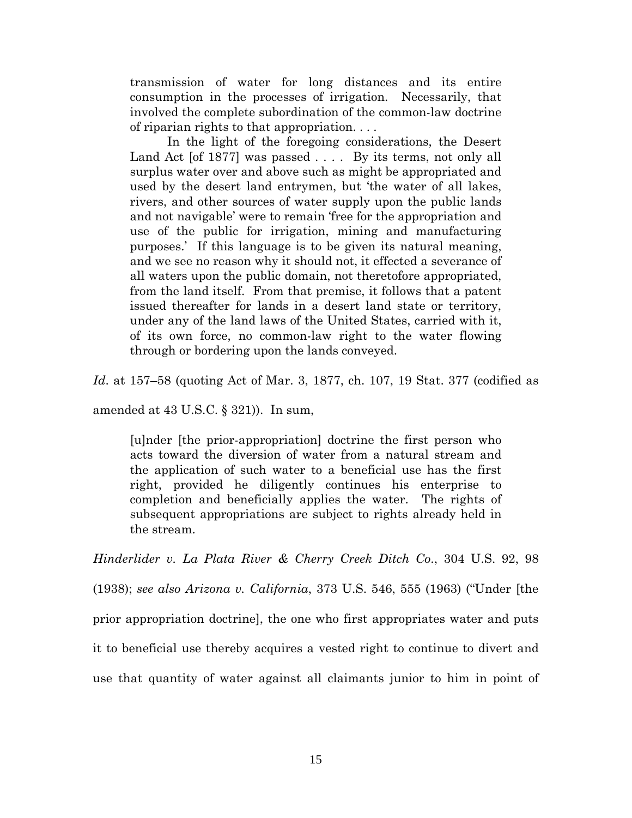transmission of water for long distances and its entire consumption in the processes of irrigation. Necessarily, that involved the complete subordination of the common-law doctrine of riparian rights to that appropriation. . . .

In the light of the foregoing considerations, the Desert Land Act [of 1877] was passed . . . . By its terms, not only all surplus water over and above such as might be appropriated and used by the desert land entrymen, but 'the water of all lakes, rivers, and other sources of water supply upon the public lands and not navigable' were to remain 'free for the appropriation and use of the public for irrigation, mining and manufacturing purposes.' If this language is to be given its natural meaning, and we see no reason why it should not, it effected a severance of all waters upon the public domain, not theretofore appropriated, from the land itself. From that premise, it follows that a patent issued thereafter for lands in a desert land state or territory, under any of the land laws of the United States, carried with it, of its own force, no common-law right to the water flowing through or bordering upon the lands conveyed.

*Id*. at 157–58 (quoting Act of Mar. 3, 1877, ch. 107, 19 Stat. 377 (codified as

amended at  $43$  U.S.C.  $\S$  321)). In sum,

[u]nder [the prior-appropriation] doctrine the first person who acts toward the diversion of water from a natural stream and the application of such water to a beneficial use has the first right, provided he diligently continues his enterprise to completion and beneficially applies the water. The rights of subsequent appropriations are subject to rights already held in the stream.

*Hinderlider v. La Plata River & Cherry Creek Ditch Co*., 304 U.S. 92, 98 (1938); *see also Arizona v. California*, 373 U.S. 546, 555 (1963) ("Under [the prior appropriation doctrine], the one who first appropriates water and puts it to beneficial use thereby acquires a vested right to continue to divert and use that quantity of water against all claimants junior to him in point of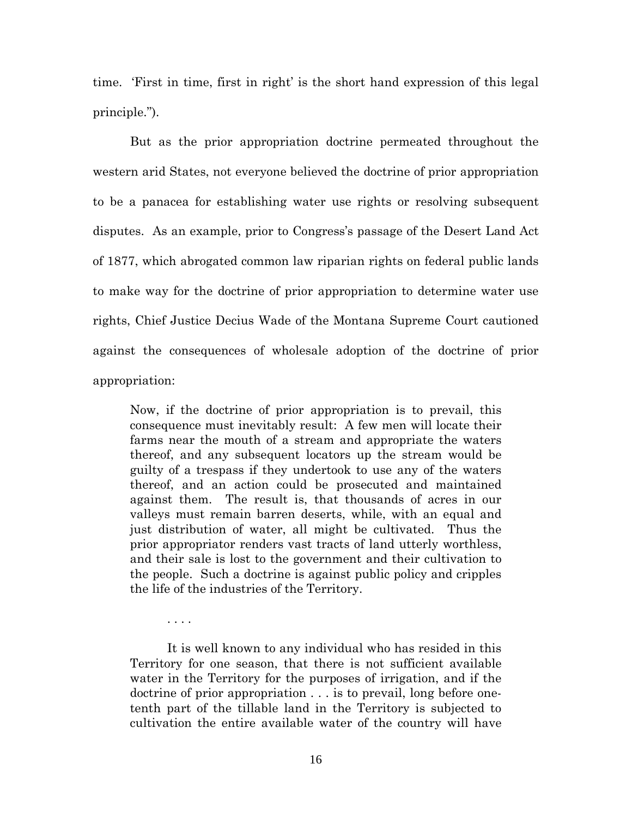time. 'First in time, first in right' is the short hand expression of this legal principle.").

But as the prior appropriation doctrine permeated throughout the western arid States, not everyone believed the doctrine of prior appropriation to be a panacea for establishing water use rights or resolving subsequent disputes. As an example, prior to Congress's passage of the Desert Land Act of 1877, which abrogated common law riparian rights on federal public lands to make way for the doctrine of prior appropriation to determine water use rights, Chief Justice Decius Wade of the Montana Supreme Court cautioned against the consequences of wholesale adoption of the doctrine of prior appropriation:

Now, if the doctrine of prior appropriation is to prevail, this consequence must inevitably result: A few men will locate their farms near the mouth of a stream and appropriate the waters thereof, and any subsequent locators up the stream would be guilty of a trespass if they undertook to use any of the waters thereof, and an action could be prosecuted and maintained against them. The result is, that thousands of acres in our valleys must remain barren deserts, while, with an equal and just distribution of water, all might be cultivated. Thus the prior appropriator renders vast tracts of land utterly worthless, and their sale is lost to the government and their cultivation to the people. Such a doctrine is against public policy and cripples the life of the industries of the Territory.

It is well known to any individual who has resided in this Territory for one season, that there is not sufficient available water in the Territory for the purposes of irrigation, and if the doctrine of prior appropriation . . . is to prevail, long before onetenth part of the tillable land in the Territory is subjected to cultivation the entire available water of the country will have

. . . .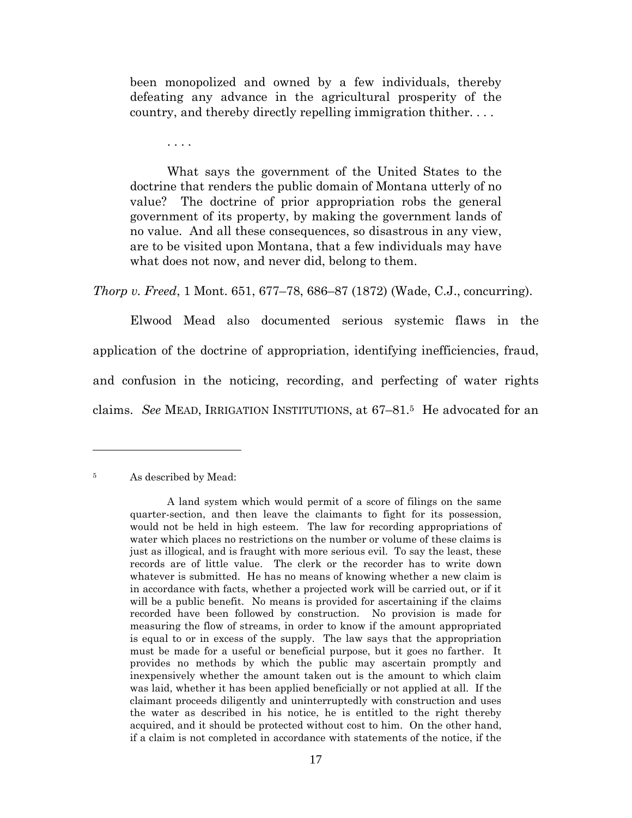been monopolized and owned by a few individuals, thereby defeating any advance in the agricultural prosperity of the country, and thereby directly repelling immigration thither. . . .

. . . .

What says the government of the United States to the doctrine that renders the public domain of Montana utterly of no value? The doctrine of prior appropriation robs the general government of its property, by making the government lands of no value. And all these consequences, so disastrous in any view, are to be visited upon Montana, that a few individuals may have what does not now, and never did, belong to them.

*Thorp v. Freed*, 1 Mont. 651, 677–78, 686–87 (1872) (Wade, C.J., concurring).

Elwood Mead also documented serious systemic flaws in the application of the doctrine of appropriation, identifying inefficiencies, fraud, and confusion in the noticing, recording, and perfecting of water rights claims. *See* MEAD, IRRIGATION INSTITUTIONS, at 67–81.<sup>5</sup> He advocated for an

### <sup>5</sup> As described by Mead:

A land system which would permit of a score of filings on the same quarter-section, and then leave the claimants to fight for its possession, would not be held in high esteem. The law for recording appropriations of water which places no restrictions on the number or volume of these claims is just as illogical, and is fraught with more serious evil. To say the least, these records are of little value. The clerk or the recorder has to write down whatever is submitted. He has no means of knowing whether a new claim is in accordance with facts, whether a projected work will be carried out, or if it will be a public benefit. No means is provided for ascertaining if the claims recorded have been followed by construction. No provision is made for measuring the flow of streams, in order to know if the amount appropriated is equal to or in excess of the supply. The law says that the appropriation must be made for a useful or beneficial purpose, but it goes no farther. It provides no methods by which the public may ascertain promptly and inexpensively whether the amount taken out is the amount to which claim was laid, whether it has been applied beneficially or not applied at all. If the claimant proceeds diligently and uninterruptedly with construction and uses the water as described in his notice, he is entitled to the right thereby acquired, and it should be protected without cost to him. On the other hand, if a claim is not completed in accordance with statements of the notice, if the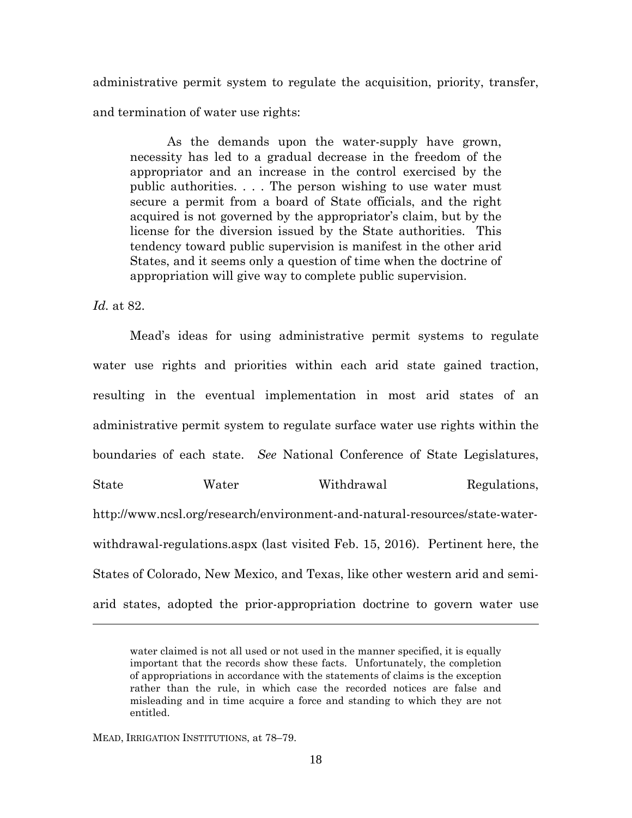administrative permit system to regulate the acquisition, priority, transfer, and termination of water use rights:

As the demands upon the water-supply have grown, necessity has led to a gradual decrease in the freedom of the appropriator and an increase in the control exercised by the public authorities. . . . The person wishing to use water must secure a permit from a board of State officials, and the right acquired is not governed by the appropriator's claim, but by the license for the diversion issued by the State authorities. This tendency toward public supervision is manifest in the other arid States, and it seems only a question of time when the doctrine of appropriation will give way to complete public supervision.

*Id.* at 82.

Mead's ideas for using administrative permit systems to regulate water use rights and priorities within each arid state gained traction, resulting in the eventual implementation in most arid states of an administrative permit system to regulate surface water use rights within the boundaries of each state. *See* National Conference of State Legislatures, State Water Withdrawal Regulations, http://www.ncsl.org/research/environment-and-natural-resources/state-waterwithdrawal-regulations.aspx (last visited Feb. 15, 2016). Pertinent here, the States of Colorado, New Mexico, and Texas, like other western arid and semiarid states, adopted the prior-appropriation doctrine to govern water use

MEAD, IRRIGATION INSTITUTIONS, at 78–79.

water claimed is not all used or not used in the manner specified, it is equally important that the records show these facts. Unfortunately, the completion of appropriations in accordance with the statements of claims is the exception rather than the rule, in which case the recorded notices are false and misleading and in time acquire a force and standing to which they are not entitled.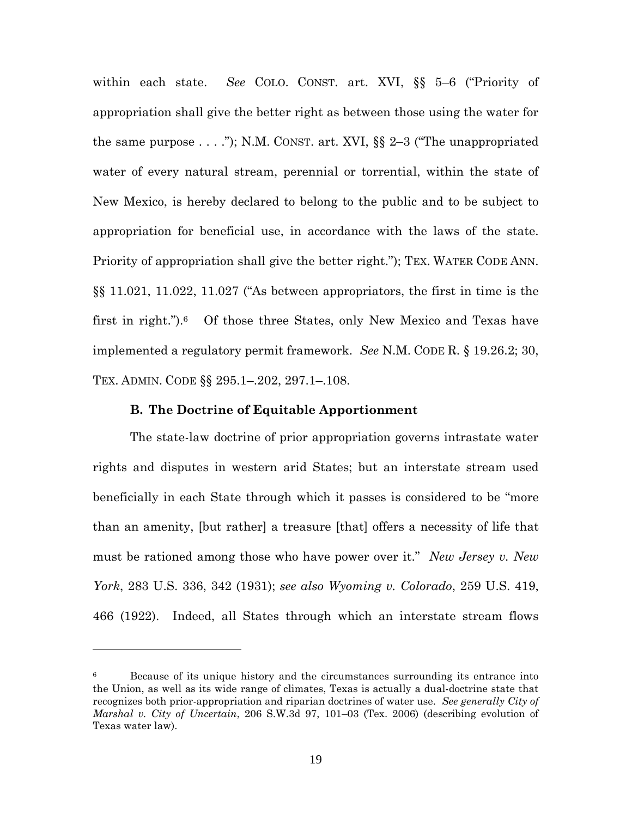within each state. *See* COLO. CONST. art. XVI, §§ 5–6 ("Priority of appropriation shall give the better right as between those using the water for the same purpose  $\dots$  ."); N.M. CONST. art. XVI, §§ 2–3 ("The unappropriated water of every natural stream, perennial or torrential, within the state of New Mexico, is hereby declared to belong to the public and to be subject to appropriation for beneficial use, in accordance with the laws of the state. Priority of appropriation shall give the better right."); TEX. WATER CODE ANN. §§ 11.021, 11.022, 11.027 ("As between appropriators, the first in time is the first in right."). <sup>6</sup> Of those three States, only New Mexico and Texas have implemented a regulatory permit framework. *See* N.M. CODE R. § 19.26.2; 30, TEX. ADMIN. CODE §§ 295.1–.202, 297.1–.108.

## **B. The Doctrine of Equitable Apportionment**

The state-law doctrine of prior appropriation governs intrastate water rights and disputes in western arid States; but an interstate stream used beneficially in each State through which it passes is considered to be "more than an amenity, [but rather] a treasure [that] offers a necessity of life that must be rationed among those who have power over it." *New Jersey v. New York*, 283 U.S. 336, 342 (1931); *see also Wyoming v. Colorado*, 259 U.S. 419, 466 (1922). Indeed, all States through which an interstate stream flows

<sup>&</sup>lt;sup>6</sup> Because of its unique history and the circumstances surrounding its entrance into the Union, as well as its wide range of climates, Texas is actually a dual-doctrine state that recognizes both prior-appropriation and riparian doctrines of water use. *See generally City of Marshal v. City of Uncertain*, 206 S.W.3d 97, 101–03 (Tex. 2006) (describing evolution of Texas water law).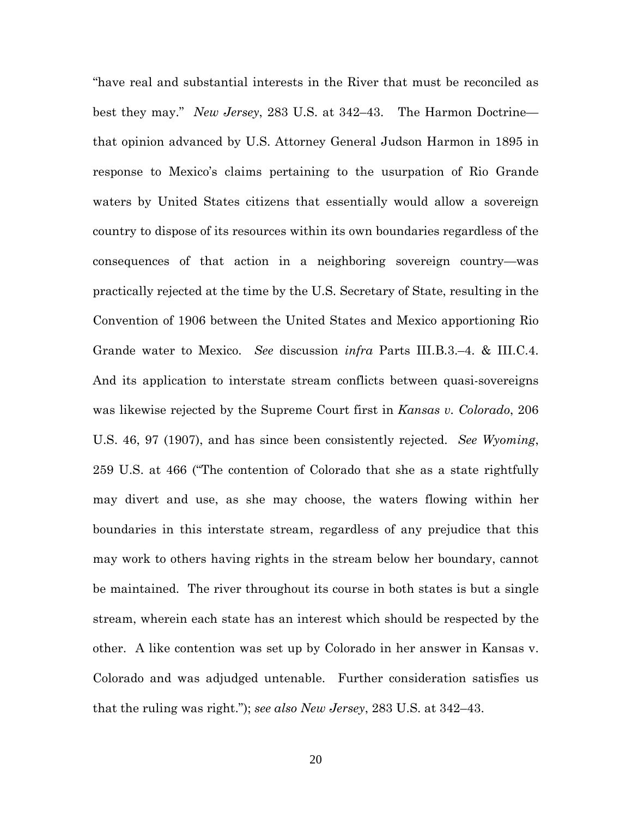"have real and substantial interests in the River that must be reconciled as best they may." *New Jersey*, 283 U.S. at 342–43. The Harmon Doctrine that opinion advanced by U.S. Attorney General Judson Harmon in 1895 in response to Mexico's claims pertaining to the usurpation of Rio Grande waters by United States citizens that essentially would allow a sovereign country to dispose of its resources within its own boundaries regardless of the consequences of that action in a neighboring sovereign country—was practically rejected at the time by the U.S. Secretary of State, resulting in the Convention of 1906 between the United States and Mexico apportioning Rio Grande water to Mexico. *See* discussion *infra* Parts III.B.3.–4. & III.C.4. And its application to interstate stream conflicts between quasi-sovereigns was likewise rejected by the Supreme Court first in *Kansas v. Colorado*, 206 U.S. 46, 97 (1907), and has since been consistently rejected. *See Wyoming*, 259 U.S. at 466 ("The contention of Colorado that she as a state rightfully may divert and use, as she may choose, the waters flowing within her boundaries in this interstate stream, regardless of any prejudice that this may work to others having rights in the stream below her boundary, cannot be maintained. The river throughout its course in both states is but a single stream, wherein each state has an interest which should be respected by the other. A like contention was set up by Colorado in her answer in Kansas v. Colorado and was adjudged untenable. Further consideration satisfies us that the ruling was right."); *see also New Jersey*, 283 U.S. at 342–43.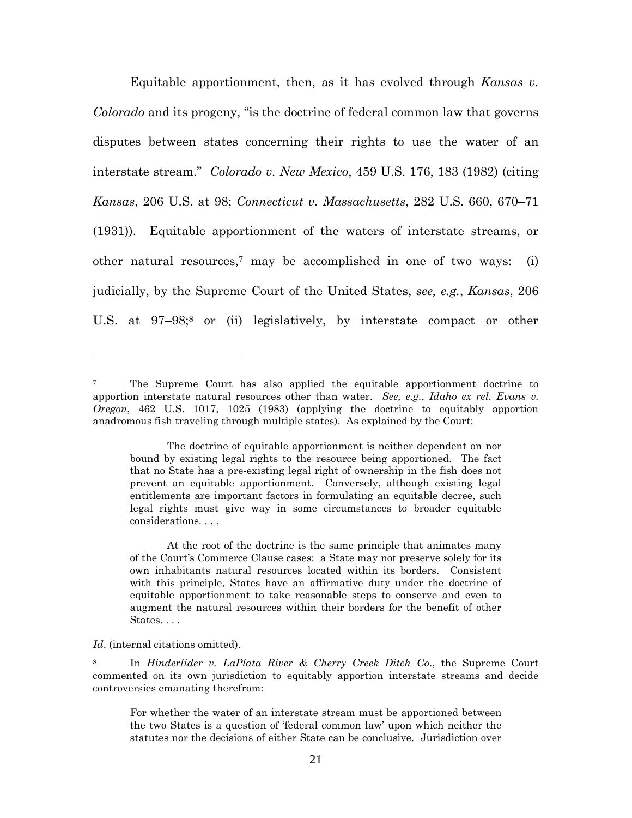Equitable apportionment, then, as it has evolved through *Kansas v. Colorado* and its progeny, "is the doctrine of federal common law that governs disputes between states concerning their rights to use the water of an interstate stream." *Colorado v. New Mexico*, 459 U.S. 176, 183 (1982) (citing *Kansas*, 206 U.S. at 98; *Connecticut v. Massachusetts*, 282 U.S. 660, 670–71 (1931)). Equitable apportionment of the waters of interstate streams, or other natural resources,<sup>7</sup> may be accomplished in one of two ways: (i) judicially, by the Supreme Court of the United States, *see, e.g.*, *Kansas*, 206 U.S. at 97–98;<sup>8</sup> or (ii) legislatively, by interstate compact or other

At the root of the doctrine is the same principle that animates many of the Court's Commerce Clause cases: a State may not preserve solely for its own inhabitants natural resources located within its borders. Consistent with this principle, States have an affirmative duty under the doctrine of equitable apportionment to take reasonable steps to conserve and even to augment the natural resources within their borders for the benefit of other States....

#### *Id*. (internal citations omitted).

<sup>8</sup> In *Hinderlider v. LaPlata River & Cherry Creek Ditch Co*., the Supreme Court commented on its own jurisdiction to equitably apportion interstate streams and decide controversies emanating therefrom:

For whether the water of an interstate stream must be apportioned between the two States is a question of 'federal common law' upon which neither the statutes nor the decisions of either State can be conclusive. Jurisdiction over

<sup>&</sup>lt;sup>7</sup> The Supreme Court has also applied the equitable apportionment doctrine to apportion interstate natural resources other than water. *See, e.g.*, *Idaho ex rel. Evans v. Oregon*, 462 U.S. 1017, 1025 (1983) (applying the doctrine to equitably apportion anadromous fish traveling through multiple states). As explained by the Court:

The doctrine of equitable apportionment is neither dependent on nor bound by existing legal rights to the resource being apportioned. The fact that no State has a pre-existing legal right of ownership in the fish does not prevent an equitable apportionment. Conversely, although existing legal entitlements are important factors in formulating an equitable decree, such legal rights must give way in some circumstances to broader equitable considerations. . . .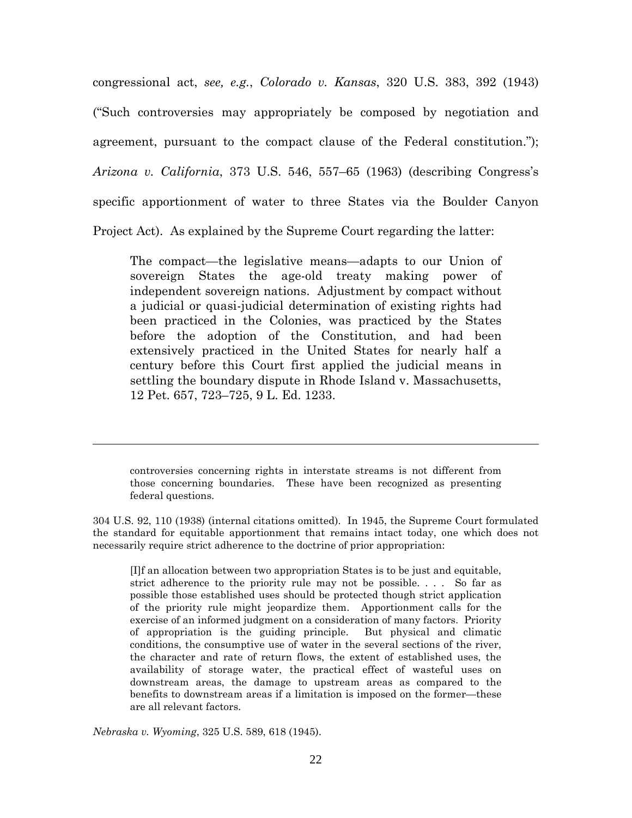congressional act, *see, e.g.*, *Colorado v. Kansas*, 320 U.S. 383, 392 (1943) ("Such controversies may appropriately be composed by negotiation and agreement, pursuant to the compact clause of the Federal constitution."); *Arizona v. California*, 373 U.S. 546, 557–65 (1963) (describing Congress's specific apportionment of water to three States via the Boulder Canyon Project Act). As explained by the Supreme Court regarding the latter:

The compact—the legislative means—adapts to our Union of sovereign States the age-old treaty making power of independent sovereign nations. Adjustment by compact without a judicial or quasi-judicial determination of existing rights had been practiced in the Colonies, was practiced by the States before the adoption of the Constitution, and had been extensively practiced in the United States for nearly half a century before this Court first applied the judicial means in settling the boundary dispute in Rhode Island v. Massachusetts, 12 Pet. 657, 723–725, 9 L. Ed. 1233.

controversies concerning rights in interstate streams is not different from those concerning boundaries. These have been recognized as presenting federal questions.

304 U.S. 92, 110 (1938) (internal citations omitted). In 1945, the Supreme Court formulated the standard for equitable apportionment that remains intact today, one which does not necessarily require strict adherence to the doctrine of prior appropriation:

[I]f an allocation between two appropriation States is to be just and equitable, strict adherence to the priority rule may not be possible. . . . So far as possible those established uses should be protected though strict application of the priority rule might jeopardize them. Apportionment calls for the exercise of an informed judgment on a consideration of many factors. Priority of appropriation is the guiding principle. But physical and climatic conditions, the consumptive use of water in the several sections of the river, the character and rate of return flows, the extent of established uses, the availability of storage water, the practical effect of wasteful uses on downstream areas, the damage to upstream areas as compared to the benefits to downstream areas if a limitation is imposed on the former—these are all relevant factors.

*Nebraska v. Wyoming*, 325 U.S. 589, 618 (1945).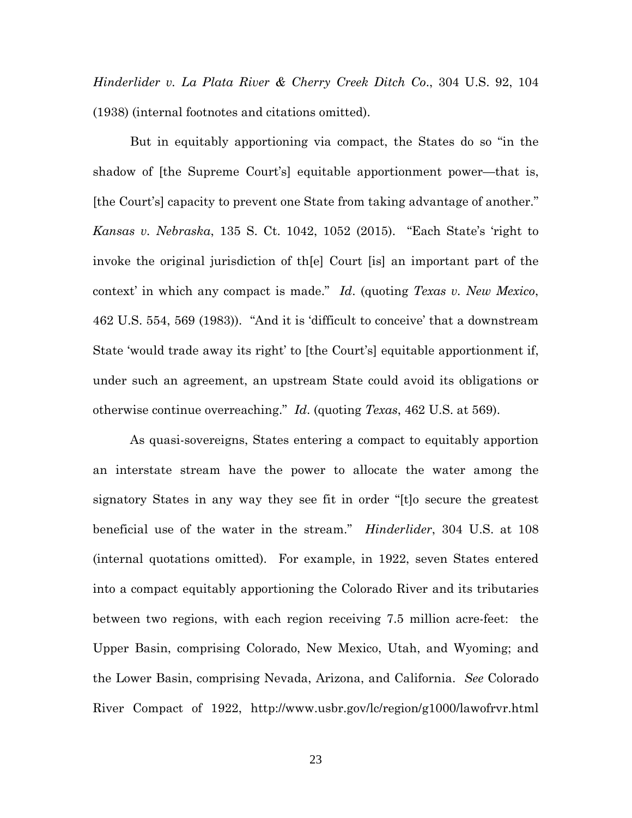*Hinderlider v. La Plata River & Cherry Creek Ditch Co*., 304 U.S. 92, 104 (1938) (internal footnotes and citations omitted).

But in equitably apportioning via compact, the States do so "in the shadow of [the Supreme Court's] equitable apportionment power—that is, [the Court's] capacity to prevent one State from taking advantage of another." *Kansas v. Nebraska*, 135 S. Ct. 1042, 1052 (2015). "Each State's 'right to invoke the original jurisdiction of th[e] Court [is] an important part of the context' in which any compact is made." *Id*. (quoting *Texas v. New Mexico*, 462 U.S. 554, 569 (1983)). "And it is 'difficult to conceive' that a downstream State 'would trade away its right' to [the Court's] equitable apportionment if, under such an agreement, an upstream State could avoid its obligations or otherwise continue overreaching." *Id*. (quoting *Texas*, 462 U.S. at 569).

As quasi-sovereigns, States entering a compact to equitably apportion an interstate stream have the power to allocate the water among the signatory States in any way they see fit in order "[t]o secure the greatest beneficial use of the water in the stream." *Hinderlider*, 304 U.S. at 108 (internal quotations omitted). For example, in 1922, seven States entered into a compact equitably apportioning the Colorado River and its tributaries between two regions, with each region receiving 7.5 million acre-feet: the Upper Basin, comprising Colorado, New Mexico, Utah, and Wyoming; and the Lower Basin, comprising Nevada, Arizona, and California. *See* Colorado River Compact of 1922, http://www.usbr.gov/lc/region/g1000/lawofrvr.html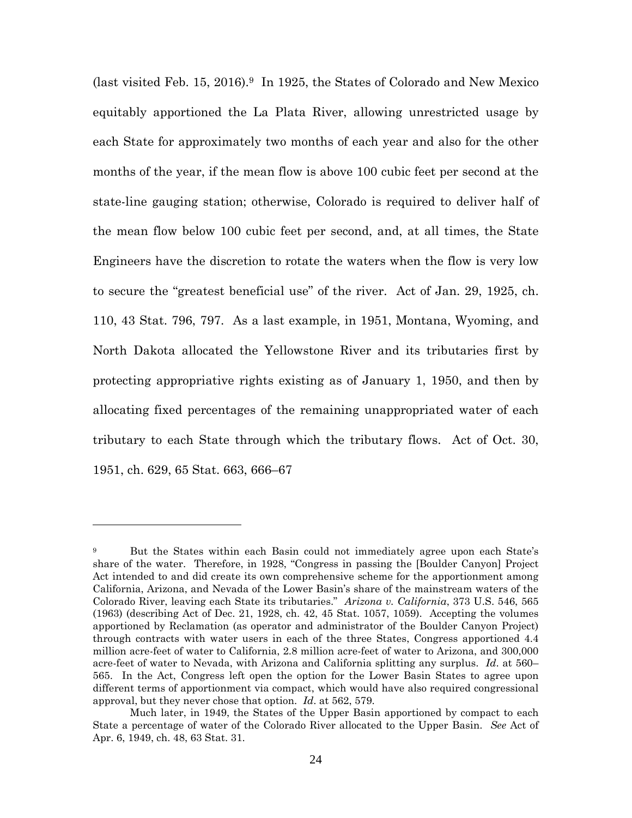(last visited Feb. 15, 2016).<sup>9</sup> In 1925, the States of Colorado and New Mexico equitably apportioned the La Plata River, allowing unrestricted usage by each State for approximately two months of each year and also for the other months of the year, if the mean flow is above 100 cubic feet per second at the state-line gauging station; otherwise, Colorado is required to deliver half of the mean flow below 100 cubic feet per second, and, at all times, the State Engineers have the discretion to rotate the waters when the flow is very low to secure the "greatest beneficial use" of the river. Act of Jan. 29, 1925, ch. 110, 43 Stat. 796, 797. As a last example, in 1951, Montana, Wyoming, and North Dakota allocated the Yellowstone River and its tributaries first by protecting appropriative rights existing as of January 1, 1950, and then by allocating fixed percentages of the remaining unappropriated water of each tributary to each State through which the tributary flows. Act of Oct. 30, 1951, ch. 629, 65 Stat. 663, 666–67

<sup>9</sup> But the States within each Basin could not immediately agree upon each State's share of the water. Therefore, in 1928, "Congress in passing the [Boulder Canyon] Project Act intended to and did create its own comprehensive scheme for the apportionment among California, Arizona, and Nevada of the Lower Basin's share of the mainstream waters of the Colorado River, leaving each State its tributaries." *Arizona v. California*, 373 U.S. 546, 565 (1963) (describing Act of Dec. 21, 1928, ch. 42, 45 Stat. 1057, 1059). Accepting the volumes apportioned by Reclamation (as operator and administrator of the Boulder Canyon Project) through contracts with water users in each of the three States, Congress apportioned 4.4 million acre-feet of water to California, 2.8 million acre-feet of water to Arizona, and 300,000 acre-feet of water to Nevada, with Arizona and California splitting any surplus. *Id*. at 560– 565. In the Act, Congress left open the option for the Lower Basin States to agree upon different terms of apportionment via compact, which would have also required congressional approval, but they never chose that option. *Id*. at 562, 579.

Much later, in 1949, the States of the Upper Basin apportioned by compact to each State a percentage of water of the Colorado River allocated to the Upper Basin. *See* Act of Apr. 6, 1949, ch. 48, 63 Stat. 31.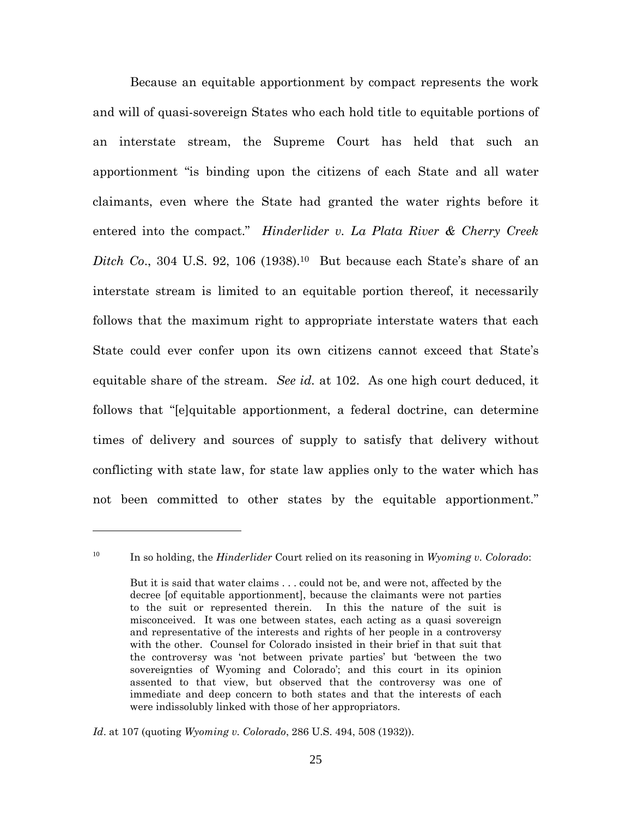Because an equitable apportionment by compact represents the work and will of quasi-sovereign States who each hold title to equitable portions of an interstate stream, the Supreme Court has held that such an apportionment "is binding upon the citizens of each State and all water claimants, even where the State had granted the water rights before it entered into the compact." *Hinderlider v. La Plata River & Cherry Creek Ditch Co.*, 304 U.S. 92, 106 (1938).<sup>10</sup> But because each State's share of an interstate stream is limited to an equitable portion thereof, it necessarily follows that the maximum right to appropriate interstate waters that each State could ever confer upon its own citizens cannot exceed that State's equitable share of the stream. *See id.* at 102. As one high court deduced, it follows that "[e]quitable apportionment, a federal doctrine, can determine times of delivery and sources of supply to satisfy that delivery without conflicting with state law, for state law applies only to the water which has not been committed to other states by the equitable apportionment."

<sup>10</sup> In so holding, the *Hinderlider* Court relied on its reasoning in *Wyoming v. Colorado*:

But it is said that water claims . . . could not be, and were not, affected by the decree [of equitable apportionment], because the claimants were not parties to the suit or represented therein. In this the nature of the suit is misconceived. It was one between states, each acting as a quasi sovereign and representative of the interests and rights of her people in a controversy with the other. Counsel for Colorado insisted in their brief in that suit that the controversy was 'not between private parties' but 'between the two sovereignties of Wyoming and Colorado'; and this court in its opinion assented to that view, but observed that the controversy was one of immediate and deep concern to both states and that the interests of each were indissolubly linked with those of her appropriators.

*Id*. at 107 (quoting *Wyoming v. Colorado*, 286 U.S. 494, 508 (1932)).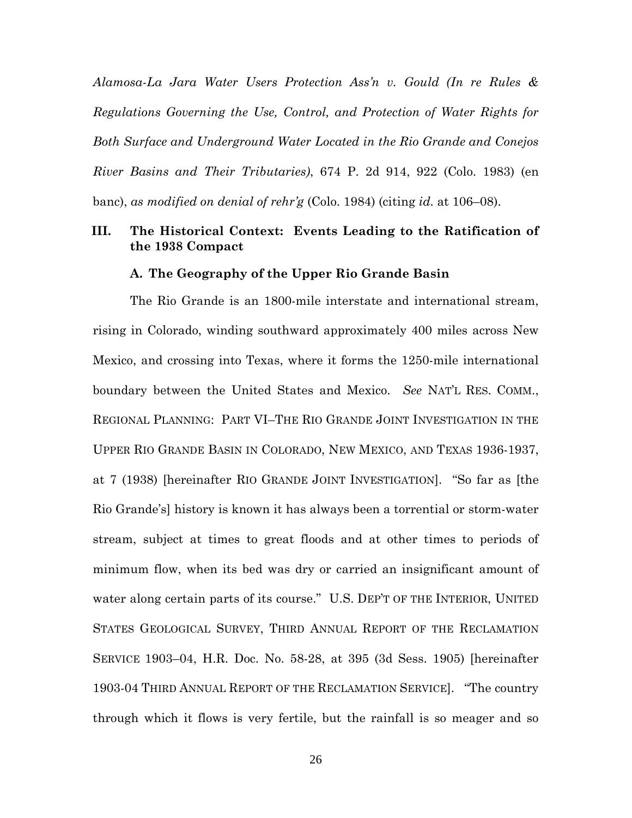*Alamosa-La Jara Water Users Protection Ass'n v. Gould (In re Rules & Regulations Governing the Use, Control, and Protection of Water Rights for Both Surface and Underground Water Located in the Rio Grande and Conejos River Basins and Their Tributaries)*, 674 P. 2d 914, 922 (Colo. 1983) (en banc), *as modified on denial of rehr'g* (Colo. 1984) (citing *id.* at 106–08).

# **III. The Historical Context: Events Leading to the Ratification of the 1938 Compact**

### **A. The Geography of the Upper Rio Grande Basin**

The Rio Grande is an 1800-mile interstate and international stream, rising in Colorado, winding southward approximately 400 miles across New Mexico, and crossing into Texas, where it forms the 1250-mile international boundary between the United States and Mexico. *See* NAT'L RES. COMM., REGIONAL PLANNING: PART VI–THE RIO GRANDE JOINT INVESTIGATION IN THE UPPER RIO GRANDE BASIN IN COLORADO, NEW MEXICO, AND TEXAS 1936-1937, at 7 (1938) [hereinafter RIO GRANDE JOINT INVESTIGATION]. "So far as [the Rio Grande's] history is known it has always been a torrential or storm-water stream, subject at times to great floods and at other times to periods of minimum flow, when its bed was dry or carried an insignificant amount of water along certain parts of its course." U.S. DEP'T OF THE INTERIOR, UNITED STATES GEOLOGICAL SURVEY, THIRD ANNUAL REPORT OF THE RECLAMATION SERVICE 1903–04, H.R. Doc. No. 58-28, at 395 (3d Sess. 1905) [hereinafter 1903-04 THIRD ANNUAL REPORT OF THE RECLAMATION SERVICE]. "The country through which it flows is very fertile, but the rainfall is so meager and so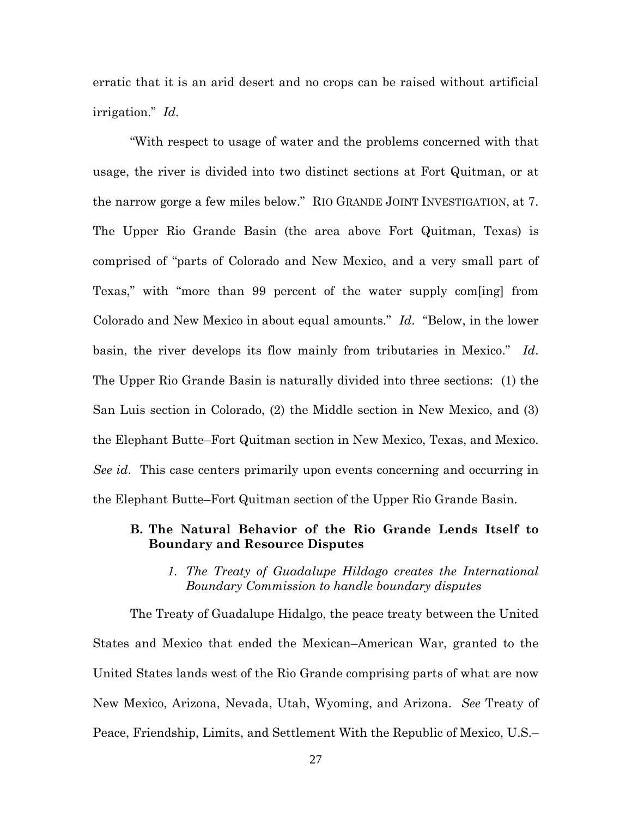erratic that it is an arid desert and no crops can be raised without artificial irrigation." *Id*.

"With respect to usage of water and the problems concerned with that usage, the river is divided into two distinct sections at Fort Quitman, or at the narrow gorge a few miles below." RIO GRANDE JOINT INVESTIGATION, at 7. The Upper Rio Grande Basin (the area above Fort Quitman, Texas) is comprised of "parts of Colorado and New Mexico, and a very small part of Texas," with "more than 99 percent of the water supply com[ing] from Colorado and New Mexico in about equal amounts." *Id*. "Below, in the lower basin, the river develops its flow mainly from tributaries in Mexico." *Id*. The Upper Rio Grande Basin is naturally divided into three sections: (1) the San Luis section in Colorado, (2) the Middle section in New Mexico, and (3) the Elephant Butte–Fort Quitman section in New Mexico, Texas, and Mexico. *See id*. This case centers primarily upon events concerning and occurring in the Elephant Butte–Fort Quitman section of the Upper Rio Grande Basin.

# **B. The Natural Behavior of the Rio Grande Lends Itself to Boundary and Resource Disputes**

# *1. The Treaty of Guadalupe Hildago creates the International Boundary Commission to handle boundary disputes*

The Treaty of Guadalupe Hidalgo, the peace treaty between the United States and Mexico that ended the Mexican–American War, granted to the United States lands west of the Rio Grande comprising parts of what are now New Mexico, Arizona, Nevada, Utah, Wyoming, and Arizona. *See* Treaty of Peace, Friendship, Limits, and Settlement With the Republic of Mexico, U.S.–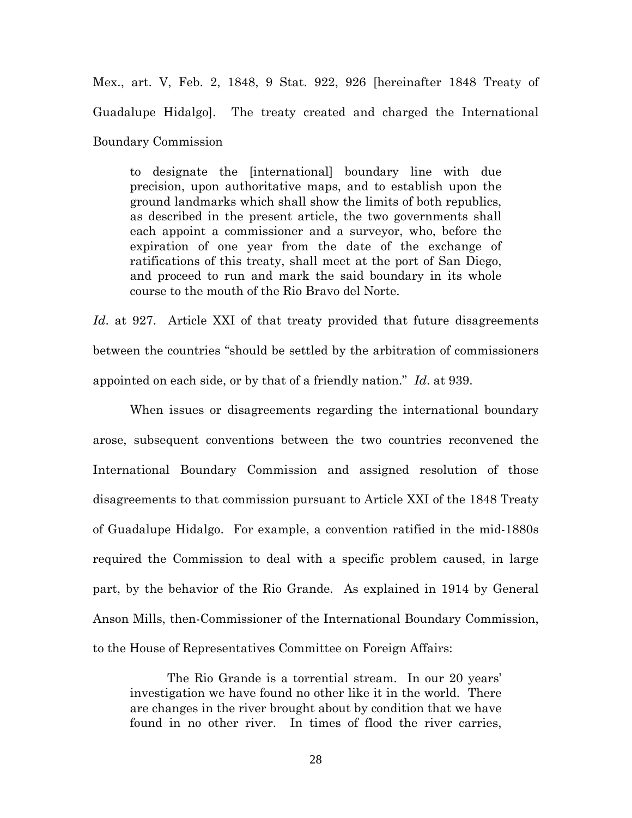Mex., art. V, Feb. 2, 1848, 9 Stat. 922, 926 [hereinafter 1848 Treaty of Guadalupe Hidalgo]. The treaty created and charged the International Boundary Commission

to designate the [international] boundary line with due precision, upon authoritative maps, and to establish upon the ground landmarks which shall show the limits of both republics, as described in the present article, the two governments shall each appoint a commissioner and a surveyor, who, before the expiration of one year from the date of the exchange of ratifications of this treaty, shall meet at the port of San Diego, and proceed to run and mark the said boundary in its whole course to the mouth of the Rio Bravo del Norte.

Id. at 927. Article XXI of that treaty provided that future disagreements between the countries "should be settled by the arbitration of commissioners appointed on each side, or by that of a friendly nation." *Id*. at 939.

When issues or disagreements regarding the international boundary arose, subsequent conventions between the two countries reconvened the International Boundary Commission and assigned resolution of those disagreements to that commission pursuant to Article XXI of the 1848 Treaty of Guadalupe Hidalgo. For example, a convention ratified in the mid-1880s required the Commission to deal with a specific problem caused, in large part, by the behavior of the Rio Grande. As explained in 1914 by General Anson Mills, then-Commissioner of the International Boundary Commission, to the House of Representatives Committee on Foreign Affairs:

The Rio Grande is a torrential stream. In our 20 years' investigation we have found no other like it in the world. There are changes in the river brought about by condition that we have found in no other river. In times of flood the river carries,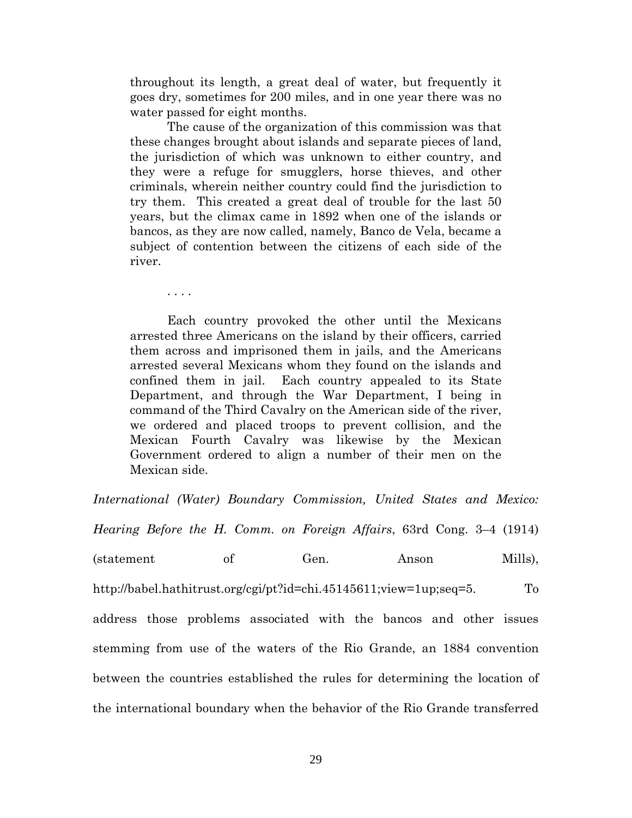throughout its length, a great deal of water, but frequently it goes dry, sometimes for 200 miles, and in one year there was no water passed for eight months.

The cause of the organization of this commission was that these changes brought about islands and separate pieces of land, the jurisdiction of which was unknown to either country, and they were a refuge for smugglers, horse thieves, and other criminals, wherein neither country could find the jurisdiction to try them. This created a great deal of trouble for the last 50 years, but the climax came in 1892 when one of the islands or bancos, as they are now called, namely, Banco de Vela, became a subject of contention between the citizens of each side of the river.

. . . .

Each country provoked the other until the Mexicans arrested three Americans on the island by their officers, carried them across and imprisoned them in jails, and the Americans arrested several Mexicans whom they found on the islands and confined them in jail. Each country appealed to its State Department, and through the War Department, I being in command of the Third Cavalry on the American side of the river, we ordered and placed troops to prevent collision, and the Mexican Fourth Cavalry was likewise by the Mexican Government ordered to align a number of their men on the Mexican side.

*International (Water) Boundary Commission, United States and Mexico:*

*Hearing Before the H. Comm. on Foreign Affairs*, 63rd Cong. 3–4 (1914)

(statement of Gen. Anson Mills),

http://babel.hathitrust.org/cgi/pt?id=chi.45145611;view=1up;seq=5. To

address those problems associated with the bancos and other issues stemming from use of the waters of the Rio Grande, an 1884 convention between the countries established the rules for determining the location of the international boundary when the behavior of the Rio Grande transferred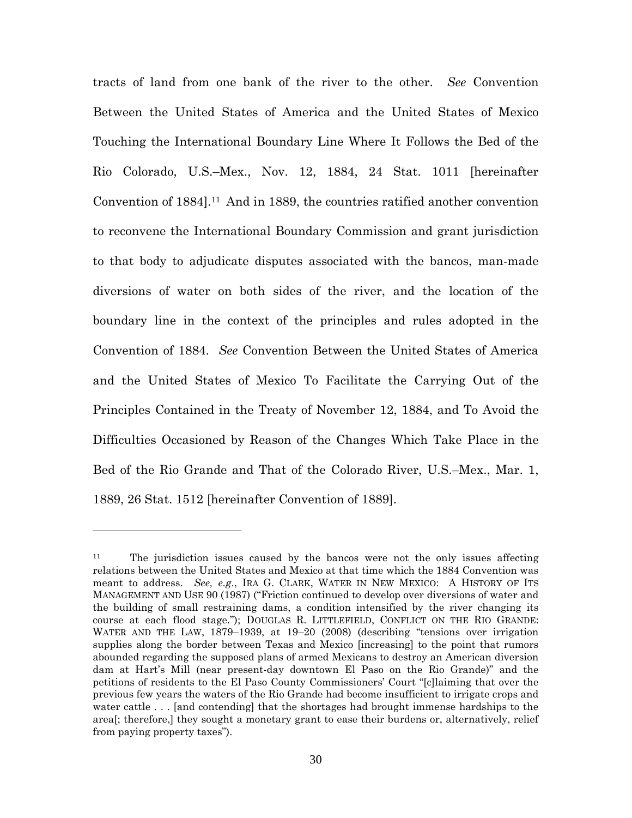tracts of land from one bank of the river to the other. *See* Convention Between the United States of America and the United States of Mexico Touching the International Boundary Line Where It Follows the Bed of the Rio Colorado, U.S.–Mex., Nov. 12, 1884, 24 Stat. 1011 [hereinafter Convention of 1884].<sup>11</sup> And in 1889, the countries ratified another convention to reconvene the International Boundary Commission and grant jurisdiction to that body to adjudicate disputes associated with the bancos, man-made diversions of water on both sides of the river, and the location of the boundary line in the context of the principles and rules adopted in the Convention of 1884. *See* Convention Between the United States of America and the United States of Mexico To Facilitate the Carrying Out of the Principles Contained in the Treaty of November 12, 1884, and To Avoid the Difficulties Occasioned by Reason of the Changes Which Take Place in the Bed of the Rio Grande and That of the Colorado River, U.S.–Mex., Mar. 1, 1889, 26 Stat. 1512 [hereinafter Convention of 1889].

<sup>11</sup> The jurisdiction issues caused by the bancos were not the only issues affecting relations between the United States and Mexico at that time which the 1884 Convention was meant to address. *See, e.g*., IRA G. CLARK, WATER IN NEW MEXICO: A HISTORY OF ITS MANAGEMENT AND USE 90 (1987) ("Friction continued to develop over diversions of water and the building of small restraining dams, a condition intensified by the river changing its course at each flood stage."); DOUGLAS R. LITTLEFIELD, CONFLICT ON THE RIO GRANDE: WATER AND THE LAW, 1879–1939, at 19–20 (2008) (describing "tensions over irrigation supplies along the border between Texas and Mexico [increasing] to the point that rumors abounded regarding the supposed plans of armed Mexicans to destroy an American diversion dam at Hart's Mill (near present-day downtown El Paso on the Rio Grande)" and the petitions of residents to the El Paso County Commissioners' Court "[c]laiming that over the previous few years the waters of the Rio Grande had become insufficient to irrigate crops and water cattle . . . [and contending] that the shortages had brought immense hardships to the area[; therefore,] they sought a monetary grant to ease their burdens or, alternatively, relief from paying property taxes").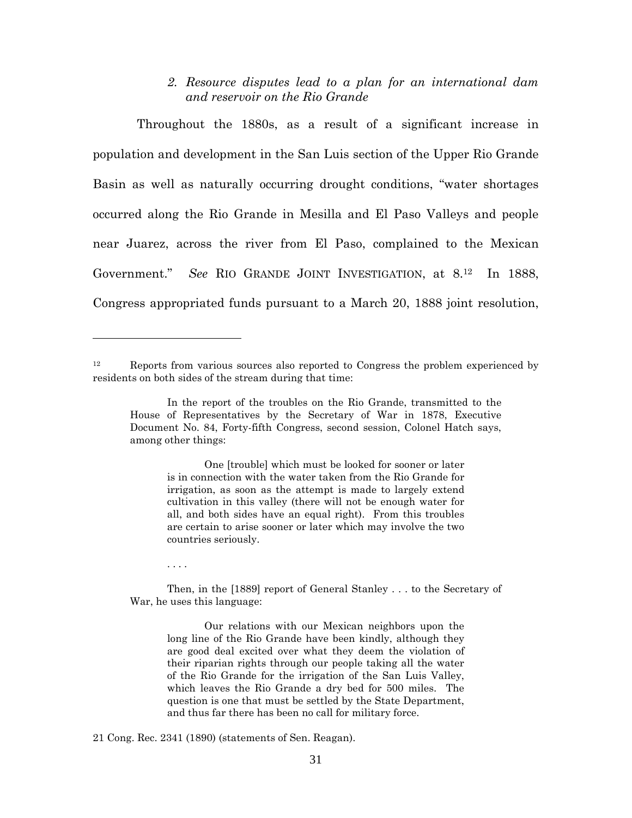## *2. Resource disputes lead to a plan for an international dam and reservoir on the Rio Grande*

Throughout the 1880s, as a result of a significant increase in population and development in the San Luis section of the Upper Rio Grande Basin as well as naturally occurring drought conditions, "water shortages occurred along the Rio Grande in Mesilla and El Paso Valleys and people near Juarez, across the river from El Paso, complained to the Mexican Government." *See* RIO GRANDE JOINT INVESTIGATION, at 8.<sup>12</sup> In 1888, Congress appropriated funds pursuant to a March 20, 1888 joint resolution,

One [trouble] which must be looked for sooner or later is in connection with the water taken from the Rio Grande for irrigation, as soon as the attempt is made to largely extend cultivation in this valley (there will not be enough water for all, and both sides have an equal right). From this troubles are certain to arise sooner or later which may involve the two countries seriously.

. . . .

Then, in the [1889] report of General Stanley . . . to the Secretary of War, he uses this language:

Our relations with our Mexican neighbors upon the long line of the Rio Grande have been kindly, although they are good deal excited over what they deem the violation of their riparian rights through our people taking all the water of the Rio Grande for the irrigation of the San Luis Valley, which leaves the Rio Grande a dry bed for 500 miles. The question is one that must be settled by the State Department, and thus far there has been no call for military force.

21 Cong. Rec. 2341 (1890) (statements of Sen. Reagan).

<sup>12</sup> Reports from various sources also reported to Congress the problem experienced by residents on both sides of the stream during that time:

In the report of the troubles on the Rio Grande, transmitted to the House of Representatives by the Secretary of War in 1878, Executive Document No. 84, Forty-fifth Congress, second session, Colonel Hatch says, among other things: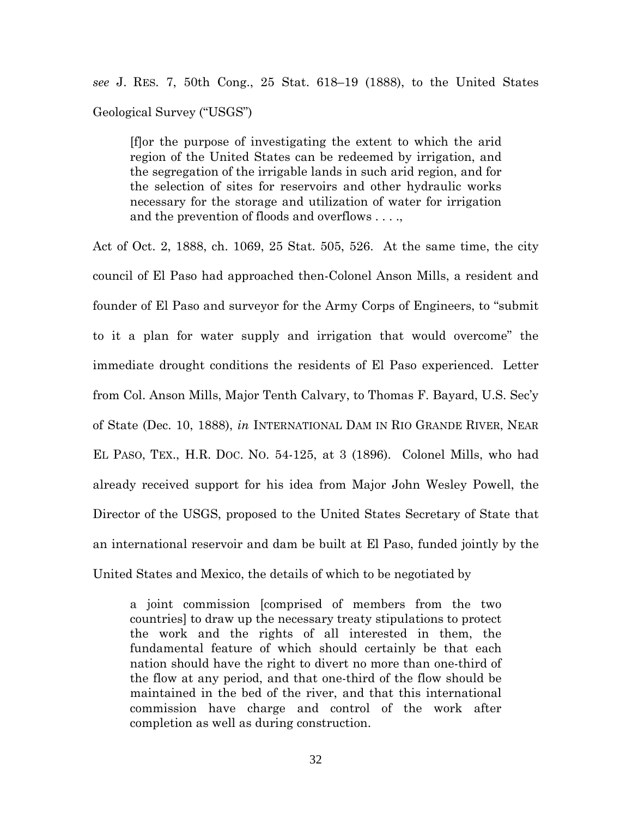*see* J. RES. 7, 50th Cong., 25 Stat. 618–19 (1888), to the United States Geological Survey ("USGS")

[f]or the purpose of investigating the extent to which the arid region of the United States can be redeemed by irrigation, and the segregation of the irrigable lands in such arid region, and for the selection of sites for reservoirs and other hydraulic works necessary for the storage and utilization of water for irrigation and the prevention of floods and overflows . . . .,

Act of Oct. 2, 1888, ch. 1069, 25 Stat. 505, 526. At the same time, the city council of El Paso had approached then-Colonel Anson Mills, a resident and founder of El Paso and surveyor for the Army Corps of Engineers, to "submit to it a plan for water supply and irrigation that would overcome" the immediate drought conditions the residents of El Paso experienced. Letter from Col. Anson Mills, Major Tenth Calvary, to Thomas F. Bayard, U.S. Sec'y of State (Dec. 10, 1888), *in* INTERNATIONAL DAM IN RIO GRANDE RIVER, NEAR EL PASO, TEX., H.R. DOC. NO. 54-125, at 3 (1896). Colonel Mills, who had already received support for his idea from Major John Wesley Powell, the Director of the USGS, proposed to the United States Secretary of State that an international reservoir and dam be built at El Paso, funded jointly by the United States and Mexico, the details of which to be negotiated by

a joint commission [comprised of members from the two countries] to draw up the necessary treaty stipulations to protect the work and the rights of all interested in them, the fundamental feature of which should certainly be that each nation should have the right to divert no more than one-third of the flow at any period, and that one-third of the flow should be maintained in the bed of the river, and that this international commission have charge and control of the work after completion as well as during construction.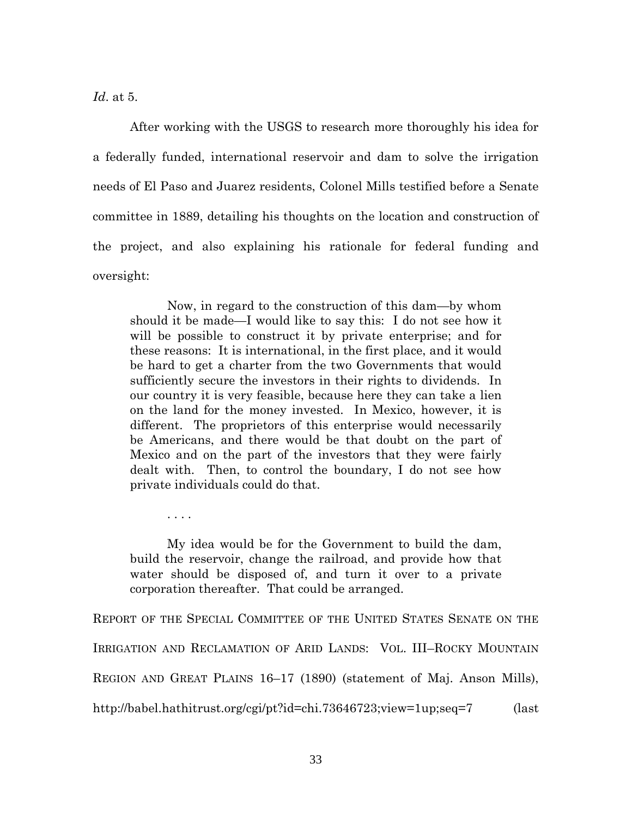*Id*. at 5.

After working with the USGS to research more thoroughly his idea for a federally funded, international reservoir and dam to solve the irrigation needs of El Paso and Juarez residents, Colonel Mills testified before a Senate committee in 1889, detailing his thoughts on the location and construction of the project, and also explaining his rationale for federal funding and oversight:

Now, in regard to the construction of this dam—by whom should it be made—I would like to say this: I do not see how it will be possible to construct it by private enterprise; and for these reasons: It is international, in the first place, and it would be hard to get a charter from the two Governments that would sufficiently secure the investors in their rights to dividends. In our country it is very feasible, because here they can take a lien on the land for the money invested. In Mexico, however, it is different. The proprietors of this enterprise would necessarily be Americans, and there would be that doubt on the part of Mexico and on the part of the investors that they were fairly dealt with. Then, to control the boundary, I do not see how private individuals could do that.

. . . .

My idea would be for the Government to build the dam, build the reservoir, change the railroad, and provide how that water should be disposed of, and turn it over to a private corporation thereafter. That could be arranged.

REPORT OF THE SPECIAL COMMITTEE OF THE UNITED STATES SENATE ON THE IRRIGATION AND RECLAMATION OF ARID LANDS: VOL. III–ROCKY MOUNTAIN REGION AND GREAT PLAINS 16–17 (1890) (statement of Maj. Anson Mills), http://babel.hathitrust.org/cgi/pt?id=chi.73646723;view=1up;seq=7 (last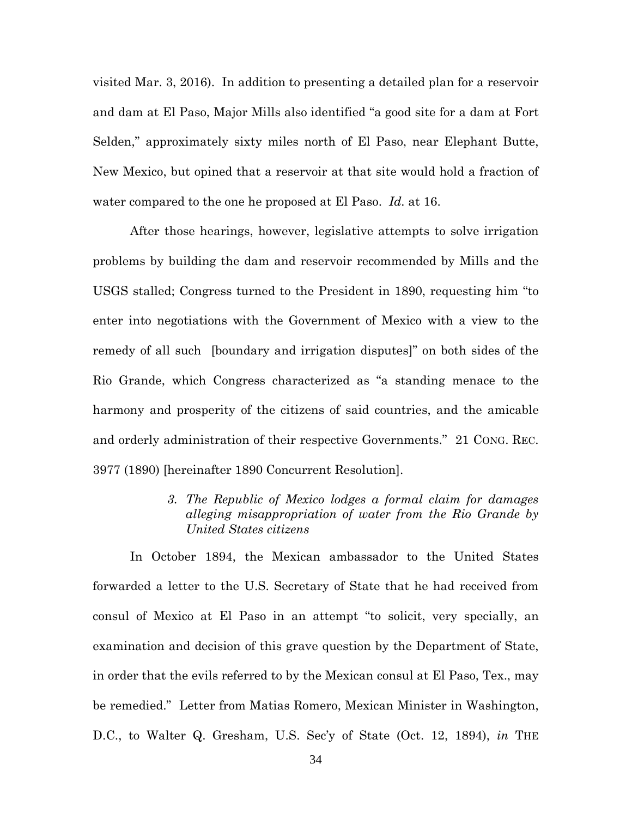visited Mar. 3, 2016). In addition to presenting a detailed plan for a reservoir and dam at El Paso, Major Mills also identified "a good site for a dam at Fort Selden," approximately sixty miles north of El Paso, near Elephant Butte, New Mexico, but opined that a reservoir at that site would hold a fraction of water compared to the one he proposed at El Paso. *Id.* at 16.

After those hearings, however, legislative attempts to solve irrigation problems by building the dam and reservoir recommended by Mills and the USGS stalled; Congress turned to the President in 1890, requesting him "to enter into negotiations with the Government of Mexico with a view to the remedy of all such [boundary and irrigation disputes]" on both sides of the Rio Grande, which Congress characterized as "a standing menace to the harmony and prosperity of the citizens of said countries, and the amicable and orderly administration of their respective Governments." 21 CONG. REC. 3977 (1890) [hereinafter 1890 Concurrent Resolution].

> *3. The Republic of Mexico lodges a formal claim for damages alleging misappropriation of water from the Rio Grande by United States citizens*

In October 1894, the Mexican ambassador to the United States forwarded a letter to the U.S. Secretary of State that he had received from consul of Mexico at El Paso in an attempt "to solicit, very specially, an examination and decision of this grave question by the Department of State, in order that the evils referred to by the Mexican consul at El Paso, Tex., may be remedied." Letter from Matias Romero, Mexican Minister in Washington, D.C., to Walter Q. Gresham, U.S. Sec'y of State (Oct. 12, 1894), *in* THE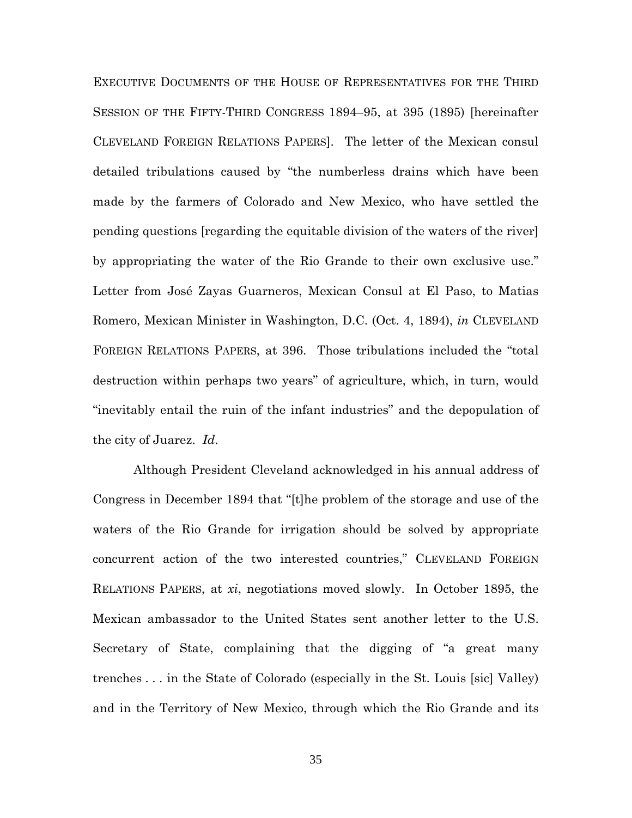EXECUTIVE DOCUMENTS OF THE HOUSE OF REPRESENTATIVES FOR THE THIRD SESSION OF THE FIFTY-THIRD CONGRESS 1894–95, at 395 (1895) [hereinafter CLEVELAND FOREIGN RELATIONS PAPERS]. The letter of the Mexican consul detailed tribulations caused by "the numberless drains which have been made by the farmers of Colorado and New Mexico, who have settled the pending questions [regarding the equitable division of the waters of the river] by appropriating the water of the Rio Grande to their own exclusive use." Letter from José Zayas Guarneros, Mexican Consul at El Paso, to Matias Romero, Mexican Minister in Washington, D.C. (Oct. 4, 1894), *in* CLEVELAND FOREIGN RELATIONS PAPERS, at 396. Those tribulations included the "total destruction within perhaps two years" of agriculture, which, in turn, would "inevitably entail the ruin of the infant industries" and the depopulation of the city of Juarez. *Id*.

Although President Cleveland acknowledged in his annual address of Congress in December 1894 that "[t]he problem of the storage and use of the waters of the Rio Grande for irrigation should be solved by appropriate concurrent action of the two interested countries," CLEVELAND FOREIGN RELATIONS PAPERS, at *xi*, negotiations moved slowly. In October 1895, the Mexican ambassador to the United States sent another letter to the U.S. Secretary of State, complaining that the digging of "a great many trenches . . . in the State of Colorado (especially in the St. Louis [sic] Valley) and in the Territory of New Mexico, through which the Rio Grande and its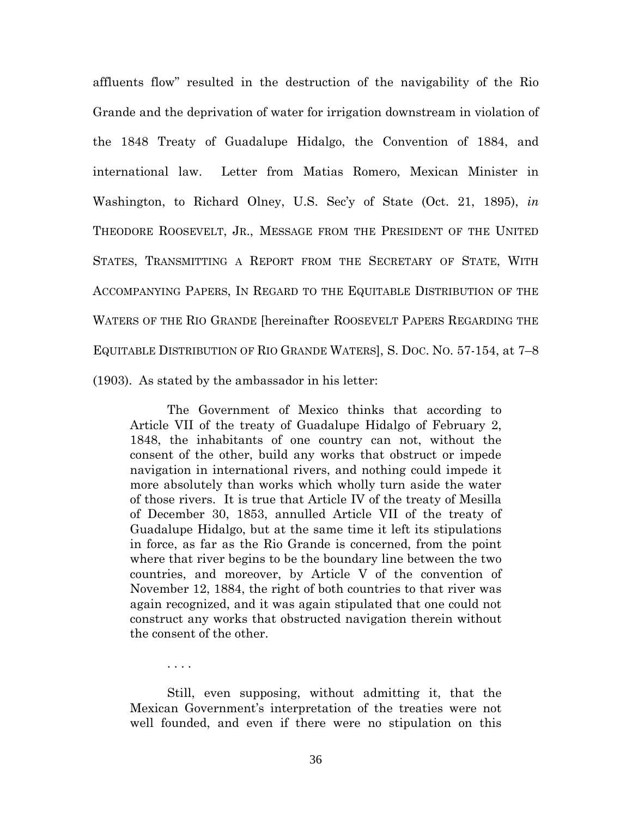affluents flow" resulted in the destruction of the navigability of the Rio Grande and the deprivation of water for irrigation downstream in violation of the 1848 Treaty of Guadalupe Hidalgo, the Convention of 1884, and international law. Letter from Matias Romero, Mexican Minister in Washington, to Richard Olney, U.S. Sec'y of State (Oct. 21, 1895), *in* THEODORE ROOSEVELT, JR., MESSAGE FROM THE PRESIDENT OF THE UNITED STATES, TRANSMITTING A REPORT FROM THE SECRETARY OF STATE, WITH ACCOMPANYING PAPERS, IN REGARD TO THE EQUITABLE DISTRIBUTION OF THE WATERS OF THE RIO GRANDE [hereinafter ROOSEVELT PAPERS REGARDING THE EQUITABLE DISTRIBUTION OF RIO GRANDE WATERS], S. DOC. NO. 57-154, at 7–8 (1903). As stated by the ambassador in his letter:

The Government of Mexico thinks that according to Article VII of the treaty of Guadalupe Hidalgo of February 2, 1848, the inhabitants of one country can not, without the consent of the other, build any works that obstruct or impede navigation in international rivers, and nothing could impede it more absolutely than works which wholly turn aside the water of those rivers. It is true that Article IV of the treaty of Mesilla of December 30, 1853, annulled Article VII of the treaty of Guadalupe Hidalgo, but at the same time it left its stipulations in force, as far as the Rio Grande is concerned, from the point where that river begins to be the boundary line between the two countries, and moreover, by Article V of the convention of November 12, 1884, the right of both countries to that river was again recognized, and it was again stipulated that one could not construct any works that obstructed navigation therein without the consent of the other.

. . . .

Still, even supposing, without admitting it, that the Mexican Government's interpretation of the treaties were not well founded, and even if there were no stipulation on this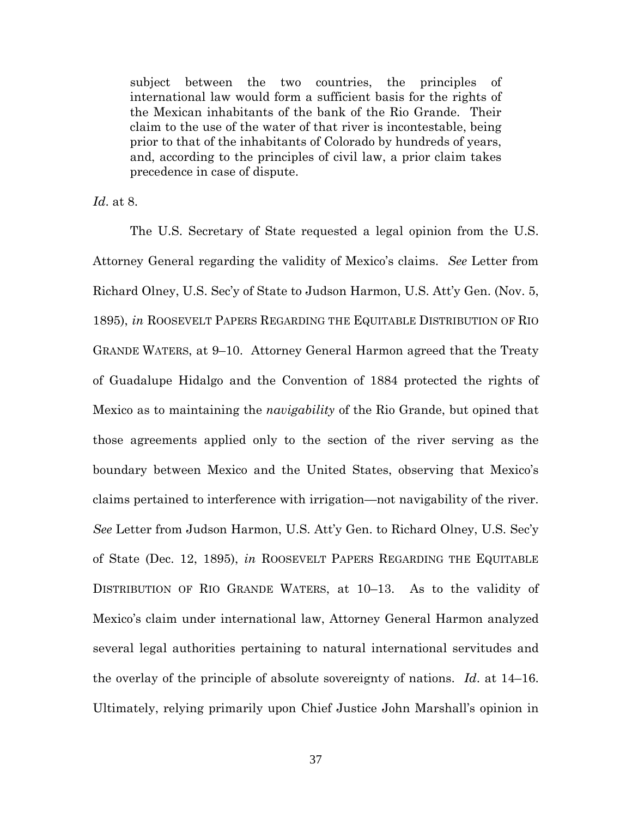subject between the two countries, the principles of international law would form a sufficient basis for the rights of the Mexican inhabitants of the bank of the Rio Grande. Their claim to the use of the water of that river is incontestable, being prior to that of the inhabitants of Colorado by hundreds of years, and, according to the principles of civil law, a prior claim takes precedence in case of dispute.

*Id*. at 8.

The U.S. Secretary of State requested a legal opinion from the U.S. Attorney General regarding the validity of Mexico's claims. *See* Letter from Richard Olney, U.S. Sec'y of State to Judson Harmon, U.S. Att'y Gen. (Nov. 5, 1895), *in* ROOSEVELT PAPERS REGARDING THE EQUITABLE DISTRIBUTION OF RIO GRANDE WATERS, at 9–10. Attorney General Harmon agreed that the Treaty of Guadalupe Hidalgo and the Convention of 1884 protected the rights of Mexico as to maintaining the *navigability* of the Rio Grande, but opined that those agreements applied only to the section of the river serving as the boundary between Mexico and the United States, observing that Mexico's claims pertained to interference with irrigation—not navigability of the river. *See* Letter from Judson Harmon, U.S. Att'y Gen. to Richard Olney, U.S. Sec'y of State (Dec. 12, 1895), *in* ROOSEVELT PAPERS REGARDING THE EQUITABLE DISTRIBUTION OF RIO GRANDE WATERS, at 10–13. As to the validity of Mexico's claim under international law, Attorney General Harmon analyzed several legal authorities pertaining to natural international servitudes and the overlay of the principle of absolute sovereignty of nations. *Id*. at 14–16. Ultimately, relying primarily upon Chief Justice John Marshall's opinion in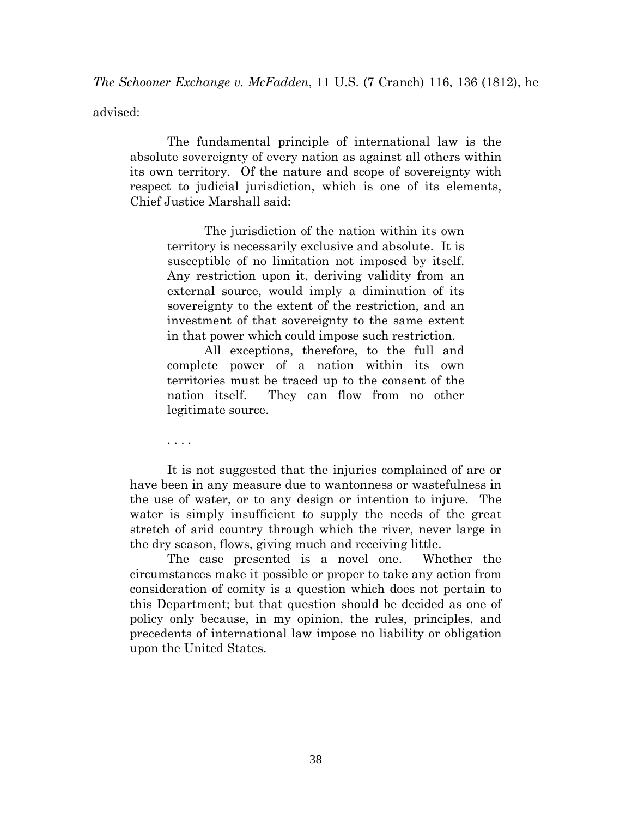*The Schooner Exchange v. McFadden*, 11 U.S. (7 Cranch) 116, 136 (1812), he

advised:

The fundamental principle of international law is the absolute sovereignty of every nation as against all others within its own territory. Of the nature and scope of sovereignty with respect to judicial jurisdiction, which is one of its elements, Chief Justice Marshall said:

The jurisdiction of the nation within its own territory is necessarily exclusive and absolute. It is susceptible of no limitation not imposed by itself. Any restriction upon it, deriving validity from an external source, would imply a diminution of its sovereignty to the extent of the restriction, and an investment of that sovereignty to the same extent in that power which could impose such restriction.

All exceptions, therefore, to the full and complete power of a nation within its own territories must be traced up to the consent of the nation itself. They can flow from no other legitimate source.

. . . .

It is not suggested that the injuries complained of are or have been in any measure due to wantonness or wastefulness in the use of water, or to any design or intention to injure. The water is simply insufficient to supply the needs of the great stretch of arid country through which the river, never large in the dry season, flows, giving much and receiving little.

The case presented is a novel one. Whether the circumstances make it possible or proper to take any action from consideration of comity is a question which does not pertain to this Department; but that question should be decided as one of policy only because, in my opinion, the rules, principles, and precedents of international law impose no liability or obligation upon the United States.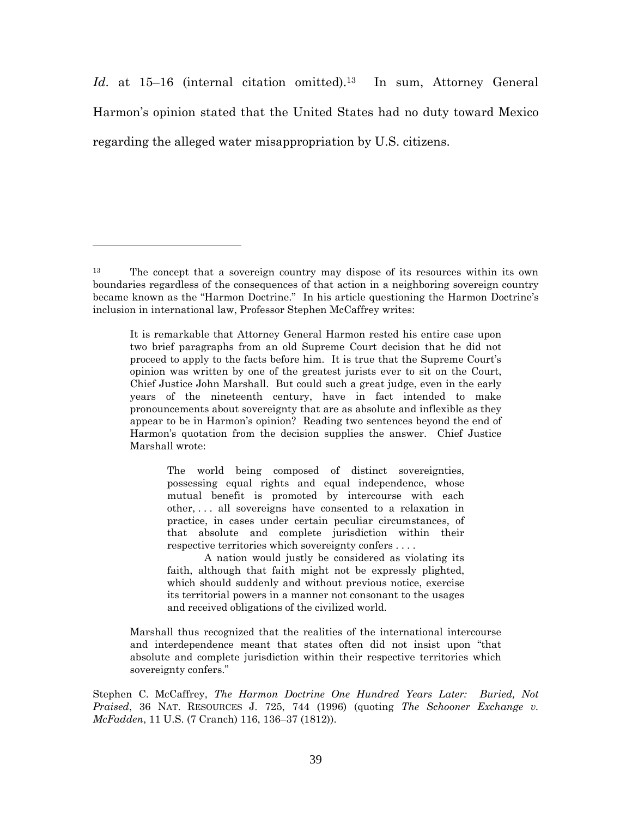Id. at 15–16 (internal citation omitted).<sup>13</sup> In sum, Attorney General Harmon's opinion stated that the United States had no duty toward Mexico regarding the alleged water misappropriation by U.S. citizens.

The world being composed of distinct sovereignties, possessing equal rights and equal independence, whose mutual benefit is promoted by intercourse with each other, . . . all sovereigns have consented to a relaxation in practice, in cases under certain peculiar circumstances, of that absolute and complete jurisdiction within their respective territories which sovereignty confers . . . .

A nation would justly be considered as violating its faith, although that faith might not be expressly plighted, which should suddenly and without previous notice, exercise its territorial powers in a manner not consonant to the usages and received obligations of the civilized world.

Marshall thus recognized that the realities of the international intercourse and interdependence meant that states often did not insist upon "that absolute and complete jurisdiction within their respective territories which sovereignty confers."

Stephen C. McCaffrey, *The Harmon Doctrine One Hundred Years Later: Buried, Not Praised*, 36 NAT. RESOURCES J. 725, 744 (1996) (quoting *The Schooner Exchange v. McFadden*, 11 U.S. (7 Cranch) 116, 136–37 (1812)).

<sup>13</sup> The concept that a sovereign country may dispose of its resources within its own boundaries regardless of the consequences of that action in a neighboring sovereign country became known as the "Harmon Doctrine." In his article questioning the Harmon Doctrine's inclusion in international law, Professor Stephen McCaffrey writes:

It is remarkable that Attorney General Harmon rested his entire case upon two brief paragraphs from an old Supreme Court decision that he did not proceed to apply to the facts before him. It is true that the Supreme Court's opinion was written by one of the greatest jurists ever to sit on the Court, Chief Justice John Marshall. But could such a great judge, even in the early years of the nineteenth century, have in fact intended to make pronouncements about sovereignty that are as absolute and inflexible as they appear to be in Harmon's opinion? Reading two sentences beyond the end of Harmon's quotation from the decision supplies the answer. Chief Justice Marshall wrote: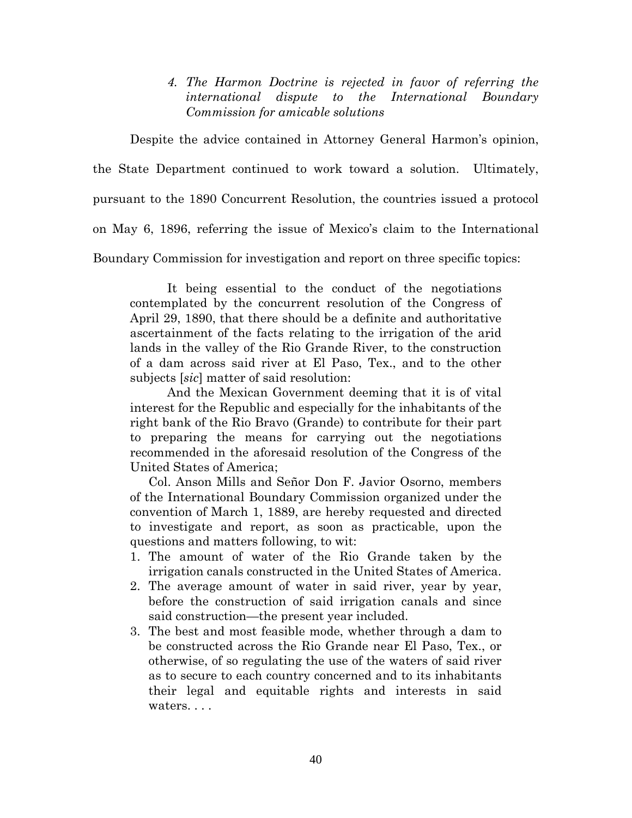*4. The Harmon Doctrine is rejected in favor of referring the international dispute to the International Boundary Commission for amicable solutions*

Despite the advice contained in Attorney General Harmon's opinion,

the State Department continued to work toward a solution. Ultimately,

pursuant to the 1890 Concurrent Resolution, the countries issued a protocol

on May 6, 1896, referring the issue of Mexico's claim to the International

Boundary Commission for investigation and report on three specific topics:

It being essential to the conduct of the negotiations contemplated by the concurrent resolution of the Congress of April 29, 1890, that there should be a definite and authoritative ascertainment of the facts relating to the irrigation of the arid lands in the valley of the Rio Grande River, to the construction of a dam across said river at El Paso, Tex., and to the other subjects [*sic*] matter of said resolution:

And the Mexican Government deeming that it is of vital interest for the Republic and especially for the inhabitants of the right bank of the Rio Bravo (Grande) to contribute for their part to preparing the means for carrying out the negotiations recommended in the aforesaid resolution of the Congress of the United States of America;

Col. Anson Mills and Señor Don F. Javior Osorno, members of the International Boundary Commission organized under the convention of March 1, 1889, are hereby requested and directed to investigate and report, as soon as practicable, upon the questions and matters following, to wit:

- 1. The amount of water of the Rio Grande taken by the irrigation canals constructed in the United States of America.
- 2. The average amount of water in said river, year by year, before the construction of said irrigation canals and since said construction—the present year included.
- 3. The best and most feasible mode, whether through a dam to be constructed across the Rio Grande near El Paso, Tex., or otherwise, of so regulating the use of the waters of said river as to secure to each country concerned and to its inhabitants their legal and equitable rights and interests in said waters. . . .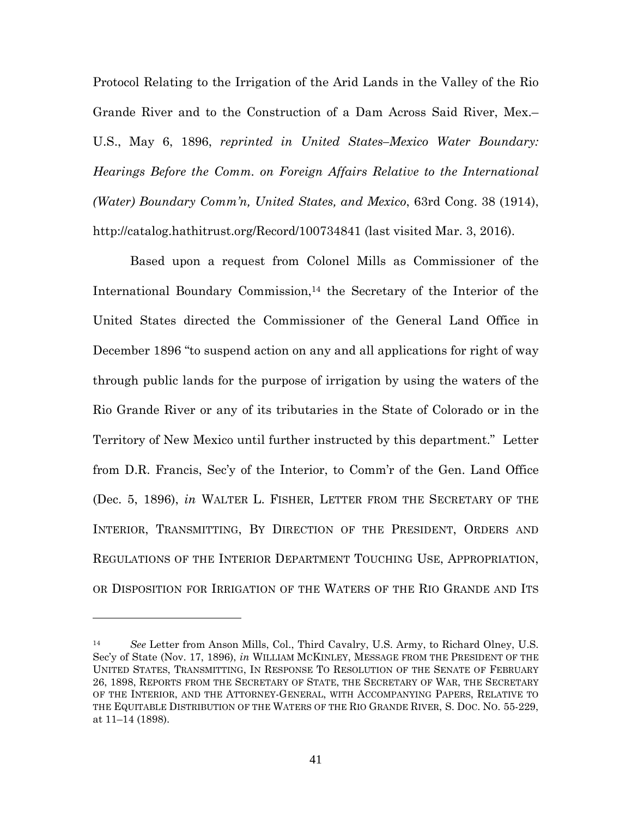Protocol Relating to the Irrigation of the Arid Lands in the Valley of the Rio Grande River and to the Construction of a Dam Across Said River, Mex.– U.S., May 6, 1896, *reprinted in United States–Mexico Water Boundary: Hearings Before the Comm. on Foreign Affairs Relative to the International (Water) Boundary Comm'n, United States, and Mexico*, 63rd Cong. 38 (1914), http://catalog.hathitrust.org/Record/100734841 (last visited Mar. 3, 2016).

Based upon a request from Colonel Mills as Commissioner of the International Boundary Commission,<sup>14</sup> the Secretary of the Interior of the United States directed the Commissioner of the General Land Office in December 1896 "to suspend action on any and all applications for right of way through public lands for the purpose of irrigation by using the waters of the Rio Grande River or any of its tributaries in the State of Colorado or in the Territory of New Mexico until further instructed by this department." Letter from D.R. Francis, Sec'y of the Interior, to Comm'r of the Gen. Land Office (Dec. 5, 1896), *in* WALTER L. FISHER, LETTER FROM THE SECRETARY OF THE INTERIOR, TRANSMITTING, BY DIRECTION OF THE PRESIDENT, ORDERS AND REGULATIONS OF THE INTERIOR DEPARTMENT TOUCHING USE, APPROPRIATION, OR DISPOSITION FOR IRRIGATION OF THE WATERS OF THE RIO GRANDE AND ITS

<sup>14</sup> *See* Letter from Anson Mills, Col., Third Cavalry, U.S. Army, to Richard Olney, U.S. Sec'y of State (Nov. 17, 1896), *in* WILLIAM MCKINLEY, MESSAGE FROM THE PRESIDENT OF THE UNITED STATES, TRANSMITTING, IN RESPONSE TO RESOLUTION OF THE SENATE OF FEBRUARY 26, 1898, REPORTS FROM THE SECRETARY OF STATE, THE SECRETARY OF WAR, THE SECRETARY OF THE INTERIOR, AND THE ATTORNEY-GENERAL, WITH ACCOMPANYING PAPERS, RELATIVE TO THE EQUITABLE DISTRIBUTION OF THE WATERS OF THE RIO GRANDE RIVER, S. DOC. NO. 55-229, at 11–14 (1898).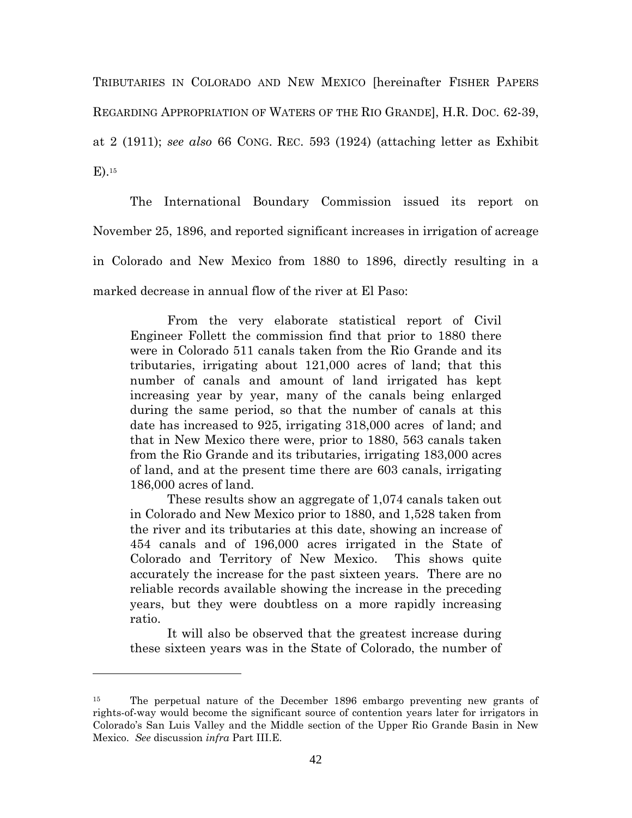TRIBUTARIES IN COLORADO AND NEW MEXICO [hereinafter FISHER PAPERS REGARDING APPROPRIATION OF WATERS OF THE RIO GRANDE], H.R. DOC. 62-39, at 2 (1911); *see also* 66 CONG. REC. 593 (1924) (attaching letter as Exhibit E).<sup>15</sup>

The International Boundary Commission issued its report on November 25, 1896, and reported significant increases in irrigation of acreage in Colorado and New Mexico from 1880 to 1896, directly resulting in a marked decrease in annual flow of the river at El Paso:

From the very elaborate statistical report of Civil Engineer Follett the commission find that prior to 1880 there were in Colorado 511 canals taken from the Rio Grande and its tributaries, irrigating about 121,000 acres of land; that this number of canals and amount of land irrigated has kept increasing year by year, many of the canals being enlarged during the same period, so that the number of canals at this date has increased to 925, irrigating 318,000 acres of land; and that in New Mexico there were, prior to 1880, 563 canals taken from the Rio Grande and its tributaries, irrigating 183,000 acres of land, and at the present time there are 603 canals, irrigating 186,000 acres of land.

These results show an aggregate of 1,074 canals taken out in Colorado and New Mexico prior to 1880, and 1,528 taken from the river and its tributaries at this date, showing an increase of 454 canals and of 196,000 acres irrigated in the State of Colorado and Territory of New Mexico. This shows quite accurately the increase for the past sixteen years. There are no reliable records available showing the increase in the preceding years, but they were doubtless on a more rapidly increasing ratio.

It will also be observed that the greatest increase during these sixteen years was in the State of Colorado, the number of

<sup>15</sup> The perpetual nature of the December 1896 embargo preventing new grants of rights-of-way would become the significant source of contention years later for irrigators in Colorado's San Luis Valley and the Middle section of the Upper Rio Grande Basin in New Mexico. *See* discussion *infra* Part III.E.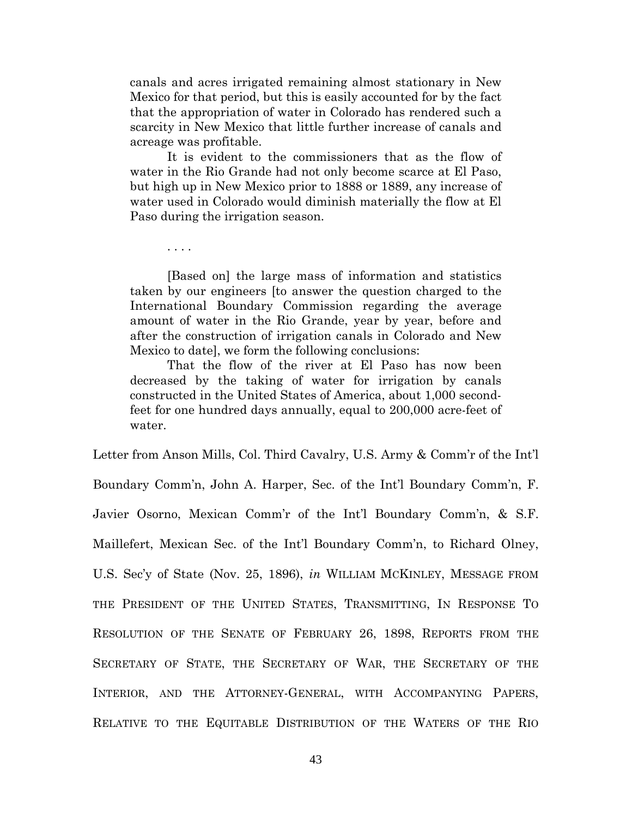canals and acres irrigated remaining almost stationary in New Mexico for that period, but this is easily accounted for by the fact that the appropriation of water in Colorado has rendered such a scarcity in New Mexico that little further increase of canals and acreage was profitable.

It is evident to the commissioners that as the flow of water in the Rio Grande had not only become scarce at El Paso, but high up in New Mexico prior to 1888 or 1889, any increase of water used in Colorado would diminish materially the flow at El Paso during the irrigation season.

. . . .

[Based on] the large mass of information and statistics taken by our engineers [to answer the question charged to the International Boundary Commission regarding the average amount of water in the Rio Grande, year by year, before and after the construction of irrigation canals in Colorado and New Mexico to date], we form the following conclusions:

That the flow of the river at El Paso has now been decreased by the taking of water for irrigation by canals constructed in the United States of America, about 1,000 secondfeet for one hundred days annually, equal to 200,000 acre-feet of water.

Letter from Anson Mills, Col. Third Cavalry, U.S. Army & Comm'r of the Int'l Boundary Comm'n, John A. Harper, Sec. of the Int'l Boundary Comm'n, F. Javier Osorno, Mexican Comm'r of the Int'l Boundary Comm'n, & S.F. Maillefert, Mexican Sec. of the Int'l Boundary Comm'n, to Richard Olney, U.S. Sec'y of State (Nov. 25, 1896), *in* WILLIAM MCKINLEY, MESSAGE FROM THE PRESIDENT OF THE UNITED STATES, TRANSMITTING, IN RESPONSE TO RESOLUTION OF THE SENATE OF FEBRUARY 26, 1898, REPORTS FROM THE SECRETARY OF STATE, THE SECRETARY OF WAR, THE SECRETARY OF THE INTERIOR, AND THE ATTORNEY-GENERAL, WITH ACCOMPANYING PAPERS, RELATIVE TO THE EQUITABLE DISTRIBUTION OF THE WATERS OF THE RIO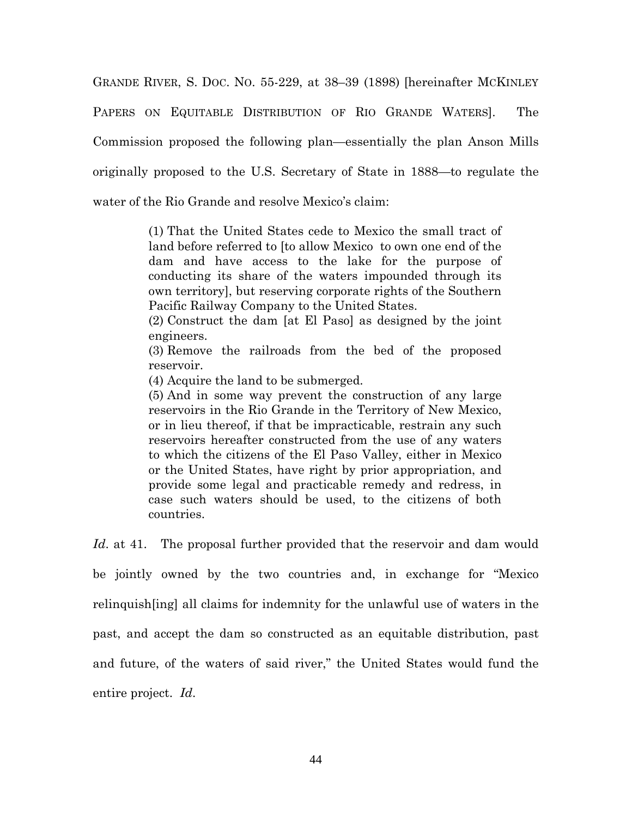GRANDE RIVER, S. DOC. NO. 55-229, at 38–39 (1898) [hereinafter MCKINLEY PAPERS ON EQUITABLE DISTRIBUTION OF RIO GRANDE WATERS]. The Commission proposed the following plan—essentially the plan Anson Mills originally proposed to the U.S. Secretary of State in 1888—to regulate the water of the Rio Grande and resolve Mexico's claim:

> (1) That the United States cede to Mexico the small tract of land before referred to [to allow Mexico to own one end of the dam and have access to the lake for the purpose of conducting its share of the waters impounded through its own territory], but reserving corporate rights of the Southern Pacific Railway Company to the United States.

> (2) Construct the dam [at El Paso] as designed by the joint engineers.

> (3) Remove the railroads from the bed of the proposed reservoir.

(4) Acquire the land to be submerged.

(5) And in some way prevent the construction of any large reservoirs in the Rio Grande in the Territory of New Mexico, or in lieu thereof, if that be impracticable, restrain any such reservoirs hereafter constructed from the use of any waters to which the citizens of the El Paso Valley, either in Mexico or the United States, have right by prior appropriation, and provide some legal and practicable remedy and redress, in case such waters should be used, to the citizens of both countries.

*Id*. at 41. The proposal further provided that the reservoir and dam would be jointly owned by the two countries and, in exchange for "Mexico relinquish[ing] all claims for indemnity for the unlawful use of waters in the past, and accept the dam so constructed as an equitable distribution, past and future, of the waters of said river," the United States would fund the entire project. *Id*.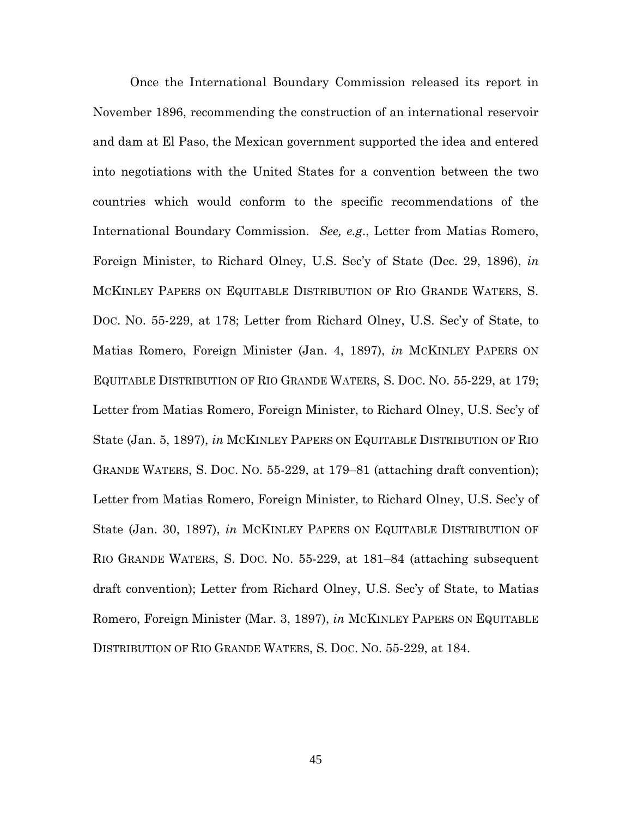Once the International Boundary Commission released its report in November 1896, recommending the construction of an international reservoir and dam at El Paso, the Mexican government supported the idea and entered into negotiations with the United States for a convention between the two countries which would conform to the specific recommendations of the International Boundary Commission. *See, e.g*., Letter from Matias Romero, Foreign Minister, to Richard Olney, U.S. Sec'y of State (Dec. 29, 1896), *in* MCKINLEY PAPERS ON EQUITABLE DISTRIBUTION OF RIO GRANDE WATERS, S. DOC. NO. 55-229, at 178; Letter from Richard Olney, U.S. Sec'y of State, to Matias Romero, Foreign Minister (Jan. 4, 1897), *in* MCKINLEY PAPERS ON EQUITABLE DISTRIBUTION OF RIO GRANDE WATERS, S. DOC. NO. 55-229, at 179; Letter from Matias Romero, Foreign Minister, to Richard Olney, U.S. Sec'y of State (Jan. 5, 1897), *in* MCKINLEY PAPERS ON EQUITABLE DISTRIBUTION OF RIO GRANDE WATERS, S. DOC. NO. 55-229, at 179–81 (attaching draft convention); Letter from Matias Romero, Foreign Minister, to Richard Olney, U.S. Sec'y of State (Jan. 30, 1897), *in* MCKINLEY PAPERS ON EQUITABLE DISTRIBUTION OF RIO GRANDE WATERS, S. DOC. NO. 55-229, at 181–84 (attaching subsequent draft convention); Letter from Richard Olney, U.S. Sec'y of State, to Matias Romero, Foreign Minister (Mar. 3, 1897), *in* MCKINLEY PAPERS ON EQUITABLE DISTRIBUTION OF RIO GRANDE WATERS, S. DOC. NO. 55-229, at 184.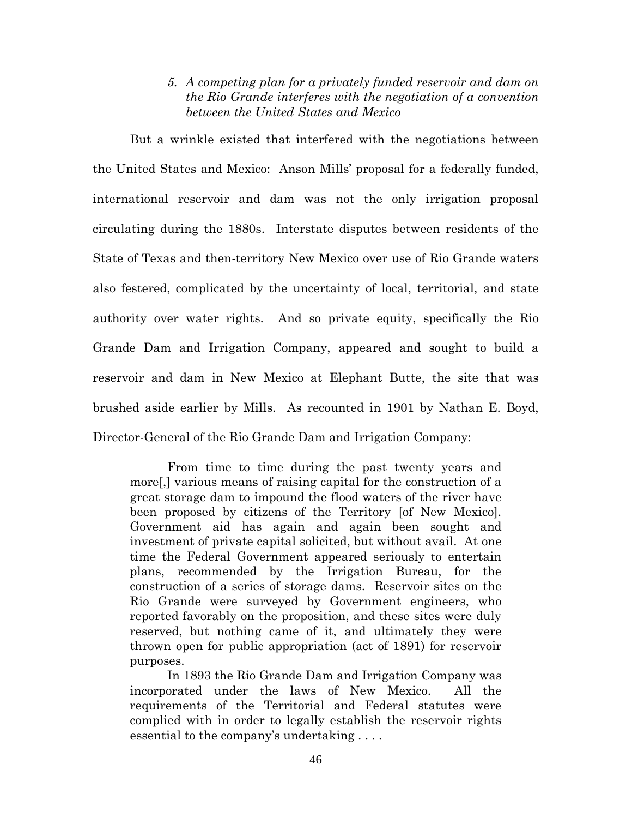## *5. A competing plan for a privately funded reservoir and dam on the Rio Grande interferes with the negotiation of a convention between the United States and Mexico*

But a wrinkle existed that interfered with the negotiations between the United States and Mexico: Anson Mills' proposal for a federally funded, international reservoir and dam was not the only irrigation proposal circulating during the 1880s. Interstate disputes between residents of the State of Texas and then-territory New Mexico over use of Rio Grande waters also festered, complicated by the uncertainty of local, territorial, and state authority over water rights. And so private equity, specifically the Rio Grande Dam and Irrigation Company, appeared and sought to build a reservoir and dam in New Mexico at Elephant Butte, the site that was brushed aside earlier by Mills. As recounted in 1901 by Nathan E. Boyd, Director-General of the Rio Grande Dam and Irrigation Company:

From time to time during the past twenty years and more[,] various means of raising capital for the construction of a great storage dam to impound the flood waters of the river have been proposed by citizens of the Territory [of New Mexico]. Government aid has again and again been sought and investment of private capital solicited, but without avail. At one time the Federal Government appeared seriously to entertain plans, recommended by the Irrigation Bureau, for the construction of a series of storage dams. Reservoir sites on the Rio Grande were surveyed by Government engineers, who reported favorably on the proposition, and these sites were duly reserved, but nothing came of it, and ultimately they were thrown open for public appropriation (act of 1891) for reservoir purposes.

In 1893 the Rio Grande Dam and Irrigation Company was incorporated under the laws of New Mexico. All the requirements of the Territorial and Federal statutes were complied with in order to legally establish the reservoir rights essential to the company's undertaking . . . .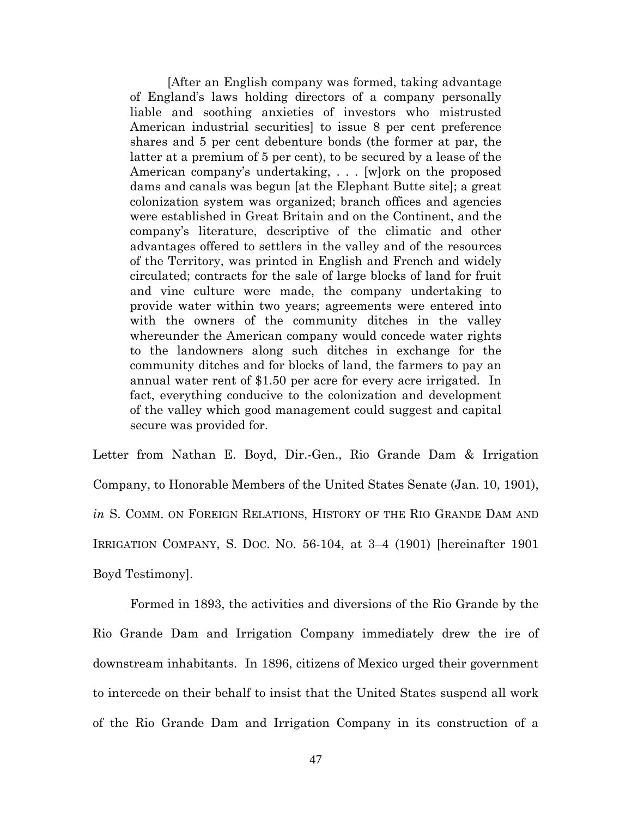[After an English company was formed, taking advantage of England's laws holding directors of a company personally liable and soothing anxieties of investors who mistrusted American industrial securities] to issue 8 per cent preference shares and 5 per cent debenture bonds (the former at par, the latter at a premium of 5 per cent), to be secured by a lease of the American company's undertaking, . . . [w]ork on the proposed dams and canals was begun [at the Elephant Butte site]; a great colonization system was organized; branch offices and agencies were established in Great Britain and on the Continent, and the company's literature, descriptive of the climatic and other advantages offered to settlers in the valley and of the resources of the Territory, was printed in English and French and widely circulated; contracts for the sale of large blocks of land for fruit and vine culture were made, the company undertaking to provide water within two years; agreements were entered into with the owners of the community ditches in the valley whereunder the American company would concede water rights to the landowners along such ditches in exchange for the community ditches and for blocks of land, the farmers to pay an annual water rent of \$1.50 per acre for every acre irrigated. In fact, everything conducive to the colonization and development of the valley which good management could suggest and capital secure was provided for.

Letter from Nathan E. Boyd, Dir.-Gen., Rio Grande Dam & Irrigation Company, to Honorable Members of the United States Senate (Jan. 10, 1901), *in* S. COMM. ON FOREIGN RELATIONS, HISTORY OF THE RIO GRANDE DAM AND IRRIGATION COMPANY, S. DOC. NO. 56-104, at 3–4 (1901) [hereinafter 1901 Boyd Testimony].

Formed in 1893, the activities and diversions of the Rio Grande by the Rio Grande Dam and Irrigation Company immediately drew the ire of downstream inhabitants. In 1896, citizens of Mexico urged their government to intercede on their behalf to insist that the United States suspend all work of the Rio Grande Dam and Irrigation Company in its construction of a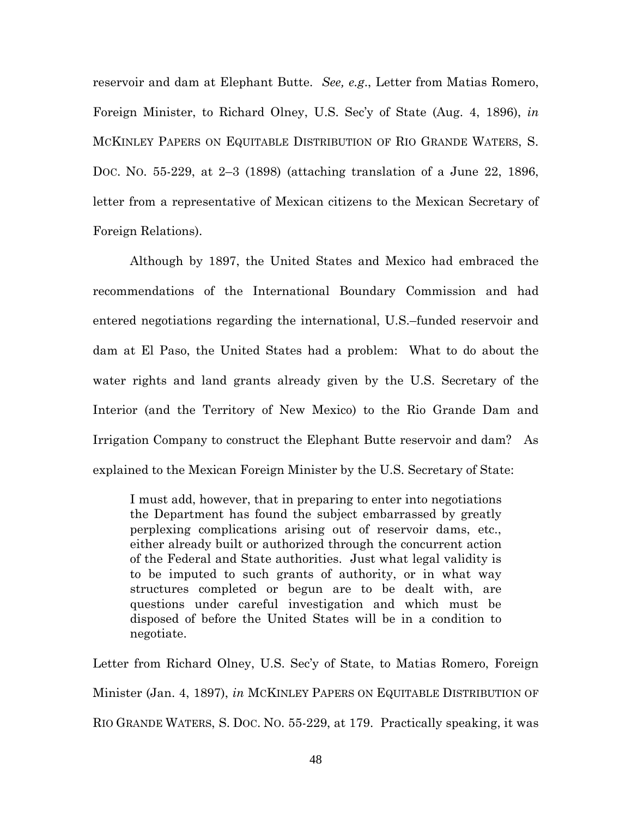reservoir and dam at Elephant Butte. *See, e.g*., Letter from Matias Romero, Foreign Minister, to Richard Olney, U.S. Sec'y of State (Aug. 4, 1896), *in* MCKINLEY PAPERS ON EQUITABLE DISTRIBUTION OF RIO GRANDE WATERS, S. DOC. NO. 55-229, at 2–3 (1898) (attaching translation of a June 22, 1896, letter from a representative of Mexican citizens to the Mexican Secretary of Foreign Relations).

Although by 1897, the United States and Mexico had embraced the recommendations of the International Boundary Commission and had entered negotiations regarding the international, U.S.–funded reservoir and dam at El Paso, the United States had a problem: What to do about the water rights and land grants already given by the U.S. Secretary of the Interior (and the Territory of New Mexico) to the Rio Grande Dam and Irrigation Company to construct the Elephant Butte reservoir and dam? As explained to the Mexican Foreign Minister by the U.S. Secretary of State:

I must add, however, that in preparing to enter into negotiations the Department has found the subject embarrassed by greatly perplexing complications arising out of reservoir dams, etc., either already built or authorized through the concurrent action of the Federal and State authorities. Just what legal validity is to be imputed to such grants of authority, or in what way structures completed or begun are to be dealt with, are questions under careful investigation and which must be disposed of before the United States will be in a condition to negotiate.

Letter from Richard Olney, U.S. Sec'y of State, to Matias Romero, Foreign Minister (Jan. 4, 1897), *in* MCKINLEY PAPERS ON EQUITABLE DISTRIBUTION OF RIO GRANDE WATERS, S. DOC. NO. 55-229, at 179. Practically speaking, it was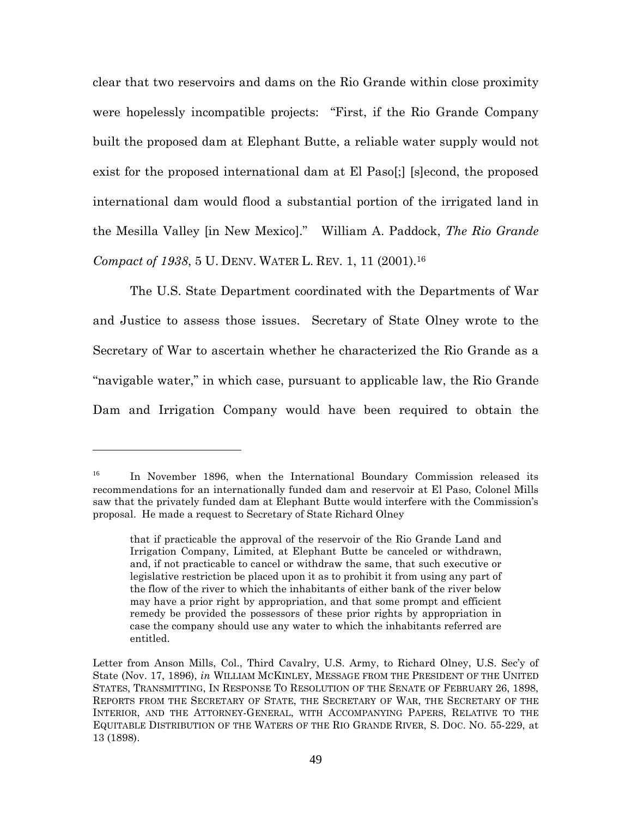clear that two reservoirs and dams on the Rio Grande within close proximity were hopelessly incompatible projects: "First, if the Rio Grande Company built the proposed dam at Elephant Butte, a reliable water supply would not exist for the proposed international dam at El Paso[;] [s]econd, the proposed international dam would flood a substantial portion of the irrigated land in the Mesilla Valley [in New Mexico]." William A. Paddock, *The Rio Grande Compact of 1938*, 5 U. DENV. WATER L. REV. 1, 11 (2001).<sup>16</sup>

The U.S. State Department coordinated with the Departments of War and Justice to assess those issues. Secretary of State Olney wrote to the Secretary of War to ascertain whether he characterized the Rio Grande as a "navigable water," in which case, pursuant to applicable law, the Rio Grande Dam and Irrigation Company would have been required to obtain the

<sup>&</sup>lt;sup>16</sup> In November 1896, when the International Boundary Commission released its recommendations for an internationally funded dam and reservoir at El Paso, Colonel Mills saw that the privately funded dam at Elephant Butte would interfere with the Commission's proposal. He made a request to Secretary of State Richard Olney

that if practicable the approval of the reservoir of the Rio Grande Land and Irrigation Company, Limited, at Elephant Butte be canceled or withdrawn, and, if not practicable to cancel or withdraw the same, that such executive or legislative restriction be placed upon it as to prohibit it from using any part of the flow of the river to which the inhabitants of either bank of the river below may have a prior right by appropriation, and that some prompt and efficient remedy be provided the possessors of these prior rights by appropriation in case the company should use any water to which the inhabitants referred are entitled.

Letter from Anson Mills, Col., Third Cavalry, U.S. Army, to Richard Olney, U.S. Sec'y of State (Nov. 17, 1896), *in* WILLIAM MCKINLEY, MESSAGE FROM THE PRESIDENT OF THE UNITED STATES, TRANSMITTING, IN RESPONSE TO RESOLUTION OF THE SENATE OF FEBRUARY 26, 1898, REPORTS FROM THE SECRETARY OF STATE, THE SECRETARY OF WAR, THE SECRETARY OF THE INTERIOR, AND THE ATTORNEY-GENERAL, WITH ACCOMPANYING PAPERS, RELATIVE TO THE EQUITABLE DISTRIBUTION OF THE WATERS OF THE RIO GRANDE RIVER, S. DOC. NO. 55-229, at 13 (1898).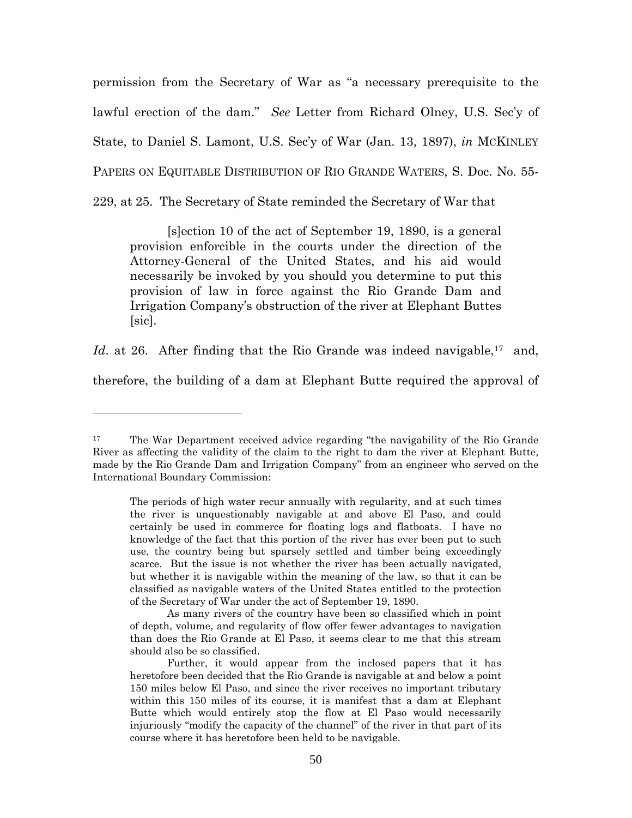permission from the Secretary of War as "a necessary prerequisite to the lawful erection of the dam." *See* Letter from Richard Olney, U.S. Sec'y of State, to Daniel S. Lamont, U.S. Sec'y of War (Jan. 13, 1897), *in* MCKINLEY PAPERS ON EQUITABLE DISTRIBUTION OF RIO GRANDE WATERS, S. Doc. No. 55-

229, at 25. The Secretary of State reminded the Secretary of War that

[s]ection 10 of the act of September 19, 1890, is a general provision enforcible in the courts under the direction of the Attorney-General of the United States, and his aid would necessarily be invoked by you should you determine to put this provision of law in force against the Rio Grande Dam and Irrigation Company's obstruction of the river at Elephant Buttes  $|\text{sic}|$ .

*Id.* at 26. After finding that the Rio Grande was indeed navigable,<sup>17</sup> and, therefore, the building of a dam at Elephant Butte required the approval of

<sup>&</sup>lt;sup>17</sup> The War Department received advice regarding "the navigability of the Rio Grande River as affecting the validity of the claim to the right to dam the river at Elephant Butte, made by the Rio Grande Dam and Irrigation Company" from an engineer who served on the International Boundary Commission:

The periods of high water recur annually with regularity, and at such times the river is unquestionably navigable at and above El Paso, and could certainly be used in commerce for floating logs and flatboats. I have no knowledge of the fact that this portion of the river has ever been put to such use, the country being but sparsely settled and timber being exceedingly scarce. But the issue is not whether the river has been actually navigated, but whether it is navigable within the meaning of the law, so that it can be classified as navigable waters of the United States entitled to the protection of the Secretary of War under the act of September 19, 1890.

As many rivers of the country have been so classified which in point of depth, volume, and regularity of flow offer fewer advantages to navigation than does the Rio Grande at El Paso, it seems clear to me that this stream should also be so classified.

Further, it would appear from the inclosed papers that it has heretofore been decided that the Rio Grande is navigable at and below a point 150 miles below El Paso, and since the river receives no important tributary within this 150 miles of its course, it is manifest that a dam at Elephant Butte which would entirely stop the flow at El Paso would necessarily injuriously "modify the capacity of the channel" of the river in that part of its course where it has heretofore been held to be navigable.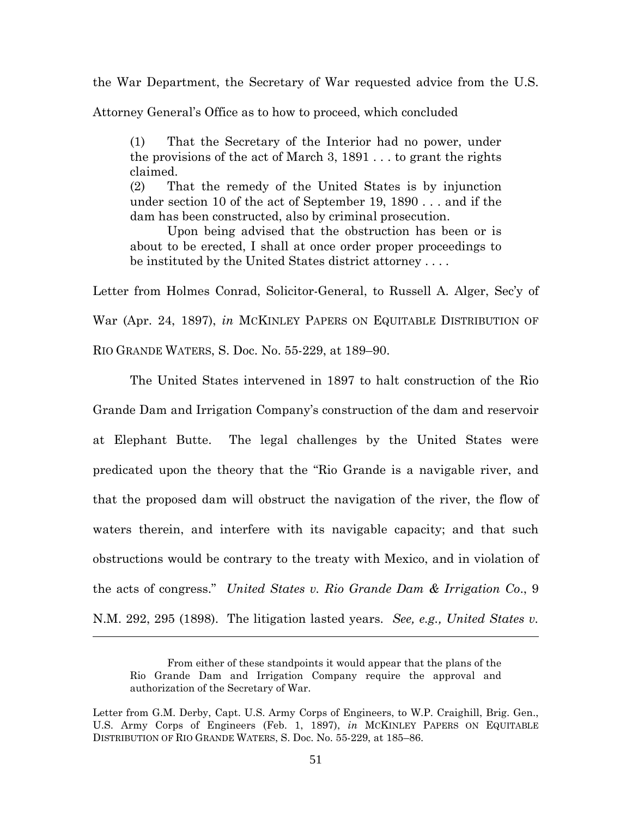the War Department, the Secretary of War requested advice from the U.S.

Attorney General's Office as to how to proceed, which concluded

(1) That the Secretary of the Interior had no power, under the provisions of the act of March 3, 1891 . . . to grant the rights claimed.

(2) That the remedy of the United States is by injunction under section 10 of the act of September 19, 1890 . . . and if the dam has been constructed, also by criminal prosecution.

Upon being advised that the obstruction has been or is about to be erected, I shall at once order proper proceedings to be instituted by the United States district attorney . . . .

Letter from Holmes Conrad, Solicitor-General, to Russell A. Alger, Sec'y of War (Apr. 24, 1897), *in* MCKINLEY PAPERS ON EQUITABLE DISTRIBUTION OF RIO GRANDE WATERS, S. Doc. No. 55-229, at 189–90.

The United States intervened in 1897 to halt construction of the Rio Grande Dam and Irrigation Company's construction of the dam and reservoir at Elephant Butte. The legal challenges by the United States were predicated upon the theory that the "Rio Grande is a navigable river, and that the proposed dam will obstruct the navigation of the river, the flow of waters therein, and interfere with its navigable capacity; and that such obstructions would be contrary to the treaty with Mexico, and in violation of the acts of congress." *United States v. Rio Grande Dam & Irrigation Co*., 9 N.M. 292, 295 (1898). The litigation lasted years. *See, e.g., United States v.*

From either of these standpoints it would appear that the plans of the Rio Grande Dam and Irrigation Company require the approval and authorization of the Secretary of War.

Letter from G.M. Derby, Capt. U.S. Army Corps of Engineers, to W.P. Craighill, Brig. Gen., U.S. Army Corps of Engineers (Feb. 1, 1897), *in* MCKINLEY PAPERS ON EQUITABLE DISTRIBUTION OF RIO GRANDE WATERS, S. Doc. No. 55-229, at 185–86.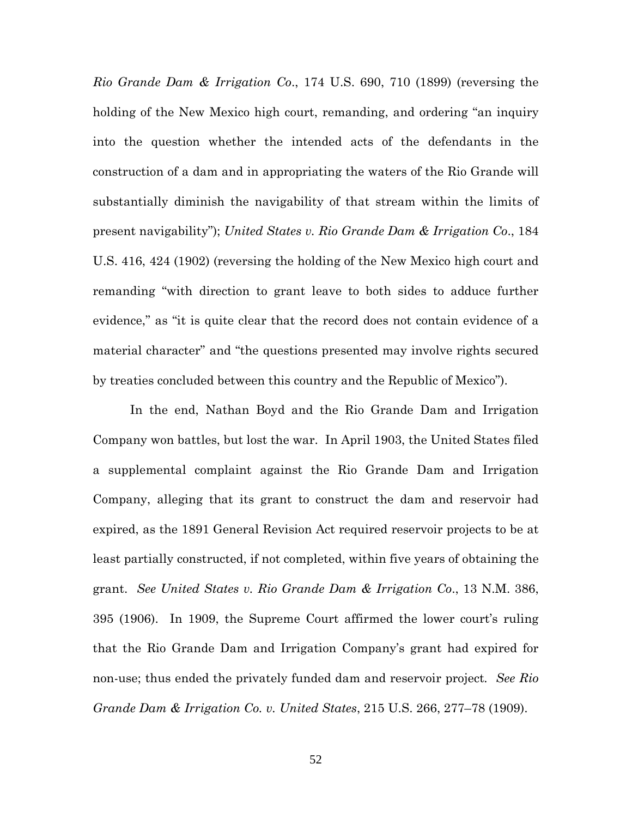*Rio Grande Dam & Irrigation Co*., 174 U.S. 690, 710 (1899) (reversing the holding of the New Mexico high court, remanding, and ordering "an inquiry into the question whether the intended acts of the defendants in the construction of a dam and in appropriating the waters of the Rio Grande will substantially diminish the navigability of that stream within the limits of present navigability"); *United States v. Rio Grande Dam & Irrigation Co*., 184 U.S. 416, 424 (1902) (reversing the holding of the New Mexico high court and remanding "with direction to grant leave to both sides to adduce further evidence," as "it is quite clear that the record does not contain evidence of a material character" and "the questions presented may involve rights secured by treaties concluded between this country and the Republic of Mexico").

In the end, Nathan Boyd and the Rio Grande Dam and Irrigation Company won battles, but lost the war. In April 1903, the United States filed a supplemental complaint against the Rio Grande Dam and Irrigation Company, alleging that its grant to construct the dam and reservoir had expired, as the 1891 General Revision Act required reservoir projects to be at least partially constructed, if not completed, within five years of obtaining the grant. *See United States v. Rio Grande Dam & Irrigation Co*., 13 N.M. 386, 395 (1906). In 1909, the Supreme Court affirmed the lower court's ruling that the Rio Grande Dam and Irrigation Company's grant had expired for non-use; thus ended the privately funded dam and reservoir project*. See Rio Grande Dam & Irrigation Co. v. United States*, 215 U.S. 266, 277–78 (1909).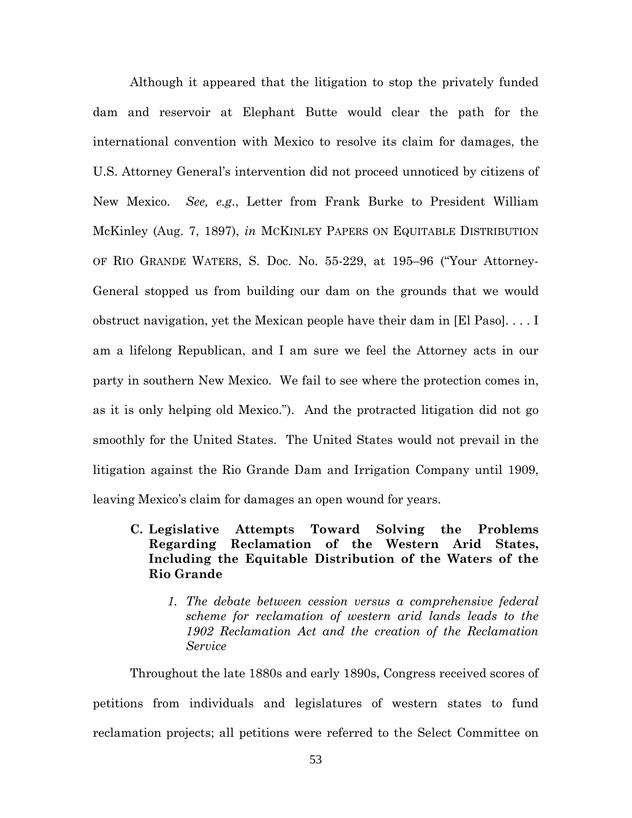Although it appeared that the litigation to stop the privately funded dam and reservoir at Elephant Butte would clear the path for the international convention with Mexico to resolve its claim for damages, the U.S. Attorney General's intervention did not proceed unnoticed by citizens of New Mexico. *See, e.g*., Letter from Frank Burke to President William McKinley (Aug. 7, 1897), *in* MCKINLEY PAPERS ON EQUITABLE DISTRIBUTION OF RIO GRANDE WATERS, S. Doc. No. 55-229, at 195–96 ("Your Attorney-General stopped us from building our dam on the grounds that we would obstruct navigation, yet the Mexican people have their dam in [El Paso]. . . . I am a lifelong Republican, and I am sure we feel the Attorney acts in our party in southern New Mexico. We fail to see where the protection comes in, as it is only helping old Mexico."). And the protracted litigation did not go smoothly for the United States. The United States would not prevail in the litigation against the Rio Grande Dam and Irrigation Company until 1909, leaving Mexico's claim for damages an open wound for years.

## **C. Legislative Attempts Toward Solving the Problems Regarding Reclamation of the Western Arid States, Including the Equitable Distribution of the Waters of the Rio Grande**

*1. The debate between cession versus a comprehensive federal scheme for reclamation of western arid lands leads to the 1902 Reclamation Act and the creation of the Reclamation Service*

Throughout the late 1880s and early 1890s, Congress received scores of petitions from individuals and legislatures of western states to fund reclamation projects; all petitions were referred to the Select Committee on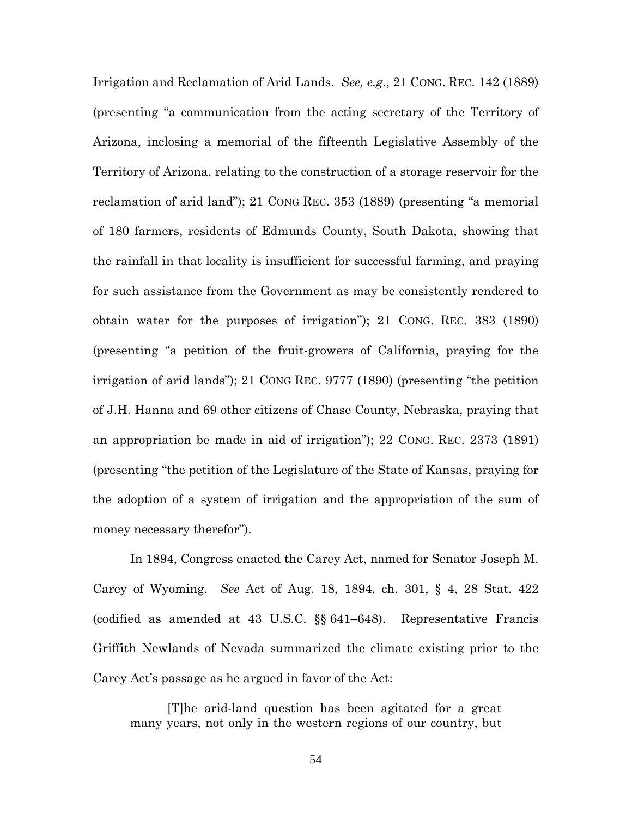Irrigation and Reclamation of Arid Lands. *See, e.g*., 21 CONG. REC. 142 (1889) (presenting "a communication from the acting secretary of the Territory of Arizona, inclosing a memorial of the fifteenth Legislative Assembly of the Territory of Arizona, relating to the construction of a storage reservoir for the reclamation of arid land"); 21 CONG REC. 353 (1889) (presenting "a memorial of 180 farmers, residents of Edmunds County, South Dakota, showing that the rainfall in that locality is insufficient for successful farming, and praying for such assistance from the Government as may be consistently rendered to obtain water for the purposes of irrigation"); 21 CONG. REC. 383 (1890) (presenting "a petition of the fruit-growers of California, praying for the irrigation of arid lands"); 21 CONG REC. 9777 (1890) (presenting "the petition of J.H. Hanna and 69 other citizens of Chase County, Nebraska, praying that an appropriation be made in aid of irrigation"); 22 CONG. REC. 2373 (1891) (presenting "the petition of the Legislature of the State of Kansas, praying for the adoption of a system of irrigation and the appropriation of the sum of money necessary therefor").

In 1894, Congress enacted the Carey Act, named for Senator Joseph M. Carey of Wyoming. *See* Act of Aug. 18, 1894, ch. 301, § 4, 28 Stat. 422 (codified as amended at 43 U.S.C. §§ 641–648). Representative Francis Griffith Newlands of Nevada summarized the climate existing prior to the Carey Act's passage as he argued in favor of the Act:

[T]he arid-land question has been agitated for a great many years, not only in the western regions of our country, but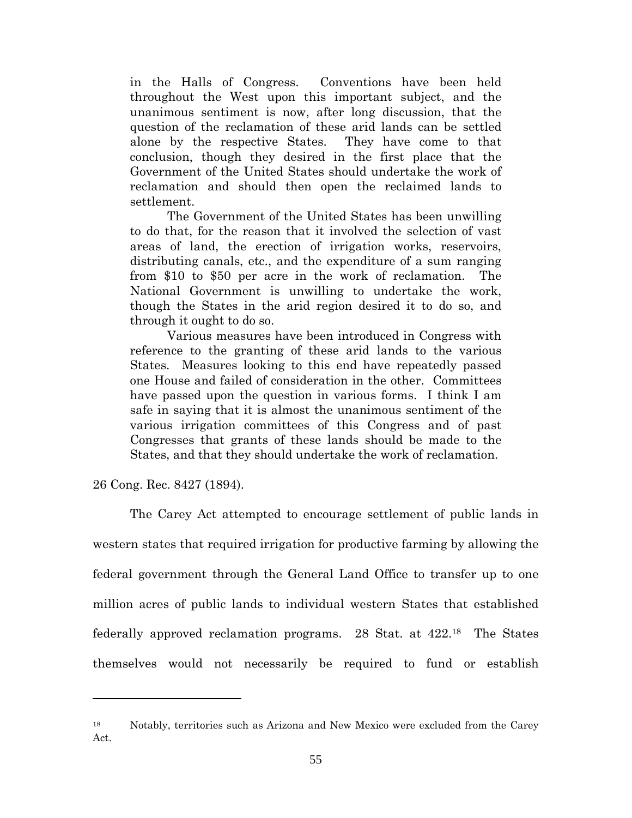in the Halls of Congress. Conventions have been held throughout the West upon this important subject, and the unanimous sentiment is now, after long discussion, that the question of the reclamation of these arid lands can be settled alone by the respective States. They have come to that conclusion, though they desired in the first place that the Government of the United States should undertake the work of reclamation and should then open the reclaimed lands to settlement.

The Government of the United States has been unwilling to do that, for the reason that it involved the selection of vast areas of land, the erection of irrigation works, reservoirs, distributing canals, etc., and the expenditure of a sum ranging from \$10 to \$50 per acre in the work of reclamation. The National Government is unwilling to undertake the work, though the States in the arid region desired it to do so, and through it ought to do so.

Various measures have been introduced in Congress with reference to the granting of these arid lands to the various States. Measures looking to this end have repeatedly passed one House and failed of consideration in the other. Committees have passed upon the question in various forms. I think I am safe in saying that it is almost the unanimous sentiment of the various irrigation committees of this Congress and of past Congresses that grants of these lands should be made to the States, and that they should undertake the work of reclamation.

26 Cong. Rec. 8427 (1894).

The Carey Act attempted to encourage settlement of public lands in western states that required irrigation for productive farming by allowing the federal government through the General Land Office to transfer up to one million acres of public lands to individual western States that established federally approved reclamation programs. 28 Stat. at 422.<sup>18</sup> The States themselves would not necessarily be required to fund or establish

<sup>18</sup> Notably, territories such as Arizona and New Mexico were excluded from the Carey Act.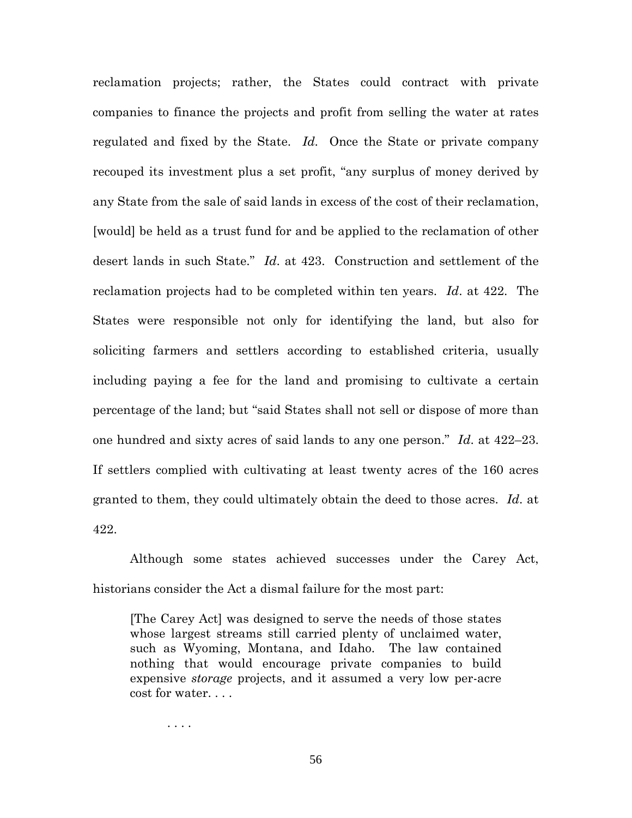reclamation projects; rather, the States could contract with private companies to finance the projects and profit from selling the water at rates regulated and fixed by the State. *Id*. Once the State or private company recouped its investment plus a set profit, "any surplus of money derived by any State from the sale of said lands in excess of the cost of their reclamation, [would] be held as a trust fund for and be applied to the reclamation of other desert lands in such State." *Id*. at 423. Construction and settlement of the reclamation projects had to be completed within ten years. *Id*. at 422. The States were responsible not only for identifying the land, but also for soliciting farmers and settlers according to established criteria, usually including paying a fee for the land and promising to cultivate a certain percentage of the land; but "said States shall not sell or dispose of more than one hundred and sixty acres of said lands to any one person." *Id*. at 422–23. If settlers complied with cultivating at least twenty acres of the 160 acres granted to them, they could ultimately obtain the deed to those acres. *Id*. at 422.

Although some states achieved successes under the Carey Act, historians consider the Act a dismal failure for the most part:

[The Carey Act] was designed to serve the needs of those states whose largest streams still carried plenty of unclaimed water, such as Wyoming, Montana, and Idaho. The law contained nothing that would encourage private companies to build expensive *storage* projects, and it assumed a very low per-acre cost for water. . . .

. . . .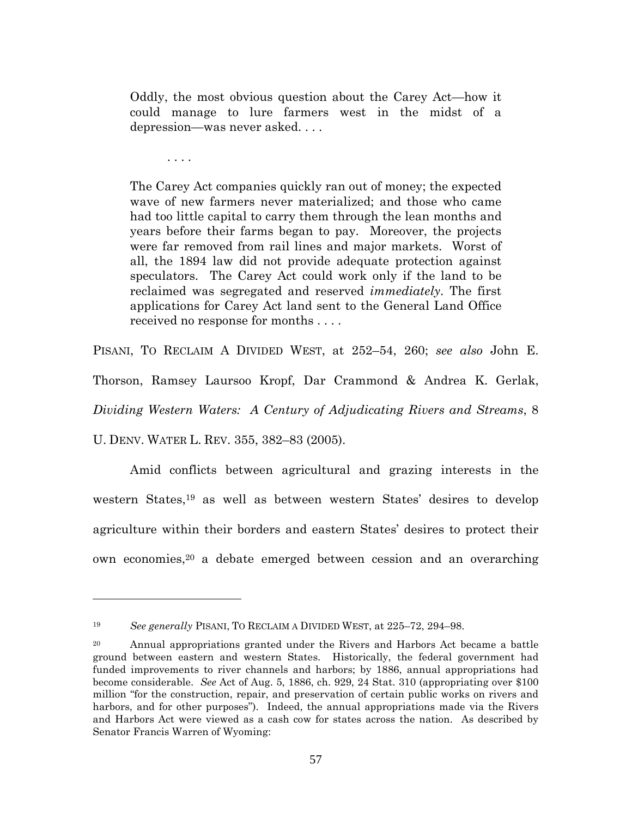Oddly, the most obvious question about the Carey Act—how it could manage to lure farmers west in the midst of a depression—was never asked. . . .

. . . .

The Carey Act companies quickly ran out of money; the expected wave of new farmers never materialized; and those who came had too little capital to carry them through the lean months and years before their farms began to pay. Moreover, the projects were far removed from rail lines and major markets. Worst of all, the 1894 law did not provide adequate protection against speculators. The Carey Act could work only if the land to be reclaimed was segregated and reserved *immediately*. The first applications for Carey Act land sent to the General Land Office received no response for months . . . .

PISANI, TO RECLAIM A DIVIDED WEST, at 252–54, 260; *see also* John E. Thorson, Ramsey Laursoo Kropf, Dar Crammond & Andrea K. Gerlak, *Dividing Western Waters: A Century of Adjudicating Rivers and Streams*, 8 U. DENV. WATER L. REV. 355, 382–83 (2005).

Amid conflicts between agricultural and grazing interests in the western States,<sup>19</sup> as well as between western States' desires to develop agriculture within their borders and eastern States' desires to protect their own economies,<sup>20</sup> a debate emerged between cession and an overarching

<sup>19</sup> *See generally* PISANI, TO RECLAIM A DIVIDED WEST, at 225–72, 294–98.

<sup>&</sup>lt;sup>20</sup> Annual appropriations granted under the Rivers and Harbors Act became a battle ground between eastern and western States. Historically, the federal government had funded improvements to river channels and harbors; by 1886, annual appropriations had become considerable. *See* Act of Aug. 5, 1886, ch. 929, 24 Stat. 310 (appropriating over \$100 million "for the construction, repair, and preservation of certain public works on rivers and harbors, and for other purposes"). Indeed, the annual appropriations made via the Rivers and Harbors Act were viewed as a cash cow for states across the nation. As described by Senator Francis Warren of Wyoming: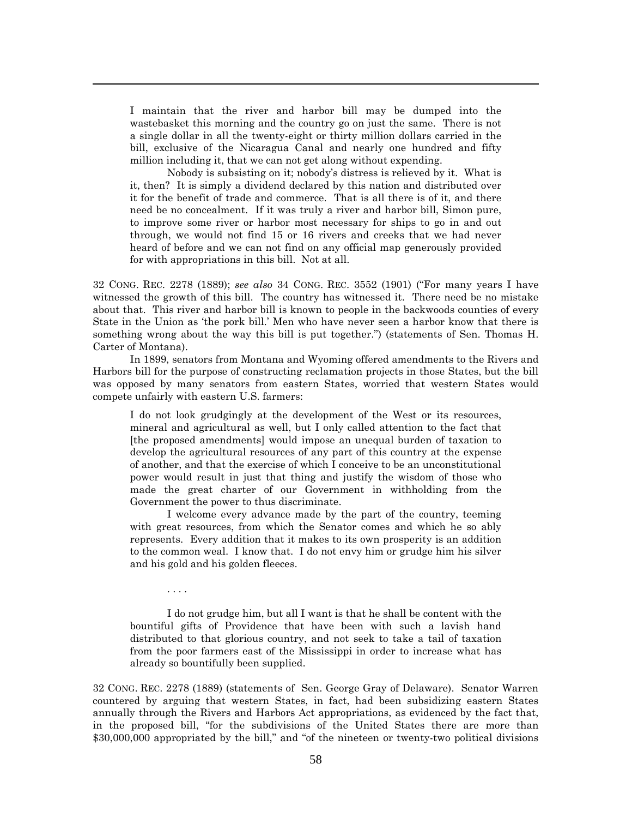I maintain that the river and harbor bill may be dumped into the wastebasket this morning and the country go on just the same. There is not a single dollar in all the twenty-eight or thirty million dollars carried in the bill, exclusive of the Nicaragua Canal and nearly one hundred and fifty million including it, that we can not get along without expending.

Nobody is subsisting on it; nobody's distress is relieved by it. What is it, then? It is simply a dividend declared by this nation and distributed over it for the benefit of trade and commerce. That is all there is of it, and there need be no concealment. If it was truly a river and harbor bill, Simon pure, to improve some river or harbor most necessary for ships to go in and out through, we would not find 15 or 16 rivers and creeks that we had never heard of before and we can not find on any official map generously provided for with appropriations in this bill. Not at all.

32 CONG. REC. 2278 (1889); *see also* 34 CONG. REC. 3552 (1901) ("For many years I have witnessed the growth of this bill. The country has witnessed it. There need be no mistake about that. This river and harbor bill is known to people in the backwoods counties of every State in the Union as 'the pork bill.' Men who have never seen a harbor know that there is something wrong about the way this bill is put together.") (statements of Sen. Thomas H. Carter of Montana).

In 1899, senators from Montana and Wyoming offered amendments to the Rivers and Harbors bill for the purpose of constructing reclamation projects in those States, but the bill was opposed by many senators from eastern States, worried that western States would compete unfairly with eastern U.S. farmers:

I do not look grudgingly at the development of the West or its resources, mineral and agricultural as well, but I only called attention to the fact that [the proposed amendments] would impose an unequal burden of taxation to develop the agricultural resources of any part of this country at the expense of another, and that the exercise of which I conceive to be an unconstitutional power would result in just that thing and justify the wisdom of those who made the great charter of our Government in withholding from the Government the power to thus discriminate.

I welcome every advance made by the part of the country, teeming with great resources, from which the Senator comes and which he so ably represents. Every addition that it makes to its own prosperity is an addition to the common weal. I know that. I do not envy him or grudge him his silver and his gold and his golden fleeces.

. . . .

I do not grudge him, but all I want is that he shall be content with the bountiful gifts of Providence that have been with such a lavish hand distributed to that glorious country, and not seek to take a tail of taxation from the poor farmers east of the Mississippi in order to increase what has already so bountifully been supplied.

32 CONG. REC. 2278 (1889) (statements of Sen. George Gray of Delaware). Senator Warren countered by arguing that western States, in fact, had been subsidizing eastern States annually through the Rivers and Harbors Act appropriations, as evidenced by the fact that, in the proposed bill, "for the subdivisions of the United States there are more than \$30,000,000 appropriated by the bill," and "of the nineteen or twenty-two political divisions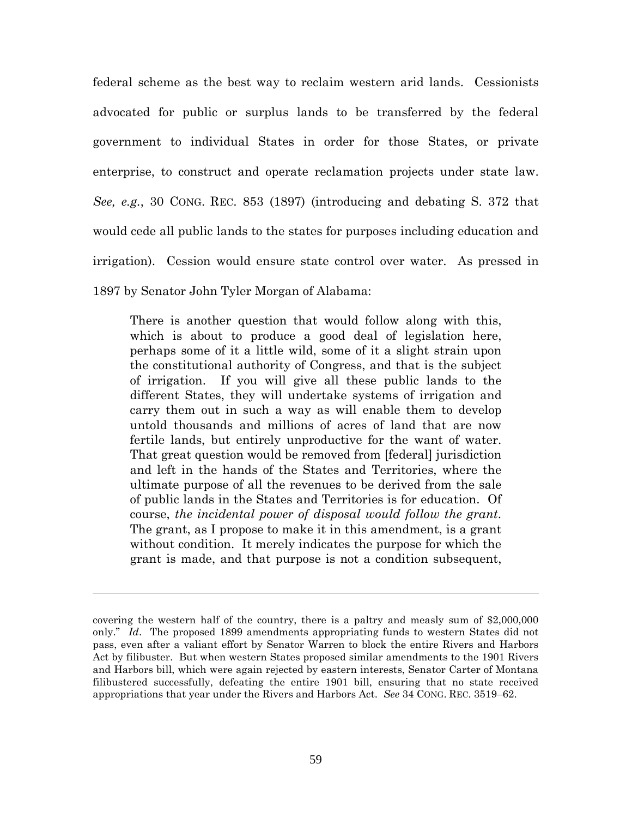federal scheme as the best way to reclaim western arid lands. Cessionists advocated for public or surplus lands to be transferred by the federal government to individual States in order for those States, or private enterprise, to construct and operate reclamation projects under state law. *See, e.g.*, 30 CONG. REC. 853 (1897) (introducing and debating S. 372 that would cede all public lands to the states for purposes including education and irrigation). Cession would ensure state control over water. As pressed in 1897 by Senator John Tyler Morgan of Alabama:

There is another question that would follow along with this, which is about to produce a good deal of legislation here, perhaps some of it a little wild, some of it a slight strain upon the constitutional authority of Congress, and that is the subject of irrigation. If you will give all these public lands to the different States, they will undertake systems of irrigation and carry them out in such a way as will enable them to develop untold thousands and millions of acres of land that are now fertile lands, but entirely unproductive for the want of water. That great question would be removed from [federal] jurisdiction and left in the hands of the States and Territories, where the ultimate purpose of all the revenues to be derived from the sale of public lands in the States and Territories is for education. Of course, *the incidental power of disposal would follow the grant*. The grant, as I propose to make it in this amendment, is a grant without condition. It merely indicates the purpose for which the grant is made, and that purpose is not a condition subsequent,

covering the western half of the country, there is a paltry and measly sum of \$2,000,000 only." *Id*. The proposed 1899 amendments appropriating funds to western States did not pass, even after a valiant effort by Senator Warren to block the entire Rivers and Harbors Act by filibuster. But when western States proposed similar amendments to the 1901 Rivers and Harbors bill, which were again rejected by eastern interests, Senator Carter of Montana filibustered successfully, defeating the entire 1901 bill, ensuring that no state received appropriations that year under the Rivers and Harbors Act. *See* 34 CONG. REC. 3519–62.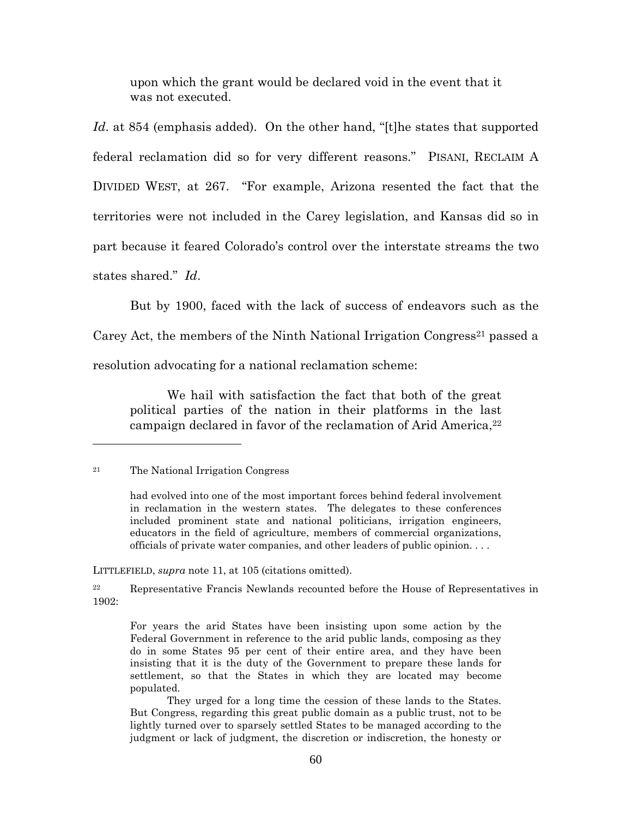upon which the grant would be declared void in the event that it was not executed.

*Id*. at 854 (emphasis added). On the other hand, "[t]he states that supported federal reclamation did so for very different reasons." PISANI, RECLAIM A DIVIDED WEST, at 267. "For example, Arizona resented the fact that the territories were not included in the Carey legislation, and Kansas did so in part because it feared Colorado's control over the interstate streams the two states shared." *Id*.

But by 1900, faced with the lack of success of endeavors such as the Carey Act, the members of the Ninth National Irrigation Congress<sup>21</sup> passed a resolution advocating for a national reclamation scheme:

We hail with satisfaction the fact that both of the great political parties of the nation in their platforms in the last campaign declared in favor of the reclamation of Arid America,<sup>22</sup>

LITTLEFIELD, *supra* note 11, at 105 (citations omitted).

<sup>21</sup> The National Irrigation Congress

had evolved into one of the most important forces behind federal involvement in reclamation in the western states. The delegates to these conferences included prominent state and national politicians, irrigation engineers, educators in the field of agriculture, members of commercial organizations, officials of private water companies, and other leaders of public opinion. . . .

<sup>22</sup> Representative Francis Newlands recounted before the House of Representatives in 1902:

For years the arid States have been insisting upon some action by the Federal Government in reference to the arid public lands, composing as they do in some States 95 per cent of their entire area, and they have been insisting that it is the duty of the Government to prepare these lands for settlement, so that the States in which they are located may become populated.

They urged for a long time the cession of these lands to the States. But Congress, regarding this great public domain as a public trust, not to be lightly turned over to sparsely settled States to be managed according to the judgment or lack of judgment, the discretion or indiscretion, the honesty or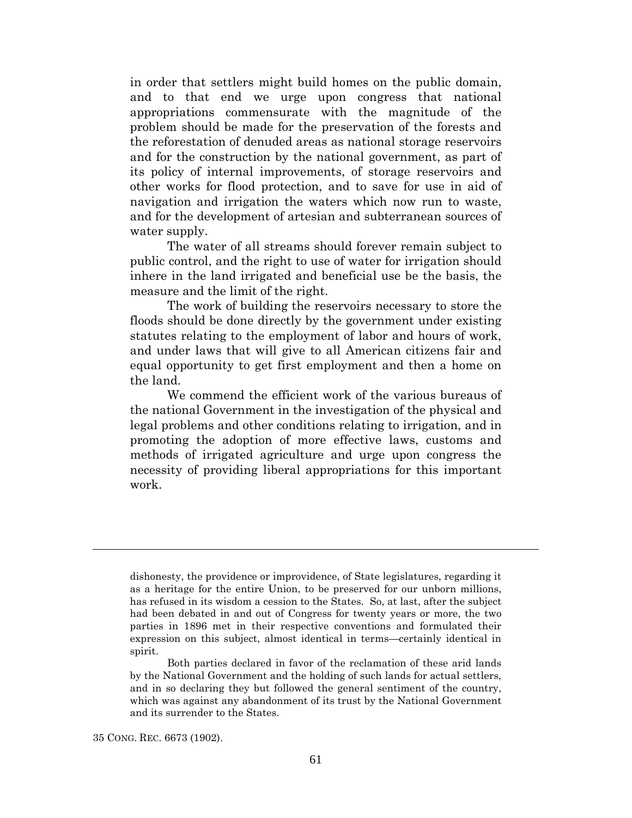in order that settlers might build homes on the public domain, and to that end we urge upon congress that national appropriations commensurate with the magnitude of the problem should be made for the preservation of the forests and the reforestation of denuded areas as national storage reservoirs and for the construction by the national government, as part of its policy of internal improvements, of storage reservoirs and other works for flood protection, and to save for use in aid of navigation and irrigation the waters which now run to waste, and for the development of artesian and subterranean sources of water supply.

The water of all streams should forever remain subject to public control, and the right to use of water for irrigation should inhere in the land irrigated and beneficial use be the basis, the measure and the limit of the right.

The work of building the reservoirs necessary to store the floods should be done directly by the government under existing statutes relating to the employment of labor and hours of work, and under laws that will give to all American citizens fair and equal opportunity to get first employment and then a home on the land.

We commend the efficient work of the various bureaus of the national Government in the investigation of the physical and legal problems and other conditions relating to irrigation, and in promoting the adoption of more effective laws, customs and methods of irrigated agriculture and urge upon congress the necessity of providing liberal appropriations for this important work.

35 CONG. REC. 6673 (1902).

dishonesty, the providence or improvidence, of State legislatures, regarding it as a heritage for the entire Union, to be preserved for our unborn millions, has refused in its wisdom a cession to the States. So, at last, after the subject had been debated in and out of Congress for twenty years or more, the two parties in 1896 met in their respective conventions and formulated their expression on this subject, almost identical in terms—certainly identical in spirit.

Both parties declared in favor of the reclamation of these arid lands by the National Government and the holding of such lands for actual settlers, and in so declaring they but followed the general sentiment of the country, which was against any abandonment of its trust by the National Government and its surrender to the States.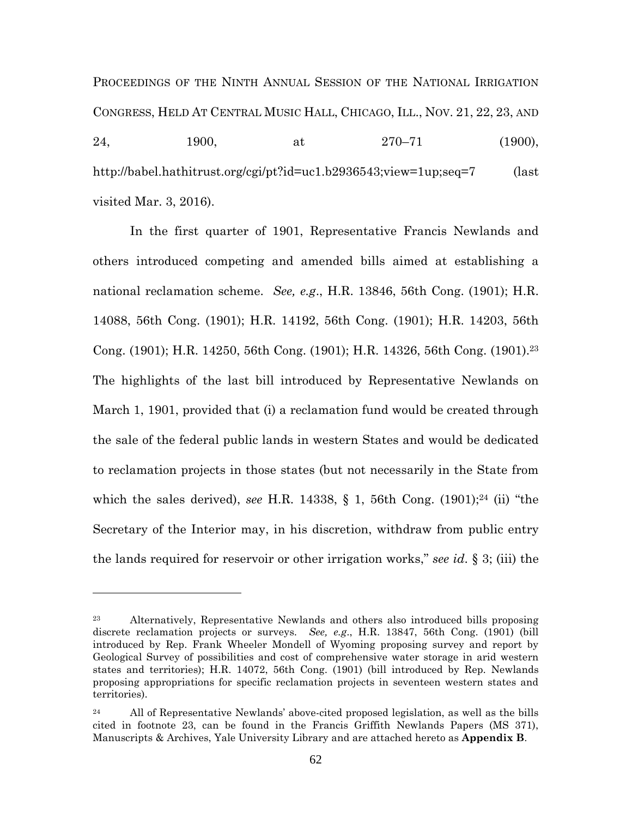PROCEEDINGS OF THE NINTH ANNUAL SESSION OF THE NATIONAL IRRIGATION CONGRESS, HELD AT CENTRAL MUSIC HALL, CHICAGO, ILL., NOV. 21, 22, 23, AND 24, 1900, at  $270-71$  (1900), http://babel.hathitrust.org/cgi/pt?id=uc1.b2936543;view=1up;seq=7 (last visited Mar. 3, 2016).

In the first quarter of 1901, Representative Francis Newlands and others introduced competing and amended bills aimed at establishing a national reclamation scheme. *See, e.g*., H.R. 13846, 56th Cong. (1901); H.R. 14088, 56th Cong. (1901); H.R. 14192, 56th Cong. (1901); H.R. 14203, 56th Cong. (1901); H.R. 14250, 56th Cong. (1901); H.R. 14326, 56th Cong. (1901).<sup>23</sup> The highlights of the last bill introduced by Representative Newlands on March 1, 1901, provided that (i) a reclamation fund would be created through the sale of the federal public lands in western States and would be dedicated to reclamation projects in those states (but not necessarily in the State from which the sales derived), *see* H.R. 14338, § 1, 56th Cong. (1901);<sup>24</sup> (ii) "the Secretary of the Interior may, in his discretion, withdraw from public entry the lands required for reservoir or other irrigation works," *see id*. § 3; (iii) the

<sup>23</sup> Alternatively, Representative Newlands and others also introduced bills proposing discrete reclamation projects or surveys. *See, e.g*., H.R. 13847, 56th Cong. (1901) (bill introduced by Rep. Frank Wheeler Mondell of Wyoming proposing survey and report by Geological Survey of possibilities and cost of comprehensive water storage in arid western states and territories); H.R. 14072, 56th Cong. (1901) (bill introduced by Rep. Newlands proposing appropriations for specific reclamation projects in seventeen western states and territories).

<sup>&</sup>lt;sup>24</sup> All of Representative Newlands' above-cited proposed legislation, as well as the bills cited in footnote 23, can be found in the Francis Griffith Newlands Papers (MS 371), Manuscripts & Archives, Yale University Library and are attached hereto as **Appendix B**.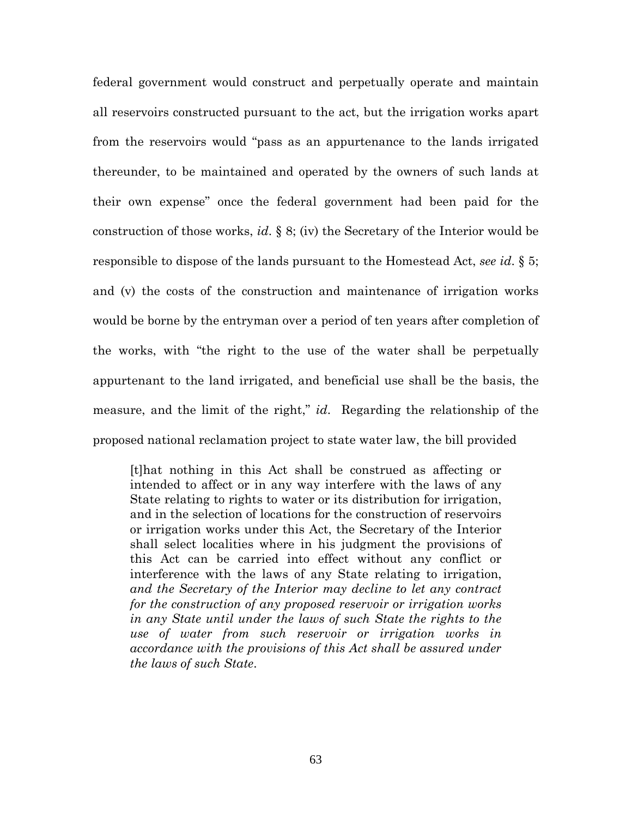federal government would construct and perpetually operate and maintain all reservoirs constructed pursuant to the act, but the irrigation works apart from the reservoirs would "pass as an appurtenance to the lands irrigated thereunder, to be maintained and operated by the owners of such lands at their own expense" once the federal government had been paid for the construction of those works, *id*. § 8; (iv) the Secretary of the Interior would be responsible to dispose of the lands pursuant to the Homestead Act, *see id*. § 5; and (v) the costs of the construction and maintenance of irrigation works would be borne by the entryman over a period of ten years after completion of the works, with "the right to the use of the water shall be perpetually appurtenant to the land irrigated, and beneficial use shall be the basis, the measure, and the limit of the right," *id*. Regarding the relationship of the proposed national reclamation project to state water law, the bill provided

[t]hat nothing in this Act shall be construed as affecting or intended to affect or in any way interfere with the laws of any State relating to rights to water or its distribution for irrigation, and in the selection of locations for the construction of reservoirs or irrigation works under this Act, the Secretary of the Interior shall select localities where in his judgment the provisions of this Act can be carried into effect without any conflict or interference with the laws of any State relating to irrigation, *and the Secretary of the Interior may decline to let any contract for the construction of any proposed reservoir or irrigation works in any State until under the laws of such State the rights to the use of water from such reservoir or irrigation works in accordance with the provisions of this Act shall be assured under the laws of such State*.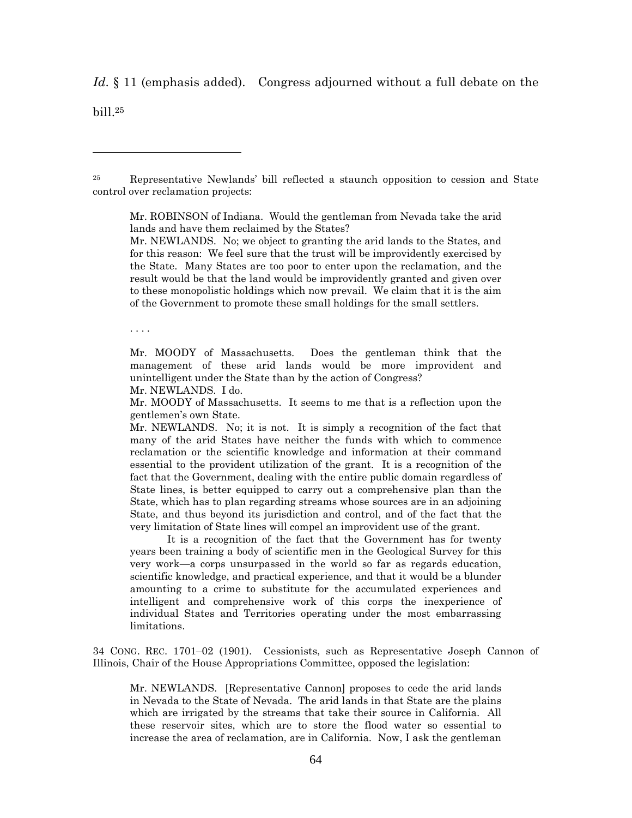*Id*. § 11 (emphasis added). Congress adjourned without a full debate on the

bill.<sup>25</sup>

<sup>25</sup> Representative Newlands' bill reflected a staunch opposition to cession and State control over reclamation projects:

Mr. ROBINSON of Indiana. Would the gentleman from Nevada take the arid lands and have them reclaimed by the States?

Mr. NEWLANDS. No; we object to granting the arid lands to the States, and for this reason: We feel sure that the trust will be improvidently exercised by the State. Many States are too poor to enter upon the reclamation, and the result would be that the land would be improvidently granted and given over to these monopolistic holdings which now prevail. We claim that it is the aim of the Government to promote these small holdings for the small settlers.

. . . .

Mr. MOODY of Massachusetts. Does the gentleman think that the management of these arid lands would be more improvident and unintelligent under the State than by the action of Congress?

Mr. NEWLANDS. I do.

Mr. MOODY of Massachusetts. It seems to me that is a reflection upon the gentlemen's own State.

Mr. NEWLANDS. No; it is not. It is simply a recognition of the fact that many of the arid States have neither the funds with which to commence reclamation or the scientific knowledge and information at their command essential to the provident utilization of the grant. It is a recognition of the fact that the Government, dealing with the entire public domain regardless of State lines, is better equipped to carry out a comprehensive plan than the State, which has to plan regarding streams whose sources are in an adjoining State, and thus beyond its jurisdiction and control, and of the fact that the very limitation of State lines will compel an improvident use of the grant.

It is a recognition of the fact that the Government has for twenty years been training a body of scientific men in the Geological Survey for this very work—a corps unsurpassed in the world so far as regards education, scientific knowledge, and practical experience, and that it would be a blunder amounting to a crime to substitute for the accumulated experiences and intelligent and comprehensive work of this corps the inexperience of individual States and Territories operating under the most embarrassing limitations.

34 CONG. REC. 1701–02 (1901). Cessionists, such as Representative Joseph Cannon of Illinois, Chair of the House Appropriations Committee, opposed the legislation:

Mr. NEWLANDS. [Representative Cannon] proposes to cede the arid lands in Nevada to the State of Nevada. The arid lands in that State are the plains which are irrigated by the streams that take their source in California. All these reservoir sites, which are to store the flood water so essential to increase the area of reclamation, are in California. Now, I ask the gentleman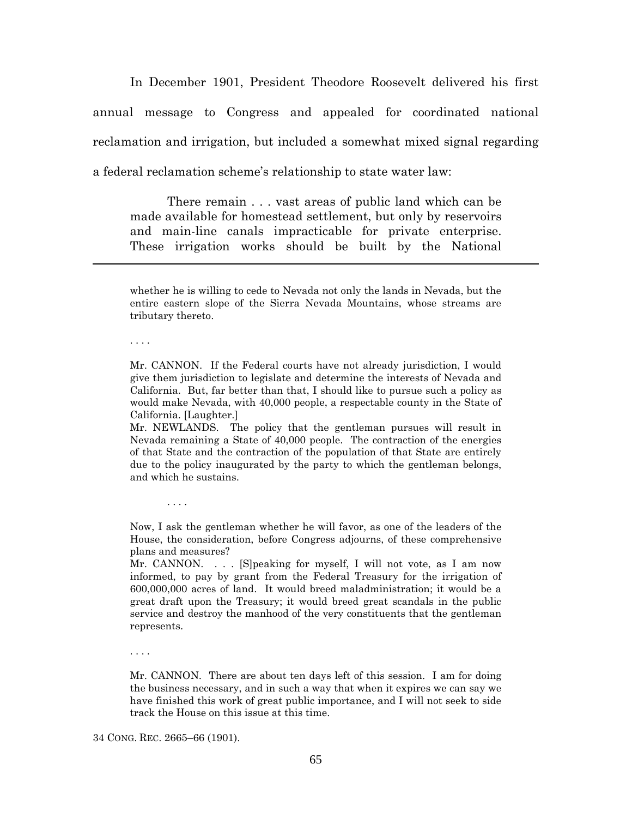In December 1901, President Theodore Roosevelt delivered his first annual message to Congress and appealed for coordinated national reclamation and irrigation, but included a somewhat mixed signal regarding a federal reclamation scheme's relationship to state water law:

There remain . . . vast areas of public land which can be made available for homestead settlement, but only by reservoirs and main-line canals impracticable for private enterprise. These irrigation works should be built by the National

whether he is willing to cede to Nevada not only the lands in Nevada, but the entire eastern slope of the Sierra Nevada Mountains, whose streams are tributary thereto.

. . . .

Mr. CANNON. If the Federal courts have not already jurisdiction, I would give them jurisdiction to legislate and determine the interests of Nevada and California. But, far better than that, I should like to pursue such a policy as would make Nevada, with 40,000 people, a respectable county in the State of California. [Laughter.]

Mr. NEWLANDS. The policy that the gentleman pursues will result in Nevada remaining a State of 40,000 people. The contraction of the energies of that State and the contraction of the population of that State are entirely due to the policy inaugurated by the party to which the gentleman belongs, and which he sustains.

Now, I ask the gentleman whether he will favor, as one of the leaders of the House, the consideration, before Congress adjourns, of these comprehensive plans and measures?

Mr. CANNON. . . . [S]peaking for myself, I will not vote, as I am now informed, to pay by grant from the Federal Treasury for the irrigation of 600,000,000 acres of land. It would breed maladministration; it would be a great draft upon the Treasury; it would breed great scandals in the public service and destroy the manhood of the very constituents that the gentleman represents.

. . . .

Mr. CANNON. There are about ten days left of this session. I am for doing the business necessary, and in such a way that when it expires we can say we have finished this work of great public importance, and I will not seek to side track the House on this issue at this time.

34 CONG. REC. 2665–66 (1901).

. . . .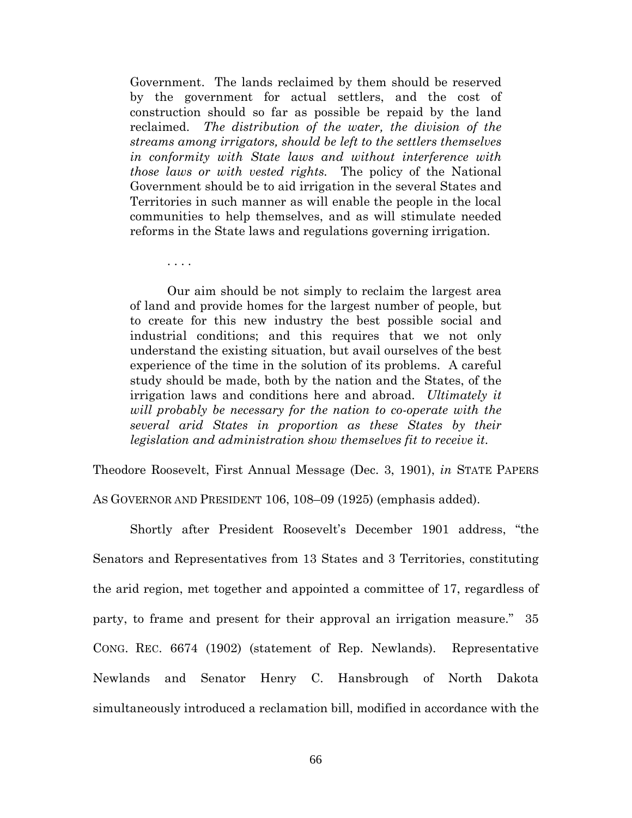Government. The lands reclaimed by them should be reserved by the government for actual settlers, and the cost of construction should so far as possible be repaid by the land reclaimed. *The distribution of the water, the division of the streams among irrigators, should be left to the settlers themselves in conformity with State laws and without interference with those laws or with vested rights.* The policy of the National Government should be to aid irrigation in the several States and Territories in such manner as will enable the people in the local communities to help themselves, and as will stimulate needed reforms in the State laws and regulations governing irrigation.

Our aim should be not simply to reclaim the largest area of land and provide homes for the largest number of people, but to create for this new industry the best possible social and industrial conditions; and this requires that we not only understand the existing situation, but avail ourselves of the best experience of the time in the solution of its problems. A careful study should be made, both by the nation and the States, of the irrigation laws and conditions here and abroad. *Ultimately it will probably be necessary for the nation to co-operate with the several arid States in proportion as these States by their legislation and administration show themselves fit to receive it*.

Theodore Roosevelt, First Annual Message (Dec. 3, 1901), *in* STATE PAPERS

AS GOVERNOR AND PRESIDENT 106, 108–09 (1925) (emphasis added).

. . . .

Shortly after President Roosevelt's December 1901 address, "the Senators and Representatives from 13 States and 3 Territories, constituting the arid region, met together and appointed a committee of 17, regardless of party, to frame and present for their approval an irrigation measure." 35 CONG. REC. 6674 (1902) (statement of Rep. Newlands). Representative Newlands and Senator Henry C. Hansbrough of North Dakota simultaneously introduced a reclamation bill, modified in accordance with the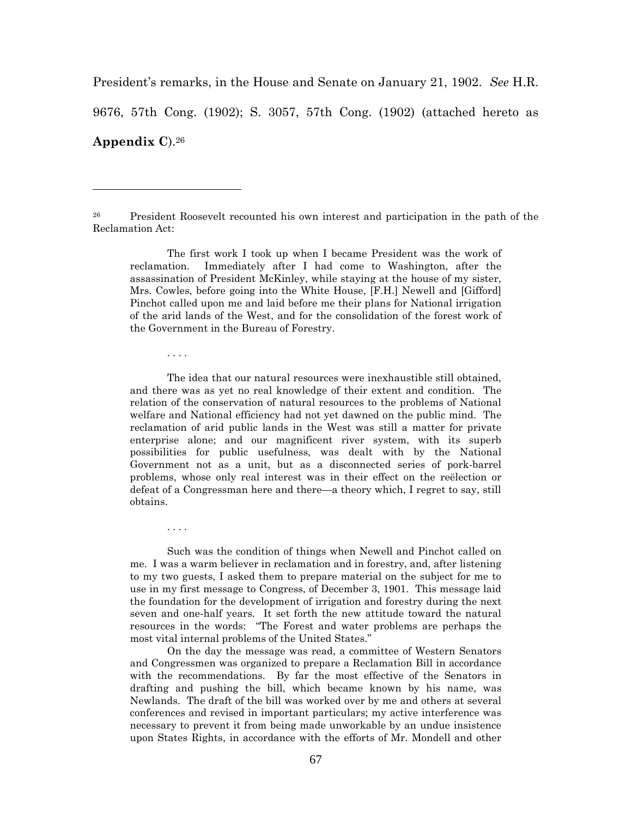President's remarks, in the House and Senate on January 21, 1902. *See* H.R.

9676, 57th Cong. (1902); S. 3057, 57th Cong. (1902) (attached hereto as

**Appendix C**).<sup>26</sup>

<sup>26</sup> President Roosevelt recounted his own interest and participation in the path of the Reclamation Act:

The first work I took up when I became President was the work of reclamation. Immediately after I had come to Washington, after the assassination of President McKinley, while staying at the house of my sister, Mrs. Cowles, before going into the White House, [F.H.] Newell and [Gifford] Pinchot called upon me and laid before me their plans for National irrigation of the arid lands of the West, and for the consolidation of the forest work of the Government in the Bureau of Forestry.

. . . .

The idea that our natural resources were inexhaustible still obtained, and there was as yet no real knowledge of their extent and condition. The relation of the conservation of natural resources to the problems of National welfare and National efficiency had not yet dawned on the public mind. The reclamation of arid public lands in the West was still a matter for private enterprise alone; and our magnificent river system, with its superb possibilities for public usefulness, was dealt with by the National Government not as a unit, but as a disconnected series of pork-barrel problems, whose only real interest was in their effect on the reëlection or defeat of a Congressman here and there—a theory which, I regret to say, still obtains.

. . . .

Such was the condition of things when Newell and Pinchot called on me. I was a warm believer in reclamation and in forestry, and, after listening to my two guests, I asked them to prepare material on the subject for me to use in my first message to Congress, of December 3, 1901. This message laid the foundation for the development of irrigation and forestry during the next seven and one-half years. It set forth the new attitude toward the natural resources in the words: "The Forest and water problems are perhaps the most vital internal problems of the United States."

On the day the message was read, a committee of Western Senators and Congressmen was organized to prepare a Reclamation Bill in accordance with the recommendations. By far the most effective of the Senators in drafting and pushing the bill, which became known by his name, was Newlands. The draft of the bill was worked over by me and others at several conferences and revised in important particulars; my active interference was necessary to prevent it from being made unworkable by an undue insistence upon States Rights, in accordance with the efforts of Mr. Mondell and other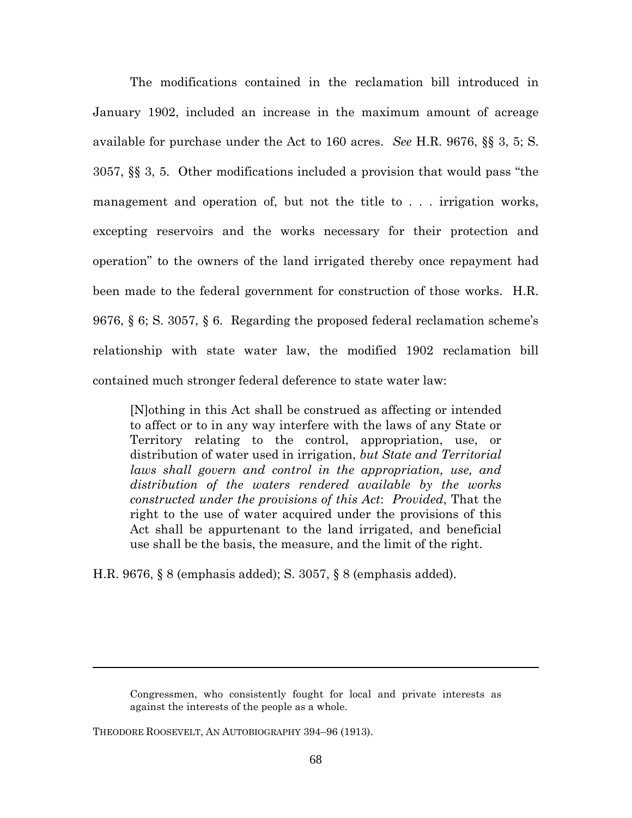The modifications contained in the reclamation bill introduced in January 1902, included an increase in the maximum amount of acreage available for purchase under the Act to 160 acres. *See* H.R. 9676, §§ 3, 5; S. 3057, §§ 3, 5. Other modifications included a provision that would pass "the management and operation of, but not the title to . . . irrigation works, excepting reservoirs and the works necessary for their protection and operation" to the owners of the land irrigated thereby once repayment had been made to the federal government for construction of those works. H.R. 9676, § 6; S. 3057, § 6. Regarding the proposed federal reclamation scheme's relationship with state water law, the modified 1902 reclamation bill contained much stronger federal deference to state water law:

[N]othing in this Act shall be construed as affecting or intended to affect or to in any way interfere with the laws of any State or Territory relating to the control, appropriation, use, or distribution of water used in irrigation, *but State and Territorial laws shall govern and control in the appropriation, use, and distribution of the waters rendered available by the works constructed under the provisions of this Act*: *Provided*, That the right to the use of water acquired under the provisions of this Act shall be appurtenant to the land irrigated, and beneficial use shall be the basis, the measure, and the limit of the right.

H.R. 9676, § 8 (emphasis added); S. 3057, § 8 (emphasis added).

THEODORE ROOSEVELT, AN AUTOBIOGRAPHY 394–96 (1913).

Congressmen, who consistently fought for local and private interests as against the interests of the people as a whole.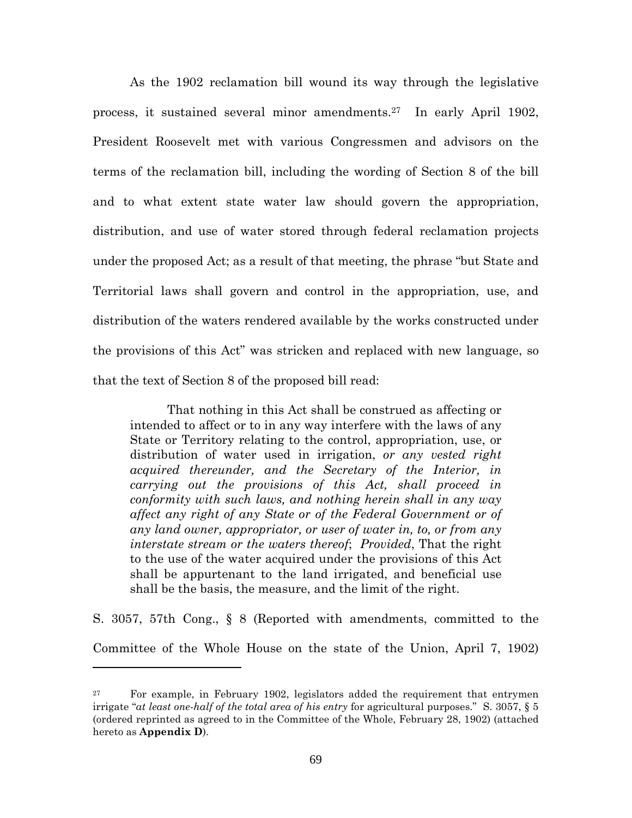As the 1902 reclamation bill wound its way through the legislative process, it sustained several minor amendments.<sup>27</sup> In early April 1902, President Roosevelt met with various Congressmen and advisors on the terms of the reclamation bill, including the wording of Section 8 of the bill and to what extent state water law should govern the appropriation, distribution, and use of water stored through federal reclamation projects under the proposed Act; as a result of that meeting, the phrase "but State and Territorial laws shall govern and control in the appropriation, use, and distribution of the waters rendered available by the works constructed under the provisions of this Act" was stricken and replaced with new language, so that the text of Section 8 of the proposed bill read:

That nothing in this Act shall be construed as affecting or intended to affect or to in any way interfere with the laws of any State or Territory relating to the control, appropriation, use, or distribution of water used in irrigation, *or any vested right acquired thereunder, and the Secretary of the Interior, in carrying out the provisions of this Act, shall proceed in conformity with such laws, and nothing herein shall in any way affect any right of any State or of the Federal Government or of any land owner, appropriator, or user of water in, to, or from any interstate stream or the waters thereof*; *Provided*, That the right to the use of the water acquired under the provisions of this Act shall be appurtenant to the land irrigated, and beneficial use shall be the basis, the measure, and the limit of the right.

S. 3057, 57th Cong., § 8 (Reported with amendments, committed to the Committee of the Whole House on the state of the Union, April 7, 1902)

<sup>&</sup>lt;sup>27</sup> For example, in February 1902, legislators added the requirement that entrymen irrigate "*at least one-half of the total area of his entry* for agricultural purposes." S. 3057, § 5 (ordered reprinted as agreed to in the Committee of the Whole, February 28, 1902) (attached hereto as **Appendix D**).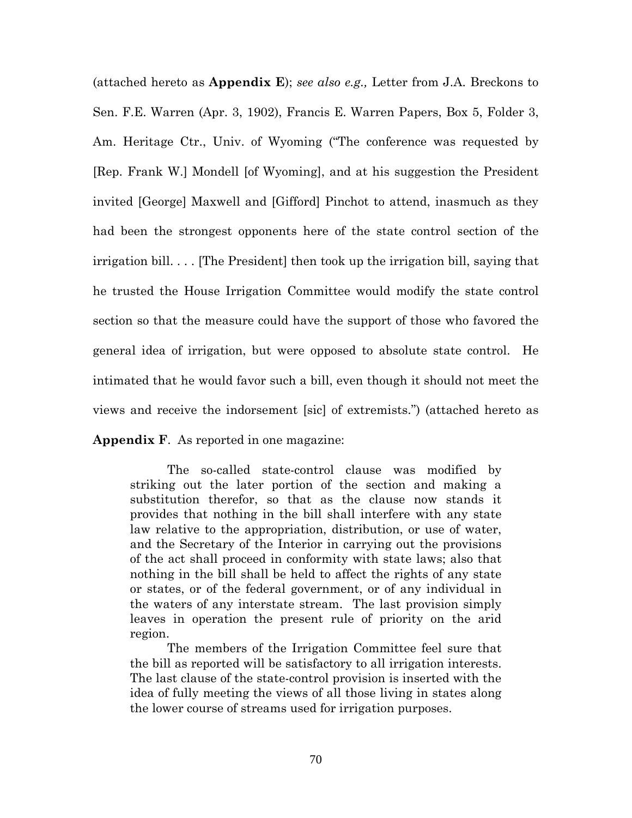(attached hereto as **Appendix E**); *see also e.g.,* Letter from J.A. Breckons to Sen. F.E. Warren (Apr. 3, 1902), Francis E. Warren Papers, Box 5, Folder 3, Am. Heritage Ctr., Univ. of Wyoming ("The conference was requested by [Rep. Frank W.] Mondell [of Wyoming], and at his suggestion the President invited [George] Maxwell and [Gifford] Pinchot to attend, inasmuch as they had been the strongest opponents here of the state control section of the irrigation bill. . . . [The President] then took up the irrigation bill, saying that he trusted the House Irrigation Committee would modify the state control section so that the measure could have the support of those who favored the general idea of irrigation, but were opposed to absolute state control. He intimated that he would favor such a bill, even though it should not meet the views and receive the indorsement [sic] of extremists.") (attached hereto as

**Appendix F**. As reported in one magazine:

The so-called state-control clause was modified by striking out the later portion of the section and making a substitution therefor, so that as the clause now stands it provides that nothing in the bill shall interfere with any state law relative to the appropriation, distribution, or use of water, and the Secretary of the Interior in carrying out the provisions of the act shall proceed in conformity with state laws; also that nothing in the bill shall be held to affect the rights of any state or states, or of the federal government, or of any individual in the waters of any interstate stream. The last provision simply leaves in operation the present rule of priority on the arid region.

The members of the Irrigation Committee feel sure that the bill as reported will be satisfactory to all irrigation interests. The last clause of the state-control provision is inserted with the idea of fully meeting the views of all those living in states along the lower course of streams used for irrigation purposes.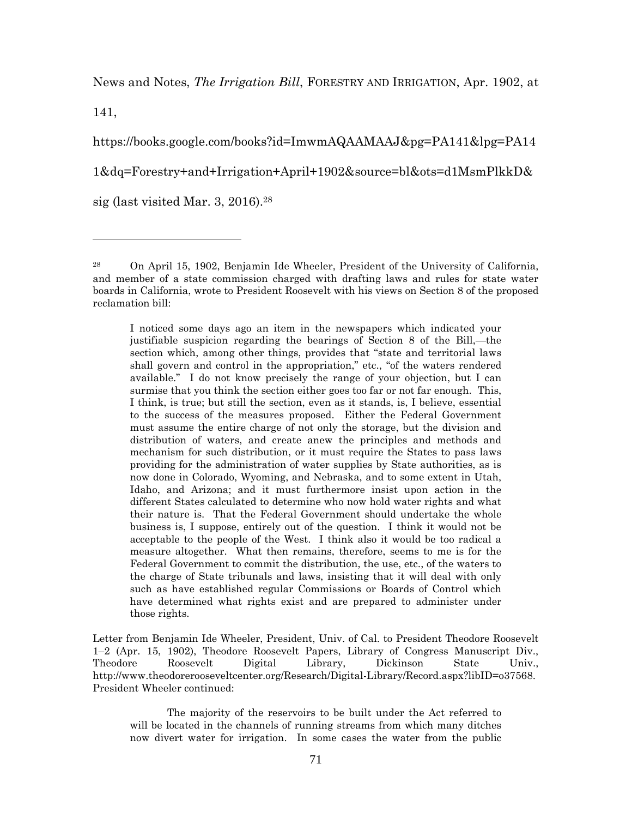News and Notes, *The Irrigation Bill*, FORESTRY AND IRRIGATION, Apr. 1902, at

141,

https://books.google.com/books?id=ImwmAQAAMAAJ&pg=PA141&lpg=PA14 1&dq=Forestry+and+Irrigation+April+1902&source=bl&ots=d1MsmPlkkD& sig (last visited Mar. 3, 2016).<sup>28</sup>

I noticed some days ago an item in the newspapers which indicated your justifiable suspicion regarding the bearings of Section 8 of the Bill,—the section which, among other things, provides that "state and territorial laws shall govern and control in the appropriation," etc., "of the waters rendered available." I do not know precisely the range of your objection, but I can surmise that you think the section either goes too far or not far enough. This, I think, is true; but still the section, even as it stands, is, I believe, essential to the success of the measures proposed. Either the Federal Government must assume the entire charge of not only the storage, but the division and distribution of waters, and create anew the principles and methods and mechanism for such distribution, or it must require the States to pass laws providing for the administration of water supplies by State authorities, as is now done in Colorado, Wyoming, and Nebraska, and to some extent in Utah, Idaho, and Arizona; and it must furthermore insist upon action in the different States calculated to determine who now hold water rights and what their nature is. That the Federal Government should undertake the whole business is, I suppose, entirely out of the question. I think it would not be acceptable to the people of the West. I think also it would be too radical a measure altogether. What then remains, therefore, seems to me is for the Federal Government to commit the distribution, the use, etc., of the waters to the charge of State tribunals and laws, insisting that it will deal with only such as have established regular Commissions or Boards of Control which have determined what rights exist and are prepared to administer under those rights.

Letter from Benjamin Ide Wheeler, President, Univ. of Cal. to President Theodore Roosevelt 1–2 (Apr. 15, 1902), Theodore Roosevelt Papers, Library of Congress Manuscript Div., Theodore Roosevelt Digital Library, Dickinson State Univ., http://www.theodorerooseveltcenter.org/Research/Digital-Library/Record.aspx?libID=o37568. President Wheeler continued:

The majority of the reservoirs to be built under the Act referred to will be located in the channels of running streams from which many ditches now divert water for irrigation. In some cases the water from the public

<sup>28</sup> On April 15, 1902, Benjamin Ide Wheeler, President of the University of California, and member of a state commission charged with drafting laws and rules for state water boards in California, wrote to President Roosevelt with his views on Section 8 of the proposed reclamation bill: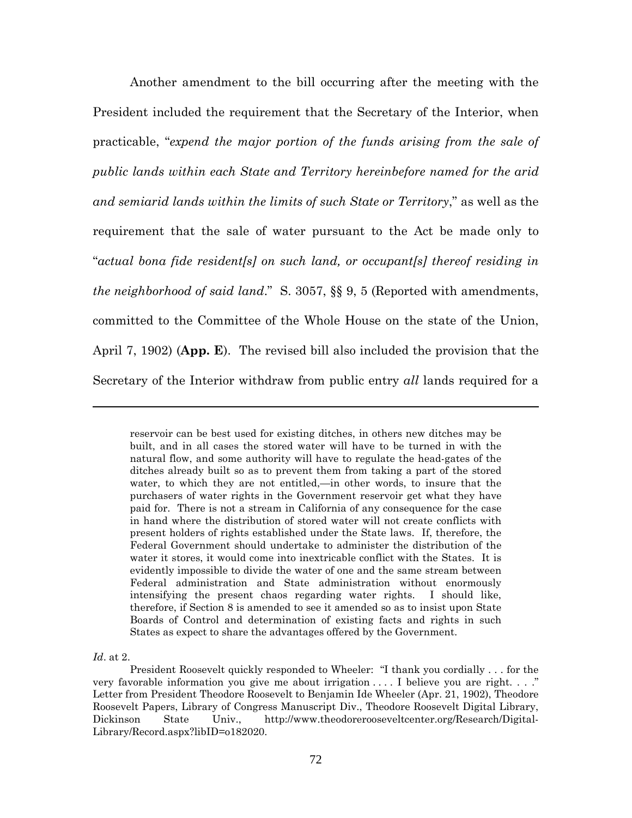Another amendment to the bill occurring after the meeting with the President included the requirement that the Secretary of the Interior, when practicable, "*expend the major portion of the funds arising from the sale of public lands within each State and Territory hereinbefore named for the arid and semiarid lands within the limits of such State or Territory*," as well as the requirement that the sale of water pursuant to the Act be made only to "*actual bona fide resident[s] on such land, or occupant[s] thereof residing in the neighborhood of said land*." S. 3057, §§ 9, 5 (Reported with amendments, committed to the Committee of the Whole House on the state of the Union, April 7, 1902) (**App. E**). The revised bill also included the provision that the Secretary of the Interior withdraw from public entry *all* lands required for a

reservoir can be best used for existing ditches, in others new ditches may be built, and in all cases the stored water will have to be turned in with the natural flow, and some authority will have to regulate the head-gates of the ditches already built so as to prevent them from taking a part of the stored water, to which they are not entitled,—in other words, to insure that the purchasers of water rights in the Government reservoir get what they have paid for. There is not a stream in California of any consequence for the case in hand where the distribution of stored water will not create conflicts with present holders of rights established under the State laws. If, therefore, the Federal Government should undertake to administer the distribution of the water it stores, it would come into inextricable conflict with the States. It is evidently impossible to divide the water of one and the same stream between Federal administration and State administration without enormously intensifying the present chaos regarding water rights. I should like, therefore, if Section 8 is amended to see it amended so as to insist upon State Boards of Control and determination of existing facts and rights in such States as expect to share the advantages offered by the Government.

*Id*. at 2.

President Roosevelt quickly responded to Wheeler: "I thank you cordially . . . for the very favorable information you give me about irrigation  $\dots$ . I believe you are right.  $\dots$ ." Letter from President Theodore Roosevelt to Benjamin Ide Wheeler (Apr. 21, 1902), Theodore Roosevelt Papers, Library of Congress Manuscript Div., Theodore Roosevelt Digital Library, Dickinson State Univ., http://www.theodorerooseveltcenter.org/Research/Digital-Library/Record.aspx?libID=o182020.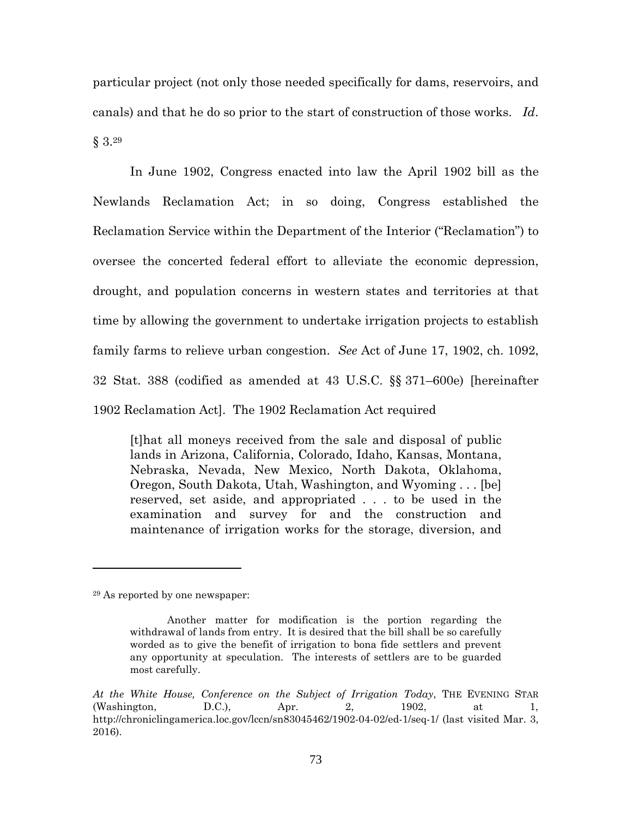particular project (not only those needed specifically for dams, reservoirs, and canals) and that he do so prior to the start of construction of those works. *Id*. § 3.<sup>29</sup>

In June 1902, Congress enacted into law the April 1902 bill as the Newlands Reclamation Act; in so doing, Congress established the Reclamation Service within the Department of the Interior ("Reclamation") to oversee the concerted federal effort to alleviate the economic depression, drought, and population concerns in western states and territories at that time by allowing the government to undertake irrigation projects to establish family farms to relieve urban congestion. *See* Act of June 17, 1902, ch. 1092, 32 Stat. 388 (codified as amended at 43 U.S.C. §§ 371–600e) [hereinafter 1902 Reclamation Act]. The 1902 Reclamation Act required

[t]hat all moneys received from the sale and disposal of public lands in Arizona, California, Colorado, Idaho, Kansas, Montana, Nebraska, Nevada, New Mexico, North Dakota, Oklahoma, Oregon, South Dakota, Utah, Washington, and Wyoming . . . [be] reserved, set aside, and appropriated . . . to be used in the examination and survey for and the construction and maintenance of irrigation works for the storage, diversion, and

<sup>29</sup> As reported by one newspaper:

Another matter for modification is the portion regarding the withdrawal of lands from entry. It is desired that the bill shall be so carefully worded as to give the benefit of irrigation to bona fide settlers and prevent any opportunity at speculation. The interests of settlers are to be guarded most carefully.

*At the White House, Conference on the Subject of Irrigation Today*, THE EVENING STAR (Washington, D.C.), Apr. 2, 1902, at 1, http://chroniclingamerica.loc.gov/lccn/sn83045462/1902-04-02/ed-1/seq-1/ (last visited Mar. 3, 2016).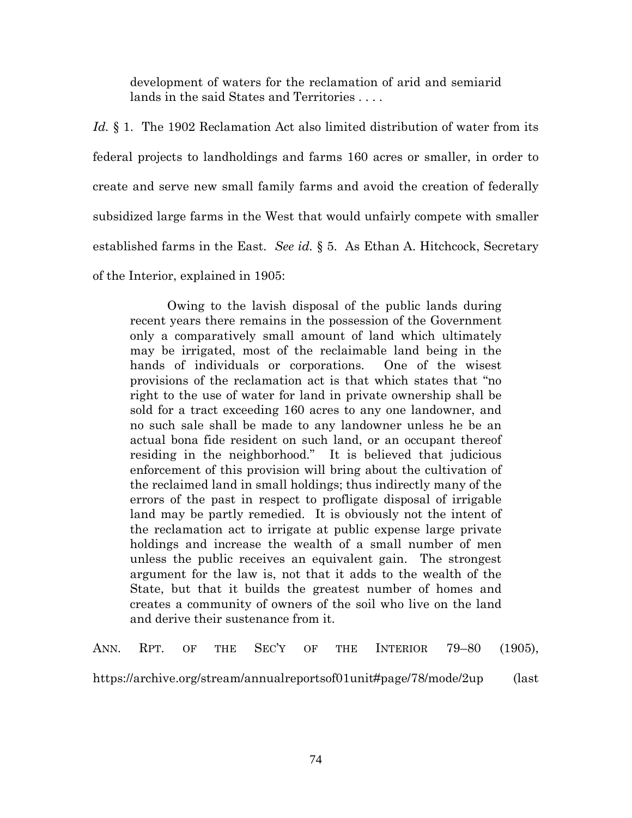development of waters for the reclamation of arid and semiarid lands in the said States and Territories . . . .

Id. § 1. The 1902 Reclamation Act also limited distribution of water from its federal projects to landholdings and farms 160 acres or smaller, in order to create and serve new small family farms and avoid the creation of federally subsidized large farms in the West that would unfairly compete with smaller established farms in the East. *See id.* § 5. As Ethan A. Hitchcock, Secretary of the Interior, explained in 1905:

Owing to the lavish disposal of the public lands during recent years there remains in the possession of the Government only a comparatively small amount of land which ultimately may be irrigated, most of the reclaimable land being in the hands of individuals or corporations. One of the wisest provisions of the reclamation act is that which states that "no right to the use of water for land in private ownership shall be sold for a tract exceeding 160 acres to any one landowner, and no such sale shall be made to any landowner unless he be an actual bona fide resident on such land, or an occupant thereof residing in the neighborhood." It is believed that judicious enforcement of this provision will bring about the cultivation of the reclaimed land in small holdings; thus indirectly many of the errors of the past in respect to profligate disposal of irrigable land may be partly remedied. It is obviously not the intent of the reclamation act to irrigate at public expense large private holdings and increase the wealth of a small number of men unless the public receives an equivalent gain. The strongest argument for the law is, not that it adds to the wealth of the State, but that it builds the greatest number of homes and creates a community of owners of the soil who live on the land and derive their sustenance from it.

ANN. RPT. OF THE SEC'Y OF THE INTERIOR 79–80 (1905), https://archive.org/stream/annualreportsof01unit#page/78/mode/2up (last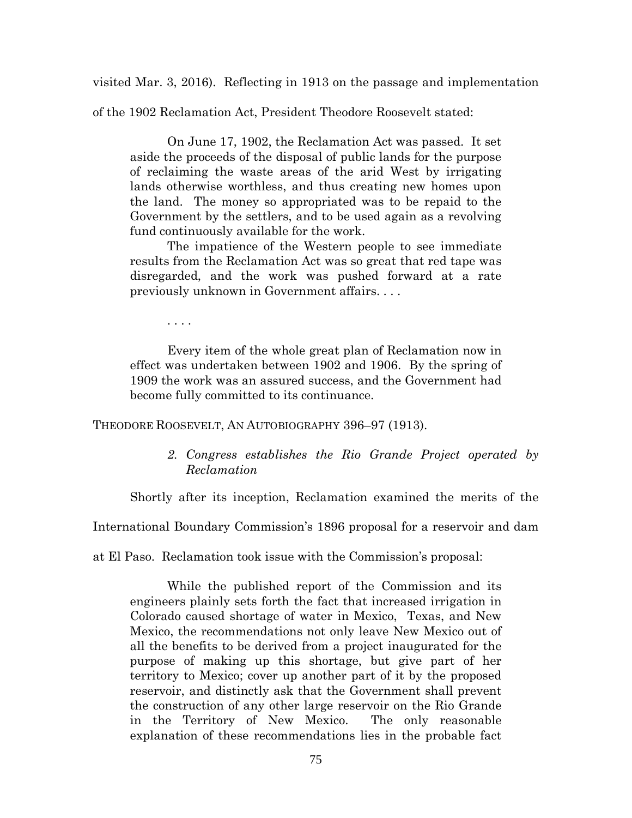visited Mar. 3, 2016). Reflecting in 1913 on the passage and implementation

of the 1902 Reclamation Act, President Theodore Roosevelt stated:

On June 17, 1902, the Reclamation Act was passed. It set aside the proceeds of the disposal of public lands for the purpose of reclaiming the waste areas of the arid West by irrigating lands otherwise worthless, and thus creating new homes upon the land. The money so appropriated was to be repaid to the Government by the settlers, and to be used again as a revolving fund continuously available for the work.

The impatience of the Western people to see immediate results from the Reclamation Act was so great that red tape was disregarded, and the work was pushed forward at a rate previously unknown in Government affairs. . . .

. . . .

Every item of the whole great plan of Reclamation now in effect was undertaken between 1902 and 1906. By the spring of 1909 the work was an assured success, and the Government had become fully committed to its continuance.

THEODORE ROOSEVELT, AN AUTOBIOGRAPHY 396–97 (1913).

*2. Congress establishes the Rio Grande Project operated by Reclamation*

Shortly after its inception, Reclamation examined the merits of the

International Boundary Commission's 1896 proposal for a reservoir and dam

at El Paso. Reclamation took issue with the Commission's proposal:

While the published report of the Commission and its engineers plainly sets forth the fact that increased irrigation in Colorado caused shortage of water in Mexico, Texas, and New Mexico, the recommendations not only leave New Mexico out of all the benefits to be derived from a project inaugurated for the purpose of making up this shortage, but give part of her territory to Mexico; cover up another part of it by the proposed reservoir, and distinctly ask that the Government shall prevent the construction of any other large reservoir on the Rio Grande in the Territory of New Mexico. The only reasonable explanation of these recommendations lies in the probable fact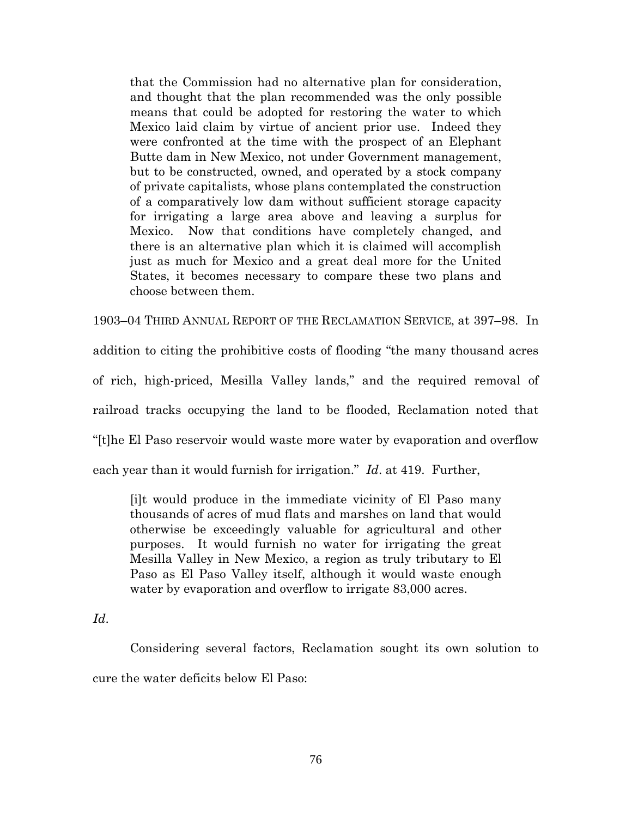that the Commission had no alternative plan for consideration, and thought that the plan recommended was the only possible means that could be adopted for restoring the water to which Mexico laid claim by virtue of ancient prior use. Indeed they were confronted at the time with the prospect of an Elephant Butte dam in New Mexico, not under Government management, but to be constructed, owned, and operated by a stock company of private capitalists, whose plans contemplated the construction of a comparatively low dam without sufficient storage capacity for irrigating a large area above and leaving a surplus for Mexico. Now that conditions have completely changed, and there is an alternative plan which it is claimed will accomplish just as much for Mexico and a great deal more for the United States, it becomes necessary to compare these two plans and choose between them.

1903–04 THIRD ANNUAL REPORT OF THE RECLAMATION SERVICE, at 397–98. In addition to citing the prohibitive costs of flooding "the many thousand acres of rich, high-priced, Mesilla Valley lands," and the required removal of railroad tracks occupying the land to be flooded, Reclamation noted that "[t]he El Paso reservoir would waste more water by evaporation and overflow each year than it would furnish for irrigation." *Id*. at 419. Further,

[i]t would produce in the immediate vicinity of El Paso many thousands of acres of mud flats and marshes on land that would otherwise be exceedingly valuable for agricultural and other purposes. It would furnish no water for irrigating the great Mesilla Valley in New Mexico, a region as truly tributary to El Paso as El Paso Valley itself, although it would waste enough water by evaporation and overflow to irrigate 83,000 acres.

## *Id*.

Considering several factors, Reclamation sought its own solution to cure the water deficits below El Paso: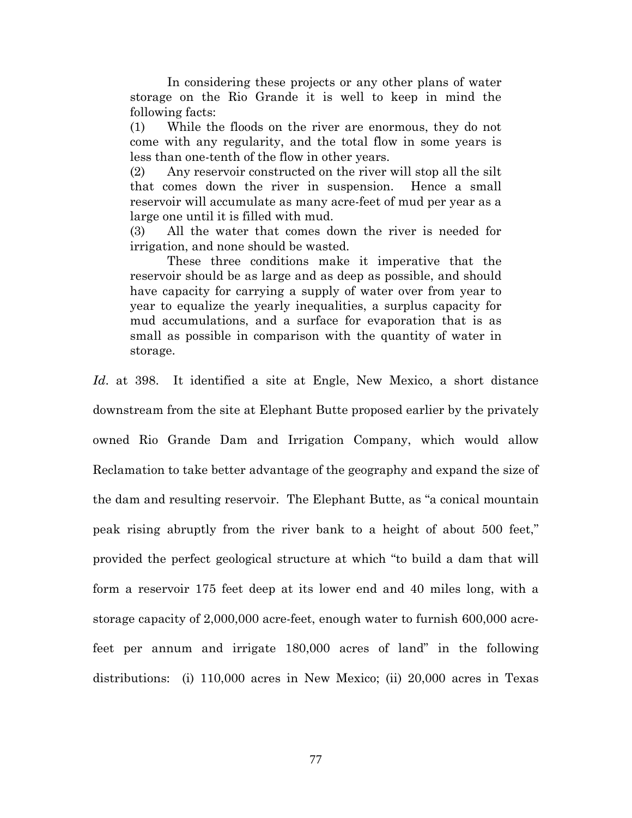In considering these projects or any other plans of water storage on the Rio Grande it is well to keep in mind the following facts:

(1) While the floods on the river are enormous, they do not come with any regularity, and the total flow in some years is less than one-tenth of the flow in other years.

(2) Any reservoir constructed on the river will stop all the silt that comes down the river in suspension. Hence a small reservoir will accumulate as many acre-feet of mud per year as a large one until it is filled with mud.

(3) All the water that comes down the river is needed for irrigation, and none should be wasted.

These three conditions make it imperative that the reservoir should be as large and as deep as possible, and should have capacity for carrying a supply of water over from year to year to equalize the yearly inequalities, a surplus capacity for mud accumulations, and a surface for evaporation that is as small as possible in comparison with the quantity of water in storage.

Id. at 398. It identified a site at Engle, New Mexico, a short distance downstream from the site at Elephant Butte proposed earlier by the privately owned Rio Grande Dam and Irrigation Company, which would allow Reclamation to take better advantage of the geography and expand the size of the dam and resulting reservoir. The Elephant Butte, as "a conical mountain peak rising abruptly from the river bank to a height of about 500 feet," provided the perfect geological structure at which "to build a dam that will form a reservoir 175 feet deep at its lower end and 40 miles long, with a storage capacity of 2,000,000 acre-feet, enough water to furnish 600,000 acrefeet per annum and irrigate 180,000 acres of land" in the following distributions: (i) 110,000 acres in New Mexico; (ii) 20,000 acres in Texas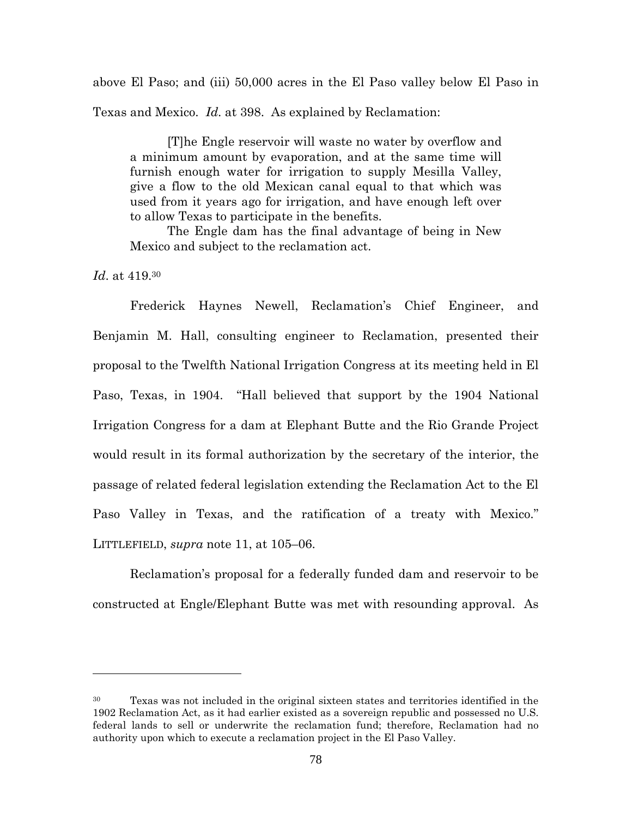above El Paso; and (iii) 50,000 acres in the El Paso valley below El Paso in Texas and Mexico. *Id*. at 398. As explained by Reclamation:

[T]he Engle reservoir will waste no water by overflow and a minimum amount by evaporation, and at the same time will furnish enough water for irrigation to supply Mesilla Valley, give a flow to the old Mexican canal equal to that which was used from it years ago for irrigation, and have enough left over to allow Texas to participate in the benefits.

The Engle dam has the final advantage of being in New Mexico and subject to the reclamation act.

*Id*. at 419.<sup>30</sup>

Frederick Haynes Newell, Reclamation's Chief Engineer, and Benjamin M. Hall, consulting engineer to Reclamation, presented their proposal to the Twelfth National Irrigation Congress at its meeting held in El Paso, Texas, in 1904. "Hall believed that support by the 1904 National Irrigation Congress for a dam at Elephant Butte and the Rio Grande Project would result in its formal authorization by the secretary of the interior, the passage of related federal legislation extending the Reclamation Act to the El Paso Valley in Texas, and the ratification of a treaty with Mexico." LITTLEFIELD, *supra* note 11, at 105–06.

Reclamation's proposal for a federally funded dam and reservoir to be constructed at Engle/Elephant Butte was met with resounding approval. As

<sup>&</sup>lt;sup>30</sup> Texas was not included in the original sixteen states and territories identified in the 1902 Reclamation Act, as it had earlier existed as a sovereign republic and possessed no U.S. federal lands to sell or underwrite the reclamation fund; therefore, Reclamation had no authority upon which to execute a reclamation project in the El Paso Valley.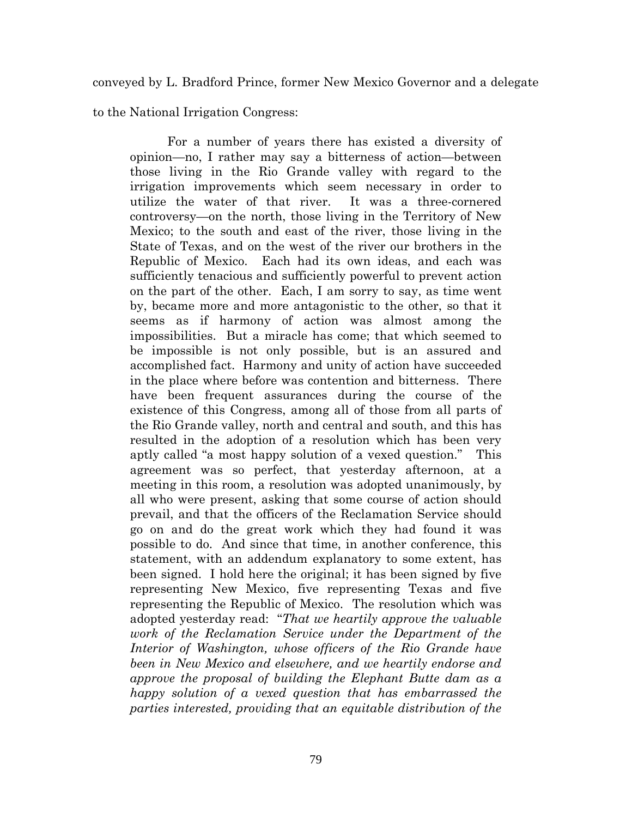conveyed by L. Bradford Prince, former New Mexico Governor and a delegate

to the National Irrigation Congress:

For a number of years there has existed a diversity of opinion—no, I rather may say a bitterness of action—between those living in the Rio Grande valley with regard to the irrigation improvements which seem necessary in order to utilize the water of that river. It was a three-cornered controversy—on the north, those living in the Territory of New Mexico; to the south and east of the river, those living in the State of Texas, and on the west of the river our brothers in the Republic of Mexico. Each had its own ideas, and each was sufficiently tenacious and sufficiently powerful to prevent action on the part of the other. Each, I am sorry to say, as time went by, became more and more antagonistic to the other, so that it seems as if harmony of action was almost among the impossibilities. But a miracle has come; that which seemed to be impossible is not only possible, but is an assured and accomplished fact. Harmony and unity of action have succeeded in the place where before was contention and bitterness. There have been frequent assurances during the course of the existence of this Congress, among all of those from all parts of the Rio Grande valley, north and central and south, and this has resulted in the adoption of a resolution which has been very aptly called "a most happy solution of a vexed question." This agreement was so perfect, that yesterday afternoon, at a meeting in this room, a resolution was adopted unanimously, by all who were present, asking that some course of action should prevail, and that the officers of the Reclamation Service should go on and do the great work which they had found it was possible to do. And since that time, in another conference, this statement, with an addendum explanatory to some extent, has been signed. I hold here the original; it has been signed by five representing New Mexico, five representing Texas and five representing the Republic of Mexico. The resolution which was adopted yesterday read: "*That we heartily approve the valuable work of the Reclamation Service under the Department of the Interior of Washington, whose officers of the Rio Grande have been in New Mexico and elsewhere, and we heartily endorse and approve the proposal of building the Elephant Butte dam as a happy solution of a vexed question that has embarrassed the parties interested, providing that an equitable distribution of the*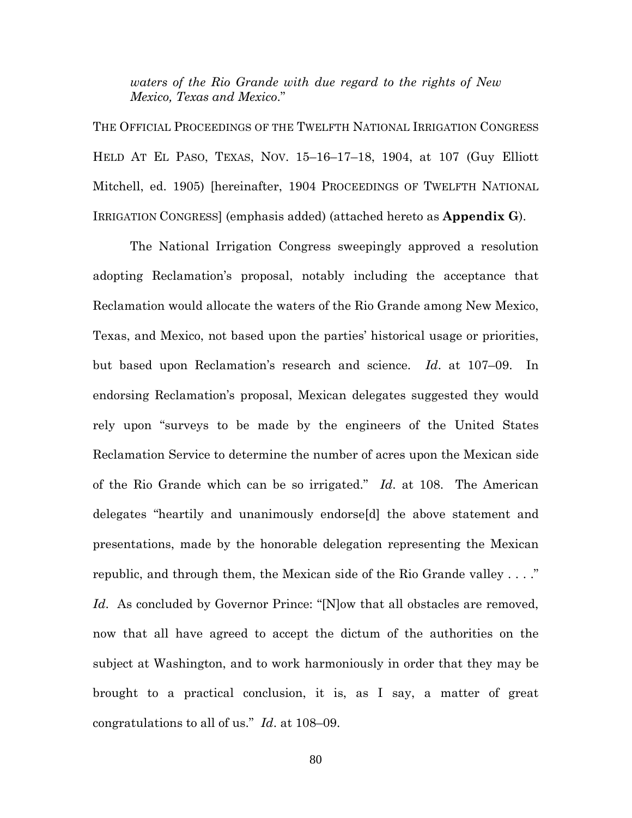*waters of the Rio Grande with due regard to the rights of New Mexico, Texas and Mexico*."

THE OFFICIAL PROCEEDINGS OF THE TWELFTH NATIONAL IRRIGATION CONGRESS HELD AT EL PASO, TEXAS, NOV. 15–16–17–18, 1904, at 107 (Guy Elliott Mitchell, ed. 1905) [hereinafter, 1904 PROCEEDINGS OF TWELFTH NATIONAL IRRIGATION CONGRESS] (emphasis added) (attached hereto as **Appendix G**).

The National Irrigation Congress sweepingly approved a resolution adopting Reclamation's proposal, notably including the acceptance that Reclamation would allocate the waters of the Rio Grande among New Mexico, Texas, and Mexico, not based upon the parties' historical usage or priorities, but based upon Reclamation's research and science. *Id*. at 107–09. In endorsing Reclamation's proposal, Mexican delegates suggested they would rely upon "surveys to be made by the engineers of the United States Reclamation Service to determine the number of acres upon the Mexican side of the Rio Grande which can be so irrigated." *Id*. at 108. The American delegates "heartily and unanimously endorse[d] the above statement and presentations, made by the honorable delegation representing the Mexican republic, and through them, the Mexican side of the Rio Grande valley . . . ." Id. As concluded by Governor Prince: "[N]ow that all obstacles are removed, now that all have agreed to accept the dictum of the authorities on the subject at Washington, and to work harmoniously in order that they may be brought to a practical conclusion, it is, as I say, a matter of great congratulations to all of us." *Id*. at 108–09.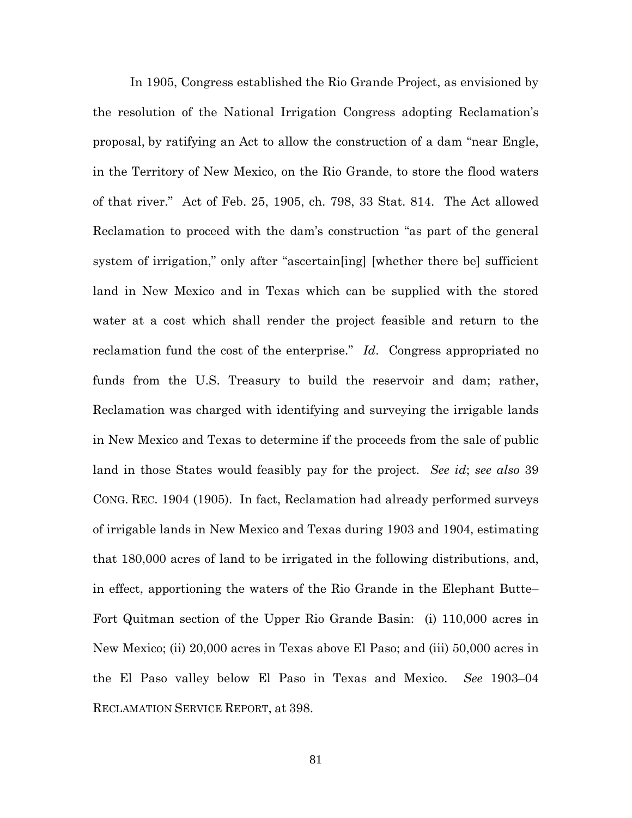In 1905, Congress established the Rio Grande Project, as envisioned by the resolution of the National Irrigation Congress adopting Reclamation's proposal, by ratifying an Act to allow the construction of a dam "near Engle, in the Territory of New Mexico, on the Rio Grande, to store the flood waters of that river." Act of Feb. 25, 1905, ch. 798, 33 Stat. 814. The Act allowed Reclamation to proceed with the dam's construction "as part of the general system of irrigation," only after "ascertain[ing] [whether there be] sufficient land in New Mexico and in Texas which can be supplied with the stored water at a cost which shall render the project feasible and return to the reclamation fund the cost of the enterprise." *Id*. Congress appropriated no funds from the U.S. Treasury to build the reservoir and dam; rather, Reclamation was charged with identifying and surveying the irrigable lands in New Mexico and Texas to determine if the proceeds from the sale of public land in those States would feasibly pay for the project. *See id*; *see also* 39 CONG. REC. 1904 (1905). In fact, Reclamation had already performed surveys of irrigable lands in New Mexico and Texas during 1903 and 1904, estimating that 180,000 acres of land to be irrigated in the following distributions, and, in effect, apportioning the waters of the Rio Grande in the Elephant Butte– Fort Quitman section of the Upper Rio Grande Basin: (i) 110,000 acres in New Mexico; (ii) 20,000 acres in Texas above El Paso; and (iii) 50,000 acres in the El Paso valley below El Paso in Texas and Mexico. *See* 1903–04 RECLAMATION SERVICE REPORT, at 398.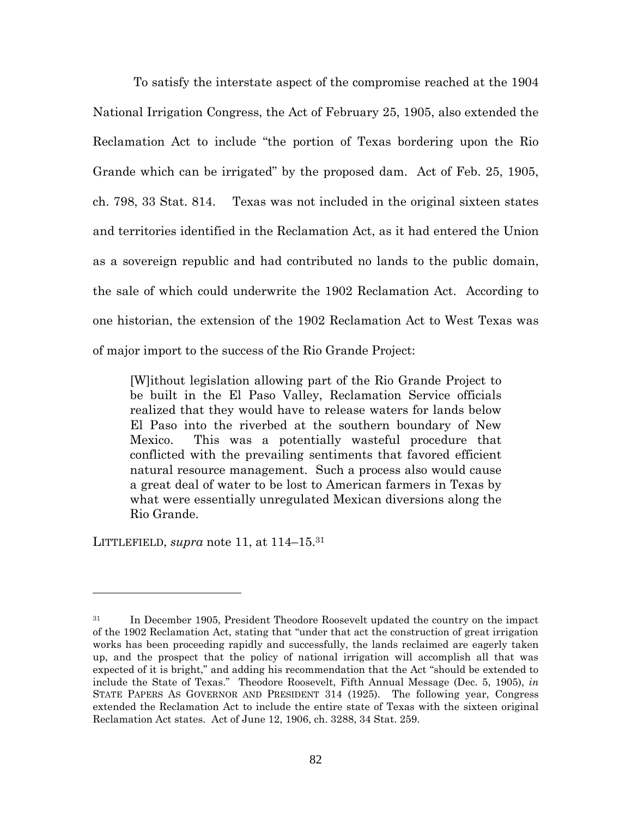To satisfy the interstate aspect of the compromise reached at the 1904 National Irrigation Congress, the Act of February 25, 1905, also extended the Reclamation Act to include "the portion of Texas bordering upon the Rio Grande which can be irrigated" by the proposed dam. Act of Feb. 25, 1905, ch. 798, 33 Stat. 814. Texas was not included in the original sixteen states and territories identified in the Reclamation Act, as it had entered the Union as a sovereign republic and had contributed no lands to the public domain, the sale of which could underwrite the 1902 Reclamation Act. According to one historian, the extension of the 1902 Reclamation Act to West Texas was of major import to the success of the Rio Grande Project:

[W]ithout legislation allowing part of the Rio Grande Project to be built in the El Paso Valley, Reclamation Service officials realized that they would have to release waters for lands below El Paso into the riverbed at the southern boundary of New Mexico. This was a potentially wasteful procedure that conflicted with the prevailing sentiments that favored efficient natural resource management. Such a process also would cause a great deal of water to be lost to American farmers in Texas by what were essentially unregulated Mexican diversions along the Rio Grande.

LITTLEFIELD, *supra* note 11, at 114–15.<sup>31</sup>

<sup>&</sup>lt;sup>31</sup> In December 1905, President Theodore Roosevelt updated the country on the impact of the 1902 Reclamation Act, stating that "under that act the construction of great irrigation works has been proceeding rapidly and successfully, the lands reclaimed are eagerly taken up, and the prospect that the policy of national irrigation will accomplish all that was expected of it is bright," and adding his recommendation that the Act "should be extended to include the State of Texas." Theodore Roosevelt, Fifth Annual Message (Dec. 5, 1905), *in* STATE PAPERS AS GOVERNOR AND PRESIDENT 314 (1925). The following year, Congress extended the Reclamation Act to include the entire state of Texas with the sixteen original Reclamation Act states. Act of June 12, 1906, ch. 3288, 34 Stat. 259.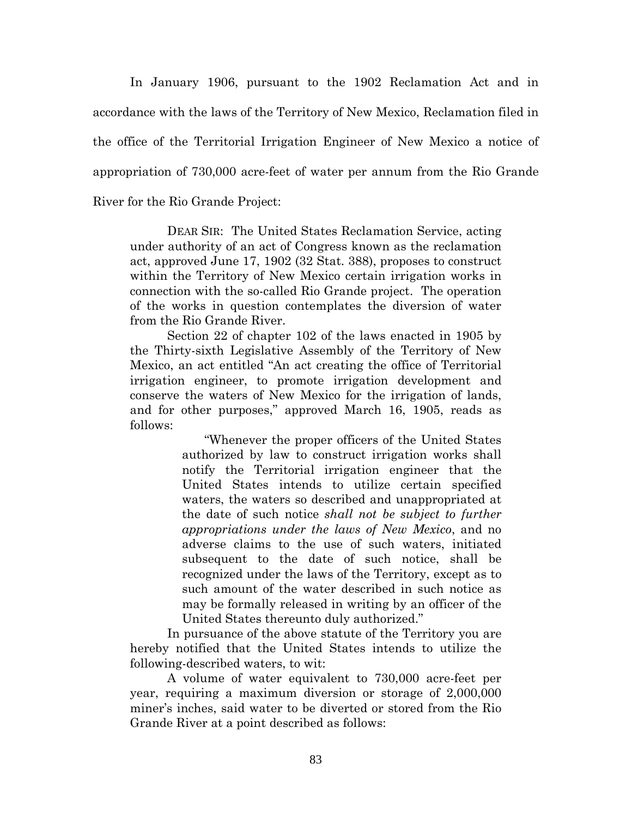In January 1906, pursuant to the 1902 Reclamation Act and in accordance with the laws of the Territory of New Mexico, Reclamation filed in the office of the Territorial Irrigation Engineer of New Mexico a notice of appropriation of 730,000 acre-feet of water per annum from the Rio Grande River for the Rio Grande Project:

DEAR SIR: The United States Reclamation Service, acting under authority of an act of Congress known as the reclamation act, approved June 17, 1902 (32 Stat. 388), proposes to construct within the Territory of New Mexico certain irrigation works in connection with the so-called Rio Grande project. The operation of the works in question contemplates the diversion of water from the Rio Grande River.

Section 22 of chapter 102 of the laws enacted in 1905 by the Thirty-sixth Legislative Assembly of the Territory of New Mexico, an act entitled "An act creating the office of Territorial irrigation engineer, to promote irrigation development and conserve the waters of New Mexico for the irrigation of lands, and for other purposes," approved March 16, 1905, reads as follows:

> "Whenever the proper officers of the United States authorized by law to construct irrigation works shall notify the Territorial irrigation engineer that the United States intends to utilize certain specified waters, the waters so described and unappropriated at the date of such notice *shall not be subject to further appropriations under the laws of New Mexico*, and no adverse claims to the use of such waters, initiated subsequent to the date of such notice, shall be recognized under the laws of the Territory, except as to such amount of the water described in such notice as may be formally released in writing by an officer of the United States thereunto duly authorized."

In pursuance of the above statute of the Territory you are hereby notified that the United States intends to utilize the following-described waters, to wit:

A volume of water equivalent to 730,000 acre-feet per year, requiring a maximum diversion or storage of 2,000,000 miner's inches, said water to be diverted or stored from the Rio Grande River at a point described as follows: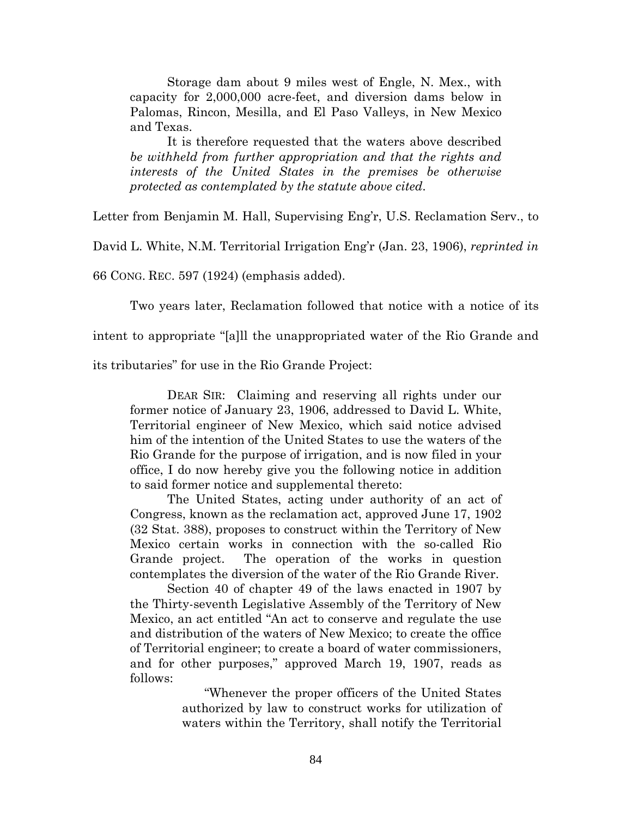Storage dam about 9 miles west of Engle, N. Mex., with capacity for 2,000,000 acre-feet, and diversion dams below in Palomas, Rincon, Mesilla, and El Paso Valleys, in New Mexico and Texas.

It is therefore requested that the waters above described *be withheld from further appropriation and that the rights and interests of the United States in the premises be otherwise protected as contemplated by the statute above cited*.

Letter from Benjamin M. Hall, Supervising Eng'r, U.S. Reclamation Serv., to

David L. White, N.M. Territorial Irrigation Eng'r (Jan. 23, 1906), *reprinted in*

66 CONG. REC. 597 (1924) (emphasis added).

Two years later, Reclamation followed that notice with a notice of its

intent to appropriate "[a]ll the unappropriated water of the Rio Grande and

its tributaries" for use in the Rio Grande Project:

DEAR SIR: Claiming and reserving all rights under our former notice of January 23, 1906, addressed to David L. White, Territorial engineer of New Mexico, which said notice advised him of the intention of the United States to use the waters of the Rio Grande for the purpose of irrigation, and is now filed in your office, I do now hereby give you the following notice in addition to said former notice and supplemental thereto:

The United States, acting under authority of an act of Congress, known as the reclamation act, approved June 17, 1902 (32 Stat. 388), proposes to construct within the Territory of New Mexico certain works in connection with the so-called Rio Grande project. The operation of the works in question contemplates the diversion of the water of the Rio Grande River.

Section 40 of chapter 49 of the laws enacted in 1907 by the Thirty-seventh Legislative Assembly of the Territory of New Mexico, an act entitled "An act to conserve and regulate the use and distribution of the waters of New Mexico; to create the office of Territorial engineer; to create a board of water commissioners, and for other purposes," approved March 19, 1907, reads as follows:

> "Whenever the proper officers of the United States authorized by law to construct works for utilization of waters within the Territory, shall notify the Territorial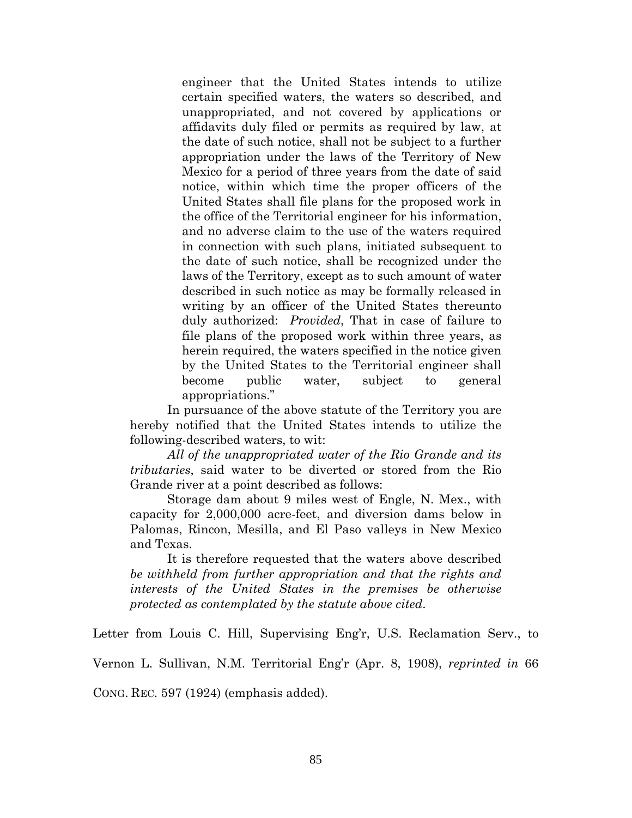engineer that the United States intends to utilize certain specified waters, the waters so described, and unappropriated, and not covered by applications or affidavits duly filed or permits as required by law, at the date of such notice, shall not be subject to a further appropriation under the laws of the Territory of New Mexico for a period of three years from the date of said notice, within which time the proper officers of the United States shall file plans for the proposed work in the office of the Territorial engineer for his information, and no adverse claim to the use of the waters required in connection with such plans, initiated subsequent to the date of such notice, shall be recognized under the laws of the Territory, except as to such amount of water described in such notice as may be formally released in writing by an officer of the United States thereunto duly authorized: *Provided*, That in case of failure to file plans of the proposed work within three years, as herein required, the waters specified in the notice given by the United States to the Territorial engineer shall become public water, subject to general appropriations."

In pursuance of the above statute of the Territory you are hereby notified that the United States intends to utilize the following-described waters, to wit:

*All of the unappropriated water of the Rio Grande and its tributaries*, said water to be diverted or stored from the Rio Grande river at a point described as follows:

Storage dam about 9 miles west of Engle, N. Mex., with capacity for 2,000,000 acre-feet, and diversion dams below in Palomas, Rincon, Mesilla, and El Paso valleys in New Mexico and Texas.

It is therefore requested that the waters above described *be withheld from further appropriation and that the rights and interests of the United States in the premises be otherwise protected as contemplated by the statute above cited*.

Letter from Louis C. Hill, Supervising Eng'r, U.S. Reclamation Serv., to

Vernon L. Sullivan, N.M. Territorial Eng'r (Apr. 8, 1908), *reprinted in* 66

CONG. REC. 597 (1924) (emphasis added).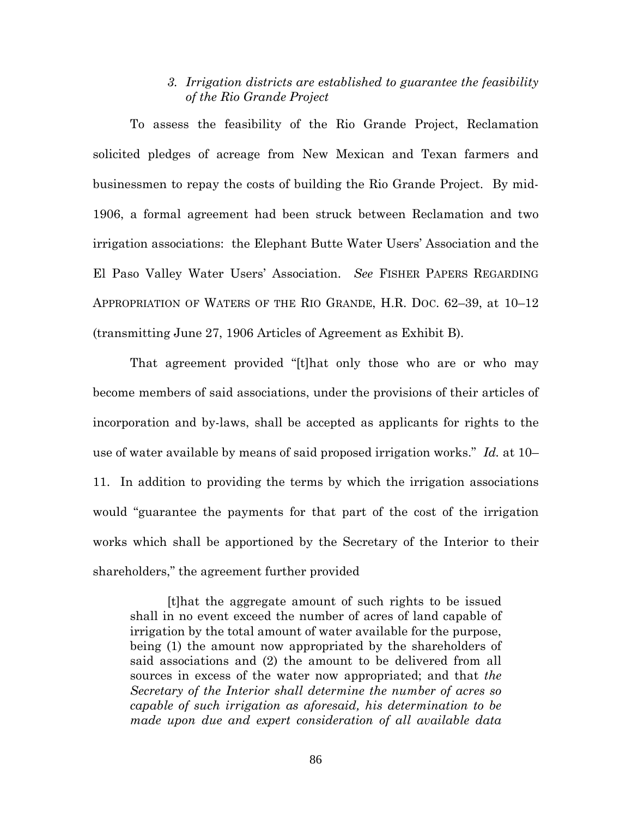# *3. Irrigation districts are established to guarantee the feasibility of the Rio Grande Project*

To assess the feasibility of the Rio Grande Project, Reclamation solicited pledges of acreage from New Mexican and Texan farmers and businessmen to repay the costs of building the Rio Grande Project. By mid-1906, a formal agreement had been struck between Reclamation and two irrigation associations: the Elephant Butte Water Users' Association and the El Paso Valley Water Users' Association. *See* FISHER PAPERS REGARDING APPROPRIATION OF WATERS OF THE RIO GRANDE, H.R. DOC. 62–39, at 10–12 (transmitting June 27, 1906 Articles of Agreement as Exhibit B).

That agreement provided "[t]hat only those who are or who may become members of said associations, under the provisions of their articles of incorporation and by-laws, shall be accepted as applicants for rights to the use of water available by means of said proposed irrigation works." *Id.* at 10– 11. In addition to providing the terms by which the irrigation associations would "guarantee the payments for that part of the cost of the irrigation works which shall be apportioned by the Secretary of the Interior to their shareholders," the agreement further provided

[t]hat the aggregate amount of such rights to be issued shall in no event exceed the number of acres of land capable of irrigation by the total amount of water available for the purpose, being (1) the amount now appropriated by the shareholders of said associations and (2) the amount to be delivered from all sources in excess of the water now appropriated; and that *the Secretary of the Interior shall determine the number of acres so capable of such irrigation as aforesaid, his determination to be made upon due and expert consideration of all available data*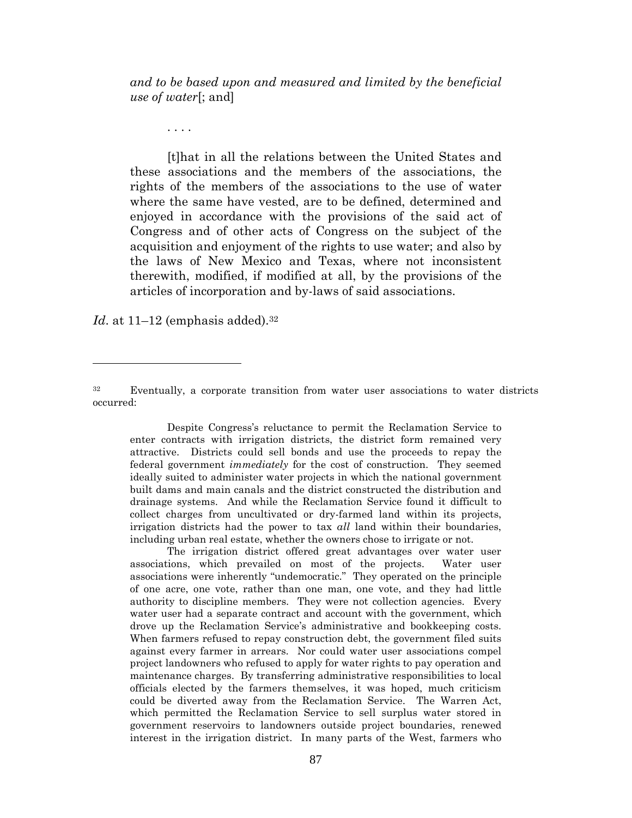*and to be based upon and measured and limited by the beneficial use of water*[; and]

. . . .

[t]hat in all the relations between the United States and these associations and the members of the associations, the rights of the members of the associations to the use of water where the same have vested, are to be defined, determined and enjoyed in accordance with the provisions of the said act of Congress and of other acts of Congress on the subject of the acquisition and enjoyment of the rights to use water; and also by the laws of New Mexico and Texas, where not inconsistent therewith, modified, if modified at all, by the provisions of the articles of incorporation and by-laws of said associations.

*Id.* at  $11-12$  (emphasis added).<sup>32</sup>

Despite Congress's reluctance to permit the Reclamation Service to enter contracts with irrigation districts, the district form remained very attractive. Districts could sell bonds and use the proceeds to repay the federal government *immediately* for the cost of construction. They seemed ideally suited to administer water projects in which the national government built dams and main canals and the district constructed the distribution and drainage systems. And while the Reclamation Service found it difficult to collect charges from uncultivated or dry-farmed land within its projects, irrigation districts had the power to tax *all* land within their boundaries, including urban real estate, whether the owners chose to irrigate or not.

The irrigation district offered great advantages over water user associations, which prevailed on most of the projects. Water user associations were inherently "undemocratic." They operated on the principle of one acre, one vote, rather than one man, one vote, and they had little authority to discipline members. They were not collection agencies. Every water user had a separate contract and account with the government, which drove up the Reclamation Service's administrative and bookkeeping costs. When farmers refused to repay construction debt, the government filed suits against every farmer in arrears. Nor could water user associations compel project landowners who refused to apply for water rights to pay operation and maintenance charges. By transferring administrative responsibilities to local officials elected by the farmers themselves, it was hoped, much criticism could be diverted away from the Reclamation Service. The Warren Act, which permitted the Reclamation Service to sell surplus water stored in government reservoirs to landowners outside project boundaries, renewed interest in the irrigation district. In many parts of the West, farmers who

<sup>32</sup> Eventually, a corporate transition from water user associations to water districts occurred: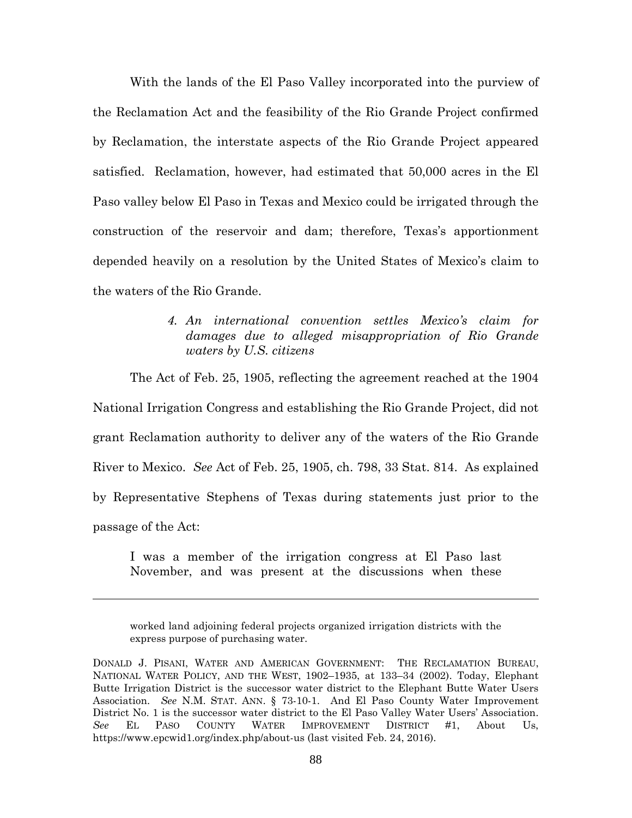With the lands of the El Paso Valley incorporated into the purview of the Reclamation Act and the feasibility of the Rio Grande Project confirmed by Reclamation, the interstate aspects of the Rio Grande Project appeared satisfied. Reclamation, however, had estimated that 50,000 acres in the El Paso valley below El Paso in Texas and Mexico could be irrigated through the construction of the reservoir and dam; therefore, Texas's apportionment depended heavily on a resolution by the United States of Mexico's claim to the waters of the Rio Grande.

> *4. An international convention settles Mexico's claim for damages due to alleged misappropriation of Rio Grande waters by U.S. citizens*

The Act of Feb. 25, 1905, reflecting the agreement reached at the 1904 National Irrigation Congress and establishing the Rio Grande Project, did not grant Reclamation authority to deliver any of the waters of the Rio Grande River to Mexico. *See* Act of Feb. 25, 1905, ch. 798, 33 Stat. 814. As explained by Representative Stephens of Texas during statements just prior to the passage of the Act:

I was a member of the irrigation congress at El Paso last November, and was present at the discussions when these

worked land adjoining federal projects organized irrigation districts with the express purpose of purchasing water.

DONALD J. PISANI, WATER AND AMERICAN GOVERNMENT: THE RECLAMATION BUREAU, NATIONAL WATER POLICY, AND THE WEST, 1902–1935, at 133–34 (2002). Today, Elephant Butte Irrigation District is the successor water district to the Elephant Butte Water Users Association. *See* N.M. STAT. ANN. § 73-10-1. And El Paso County Water Improvement District No. 1 is the successor water district to the El Paso Valley Water Users' Association. *See* EL PASO COUNTY WATER IMPROVEMENT DISTRICT #1, About Us, https://www.epcwid1.org/index.php/about-us (last visited Feb. 24, 2016).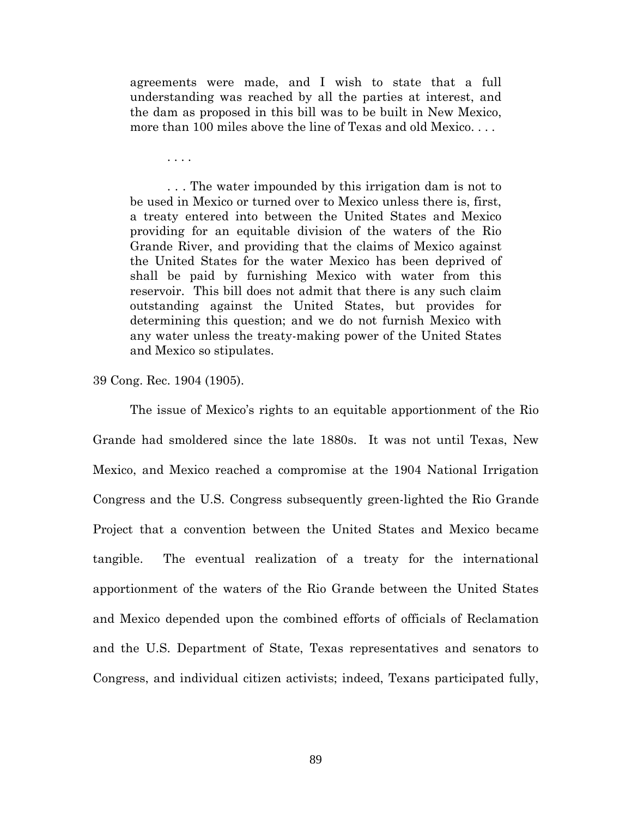agreements were made, and I wish to state that a full understanding was reached by all the parties at interest, and the dam as proposed in this bill was to be built in New Mexico, more than 100 miles above the line of Texas and old Mexico. . . .

. . . .

. . . The water impounded by this irrigation dam is not to be used in Mexico or turned over to Mexico unless there is, first, a treaty entered into between the United States and Mexico providing for an equitable division of the waters of the Rio Grande River, and providing that the claims of Mexico against the United States for the water Mexico has been deprived of shall be paid by furnishing Mexico with water from this reservoir. This bill does not admit that there is any such claim outstanding against the United States, but provides for determining this question; and we do not furnish Mexico with any water unless the treaty-making power of the United States and Mexico so stipulates.

39 Cong. Rec. 1904 (1905).

The issue of Mexico's rights to an equitable apportionment of the Rio Grande had smoldered since the late 1880s. It was not until Texas, New Mexico, and Mexico reached a compromise at the 1904 National Irrigation Congress and the U.S. Congress subsequently green-lighted the Rio Grande Project that a convention between the United States and Mexico became tangible. The eventual realization of a treaty for the international apportionment of the waters of the Rio Grande between the United States and Mexico depended upon the combined efforts of officials of Reclamation and the U.S. Department of State, Texas representatives and senators to Congress, and individual citizen activists; indeed, Texans participated fully,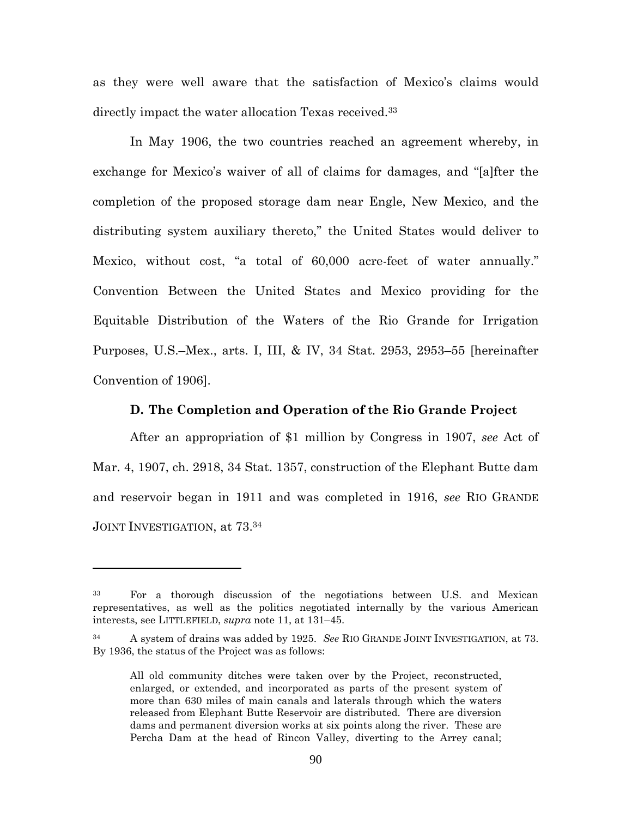as they were well aware that the satisfaction of Mexico's claims would directly impact the water allocation Texas received.<sup>33</sup>

In May 1906, the two countries reached an agreement whereby, in exchange for Mexico's waiver of all of claims for damages, and "[a]fter the completion of the proposed storage dam near Engle, New Mexico, and the distributing system auxiliary thereto," the United States would deliver to Mexico, without cost, "a total of 60,000 acre-feet of water annually." Convention Between the United States and Mexico providing for the Equitable Distribution of the Waters of the Rio Grande for Irrigation Purposes, U.S.–Mex., arts. I, III, & IV, 34 Stat. 2953, 2953–55 [hereinafter Convention of 1906].

#### **D. The Completion and Operation of the Rio Grande Project**

After an appropriation of \$1 million by Congress in 1907, *see* Act of Mar. 4, 1907, ch. 2918, 34 Stat. 1357, construction of the Elephant Butte dam and reservoir began in 1911 and was completed in 1916, *see* RIO GRANDE JOINT INVESTIGATION, at 73.<sup>34</sup>

<sup>33</sup> For a thorough discussion of the negotiations between U.S. and Mexican representatives, as well as the politics negotiated internally by the various American interests, see LITTLEFIELD, *supra* note 11, at 131–45.

<sup>34</sup> A system of drains was added by 1925. *See* RIO GRANDE JOINT INVESTIGATION, at 73. By 1936, the status of the Project was as follows:

All old community ditches were taken over by the Project, reconstructed, enlarged, or extended, and incorporated as parts of the present system of more than 630 miles of main canals and laterals through which the waters released from Elephant Butte Reservoir are distributed. There are diversion dams and permanent diversion works at six points along the river. These are Percha Dam at the head of Rincon Valley, diverting to the Arrey canal;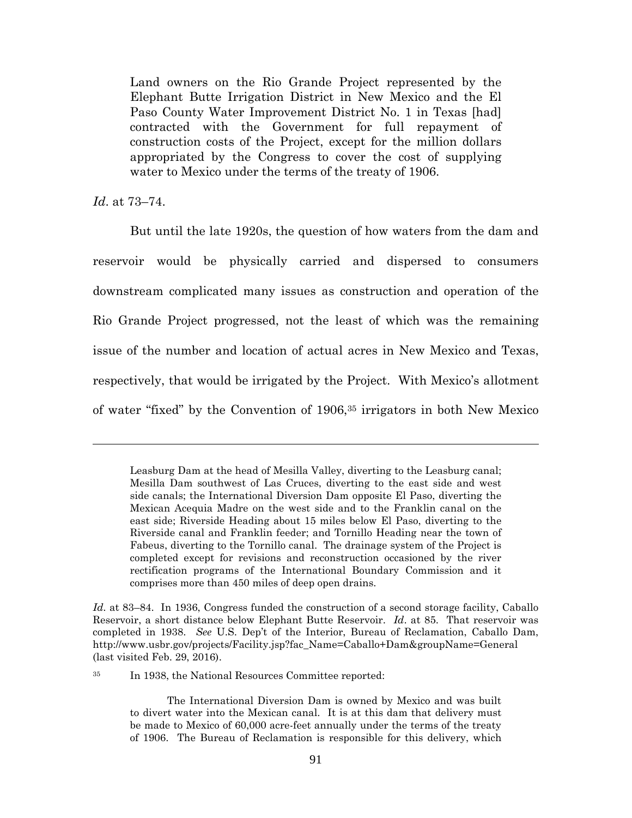Land owners on the Rio Grande Project represented by the Elephant Butte Irrigation District in New Mexico and the El Paso County Water Improvement District No. 1 in Texas [had] contracted with the Government for full repayment of construction costs of the Project, except for the million dollars appropriated by the Congress to cover the cost of supplying water to Mexico under the terms of the treaty of 1906.

*Id*. at 73–74.

But until the late 1920s, the question of how waters from the dam and reservoir would be physically carried and dispersed to consumers downstream complicated many issues as construction and operation of the Rio Grande Project progressed, not the least of which was the remaining issue of the number and location of actual acres in New Mexico and Texas, respectively, that would be irrigated by the Project. With Mexico's allotment of water "fixed" by the Convention of 1906,<sup>35</sup> irrigators in both New Mexico

<sup>35</sup> In 1938, the National Resources Committee reported:

Leasburg Dam at the head of Mesilla Valley, diverting to the Leasburg canal; Mesilla Dam southwest of Las Cruces, diverting to the east side and west side canals; the International Diversion Dam opposite El Paso, diverting the Mexican Acequia Madre on the west side and to the Franklin canal on the east side; Riverside Heading about 15 miles below El Paso, diverting to the Riverside canal and Franklin feeder; and Tornillo Heading near the town of Fabeus, diverting to the Tornillo canal. The drainage system of the Project is completed except for revisions and reconstruction occasioned by the river rectification programs of the International Boundary Commission and it comprises more than 450 miles of deep open drains.

*Id.* at 83–84. In 1936, Congress funded the construction of a second storage facility, Caballo Reservoir, a short distance below Elephant Butte Reservoir. *Id*. at 85. That reservoir was completed in 1938. *See* U.S. Dep't of the Interior, Bureau of Reclamation, Caballo Dam, http://www.usbr.gov/projects/Facility.jsp?fac\_Name=Caballo+Dam&groupName=General (last visited Feb. 29, 2016).

The International Diversion Dam is owned by Mexico and was built to divert water into the Mexican canal. It is at this dam that delivery must be made to Mexico of 60,000 acre-feet annually under the terms of the treaty of 1906. The Bureau of Reclamation is responsible for this delivery, which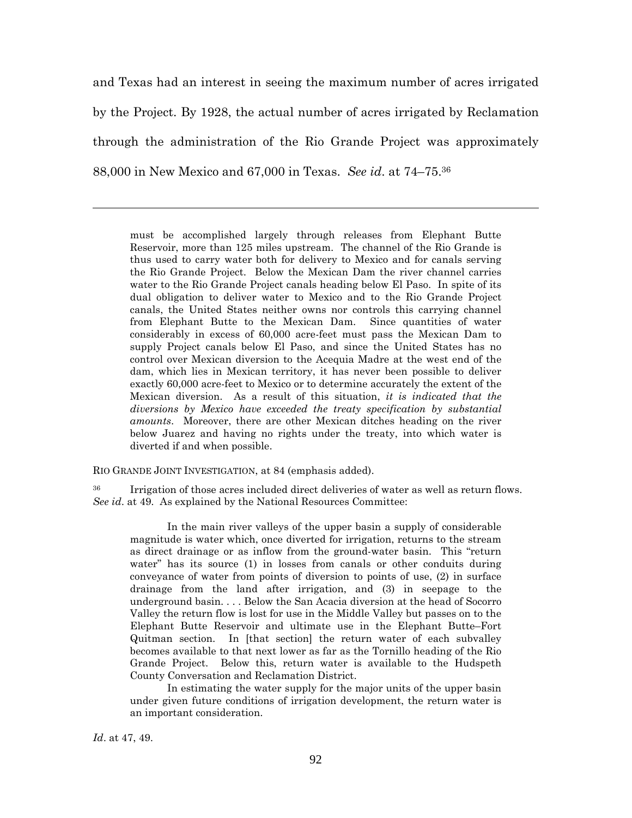and Texas had an interest in seeing the maximum number of acres irrigated by the Project. By 1928, the actual number of acres irrigated by Reclamation through the administration of the Rio Grande Project was approximately 88,000 in New Mexico and 67,000 in Texas. *See id*. at 74–75.<sup>36</sup>

must be accomplished largely through releases from Elephant Butte Reservoir, more than 125 miles upstream. The channel of the Rio Grande is thus used to carry water both for delivery to Mexico and for canals serving the Rio Grande Project. Below the Mexican Dam the river channel carries water to the Rio Grande Project canals heading below El Paso. In spite of its dual obligation to deliver water to Mexico and to the Rio Grande Project canals, the United States neither owns nor controls this carrying channel from Elephant Butte to the Mexican Dam. Since quantities of water considerably in excess of 60,000 acre-feet must pass the Mexican Dam to supply Project canals below El Paso, and since the United States has no control over Mexican diversion to the Acequia Madre at the west end of the dam, which lies in Mexican territory, it has never been possible to deliver exactly 60,000 acre-feet to Mexico or to determine accurately the extent of the Mexican diversion. As a result of this situation, *it is indicated that the diversions by Mexico have exceeded the treaty specification by substantial amounts*. Moreover, there are other Mexican ditches heading on the river below Juarez and having no rights under the treaty, into which water is diverted if and when possible.

RIO GRANDE JOINT INVESTIGATION, at 84 (emphasis added).

<sup>36</sup> Irrigation of those acres included direct deliveries of water as well as return flows. *See id*. at 49. As explained by the National Resources Committee:

In the main river valleys of the upper basin a supply of considerable magnitude is water which, once diverted for irrigation, returns to the stream as direct drainage or as inflow from the ground-water basin. This "return water" has its source (1) in losses from canals or other conduits during conveyance of water from points of diversion to points of use, (2) in surface drainage from the land after irrigation, and (3) in seepage to the underground basin. . . . Below the San Acacia diversion at the head of Socorro Valley the return flow is lost for use in the Middle Valley but passes on to the Elephant Butte Reservoir and ultimate use in the Elephant Butte–Fort Quitman section. In [that section] the return water of each subvalley becomes available to that next lower as far as the Tornillo heading of the Rio Grande Project. Below this, return water is available to the Hudspeth County Conversation and Reclamation District.

In estimating the water supply for the major units of the upper basin under given future conditions of irrigation development, the return water is an important consideration.

*Id*. at 47, 49.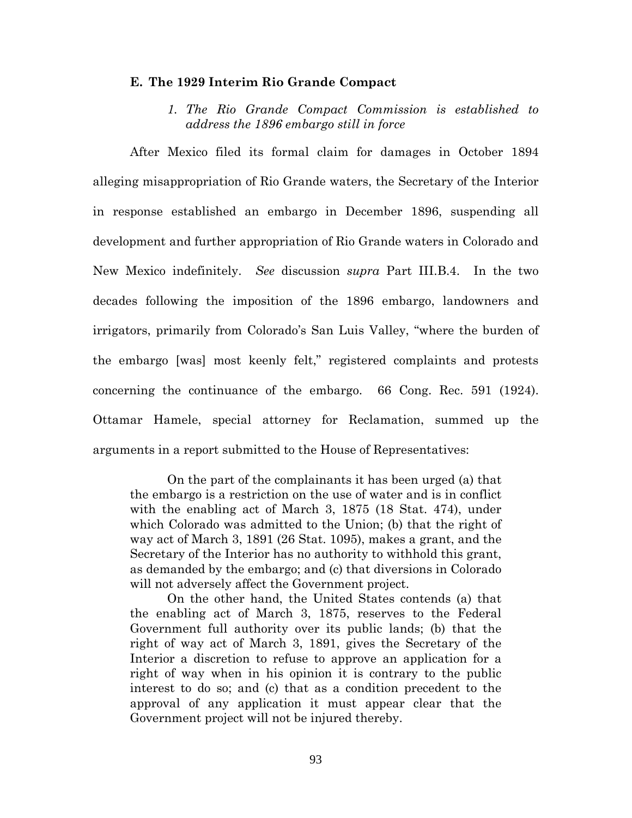### **E. The 1929 Interim Rio Grande Compact**

*1. The Rio Grande Compact Commission is established to address the 1896 embargo still in force*

After Mexico filed its formal claim for damages in October 1894 alleging misappropriation of Rio Grande waters, the Secretary of the Interior in response established an embargo in December 1896, suspending all development and further appropriation of Rio Grande waters in Colorado and New Mexico indefinitely. *See* discussion *supra* Part III.B.4. In the two decades following the imposition of the 1896 embargo, landowners and irrigators, primarily from Colorado's San Luis Valley, "where the burden of the embargo [was] most keenly felt," registered complaints and protests concerning the continuance of the embargo. 66 Cong. Rec. 591 (1924). Ottamar Hamele, special attorney for Reclamation, summed up the arguments in a report submitted to the House of Representatives:

On the part of the complainants it has been urged (a) that the embargo is a restriction on the use of water and is in conflict with the enabling act of March 3, 1875 (18 Stat. 474), under which Colorado was admitted to the Union; (b) that the right of way act of March 3, 1891 (26 Stat. 1095), makes a grant, and the Secretary of the Interior has no authority to withhold this grant, as demanded by the embargo; and (c) that diversions in Colorado will not adversely affect the Government project.

On the other hand, the United States contends (a) that the enabling act of March 3, 1875, reserves to the Federal Government full authority over its public lands; (b) that the right of way act of March 3, 1891, gives the Secretary of the Interior a discretion to refuse to approve an application for a right of way when in his opinion it is contrary to the public interest to do so; and (c) that as a condition precedent to the approval of any application it must appear clear that the Government project will not be injured thereby.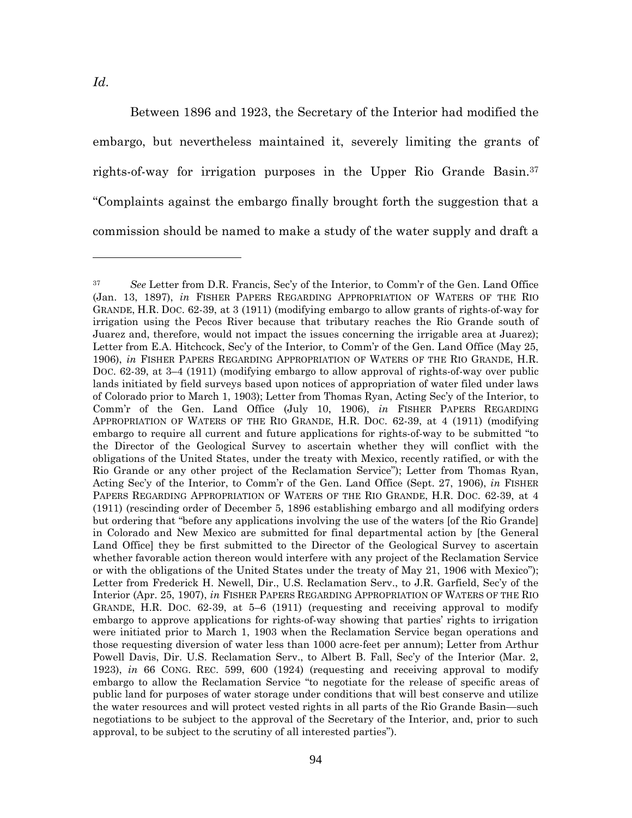Between 1896 and 1923, the Secretary of the Interior had modified the embargo, but nevertheless maintained it, severely limiting the grants of rights-of-way for irrigation purposes in the Upper Rio Grande Basin.<sup>37</sup> "Complaints against the embargo finally brought forth the suggestion that a commission should be named to make a study of the water supply and draft a

<sup>37</sup> *See* Letter from D.R. Francis, Sec'y of the Interior, to Comm'r of the Gen. Land Office (Jan. 13, 1897), *in* FISHER PAPERS REGARDING APPROPRIATION OF WATERS OF THE RIO GRANDE, H.R. DOC. 62-39, at 3 (1911) (modifying embargo to allow grants of rights-of-way for irrigation using the Pecos River because that tributary reaches the Rio Grande south of Juarez and, therefore, would not impact the issues concerning the irrigable area at Juarez); Letter from E.A. Hitchcock, Sec'y of the Interior, to Comm'r of the Gen. Land Office (May 25, 1906), *in* FISHER PAPERS REGARDING APPROPRIATION OF WATERS OF THE RIO GRANDE, H.R. DOC. 62-39, at 3–4 (1911) (modifying embargo to allow approval of rights-of-way over public lands initiated by field surveys based upon notices of appropriation of water filed under laws of Colorado prior to March 1, 1903); Letter from Thomas Ryan, Acting Sec'y of the Interior, to Comm'r of the Gen. Land Office (July 10, 1906), *in* FISHER PAPERS REGARDING APPROPRIATION OF WATERS OF THE RIO GRANDE, H.R. DOC. 62-39, at 4 (1911) (modifying embargo to require all current and future applications for rights-of-way to be submitted "to the Director of the Geological Survey to ascertain whether they will conflict with the obligations of the United States, under the treaty with Mexico, recently ratified, or with the Rio Grande or any other project of the Reclamation Service"); Letter from Thomas Ryan, Acting Sec'y of the Interior, to Comm'r of the Gen. Land Office (Sept. 27, 1906), *in* FISHER PAPERS REGARDING APPROPRIATION OF WATERS OF THE RIO GRANDE, H.R. DOC. 62-39, at 4 (1911) (rescinding order of December 5, 1896 establishing embargo and all modifying orders but ordering that "before any applications involving the use of the waters [of the Rio Grande] in Colorado and New Mexico are submitted for final departmental action by [the General Land Office] they be first submitted to the Director of the Geological Survey to ascertain whether favorable action thereon would interfere with any project of the Reclamation Service or with the obligations of the United States under the treaty of May 21, 1906 with Mexico"); Letter from Frederick H. Newell, Dir., U.S. Reclamation Serv., to J.R. Garfield, Sec'y of the Interior (Apr. 25, 1907), *in* FISHER PAPERS REGARDING APPROPRIATION OF WATERS OF THE RIO GRANDE, H.R. DOC. 62-39, at 5–6 (1911) (requesting and receiving approval to modify embargo to approve applications for rights-of-way showing that parties' rights to irrigation were initiated prior to March 1, 1903 when the Reclamation Service began operations and those requesting diversion of water less than 1000 acre-feet per annum); Letter from Arthur Powell Davis, Dir. U.S. Reclamation Serv., to Albert B. Fall, Sec'y of the Interior (Mar. 2, 1923), *in* 66 CONG. REC. 599, 600 (1924) (requesting and receiving approval to modify embargo to allow the Reclamation Service "to negotiate for the release of specific areas of public land for purposes of water storage under conditions that will best conserve and utilize the water resources and will protect vested rights in all parts of the Rio Grande Basin—such negotiations to be subject to the approval of the Secretary of the Interior, and, prior to such approval, to be subject to the scrutiny of all interested parties").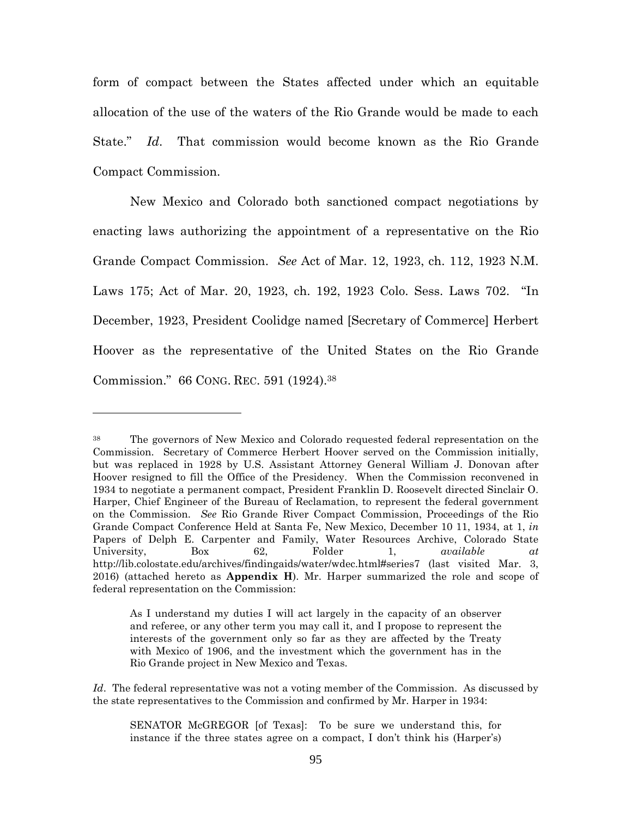form of compact between the States affected under which an equitable allocation of the use of the waters of the Rio Grande would be made to each State." *Id*. That commission would become known as the Rio Grande Compact Commission.

New Mexico and Colorado both sanctioned compact negotiations by enacting laws authorizing the appointment of a representative on the Rio Grande Compact Commission. *See* Act of Mar. 12, 1923, ch. 112, 1923 N.M. Laws 175; Act of Mar. 20, 1923, ch. 192, 1923 Colo. Sess. Laws 702. "In December, 1923, President Coolidge named [Secretary of Commerce] Herbert Hoover as the representative of the United States on the Rio Grande Commission." 66 CONG. REC. 591 (1924).<sup>38</sup>

<sup>38</sup> The governors of New Mexico and Colorado requested federal representation on the Commission. Secretary of Commerce Herbert Hoover served on the Commission initially, but was replaced in 1928 by U.S. Assistant Attorney General William J. Donovan after Hoover resigned to fill the Office of the Presidency. When the Commission reconvened in 1934 to negotiate a permanent compact, President Franklin D. Roosevelt directed Sinclair O. Harper, Chief Engineer of the Bureau of Reclamation, to represent the federal government on the Commission. *See* Rio Grande River Compact Commission, Proceedings of the Rio Grande Compact Conference Held at Santa Fe, New Mexico, December 10 11, 1934, at 1, *in* Papers of Delph E. Carpenter and Family, Water Resources Archive, Colorado State University, Box 62, Folder 1, *available at* http://lib.colostate.edu/archives/findingaids/water/wdec.html#series7 (last visited Mar. 3, 2016) (attached hereto as **Appendix H**). Mr. Harper summarized the role and scope of federal representation on the Commission:

As I understand my duties I will act largely in the capacity of an observer and referee, or any other term you may call it, and I propose to represent the interests of the government only so far as they are affected by the Treaty with Mexico of 1906, and the investment which the government has in the Rio Grande project in New Mexico and Texas.

*Id*. The federal representative was not a voting member of the Commission. As discussed by the state representatives to the Commission and confirmed by Mr. Harper in 1934:

SENATOR McGREGOR [of Texas]: To be sure we understand this, for instance if the three states agree on a compact, I don't think his (Harper's)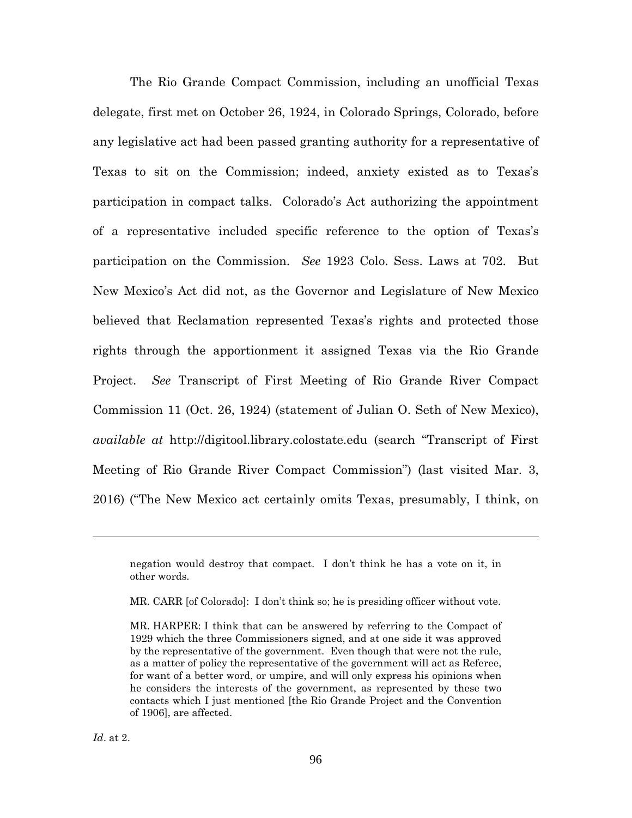The Rio Grande Compact Commission, including an unofficial Texas delegate, first met on October 26, 1924, in Colorado Springs, Colorado, before any legislative act had been passed granting authority for a representative of Texas to sit on the Commission; indeed, anxiety existed as to Texas's participation in compact talks. Colorado's Act authorizing the appointment of a representative included specific reference to the option of Texas's participation on the Commission. *See* 1923 Colo. Sess. Laws at 702. But New Mexico's Act did not, as the Governor and Legislature of New Mexico believed that Reclamation represented Texas's rights and protected those rights through the apportionment it assigned Texas via the Rio Grande Project. *See* Transcript of First Meeting of Rio Grande River Compact Commission 11 (Oct. 26, 1924) (statement of Julian O. Seth of New Mexico), *available at* http://digitool.library.colostate.edu (search "Transcript of First Meeting of Rio Grande River Compact Commission") (last visited Mar. 3, 2016) ("The New Mexico act certainly omits Texas, presumably, I think, on

MR. CARR [of Colorado]: I don't think so; he is presiding officer without vote.

negation would destroy that compact. I don't think he has a vote on it, in other words.

MR. HARPER: I think that can be answered by referring to the Compact of 1929 which the three Commissioners signed, and at one side it was approved by the representative of the government. Even though that were not the rule, as a matter of policy the representative of the government will act as Referee, for want of a better word, or umpire, and will only express his opinions when he considers the interests of the government, as represented by these two contacts which I just mentioned [the Rio Grande Project and the Convention of 1906], are affected.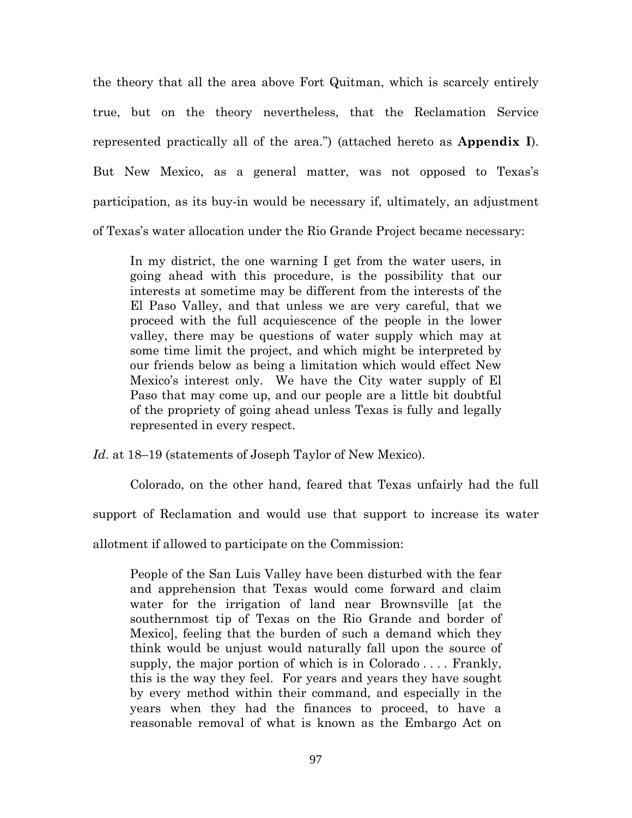the theory that all the area above Fort Quitman, which is scarcely entirely true, but on the theory nevertheless, that the Reclamation Service represented practically all of the area.") (attached hereto as **Appendix I**). But New Mexico, as a general matter, was not opposed to Texas's participation, as its buy-in would be necessary if, ultimately, an adjustment of Texas's water allocation under the Rio Grande Project became necessary:

In my district, the one warning I get from the water users, in going ahead with this procedure, is the possibility that our interests at sometime may be different from the interests of the El Paso Valley, and that unless we are very careful, that we proceed with the full acquiescence of the people in the lower valley, there may be questions of water supply which may at some time limit the project, and which might be interpreted by our friends below as being a limitation which would effect New Mexico's interest only. We have the City water supply of El Paso that may come up, and our people are a little bit doubtful of the propriety of going ahead unless Texas is fully and legally represented in every respect.

*Id*. at 18–19 (statements of Joseph Taylor of New Mexico).

Colorado, on the other hand, feared that Texas unfairly had the full support of Reclamation and would use that support to increase its water allotment if allowed to participate on the Commission:

People of the San Luis Valley have been disturbed with the fear and apprehension that Texas would come forward and claim water for the irrigation of land near Brownsville [at the southernmost tip of Texas on the Rio Grande and border of Mexico], feeling that the burden of such a demand which they think would be unjust would naturally fall upon the source of supply, the major portion of which is in Colorado  $\dots$ . Frankly, this is the way they feel. For years and years they have sought by every method within their command, and especially in the years when they had the finances to proceed, to have a reasonable removal of what is known as the Embargo Act on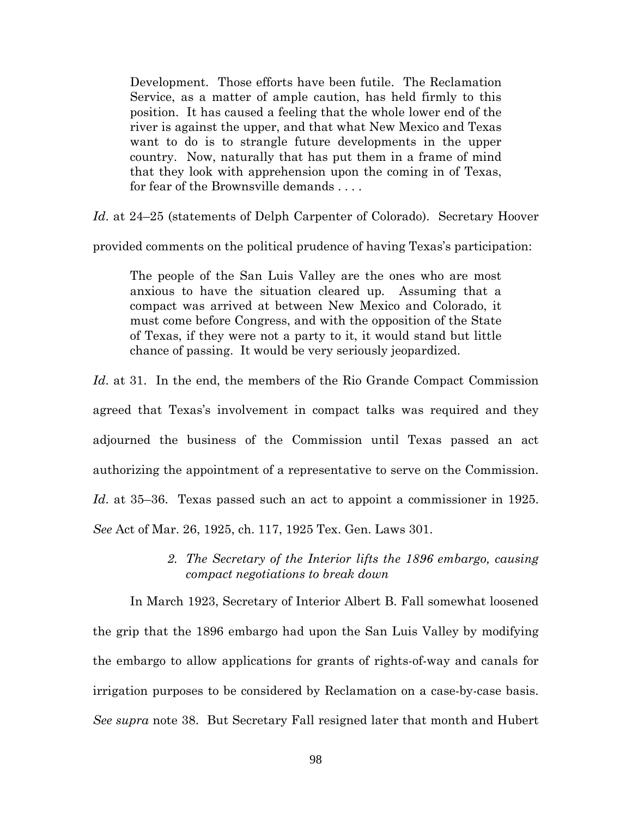Development. Those efforts have been futile. The Reclamation Service, as a matter of ample caution, has held firmly to this position. It has caused a feeling that the whole lower end of the river is against the upper, and that what New Mexico and Texas want to do is to strangle future developments in the upper country. Now, naturally that has put them in a frame of mind that they look with apprehension upon the coming in of Texas, for fear of the Brownsville demands . . . .

*Id*. at 24–25 (statements of Delph Carpenter of Colorado). Secretary Hoover

provided comments on the political prudence of having Texas's participation:

The people of the San Luis Valley are the ones who are most anxious to have the situation cleared up. Assuming that a compact was arrived at between New Mexico and Colorado, it must come before Congress, and with the opposition of the State of Texas, if they were not a party to it, it would stand but little chance of passing. It would be very seriously jeopardized.

*Id*. at 31. In the end, the members of the Rio Grande Compact Commission agreed that Texas's involvement in compact talks was required and they adjourned the business of the Commission until Texas passed an act authorizing the appointment of a representative to serve on the Commission. *Id*. at 35–36. Texas passed such an act to appoint a commissioner in 1925. *See* Act of Mar. 26, 1925, ch. 117, 1925 Tex. Gen. Laws 301.

> *2. The Secretary of the Interior lifts the 1896 embargo, causing compact negotiations to break down*

In March 1923, Secretary of Interior Albert B. Fall somewhat loosened the grip that the 1896 embargo had upon the San Luis Valley by modifying the embargo to allow applications for grants of rights-of-way and canals for irrigation purposes to be considered by Reclamation on a case-by-case basis. *See supra* note 38. But Secretary Fall resigned later that month and Hubert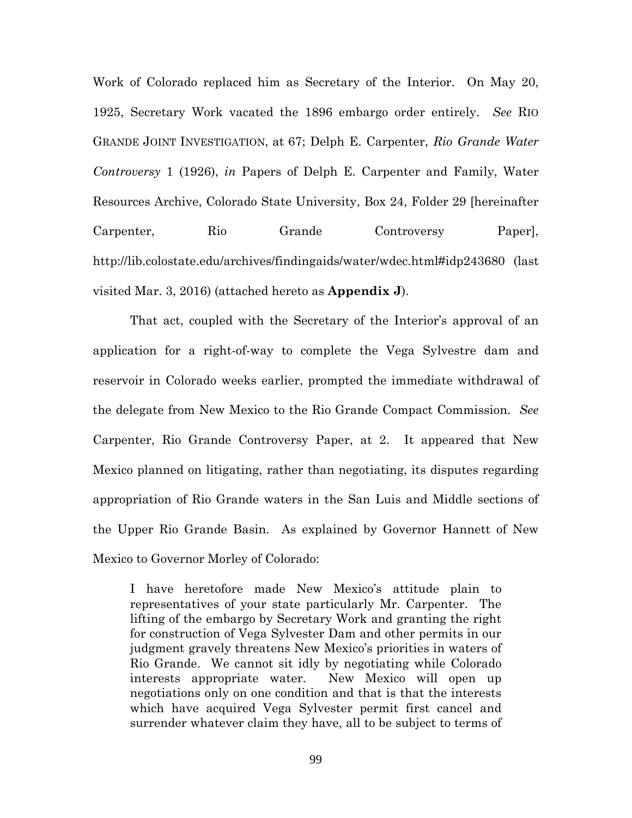Work of Colorado replaced him as Secretary of the Interior. On May 20, 1925, Secretary Work vacated the 1896 embargo order entirely. *See* RIO GRANDE JOINT INVESTIGATION, at 67; Delph E. Carpenter, *Rio Grande Water Controversy* 1 (1926), *in* Papers of Delph E. Carpenter and Family, Water Resources Archive, Colorado State University, Box 24, Folder 29 [hereinafter Carpenter, Rio Grande Controversy Paper], http://lib.colostate.edu/archives/findingaids/water/wdec.html#idp243680 (last visited Mar. 3, 2016) (attached hereto as **Appendix J**).

That act, coupled with the Secretary of the Interior's approval of an application for a right-of-way to complete the Vega Sylvestre dam and reservoir in Colorado weeks earlier, prompted the immediate withdrawal of the delegate from New Mexico to the Rio Grande Compact Commission. *See* Carpenter, Rio Grande Controversy Paper, at 2. It appeared that New Mexico planned on litigating, rather than negotiating, its disputes regarding appropriation of Rio Grande waters in the San Luis and Middle sections of the Upper Rio Grande Basin. As explained by Governor Hannett of New Mexico to Governor Morley of Colorado:

I have heretofore made New Mexico's attitude plain to representatives of your state particularly Mr. Carpenter. The lifting of the embargo by Secretary Work and granting the right for construction of Vega Sylvester Dam and other permits in our judgment gravely threatens New Mexico's priorities in waters of Rio Grande. We cannot sit idly by negotiating while Colorado interests appropriate water. New Mexico will open up negotiations only on one condition and that is that the interests which have acquired Vega Sylvester permit first cancel and surrender whatever claim they have, all to be subject to terms of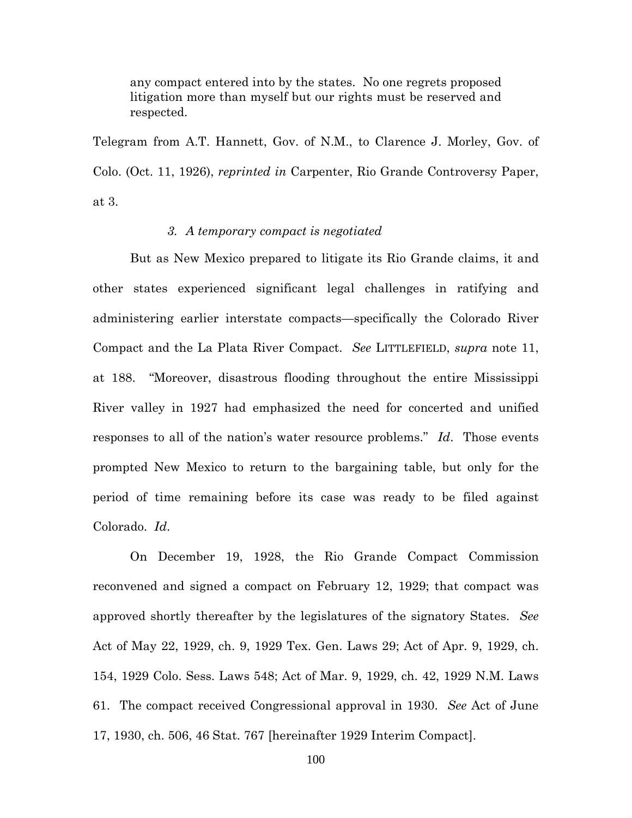any compact entered into by the states. No one regrets proposed litigation more than myself but our rights must be reserved and respected.

Telegram from A.T. Hannett, Gov. of N.M., to Clarence J. Morley, Gov. of Colo. (Oct. 11, 1926), *reprinted in* Carpenter, Rio Grande Controversy Paper, at 3.

## *3. A temporary compact is negotiated*

But as New Mexico prepared to litigate its Rio Grande claims, it and other states experienced significant legal challenges in ratifying and administering earlier interstate compacts—specifically the Colorado River Compact and the La Plata River Compact. *See* LITTLEFIELD, *supra* note 11, at 188. "Moreover, disastrous flooding throughout the entire Mississippi River valley in 1927 had emphasized the need for concerted and unified responses to all of the nation's water resource problems." *Id*. Those events prompted New Mexico to return to the bargaining table, but only for the period of time remaining before its case was ready to be filed against Colorado. *Id*.

On December 19, 1928, the Rio Grande Compact Commission reconvened and signed a compact on February 12, 1929; that compact was approved shortly thereafter by the legislatures of the signatory States. *See* Act of May 22, 1929, ch. 9, 1929 Tex. Gen. Laws 29; Act of Apr. 9, 1929, ch. 154, 1929 Colo. Sess. Laws 548; Act of Mar. 9, 1929, ch. 42, 1929 N.M. Laws 61. The compact received Congressional approval in 1930. *See* Act of June 17, 1930, ch. 506, 46 Stat. 767 [hereinafter 1929 Interim Compact].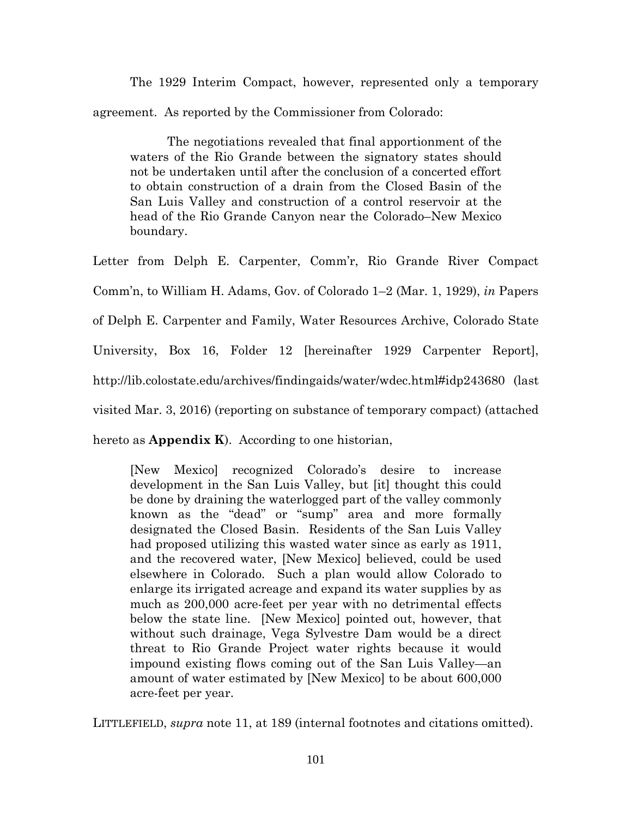The 1929 Interim Compact, however, represented only a temporary agreement. As reported by the Commissioner from Colorado:

The negotiations revealed that final apportionment of the waters of the Rio Grande between the signatory states should not be undertaken until after the conclusion of a concerted effort to obtain construction of a drain from the Closed Basin of the San Luis Valley and construction of a control reservoir at the head of the Rio Grande Canyon near the Colorado–New Mexico boundary.

Letter from Delph E. Carpenter, Comm'r, Rio Grande River Compact Comm'n, to William H. Adams, Gov. of Colorado 1–2 (Mar. 1, 1929), *in* Papers of Delph E. Carpenter and Family, Water Resources Archive, Colorado State University, Box 16, Folder 12 [hereinafter 1929 Carpenter Report], http://lib.colostate.edu/archives/findingaids/water/wdec.html#idp243680 (last visited Mar. 3, 2016) (reporting on substance of temporary compact) (attached

hereto as **Appendix K**). According to one historian,

[New Mexico] recognized Colorado's desire to increase development in the San Luis Valley, but [it] thought this could be done by draining the waterlogged part of the valley commonly known as the "dead" or "sump" area and more formally designated the Closed Basin. Residents of the San Luis Valley had proposed utilizing this wasted water since as early as 1911, and the recovered water, [New Mexico] believed, could be used elsewhere in Colorado. Such a plan would allow Colorado to enlarge its irrigated acreage and expand its water supplies by as much as 200,000 acre-feet per year with no detrimental effects below the state line. [New Mexico] pointed out, however, that without such drainage, Vega Sylvestre Dam would be a direct threat to Rio Grande Project water rights because it would impound existing flows coming out of the San Luis Valley—an amount of water estimated by [New Mexico] to be about 600,000 acre-feet per year.

LITTLEFIELD, *supra* note 11, at 189 (internal footnotes and citations omitted).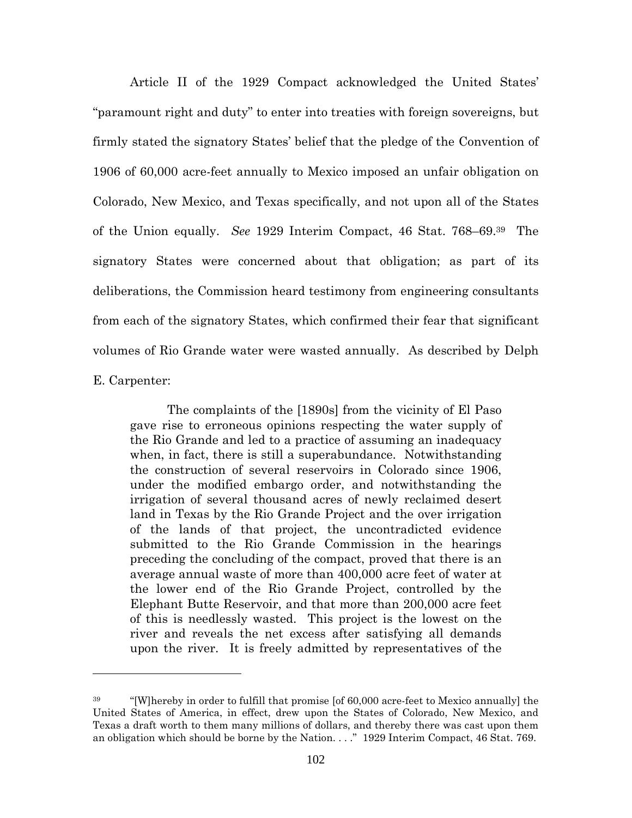Article II of the 1929 Compact acknowledged the United States' "paramount right and duty" to enter into treaties with foreign sovereigns, but firmly stated the signatory States' belief that the pledge of the Convention of 1906 of 60,000 acre-feet annually to Mexico imposed an unfair obligation on Colorado, New Mexico, and Texas specifically, and not upon all of the States of the Union equally. *See* 1929 Interim Compact, 46 Stat. 768–69.<sup>39</sup> The signatory States were concerned about that obligation; as part of its deliberations, the Commission heard testimony from engineering consultants from each of the signatory States, which confirmed their fear that significant volumes of Rio Grande water were wasted annually. As described by Delph E. Carpenter:

The complaints of the [1890s] from the vicinity of El Paso gave rise to erroneous opinions respecting the water supply of the Rio Grande and led to a practice of assuming an inadequacy when, in fact, there is still a superabundance. Notwithstanding the construction of several reservoirs in Colorado since 1906, under the modified embargo order, and notwithstanding the irrigation of several thousand acres of newly reclaimed desert land in Texas by the Rio Grande Project and the over irrigation of the lands of that project, the uncontradicted evidence submitted to the Rio Grande Commission in the hearings preceding the concluding of the compact, proved that there is an average annual waste of more than 400,000 acre feet of water at the lower end of the Rio Grande Project, controlled by the Elephant Butte Reservoir, and that more than 200,000 acre feet of this is needlessly wasted. This project is the lowest on the river and reveals the net excess after satisfying all demands upon the river. It is freely admitted by representatives of the

<sup>&</sup>lt;sup>39</sup> "[W]hereby in order to fulfill that promise [of 60,000 acre-feet to Mexico annually] the United States of America, in effect, drew upon the States of Colorado, New Mexico, and Texas a draft worth to them many millions of dollars, and thereby there was cast upon them an obligation which should be borne by the Nation. . . ." 1929 Interim Compact, 46 Stat. 769.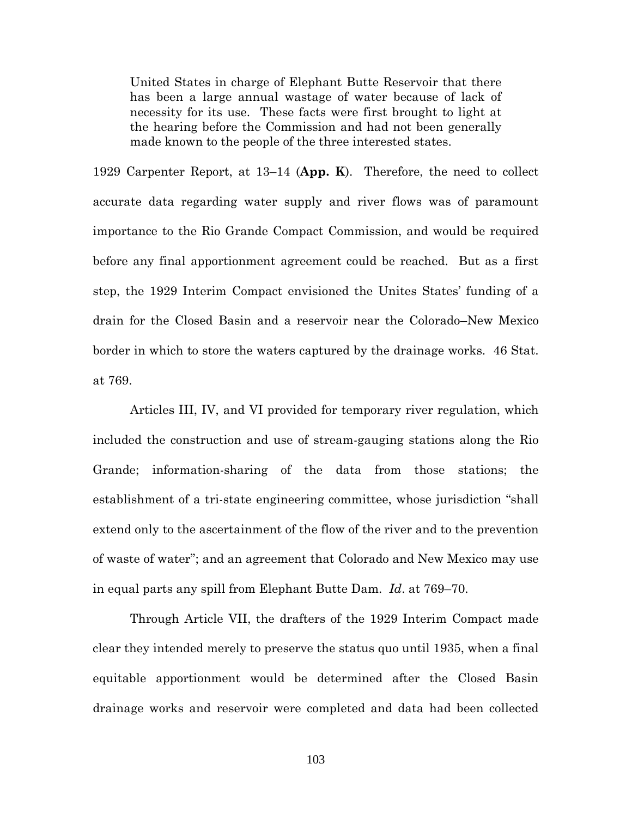United States in charge of Elephant Butte Reservoir that there has been a large annual wastage of water because of lack of necessity for its use. These facts were first brought to light at the hearing before the Commission and had not been generally made known to the people of the three interested states.

1929 Carpenter Report, at 13–14 (**App. K**). Therefore, the need to collect accurate data regarding water supply and river flows was of paramount importance to the Rio Grande Compact Commission, and would be required before any final apportionment agreement could be reached. But as a first step, the 1929 Interim Compact envisioned the Unites States' funding of a drain for the Closed Basin and a reservoir near the Colorado–New Mexico border in which to store the waters captured by the drainage works. 46 Stat. at 769.

Articles III, IV, and VI provided for temporary river regulation, which included the construction and use of stream-gauging stations along the Rio Grande; information-sharing of the data from those stations; the establishment of a tri-state engineering committee, whose jurisdiction "shall extend only to the ascertainment of the flow of the river and to the prevention of waste of water"; and an agreement that Colorado and New Mexico may use in equal parts any spill from Elephant Butte Dam. *Id*. at 769–70.

Through Article VII, the drafters of the 1929 Interim Compact made clear they intended merely to preserve the status quo until 1935, when a final equitable apportionment would be determined after the Closed Basin drainage works and reservoir were completed and data had been collected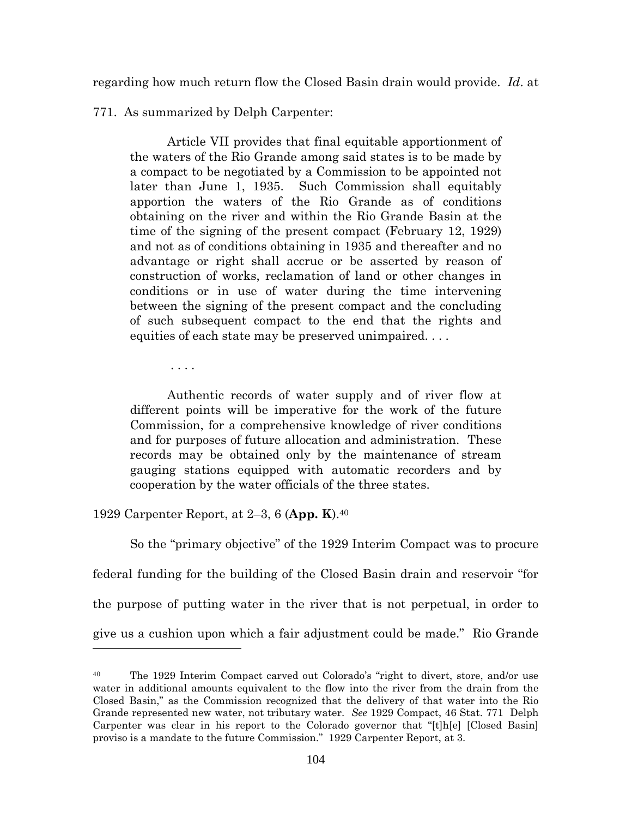regarding how much return flow the Closed Basin drain would provide. *Id*. at

771. As summarized by Delph Carpenter:

Article VII provides that final equitable apportionment of the waters of the Rio Grande among said states is to be made by a compact to be negotiated by a Commission to be appointed not later than June 1, 1935. Such Commission shall equitably apportion the waters of the Rio Grande as of conditions obtaining on the river and within the Rio Grande Basin at the time of the signing of the present compact (February 12, 1929) and not as of conditions obtaining in 1935 and thereafter and no advantage or right shall accrue or be asserted by reason of construction of works, reclamation of land or other changes in conditions or in use of water during the time intervening between the signing of the present compact and the concluding of such subsequent compact to the end that the rights and equities of each state may be preserved unimpaired. . . .

. . . .

Authentic records of water supply and of river flow at different points will be imperative for the work of the future Commission, for a comprehensive knowledge of river conditions and for purposes of future allocation and administration. These records may be obtained only by the maintenance of stream gauging stations equipped with automatic recorders and by cooperation by the water officials of the three states.

1929 Carpenter Report, at 2–3, 6 (**App. K**).<sup>40</sup>

So the "primary objective" of the 1929 Interim Compact was to procure federal funding for the building of the Closed Basin drain and reservoir "for the purpose of putting water in the river that is not perpetual, in order to give us a cushion upon which a fair adjustment could be made." Rio Grande

<sup>40</sup> The 1929 Interim Compact carved out Colorado's "right to divert, store, and/or use water in additional amounts equivalent to the flow into the river from the drain from the Closed Basin," as the Commission recognized that the delivery of that water into the Rio Grande represented new water, not tributary water. *See* 1929 Compact, 46 Stat. 771 Delph Carpenter was clear in his report to the Colorado governor that "[t]h[e] [Closed Basin] proviso is a mandate to the future Commission." 1929 Carpenter Report, at 3.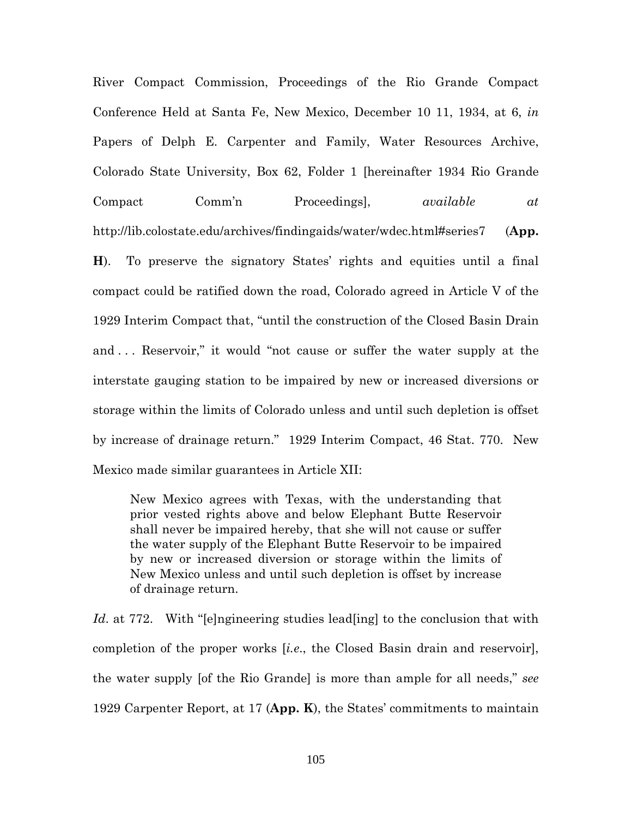River Compact Commission, Proceedings of the Rio Grande Compact Conference Held at Santa Fe, New Mexico, December 10 11, 1934, at 6, *in* Papers of Delph E. Carpenter and Family, Water Resources Archive, Colorado State University, Box 62, Folder 1 [hereinafter 1934 Rio Grande Compact Comm'n Proceedings], *available at* http://lib.colostate.edu/archives/findingaids/water/wdec.html#series7 (**App. H**). To preserve the signatory States' rights and equities until a final compact could be ratified down the road, Colorado agreed in Article V of the 1929 Interim Compact that, "until the construction of the Closed Basin Drain and . . . Reservoir," it would "not cause or suffer the water supply at the interstate gauging station to be impaired by new or increased diversions or storage within the limits of Colorado unless and until such depletion is offset by increase of drainage return." 1929 Interim Compact, 46 Stat. 770. New Mexico made similar guarantees in Article XII:

New Mexico agrees with Texas, with the understanding that prior vested rights above and below Elephant Butte Reservoir shall never be impaired hereby, that she will not cause or suffer the water supply of the Elephant Butte Reservoir to be impaired by new or increased diversion or storage within the limits of New Mexico unless and until such depletion is offset by increase of drainage return.

*Id*. at 772. With "[e]ngineering studies lead[ing] to the conclusion that with completion of the proper works [*i.e*., the Closed Basin drain and reservoir], the water supply [of the Rio Grande] is more than ample for all needs," *see* 1929 Carpenter Report, at 17 (**App. K**), the States' commitments to maintain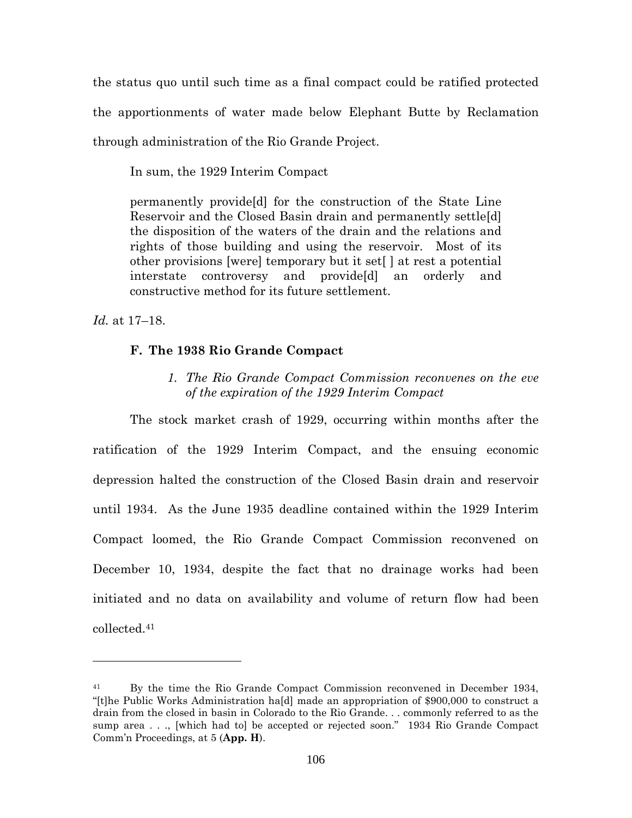the status quo until such time as a final compact could be ratified protected the apportionments of water made below Elephant Butte by Reclamation through administration of the Rio Grande Project.

In sum, the 1929 Interim Compact

permanently provide[d] for the construction of the State Line Reservoir and the Closed Basin drain and permanently settle[d] the disposition of the waters of the drain and the relations and rights of those building and using the reservoir. Most of its other provisions [were] temporary but it set[ ] at rest a potential interstate controversy and provide[d] an orderly and constructive method for its future settlement.

*Id.* at 17–18.

### **F. The 1938 Rio Grande Compact**

*1. The Rio Grande Compact Commission reconvenes on the eve of the expiration of the 1929 Interim Compact*

The stock market crash of 1929, occurring within months after the ratification of the 1929 Interim Compact, and the ensuing economic depression halted the construction of the Closed Basin drain and reservoir until 1934. As the June 1935 deadline contained within the 1929 Interim Compact loomed, the Rio Grande Compact Commission reconvened on December 10, 1934, despite the fact that no drainage works had been initiated and no data on availability and volume of return flow had been collected.<sup>41</sup>

<sup>41</sup> By the time the Rio Grande Compact Commission reconvened in December 1934, "[t]he Public Works Administration ha[d] made an appropriation of \$900,000 to construct a drain from the closed in basin in Colorado to the Rio Grande. . . commonly referred to as the sump area . . ., [which had to] be accepted or rejected soon." 1934 Rio Grande Compact Comm'n Proceedings, at 5 (**App. H**).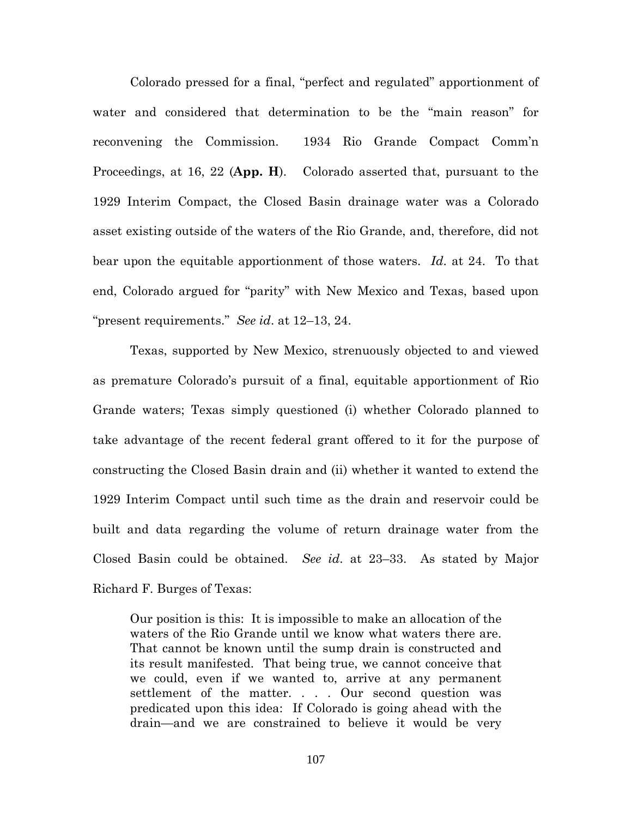Colorado pressed for a final, "perfect and regulated" apportionment of water and considered that determination to be the "main reason" for reconvening the Commission. 1934 Rio Grande Compact Comm'n Proceedings, at 16, 22 (**App. H**). Colorado asserted that, pursuant to the 1929 Interim Compact, the Closed Basin drainage water was a Colorado asset existing outside of the waters of the Rio Grande, and, therefore, did not bear upon the equitable apportionment of those waters. *Id*. at 24. To that end, Colorado argued for "parity" with New Mexico and Texas, based upon "present requirements." *See id*. at 12–13, 24.

Texas, supported by New Mexico, strenuously objected to and viewed as premature Colorado's pursuit of a final, equitable apportionment of Rio Grande waters; Texas simply questioned (i) whether Colorado planned to take advantage of the recent federal grant offered to it for the purpose of constructing the Closed Basin drain and (ii) whether it wanted to extend the 1929 Interim Compact until such time as the drain and reservoir could be built and data regarding the volume of return drainage water from the Closed Basin could be obtained. *See id*. at 23–33. As stated by Major Richard F. Burges of Texas:

Our position is this: It is impossible to make an allocation of the waters of the Rio Grande until we know what waters there are. That cannot be known until the sump drain is constructed and its result manifested. That being true, we cannot conceive that we could, even if we wanted to, arrive at any permanent settlement of the matter. . . . Our second question was predicated upon this idea: If Colorado is going ahead with the drain—and we are constrained to believe it would be very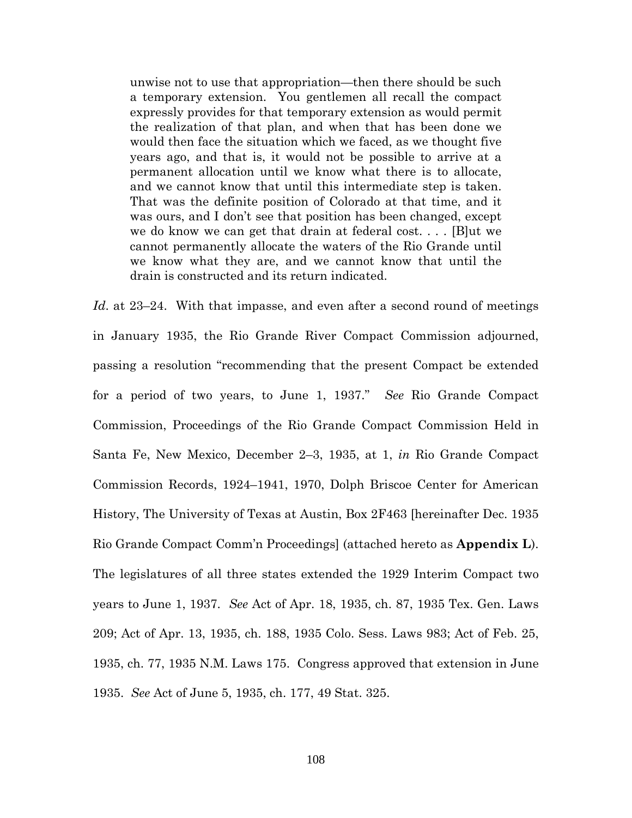unwise not to use that appropriation—then there should be such a temporary extension. You gentlemen all recall the compact expressly provides for that temporary extension as would permit the realization of that plan, and when that has been done we would then face the situation which we faced, as we thought five years ago, and that is, it would not be possible to arrive at a permanent allocation until we know what there is to allocate, and we cannot know that until this intermediate step is taken. That was the definite position of Colorado at that time, and it was ours, and I don't see that position has been changed, except we do know we can get that drain at federal cost. . . . [B]ut we cannot permanently allocate the waters of the Rio Grande until we know what they are, and we cannot know that until the drain is constructed and its return indicated.

*Id.* at 23–24. With that impasse, and even after a second round of meetings in January 1935, the Rio Grande River Compact Commission adjourned, passing a resolution "recommending that the present Compact be extended for a period of two years, to June 1, 1937." *See* Rio Grande Compact Commission, Proceedings of the Rio Grande Compact Commission Held in Santa Fe, New Mexico, December 2–3, 1935, at 1, *in* Rio Grande Compact Commission Records, 1924–1941, 1970, Dolph Briscoe Center for American History, The University of Texas at Austin, Box 2F463 [hereinafter Dec. 1935 Rio Grande Compact Comm'n Proceedings] (attached hereto as **Appendix L**). The legislatures of all three states extended the 1929 Interim Compact two years to June 1, 1937. *See* Act of Apr. 18, 1935, ch. 87, 1935 Tex. Gen. Laws 209; Act of Apr. 13, 1935, ch. 188, 1935 Colo. Sess. Laws 983; Act of Feb. 25, 1935, ch. 77, 1935 N.M. Laws 175. Congress approved that extension in June 1935. *See* Act of June 5, 1935, ch. 177, 49 Stat. 325.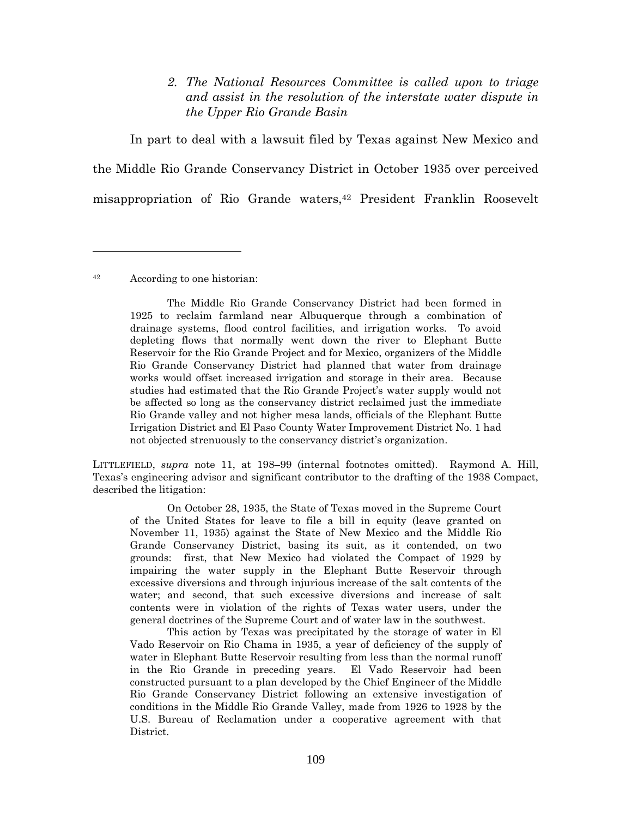# *2. The National Resources Committee is called upon to triage and assist in the resolution of the interstate water dispute in the Upper Rio Grande Basin*

In part to deal with a lawsuit filed by Texas against New Mexico and the Middle Rio Grande Conservancy District in October 1935 over perceived misappropriation of Rio Grande waters,<sup>42</sup> President Franklin Roosevelt

<sup>42</sup> According to one historian:

The Middle Rio Grande Conservancy District had been formed in 1925 to reclaim farmland near Albuquerque through a combination of drainage systems, flood control facilities, and irrigation works. To avoid depleting flows that normally went down the river to Elephant Butte Reservoir for the Rio Grande Project and for Mexico, organizers of the Middle Rio Grande Conservancy District had planned that water from drainage works would offset increased irrigation and storage in their area. Because studies had estimated that the Rio Grande Project's water supply would not be affected so long as the conservancy district reclaimed just the immediate Rio Grande valley and not higher mesa lands, officials of the Elephant Butte Irrigation District and El Paso County Water Improvement District No. 1 had not objected strenuously to the conservancy district's organization.

LITTLEFIELD, *supra* note 11, at 198–99 (internal footnotes omitted). Raymond A. Hill, Texas's engineering advisor and significant contributor to the drafting of the 1938 Compact, described the litigation:

On October 28, 1935, the State of Texas moved in the Supreme Court of the United States for leave to file a bill in equity (leave granted on November 11, 1935) against the State of New Mexico and the Middle Rio Grande Conservancy District, basing its suit, as it contended, on two grounds: first, that New Mexico had violated the Compact of 1929 by impairing the water supply in the Elephant Butte Reservoir through excessive diversions and through injurious increase of the salt contents of the water; and second, that such excessive diversions and increase of salt contents were in violation of the rights of Texas water users, under the general doctrines of the Supreme Court and of water law in the southwest.

This action by Texas was precipitated by the storage of water in El Vado Reservoir on Rio Chama in 1935, a year of deficiency of the supply of water in Elephant Butte Reservoir resulting from less than the normal runoff in the Rio Grande in preceding years. El Vado Reservoir had been constructed pursuant to a plan developed by the Chief Engineer of the Middle Rio Grande Conservancy District following an extensive investigation of conditions in the Middle Rio Grande Valley, made from 1926 to 1928 by the U.S. Bureau of Reclamation under a cooperative agreement with that District.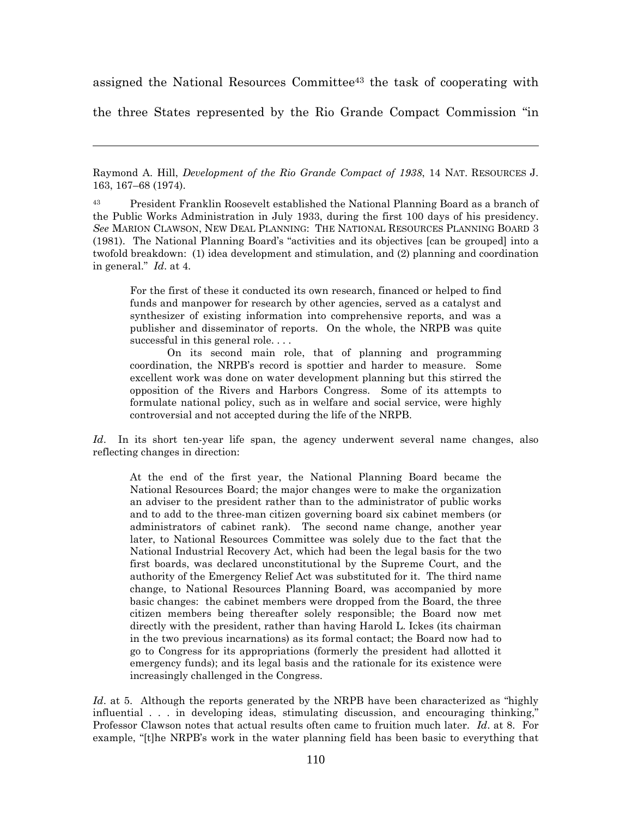assigned the National Resources Committee<sup>43</sup> the task of cooperating with

the three States represented by the Rio Grande Compact Commission "in

Raymond A. Hill, *Development of the Rio Grande Compact of 1938*, 14 NAT. RESOURCES J. 163, 167–68 (1974).

<sup>43</sup> President Franklin Roosevelt established the National Planning Board as a branch of the Public Works Administration in July 1933, during the first 100 days of his presidency. *See* MARION CLAWSON, NEW DEAL PLANNING: THE NATIONAL RESOURCES PLANNING BOARD 3 (1981). The National Planning Board's "activities and its objectives [can be grouped] into a twofold breakdown: (1) idea development and stimulation, and (2) planning and coordination in general." *Id*. at 4.

For the first of these it conducted its own research, financed or helped to find funds and manpower for research by other agencies, served as a catalyst and synthesizer of existing information into comprehensive reports, and was a publisher and disseminator of reports. On the whole, the NRPB was quite successful in this general role....

On its second main role, that of planning and programming coordination, the NRPB's record is spottier and harder to measure. Some excellent work was done on water development planning but this stirred the opposition of the Rivers and Harbors Congress. Some of its attempts to formulate national policy, such as in welfare and social service, were highly controversial and not accepted during the life of the NRPB.

Id. In its short ten-year life span, the agency underwent several name changes, also reflecting changes in direction:

At the end of the first year, the National Planning Board became the National Resources Board; the major changes were to make the organization an adviser to the president rather than to the administrator of public works and to add to the three-man citizen governing board six cabinet members (or administrators of cabinet rank). The second name change, another year later, to National Resources Committee was solely due to the fact that the National Industrial Recovery Act, which had been the legal basis for the two first boards, was declared unconstitutional by the Supreme Court, and the authority of the Emergency Relief Act was substituted for it. The third name change, to National Resources Planning Board, was accompanied by more basic changes: the cabinet members were dropped from the Board, the three citizen members being thereafter solely responsible; the Board now met directly with the president, rather than having Harold L. Ickes (its chairman in the two previous incarnations) as its formal contact; the Board now had to go to Congress for its appropriations (formerly the president had allotted it emergency funds); and its legal basis and the rationale for its existence were increasingly challenged in the Congress.

Id. at 5. Although the reports generated by the NRPB have been characterized as "highly influential . . . in developing ideas, stimulating discussion, and encouraging thinking," Professor Clawson notes that actual results often came to fruition much later. *Id*. at 8. For example, "[t]he NRPB's work in the water planning field has been basic to everything that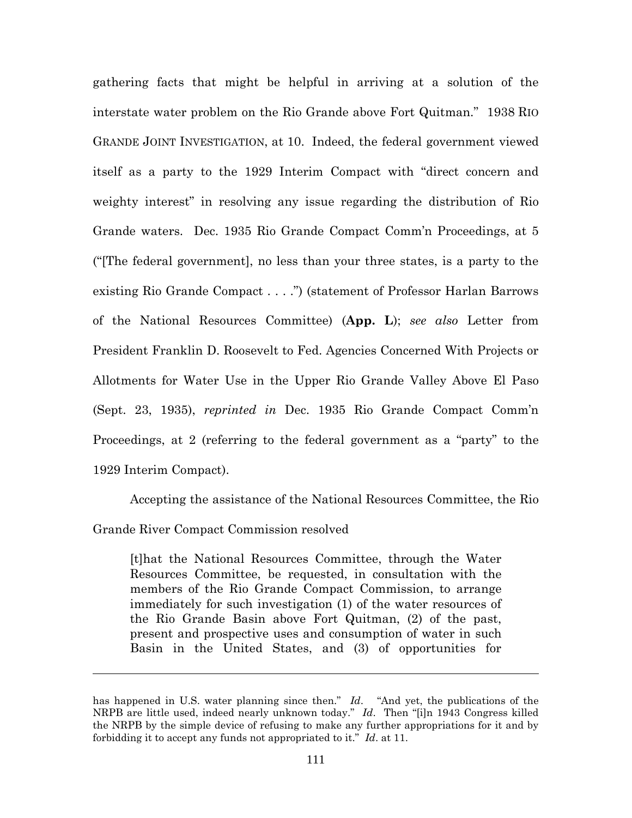gathering facts that might be helpful in arriving at a solution of the interstate water problem on the Rio Grande above Fort Quitman." 1938 RIO GRANDE JOINT INVESTIGATION, at 10. Indeed, the federal government viewed itself as a party to the 1929 Interim Compact with "direct concern and weighty interest" in resolving any issue regarding the distribution of Rio Grande waters. Dec. 1935 Rio Grande Compact Comm'n Proceedings, at 5 ("[The federal government], no less than your three states, is a party to the existing Rio Grande Compact . . . .") (statement of Professor Harlan Barrows of the National Resources Committee) (**App. L**); *see also* Letter from President Franklin D. Roosevelt to Fed. Agencies Concerned With Projects or Allotments for Water Use in the Upper Rio Grande Valley Above El Paso (Sept. 23, 1935), *reprinted in* Dec. 1935 Rio Grande Compact Comm'n Proceedings, at 2 (referring to the federal government as a "party" to the 1929 Interim Compact).

Accepting the assistance of the National Resources Committee, the Rio Grande River Compact Commission resolved

[t]hat the National Resources Committee, through the Water Resources Committee, be requested, in consultation with the members of the Rio Grande Compact Commission, to arrange immediately for such investigation (1) of the water resources of the Rio Grande Basin above Fort Quitman, (2) of the past, present and prospective uses and consumption of water in such Basin in the United States, and (3) of opportunities for

has happened in U.S. water planning since then." *Id*. "And yet, the publications of the NRPB are little used, indeed nearly unknown today." *Id*. Then "[i]n 1943 Congress killed the NRPB by the simple device of refusing to make any further appropriations for it and by forbidding it to accept any funds not appropriated to it." *Id*. at 11.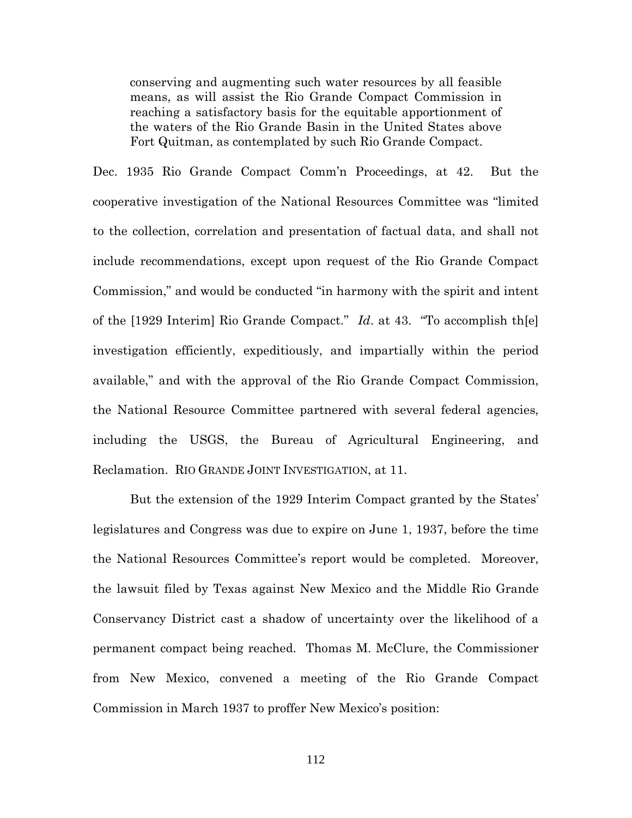conserving and augmenting such water resources by all feasible means, as will assist the Rio Grande Compact Commission in reaching a satisfactory basis for the equitable apportionment of the waters of the Rio Grande Basin in the United States above Fort Quitman, as contemplated by such Rio Grande Compact.

Dec. 1935 Rio Grande Compact Comm'n Proceedings, at 42. But the cooperative investigation of the National Resources Committee was "limited to the collection, correlation and presentation of factual data, and shall not include recommendations, except upon request of the Rio Grande Compact Commission," and would be conducted "in harmony with the spirit and intent of the [1929 Interim] Rio Grande Compact." *Id*. at 43. "To accomplish th[e] investigation efficiently, expeditiously, and impartially within the period available," and with the approval of the Rio Grande Compact Commission, the National Resource Committee partnered with several federal agencies, including the USGS, the Bureau of Agricultural Engineering, and Reclamation. RIO GRANDE JOINT INVESTIGATION, at 11.

But the extension of the 1929 Interim Compact granted by the States' legislatures and Congress was due to expire on June 1, 1937, before the time the National Resources Committee's report would be completed. Moreover, the lawsuit filed by Texas against New Mexico and the Middle Rio Grande Conservancy District cast a shadow of uncertainty over the likelihood of a permanent compact being reached. Thomas M. McClure, the Commissioner from New Mexico, convened a meeting of the Rio Grande Compact Commission in March 1937 to proffer New Mexico's position: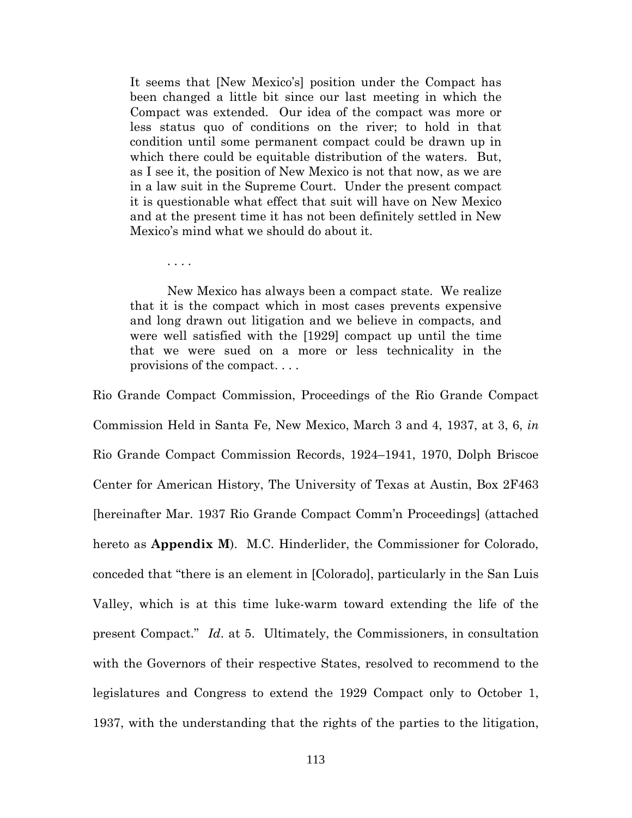It seems that [New Mexico's] position under the Compact has been changed a little bit since our last meeting in which the Compact was extended. Our idea of the compact was more or less status quo of conditions on the river; to hold in that condition until some permanent compact could be drawn up in which there could be equitable distribution of the waters. But, as I see it, the position of New Mexico is not that now, as we are in a law suit in the Supreme Court. Under the present compact it is questionable what effect that suit will have on New Mexico and at the present time it has not been definitely settled in New Mexico's mind what we should do about it.

New Mexico has always been a compact state. We realize that it is the compact which in most cases prevents expensive and long drawn out litigation and we believe in compacts, and were well satisfied with the [1929] compact up until the time that we were sued on a more or less technicality in the provisions of the compact. . . .

. . . .

Rio Grande Compact Commission, Proceedings of the Rio Grande Compact Commission Held in Santa Fe, New Mexico, March 3 and 4, 1937, at 3, 6, *in* Rio Grande Compact Commission Records, 1924–1941, 1970, Dolph Briscoe Center for American History, The University of Texas at Austin, Box 2F463 [hereinafter Mar. 1937 Rio Grande Compact Comm'n Proceedings] (attached hereto as **Appendix M**). M.C. Hinderlider, the Commissioner for Colorado, conceded that "there is an element in [Colorado], particularly in the San Luis Valley, which is at this time luke-warm toward extending the life of the present Compact." *Id*. at 5. Ultimately, the Commissioners, in consultation with the Governors of their respective States, resolved to recommend to the legislatures and Congress to extend the 1929 Compact only to October 1, 1937, with the understanding that the rights of the parties to the litigation,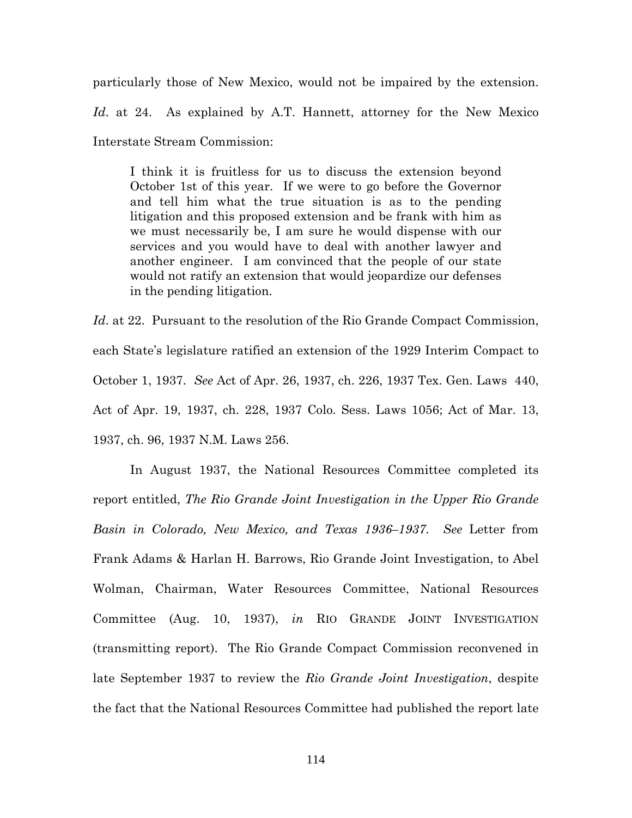particularly those of New Mexico, would not be impaired by the extension. *Id*. at 24. As explained by A.T. Hannett, attorney for the New Mexico Interstate Stream Commission:

I think it is fruitless for us to discuss the extension beyond October 1st of this year. If we were to go before the Governor and tell him what the true situation is as to the pending litigation and this proposed extension and be frank with him as we must necessarily be, I am sure he would dispense with our services and you would have to deal with another lawyer and another engineer. I am convinced that the people of our state would not ratify an extension that would jeopardize our defenses in the pending litigation.

Id. at 22. Pursuant to the resolution of the Rio Grande Compact Commission, each State's legislature ratified an extension of the 1929 Interim Compact to October 1, 1937. *See* Act of Apr. 26, 1937, ch. 226, 1937 Tex. Gen. Laws 440, Act of Apr. 19, 1937, ch. 228, 1937 Colo. Sess. Laws 1056; Act of Mar. 13, 1937, ch. 96, 1937 N.M. Laws 256.

In August 1937, the National Resources Committee completed its report entitled, *The Rio Grande Joint Investigation in the Upper Rio Grande Basin in Colorado, New Mexico, and Texas 1936–1937*. *See* Letter from Frank Adams & Harlan H. Barrows, Rio Grande Joint Investigation, to Abel Wolman, Chairman, Water Resources Committee, National Resources Committee (Aug. 10, 1937), *in* RIO GRANDE JOINT INVESTIGATION (transmitting report). The Rio Grande Compact Commission reconvened in late September 1937 to review the *Rio Grande Joint Investigation*, despite the fact that the National Resources Committee had published the report late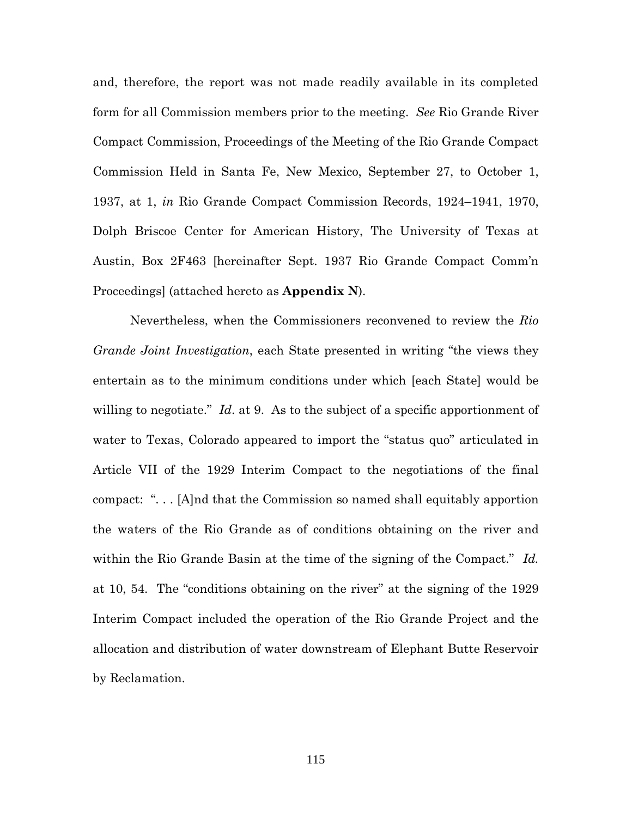and, therefore, the report was not made readily available in its completed form for all Commission members prior to the meeting. *See* Rio Grande River Compact Commission, Proceedings of the Meeting of the Rio Grande Compact Commission Held in Santa Fe, New Mexico, September 27, to October 1, 1937, at 1, *in* Rio Grande Compact Commission Records, 1924–1941, 1970, Dolph Briscoe Center for American History, The University of Texas at Austin, Box 2F463 [hereinafter Sept. 1937 Rio Grande Compact Comm'n Proceedings] (attached hereto as **Appendix N**).

Nevertheless, when the Commissioners reconvened to review the *Rio Grande Joint Investigation*, each State presented in writing "the views they entertain as to the minimum conditions under which [each State] would be willing to negotiate." *Id*. at 9. As to the subject of a specific apportionment of water to Texas, Colorado appeared to import the "status quo" articulated in Article VII of the 1929 Interim Compact to the negotiations of the final compact: ". . . [A]nd that the Commission so named shall equitably apportion the waters of the Rio Grande as of conditions obtaining on the river and within the Rio Grande Basin at the time of the signing of the Compact." *Id.* at 10, 54. The "conditions obtaining on the river" at the signing of the 1929 Interim Compact included the operation of the Rio Grande Project and the allocation and distribution of water downstream of Elephant Butte Reservoir by Reclamation.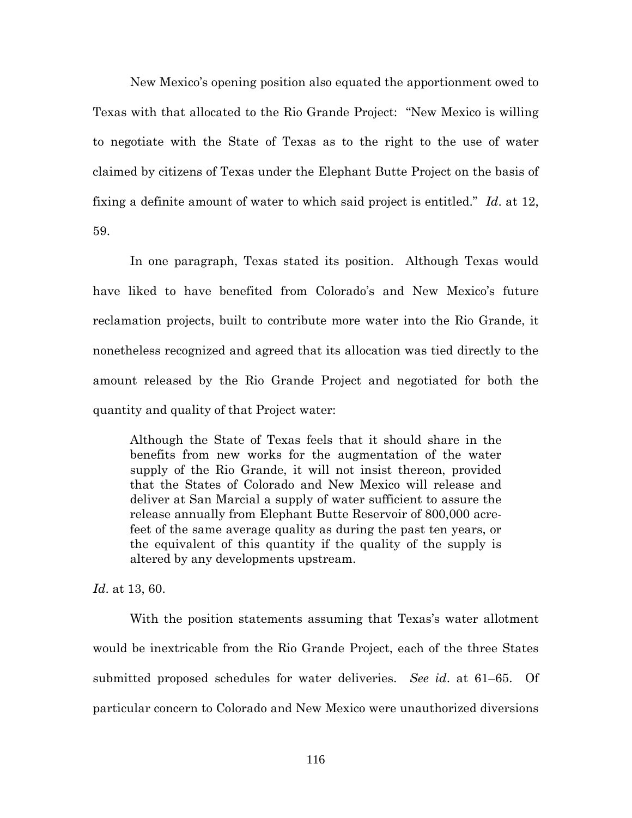New Mexico's opening position also equated the apportionment owed to Texas with that allocated to the Rio Grande Project: "New Mexico is willing to negotiate with the State of Texas as to the right to the use of water claimed by citizens of Texas under the Elephant Butte Project on the basis of fixing a definite amount of water to which said project is entitled." *Id*. at 12, 59.

In one paragraph, Texas stated its position. Although Texas would have liked to have benefited from Colorado's and New Mexico's future reclamation projects, built to contribute more water into the Rio Grande, it nonetheless recognized and agreed that its allocation was tied directly to the amount released by the Rio Grande Project and negotiated for both the quantity and quality of that Project water:

Although the State of Texas feels that it should share in the benefits from new works for the augmentation of the water supply of the Rio Grande, it will not insist thereon, provided that the States of Colorado and New Mexico will release and deliver at San Marcial a supply of water sufficient to assure the release annually from Elephant Butte Reservoir of 800,000 acrefeet of the same average quality as during the past ten years, or the equivalent of this quantity if the quality of the supply is altered by any developments upstream.

*Id*. at 13, 60.

With the position statements assuming that Texas's water allotment would be inextricable from the Rio Grande Project, each of the three States submitted proposed schedules for water deliveries. *See id*. at 61–65. Of particular concern to Colorado and New Mexico were unauthorized diversions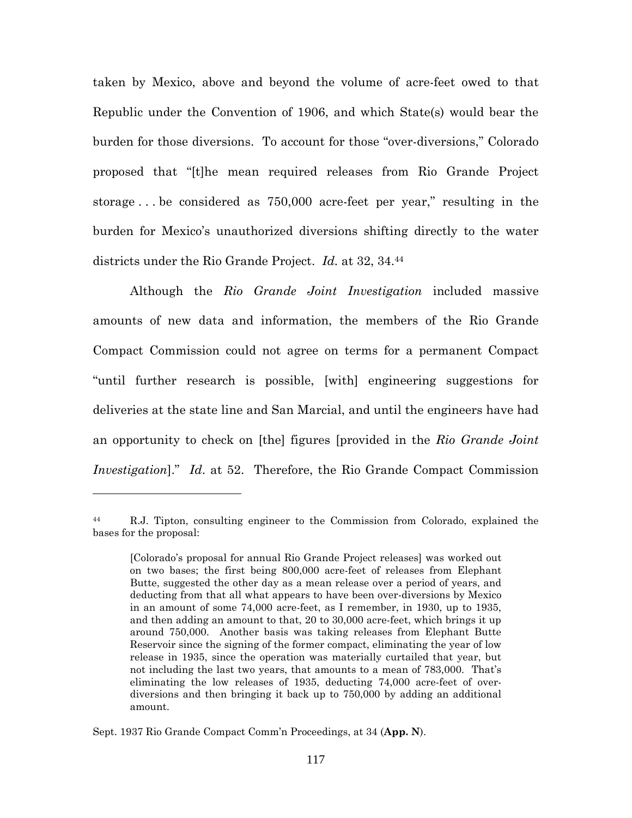taken by Mexico, above and beyond the volume of acre-feet owed to that Republic under the Convention of 1906, and which State(s) would bear the burden for those diversions. To account for those "over-diversions," Colorado proposed that "[t]he mean required releases from Rio Grande Project storage . . . be considered as 750,000 acre-feet per year," resulting in the burden for Mexico's unauthorized diversions shifting directly to the water districts under the Rio Grande Project. *Id.* at 32, 34.<sup>44</sup>

Although the *Rio Grande Joint Investigation* included massive amounts of new data and information, the members of the Rio Grande Compact Commission could not agree on terms for a permanent Compact "until further research is possible, [with] engineering suggestions for deliveries at the state line and San Marcial, and until the engineers have had an opportunity to check on [the] figures [provided in the *Rio Grande Joint Investigation*]." *Id*. at 52. Therefore, the Rio Grande Compact Commission

<sup>44</sup> R.J. Tipton, consulting engineer to the Commission from Colorado, explained the bases for the proposal:

<sup>[</sup>Colorado's proposal for annual Rio Grande Project releases] was worked out on two bases; the first being 800,000 acre-feet of releases from Elephant Butte, suggested the other day as a mean release over a period of years, and deducting from that all what appears to have been over-diversions by Mexico in an amount of some 74,000 acre-feet, as I remember, in 1930, up to 1935, and then adding an amount to that, 20 to 30,000 acre-feet, which brings it up around 750,000. Another basis was taking releases from Elephant Butte Reservoir since the signing of the former compact, eliminating the year of low release in 1935, since the operation was materially curtailed that year, but not including the last two years, that amounts to a mean of 783,000. That's eliminating the low releases of 1935, deducting 74,000 acre-feet of overdiversions and then bringing it back up to 750,000 by adding an additional amount.

Sept. 1937 Rio Grande Compact Comm'n Proceedings, at 34 (**App. N**).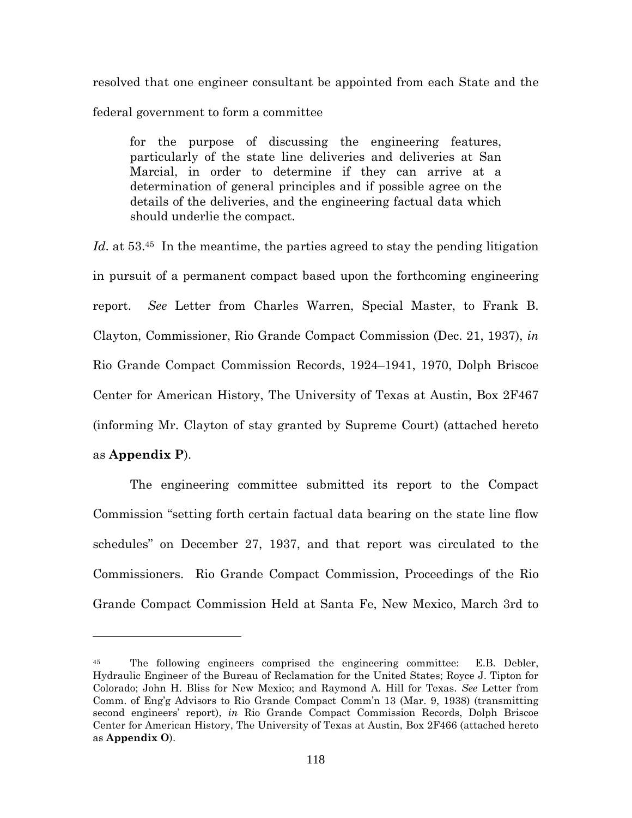resolved that one engineer consultant be appointed from each State and the federal government to form a committee

for the purpose of discussing the engineering features, particularly of the state line deliveries and deliveries at San Marcial, in order to determine if they can arrive at a determination of general principles and if possible agree on the details of the deliveries, and the engineering factual data which should underlie the compact.

Id, at 53.<sup>45</sup> In the meantime, the parties agreed to stay the pending litigation in pursuit of a permanent compact based upon the forthcoming engineering report. *See* Letter from Charles Warren, Special Master, to Frank B. Clayton, Commissioner, Rio Grande Compact Commission (Dec. 21, 1937), *in* Rio Grande Compact Commission Records, 1924–1941, 1970, Dolph Briscoe Center for American History, The University of Texas at Austin, Box 2F467 (informing Mr. Clayton of stay granted by Supreme Court) (attached hereto as **Appendix P**).

The engineering committee submitted its report to the Compact Commission "setting forth certain factual data bearing on the state line flow schedules" on December 27, 1937, and that report was circulated to the Commissioners. Rio Grande Compact Commission, Proceedings of the Rio Grande Compact Commission Held at Santa Fe, New Mexico, March 3rd to

<sup>45</sup> The following engineers comprised the engineering committee: E.B. Debler, Hydraulic Engineer of the Bureau of Reclamation for the United States; Royce J. Tipton for Colorado; John H. Bliss for New Mexico; and Raymond A. Hill for Texas. *See* Letter from Comm. of Eng'g Advisors to Rio Grande Compact Comm'n 13 (Mar. 9, 1938) (transmitting second engineers' report), *in* Rio Grande Compact Commission Records, Dolph Briscoe Center for American History, The University of Texas at Austin, Box 2F466 (attached hereto as **Appendix O**).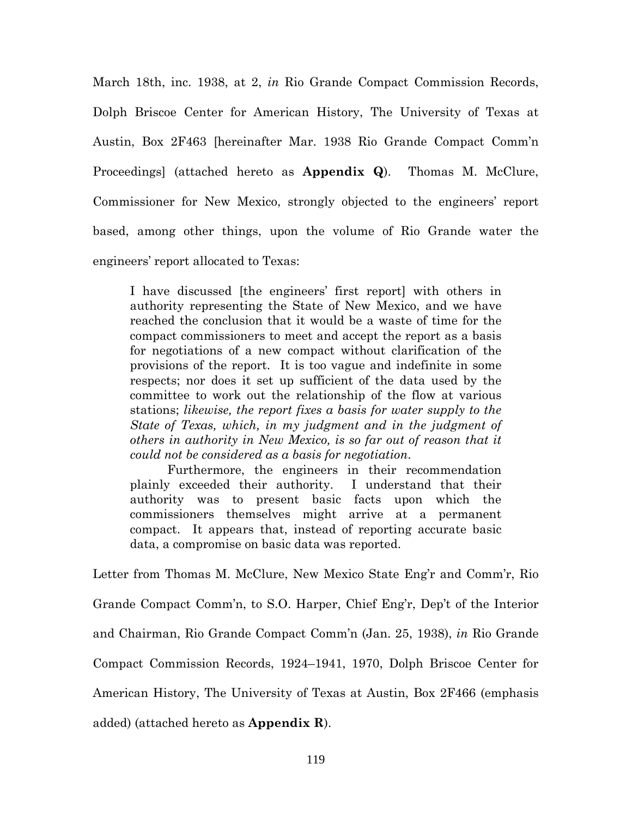March 18th, inc. 1938, at 2, *in* Rio Grande Compact Commission Records, Dolph Briscoe Center for American History, The University of Texas at Austin, Box 2F463 [hereinafter Mar. 1938 Rio Grande Compact Comm'n Proceedings] (attached hereto as **Appendix Q**). Thomas M. McClure, Commissioner for New Mexico, strongly objected to the engineers' report based, among other things, upon the volume of Rio Grande water the engineers' report allocated to Texas:

I have discussed [the engineers' first report] with others in authority representing the State of New Mexico, and we have reached the conclusion that it would be a waste of time for the compact commissioners to meet and accept the report as a basis for negotiations of a new compact without clarification of the provisions of the report. It is too vague and indefinite in some respects; nor does it set up sufficient of the data used by the committee to work out the relationship of the flow at various stations; *likewise, the report fixes a basis for water supply to the State of Texas, which, in my judgment and in the judgment of others in authority in New Mexico, is so far out of reason that it could not be considered as a basis for negotiation*.

Furthermore, the engineers in their recommendation plainly exceeded their authority. I understand that their authority was to present basic facts upon which the commissioners themselves might arrive at a permanent compact. It appears that, instead of reporting accurate basic data, a compromise on basic data was reported.

Letter from Thomas M. McClure, New Mexico State Eng'r and Comm'r, Rio Grande Compact Comm'n, to S.O. Harper, Chief Eng'r, Dep't of the Interior and Chairman, Rio Grande Compact Comm'n (Jan. 25, 1938), *in* Rio Grande Compact Commission Records, 1924–1941, 1970, Dolph Briscoe Center for American History, The University of Texas at Austin, Box 2F466 (emphasis added) (attached hereto as **Appendix R**).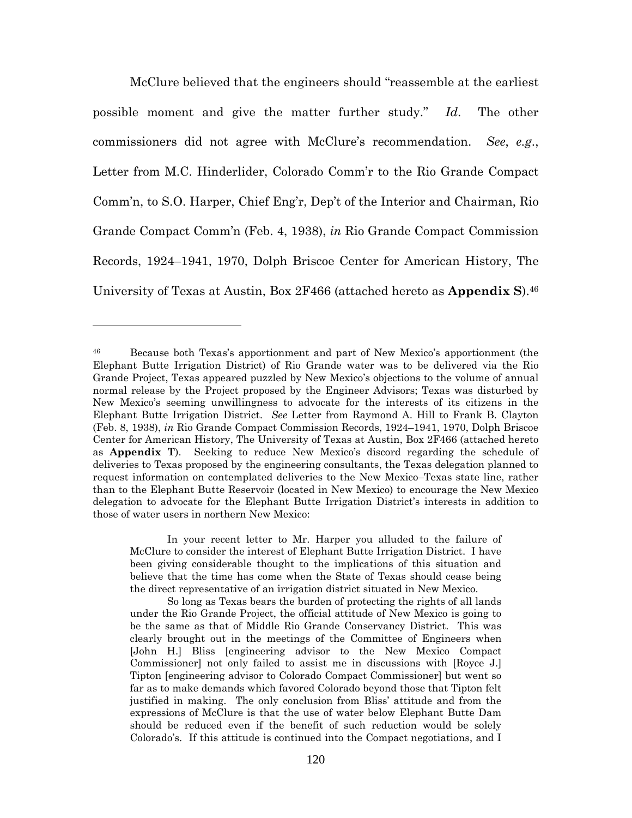McClure believed that the engineers should "reassemble at the earliest possible moment and give the matter further study." *Id*. The other commissioners did not agree with McClure's recommendation. *See*, *e.g*., Letter from M.C. Hinderlider, Colorado Comm'r to the Rio Grande Compact Comm'n, to S.O. Harper, Chief Eng'r, Dep't of the Interior and Chairman, Rio Grande Compact Comm'n (Feb. 4, 1938), *in* Rio Grande Compact Commission Records, 1924–1941, 1970, Dolph Briscoe Center for American History, The University of Texas at Austin, Box 2F466 (attached hereto as **Appendix S**).<sup>46</sup>

In your recent letter to Mr. Harper you alluded to the failure of McClure to consider the interest of Elephant Butte Irrigation District. I have been giving considerable thought to the implications of this situation and believe that the time has come when the State of Texas should cease being the direct representative of an irrigation district situated in New Mexico.

So long as Texas bears the burden of protecting the rights of all lands under the Rio Grande Project, the official attitude of New Mexico is going to be the same as that of Middle Rio Grande Conservancy District. This was clearly brought out in the meetings of the Committee of Engineers when [John H.] Bliss [engineering advisor to the New Mexico Compact Commissioner] not only failed to assist me in discussions with [Royce J.] Tipton [engineering advisor to Colorado Compact Commissioner] but went so far as to make demands which favored Colorado beyond those that Tipton felt justified in making. The only conclusion from Bliss' attitude and from the expressions of McClure is that the use of water below Elephant Butte Dam should be reduced even if the benefit of such reduction would be solely Colorado's. If this attitude is continued into the Compact negotiations, and I

<sup>46</sup> Because both Texas's apportionment and part of New Mexico's apportionment (the Elephant Butte Irrigation District) of Rio Grande water was to be delivered via the Rio Grande Project, Texas appeared puzzled by New Mexico's objections to the volume of annual normal release by the Project proposed by the Engineer Advisors; Texas was disturbed by New Mexico's seeming unwillingness to advocate for the interests of its citizens in the Elephant Butte Irrigation District. *See* Letter from Raymond A. Hill to Frank B. Clayton (Feb. 8, 1938), *in* Rio Grande Compact Commission Records, 1924–1941, 1970, Dolph Briscoe Center for American History, The University of Texas at Austin, Box 2F466 (attached hereto as **Appendix T**). Seeking to reduce New Mexico's discord regarding the schedule of deliveries to Texas proposed by the engineering consultants, the Texas delegation planned to request information on contemplated deliveries to the New Mexico–Texas state line, rather than to the Elephant Butte Reservoir (located in New Mexico) to encourage the New Mexico delegation to advocate for the Elephant Butte Irrigation District's interests in addition to those of water users in northern New Mexico: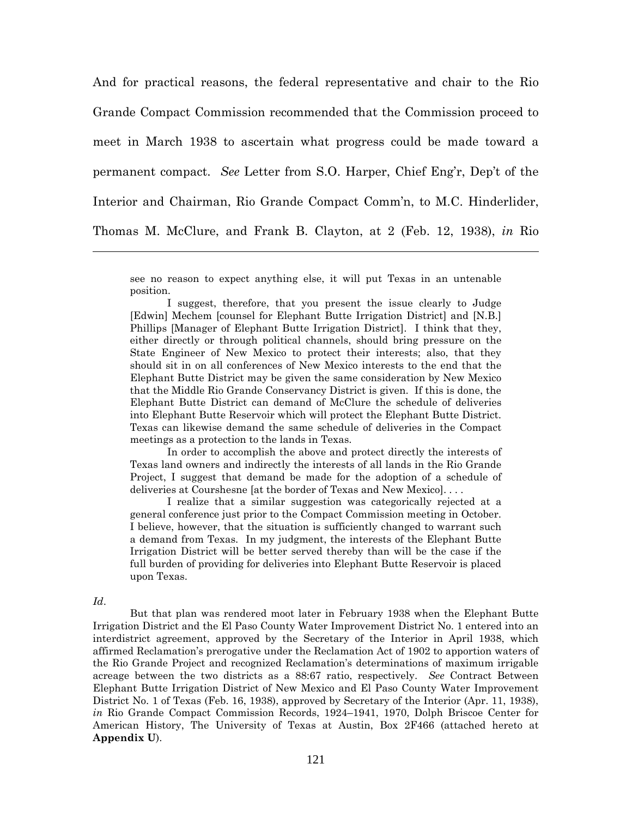And for practical reasons, the federal representative and chair to the Rio Grande Compact Commission recommended that the Commission proceed to meet in March 1938 to ascertain what progress could be made toward a permanent compact. *See* Letter from S.O. Harper, Chief Eng'r, Dep't of the Interior and Chairman, Rio Grande Compact Comm'n, to M.C. Hinderlider, Thomas M. McClure, and Frank B. Clayton, at 2 (Feb. 12, 1938), *in* Rio

see no reason to expect anything else, it will put Texas in an untenable position.

I suggest, therefore, that you present the issue clearly to Judge [Edwin] Mechem [counsel for Elephant Butte Irrigation District] and [N.B.] Phillips [Manager of Elephant Butte Irrigation District]. I think that they, either directly or through political channels, should bring pressure on the State Engineer of New Mexico to protect their interests; also, that they should sit in on all conferences of New Mexico interests to the end that the Elephant Butte District may be given the same consideration by New Mexico that the Middle Rio Grande Conservancy District is given. If this is done, the Elephant Butte District can demand of McClure the schedule of deliveries into Elephant Butte Reservoir which will protect the Elephant Butte District. Texas can likewise demand the same schedule of deliveries in the Compact meetings as a protection to the lands in Texas.

In order to accomplish the above and protect directly the interests of Texas land owners and indirectly the interests of all lands in the Rio Grande Project, I suggest that demand be made for the adoption of a schedule of deliveries at Courshesne [at the border of Texas and New Mexico]. . . .

I realize that a similar suggestion was categorically rejected at a general conference just prior to the Compact Commission meeting in October. I believe, however, that the situation is sufficiently changed to warrant such a demand from Texas. In my judgment, the interests of the Elephant Butte Irrigation District will be better served thereby than will be the case if the full burden of providing for deliveries into Elephant Butte Reservoir is placed upon Texas.

## *Id*.

But that plan was rendered moot later in February 1938 when the Elephant Butte Irrigation District and the El Paso County Water Improvement District No. 1 entered into an interdistrict agreement, approved by the Secretary of the Interior in April 1938, which affirmed Reclamation's prerogative under the Reclamation Act of 1902 to apportion waters of the Rio Grande Project and recognized Reclamation's determinations of maximum irrigable acreage between the two districts as a 88:67 ratio, respectively. *See* Contract Between Elephant Butte Irrigation District of New Mexico and El Paso County Water Improvement District No. 1 of Texas (Feb. 16, 1938), approved by Secretary of the Interior (Apr. 11, 1938), *in* Rio Grande Compact Commission Records, 1924–1941, 1970, Dolph Briscoe Center for American History, The University of Texas at Austin, Box 2F466 (attached hereto at **Appendix U**).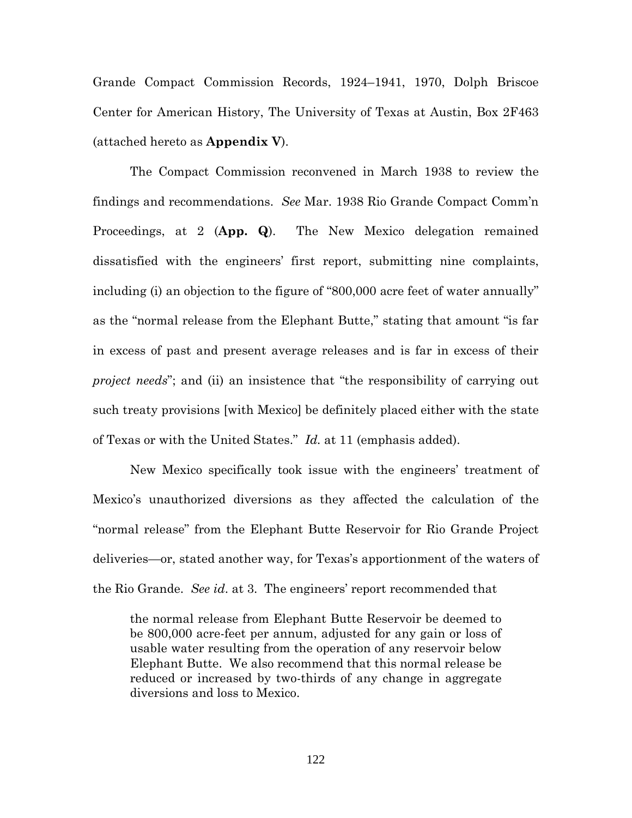Grande Compact Commission Records, 1924–1941, 1970, Dolph Briscoe Center for American History, The University of Texas at Austin, Box 2F463 (attached hereto as **Appendix V**).

The Compact Commission reconvened in March 1938 to review the findings and recommendations. *See* Mar. 1938 Rio Grande Compact Comm'n Proceedings, at 2 (**App. Q**). The New Mexico delegation remained dissatisfied with the engineers' first report, submitting nine complaints, including (i) an objection to the figure of "800,000 acre feet of water annually" as the "normal release from the Elephant Butte," stating that amount "is far in excess of past and present average releases and is far in excess of their *project needs*"; and (ii) an insistence that "the responsibility of carrying out such treaty provisions [with Mexico] be definitely placed either with the state of Texas or with the United States." *Id.* at 11 (emphasis added).

New Mexico specifically took issue with the engineers' treatment of Mexico's unauthorized diversions as they affected the calculation of the "normal release" from the Elephant Butte Reservoir for Rio Grande Project deliveries—or, stated another way, for Texas's apportionment of the waters of the Rio Grande. *See id*. at 3. The engineers' report recommended that

the normal release from Elephant Butte Reservoir be deemed to be 800,000 acre-feet per annum, adjusted for any gain or loss of usable water resulting from the operation of any reservoir below Elephant Butte. We also recommend that this normal release be reduced or increased by two-thirds of any change in aggregate diversions and loss to Mexico.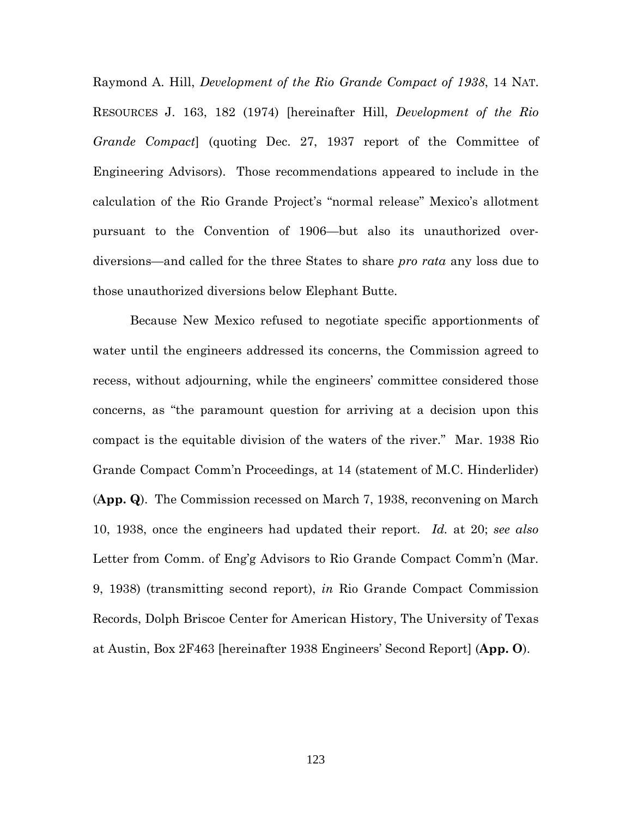Raymond A. Hill, *Development of the Rio Grande Compact of 1938*, 14 NAT. RESOURCES J. 163, 182 (1974) [hereinafter Hill, *Development of the Rio Grande Compact*] (quoting Dec. 27, 1937 report of the Committee of Engineering Advisors). Those recommendations appeared to include in the calculation of the Rio Grande Project's "normal release" Mexico's allotment pursuant to the Convention of 1906—but also its unauthorized overdiversions—and called for the three States to share *pro rata* any loss due to those unauthorized diversions below Elephant Butte.

Because New Mexico refused to negotiate specific apportionments of water until the engineers addressed its concerns, the Commission agreed to recess, without adjourning, while the engineers' committee considered those concerns, as "the paramount question for arriving at a decision upon this compact is the equitable division of the waters of the river." Mar. 1938 Rio Grande Compact Comm'n Proceedings, at 14 (statement of M.C. Hinderlider) (**App. Q**). The Commission recessed on March 7, 1938, reconvening on March 10, 1938, once the engineers had updated their report. *Id.* at 20; *see also* Letter from Comm. of Eng'g Advisors to Rio Grande Compact Comm'n (Mar. 9, 1938) (transmitting second report), *in* Rio Grande Compact Commission Records, Dolph Briscoe Center for American History, The University of Texas at Austin, Box 2F463 [hereinafter 1938 Engineers' Second Report] (**App. O**).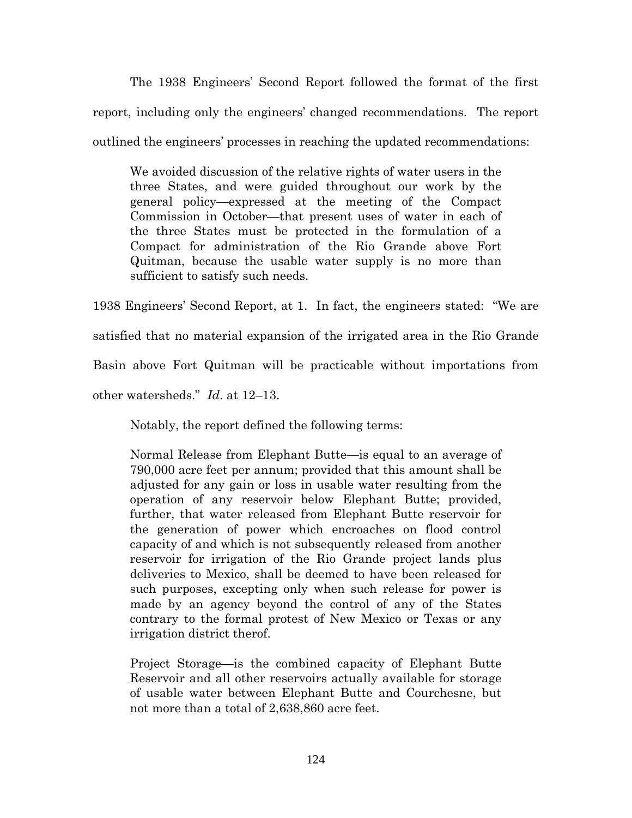The 1938 Engineers' Second Report followed the format of the first report, including only the engineers' changed recommendations. The report outlined the engineers' processes in reaching the updated recommendations:

We avoided discussion of the relative rights of water users in the three States, and were guided throughout our work by the general policy—expressed at the meeting of the Compact Commission in October—that present uses of water in each of the three States must be protected in the formulation of a Compact for administration of the Rio Grande above Fort Quitman, because the usable water supply is no more than sufficient to satisfy such needs.

1938 Engineers' Second Report, at 1. In fact, the engineers stated: "We are

satisfied that no material expansion of the irrigated area in the Rio Grande

Basin above Fort Quitman will be practicable without importations from

other watersheds." *Id*. at 12–13.

Notably, the report defined the following terms:

Normal Release from Elephant Butte—is equal to an average of 790,000 acre feet per annum; provided that this amount shall be adjusted for any gain or loss in usable water resulting from the operation of any reservoir below Elephant Butte; provided, further, that water released from Elephant Butte reservoir for the generation of power which encroaches on flood control capacity of and which is not subsequently released from another reservoir for irrigation of the Rio Grande project lands plus deliveries to Mexico, shall be deemed to have been released for such purposes, excepting only when such release for power is made by an agency beyond the control of any of the States contrary to the formal protest of New Mexico or Texas or any irrigation district therof.

Project Storage—is the combined capacity of Elephant Butte Reservoir and all other reservoirs actually available for storage of usable water between Elephant Butte and Courchesne, but not more than a total of 2,638,860 acre feet.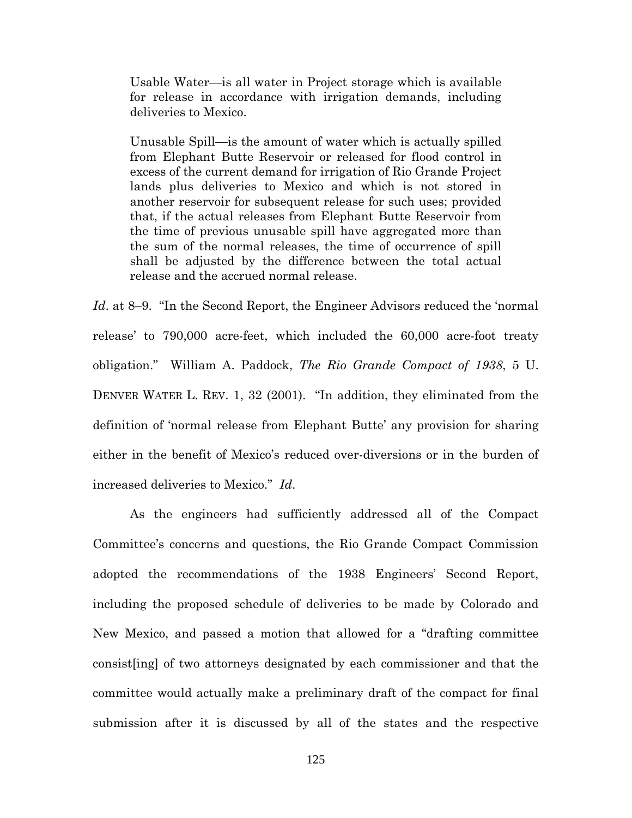Usable Water—is all water in Project storage which is available for release in accordance with irrigation demands, including deliveries to Mexico.

Unusable Spill—is the amount of water which is actually spilled from Elephant Butte Reservoir or released for flood control in excess of the current demand for irrigation of Rio Grande Project lands plus deliveries to Mexico and which is not stored in another reservoir for subsequent release for such uses; provided that, if the actual releases from Elephant Butte Reservoir from the time of previous unusable spill have aggregated more than the sum of the normal releases, the time of occurrence of spill shall be adjusted by the difference between the total actual release and the accrued normal release.

*Id*. at 8–9. "In the Second Report, the Engineer Advisors reduced the 'normal release' to 790,000 acre-feet, which included the 60,000 acre-foot treaty obligation." William A. Paddock, *The Rio Grande Compact of 1938*, 5 U. DENVER WATER L. REV. 1, 32 (2001). "In addition, they eliminated from the definition of 'normal release from Elephant Butte' any provision for sharing either in the benefit of Mexico's reduced over-diversions or in the burden of increased deliveries to Mexico." *Id*.

As the engineers had sufficiently addressed all of the Compact Committee's concerns and questions, the Rio Grande Compact Commission adopted the recommendations of the 1938 Engineers' Second Report, including the proposed schedule of deliveries to be made by Colorado and New Mexico, and passed a motion that allowed for a "drafting committee consist[ing] of two attorneys designated by each commissioner and that the committee would actually make a preliminary draft of the compact for final submission after it is discussed by all of the states and the respective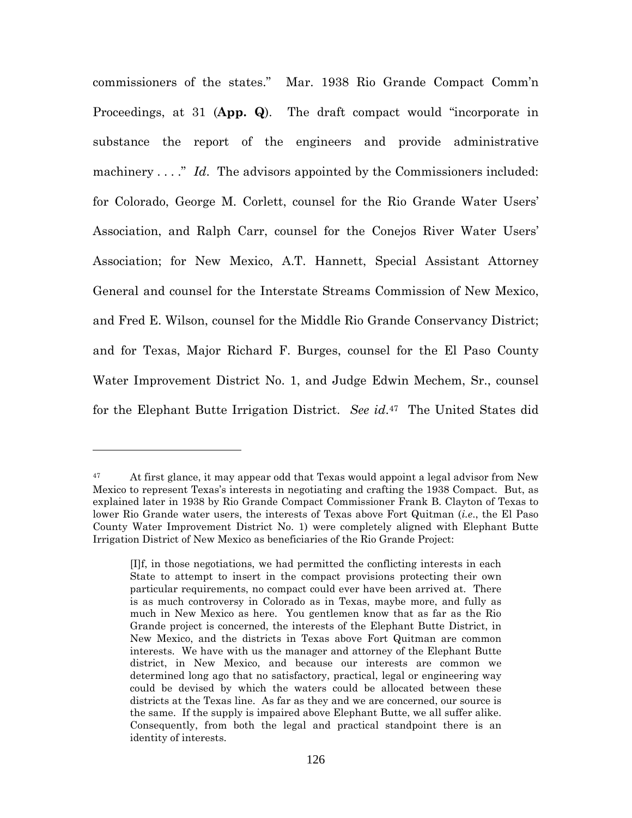commissioners of the states." Mar. 1938 Rio Grande Compact Comm'n Proceedings, at 31 (**App. Q**). The draft compact would "incorporate in substance the report of the engineers and provide administrative machinery . . . ." *Id*. The advisors appointed by the Commissioners included: for Colorado, George M. Corlett, counsel for the Rio Grande Water Users' Association, and Ralph Carr, counsel for the Conejos River Water Users' Association; for New Mexico, A.T. Hannett, Special Assistant Attorney General and counsel for the Interstate Streams Commission of New Mexico, and Fred E. Wilson, counsel for the Middle Rio Grande Conservancy District; and for Texas, Major Richard F. Burges, counsel for the El Paso County Water Improvement District No. 1, and Judge Edwin Mechem, Sr., counsel for the Elephant Butte Irrigation District. *See id*. <sup>47</sup> The United States did

<sup>&</sup>lt;sup>47</sup> At first glance, it may appear odd that Texas would appoint a legal advisor from New Mexico to represent Texas's interests in negotiating and crafting the 1938 Compact. But, as explained later in 1938 by Rio Grande Compact Commissioner Frank B. Clayton of Texas to lower Rio Grande water users, the interests of Texas above Fort Quitman (*i.e*., the El Paso County Water Improvement District No. 1) were completely aligned with Elephant Butte Irrigation District of New Mexico as beneficiaries of the Rio Grande Project:

<sup>[</sup>I]f, in those negotiations, we had permitted the conflicting interests in each State to attempt to insert in the compact provisions protecting their own particular requirements, no compact could ever have been arrived at. There is as much controversy in Colorado as in Texas, maybe more, and fully as much in New Mexico as here. You gentlemen know that as far as the Rio Grande project is concerned, the interests of the Elephant Butte District, in New Mexico, and the districts in Texas above Fort Quitman are common interests. We have with us the manager and attorney of the Elephant Butte district, in New Mexico, and because our interests are common we determined long ago that no satisfactory, practical, legal or engineering way could be devised by which the waters could be allocated between these districts at the Texas line. As far as they and we are concerned, our source is the same. If the supply is impaired above Elephant Butte, we all suffer alike. Consequently, from both the legal and practical standpoint there is an identity of interests.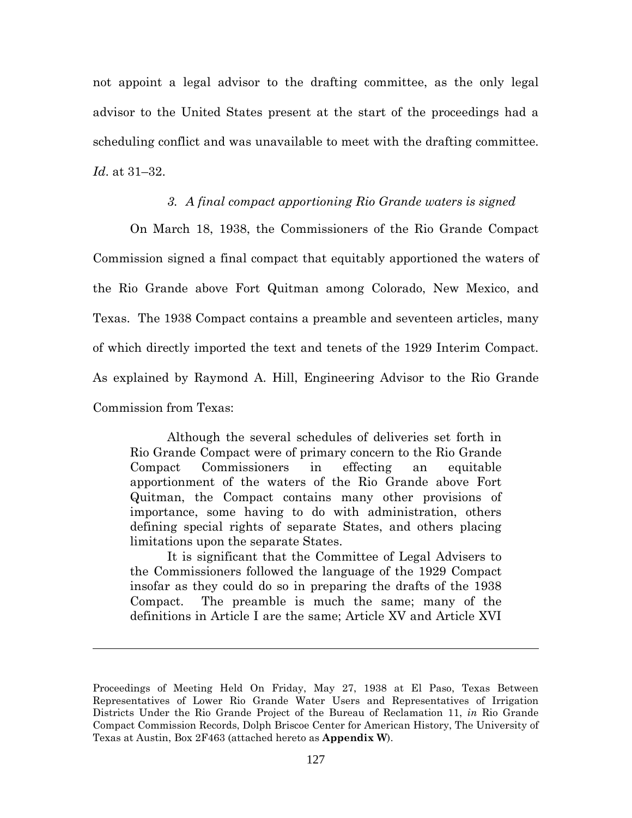not appoint a legal advisor to the drafting committee, as the only legal advisor to the United States present at the start of the proceedings had a scheduling conflict and was unavailable to meet with the drafting committee. *Id*. at 31–32.

## *3. A final compact apportioning Rio Grande waters is signed*

On March 18, 1938, the Commissioners of the Rio Grande Compact Commission signed a final compact that equitably apportioned the waters of the Rio Grande above Fort Quitman among Colorado, New Mexico, and Texas. The 1938 Compact contains a preamble and seventeen articles, many of which directly imported the text and tenets of the 1929 Interim Compact. As explained by Raymond A. Hill, Engineering Advisor to the Rio Grande Commission from Texas:

Although the several schedules of deliveries set forth in Rio Grande Compact were of primary concern to the Rio Grande Compact Commissioners in effecting an equitable apportionment of the waters of the Rio Grande above Fort Quitman, the Compact contains many other provisions of importance, some having to do with administration, others defining special rights of separate States, and others placing limitations upon the separate States.

It is significant that the Committee of Legal Advisers to the Commissioners followed the language of the 1929 Compact insofar as they could do so in preparing the drafts of the 1938 Compact. The preamble is much the same; many of the definitions in Article I are the same; Article XV and Article XVI

Proceedings of Meeting Held On Friday, May 27, 1938 at El Paso, Texas Between Representatives of Lower Rio Grande Water Users and Representatives of Irrigation Districts Under the Rio Grande Project of the Bureau of Reclamation 11, *in* Rio Grande Compact Commission Records, Dolph Briscoe Center for American History, The University of Texas at Austin, Box 2F463 (attached hereto as **Appendix W**).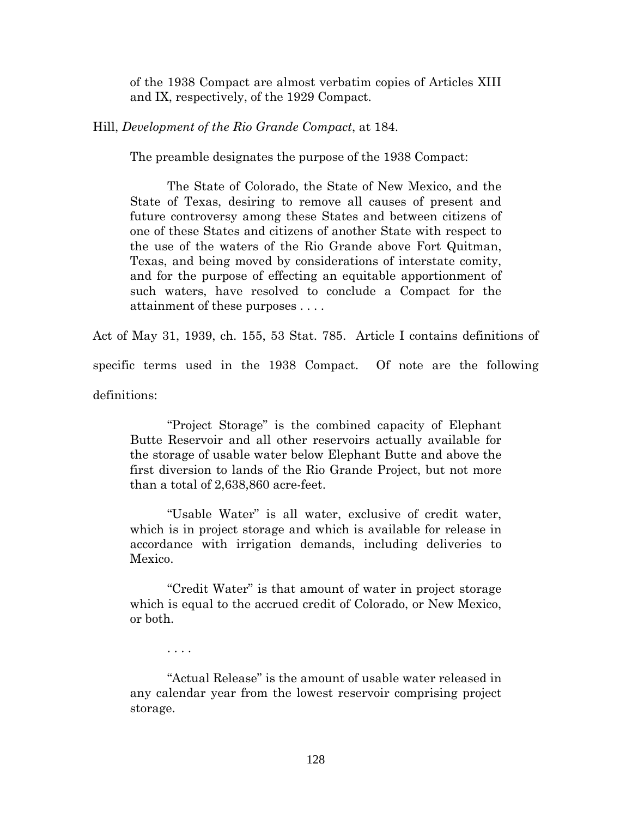of the 1938 Compact are almost verbatim copies of Articles XIII and IX, respectively, of the 1929 Compact.

Hill, *Development of the Rio Grande Compact*, at 184.

The preamble designates the purpose of the 1938 Compact:

The State of Colorado, the State of New Mexico, and the State of Texas, desiring to remove all causes of present and future controversy among these States and between citizens of one of these States and citizens of another State with respect to the use of the waters of the Rio Grande above Fort Quitman, Texas, and being moved by considerations of interstate comity, and for the purpose of effecting an equitable apportionment of such waters, have resolved to conclude a Compact for the attainment of these purposes . . . .

Act of May 31, 1939, ch. 155, 53 Stat. 785. Article I contains definitions of specific terms used in the 1938 Compact. Of note are the following definitions:

"Project Storage" is the combined capacity of Elephant Butte Reservoir and all other reservoirs actually available for the storage of usable water below Elephant Butte and above the first diversion to lands of the Rio Grande Project, but not more than a total of 2,638,860 acre-feet.

"Usable Water" is all water, exclusive of credit water, which is in project storage and which is available for release in accordance with irrigation demands, including deliveries to Mexico.

"Credit Water" is that amount of water in project storage which is equal to the accrued credit of Colorado, or New Mexico, or both.

. . . .

"Actual Release" is the amount of usable water released in any calendar year from the lowest reservoir comprising project storage.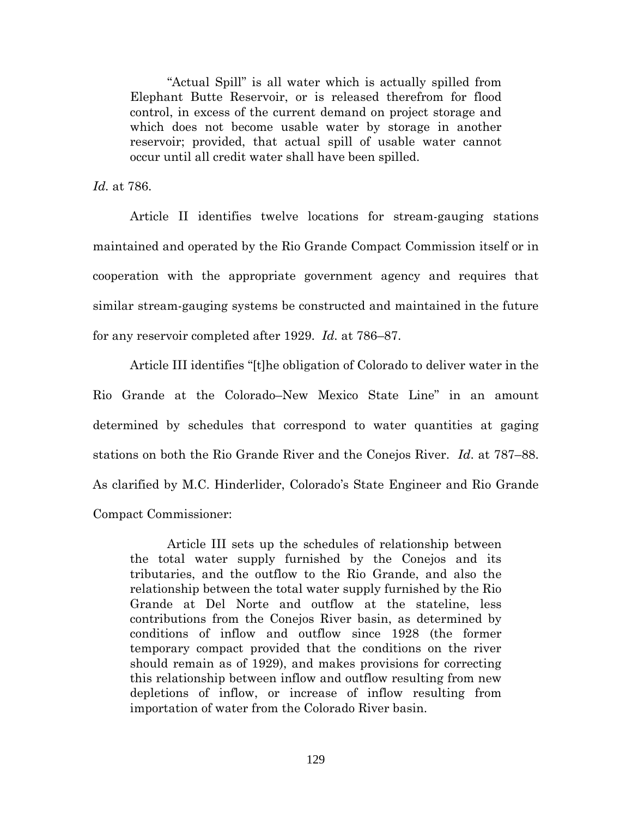"Actual Spill" is all water which is actually spilled from Elephant Butte Reservoir, or is released therefrom for flood control, in excess of the current demand on project storage and which does not become usable water by storage in another reservoir; provided, that actual spill of usable water cannot occur until all credit water shall have been spilled.

*Id.* at 786.

Article II identifies twelve locations for stream-gauging stations maintained and operated by the Rio Grande Compact Commission itself or in cooperation with the appropriate government agency and requires that similar stream-gauging systems be constructed and maintained in the future for any reservoir completed after 1929. *Id.* at 786–87.

Article III identifies "[t]he obligation of Colorado to deliver water in the Rio Grande at the Colorado–New Mexico State Line" in an amount determined by schedules that correspond to water quantities at gaging stations on both the Rio Grande River and the Conejos River. *Id*. at 787–88. As clarified by M.C. Hinderlider, Colorado's State Engineer and Rio Grande Compact Commissioner:

Article III sets up the schedules of relationship between the total water supply furnished by the Conejos and its tributaries, and the outflow to the Rio Grande, and also the relationship between the total water supply furnished by the Rio Grande at Del Norte and outflow at the stateline, less contributions from the Conejos River basin, as determined by conditions of inflow and outflow since 1928 (the former temporary compact provided that the conditions on the river should remain as of 1929), and makes provisions for correcting this relationship between inflow and outflow resulting from new depletions of inflow, or increase of inflow resulting from importation of water from the Colorado River basin.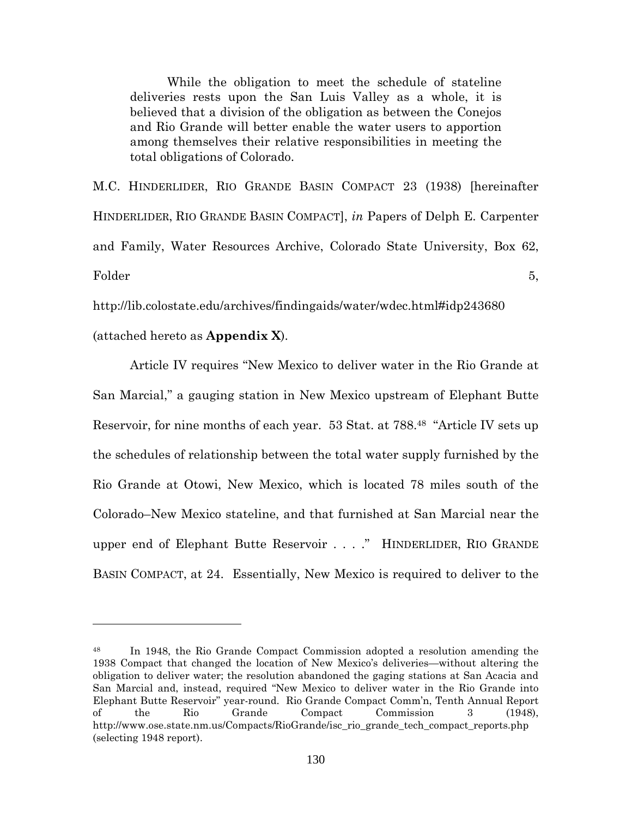While the obligation to meet the schedule of stateline deliveries rests upon the San Luis Valley as a whole, it is believed that a division of the obligation as between the Conejos and Rio Grande will better enable the water users to apportion among themselves their relative responsibilities in meeting the total obligations of Colorado.

M.C. HINDERLIDER, RIO GRANDE BASIN COMPACT 23 (1938) [hereinafter HINDERLIDER, RIO GRANDE BASIN COMPACT], *in* Papers of Delph E. Carpenter and Family, Water Resources Archive, Colorado State University, Box 62,  $Folder$  5,

http://lib.colostate.edu/archives/findingaids/water/wdec.html#idp243680

(attached hereto as **Appendix X**).

Article IV requires "New Mexico to deliver water in the Rio Grande at San Marcial," a gauging station in New Mexico upstream of Elephant Butte Reservoir, for nine months of each year. 53 Stat. at 788.<sup>48</sup> "Article IV sets up the schedules of relationship between the total water supply furnished by the Rio Grande at Otowi, New Mexico, which is located 78 miles south of the Colorado–New Mexico stateline, and that furnished at San Marcial near the upper end of Elephant Butte Reservoir . . . ." HINDERLIDER, RIO GRANDE BASIN COMPACT, at 24. Essentially, New Mexico is required to deliver to the

<sup>48</sup> In 1948, the Rio Grande Compact Commission adopted a resolution amending the 1938 Compact that changed the location of New Mexico's deliveries—without altering the obligation to deliver water; the resolution abandoned the gaging stations at San Acacia and San Marcial and, instead, required "New Mexico to deliver water in the Rio Grande into Elephant Butte Reservoir" year-round. Rio Grande Compact Comm'n, Tenth Annual Report of the Rio Grande Compact Commission 3 (1948), http://www.ose.state.nm.us/Compacts/RioGrande/isc\_rio\_grande\_tech\_compact\_reports.php (selecting 1948 report).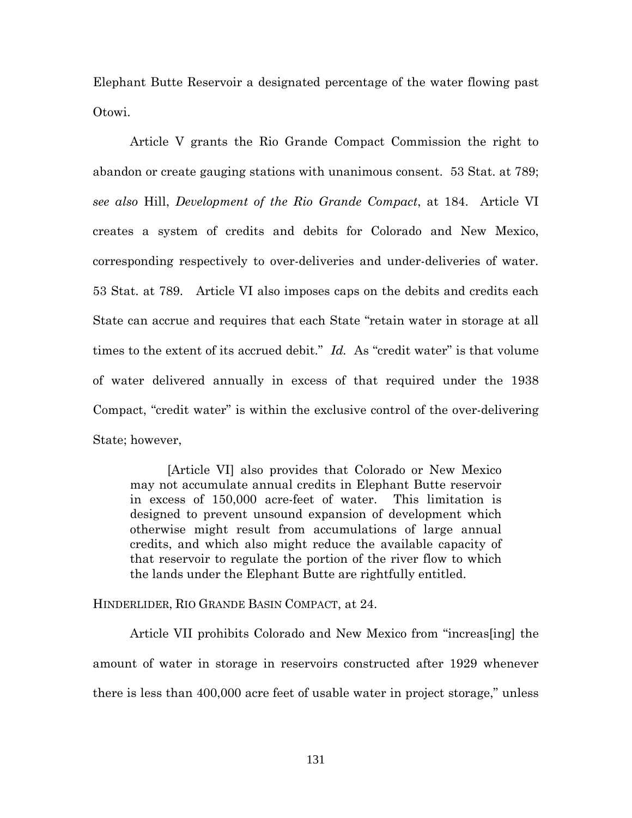Elephant Butte Reservoir a designated percentage of the water flowing past Otowi.

Article V grants the Rio Grande Compact Commission the right to abandon or create gauging stations with unanimous consent. 53 Stat. at 789; *see also* Hill, *Development of the Rio Grande Compact*, at 184. Article VI creates a system of credits and debits for Colorado and New Mexico, corresponding respectively to over-deliveries and under-deliveries of water. 53 Stat. at 789. Article VI also imposes caps on the debits and credits each State can accrue and requires that each State "retain water in storage at all times to the extent of its accrued debit." *Id.* As "credit water" is that volume of water delivered annually in excess of that required under the 1938 Compact, "credit water" is within the exclusive control of the over-delivering State; however,

[Article VI] also provides that Colorado or New Mexico may not accumulate annual credits in Elephant Butte reservoir in excess of 150,000 acre-feet of water. This limitation is designed to prevent unsound expansion of development which otherwise might result from accumulations of large annual credits, and which also might reduce the available capacity of that reservoir to regulate the portion of the river flow to which the lands under the Elephant Butte are rightfully entitled.

HINDERLIDER, RIO GRANDE BASIN COMPACT, at 24.

Article VII prohibits Colorado and New Mexico from "increas[ing] the amount of water in storage in reservoirs constructed after 1929 whenever there is less than 400,000 acre feet of usable water in project storage," unless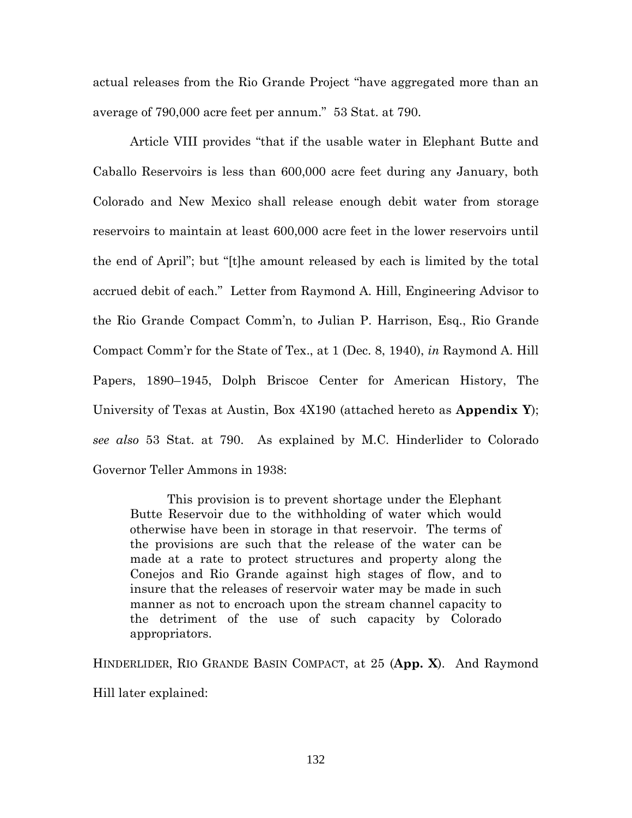actual releases from the Rio Grande Project "have aggregated more than an average of 790,000 acre feet per annum." 53 Stat. at 790.

Article VIII provides "that if the usable water in Elephant Butte and Caballo Reservoirs is less than 600,000 acre feet during any January, both Colorado and New Mexico shall release enough debit water from storage reservoirs to maintain at least 600,000 acre feet in the lower reservoirs until the end of April"; but "[t]he amount released by each is limited by the total accrued debit of each." Letter from Raymond A. Hill, Engineering Advisor to the Rio Grande Compact Comm'n, to Julian P. Harrison, Esq., Rio Grande Compact Comm'r for the State of Tex., at 1 (Dec. 8, 1940), *in* Raymond A. Hill Papers, 1890–1945, Dolph Briscoe Center for American History, The University of Texas at Austin, Box 4X190 (attached hereto as **Appendix Y**); *see also* 53 Stat. at 790. As explained by M.C. Hinderlider to Colorado Governor Teller Ammons in 1938:

This provision is to prevent shortage under the Elephant Butte Reservoir due to the withholding of water which would otherwise have been in storage in that reservoir. The terms of the provisions are such that the release of the water can be made at a rate to protect structures and property along the Conejos and Rio Grande against high stages of flow, and to insure that the releases of reservoir water may be made in such manner as not to encroach upon the stream channel capacity to the detriment of the use of such capacity by Colorado appropriators.

HINDERLIDER, RIO GRANDE BASIN COMPACT, at 25 (**App. X**). And Raymond Hill later explained: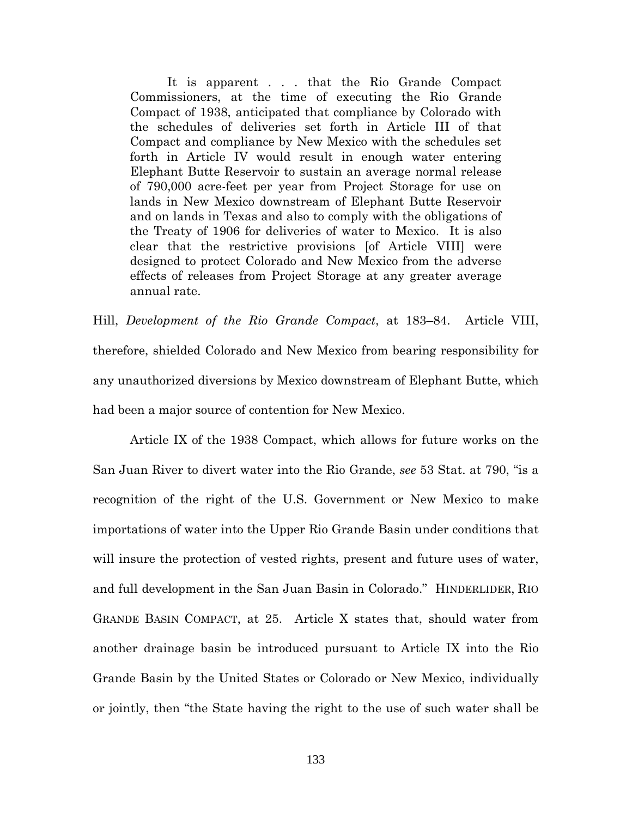It is apparent . . . that the Rio Grande Compact Commissioners, at the time of executing the Rio Grande Compact of 1938, anticipated that compliance by Colorado with the schedules of deliveries set forth in Article III of that Compact and compliance by New Mexico with the schedules set forth in Article IV would result in enough water entering Elephant Butte Reservoir to sustain an average normal release of 790,000 acre-feet per year from Project Storage for use on lands in New Mexico downstream of Elephant Butte Reservoir and on lands in Texas and also to comply with the obligations of the Treaty of 1906 for deliveries of water to Mexico. It is also clear that the restrictive provisions [of Article VIII] were designed to protect Colorado and New Mexico from the adverse effects of releases from Project Storage at any greater average annual rate.

Hill, *Development of the Rio Grande Compact*, at 183–84. Article VIII, therefore, shielded Colorado and New Mexico from bearing responsibility for any unauthorized diversions by Mexico downstream of Elephant Butte, which had been a major source of contention for New Mexico.

Article IX of the 1938 Compact, which allows for future works on the San Juan River to divert water into the Rio Grande, *see* 53 Stat. at 790, "is a recognition of the right of the U.S. Government or New Mexico to make importations of water into the Upper Rio Grande Basin under conditions that will insure the protection of vested rights, present and future uses of water, and full development in the San Juan Basin in Colorado." HINDERLIDER, RIO GRANDE BASIN COMPACT, at 25. Article X states that, should water from another drainage basin be introduced pursuant to Article IX into the Rio Grande Basin by the United States or Colorado or New Mexico, individually or jointly, then "the State having the right to the use of such water shall be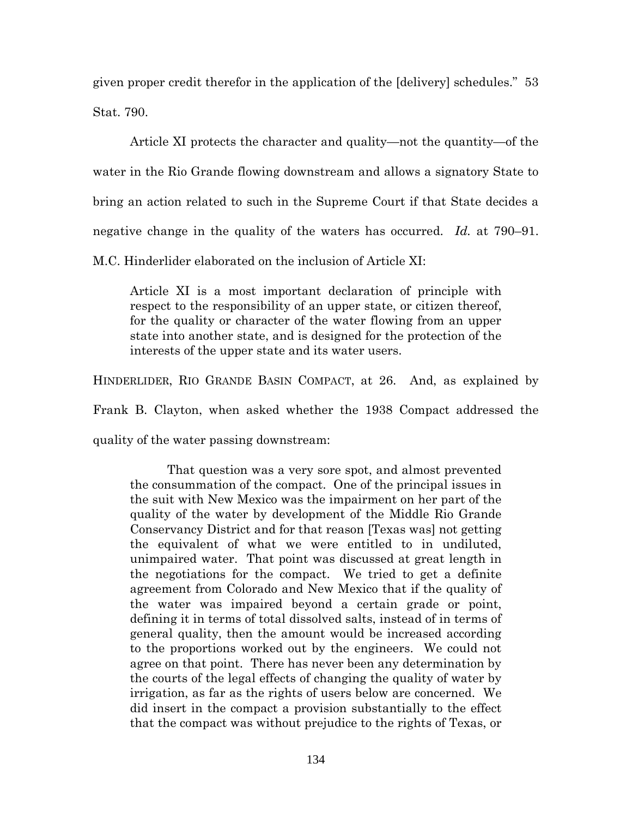given proper credit therefor in the application of the [delivery] schedules." 53 Stat. 790.

Article XI protects the character and quality—not the quantity—of the water in the Rio Grande flowing downstream and allows a signatory State to bring an action related to such in the Supreme Court if that State decides a negative change in the quality of the waters has occurred. *Id.* at 790–91. M.C. Hinderlider elaborated on the inclusion of Article XI:

Article XI is a most important declaration of principle with respect to the responsibility of an upper state, or citizen thereof, for the quality or character of the water flowing from an upper

state into another state, and is designed for the protection of the interests of the upper state and its water users.

HINDERLIDER, RIO GRANDE BASIN COMPACT, at 26. And, as explained by

Frank B. Clayton, when asked whether the 1938 Compact addressed the

quality of the water passing downstream:

That question was a very sore spot, and almost prevented the consummation of the compact. One of the principal issues in the suit with New Mexico was the impairment on her part of the quality of the water by development of the Middle Rio Grande Conservancy District and for that reason [Texas was] not getting the equivalent of what we were entitled to in undiluted, unimpaired water. That point was discussed at great length in the negotiations for the compact. We tried to get a definite agreement from Colorado and New Mexico that if the quality of the water was impaired beyond a certain grade or point, defining it in terms of total dissolved salts, instead of in terms of general quality, then the amount would be increased according to the proportions worked out by the engineers. We could not agree on that point. There has never been any determination by the courts of the legal effects of changing the quality of water by irrigation, as far as the rights of users below are concerned. We did insert in the compact a provision substantially to the effect that the compact was without prejudice to the rights of Texas, or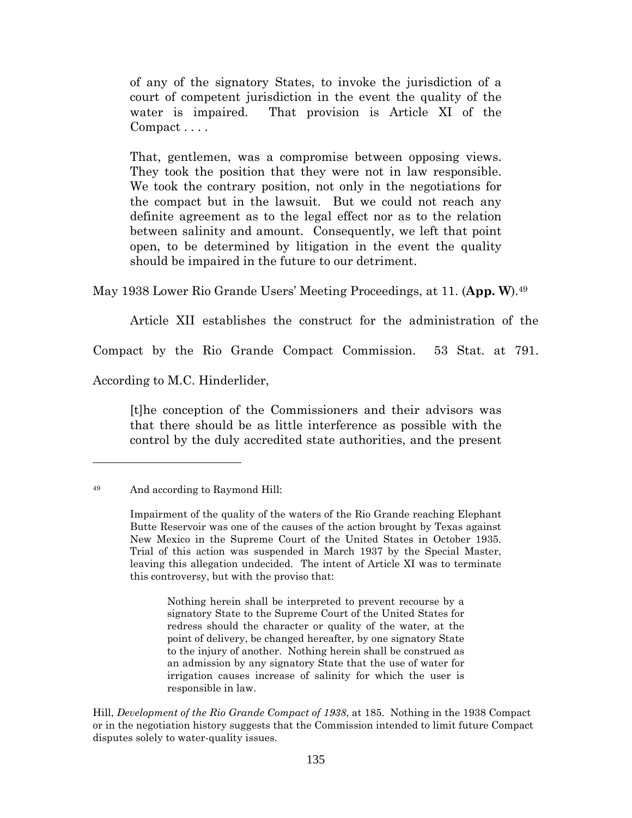of any of the signatory States, to invoke the jurisdiction of a court of competent jurisdiction in the event the quality of the water is impaired. That provision is Article XI of the Compact . . . .

That, gentlemen, was a compromise between opposing views. They took the position that they were not in law responsible. We took the contrary position, not only in the negotiations for the compact but in the lawsuit. But we could not reach any definite agreement as to the legal effect nor as to the relation between salinity and amount. Consequently, we left that point open, to be determined by litigation in the event the quality should be impaired in the future to our detriment.

May 1938 Lower Rio Grande Users' Meeting Proceedings, at 11. (**App. W**).<sup>49</sup>

Article XII establishes the construct for the administration of the

Compact by the Rio Grande Compact Commission. 53 Stat. at 791.

According to M.C. Hinderlider,

[t]he conception of the Commissioners and their advisors was that there should be as little interference as possible with the control by the duly accredited state authorities, and the present

Nothing herein shall be interpreted to prevent recourse by a signatory State to the Supreme Court of the United States for redress should the character or quality of the water, at the point of delivery, be changed hereafter, by one signatory State to the injury of another. Nothing herein shall be construed as an admission by any signatory State that the use of water for irrigation causes increase of salinity for which the user is responsible in law.

Hill, *Development of the Rio Grande Compact of 1938*, at 185. Nothing in the 1938 Compact or in the negotiation history suggests that the Commission intended to limit future Compact disputes solely to water-quality issues.

<sup>49</sup> And according to Raymond Hill:

Impairment of the quality of the waters of the Rio Grande reaching Elephant Butte Reservoir was one of the causes of the action brought by Texas against New Mexico in the Supreme Court of the United States in October 1935. Trial of this action was suspended in March 1937 by the Special Master, leaving this allegation undecided. The intent of Article XI was to terminate this controversy, but with the proviso that: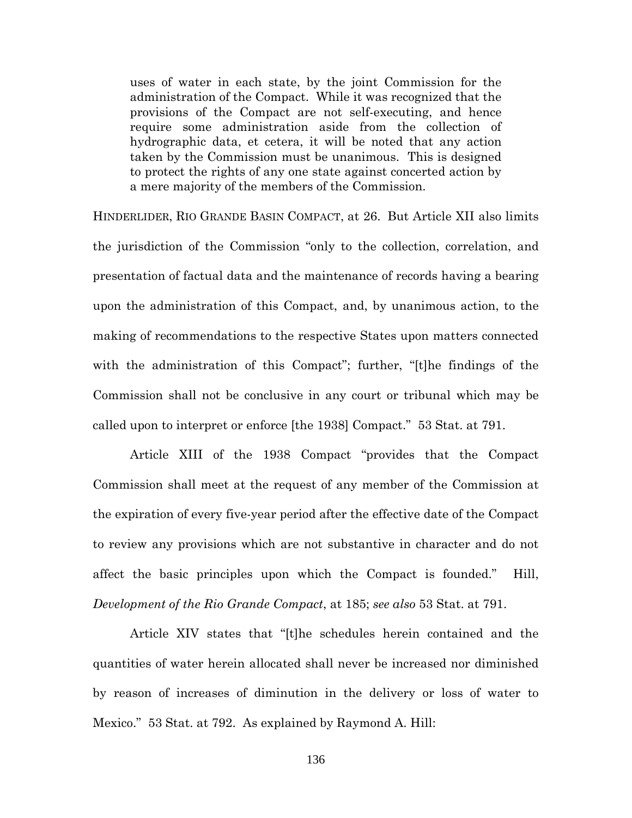uses of water in each state, by the joint Commission for the administration of the Compact. While it was recognized that the provisions of the Compact are not self-executing, and hence require some administration aside from the collection of hydrographic data, et cetera, it will be noted that any action taken by the Commission must be unanimous. This is designed to protect the rights of any one state against concerted action by a mere majority of the members of the Commission.

HINDERLIDER, RIO GRANDE BASIN COMPACT, at 26. But Article XII also limits the jurisdiction of the Commission "only to the collection, correlation, and presentation of factual data and the maintenance of records having a bearing upon the administration of this Compact, and, by unanimous action, to the making of recommendations to the respective States upon matters connected with the administration of this Compact"; further, "[t]he findings of the Commission shall not be conclusive in any court or tribunal which may be called upon to interpret or enforce [the 1938] Compact." 53 Stat. at 791.

Article XIII of the 1938 Compact "provides that the Compact Commission shall meet at the request of any member of the Commission at the expiration of every five-year period after the effective date of the Compact to review any provisions which are not substantive in character and do not affect the basic principles upon which the Compact is founded." Hill, *Development of the Rio Grande Compact*, at 185; *see also* 53 Stat. at 791.

Article XIV states that "[t]he schedules herein contained and the quantities of water herein allocated shall never be increased nor diminished by reason of increases of diminution in the delivery or loss of water to Mexico." 53 Stat. at 792. As explained by Raymond A. Hill: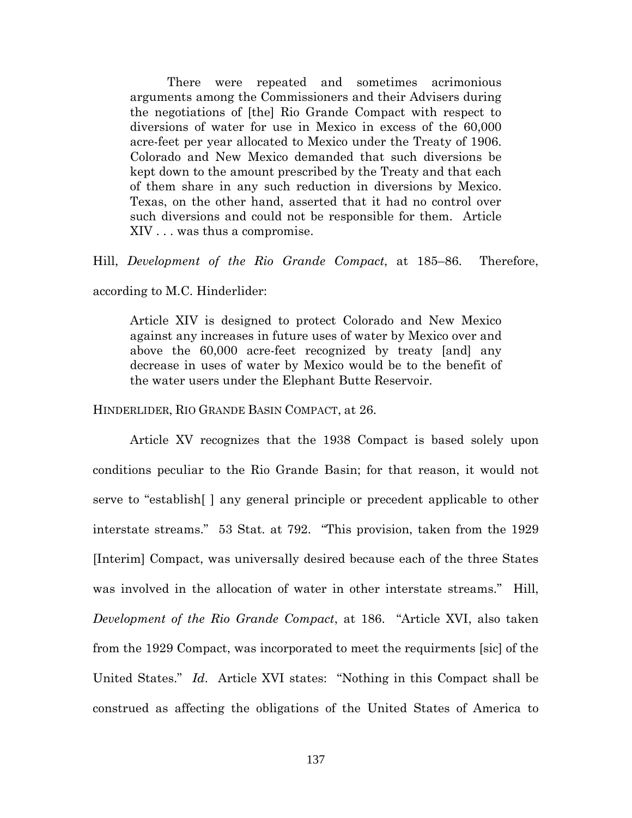There were repeated and sometimes acrimonious arguments among the Commissioners and their Advisers during the negotiations of [the] Rio Grande Compact with respect to diversions of water for use in Mexico in excess of the 60,000 acre-feet per year allocated to Mexico under the Treaty of 1906. Colorado and New Mexico demanded that such diversions be kept down to the amount prescribed by the Treaty and that each of them share in any such reduction in diversions by Mexico. Texas, on the other hand, asserted that it had no control over such diversions and could not be responsible for them. Article XIV . . . was thus a compromise.

Hill, *Development of the Rio Grande Compact*, at 185–86. Therefore,

according to M.C. Hinderlider:

Article XIV is designed to protect Colorado and New Mexico against any increases in future uses of water by Mexico over and above the 60,000 acre-feet recognized by treaty [and] any decrease in uses of water by Mexico would be to the benefit of the water users under the Elephant Butte Reservoir.

HINDERLIDER, RIO GRANDE BASIN COMPACT, at 26.

Article XV recognizes that the 1938 Compact is based solely upon conditions peculiar to the Rio Grande Basin; for that reason, it would not serve to "establish[ ] any general principle or precedent applicable to other interstate streams." 53 Stat. at 792. "This provision, taken from the 1929 [Interim] Compact, was universally desired because each of the three States was involved in the allocation of water in other interstate streams." Hill, *Development of the Rio Grande Compact*, at 186. "Article XVI, also taken from the 1929 Compact, was incorporated to meet the requirments [sic] of the United States." *Id*. Article XVI states: "Nothing in this Compact shall be construed as affecting the obligations of the United States of America to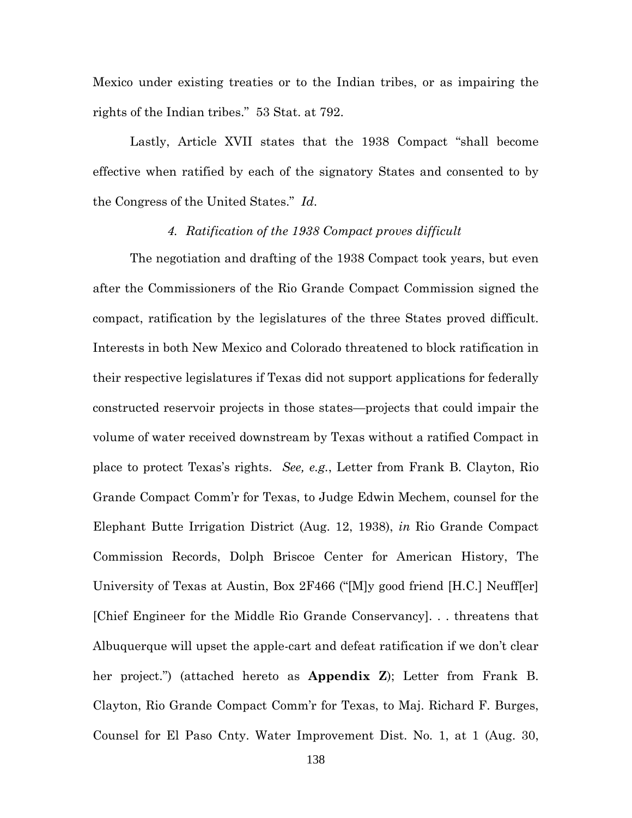Mexico under existing treaties or to the Indian tribes, or as impairing the rights of the Indian tribes." 53 Stat. at 792.

Lastly, Article XVII states that the 1938 Compact "shall become effective when ratified by each of the signatory States and consented to by the Congress of the United States." *Id*.

## *4. Ratification of the 1938 Compact proves difficult*

The negotiation and drafting of the 1938 Compact took years, but even after the Commissioners of the Rio Grande Compact Commission signed the compact, ratification by the legislatures of the three States proved difficult. Interests in both New Mexico and Colorado threatened to block ratification in their respective legislatures if Texas did not support applications for federally constructed reservoir projects in those states—projects that could impair the volume of water received downstream by Texas without a ratified Compact in place to protect Texas's rights. *See, e.g.*, Letter from Frank B. Clayton, Rio Grande Compact Comm'r for Texas, to Judge Edwin Mechem, counsel for the Elephant Butte Irrigation District (Aug. 12, 1938), *in* Rio Grande Compact Commission Records, Dolph Briscoe Center for American History, The University of Texas at Austin, Box 2F466 ("[M]y good friend [H.C.] Neuff[er] [Chief Engineer for the Middle Rio Grande Conservancy]. . . threatens that Albuquerque will upset the apple-cart and defeat ratification if we don't clear her project.") (attached hereto as **Appendix Z**); Letter from Frank B. Clayton, Rio Grande Compact Comm'r for Texas, to Maj. Richard F. Burges, Counsel for El Paso Cnty. Water Improvement Dist. No. 1, at 1 (Aug. 30,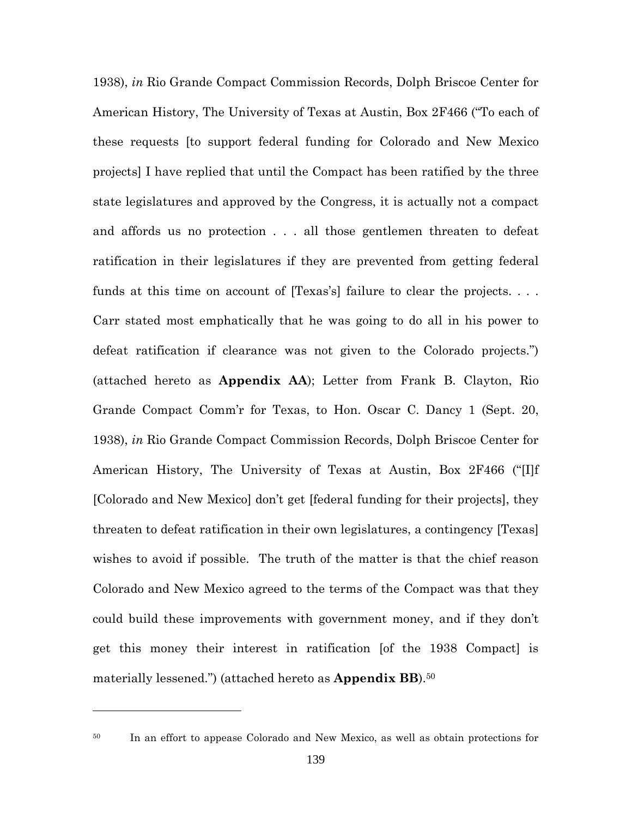1938), *in* Rio Grande Compact Commission Records, Dolph Briscoe Center for American History, The University of Texas at Austin, Box 2F466 ("To each of these requests [to support federal funding for Colorado and New Mexico projects] I have replied that until the Compact has been ratified by the three state legislatures and approved by the Congress, it is actually not a compact and affords us no protection . . . all those gentlemen threaten to defeat ratification in their legislatures if they are prevented from getting federal funds at this time on account of [Texas's] failure to clear the projects. ... Carr stated most emphatically that he was going to do all in his power to defeat ratification if clearance was not given to the Colorado projects.") (attached hereto as **Appendix AA**); Letter from Frank B. Clayton, Rio Grande Compact Comm'r for Texas, to Hon. Oscar C. Dancy 1 (Sept. 20, 1938), *in* Rio Grande Compact Commission Records, Dolph Briscoe Center for American History, The University of Texas at Austin, Box 2F466 ("[I]f [Colorado and New Mexico] don't get [federal funding for their projects], they threaten to defeat ratification in their own legislatures, a contingency [Texas] wishes to avoid if possible. The truth of the matter is that the chief reason Colorado and New Mexico agreed to the terms of the Compact was that they could build these improvements with government money, and if they don't get this money their interest in ratification [of the 1938 Compact] is materially lessened.") (attached hereto as **Appendix BB**).<sup>50</sup>

<sup>50</sup> In an effort to appease Colorado and New Mexico, as well as obtain protections for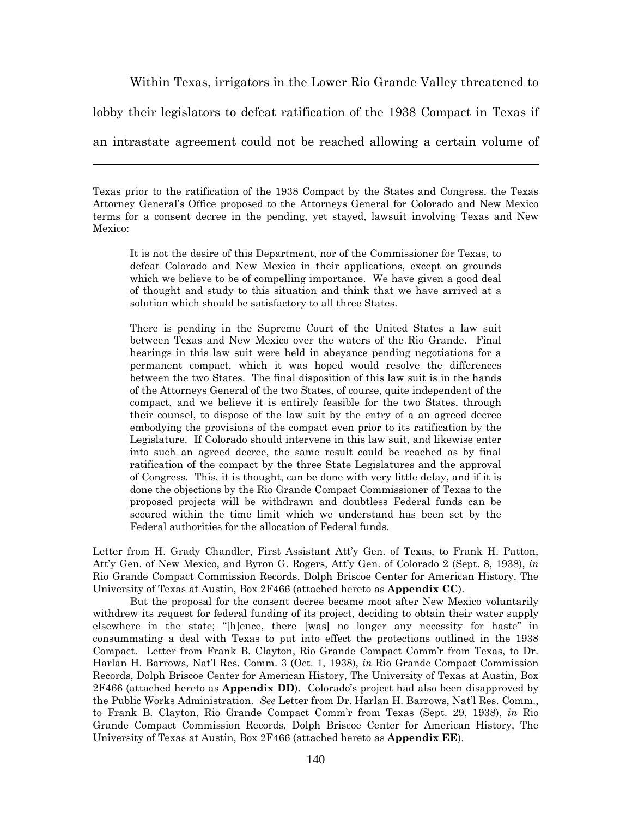Within Texas, irrigators in the Lower Rio Grande Valley threatened to

lobby their legislators to defeat ratification of the 1938 Compact in Texas if

an intrastate agreement could not be reached allowing a certain volume of

It is not the desire of this Department, nor of the Commissioner for Texas, to defeat Colorado and New Mexico in their applications, except on grounds which we believe to be of compelling importance. We have given a good deal of thought and study to this situation and think that we have arrived at a solution which should be satisfactory to all three States.

There is pending in the Supreme Court of the United States a law suit between Texas and New Mexico over the waters of the Rio Grande. Final hearings in this law suit were held in abeyance pending negotiations for a permanent compact, which it was hoped would resolve the differences between the two States. The final disposition of this law suit is in the hands of the Attorneys General of the two States, of course, quite independent of the compact, and we believe it is entirely feasible for the two States, through their counsel, to dispose of the law suit by the entry of a an agreed decree embodying the provisions of the compact even prior to its ratification by the Legislature. If Colorado should intervene in this law suit, and likewise enter into such an agreed decree, the same result could be reached as by final ratification of the compact by the three State Legislatures and the approval of Congress. This, it is thought, can be done with very little delay, and if it is done the objections by the Rio Grande Compact Commissioner of Texas to the proposed projects will be withdrawn and doubtless Federal funds can be secured within the time limit which we understand has been set by the Federal authorities for the allocation of Federal funds.

Letter from H. Grady Chandler, First Assistant Att'y Gen. of Texas, to Frank H. Patton, Att'y Gen. of New Mexico, and Byron G. Rogers, Att'y Gen. of Colorado 2 (Sept. 8, 1938), *in* Rio Grande Compact Commission Records, Dolph Briscoe Center for American History, The University of Texas at Austin, Box 2F466 (attached hereto as **Appendix CC**).

But the proposal for the consent decree became moot after New Mexico voluntarily withdrew its request for federal funding of its project, deciding to obtain their water supply elsewhere in the state; "[h]ence, there [was] no longer any necessity for haste" in consummating a deal with Texas to put into effect the protections outlined in the 1938 Compact. Letter from Frank B. Clayton, Rio Grande Compact Comm'r from Texas, to Dr. Harlan H. Barrows, Nat'l Res. Comm. 3 (Oct. 1, 1938), *in* Rio Grande Compact Commission Records, Dolph Briscoe Center for American History, The University of Texas at Austin, Box 2F466 (attached hereto as **Appendix DD**). Colorado's project had also been disapproved by the Public Works Administration. *See* Letter from Dr. Harlan H. Barrows, Nat'l Res. Comm., to Frank B. Clayton, Rio Grande Compact Comm'r from Texas (Sept. 29, 1938), *in* Rio Grande Compact Commission Records, Dolph Briscoe Center for American History, The University of Texas at Austin, Box 2F466 (attached hereto as **Appendix EE**).

Texas prior to the ratification of the 1938 Compact by the States and Congress, the Texas Attorney General's Office proposed to the Attorneys General for Colorado and New Mexico terms for a consent decree in the pending, yet stayed, lawsuit involving Texas and New Mexico: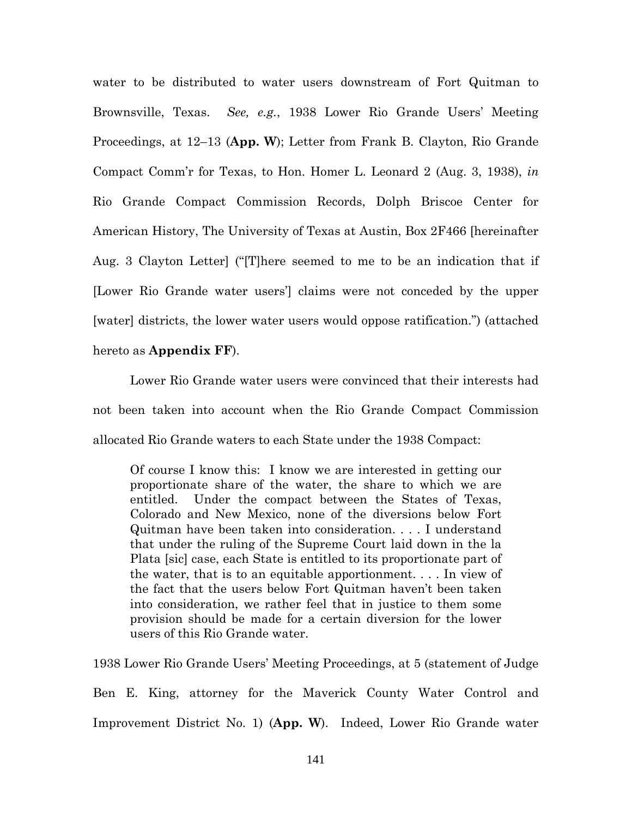water to be distributed to water users downstream of Fort Quitman to Brownsville, Texas. *See, e.g.*, 1938 Lower Rio Grande Users' Meeting Proceedings, at 12–13 (**App. W**); Letter from Frank B. Clayton, Rio Grande Compact Comm'r for Texas, to Hon. Homer L. Leonard 2 (Aug. 3, 1938), *in* Rio Grande Compact Commission Records, Dolph Briscoe Center for American History, The University of Texas at Austin, Box 2F466 [hereinafter Aug. 3 Clayton Letter] ("[T]here seemed to me to be an indication that if [Lower Rio Grande water users'] claims were not conceded by the upper [water] districts, the lower water users would oppose ratification.") (attached hereto as **Appendix FF**).

Lower Rio Grande water users were convinced that their interests had not been taken into account when the Rio Grande Compact Commission allocated Rio Grande waters to each State under the 1938 Compact:

Of course I know this: I know we are interested in getting our proportionate share of the water, the share to which we are entitled. Under the compact between the States of Texas, Colorado and New Mexico, none of the diversions below Fort Quitman have been taken into consideration. . . . I understand that under the ruling of the Supreme Court laid down in the la Plata [sic] case, each State is entitled to its proportionate part of the water, that is to an equitable apportionment. . . . In view of the fact that the users below Fort Quitman haven't been taken into consideration, we rather feel that in justice to them some provision should be made for a certain diversion for the lower users of this Rio Grande water.

1938 Lower Rio Grande Users' Meeting Proceedings, at 5 (statement of Judge Ben E. King, attorney for the Maverick County Water Control and Improvement District No. 1) (**App. W**). Indeed, Lower Rio Grande water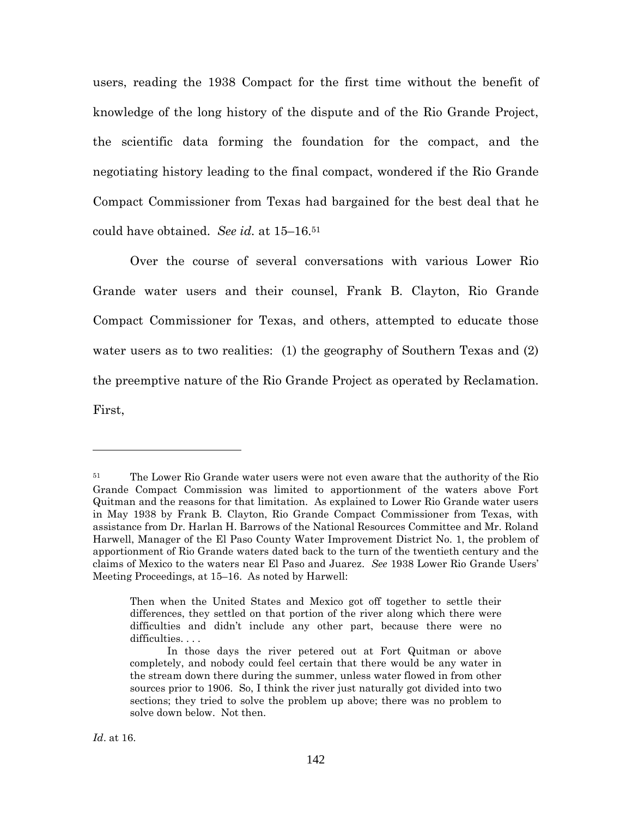users, reading the 1938 Compact for the first time without the benefit of knowledge of the long history of the dispute and of the Rio Grande Project, the scientific data forming the foundation for the compact, and the negotiating history leading to the final compact, wondered if the Rio Grande Compact Commissioner from Texas had bargained for the best deal that he could have obtained. *See id.* at 15–16.<sup>51</sup>

Over the course of several conversations with various Lower Rio Grande water users and their counsel, Frank B. Clayton, Rio Grande Compact Commissioner for Texas, and others, attempted to educate those water users as to two realities: (1) the geography of Southern Texas and (2) the preemptive nature of the Rio Grande Project as operated by Reclamation. First,

<sup>&</sup>lt;sup>51</sup> The Lower Rio Grande water users were not even aware that the authority of the Rio Grande Compact Commission was limited to apportionment of the waters above Fort Quitman and the reasons for that limitation. As explained to Lower Rio Grande water users in May 1938 by Frank B. Clayton, Rio Grande Compact Commissioner from Texas, with assistance from Dr. Harlan H. Barrows of the National Resources Committee and Mr. Roland Harwell, Manager of the El Paso County Water Improvement District No. 1, the problem of apportionment of Rio Grande waters dated back to the turn of the twentieth century and the claims of Mexico to the waters near El Paso and Juarez. *See* 1938 Lower Rio Grande Users' Meeting Proceedings, at 15–16. As noted by Harwell:

Then when the United States and Mexico got off together to settle their differences, they settled on that portion of the river along which there were difficulties and didn't include any other part, because there were no difficulties. . . .

In those days the river petered out at Fort Quitman or above completely, and nobody could feel certain that there would be any water in the stream down there during the summer, unless water flowed in from other sources prior to 1906. So, I think the river just naturally got divided into two sections; they tried to solve the problem up above; there was no problem to solve down below. Not then.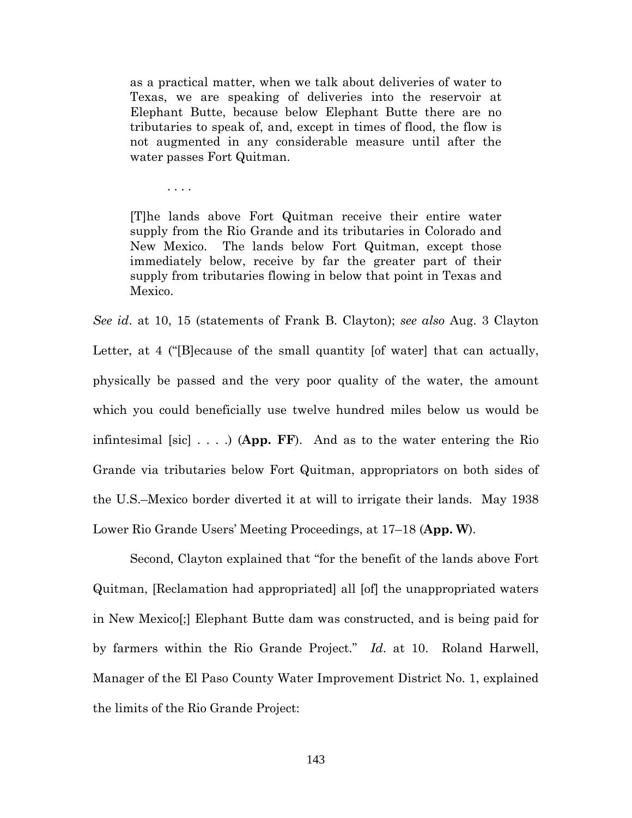as a practical matter, when we talk about deliveries of water to Texas, we are speaking of deliveries into the reservoir at Elephant Butte, because below Elephant Butte there are no tributaries to speak of, and, except in times of flood, the flow is not augmented in any considerable measure until after the water passes Fort Quitman.

. . . .

[T]he lands above Fort Quitman receive their entire water supply from the Rio Grande and its tributaries in Colorado and New Mexico. The lands below Fort Quitman, except those immediately below, receive by far the greater part of their supply from tributaries flowing in below that point in Texas and Mexico.

*See id*. at 10, 15 (statements of Frank B. Clayton); *see also* Aug. 3 Clayton Letter, at 4 ("[B]ecause of the small quantity [of water] that can actually, physically be passed and the very poor quality of the water, the amount which you could beneficially use twelve hundred miles below us would be infintesimal [sic] . . . .) (**App. FF**). And as to the water entering the Rio Grande via tributaries below Fort Quitman, appropriators on both sides of the U.S.–Mexico border diverted it at will to irrigate their lands. May 1938 Lower Rio Grande Users' Meeting Proceedings, at 17–18 (**App. W**).

Second, Clayton explained that "for the benefit of the lands above Fort Quitman, [Reclamation had appropriated] all [of] the unappropriated waters in New Mexico[;] Elephant Butte dam was constructed, and is being paid for by farmers within the Rio Grande Project." *Id*. at 10. Roland Harwell, Manager of the El Paso County Water Improvement District No. 1, explained the limits of the Rio Grande Project: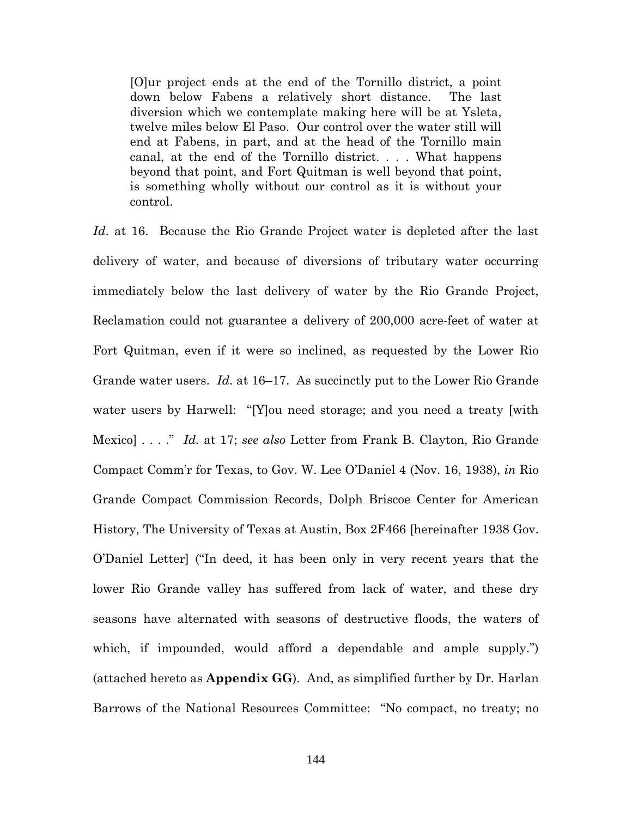[O]ur project ends at the end of the Tornillo district, a point down below Fabens a relatively short distance. The last diversion which we contemplate making here will be at Ysleta, twelve miles below El Paso. Our control over the water still will end at Fabens, in part, and at the head of the Tornillo main canal, at the end of the Tornillo district. . . . What happens beyond that point, and Fort Quitman is well beyond that point, is something wholly without our control as it is without your control.

*Id*. at 16. Because the Rio Grande Project water is depleted after the last delivery of water, and because of diversions of tributary water occurring immediately below the last delivery of water by the Rio Grande Project, Reclamation could not guarantee a delivery of 200,000 acre-feet of water at Fort Quitman, even if it were so inclined, as requested by the Lower Rio Grande water users. *Id*. at 16–17. As succinctly put to the Lower Rio Grande water users by Harwell: "[Y]ou need storage; and you need a treaty [with Mexico] . . . ." *Id.* at 17; *see also* Letter from Frank B. Clayton, Rio Grande Compact Comm'r for Texas, to Gov. W. Lee O'Daniel 4 (Nov. 16, 1938), *in* Rio Grande Compact Commission Records, Dolph Briscoe Center for American History, The University of Texas at Austin, Box 2F466 [hereinafter 1938 Gov. O'Daniel Letter] ("In deed, it has been only in very recent years that the lower Rio Grande valley has suffered from lack of water, and these dry seasons have alternated with seasons of destructive floods, the waters of which, if impounded, would afford a dependable and ample supply.") (attached hereto as **Appendix GG**). And, as simplified further by Dr. Harlan Barrows of the National Resources Committee: "No compact, no treaty; no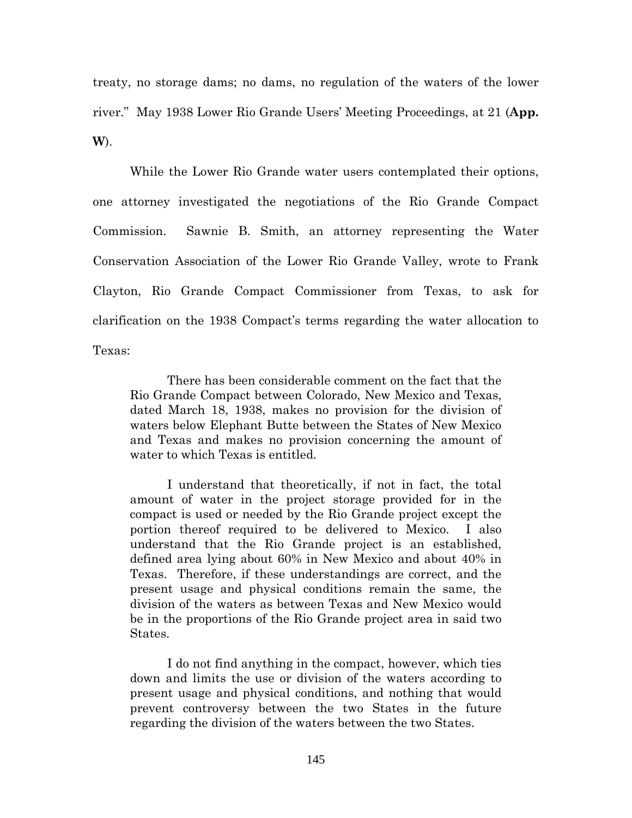treaty, no storage dams; no dams, no regulation of the waters of the lower river." May 1938 Lower Rio Grande Users' Meeting Proceedings, at 21 (**App. W**).

While the Lower Rio Grande water users contemplated their options, one attorney investigated the negotiations of the Rio Grande Compact Commission. Sawnie B. Smith, an attorney representing the Water Conservation Association of the Lower Rio Grande Valley, wrote to Frank Clayton, Rio Grande Compact Commissioner from Texas, to ask for clarification on the 1938 Compact's terms regarding the water allocation to Texas:

There has been considerable comment on the fact that the Rio Grande Compact between Colorado, New Mexico and Texas, dated March 18, 1938, makes no provision for the division of waters below Elephant Butte between the States of New Mexico and Texas and makes no provision concerning the amount of water to which Texas is entitled.

I understand that theoretically, if not in fact, the total amount of water in the project storage provided for in the compact is used or needed by the Rio Grande project except the portion thereof required to be delivered to Mexico. I also understand that the Rio Grande project is an established, defined area lying about 60% in New Mexico and about 40% in Texas. Therefore, if these understandings are correct, and the present usage and physical conditions remain the same, the division of the waters as between Texas and New Mexico would be in the proportions of the Rio Grande project area in said two States.

I do not find anything in the compact, however, which ties down and limits the use or division of the waters according to present usage and physical conditions, and nothing that would prevent controversy between the two States in the future regarding the division of the waters between the two States.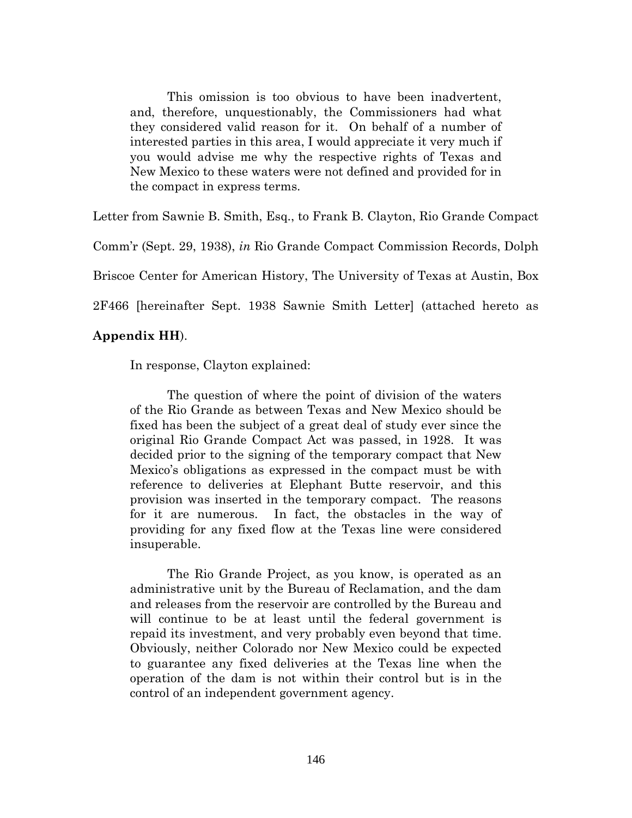This omission is too obvious to have been inadvertent, and, therefore, unquestionably, the Commissioners had what they considered valid reason for it. On behalf of a number of interested parties in this area, I would appreciate it very much if you would advise me why the respective rights of Texas and New Mexico to these waters were not defined and provided for in the compact in express terms.

Letter from Sawnie B. Smith, Esq., to Frank B. Clayton, Rio Grande Compact

Comm'r (Sept. 29, 1938), *in* Rio Grande Compact Commission Records, Dolph

Briscoe Center for American History, The University of Texas at Austin, Box

2F466 [hereinafter Sept. 1938 Sawnie Smith Letter] (attached hereto as

## **Appendix HH**).

In response, Clayton explained:

The question of where the point of division of the waters of the Rio Grande as between Texas and New Mexico should be fixed has been the subject of a great deal of study ever since the original Rio Grande Compact Act was passed, in 1928. It was decided prior to the signing of the temporary compact that New Mexico's obligations as expressed in the compact must be with reference to deliveries at Elephant Butte reservoir, and this provision was inserted in the temporary compact. The reasons for it are numerous. In fact, the obstacles in the way of providing for any fixed flow at the Texas line were considered insuperable.

The Rio Grande Project, as you know, is operated as an administrative unit by the Bureau of Reclamation, and the dam and releases from the reservoir are controlled by the Bureau and will continue to be at least until the federal government is repaid its investment, and very probably even beyond that time. Obviously, neither Colorado nor New Mexico could be expected to guarantee any fixed deliveries at the Texas line when the operation of the dam is not within their control but is in the control of an independent government agency.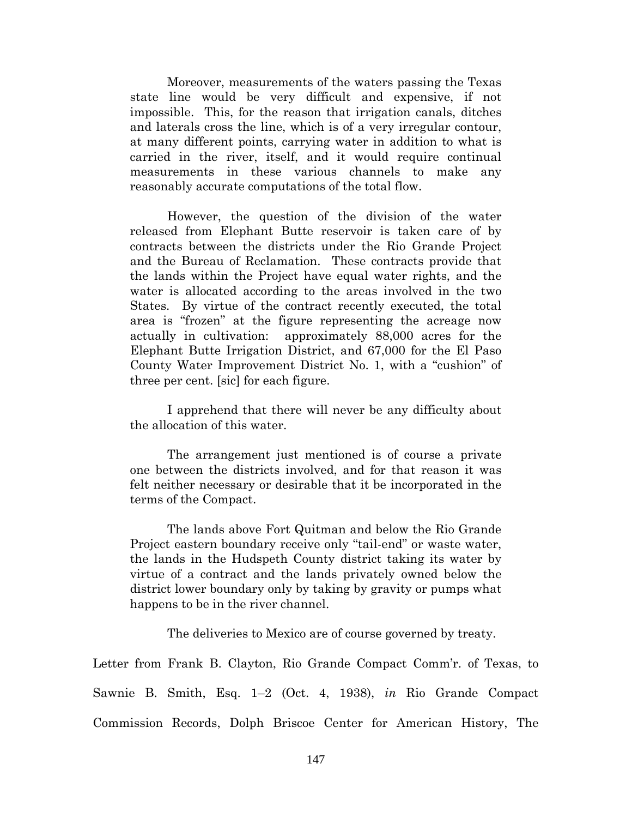Moreover, measurements of the waters passing the Texas state line would be very difficult and expensive, if not impossible. This, for the reason that irrigation canals, ditches and laterals cross the line, which is of a very irregular contour, at many different points, carrying water in addition to what is carried in the river, itself, and it would require continual measurements in these various channels to make any reasonably accurate computations of the total flow.

However, the question of the division of the water released from Elephant Butte reservoir is taken care of by contracts between the districts under the Rio Grande Project and the Bureau of Reclamation. These contracts provide that the lands within the Project have equal water rights, and the water is allocated according to the areas involved in the two States. By virtue of the contract recently executed, the total area is "frozen" at the figure representing the acreage now actually in cultivation: approximately 88,000 acres for the Elephant Butte Irrigation District, and 67,000 for the El Paso County Water Improvement District No. 1, with a "cushion" of three per cent. [sic] for each figure.

I apprehend that there will never be any difficulty about the allocation of this water.

The arrangement just mentioned is of course a private one between the districts involved, and for that reason it was felt neither necessary or desirable that it be incorporated in the terms of the Compact.

The lands above Fort Quitman and below the Rio Grande Project eastern boundary receive only "tail-end" or waste water, the lands in the Hudspeth County district taking its water by virtue of a contract and the lands privately owned below the district lower boundary only by taking by gravity or pumps what happens to be in the river channel.

The deliveries to Mexico are of course governed by treaty.

Letter from Frank B. Clayton, Rio Grande Compact Comm'r. of Texas, to Sawnie B. Smith, Esq. 1–2 (Oct. 4, 1938), *in* Rio Grande Compact Commission Records, Dolph Briscoe Center for American History, The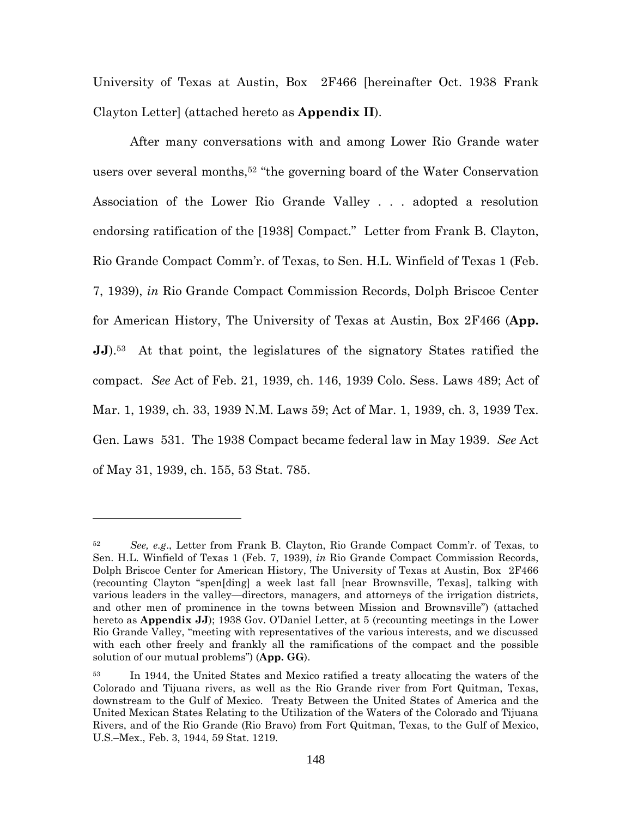University of Texas at Austin, Box 2F466 [hereinafter Oct. 1938 Frank Clayton Letter] (attached hereto as **Appendix II**).

After many conversations with and among Lower Rio Grande water users over several months,<sup>52</sup> "the governing board of the Water Conservation Association of the Lower Rio Grande Valley . . . adopted a resolution endorsing ratification of the [1938] Compact." Letter from Frank B. Clayton, Rio Grande Compact Comm'r. of Texas, to Sen. H.L. Winfield of Texas 1 (Feb. 7, 1939), *in* Rio Grande Compact Commission Records, Dolph Briscoe Center for American History, The University of Texas at Austin, Box 2F466 (**App. JJ**).<sup>53</sup> At that point, the legislatures of the signatory States ratified the compact. *See* Act of Feb. 21, 1939, ch. 146, 1939 Colo. Sess. Laws 489; Act of Mar. 1, 1939, ch. 33, 1939 N.M. Laws 59; Act of Mar. 1, 1939, ch. 3, 1939 Tex. Gen. Laws 531. The 1938 Compact became federal law in May 1939. *See* Act of May 31, 1939, ch. 155, 53 Stat. 785.

<sup>52</sup> *See, e.g*., Letter from Frank B. Clayton, Rio Grande Compact Comm'r. of Texas, to Sen. H.L. Winfield of Texas 1 (Feb. 7, 1939), *in* Rio Grande Compact Commission Records, Dolph Briscoe Center for American History, The University of Texas at Austin, Box 2F466 (recounting Clayton "spen[ding] a week last fall [near Brownsville, Texas], talking with various leaders in the valley—directors, managers, and attorneys of the irrigation districts, and other men of prominence in the towns between Mission and Brownsville") (attached hereto as **Appendix JJ**); 1938 Gov. O'Daniel Letter, at 5 (recounting meetings in the Lower Rio Grande Valley, "meeting with representatives of the various interests, and we discussed with each other freely and frankly all the ramifications of the compact and the possible solution of our mutual problems") (**App. GG**).

<sup>53</sup> In 1944, the United States and Mexico ratified a treaty allocating the waters of the Colorado and Tijuana rivers, as well as the Rio Grande river from Fort Quitman, Texas, downstream to the Gulf of Mexico. Treaty Between the United States of America and the United Mexican States Relating to the Utilization of the Waters of the Colorado and Tijuana Rivers, and of the Rio Grande (Rio Bravo) from Fort Quitman, Texas, to the Gulf of Mexico, U.S.–Mex., Feb. 3, 1944, 59 Stat. 1219.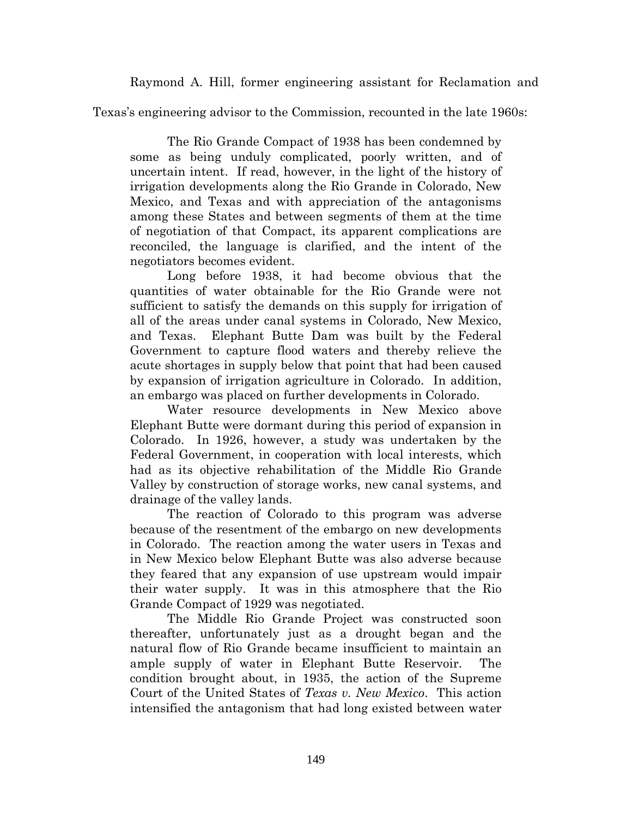Raymond A. Hill, former engineering assistant for Reclamation and

Texas's engineering advisor to the Commission, recounted in the late 1960s:

The Rio Grande Compact of 1938 has been condemned by some as being unduly complicated, poorly written, and of uncertain intent. If read, however, in the light of the history of irrigation developments along the Rio Grande in Colorado, New Mexico, and Texas and with appreciation of the antagonisms among these States and between segments of them at the time of negotiation of that Compact, its apparent complications are reconciled, the language is clarified, and the intent of the negotiators becomes evident.

Long before 1938, it had become obvious that the quantities of water obtainable for the Rio Grande were not sufficient to satisfy the demands on this supply for irrigation of all of the areas under canal systems in Colorado, New Mexico, and Texas. Elephant Butte Dam was built by the Federal Government to capture flood waters and thereby relieve the acute shortages in supply below that point that had been caused by expansion of irrigation agriculture in Colorado. In addition, an embargo was placed on further developments in Colorado.

Water resource developments in New Mexico above Elephant Butte were dormant during this period of expansion in Colorado. In 1926, however, a study was undertaken by the Federal Government, in cooperation with local interests, which had as its objective rehabilitation of the Middle Rio Grande Valley by construction of storage works, new canal systems, and drainage of the valley lands.

The reaction of Colorado to this program was adverse because of the resentment of the embargo on new developments in Colorado. The reaction among the water users in Texas and in New Mexico below Elephant Butte was also adverse because they feared that any expansion of use upstream would impair their water supply. It was in this atmosphere that the Rio Grande Compact of 1929 was negotiated.

The Middle Rio Grande Project was constructed soon thereafter, unfortunately just as a drought began and the natural flow of Rio Grande became insufficient to maintain an ample supply of water in Elephant Butte Reservoir. The condition brought about, in 1935, the action of the Supreme Court of the United States of *Texas v. New Mexico*. This action intensified the antagonism that had long existed between water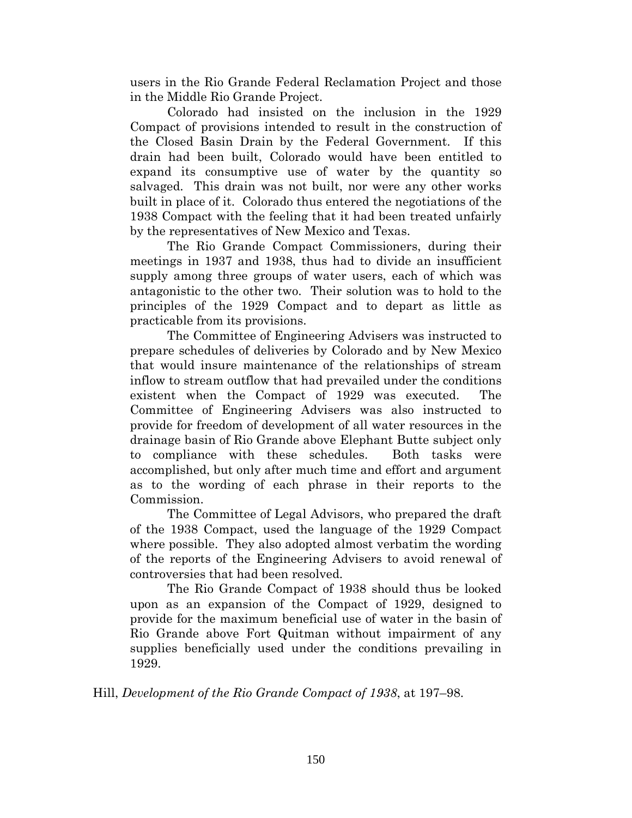users in the Rio Grande Federal Reclamation Project and those in the Middle Rio Grande Project.

Colorado had insisted on the inclusion in the 1929 Compact of provisions intended to result in the construction of the Closed Basin Drain by the Federal Government. If this drain had been built, Colorado would have been entitled to expand its consumptive use of water by the quantity so salvaged. This drain was not built, nor were any other works built in place of it. Colorado thus entered the negotiations of the 1938 Compact with the feeling that it had been treated unfairly by the representatives of New Mexico and Texas.

The Rio Grande Compact Commissioners, during their meetings in 1937 and 1938, thus had to divide an insufficient supply among three groups of water users, each of which was antagonistic to the other two. Their solution was to hold to the principles of the 1929 Compact and to depart as little as practicable from its provisions.

The Committee of Engineering Advisers was instructed to prepare schedules of deliveries by Colorado and by New Mexico that would insure maintenance of the relationships of stream inflow to stream outflow that had prevailed under the conditions existent when the Compact of 1929 was executed. The Committee of Engineering Advisers was also instructed to provide for freedom of development of all water resources in the drainage basin of Rio Grande above Elephant Butte subject only to compliance with these schedules. Both tasks were accomplished, but only after much time and effort and argument as to the wording of each phrase in their reports to the Commission.

The Committee of Legal Advisors, who prepared the draft of the 1938 Compact, used the language of the 1929 Compact where possible. They also adopted almost verbatim the wording of the reports of the Engineering Advisers to avoid renewal of controversies that had been resolved.

The Rio Grande Compact of 1938 should thus be looked upon as an expansion of the Compact of 1929, designed to provide for the maximum beneficial use of water in the basin of Rio Grande above Fort Quitman without impairment of any supplies beneficially used under the conditions prevailing in 1929.

Hill, *Development of the Rio Grande Compact of 1938*, at 197–98.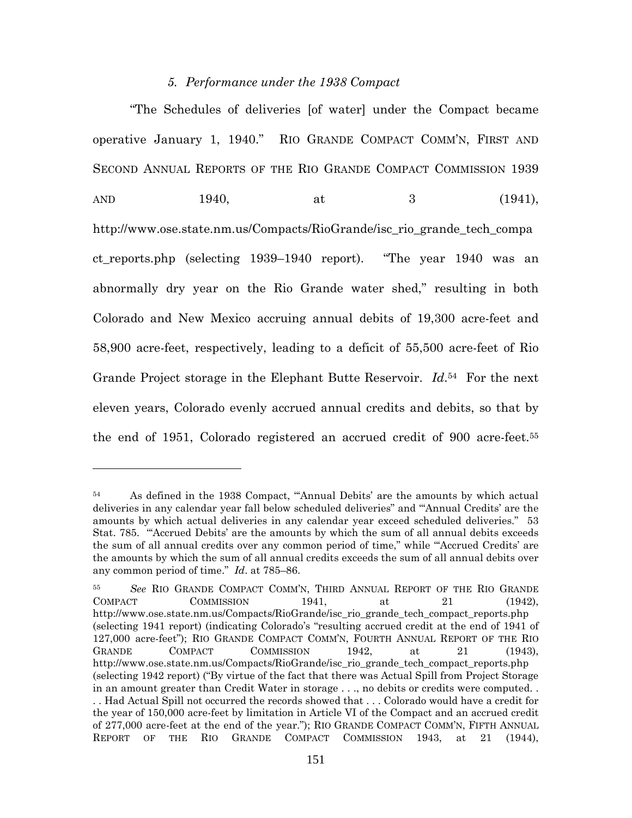#### *5. Performance under the 1938 Compact*

"The Schedules of deliveries [of water] under the Compact became operative January 1, 1940." RIO GRANDE COMPACT COMM'N, FIRST AND SECOND ANNUAL REPORTS OF THE RIO GRANDE COMPACT COMMISSION 1939 AND 1940, at 3 (1941), http://www.ose.state.nm.us/Compacts/RioGrande/isc\_rio\_grande\_tech\_compa ct\_reports.php (selecting 1939–1940 report). "The year 1940 was an abnormally dry year on the Rio Grande water shed," resulting in both Colorado and New Mexico accruing annual debits of 19,300 acre-feet and 58,900 acre-feet, respectively, leading to a deficit of 55,500 acre-feet of Rio Grande Project storage in the Elephant Butte Reservoir. *Id*. <sup>54</sup> For the next eleven years, Colorado evenly accrued annual credits and debits, so that by the end of 1951, Colorado registered an accrued credit of 900 acre-feet.<sup>55</sup>

<sup>54</sup> As defined in the 1938 Compact, "'Annual Debits' are the amounts by which actual deliveries in any calendar year fall below scheduled deliveries" and "'Annual Credits' are the amounts by which actual deliveries in any calendar year exceed scheduled deliveries." 53 Stat. 785. "'Accrued Debits' are the amounts by which the sum of all annual debits exceeds the sum of all annual credits over any common period of time," while "'Accrued Credits' are the amounts by which the sum of all annual credits exceeds the sum of all annual debits over any common period of time." *Id*. at 785–86.

<sup>55</sup> *See* RIO GRANDE COMPACT COMM'N, THIRD ANNUAL REPORT OF THE RIO GRANDE COMPACT COMMISSION 1941, at 21 (1942), http://www.ose.state.nm.us/Compacts/RioGrande/isc\_rio\_grande\_tech\_compact\_reports.php (selecting 1941 report) (indicating Colorado's "resulting accrued credit at the end of 1941 of 127,000 acre-feet"); RIO GRANDE COMPACT COMM'N, FOURTH ANNUAL REPORT OF THE RIO GRANDE COMPACT COMMISSION 1942, at 21 (1943), http://www.ose.state.nm.us/Compacts/RioGrande/isc\_rio\_grande\_tech\_compact\_reports.php (selecting 1942 report) ("By virtue of the fact that there was Actual Spill from Project Storage in an amount greater than Credit Water in storage . . ., no debits or credits were computed. . . . Had Actual Spill not occurred the records showed that . . . Colorado would have a credit for the year of 150,000 acre-feet by limitation in Article VI of the Compact and an accrued credit of 277,000 acre-feet at the end of the year."); RIO GRANDE COMPACT COMM'N, FIFTH ANNUAL REPORT OF THE RIO GRANDE COMPACT COMMISSION 1943, at 21 (1944),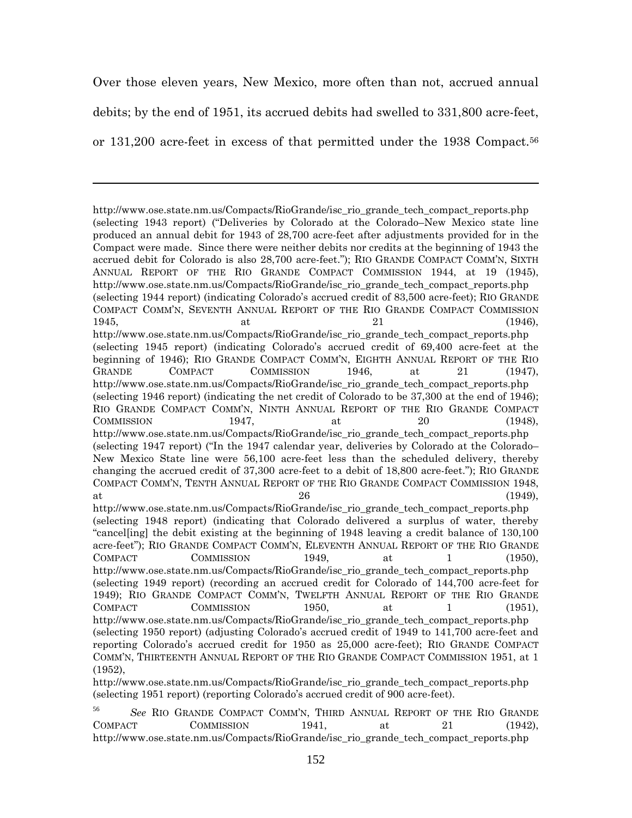Over those eleven years, New Mexico, more often than not, accrued annual debits; by the end of 1951, its accrued debits had swelled to 331,800 acre-feet, or 131,200 acre-feet in excess of that permitted under the 1938 Compact.<sup>56</sup>

http://www.ose.state.nm.us/Compacts/RioGrande/isc\_rio\_grande\_tech\_compact\_reports.php (selecting 1943 report) ("Deliveries by Colorado at the Colorado–New Mexico state line produced an annual debit for 1943 of 28,700 acre-feet after adjustments provided for in the Compact were made. Since there were neither debits nor credits at the beginning of 1943 the accrued debit for Colorado is also 28,700 acre-feet."); RIO GRANDE COMPACT COMM'N, SIXTH ANNUAL REPORT OF THE RIO GRANDE COMPACT COMMISSION 1944, at 19 (1945), http://www.ose.state.nm.us/Compacts/RioGrande/isc\_rio\_grande\_tech\_compact\_reports.php (selecting 1944 report) (indicating Colorado's accrued credit of 83,500 acre-feet); RIO GRANDE COMPACT COMM'N, SEVENTH ANNUAL REPORT OF THE RIO GRANDE COMPACT COMMISSION  $1945,$  at  $21$  (1946), http://www.ose.state.nm.us/Compacts/RioGrande/isc\_rio\_grande\_tech\_compact\_reports.php (selecting 1945 report) (indicating Colorado's accrued credit of 69,400 acre-feet at the beginning of 1946); RIO GRANDE COMPACT COMM'N, EIGHTH ANNUAL REPORT OF THE RIO GRANDE COMPACT COMMISSION 1946, at 21 (1947), http://www.ose.state.nm.us/Compacts/RioGrande/isc\_rio\_grande\_tech\_compact\_reports.php (selecting 1946 report) (indicating the net credit of Colorado to be 37,300 at the end of 1946); RIO GRANDE COMPACT COMM'N, NINTH ANNUAL REPORT OF THE RIO GRANDE COMPACT  $COMMISSION$  1947, at 20 (1948), http://www.ose.state.nm.us/Compacts/RioGrande/isc\_rio\_grande\_tech\_compact\_reports.php (selecting 1947 report) ("In the 1947 calendar year, deliveries by Colorado at the Colorado– New Mexico State line were 56,100 acre-feet less than the scheduled delivery, thereby changing the accrued credit of 37,300 acre-feet to a debit of 18,800 acre-feet."); RIO GRANDE COMPACT COMM'N, TENTH ANNUAL REPORT OF THE RIO GRANDE COMPACT COMMISSION 1948, at  $26$  (1949), http://www.ose.state.nm.us/Compacts/RioGrande/isc\_rio\_grande\_tech\_compact\_reports.php (selecting 1948 report) (indicating that Colorado delivered a surplus of water, thereby "cancel[ing] the debit existing at the beginning of 1948 leaving a credit balance of 130,100 acre-feet"); RIO GRANDE COMPACT COMM'N, ELEVENTH ANNUAL REPORT OF THE RIO GRANDE COMPACT COMMISSION 1949, at 1 (1950), http://www.ose.state.nm.us/Compacts/RioGrande/isc\_rio\_grande\_tech\_compact\_reports.php (selecting 1949 report) (recording an accrued credit for Colorado of 144,700 acre-feet for 1949); RIO GRANDE COMPACT COMM'N, TWELFTH ANNUAL REPORT OF THE RIO GRANDE COMPACT COMMISSION 1950, at 1 (1951), http://www.ose.state.nm.us/Compacts/RioGrande/isc\_rio\_grande\_tech\_compact\_reports.php (selecting 1950 report) (adjusting Colorado's accrued credit of 1949 to 141,700 acre-feet and reporting Colorado's accrued credit for 1950 as 25,000 acre-feet); RIO GRANDE COMPACT COMM'N, THIRTEENTH ANNUAL REPORT OF THE RIO GRANDE COMPACT COMMISSION 1951, at 1 (1952),

http://www.ose.state.nm.us/Compacts/RioGrande/isc\_rio\_grande\_tech\_compact\_reports.php (selecting 1951 report) (reporting Colorado's accrued credit of 900 acre-feet).

<sup>56</sup> *See* RIO GRANDE COMPACT COMM'N, THIRD ANNUAL REPORT OF THE RIO GRANDE COMPACT COMMISSION 1941, at 21 (1942), http://www.ose.state.nm.us/Compacts/RioGrande/isc\_rio\_grande\_tech\_compact\_reports.php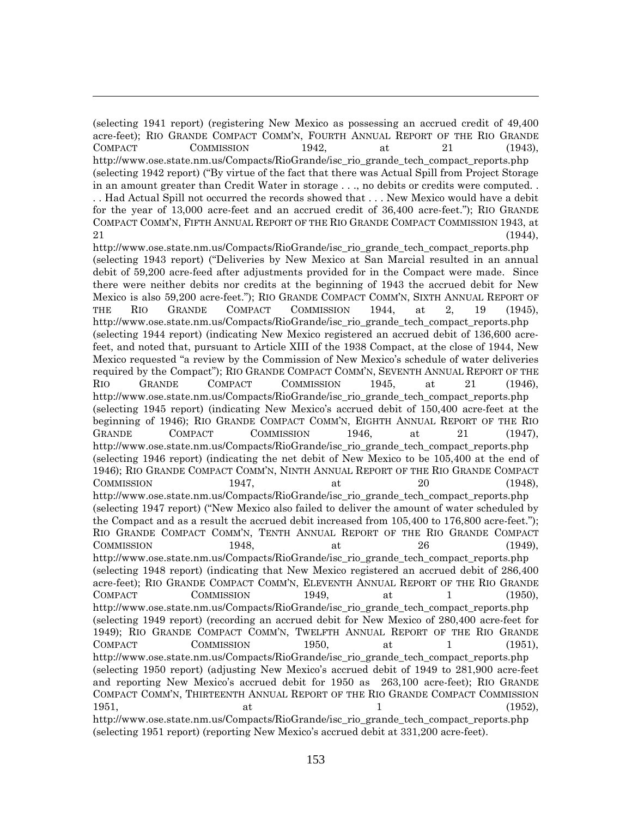(selecting 1941 report) (registering New Mexico as possessing an accrued credit of 49,400 acre-feet); RIO GRANDE COMPACT COMM'N, FOURTH ANNUAL REPORT OF THE RIO GRANDE COMPACT COMMISSION 1942, at 21 (1943), http://www.ose.state.nm.us/Compacts/RioGrande/isc\_rio\_grande\_tech\_compact\_reports.php (selecting 1942 report) ("By virtue of the fact that there was Actual Spill from Project Storage in an amount greater than Credit Water in storage . . ., no debits or credits were computed. . . . Had Actual Spill not occurred the records showed that . . . New Mexico would have a debit for the year of 13,000 acre-feet and an accrued credit of 36,400 acre-feet."); RIO GRANDE COMPACT COMM'N, FIFTH ANNUAL REPORT OF THE RIO GRANDE COMPACT COMMISSION 1943, at

 $21$  (1944), http://www.ose.state.nm.us/Compacts/RioGrande/isc\_rio\_grande\_tech\_compact\_reports.php (selecting 1943 report) ("Deliveries by New Mexico at San Marcial resulted in an annual debit of 59,200 acre-feed after adjustments provided for in the Compact were made. Since there were neither debits nor credits at the beginning of 1943 the accrued debit for New Mexico is also 59,200 acre-feet."); RIO GRANDE COMPACT COMM'N, SIXTH ANNUAL REPORT OF THE RIO GRANDE COMPACT COMMISSION 1944, at 2, 19 (1945), http://www.ose.state.nm.us/Compacts/RioGrande/isc\_rio\_grande\_tech\_compact\_reports.php (selecting 1944 report) (indicating New Mexico registered an accrued debit of 136,600 acrefeet, and noted that, pursuant to Article XIII of the 1938 Compact, at the close of 1944, New Mexico requested "a review by the Commission of New Mexico's schedule of water deliveries required by the Compact"); RIO GRANDE COMPACT COMM'N, SEVENTH ANNUAL REPORT OF THE RIO GRANDE COMPACT COMMISSION 1945, at 21 (1946), http://www.ose.state.nm.us/Compacts/RioGrande/isc\_rio\_grande\_tech\_compact\_reports.php (selecting 1945 report) (indicating New Mexico's accrued debit of 150,400 acre-feet at the beginning of 1946); RIO GRANDE COMPACT COMM'N, EIGHTH ANNUAL REPORT OF THE RIO GRANDE COMPACT COMMISSION 1946, at 21 (1947). http://www.ose.state.nm.us/Compacts/RioGrande/isc\_rio\_grande\_tech\_compact\_reports.php (selecting 1946 report) (indicating the net debit of New Mexico to be 105,400 at the end of 1946); RIO GRANDE COMPACT COMM'N, NINTH ANNUAL REPORT OF THE RIO GRANDE COMPACT  $COMMISSION$  1947, at 20 (1948), http://www.ose.state.nm.us/Compacts/RioGrande/isc\_rio\_grande\_tech\_compact\_reports.php (selecting 1947 report) ("New Mexico also failed to deliver the amount of water scheduled by the Compact and as a result the accrued debit increased from 105,400 to 176,800 acre-feet."); RIO GRANDE COMPACT COMM'N, TENTH ANNUAL REPORT OF THE RIO GRANDE COMPACT  $COMMISSION$  1948, at 26 (1949), http://www.ose.state.nm.us/Compacts/RioGrande/isc\_rio\_grande\_tech\_compact\_reports.php (selecting 1948 report) (indicating that New Mexico registered an accrued debit of 286,400 acre-feet); RIO GRANDE COMPACT COMM'N, ELEVENTH ANNUAL REPORT OF THE RIO GRANDE COMPACT COMMISSION 1949, at 1 (1950), http://www.ose.state.nm.us/Compacts/RioGrande/isc\_rio\_grande\_tech\_compact\_reports.php (selecting 1949 report) (recording an accrued debit for New Mexico of 280,400 acre-feet for 1949); RIO GRANDE COMPACT COMM'N, TWELFTH ANNUAL REPORT OF THE RIO GRANDE COMPACT COMMISSION 1950, at 1 (1951), http://www.ose.state.nm.us/Compacts/RioGrande/isc\_rio\_grande\_tech\_compact\_reports.php (selecting 1950 report) (adjusting New Mexico's accrued debit of 1949 to 281,900 acre-feet and reporting New Mexico's accrued debit for 1950 as 263,100 acre-feet); RIO GRANDE COMPACT COMM'N, THIRTEENTH ANNUAL REPORT OF THE RIO GRANDE COMPACT COMMISSION  $1951,$  at  $1$  (1952), http://www.ose.state.nm.us/Compacts/RioGrande/isc\_rio\_grande\_tech\_compact\_reports.php (selecting 1951 report) (reporting New Mexico's accrued debit at 331,200 acre-feet).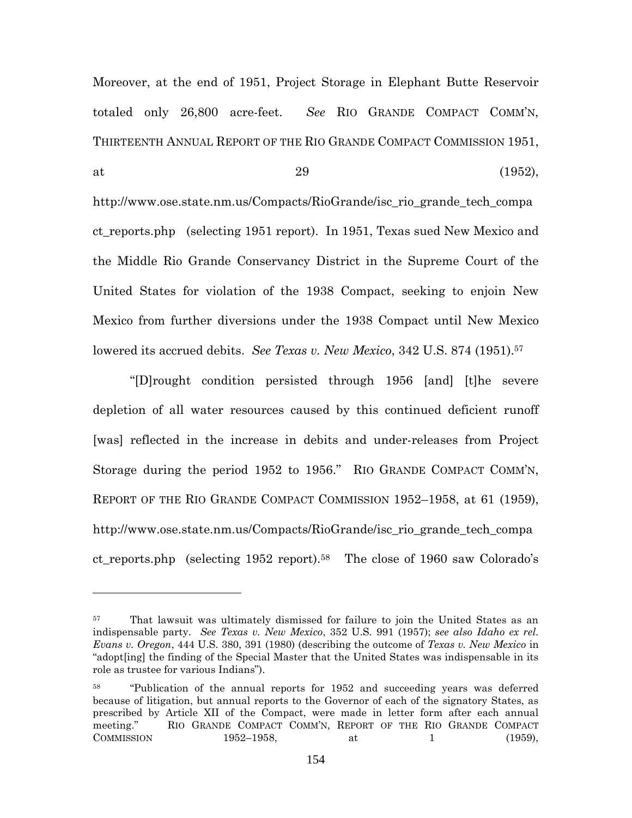Moreover, at the end of 1951, Project Storage in Elephant Butte Reservoir totaled only 26,800 acre-feet. *See* RIO GRANDE COMPACT COMM'N, THIRTEENTH ANNUAL REPORT OF THE RIO GRANDE COMPACT COMMISSION 1951, at  $29$  (1952),

http://www.ose.state.nm.us/Compacts/RioGrande/isc\_rio\_grande\_tech\_compa ct reports.php (selecting 1951 report). In 1951, Texas sued New Mexico and the Middle Rio Grande Conservancy District in the Supreme Court of the United States for violation of the 1938 Compact, seeking to enjoin New Mexico from further diversions under the 1938 Compact until New Mexico lowered its accrued debits. *See Texas v. New Mexico*, 342 U.S. 874 (1951).<sup>57</sup>

"[D]rought condition persisted through 1956 [and] [t]he severe depletion of all water resources caused by this continued deficient runoff [was] reflected in the increase in debits and under-releases from Project Storage during the period 1952 to 1956." RIO GRANDE COMPACT COMM'N, REPORT OF THE RIO GRANDE COMPACT COMMISSION 1952–1958, at 61 (1959), http://www.ose.state.nm.us/Compacts/RioGrande/isc\_rio\_grande\_tech\_compa ct reports.php (selecting 1952 report).<sup>58</sup> The close of 1960 saw Colorado's

<sup>&</sup>lt;sup>57</sup> That lawsuit was ultimately dismissed for failure to join the United States as an indispensable party. *See Texas v. New Mexico*, 352 U.S. 991 (1957); *see also Idaho ex rel. Evans v. Oregon*, 444 U.S. 380, 391 (1980) (describing the outcome of *Texas v. New Mexico* in "adopt[ing] the finding of the Special Master that the United States was indispensable in its role as trustee for various Indians").

<sup>58</sup> "Publication of the annual reports for 1952 and succeeding years was deferred because of litigation, but annual reports to the Governor of each of the signatory States, as prescribed by Article XII of the Compact, were made in letter form after each annual meeting." RIO GRANDE COMPACT COMM'N, REPORT OF THE RIO GRANDE COMPACT COMMISSION 1952-1958, at 1 (1959),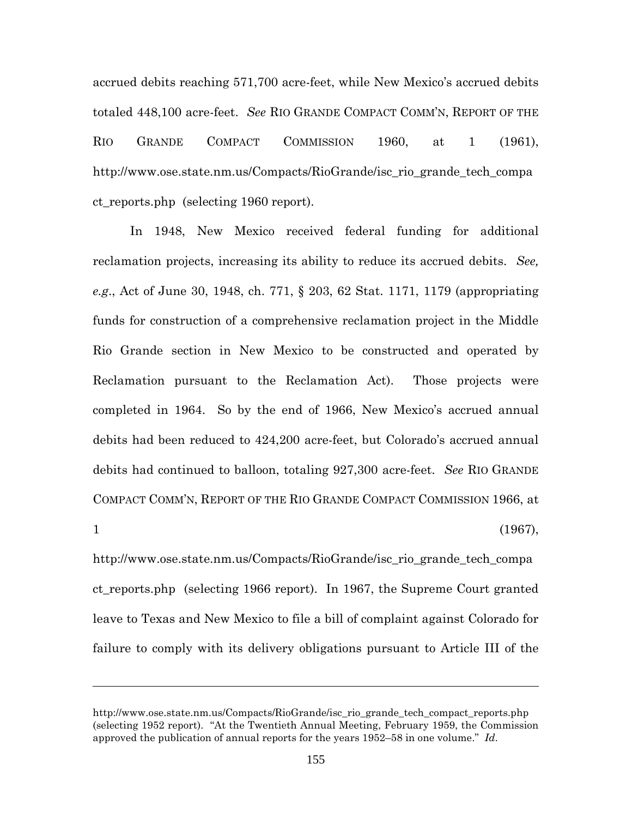accrued debits reaching 571,700 acre-feet, while New Mexico's accrued debits totaled 448,100 acre-feet. *See* RIO GRANDE COMPACT COMM'N, REPORT OF THE RIO GRANDE COMPACT COMMISSION 1960, at 1 (1961), http://www.ose.state.nm.us/Compacts/RioGrande/isc\_rio\_grande\_tech\_compa ct\_reports.php (selecting 1960 report).

In 1948, New Mexico received federal funding for additional reclamation projects, increasing its ability to reduce its accrued debits. *See, e.g*., Act of June 30, 1948, ch. 771, § 203, 62 Stat. 1171, 1179 (appropriating funds for construction of a comprehensive reclamation project in the Middle Rio Grande section in New Mexico to be constructed and operated by Reclamation pursuant to the Reclamation Act). Those projects were completed in 1964. So by the end of 1966, New Mexico's accrued annual debits had been reduced to 424,200 acre-feet, but Colorado's accrued annual debits had continued to balloon, totaling 927,300 acre-feet. *See* RIO GRANDE COMPACT COMM'N, REPORT OF THE RIO GRANDE COMPACT COMMISSION 1966, at  $1 \t(1967)$ ,

http://www.ose.state.nm.us/Compacts/RioGrande/isc\_rio\_grande\_tech\_compa ct\_reports.php (selecting 1966 report). In 1967, the Supreme Court granted leave to Texas and New Mexico to file a bill of complaint against Colorado for failure to comply with its delivery obligations pursuant to Article III of the

http://www.ose.state.nm.us/Compacts/RioGrande/isc\_rio\_grande\_tech\_compact\_reports.php (selecting 1952 report). "At the Twentieth Annual Meeting, February 1959, the Commission approved the publication of annual reports for the years 1952–58 in one volume." *Id*.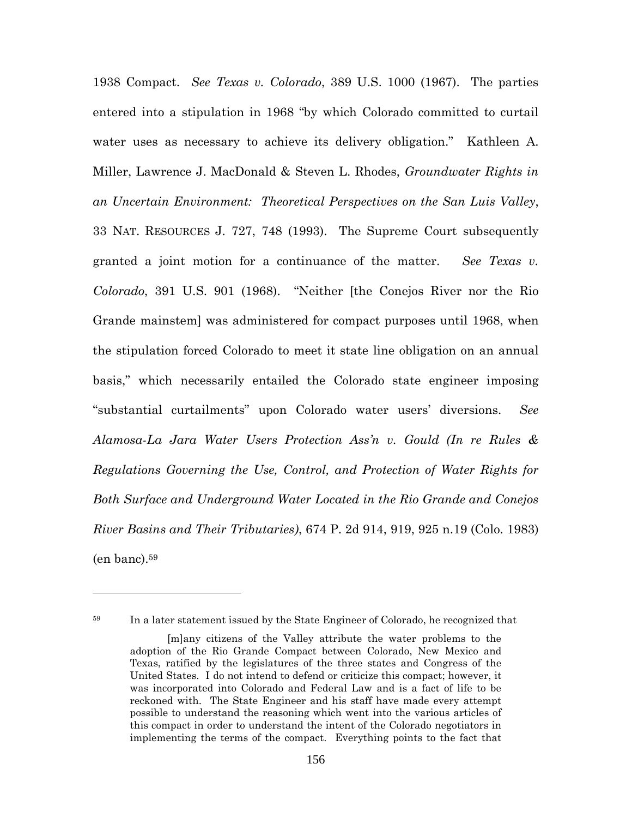1938 Compact. *See Texas v. Colorado*, 389 U.S. 1000 (1967). The parties entered into a stipulation in 1968 "by which Colorado committed to curtail water uses as necessary to achieve its delivery obligation." Kathleen A. Miller, Lawrence J. MacDonald & Steven L. Rhodes, *Groundwater Rights in an Uncertain Environment: Theoretical Perspectives on the San Luis Valley*, 33 NAT. RESOURCES J. 727, 748 (1993). The Supreme Court subsequently granted a joint motion for a continuance of the matter. *See Texas v. Colorado*, 391 U.S. 901 (1968). "Neither [the Conejos River nor the Rio Grande mainstem] was administered for compact purposes until 1968, when the stipulation forced Colorado to meet it state line obligation on an annual basis," which necessarily entailed the Colorado state engineer imposing "substantial curtailments" upon Colorado water users' diversions. *See Alamosa-La Jara Water Users Protection Ass'n v. Gould (In re Rules & Regulations Governing the Use, Control, and Protection of Water Rights for Both Surface and Underground Water Located in the Rio Grande and Conejos River Basins and Their Tributaries)*, 674 P. 2d 914, 919, 925 n.19 (Colo. 1983)  $(en$  banc).<sup>59</sup>

<sup>59</sup> In a later statement issued by the State Engineer of Colorado, he recognized that [m]any citizens of the Valley attribute the water problems to the adoption of the Rio Grande Compact between Colorado, New Mexico and Texas, ratified by the legislatures of the three states and Congress of the United States. I do not intend to defend or criticize this compact; however, it was incorporated into Colorado and Federal Law and is a fact of life to be reckoned with. The State Engineer and his staff have made every attempt possible to understand the reasoning which went into the various articles of this compact in order to understand the intent of the Colorado negotiators in implementing the terms of the compact. Everything points to the fact that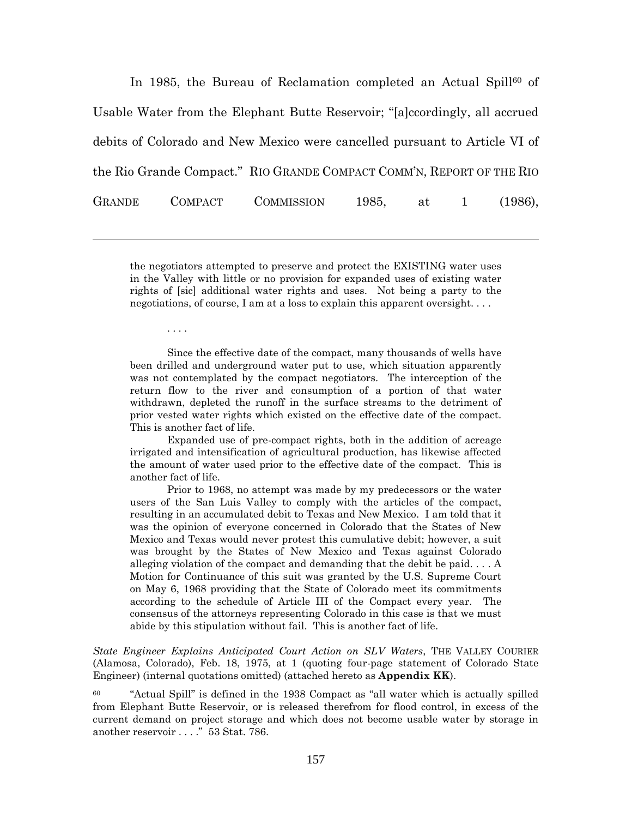In 1985, the Bureau of Reclamation completed an Actual Spill<sup>60</sup> of Usable Water from the Elephant Butte Reservoir; "[a]ccordingly, all accrued debits of Colorado and New Mexico were cancelled pursuant to Article VI of the Rio Grande Compact." RIO GRANDE COMPACT COMM'N, REPORT OF THE RIO GRANDE COMPACT COMMISSION 1985, at 1 (1986),

the negotiators attempted to preserve and protect the EXISTING water uses in the Valley with little or no provision for expanded uses of existing water rights of [sic] additional water rights and uses. Not being a party to the negotiations, of course, I am at a loss to explain this apparent oversight. . . .

. . . .

Since the effective date of the compact, many thousands of wells have been drilled and underground water put to use, which situation apparently was not contemplated by the compact negotiators. The interception of the return flow to the river and consumption of a portion of that water withdrawn, depleted the runoff in the surface streams to the detriment of prior vested water rights which existed on the effective date of the compact. This is another fact of life.

Expanded use of pre-compact rights, both in the addition of acreage irrigated and intensification of agricultural production, has likewise affected the amount of water used prior to the effective date of the compact. This is another fact of life.

Prior to 1968, no attempt was made by my predecessors or the water users of the San Luis Valley to comply with the articles of the compact, resulting in an accumulated debit to Texas and New Mexico. I am told that it was the opinion of everyone concerned in Colorado that the States of New Mexico and Texas would never protest this cumulative debit; however, a suit was brought by the States of New Mexico and Texas against Colorado alleging violation of the compact and demanding that the debit be paid. . . . A Motion for Continuance of this suit was granted by the U.S. Supreme Court on May 6, 1968 providing that the State of Colorado meet its commitments according to the schedule of Article III of the Compact every year. The consensus of the attorneys representing Colorado in this case is that we must abide by this stipulation without fail. This is another fact of life.

*State Engineer Explains Anticipated Court Action on SLV Waters*, THE VALLEY COURIER (Alamosa, Colorado), Feb. 18, 1975, at 1 (quoting four-page statement of Colorado State Engineer) (internal quotations omitted) (attached hereto as **Appendix KK**).

 $60$  "Actual Spill" is defined in the 1938 Compact as "all water which is actually spilled from Elephant Butte Reservoir, or is released therefrom for flood control, in excess of the current demand on project storage and which does not become usable water by storage in another reservoir . . . ." 53 Stat. 786.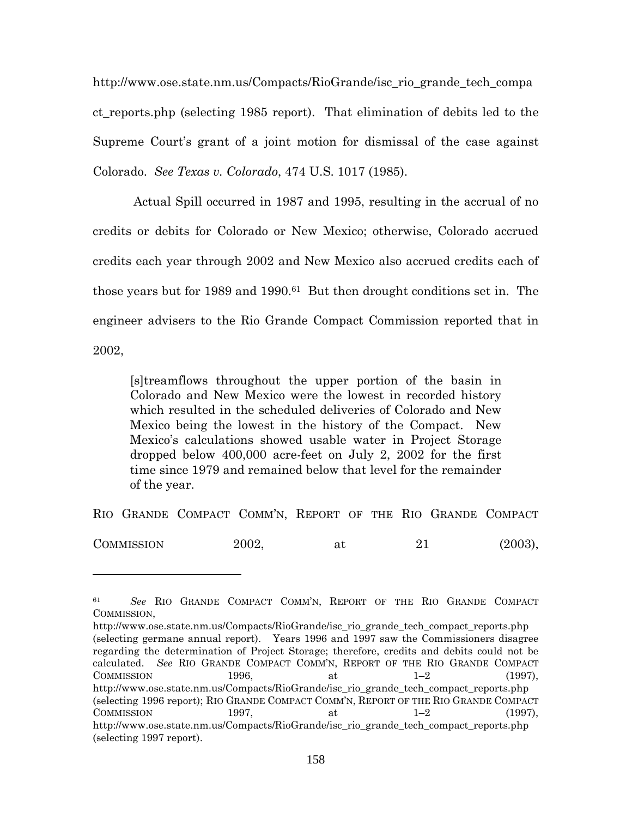http://www.ose.state.nm.us/Compacts/RioGrande/isc\_rio\_grande\_tech\_compa ct\_reports.php (selecting 1985 report). That elimination of debits led to the Supreme Court's grant of a joint motion for dismissal of the case against Colorado. *See Texas v. Colorado*, 474 U.S. 1017 (1985).

Actual Spill occurred in 1987 and 1995, resulting in the accrual of no credits or debits for Colorado or New Mexico; otherwise, Colorado accrued credits each year through 2002 and New Mexico also accrued credits each of those years but for 1989 and 1990.<sup>61</sup> But then drought conditions set in. The engineer advisers to the Rio Grande Compact Commission reported that in 2002,

[s]treamflows throughout the upper portion of the basin in Colorado and New Mexico were the lowest in recorded history which resulted in the scheduled deliveries of Colorado and New Mexico being the lowest in the history of the Compact. New Mexico's calculations showed usable water in Project Storage dropped below 400,000 acre-feet on July 2, 2002 for the first time since 1979 and remained below that level for the remainder of the year.

RIO GRANDE COMPACT COMM'N, REPORT OF THE RIO GRANDE COMPACT

 $COMMISSION$  2002, at 21 (2003),

<sup>61</sup> *See* RIO GRANDE COMPACT COMM'N, REPORT OF THE RIO GRANDE COMPACT COMMISSION,

http://www.ose.state.nm.us/Compacts/RioGrande/isc\_rio\_grande\_tech\_compact\_reports.php (selecting germane annual report). Years 1996 and 1997 saw the Commissioners disagree regarding the determination of Project Storage; therefore, credits and debits could not be calculated. *See* RIO GRANDE COMPACT COMM'N, REPORT OF THE RIO GRANDE COMPACT COMMISSION 1996, at  $1-2$  (1997), http://www.ose.state.nm.us/Compacts/RioGrande/isc\_rio\_grande\_tech\_compact\_reports.php (selecting 1996 report); RIO GRANDE COMPACT COMM'N, REPORT OF THE RIO GRANDE COMPACT COMMISSION 1997, at  $1-2$  (1997), http://www.ose.state.nm.us/Compacts/RioGrande/isc\_rio\_grande\_tech\_compact\_reports.php (selecting 1997 report).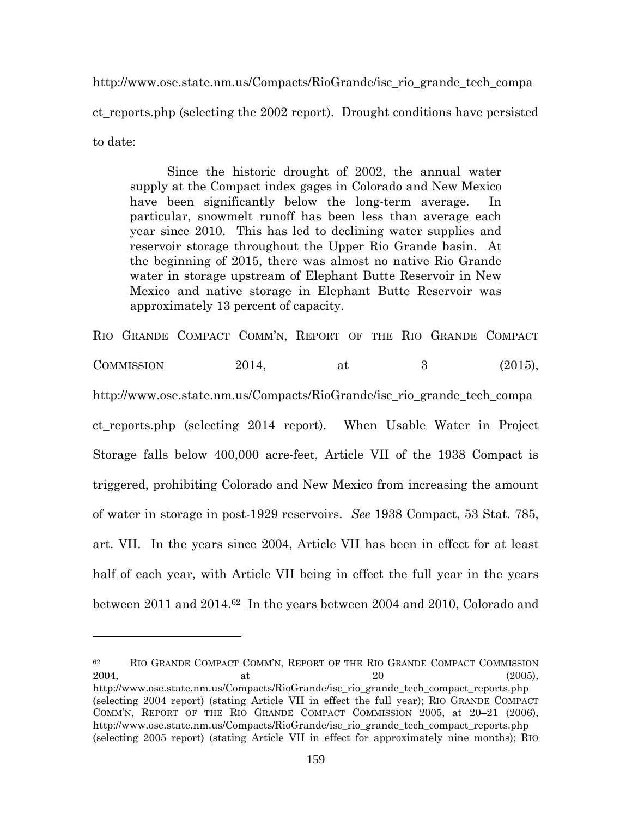http://www.ose.state.nm.us/Compacts/RioGrande/isc\_rio\_grande\_tech\_compa ct\_reports.php (selecting the 2002 report). Drought conditions have persisted to date:

Since the historic drought of 2002, the annual water supply at the Compact index gages in Colorado and New Mexico have been significantly below the long-term average. In particular, snowmelt runoff has been less than average each year since 2010. This has led to declining water supplies and reservoir storage throughout the Upper Rio Grande basin. At the beginning of 2015, there was almost no native Rio Grande water in storage upstream of Elephant Butte Reservoir in New Mexico and native storage in Elephant Butte Reservoir was approximately 13 percent of capacity.

RIO GRANDE COMPACT COMM'N, REPORT OF THE RIO GRANDE COMPACT COMMISSION 2014, at  $\frac{2014}{100}$ , at (2015), http://www.ose.state.nm.us/Compacts/RioGrande/isc\_rio\_grande\_tech\_compa ct\_reports.php (selecting 2014 report). When Usable Water in Project Storage falls below 400,000 acre-feet, Article VII of the 1938 Compact is triggered, prohibiting Colorado and New Mexico from increasing the amount of water in storage in post-1929 reservoirs. *See* 1938 Compact, 53 Stat. 785, art. VII. In the years since 2004, Article VII has been in effect for at least half of each year, with Article VII being in effect the full year in the years between 2011 and 2014.<sup>62</sup> In the years between 2004 and 2010, Colorado and

<sup>62</sup> RIO GRANDE COMPACT COMM'N, REPORT OF THE RIO GRANDE COMPACT COMMISSION  $2004,$  at  $20$  (2005), http://www.ose.state.nm.us/Compacts/RioGrande/isc\_rio\_grande\_tech\_compact\_reports.php (selecting 2004 report) (stating Article VII in effect the full year); RIO GRANDE COMPACT COMM'N, REPORT OF THE RIO GRANDE COMPACT COMMISSION 2005, at 20–21 (2006), http://www.ose.state.nm.us/Compacts/RioGrande/isc\_rio\_grande\_tech\_compact\_reports.php (selecting 2005 report) (stating Article VII in effect for approximately nine months); RIO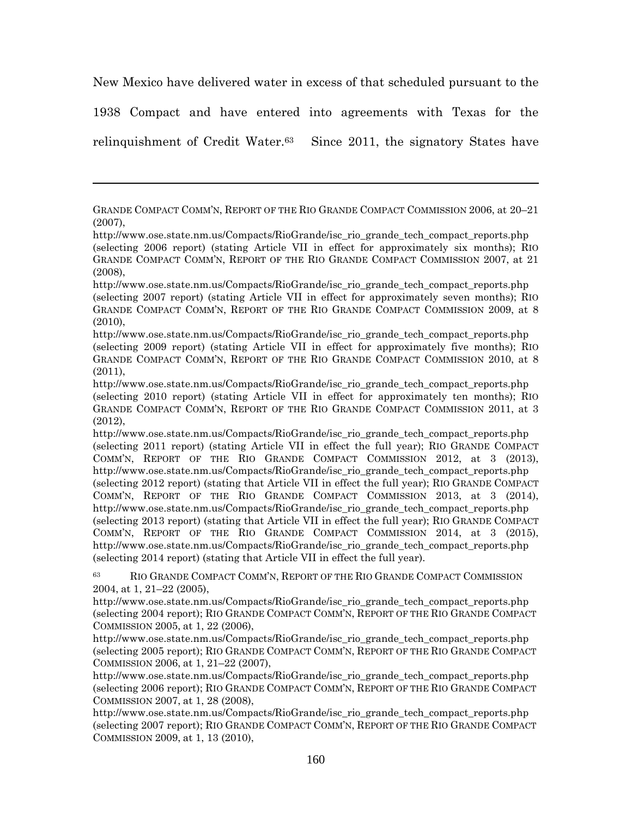New Mexico have delivered water in excess of that scheduled pursuant to the

1938 Compact and have entered into agreements with Texas for the

relinquishment of Credit Water.<sup>63</sup> Since 2011, the signatory States have

<sup>63</sup> RIO GRANDE COMPACT COMM'N, REPORT OF THE RIO GRANDE COMPACT COMMISSION 2004, at 1, 21–22 (2005),

http://www.ose.state.nm.us/Compacts/RioGrande/isc\_rio\_grande\_tech\_compact\_reports.php (selecting 2004 report); RIO GRANDE COMPACT COMM'N, REPORT OF THE RIO GRANDE COMPACT COMMISSION 2005, at 1, 22 (2006),

http://www.ose.state.nm.us/Compacts/RioGrande/isc\_rio\_grande\_tech\_compact\_reports.php (selecting 2005 report); RIO GRANDE COMPACT COMM'N, REPORT OF THE RIO GRANDE COMPACT COMMISSION 2006, at 1, 21–22 (2007),

http://www.ose.state.nm.us/Compacts/RioGrande/isc\_rio\_grande\_tech\_compact\_reports.php (selecting 2006 report); RIO GRANDE COMPACT COMM'N, REPORT OF THE RIO GRANDE COMPACT COMMISSION 2007, at 1, 28 (2008),

http://www.ose.state.nm.us/Compacts/RioGrande/isc\_rio\_grande\_tech\_compact\_reports.php (selecting 2007 report); RIO GRANDE COMPACT COMM'N, REPORT OF THE RIO GRANDE COMPACT COMMISSION 2009, at 1, 13 (2010),

GRANDE COMPACT COMM'N, REPORT OF THE RIO GRANDE COMPACT COMMISSION 2006, at 20–21 (2007),

http://www.ose.state.nm.us/Compacts/RioGrande/isc\_rio\_grande\_tech\_compact\_reports.php (selecting 2006 report) (stating Article VII in effect for approximately six months); RIO GRANDE COMPACT COMM'N, REPORT OF THE RIO GRANDE COMPACT COMMISSION 2007, at 21 (2008),

http://www.ose.state.nm.us/Compacts/RioGrande/isc\_rio\_grande\_tech\_compact\_reports.php (selecting 2007 report) (stating Article VII in effect for approximately seven months); RIO GRANDE COMPACT COMM'N, REPORT OF THE RIO GRANDE COMPACT COMMISSION 2009, at 8 (2010),

http://www.ose.state.nm.us/Compacts/RioGrande/isc\_rio\_grande\_tech\_compact\_reports.php (selecting 2009 report) (stating Article VII in effect for approximately five months); RIO GRANDE COMPACT COMM'N, REPORT OF THE RIO GRANDE COMPACT COMMISSION 2010, at 8 (2011),

http://www.ose.state.nm.us/Compacts/RioGrande/isc\_rio\_grande\_tech\_compact\_reports.php (selecting 2010 report) (stating Article VII in effect for approximately ten months); RIO GRANDE COMPACT COMM'N, REPORT OF THE RIO GRANDE COMPACT COMMISSION 2011, at 3 (2012),

http://www.ose.state.nm.us/Compacts/RioGrande/isc\_rio\_grande\_tech\_compact\_reports.php (selecting 2011 report) (stating Article VII in effect the full year); RIO GRANDE COMPACT COMM'N, REPORT OF THE RIO GRANDE COMPACT COMMISSION 2012, at 3 (2013), http://www.ose.state.nm.us/Compacts/RioGrande/isc\_rio\_grande\_tech\_compact\_reports.php (selecting 2012 report) (stating that Article VII in effect the full year); RIO GRANDE COMPACT COMM'N, REPORT OF THE RIO GRANDE COMPACT COMMISSION 2013, at 3 (2014), http://www.ose.state.nm.us/Compacts/RioGrande/isc\_rio\_grande\_tech\_compact\_reports.php (selecting 2013 report) (stating that Article VII in effect the full year); RIO GRANDE COMPACT COMM'N, REPORT OF THE RIO GRANDE COMPACT COMMISSION 2014, at 3 (2015), http://www.ose.state.nm.us/Compacts/RioGrande/isc\_rio\_grande\_tech\_compact\_reports.php (selecting 2014 report) (stating that Article VII in effect the full year).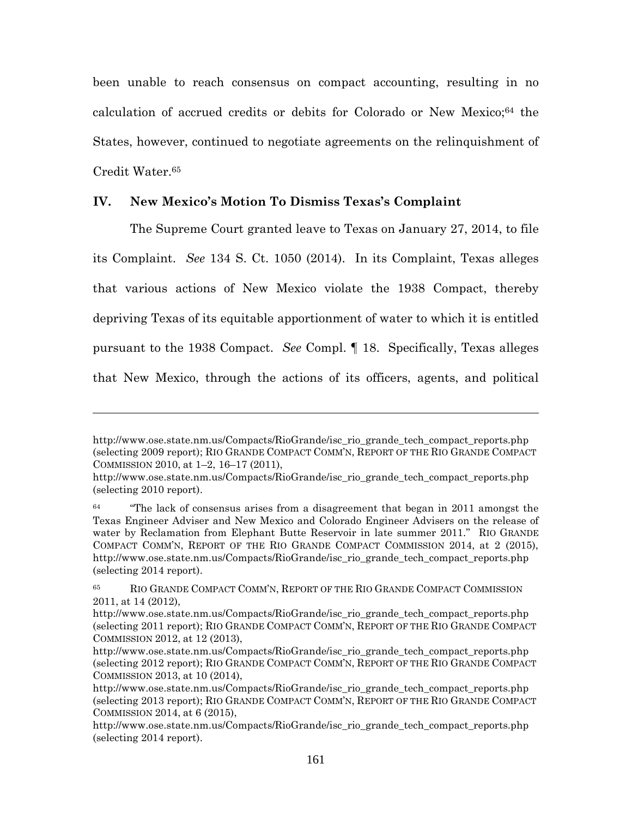been unable to reach consensus on compact accounting, resulting in no calculation of accrued credits or debits for Colorado or New Mexico;<sup>64</sup> the States, however, continued to negotiate agreements on the relinquishment of Credit Water.<sup>65</sup>

### **IV. New Mexico's Motion To Dismiss Texas's Complaint**

The Supreme Court granted leave to Texas on January 27, 2014, to file its Complaint. *See* 134 S. Ct. 1050 (2014). In its Complaint, Texas alleges that various actions of New Mexico violate the 1938 Compact, thereby depriving Texas of its equitable apportionment of water to which it is entitled pursuant to the 1938 Compact. *See* Compl. ¶ 18. Specifically, Texas alleges that New Mexico, through the actions of its officers, agents, and political

http://www.ose.state.nm.us/Compacts/RioGrande/isc\_rio\_grande\_tech\_compact\_reports.php (selecting 2009 report); RIO GRANDE COMPACT COMM'N, REPORT OF THE RIO GRANDE COMPACT COMMISSION 2010, at 1–2, 16–17 (2011),

http://www.ose.state.nm.us/Compacts/RioGrande/isc\_rio\_grande\_tech\_compact\_reports.php (selecting 2010 report).

<sup>&</sup>lt;sup>64</sup> "The lack of consensus arises from a disagreement that began in 2011 amongst the Texas Engineer Adviser and New Mexico and Colorado Engineer Advisers on the release of water by Reclamation from Elephant Butte Reservoir in late summer 2011." RIO GRANDE COMPACT COMM'N, REPORT OF THE RIO GRANDE COMPACT COMMISSION 2014, at 2 (2015), http://www.ose.state.nm.us/Compacts/RioGrande/isc\_rio\_grande\_tech\_compact\_reports.php (selecting 2014 report).

<sup>65</sup> RIO GRANDE COMPACT COMM'N, REPORT OF THE RIO GRANDE COMPACT COMMISSION 2011, at 14 (2012),

http://www.ose.state.nm.us/Compacts/RioGrande/isc\_rio\_grande\_tech\_compact\_reports.php (selecting 2011 report); RIO GRANDE COMPACT COMM'N, REPORT OF THE RIO GRANDE COMPACT COMMISSION 2012, at 12 (2013),

http://www.ose.state.nm.us/Compacts/RioGrande/isc\_rio\_grande\_tech\_compact\_reports.php (selecting 2012 report); RIO GRANDE COMPACT COMM'N, REPORT OF THE RIO GRANDE COMPACT COMMISSION 2013, at 10 (2014),

http://www.ose.state.nm.us/Compacts/RioGrande/isc\_rio\_grande\_tech\_compact\_reports.php (selecting 2013 report); RIO GRANDE COMPACT COMM'N, REPORT OF THE RIO GRANDE COMPACT COMMISSION 2014, at 6 (2015),

http://www.ose.state.nm.us/Compacts/RioGrande/isc\_rio\_grande\_tech\_compact\_reports.php (selecting 2014 report).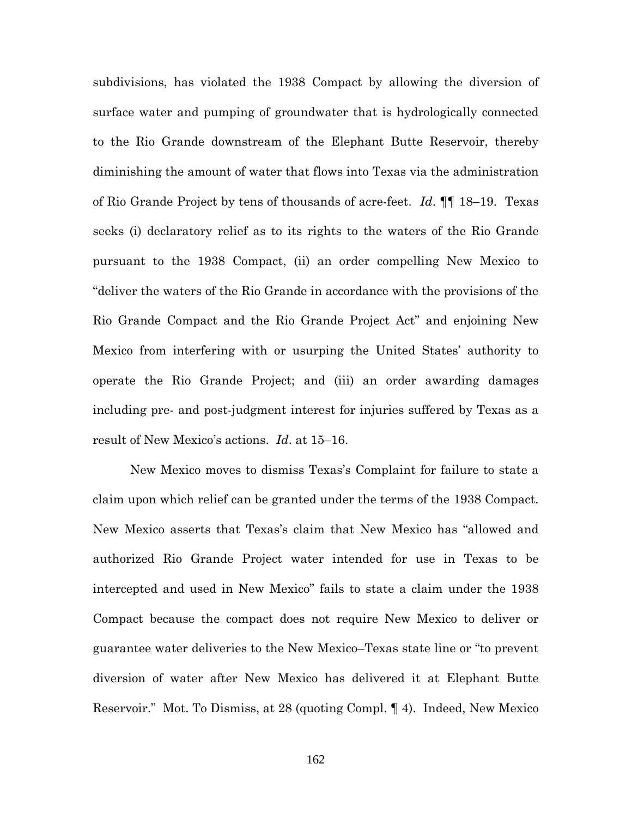subdivisions, has violated the 1938 Compact by allowing the diversion of surface water and pumping of groundwater that is hydrologically connected to the Rio Grande downstream of the Elephant Butte Reservoir, thereby diminishing the amount of water that flows into Texas via the administration of Rio Grande Project by tens of thousands of acre-feet. *Id*. ¶¶ 18–19. Texas seeks (i) declaratory relief as to its rights to the waters of the Rio Grande pursuant to the 1938 Compact, (ii) an order compelling New Mexico to "deliver the waters of the Rio Grande in accordance with the provisions of the Rio Grande Compact and the Rio Grande Project Act" and enjoining New Mexico from interfering with or usurping the United States' authority to operate the Rio Grande Project; and (iii) an order awarding damages including pre- and post-judgment interest for injuries suffered by Texas as a result of New Mexico's actions. *Id*. at 15–16.

New Mexico moves to dismiss Texas's Complaint for failure to state a claim upon which relief can be granted under the terms of the 1938 Compact. New Mexico asserts that Texas's claim that New Mexico has "allowed and authorized Rio Grande Project water intended for use in Texas to be intercepted and used in New Mexico" fails to state a claim under the 1938 Compact because the compact does not require New Mexico to deliver or guarantee water deliveries to the New Mexico–Texas state line or "to prevent diversion of water after New Mexico has delivered it at Elephant Butte Reservoir." Mot. To Dismiss, at 28 (quoting Compl. ¶ 4). Indeed, New Mexico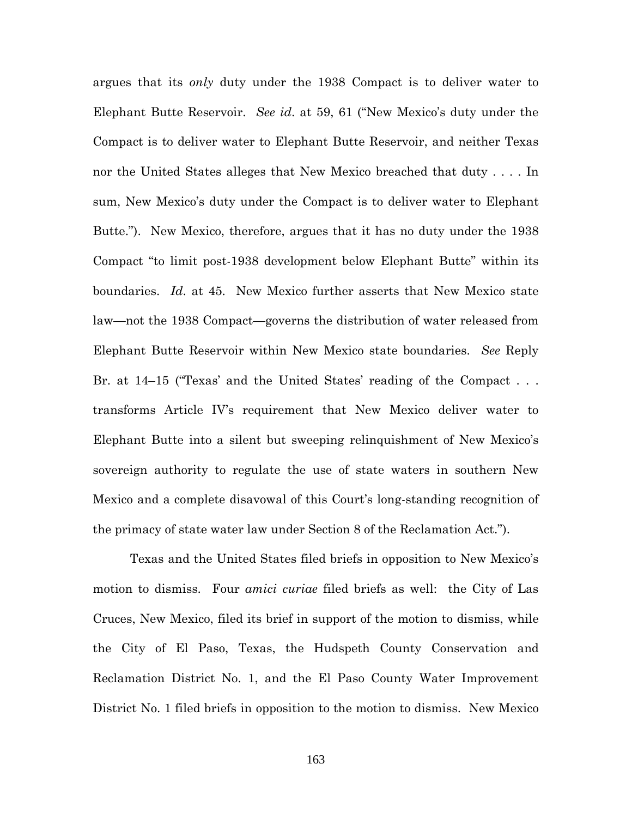argues that its *only* duty under the 1938 Compact is to deliver water to Elephant Butte Reservoir. *See id*. at 59, 61 ("New Mexico's duty under the Compact is to deliver water to Elephant Butte Reservoir, and neither Texas nor the United States alleges that New Mexico breached that duty . . . . In sum, New Mexico's duty under the Compact is to deliver water to Elephant Butte."). New Mexico, therefore, argues that it has no duty under the 1938 Compact "to limit post-1938 development below Elephant Butte" within its boundaries. *Id*. at 45. New Mexico further asserts that New Mexico state law—not the 1938 Compact—governs the distribution of water released from Elephant Butte Reservoir within New Mexico state boundaries. *See* Reply Br. at 14–15 ("Texas' and the United States' reading of the Compact . . . transforms Article IV's requirement that New Mexico deliver water to Elephant Butte into a silent but sweeping relinquishment of New Mexico's sovereign authority to regulate the use of state waters in southern New Mexico and a complete disavowal of this Court's long-standing recognition of the primacy of state water law under Section 8 of the Reclamation Act.").

Texas and the United States filed briefs in opposition to New Mexico's motion to dismiss. Four *amici curiae* filed briefs as well: the City of Las Cruces, New Mexico, filed its brief in support of the motion to dismiss, while the City of El Paso, Texas, the Hudspeth County Conservation and Reclamation District No. 1, and the El Paso County Water Improvement District No. 1 filed briefs in opposition to the motion to dismiss. New Mexico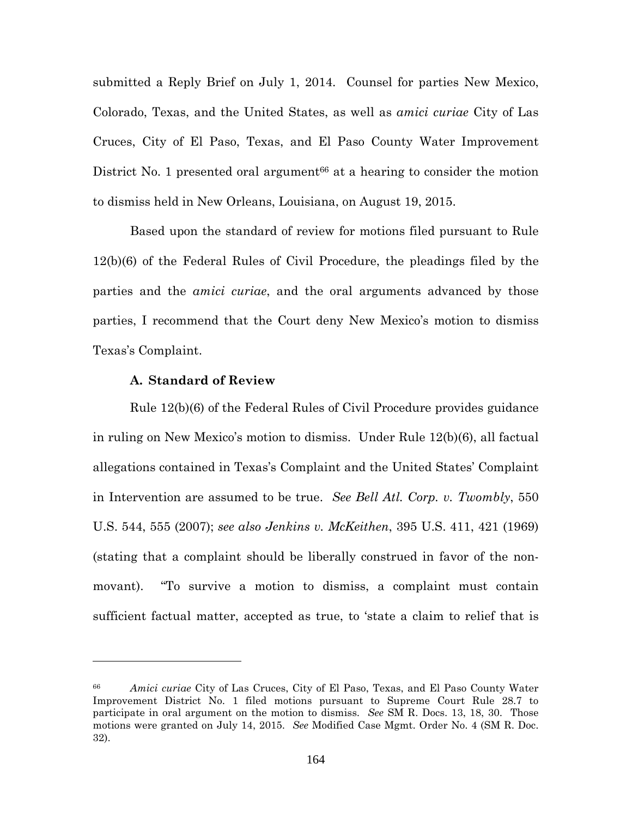submitted a Reply Brief on July 1, 2014. Counsel for parties New Mexico, Colorado, Texas, and the United States, as well as *amici curiae* City of Las Cruces, City of El Paso, Texas, and El Paso County Water Improvement District No. 1 presented oral argument $66$  at a hearing to consider the motion to dismiss held in New Orleans, Louisiana, on August 19, 2015.

Based upon the standard of review for motions filed pursuant to Rule 12(b)(6) of the Federal Rules of Civil Procedure, the pleadings filed by the parties and the *amici curiae*, and the oral arguments advanced by those parties, I recommend that the Court deny New Mexico's motion to dismiss Texas's Complaint.

### **A. Standard of Review**

Rule 12(b)(6) of the Federal Rules of Civil Procedure provides guidance in ruling on New Mexico's motion to dismiss. Under Rule 12(b)(6), all factual allegations contained in Texas's Complaint and the United States' Complaint in Intervention are assumed to be true. *See Bell Atl. Corp. v. Twombly*, 550 U.S. 544, 555 (2007); *see also Jenkins v. McKeithen*, 395 U.S. 411, 421 (1969) (stating that a complaint should be liberally construed in favor of the nonmovant). "To survive a motion to dismiss, a complaint must contain sufficient factual matter, accepted as true, to 'state a claim to relief that is

<sup>66</sup> *Amici curiae* City of Las Cruces, City of El Paso, Texas, and El Paso County Water Improvement District No. 1 filed motions pursuant to Supreme Court Rule 28.7 to participate in oral argument on the motion to dismiss. *See* SM R. Docs. 13, 18, 30. Those motions were granted on July 14, 2015. *See* Modified Case Mgmt. Order No. 4 (SM R. Doc. 32).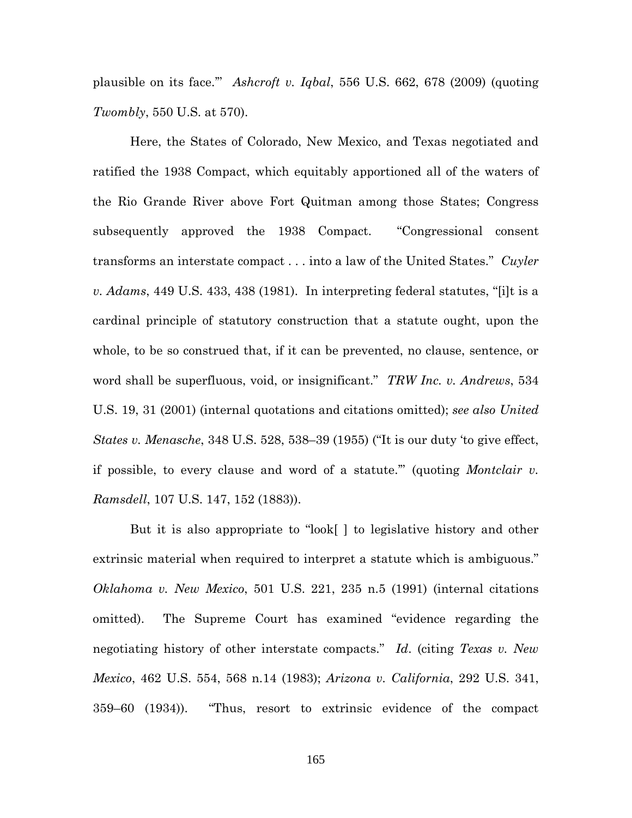plausible on its face.'" *Ashcroft v. Iqbal*, 556 U.S. 662, 678 (2009) (quoting *Twombly*, 550 U.S. at 570).

Here, the States of Colorado, New Mexico, and Texas negotiated and ratified the 1938 Compact, which equitably apportioned all of the waters of the Rio Grande River above Fort Quitman among those States; Congress subsequently approved the 1938 Compact. "Congressional consent transforms an interstate compact . . . into a law of the United States." *Cuyler v. Adams*, 449 U.S. 433, 438 (1981). In interpreting federal statutes, "[i]t is a cardinal principle of statutory construction that a statute ought, upon the whole, to be so construed that, if it can be prevented, no clause, sentence, or word shall be superfluous, void, or insignificant." *TRW Inc. v. Andrews*, 534 U.S. 19, 31 (2001) (internal quotations and citations omitted); *see also United States v. Menasche*, 348 U.S. 528, 538–39 (1955) ("It is our duty 'to give effect, if possible, to every clause and word of a statute.'" (quoting *Montclair v. Ramsdell*, 107 U.S. 147, 152 (1883)).

But it is also appropriate to "look[ ] to legislative history and other extrinsic material when required to interpret a statute which is ambiguous." *Oklahoma v. New Mexico*, 501 U.S. 221, 235 n.5 (1991) (internal citations omitted). The Supreme Court has examined "evidence regarding the negotiating history of other interstate compacts." *Id*. (citing *Texas v. New Mexico*, 462 U.S. 554, 568 n.14 (1983); *Arizona v. California*, 292 U.S. 341, 359–60 (1934)). "Thus, resort to extrinsic evidence of the compact

165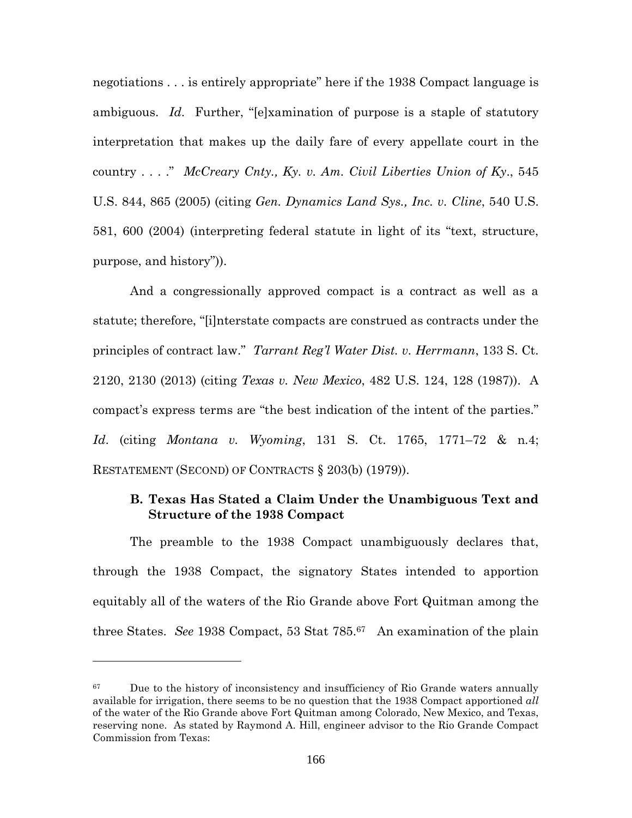negotiations . . . is entirely appropriate" here if the 1938 Compact language is ambiguous. *Id*. Further, "[e]xamination of purpose is a staple of statutory interpretation that makes up the daily fare of every appellate court in the country . . . ." *McCreary Cnty., Ky. v. Am. Civil Liberties Union of Ky*., 545 U.S. 844, 865 (2005) (citing *Gen. Dynamics Land Sys., Inc. v. Cline*, 540 U.S. 581, 600 (2004) (interpreting federal statute in light of its "text, structure, purpose, and history")).

And a congressionally approved compact is a contract as well as a statute; therefore, "[i]nterstate compacts are construed as contracts under the principles of contract law." *Tarrant Reg'l Water Dist. v. Herrmann*, 133 S. Ct. 2120, 2130 (2013) (citing *Texas v. New Mexico*, 482 U.S. 124, 128 (1987)). A compact's express terms are "the best indication of the intent of the parties." *Id*. (citing *Montana v. Wyoming*, 131 S. Ct. 1765, 1771–72 & n.4; RESTATEMENT (SECOND) OF CONTRACTS § 203(b) (1979)).

# **B. Texas Has Stated a Claim Under the Unambiguous Text and Structure of the 1938 Compact**

The preamble to the 1938 Compact unambiguously declares that, through the 1938 Compact, the signatory States intended to apportion equitably all of the waters of the Rio Grande above Fort Quitman among the three States. *See* 1938 Compact, 53 Stat 785.<sup>67</sup> An examination of the plain

 $67$  Due to the history of inconsistency and insufficiency of Rio Grande waters annually available for irrigation, there seems to be no question that the 1938 Compact apportioned *all* of the water of the Rio Grande above Fort Quitman among Colorado, New Mexico, and Texas, reserving none. As stated by Raymond A. Hill, engineer advisor to the Rio Grande Compact Commission from Texas: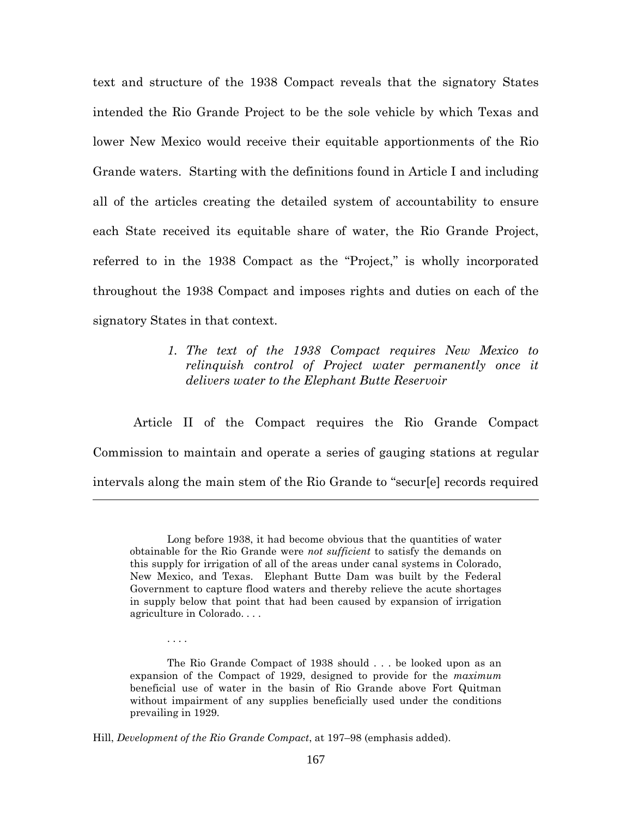text and structure of the 1938 Compact reveals that the signatory States intended the Rio Grande Project to be the sole vehicle by which Texas and lower New Mexico would receive their equitable apportionments of the Rio Grande waters. Starting with the definitions found in Article I and including all of the articles creating the detailed system of accountability to ensure each State received its equitable share of water, the Rio Grande Project, referred to in the 1938 Compact as the "Project," is wholly incorporated throughout the 1938 Compact and imposes rights and duties on each of the signatory States in that context.

> *1. The text of the 1938 Compact requires New Mexico to relinquish control of Project water permanently once it delivers water to the Elephant Butte Reservoir*

Article II of the Compact requires the Rio Grande Compact Commission to maintain and operate a series of gauging stations at regular intervals along the main stem of the Rio Grande to "secur[e] records required

. . . .

Long before 1938, it had become obvious that the quantities of water obtainable for the Rio Grande were *not sufficient* to satisfy the demands on this supply for irrigation of all of the areas under canal systems in Colorado, New Mexico, and Texas. Elephant Butte Dam was built by the Federal Government to capture flood waters and thereby relieve the acute shortages in supply below that point that had been caused by expansion of irrigation agriculture in Colorado. . . .

The Rio Grande Compact of 1938 should . . . be looked upon as an expansion of the Compact of 1929, designed to provide for the *maximum* beneficial use of water in the basin of Rio Grande above Fort Quitman without impairment of any supplies beneficially used under the conditions prevailing in 1929.

Hill, *Development of the Rio Grande Compact*, at 197–98 (emphasis added).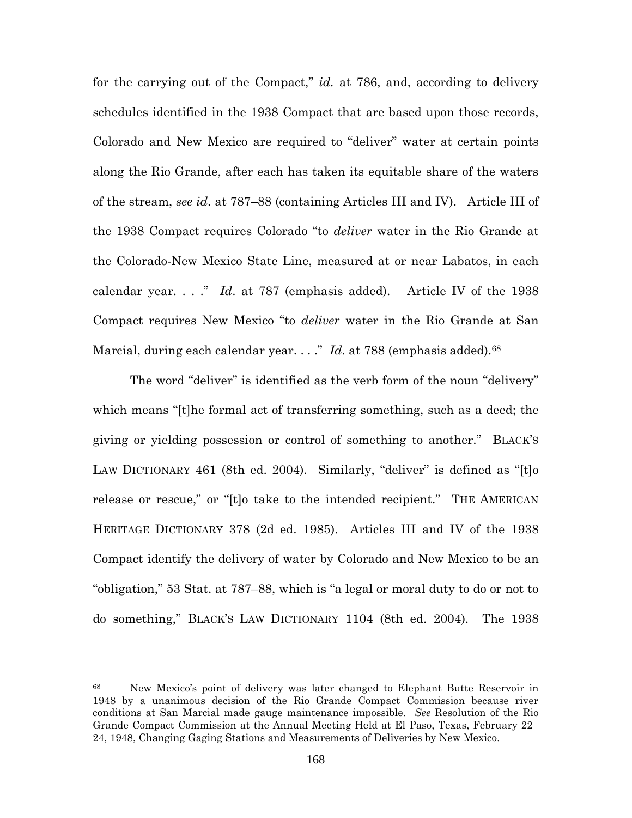for the carrying out of the Compact," *id.* at 786, and, according to delivery schedules identified in the 1938 Compact that are based upon those records, Colorado and New Mexico are required to "deliver" water at certain points along the Rio Grande, after each has taken its equitable share of the waters of the stream, *see id*. at 787–88 (containing Articles III and IV). Article III of the 1938 Compact requires Colorado "to *deliver* water in the Rio Grande at the Colorado-New Mexico State Line, measured at or near Labatos, in each calendar year. . . ." *Id*. at 787 (emphasis added). Article IV of the 1938 Compact requires New Mexico "to *deliver* water in the Rio Grande at San Marcial, during each calendar year. . . ." *Id.* at 788 (emphasis added).<sup>68</sup>

The word "deliver" is identified as the verb form of the noun "delivery" which means "[t]he formal act of transferring something, such as a deed; the giving or yielding possession or control of something to another." BLACK'S LAW DICTIONARY 461 (8th ed. 2004). Similarly, "deliver" is defined as "[t]o release or rescue," or "[t]o take to the intended recipient." THE AMERICAN HERITAGE DICTIONARY 378 (2d ed. 1985). Articles III and IV of the 1938 Compact identify the delivery of water by Colorado and New Mexico to be an "obligation," 53 Stat. at 787–88, which is "a legal or moral duty to do or not to do something," BLACK'S LAW DICTIONARY 1104 (8th ed. 2004). The 1938

<sup>68</sup> New Mexico's point of delivery was later changed to Elephant Butte Reservoir in 1948 by a unanimous decision of the Rio Grande Compact Commission because river conditions at San Marcial made gauge maintenance impossible. *See* Resolution of the Rio Grande Compact Commission at the Annual Meeting Held at El Paso, Texas, February 22– 24, 1948, Changing Gaging Stations and Measurements of Deliveries by New Mexico.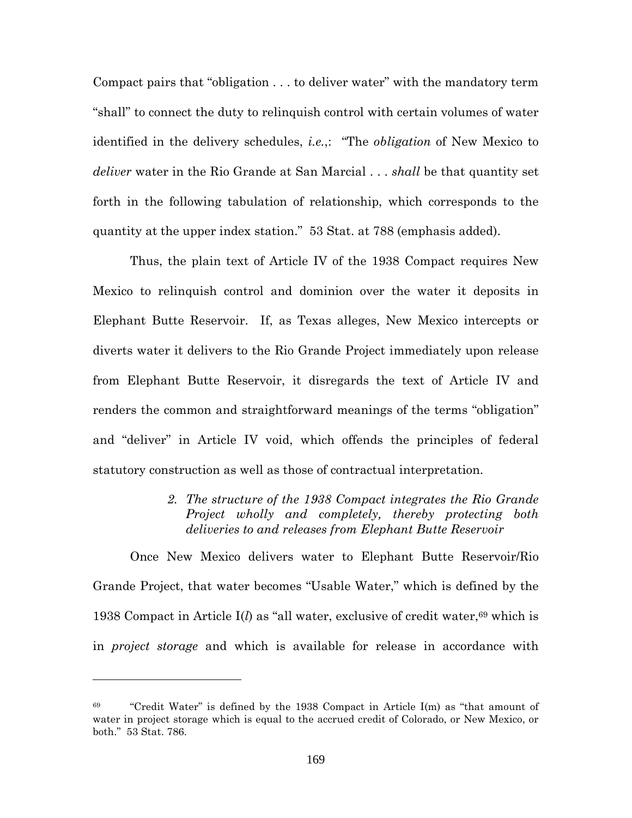Compact pairs that "obligation . . . to deliver water" with the mandatory term "shall" to connect the duty to relinquish control with certain volumes of water identified in the delivery schedules, *i.e.*,: "The *obligation* of New Mexico to *deliver* water in the Rio Grande at San Marcial . . . *shall* be that quantity set forth in the following tabulation of relationship, which corresponds to the quantity at the upper index station." 53 Stat. at 788 (emphasis added).

Thus, the plain text of Article IV of the 1938 Compact requires New Mexico to relinquish control and dominion over the water it deposits in Elephant Butte Reservoir. If, as Texas alleges, New Mexico intercepts or diverts water it delivers to the Rio Grande Project immediately upon release from Elephant Butte Reservoir, it disregards the text of Article IV and renders the common and straightforward meanings of the terms "obligation" and "deliver" in Article IV void, which offends the principles of federal statutory construction as well as those of contractual interpretation.

> *2. The structure of the 1938 Compact integrates the Rio Grande Project wholly and completely, thereby protecting both deliveries to and releases from Elephant Butte Reservoir*

Once New Mexico delivers water to Elephant Butte Reservoir/Rio Grande Project, that water becomes "Usable Water," which is defined by the 1938 Compact in Article  $I(l)$  as "all water, exclusive of credit water,<sup>69</sup> which is in *project storage* and which is available for release in accordance with

 $69$  "Credit Water" is defined by the 1938 Compact in Article I(m) as "that amount of water in project storage which is equal to the accrued credit of Colorado, or New Mexico, or both." 53 Stat. 786.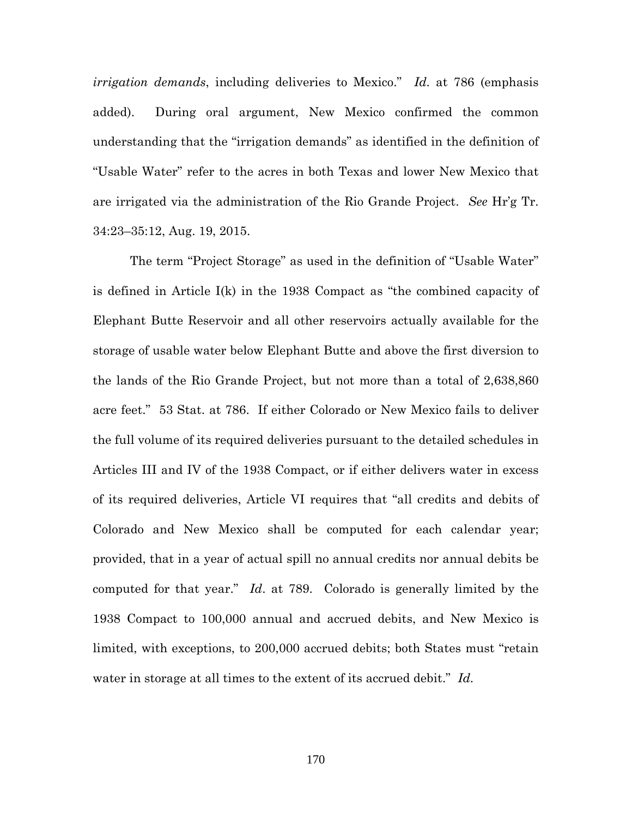*irrigation demands*, including deliveries to Mexico." *Id*. at 786 (emphasis added). During oral argument, New Mexico confirmed the common understanding that the "irrigation demands" as identified in the definition of "Usable Water" refer to the acres in both Texas and lower New Mexico that are irrigated via the administration of the Rio Grande Project. *See* Hr'g Tr. 34:23–35:12, Aug. 19, 2015.

The term "Project Storage" as used in the definition of "Usable Water" is defined in Article I(k) in the 1938 Compact as "the combined capacity of Elephant Butte Reservoir and all other reservoirs actually available for the storage of usable water below Elephant Butte and above the first diversion to the lands of the Rio Grande Project, but not more than a total of 2,638,860 acre feet." 53 Stat. at 786. If either Colorado or New Mexico fails to deliver the full volume of its required deliveries pursuant to the detailed schedules in Articles III and IV of the 1938 Compact, or if either delivers water in excess of its required deliveries, Article VI requires that "all credits and debits of Colorado and New Mexico shall be computed for each calendar year; provided, that in a year of actual spill no annual credits nor annual debits be computed for that year." *Id*. at 789. Colorado is generally limited by the 1938 Compact to 100,000 annual and accrued debits, and New Mexico is limited, with exceptions, to 200,000 accrued debits; both States must "retain water in storage at all times to the extent of its accrued debit." *Id*.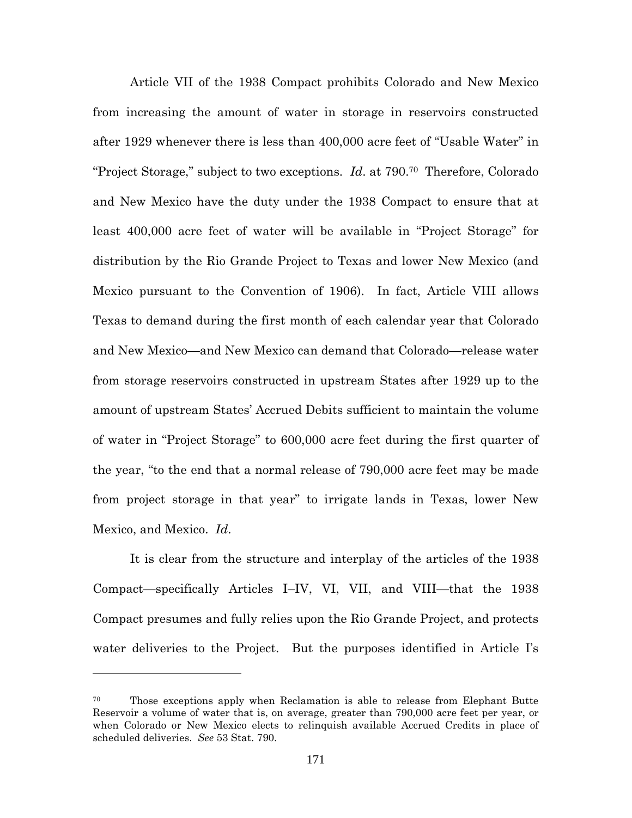Article VII of the 1938 Compact prohibits Colorado and New Mexico from increasing the amount of water in storage in reservoirs constructed after 1929 whenever there is less than 400,000 acre feet of "Usable Water" in "Project Storage," subject to two exceptions. *Id*. at 790.<sup>70</sup> Therefore, Colorado and New Mexico have the duty under the 1938 Compact to ensure that at least 400,000 acre feet of water will be available in "Project Storage" for distribution by the Rio Grande Project to Texas and lower New Mexico (and Mexico pursuant to the Convention of 1906). In fact, Article VIII allows Texas to demand during the first month of each calendar year that Colorado and New Mexico—and New Mexico can demand that Colorado—release water from storage reservoirs constructed in upstream States after 1929 up to the amount of upstream States' Accrued Debits sufficient to maintain the volume of water in "Project Storage" to 600,000 acre feet during the first quarter of the year, "to the end that a normal release of 790,000 acre feet may be made from project storage in that year" to irrigate lands in Texas, lower New Mexico, and Mexico. *Id*.

It is clear from the structure and interplay of the articles of the 1938 Compact—specifically Articles I–IV, VI, VII, and VIII—that the 1938 Compact presumes and fully relies upon the Rio Grande Project, and protects water deliveries to the Project. But the purposes identified in Article I's

<sup>70</sup> Those exceptions apply when Reclamation is able to release from Elephant Butte Reservoir a volume of water that is, on average, greater than 790,000 acre feet per year, or when Colorado or New Mexico elects to relinquish available Accrued Credits in place of scheduled deliveries. *See* 53 Stat. 790.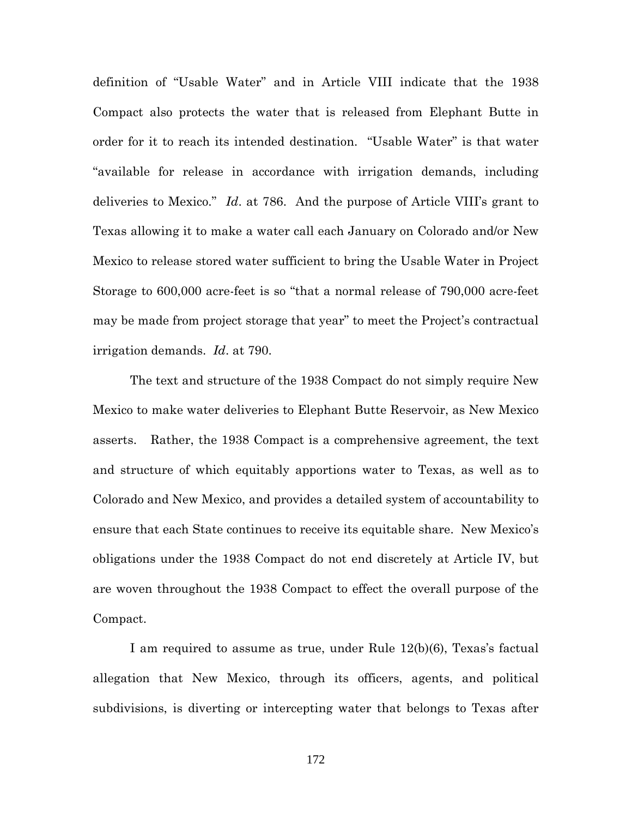definition of "Usable Water" and in Article VIII indicate that the 1938 Compact also protects the water that is released from Elephant Butte in order for it to reach its intended destination. "Usable Water" is that water "available for release in accordance with irrigation demands, including deliveries to Mexico." *Id*. at 786. And the purpose of Article VIII's grant to Texas allowing it to make a water call each January on Colorado and/or New Mexico to release stored water sufficient to bring the Usable Water in Project Storage to 600,000 acre-feet is so "that a normal release of 790,000 acre-feet may be made from project storage that year" to meet the Project's contractual irrigation demands. *Id*. at 790.

The text and structure of the 1938 Compact do not simply require New Mexico to make water deliveries to Elephant Butte Reservoir, as New Mexico asserts. Rather, the 1938 Compact is a comprehensive agreement, the text and structure of which equitably apportions water to Texas, as well as to Colorado and New Mexico, and provides a detailed system of accountability to ensure that each State continues to receive its equitable share. New Mexico's obligations under the 1938 Compact do not end discretely at Article IV, but are woven throughout the 1938 Compact to effect the overall purpose of the Compact.

I am required to assume as true, under Rule 12(b)(6), Texas's factual allegation that New Mexico, through its officers, agents, and political subdivisions, is diverting or intercepting water that belongs to Texas after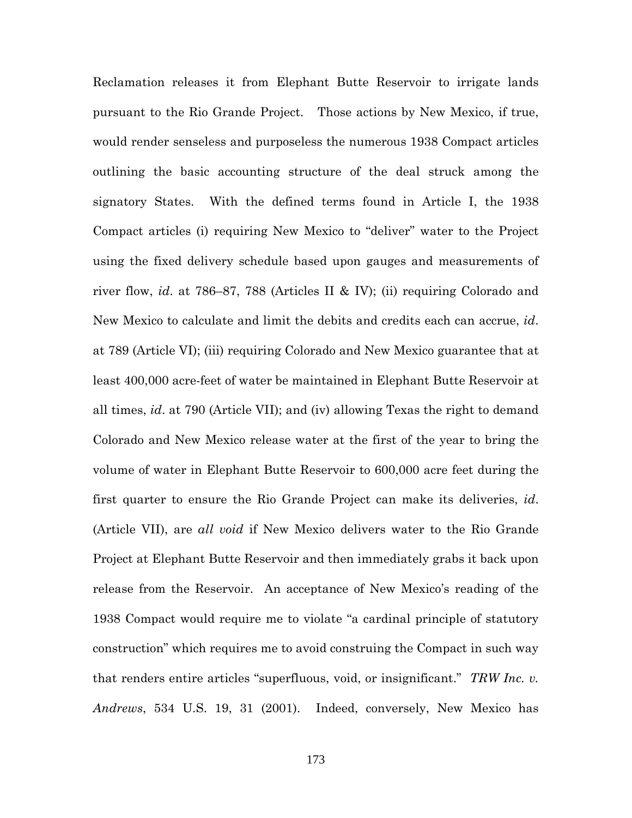Reclamation releases it from Elephant Butte Reservoir to irrigate lands pursuant to the Rio Grande Project. Those actions by New Mexico, if true, would render senseless and purposeless the numerous 1938 Compact articles outlining the basic accounting structure of the deal struck among the signatory States. With the defined terms found in Article I, the 1938 Compact articles (i) requiring New Mexico to "deliver" water to the Project using the fixed delivery schedule based upon gauges and measurements of river flow, *id*. at 786–87, 788 (Articles II & IV); (ii) requiring Colorado and New Mexico to calculate and limit the debits and credits each can accrue, *id*. at 789 (Article VI); (iii) requiring Colorado and New Mexico guarantee that at least 400,000 acre-feet of water be maintained in Elephant Butte Reservoir at all times, *id*. at 790 (Article VII); and (iv) allowing Texas the right to demand Colorado and New Mexico release water at the first of the year to bring the volume of water in Elephant Butte Reservoir to 600,000 acre feet during the first quarter to ensure the Rio Grande Project can make its deliveries, *id*. (Article VII), are *all void* if New Mexico delivers water to the Rio Grande Project at Elephant Butte Reservoir and then immediately grabs it back upon release from the Reservoir. An acceptance of New Mexico's reading of the 1938 Compact would require me to violate "a cardinal principle of statutory construction" which requires me to avoid construing the Compact in such way that renders entire articles "superfluous, void, or insignificant." *TRW Inc. v. Andrews*, 534 U.S. 19, 31 (2001). Indeed, conversely, New Mexico has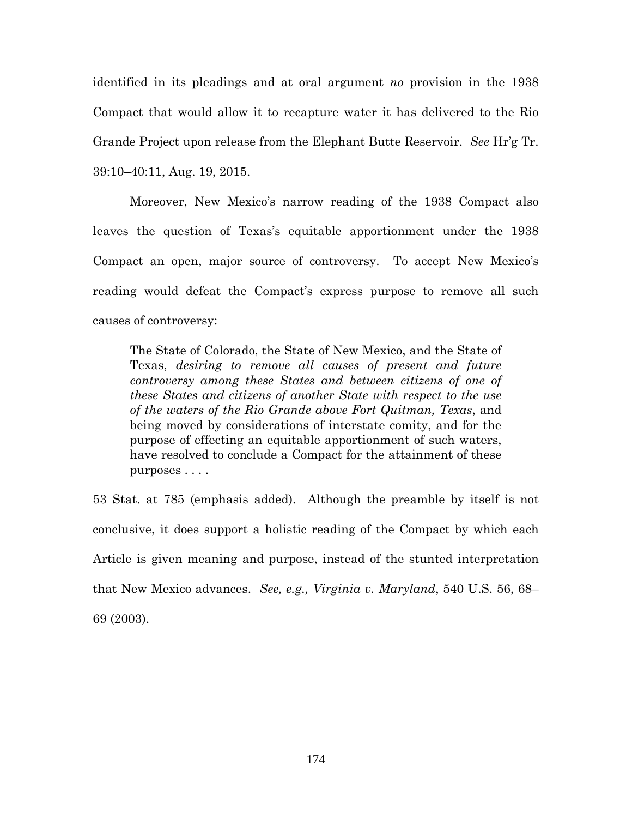identified in its pleadings and at oral argument *no* provision in the 1938 Compact that would allow it to recapture water it has delivered to the Rio Grande Project upon release from the Elephant Butte Reservoir. *See* Hr'g Tr. 39:10–40:11, Aug. 19, 2015.

Moreover, New Mexico's narrow reading of the 1938 Compact also leaves the question of Texas's equitable apportionment under the 1938 Compact an open, major source of controversy. To accept New Mexico's reading would defeat the Compact's express purpose to remove all such causes of controversy:

The State of Colorado, the State of New Mexico, and the State of Texas, *desiring to remove all causes of present and future controversy among these States and between citizens of one of these States and citizens of another State with respect to the use of the waters of the Rio Grande above Fort Quitman, Texas*, and being moved by considerations of interstate comity, and for the purpose of effecting an equitable apportionment of such waters, have resolved to conclude a Compact for the attainment of these purposes . . . .

53 Stat. at 785 (emphasis added). Although the preamble by itself is not conclusive, it does support a holistic reading of the Compact by which each Article is given meaning and purpose, instead of the stunted interpretation that New Mexico advances. *See, e.g., Virginia v. Maryland*, 540 U.S. 56, 68– 69 (2003).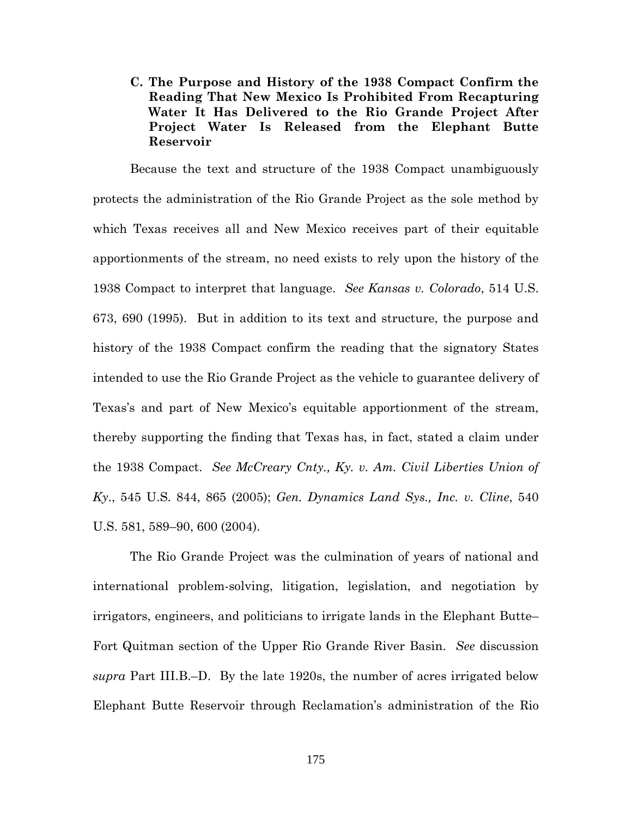# **C. The Purpose and History of the 1938 Compact Confirm the Reading That New Mexico Is Prohibited From Recapturing Water It Has Delivered to the Rio Grande Project After Project Water Is Released from the Elephant Butte Reservoir**

Because the text and structure of the 1938 Compact unambiguously protects the administration of the Rio Grande Project as the sole method by which Texas receives all and New Mexico receives part of their equitable apportionments of the stream, no need exists to rely upon the history of the 1938 Compact to interpret that language. *See Kansas v. Colorado*, 514 U.S. 673, 690 (1995). But in addition to its text and structure, the purpose and history of the 1938 Compact confirm the reading that the signatory States intended to use the Rio Grande Project as the vehicle to guarantee delivery of Texas's and part of New Mexico's equitable apportionment of the stream, thereby supporting the finding that Texas has, in fact, stated a claim under the 1938 Compact. *See McCreary Cnty., Ky. v. Am. Civil Liberties Union of Ky*., 545 U.S. 844, 865 (2005); *Gen. Dynamics Land Sys., Inc. v. Cline*, 540 U.S. 581, 589–90, 600 (2004).

The Rio Grande Project was the culmination of years of national and international problem-solving, litigation, legislation, and negotiation by irrigators, engineers, and politicians to irrigate lands in the Elephant Butte– Fort Quitman section of the Upper Rio Grande River Basin. *See* discussion *supra* Part III.B.–D. By the late 1920s, the number of acres irrigated below Elephant Butte Reservoir through Reclamation's administration of the Rio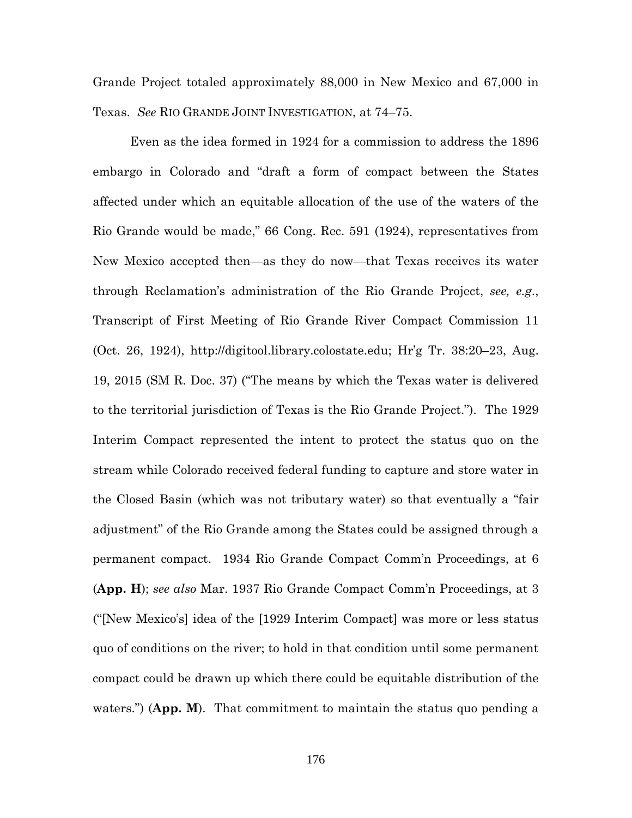Grande Project totaled approximately 88,000 in New Mexico and 67,000 in Texas. *See* RIO GRANDE JOINT INVESTIGATION, at 74–75.

Even as the idea formed in 1924 for a commission to address the 1896 embargo in Colorado and "draft a form of compact between the States affected under which an equitable allocation of the use of the waters of the Rio Grande would be made," 66 Cong. Rec. 591 (1924), representatives from New Mexico accepted then—as they do now—that Texas receives its water through Reclamation's administration of the Rio Grande Project, *see, e.g*., Transcript of First Meeting of Rio Grande River Compact Commission 11 (Oct. 26, 1924), http://digitool.library.colostate.edu; Hr'g Tr. 38:20–23, Aug. 19, 2015 (SM R. Doc. 37) ("The means by which the Texas water is delivered to the territorial jurisdiction of Texas is the Rio Grande Project."). The 1929 Interim Compact represented the intent to protect the status quo on the stream while Colorado received federal funding to capture and store water in the Closed Basin (which was not tributary water) so that eventually a "fair adjustment" of the Rio Grande among the States could be assigned through a permanent compact. 1934 Rio Grande Compact Comm'n Proceedings, at 6 (**App. H**); *see also* Mar. 1937 Rio Grande Compact Comm'n Proceedings, at 3 ("[New Mexico's] idea of the [1929 Interim Compact] was more or less status quo of conditions on the river; to hold in that condition until some permanent compact could be drawn up which there could be equitable distribution of the waters.") (App. M). That commitment to maintain the status quo pending a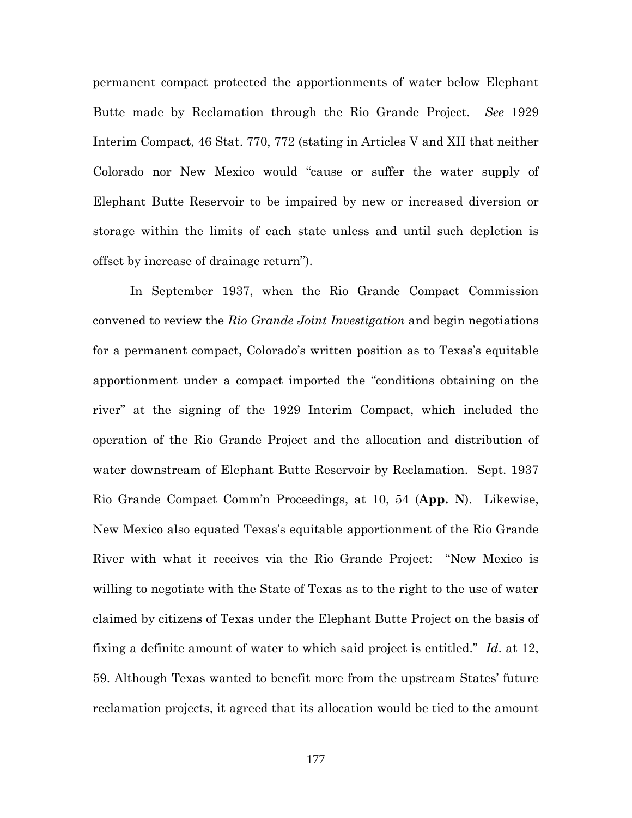permanent compact protected the apportionments of water below Elephant Butte made by Reclamation through the Rio Grande Project. *See* 1929 Interim Compact, 46 Stat. 770, 772 (stating in Articles V and XII that neither Colorado nor New Mexico would "cause or suffer the water supply of Elephant Butte Reservoir to be impaired by new or increased diversion or storage within the limits of each state unless and until such depletion is offset by increase of drainage return").

In September 1937, when the Rio Grande Compact Commission convened to review the *Rio Grande Joint Investigation* and begin negotiations for a permanent compact, Colorado's written position as to Texas's equitable apportionment under a compact imported the "conditions obtaining on the river" at the signing of the 1929 Interim Compact, which included the operation of the Rio Grande Project and the allocation and distribution of water downstream of Elephant Butte Reservoir by Reclamation. Sept. 1937 Rio Grande Compact Comm'n Proceedings, at 10, 54 (**App. N**). Likewise, New Mexico also equated Texas's equitable apportionment of the Rio Grande River with what it receives via the Rio Grande Project: "New Mexico is willing to negotiate with the State of Texas as to the right to the use of water claimed by citizens of Texas under the Elephant Butte Project on the basis of fixing a definite amount of water to which said project is entitled." *Id*. at 12, 59. Although Texas wanted to benefit more from the upstream States' future reclamation projects, it agreed that its allocation would be tied to the amount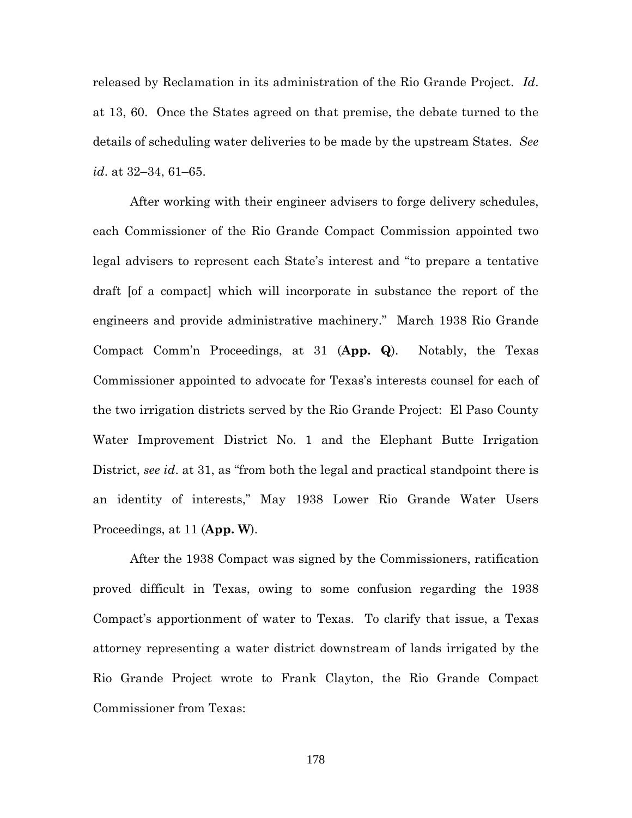released by Reclamation in its administration of the Rio Grande Project. *Id*. at 13, 60. Once the States agreed on that premise, the debate turned to the details of scheduling water deliveries to be made by the upstream States. *See id*. at 32–34, 61–65.

After working with their engineer advisers to forge delivery schedules, each Commissioner of the Rio Grande Compact Commission appointed two legal advisers to represent each State's interest and "to prepare a tentative draft [of a compact] which will incorporate in substance the report of the engineers and provide administrative machinery." March 1938 Rio Grande Compact Comm'n Proceedings, at 31 (**App. Q**). Notably, the Texas Commissioner appointed to advocate for Texas's interests counsel for each of the two irrigation districts served by the Rio Grande Project: El Paso County Water Improvement District No. 1 and the Elephant Butte Irrigation District, *see id*. at 31, as "from both the legal and practical standpoint there is an identity of interests," May 1938 Lower Rio Grande Water Users Proceedings, at 11 (**App. W**).

After the 1938 Compact was signed by the Commissioners, ratification proved difficult in Texas, owing to some confusion regarding the 1938 Compact's apportionment of water to Texas. To clarify that issue, a Texas attorney representing a water district downstream of lands irrigated by the Rio Grande Project wrote to Frank Clayton, the Rio Grande Compact Commissioner from Texas: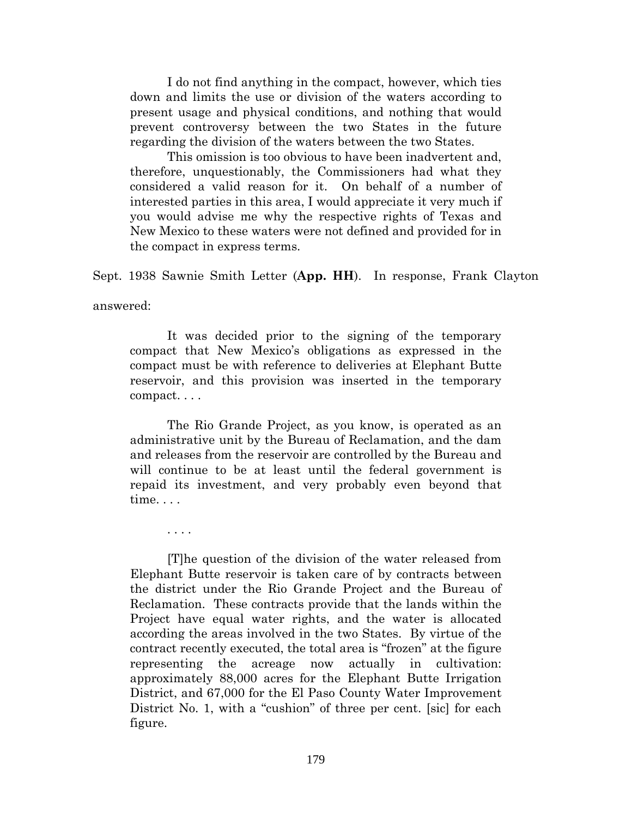I do not find anything in the compact, however, which ties down and limits the use or division of the waters according to present usage and physical conditions, and nothing that would prevent controversy between the two States in the future regarding the division of the waters between the two States.

This omission is too obvious to have been inadvertent and, therefore, unquestionably, the Commissioners had what they considered a valid reason for it. On behalf of a number of interested parties in this area, I would appreciate it very much if you would advise me why the respective rights of Texas and New Mexico to these waters were not defined and provided for in the compact in express terms.

Sept. 1938 Sawnie Smith Letter (**App. HH**). In response, Frank Clayton

answered:

It was decided prior to the signing of the temporary compact that New Mexico's obligations as expressed in the compact must be with reference to deliveries at Elephant Butte reservoir, and this provision was inserted in the temporary compact. . . .

The Rio Grande Project, as you know, is operated as an administrative unit by the Bureau of Reclamation, and the dam and releases from the reservoir are controlled by the Bureau and will continue to be at least until the federal government is repaid its investment, and very probably even beyond that time. . . .

. . . .

[T]he question of the division of the water released from Elephant Butte reservoir is taken care of by contracts between the district under the Rio Grande Project and the Bureau of Reclamation. These contracts provide that the lands within the Project have equal water rights, and the water is allocated according the areas involved in the two States. By virtue of the contract recently executed, the total area is "frozen" at the figure representing the acreage now actually in cultivation: approximately 88,000 acres for the Elephant Butte Irrigation District, and 67,000 for the El Paso County Water Improvement District No. 1, with a "cushion" of three per cent. [sic] for each figure.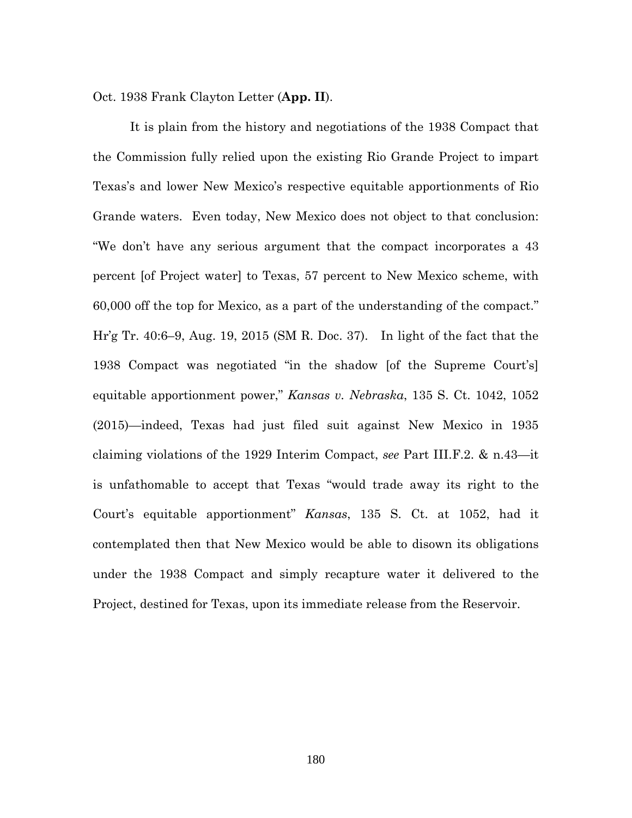Oct. 1938 Frank Clayton Letter (**App. II**).

It is plain from the history and negotiations of the 1938 Compact that the Commission fully relied upon the existing Rio Grande Project to impart Texas's and lower New Mexico's respective equitable apportionments of Rio Grande waters. Even today, New Mexico does not object to that conclusion: "We don't have any serious argument that the compact incorporates a 43 percent [of Project water] to Texas, 57 percent to New Mexico scheme, with 60,000 off the top for Mexico, as a part of the understanding of the compact." Hr'g Tr. 40:6–9, Aug. 19, 2015 (SM R. Doc. 37). In light of the fact that the 1938 Compact was negotiated "in the shadow [of the Supreme Court's] equitable apportionment power," *Kansas v. Nebraska*, 135 S. Ct. 1042, 1052 (2015)—indeed, Texas had just filed suit against New Mexico in 1935 claiming violations of the 1929 Interim Compact, *see* Part III.F.2. & n.43—it is unfathomable to accept that Texas "would trade away its right to the Court's equitable apportionment" *Kansas*, 135 S. Ct. at 1052, had it contemplated then that New Mexico would be able to disown its obligations under the 1938 Compact and simply recapture water it delivered to the Project, destined for Texas, upon its immediate release from the Reservoir.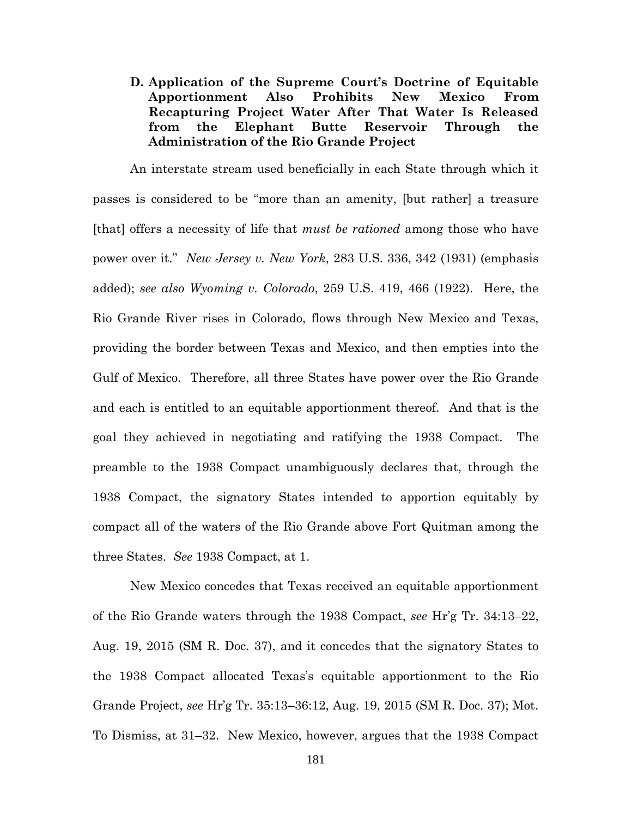**D. Application of the Supreme Court's Doctrine of Equitable Apportionment Also Prohibits New Mexico From Recapturing Project Water After That Water Is Released from the Elephant Butte Reservoir Through the Administration of the Rio Grande Project**

An interstate stream used beneficially in each State through which it passes is considered to be "more than an amenity, [but rather] a treasure [that] offers a necessity of life that *must be rationed* among those who have power over it." *New Jersey v. New York*, 283 U.S. 336, 342 (1931) (emphasis added); *see also Wyoming v. Colorado*, 259 U.S. 419, 466 (1922). Here, the Rio Grande River rises in Colorado, flows through New Mexico and Texas, providing the border between Texas and Mexico, and then empties into the Gulf of Mexico. Therefore, all three States have power over the Rio Grande and each is entitled to an equitable apportionment thereof. And that is the goal they achieved in negotiating and ratifying the 1938 Compact. The preamble to the 1938 Compact unambiguously declares that, through the 1938 Compact, the signatory States intended to apportion equitably by compact all of the waters of the Rio Grande above Fort Quitman among the three States. *See* 1938 Compact, at 1.

New Mexico concedes that Texas received an equitable apportionment of the Rio Grande waters through the 1938 Compact, *see* Hr'g Tr. 34:13–22, Aug. 19, 2015 (SM R. Doc. 37), and it concedes that the signatory States to the 1938 Compact allocated Texas's equitable apportionment to the Rio Grande Project, *see* Hr'g Tr. 35:13–36:12, Aug. 19, 2015 (SM R. Doc. 37); Mot. To Dismiss, at 31–32. New Mexico, however, argues that the 1938 Compact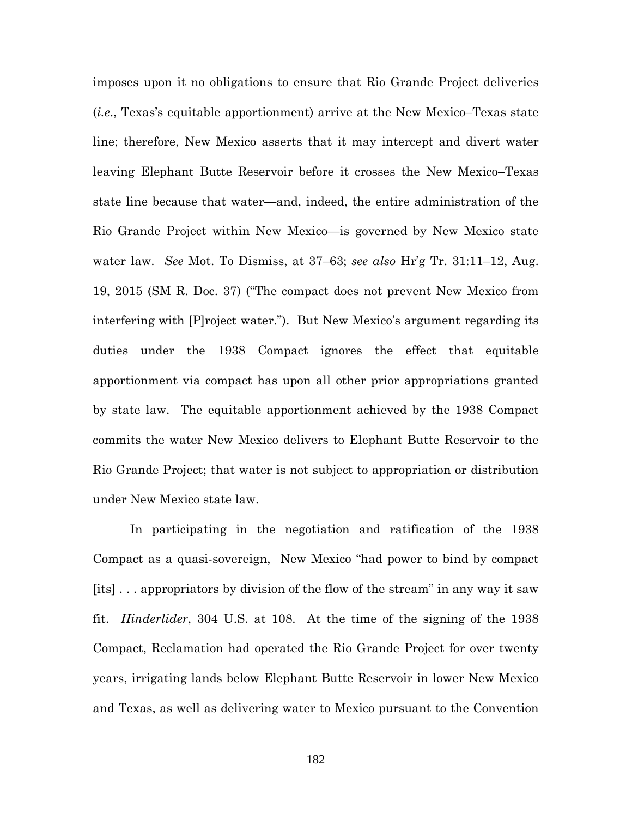imposes upon it no obligations to ensure that Rio Grande Project deliveries (*i.e*., Texas's equitable apportionment) arrive at the New Mexico–Texas state line; therefore, New Mexico asserts that it may intercept and divert water leaving Elephant Butte Reservoir before it crosses the New Mexico–Texas state line because that water—and, indeed, the entire administration of the Rio Grande Project within New Mexico—is governed by New Mexico state water law. *See* Mot. To Dismiss, at 37–63; *see also* Hr'g Tr. 31:11–12, Aug. 19, 2015 (SM R. Doc. 37) ("The compact does not prevent New Mexico from interfering with [P]roject water."). But New Mexico's argument regarding its duties under the 1938 Compact ignores the effect that equitable apportionment via compact has upon all other prior appropriations granted by state law. The equitable apportionment achieved by the 1938 Compact commits the water New Mexico delivers to Elephant Butte Reservoir to the Rio Grande Project; that water is not subject to appropriation or distribution under New Mexico state law.

In participating in the negotiation and ratification of the 1938 Compact as a quasi-sovereign, New Mexico "had power to bind by compact [its] . . . appropriators by division of the flow of the stream" in any way it saw fit. *Hinderlider*, 304 U.S. at 108. At the time of the signing of the 1938 Compact, Reclamation had operated the Rio Grande Project for over twenty years, irrigating lands below Elephant Butte Reservoir in lower New Mexico and Texas, as well as delivering water to Mexico pursuant to the Convention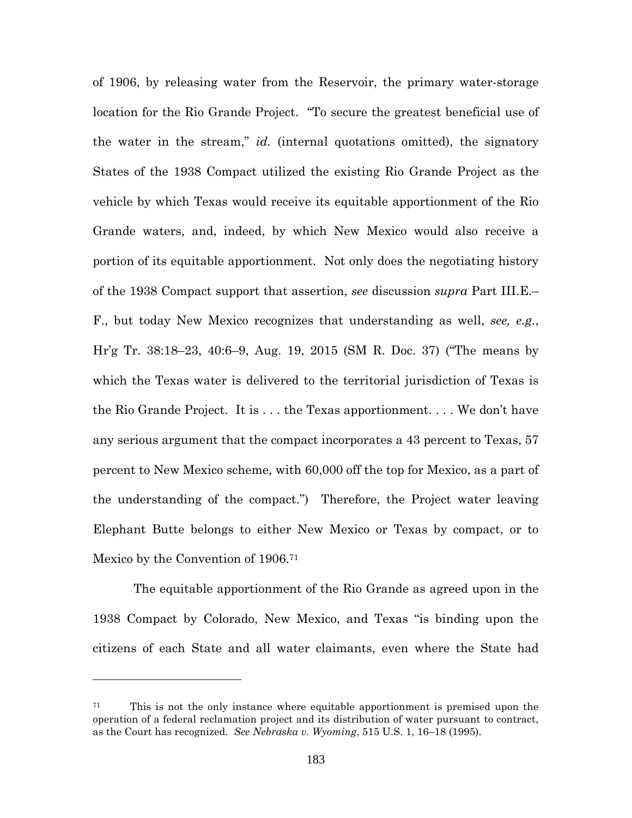of 1906, by releasing water from the Reservoir, the primary water-storage location for the Rio Grande Project. "To secure the greatest beneficial use of the water in the stream," *id.* (internal quotations omitted), the signatory States of the 1938 Compact utilized the existing Rio Grande Project as the vehicle by which Texas would receive its equitable apportionment of the Rio Grande waters, and, indeed, by which New Mexico would also receive a portion of its equitable apportionment. Not only does the negotiating history of the 1938 Compact support that assertion, *see* discussion *supra* Part III.E.– F., but today New Mexico recognizes that understanding as well, *see, e.g*., Hr'g Tr. 38:18–23, 40:6–9, Aug. 19, 2015 (SM R. Doc. 37) ("The means by which the Texas water is delivered to the territorial jurisdiction of Texas is the Rio Grande Project. It is . . . the Texas apportionment. . . . We don't have any serious argument that the compact incorporates a 43 percent to Texas, 57 percent to New Mexico scheme, with 60,000 off the top for Mexico, as a part of the understanding of the compact.") Therefore, the Project water leaving Elephant Butte belongs to either New Mexico or Texas by compact, or to Mexico by the Convention of 1906.<sup>71</sup>

The equitable apportionment of the Rio Grande as agreed upon in the 1938 Compact by Colorado, New Mexico, and Texas "is binding upon the citizens of each State and all water claimants, even where the State had

<sup>71</sup> This is not the only instance where equitable apportionment is premised upon the operation of a federal reclamation project and its distribution of water pursuant to contract, as the Court has recognized. *See Nebraska v. Wyoming*, 515 U.S. 1, 16–18 (1995).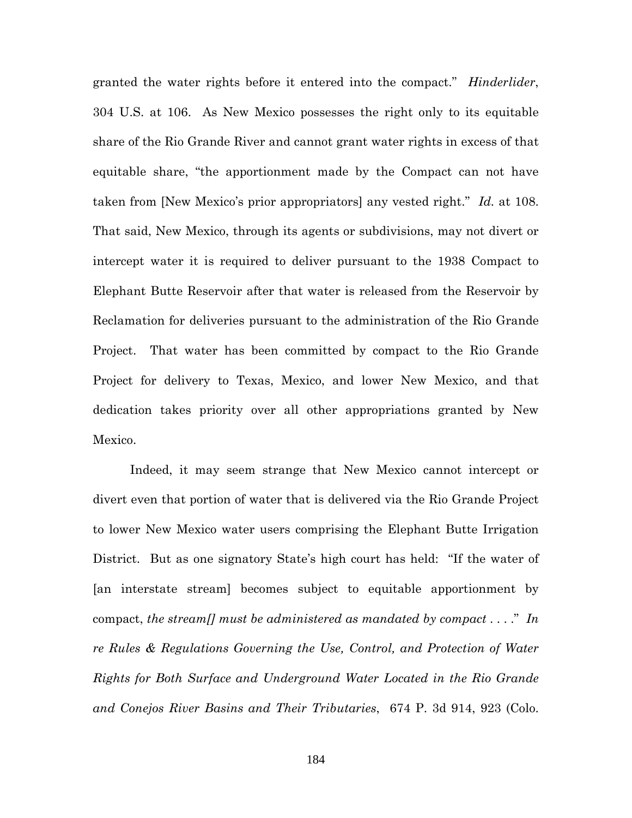granted the water rights before it entered into the compact." *Hinderlider*, 304 U.S. at 106. As New Mexico possesses the right only to its equitable share of the Rio Grande River and cannot grant water rights in excess of that equitable share, "the apportionment made by the Compact can not have taken from [New Mexico's prior appropriators] any vested right." *Id.* at 108. That said, New Mexico, through its agents or subdivisions, may not divert or intercept water it is required to deliver pursuant to the 1938 Compact to Elephant Butte Reservoir after that water is released from the Reservoir by Reclamation for deliveries pursuant to the administration of the Rio Grande Project. That water has been committed by compact to the Rio Grande Project for delivery to Texas, Mexico, and lower New Mexico, and that dedication takes priority over all other appropriations granted by New Mexico.

Indeed, it may seem strange that New Mexico cannot intercept or divert even that portion of water that is delivered via the Rio Grande Project to lower New Mexico water users comprising the Elephant Butte Irrigation District. But as one signatory State's high court has held: "If the water of [an interstate stream] becomes subject to equitable apportionment by compact, *the stream[] must be administered as mandated by compact* . . . ." *In re Rules & Regulations Governing the Use, Control, and Protection of Water Rights for Both Surface and Underground Water Located in the Rio Grande and Conejos River Basins and Their Tributaries*, 674 P. 3d 914, 923 (Colo.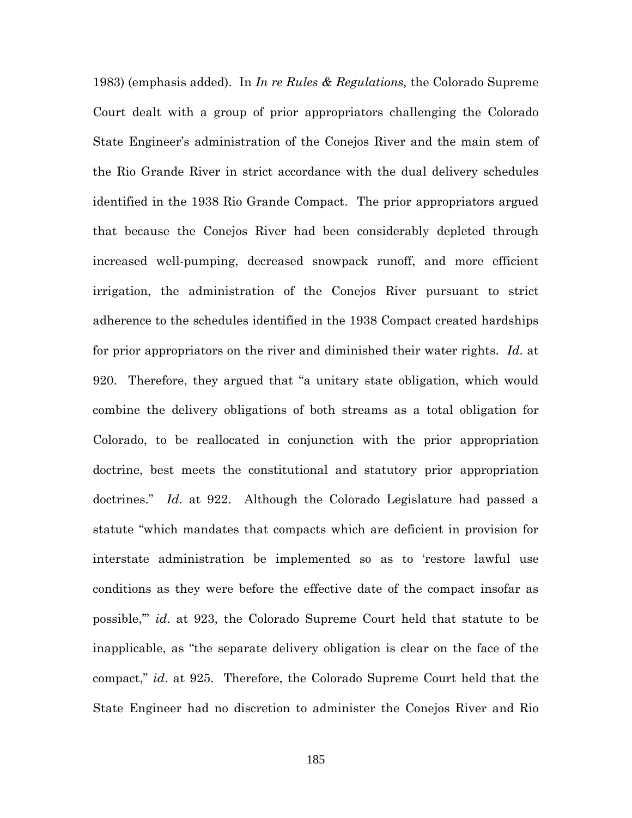1983) (emphasis added). In *In re Rules & Regulations,* the Colorado Supreme Court dealt with a group of prior appropriators challenging the Colorado State Engineer's administration of the Conejos River and the main stem of the Rio Grande River in strict accordance with the dual delivery schedules identified in the 1938 Rio Grande Compact. The prior appropriators argued that because the Conejos River had been considerably depleted through increased well-pumping, decreased snowpack runoff, and more efficient irrigation, the administration of the Conejos River pursuant to strict adherence to the schedules identified in the 1938 Compact created hardships for prior appropriators on the river and diminished their water rights. *Id*. at 920. Therefore, they argued that "a unitary state obligation, which would combine the delivery obligations of both streams as a total obligation for Colorado, to be reallocated in conjunction with the prior appropriation doctrine, best meets the constitutional and statutory prior appropriation doctrines." *Id*. at 922. Although the Colorado Legislature had passed a statute "which mandates that compacts which are deficient in provision for interstate administration be implemented so as to 'restore lawful use conditions as they were before the effective date of the compact insofar as possible,'" *id*. at 923, the Colorado Supreme Court held that statute to be inapplicable, as "the separate delivery obligation is clear on the face of the compact," *id*. at 925. Therefore, the Colorado Supreme Court held that the State Engineer had no discretion to administer the Conejos River and Rio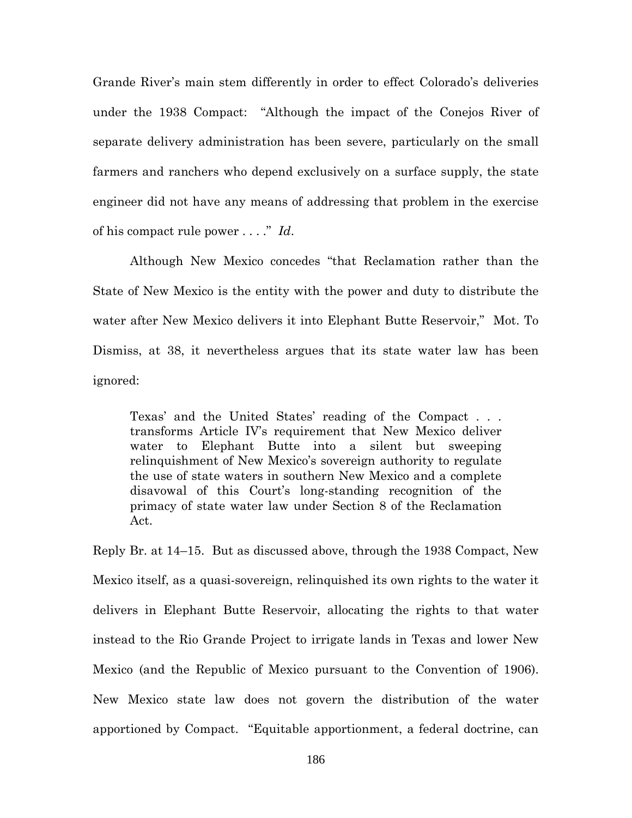Grande River's main stem differently in order to effect Colorado's deliveries under the 1938 Compact: "Although the impact of the Conejos River of separate delivery administration has been severe, particularly on the small farmers and ranchers who depend exclusively on a surface supply, the state engineer did not have any means of addressing that problem in the exercise of his compact rule power . . . ." *Id*.

Although New Mexico concedes "that Reclamation rather than the State of New Mexico is the entity with the power and duty to distribute the water after New Mexico delivers it into Elephant Butte Reservoir," Mot. To Dismiss, at 38, it nevertheless argues that its state water law has been ignored:

Texas' and the United States' reading of the Compact . . . transforms Article IV's requirement that New Mexico deliver water to Elephant Butte into a silent but sweeping relinquishment of New Mexico's sovereign authority to regulate the use of state waters in southern New Mexico and a complete disavowal of this Court's long-standing recognition of the primacy of state water law under Section 8 of the Reclamation Act.

Reply Br. at 14–15. But as discussed above, through the 1938 Compact, New Mexico itself, as a quasi-sovereign, relinquished its own rights to the water it delivers in Elephant Butte Reservoir, allocating the rights to that water instead to the Rio Grande Project to irrigate lands in Texas and lower New Mexico (and the Republic of Mexico pursuant to the Convention of 1906). New Mexico state law does not govern the distribution of the water apportioned by Compact. "Equitable apportionment, a federal doctrine, can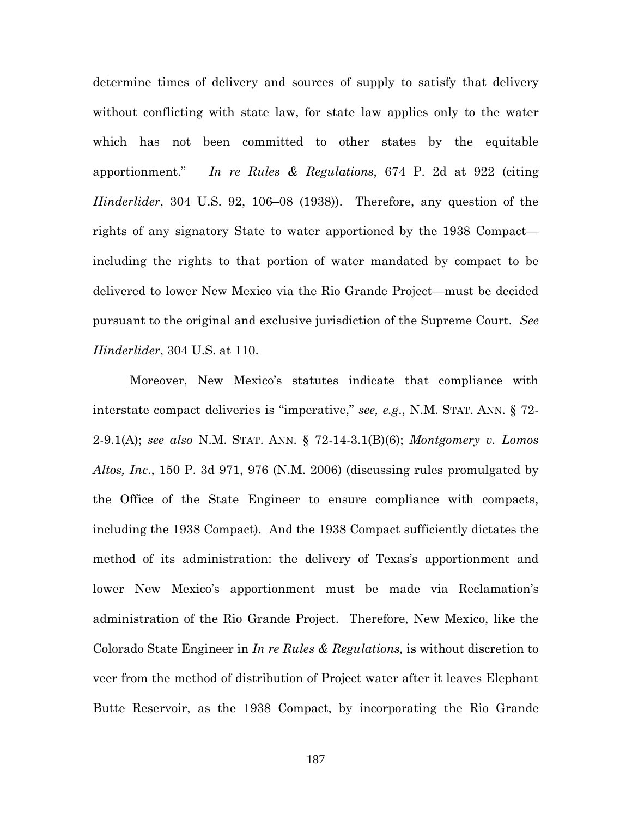determine times of delivery and sources of supply to satisfy that delivery without conflicting with state law, for state law applies only to the water which has not been committed to other states by the equitable apportionment." *In re Rules & Regulations*, 674 P. 2d at 922 (citing *Hinderlider*, 304 U.S. 92, 106–08 (1938)). Therefore, any question of the rights of any signatory State to water apportioned by the 1938 Compact including the rights to that portion of water mandated by compact to be delivered to lower New Mexico via the Rio Grande Project—must be decided pursuant to the original and exclusive jurisdiction of the Supreme Court. *See Hinderlider*, 304 U.S. at 110.

Moreover, New Mexico's statutes indicate that compliance with interstate compact deliveries is "imperative," *see, e.g*., N.M. STAT. ANN. § 72- 2-9.1(A); *see also* N.M. STAT. ANN. § 72-14-3.1(B)(6); *Montgomery v. Lomos Altos, Inc*., 150 P. 3d 971, 976 (N.M. 2006) (discussing rules promulgated by the Office of the State Engineer to ensure compliance with compacts, including the 1938 Compact). And the 1938 Compact sufficiently dictates the method of its administration: the delivery of Texas's apportionment and lower New Mexico's apportionment must be made via Reclamation's administration of the Rio Grande Project. Therefore, New Mexico, like the Colorado State Engineer in *In re Rules & Regulations,* is without discretion to veer from the method of distribution of Project water after it leaves Elephant Butte Reservoir, as the 1938 Compact, by incorporating the Rio Grande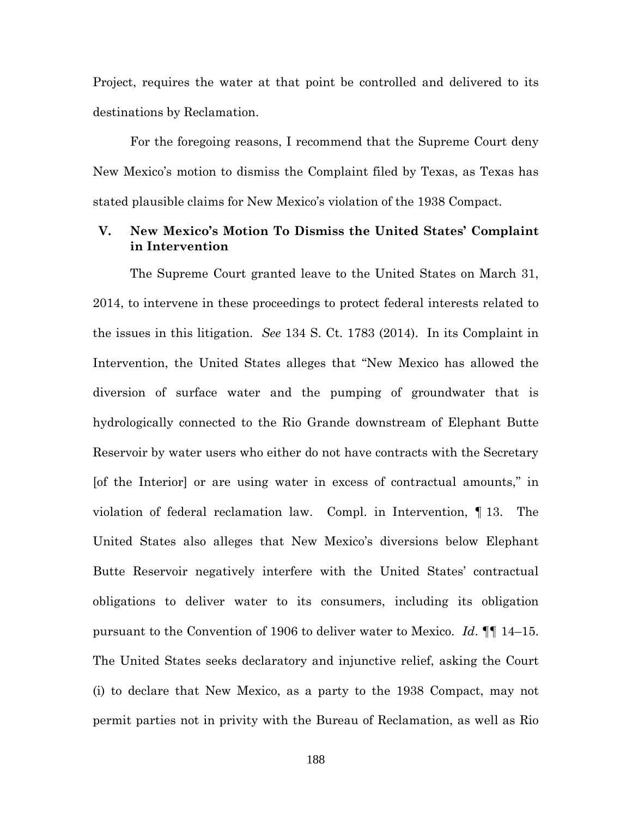Project, requires the water at that point be controlled and delivered to its destinations by Reclamation.

For the foregoing reasons, I recommend that the Supreme Court deny New Mexico's motion to dismiss the Complaint filed by Texas, as Texas has stated plausible claims for New Mexico's violation of the 1938 Compact.

## **V. New Mexico's Motion To Dismiss the United States' Complaint in Intervention**

The Supreme Court granted leave to the United States on March 31, 2014, to intervene in these proceedings to protect federal interests related to the issues in this litigation. *See* 134 S. Ct. 1783 (2014). In its Complaint in Intervention, the United States alleges that "New Mexico has allowed the diversion of surface water and the pumping of groundwater that is hydrologically connected to the Rio Grande downstream of Elephant Butte Reservoir by water users who either do not have contracts with the Secretary [of the Interior] or are using water in excess of contractual amounts," in violation of federal reclamation law. Compl. in Intervention, ¶ 13. The United States also alleges that New Mexico's diversions below Elephant Butte Reservoir negatively interfere with the United States' contractual obligations to deliver water to its consumers, including its obligation pursuant to the Convention of 1906 to deliver water to Mexico. *Id*. ¶¶ 14–15. The United States seeks declaratory and injunctive relief, asking the Court (i) to declare that New Mexico, as a party to the 1938 Compact, may not permit parties not in privity with the Bureau of Reclamation, as well as Rio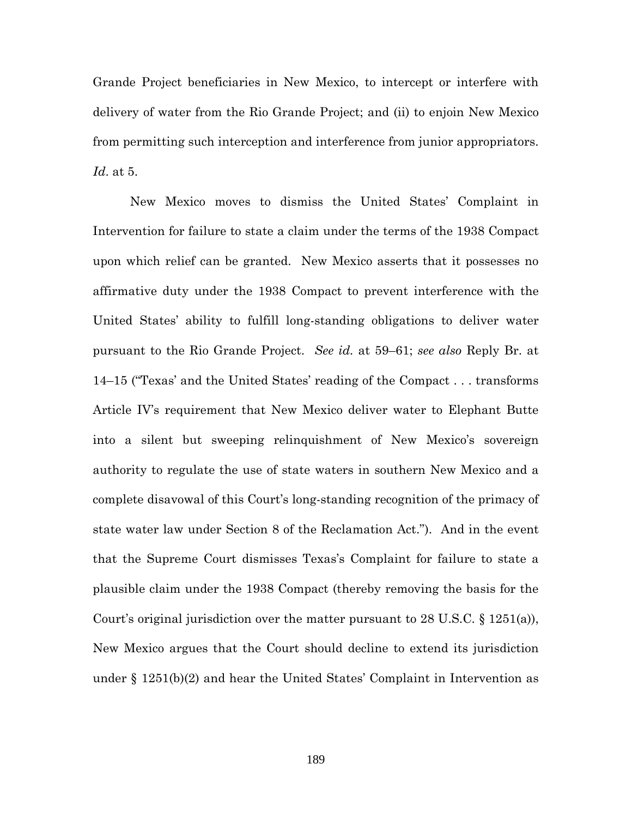Grande Project beneficiaries in New Mexico, to intercept or interfere with delivery of water from the Rio Grande Project; and (ii) to enjoin New Mexico from permitting such interception and interference from junior appropriators. *Id*. at 5.

New Mexico moves to dismiss the United States' Complaint in Intervention for failure to state a claim under the terms of the 1938 Compact upon which relief can be granted. New Mexico asserts that it possesses no affirmative duty under the 1938 Compact to prevent interference with the United States' ability to fulfill long-standing obligations to deliver water pursuant to the Rio Grande Project. *See id.* at 59–61; *see also* Reply Br. at 14–15 ("Texas' and the United States' reading of the Compact . . . transforms Article IV's requirement that New Mexico deliver water to Elephant Butte into a silent but sweeping relinquishment of New Mexico's sovereign authority to regulate the use of state waters in southern New Mexico and a complete disavowal of this Court's long-standing recognition of the primacy of state water law under Section 8 of the Reclamation Act."). And in the event that the Supreme Court dismisses Texas's Complaint for failure to state a plausible claim under the 1938 Compact (thereby removing the basis for the Court's original jurisdiction over the matter pursuant to 28 U.S.C. § 1251(a)), New Mexico argues that the Court should decline to extend its jurisdiction under  $\S 1251(b)(2)$  and hear the United States' Complaint in Intervention as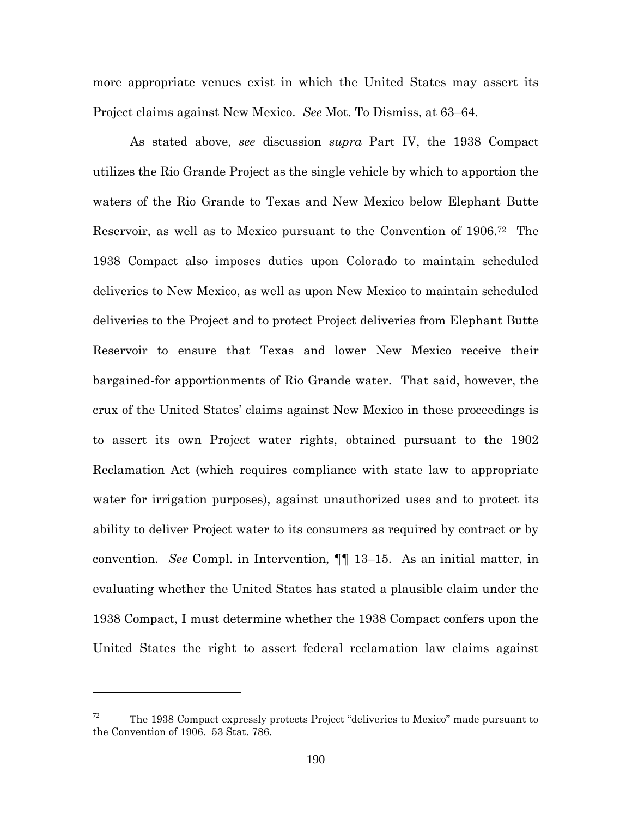more appropriate venues exist in which the United States may assert its Project claims against New Mexico. *See* Mot. To Dismiss, at 63–64.

As stated above, *see* discussion *supra* Part IV, the 1938 Compact utilizes the Rio Grande Project as the single vehicle by which to apportion the waters of the Rio Grande to Texas and New Mexico below Elephant Butte Reservoir, as well as to Mexico pursuant to the Convention of 1906.<sup>72</sup> The 1938 Compact also imposes duties upon Colorado to maintain scheduled deliveries to New Mexico, as well as upon New Mexico to maintain scheduled deliveries to the Project and to protect Project deliveries from Elephant Butte Reservoir to ensure that Texas and lower New Mexico receive their bargained-for apportionments of Rio Grande water. That said, however, the crux of the United States' claims against New Mexico in these proceedings is to assert its own Project water rights, obtained pursuant to the 1902 Reclamation Act (which requires compliance with state law to appropriate water for irrigation purposes), against unauthorized uses and to protect its ability to deliver Project water to its consumers as required by contract or by convention. *See* Compl. in Intervention, ¶¶ 13–15. As an initial matter, in evaluating whether the United States has stated a plausible claim under the 1938 Compact, I must determine whether the 1938 Compact confers upon the United States the right to assert federal reclamation law claims against

 $72$  The 1938 Compact expressly protects Project "deliveries to Mexico" made pursuant to the Convention of 1906. 53 Stat. 786.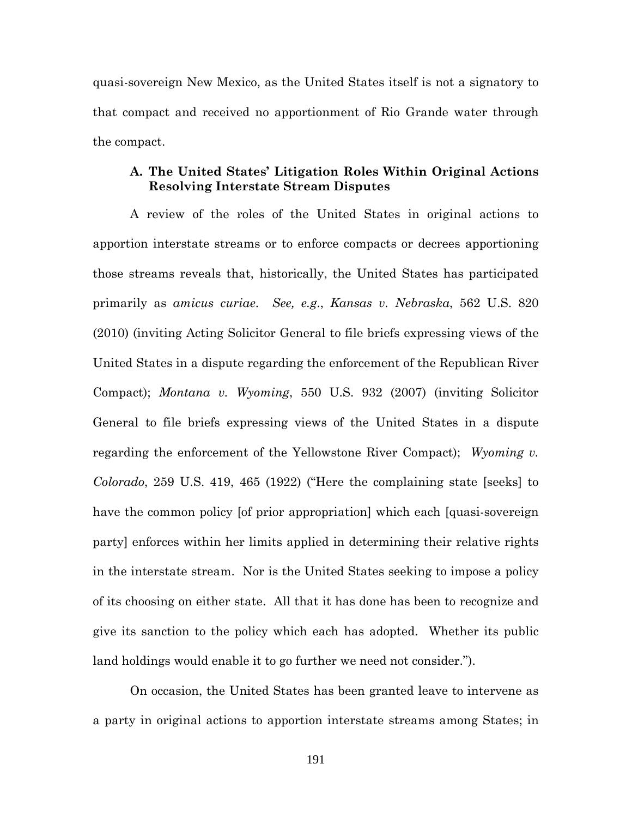quasi-sovereign New Mexico, as the United States itself is not a signatory to that compact and received no apportionment of Rio Grande water through the compact.

### **A. The United States' Litigation Roles Within Original Actions Resolving Interstate Stream Disputes**

A review of the roles of the United States in original actions to apportion interstate streams or to enforce compacts or decrees apportioning those streams reveals that, historically, the United States has participated primarily as *amicus curiae*. *See, e.g*., *Kansas v. Nebraska*, 562 U.S. 820 (2010) (inviting Acting Solicitor General to file briefs expressing views of the United States in a dispute regarding the enforcement of the Republican River Compact); *Montana v. Wyoming*, 550 U.S. 932 (2007) (inviting Solicitor General to file briefs expressing views of the United States in a dispute regarding the enforcement of the Yellowstone River Compact); *Wyoming v. Colorado*, 259 U.S. 419, 465 (1922) ("Here the complaining state [seeks] to have the common policy [of prior appropriation] which each [quasi-sovereign party] enforces within her limits applied in determining their relative rights in the interstate stream. Nor is the United States seeking to impose a policy of its choosing on either state. All that it has done has been to recognize and give its sanction to the policy which each has adopted. Whether its public land holdings would enable it to go further we need not consider.").

On occasion, the United States has been granted leave to intervene as a party in original actions to apportion interstate streams among States; in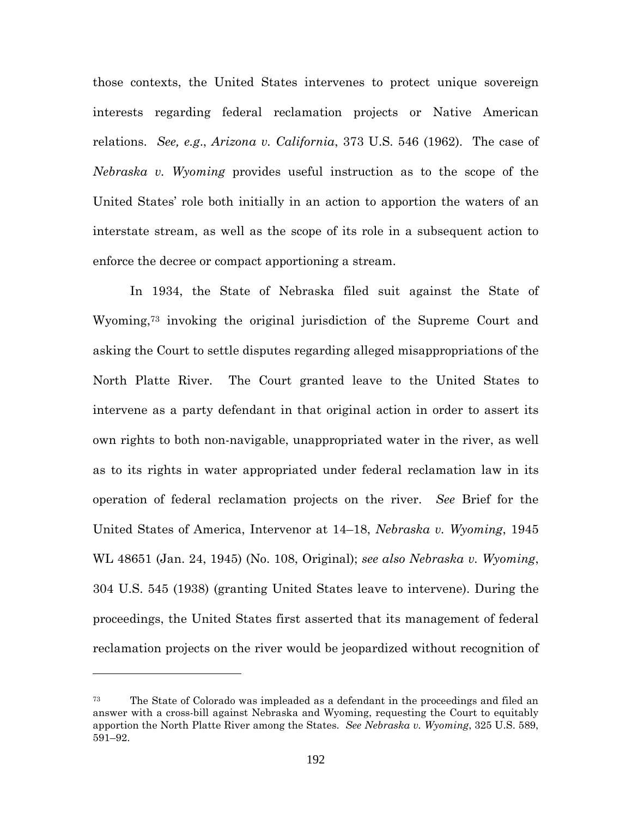those contexts, the United States intervenes to protect unique sovereign interests regarding federal reclamation projects or Native American relations. *See, e.g*., *Arizona v. California*, 373 U.S. 546 (1962). The case of *Nebraska v. Wyoming* provides useful instruction as to the scope of the United States' role both initially in an action to apportion the waters of an interstate stream, as well as the scope of its role in a subsequent action to enforce the decree or compact apportioning a stream.

In 1934, the State of Nebraska filed suit against the State of Wyoming,<sup>73</sup> invoking the original jurisdiction of the Supreme Court and asking the Court to settle disputes regarding alleged misappropriations of the North Platte River. The Court granted leave to the United States to intervene as a party defendant in that original action in order to assert its own rights to both non-navigable, unappropriated water in the river, as well as to its rights in water appropriated under federal reclamation law in its operation of federal reclamation projects on the river. *See* Brief for the United States of America, Intervenor at 14–18, *Nebraska v. Wyoming*, 1945 WL 48651 (Jan. 24, 1945) (No. 108, Original); *see also Nebraska v. Wyoming*, 304 U.S. 545 (1938) (granting United States leave to intervene). During the proceedings, the United States first asserted that its management of federal reclamation projects on the river would be jeopardized without recognition of

<sup>73</sup> The State of Colorado was impleaded as a defendant in the proceedings and filed an answer with a cross-bill against Nebraska and Wyoming, requesting the Court to equitably apportion the North Platte River among the States. *See Nebraska v. Wyoming*, 325 U.S. 589, 591–92.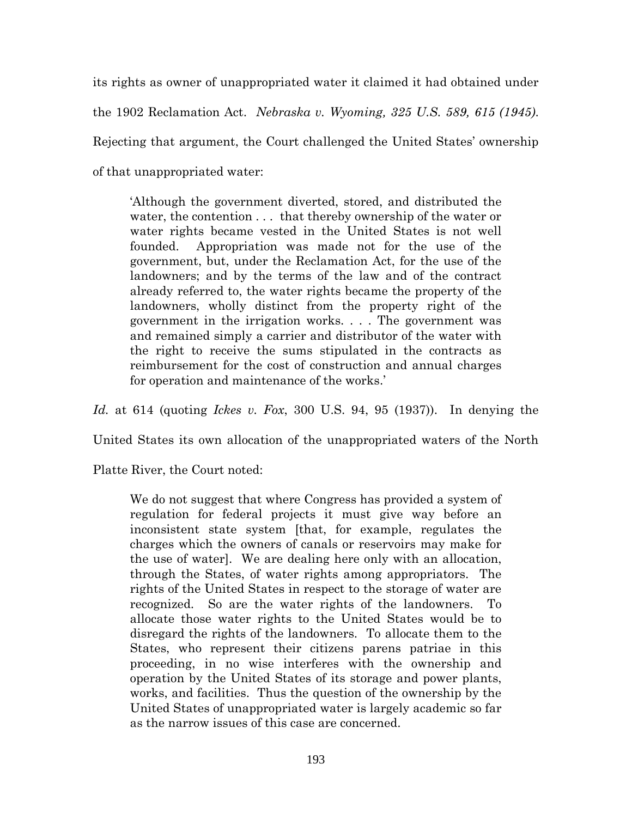its rights as owner of unappropriated water it claimed it had obtained under the 1902 Reclamation Act. *Nebraska v. Wyoming, 325 U.S. 589, 615 (1945)*. Rejecting that argument, the Court challenged the United States' ownership of that unappropriated water:

'Although the government diverted, stored, and distributed the water, the contention . . . that thereby ownership of the water or water rights became vested in the United States is not well founded. Appropriation was made not for the use of the government, but, under the Reclamation Act, for the use of the landowners; and by the terms of the law and of the contract already referred to, the water rights became the property of the landowners, wholly distinct from the property right of the government in the irrigation works. . . . The government was and remained simply a carrier and distributor of the water with the right to receive the sums stipulated in the contracts as reimbursement for the cost of construction and annual charges for operation and maintenance of the works.'

*Id.* at 614 (quoting *Ickes v. Fox*, 300 U.S. 94, 95 (1937)). In denying the

United States its own allocation of the unappropriated waters of the North

Platte River, the Court noted:

We do not suggest that where Congress has provided a system of regulation for federal projects it must give way before an inconsistent state system [that, for example, regulates the charges which the owners of canals or reservoirs may make for the use of water]. We are dealing here only with an allocation, through the States, of water rights among appropriators. The rights of the United States in respect to the storage of water are recognized. So are the water rights of the landowners. To allocate those water rights to the United States would be to disregard the rights of the landowners. To allocate them to the States, who represent their citizens parens patriae in this proceeding, in no wise interferes with the ownership and operation by the United States of its storage and power plants, works, and facilities. Thus the question of the ownership by the United States of unappropriated water is largely academic so far as the narrow issues of this case are concerned.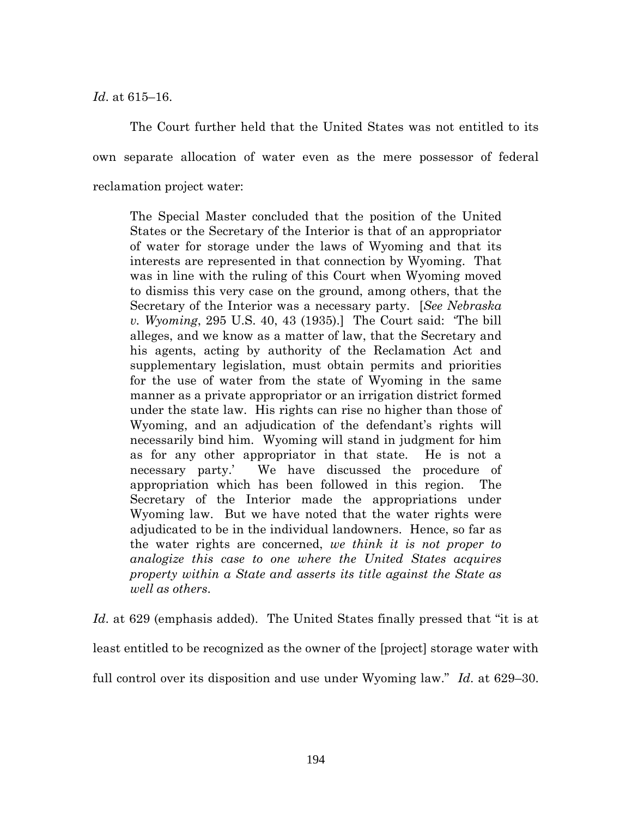*Id*. at 615–16.

The Court further held that the United States was not entitled to its own separate allocation of water even as the mere possessor of federal reclamation project water:

The Special Master concluded that the position of the United States or the Secretary of the Interior is that of an appropriator of water for storage under the laws of Wyoming and that its interests are represented in that connection by Wyoming. That was in line with the ruling of this Court when Wyoming moved to dismiss this very case on the ground, among others, that the Secretary of the Interior was a necessary party. [*See Nebraska v. Wyoming*, 295 U.S. 40, 43 (1935).] The Court said: 'The bill alleges, and we know as a matter of law, that the Secretary and his agents, acting by authority of the Reclamation Act and supplementary legislation, must obtain permits and priorities for the use of water from the state of Wyoming in the same manner as a private appropriator or an irrigation district formed under the state law. His rights can rise no higher than those of Wyoming, and an adjudication of the defendant's rights will necessarily bind him. Wyoming will stand in judgment for him as for any other appropriator in that state. He is not a necessary party.' We have discussed the procedure of appropriation which has been followed in this region. The Secretary of the Interior made the appropriations under Wyoming law. But we have noted that the water rights were adjudicated to be in the individual landowners. Hence, so far as the water rights are concerned, *we think it is not proper to analogize this case to one where the United States acquires property within a State and asserts its title against the State as well as others*.

*Id*. at 629 (emphasis added). The United States finally pressed that "it is at least entitled to be recognized as the owner of the [project] storage water with full control over its disposition and use under Wyoming law." *Id*. at 629–30.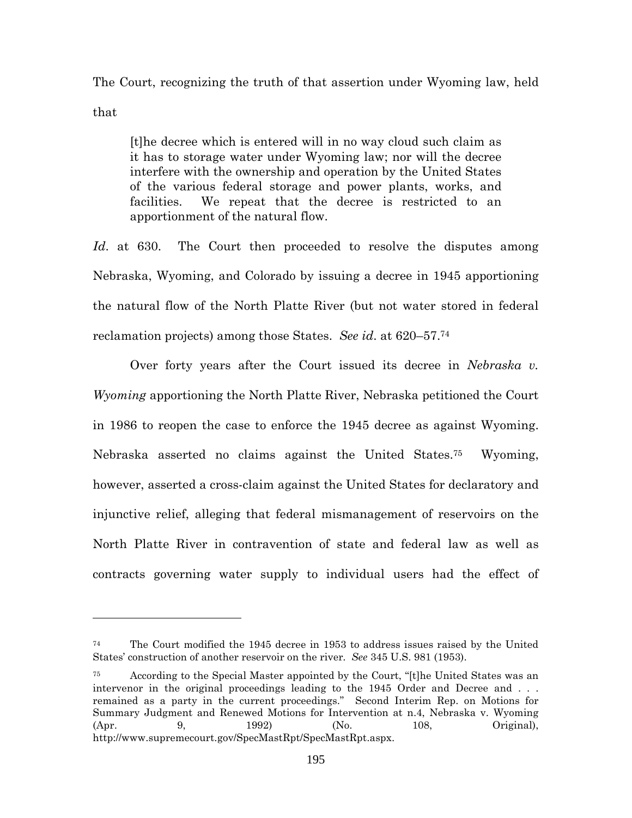The Court, recognizing the truth of that assertion under Wyoming law, held that

[t]he decree which is entered will in no way cloud such claim as it has to storage water under Wyoming law; nor will the decree interfere with the ownership and operation by the United States of the various federal storage and power plants, works, and facilities. We repeat that the decree is restricted to an apportionment of the natural flow.

Id. at 630. The Court then proceeded to resolve the disputes among Nebraska, Wyoming, and Colorado by issuing a decree in 1945 apportioning the natural flow of the North Platte River (but not water stored in federal reclamation projects) among those States. *See id*. at 620–57.<sup>74</sup>

Over forty years after the Court issued its decree in *Nebraska v. Wyoming* apportioning the North Platte River, Nebraska petitioned the Court in 1986 to reopen the case to enforce the 1945 decree as against Wyoming. Nebraska asserted no claims against the United States.<sup>75</sup> Wyoming, however, asserted a cross-claim against the United States for declaratory and injunctive relief, alleging that federal mismanagement of reservoirs on the North Platte River in contravention of state and federal law as well as contracts governing water supply to individual users had the effect of

<sup>74</sup> The Court modified the 1945 decree in 1953 to address issues raised by the United States' construction of another reservoir on the river. *See* 345 U.S. 981 (1953).

<sup>75</sup> According to the Special Master appointed by the Court, "[t]he United States was an intervenor in the original proceedings leading to the 1945 Order and Decree and ... remained as a party in the current proceedings." Second Interim Rep. on Motions for Summary Judgment and Renewed Motions for Intervention at n.4, Nebraska v. Wyoming (Apr. 9, 1992) (No. 108, Original), http://www.supremecourt.gov/SpecMastRpt/SpecMastRpt.aspx.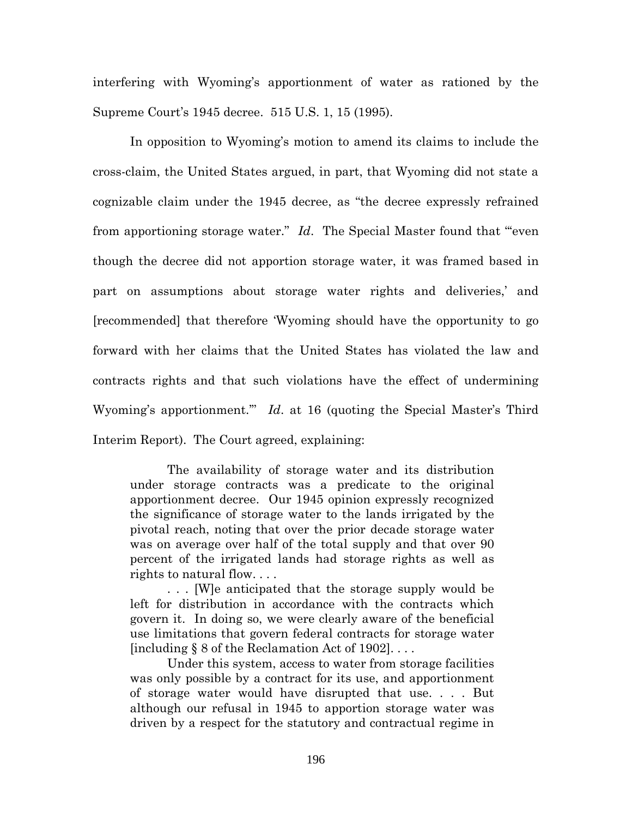interfering with Wyoming's apportionment of water as rationed by the Supreme Court's 1945 decree. 515 U.S. 1, 15 (1995).

In opposition to Wyoming's motion to amend its claims to include the cross-claim, the United States argued, in part, that Wyoming did not state a cognizable claim under the 1945 decree, as "the decree expressly refrained from apportioning storage water." *Id*. The Special Master found that "'even though the decree did not apportion storage water, it was framed based in part on assumptions about storage water rights and deliveries,' and [recommended] that therefore 'Wyoming should have the opportunity to go forward with her claims that the United States has violated the law and contracts rights and that such violations have the effect of undermining Wyoming's apportionment.'" *Id*. at 16 (quoting the Special Master's Third Interim Report). The Court agreed, explaining:

The availability of storage water and its distribution under storage contracts was a predicate to the original apportionment decree. Our 1945 opinion expressly recognized the significance of storage water to the lands irrigated by the pivotal reach, noting that over the prior decade storage water was on average over half of the total supply and that over 90 percent of the irrigated lands had storage rights as well as rights to natural flow. . . .

. . . [W]e anticipated that the storage supply would be left for distribution in accordance with the contracts which govern it. In doing so, we were clearly aware of the beneficial use limitations that govern federal contracts for storage water [including  $\S 8$  of the Reclamation Act of 1902]...

Under this system, access to water from storage facilities was only possible by a contract for its use, and apportionment of storage water would have disrupted that use. . . . But although our refusal in 1945 to apportion storage water was driven by a respect for the statutory and contractual regime in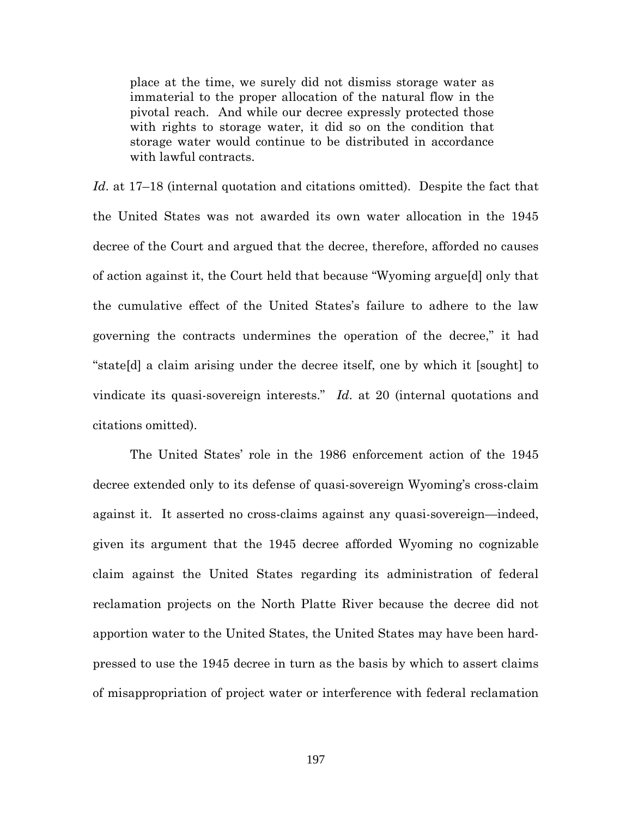place at the time, we surely did not dismiss storage water as immaterial to the proper allocation of the natural flow in the pivotal reach. And while our decree expressly protected those with rights to storage water, it did so on the condition that storage water would continue to be distributed in accordance with lawful contracts.

*Id*. at 17–18 (internal quotation and citations omitted). Despite the fact that the United States was not awarded its own water allocation in the 1945 decree of the Court and argued that the decree, therefore, afforded no causes of action against it, the Court held that because "Wyoming argue[d] only that the cumulative effect of the United States's failure to adhere to the law governing the contracts undermines the operation of the decree," it had "state[d] a claim arising under the decree itself, one by which it [sought] to vindicate its quasi-sovereign interests." *Id*. at 20 (internal quotations and citations omitted).

The United States' role in the 1986 enforcement action of the 1945 decree extended only to its defense of quasi-sovereign Wyoming's cross-claim against it. It asserted no cross-claims against any quasi-sovereign—indeed, given its argument that the 1945 decree afforded Wyoming no cognizable claim against the United States regarding its administration of federal reclamation projects on the North Platte River because the decree did not apportion water to the United States, the United States may have been hardpressed to use the 1945 decree in turn as the basis by which to assert claims of misappropriation of project water or interference with federal reclamation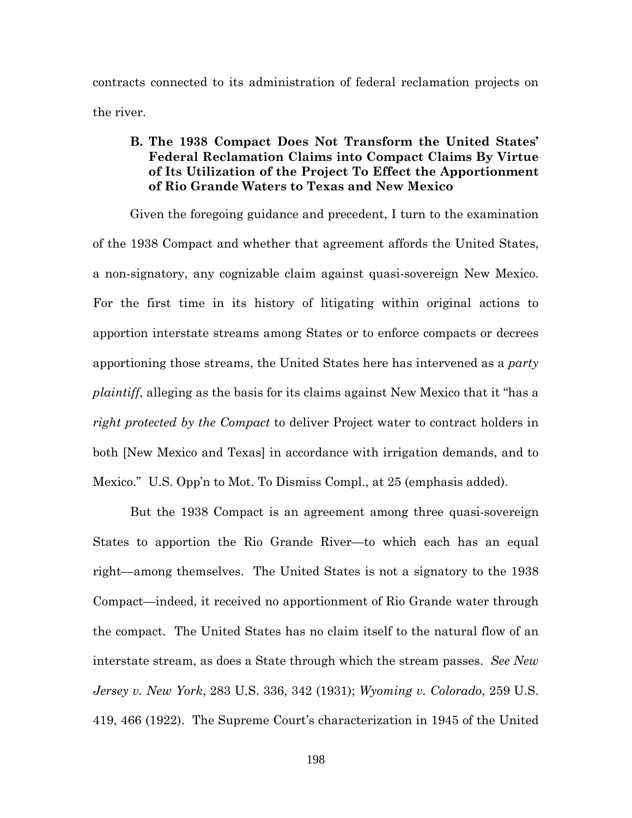contracts connected to its administration of federal reclamation projects on the river.

# **B. The 1938 Compact Does Not Transform the United States' Federal Reclamation Claims into Compact Claims By Virtue of Its Utilization of the Project To Effect the Apportionment of Rio Grande Waters to Texas and New Mexico**

Given the foregoing guidance and precedent, I turn to the examination of the 1938 Compact and whether that agreement affords the United States, a non-signatory, any cognizable claim against quasi-sovereign New Mexico. For the first time in its history of litigating within original actions to apportion interstate streams among States or to enforce compacts or decrees apportioning those streams, the United States here has intervened as a *party plaintiff*, alleging as the basis for its claims against New Mexico that it "has a *right protected by the Compact* to deliver Project water to contract holders in both [New Mexico and Texas] in accordance with irrigation demands, and to Mexico." U.S. Opp'n to Mot. To Dismiss Compl., at 25 (emphasis added).

But the 1938 Compact is an agreement among three quasi-sovereign States to apportion the Rio Grande River—to which each has an equal right—among themselves. The United States is not a signatory to the 1938 Compact—indeed, it received no apportionment of Rio Grande water through the compact. The United States has no claim itself to the natural flow of an interstate stream, as does a State through which the stream passes. *See New Jersey v. New York*, 283 U.S. 336, 342 (1931); *Wyoming v. Colorado*, 259 U.S. 419, 466 (1922). The Supreme Court's characterization in 1945 of the United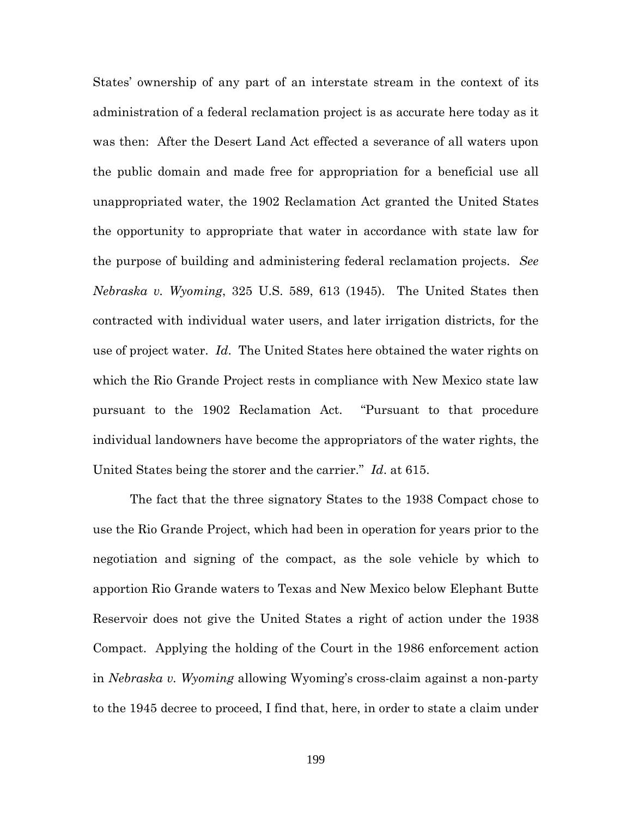States' ownership of any part of an interstate stream in the context of its administration of a federal reclamation project is as accurate here today as it was then: After the Desert Land Act effected a severance of all waters upon the public domain and made free for appropriation for a beneficial use all unappropriated water, the 1902 Reclamation Act granted the United States the opportunity to appropriate that water in accordance with state law for the purpose of building and administering federal reclamation projects. *See Nebraska v. Wyoming*, 325 U.S. 589, 613 (1945). The United States then contracted with individual water users, and later irrigation districts, for the use of project water. *Id*. The United States here obtained the water rights on which the Rio Grande Project rests in compliance with New Mexico state law pursuant to the 1902 Reclamation Act. "Pursuant to that procedure individual landowners have become the appropriators of the water rights, the United States being the storer and the carrier." *Id*. at 615.

The fact that the three signatory States to the 1938 Compact chose to use the Rio Grande Project, which had been in operation for years prior to the negotiation and signing of the compact, as the sole vehicle by which to apportion Rio Grande waters to Texas and New Mexico below Elephant Butte Reservoir does not give the United States a right of action under the 1938 Compact. Applying the holding of the Court in the 1986 enforcement action in *Nebraska v. Wyoming* allowing Wyoming's cross-claim against a non-party to the 1945 decree to proceed, I find that, here, in order to state a claim under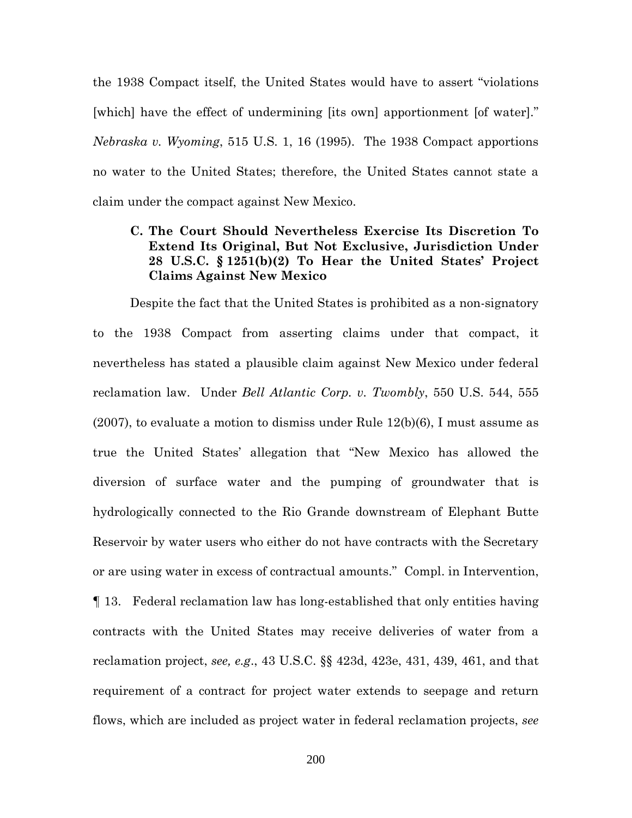the 1938 Compact itself, the United States would have to assert "violations [which] have the effect of undermining [its own] apportionment [of water]." *Nebraska v. Wyoming*, 515 U.S. 1, 16 (1995). The 1938 Compact apportions no water to the United States; therefore, the United States cannot state a claim under the compact against New Mexico.

# **C. The Court Should Nevertheless Exercise Its Discretion To Extend Its Original, But Not Exclusive, Jurisdiction Under 28 U.S.C. § 1251(b)(2) To Hear the United States' Project Claims Against New Mexico**

Despite the fact that the United States is prohibited as a non-signatory to the 1938 Compact from asserting claims under that compact, it nevertheless has stated a plausible claim against New Mexico under federal reclamation law. Under *Bell Atlantic Corp. v. Twombly*, 550 U.S. 544, 555 (2007), to evaluate a motion to dismiss under Rule 12(b)(6), I must assume as true the United States' allegation that "New Mexico has allowed the diversion of surface water and the pumping of groundwater that is hydrologically connected to the Rio Grande downstream of Elephant Butte Reservoir by water users who either do not have contracts with the Secretary or are using water in excess of contractual amounts." Compl. in Intervention, ¶ 13. Federal reclamation law has long-established that only entities having contracts with the United States may receive deliveries of water from a reclamation project, *see, e.g*., 43 U.S.C. §§ 423d, 423e, 431, 439, 461, and that requirement of a contract for project water extends to seepage and return flows, which are included as project water in federal reclamation projects, *see*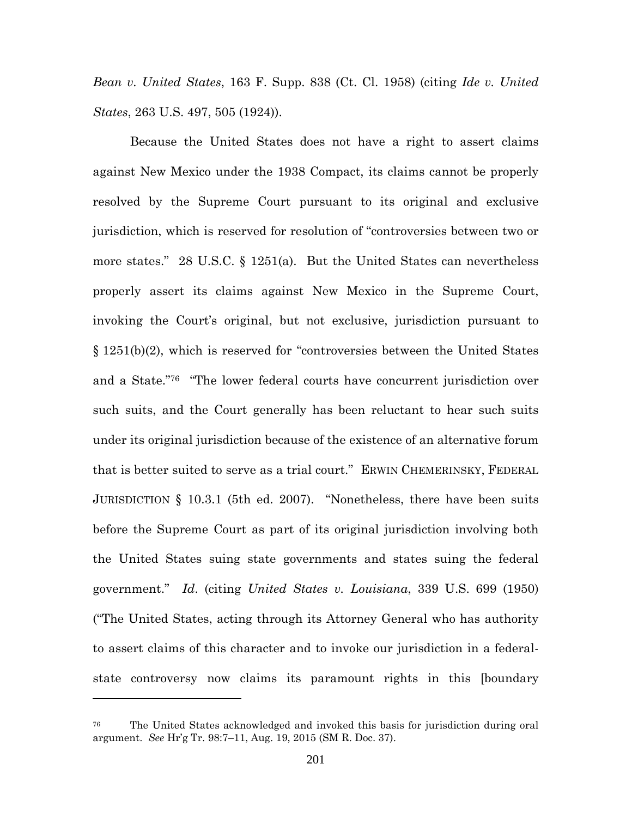*Bean v. United States*, 163 F. Supp. 838 (Ct. Cl. 1958) (citing *Ide v. United States*, 263 U.S. 497, 505 (1924)).

Because the United States does not have a right to assert claims against New Mexico under the 1938 Compact, its claims cannot be properly resolved by the Supreme Court pursuant to its original and exclusive jurisdiction, which is reserved for resolution of "controversies between two or more states." 28 U.S.C. § 1251(a). But the United States can nevertheless properly assert its claims against New Mexico in the Supreme Court, invoking the Court's original, but not exclusive, jurisdiction pursuant to § 1251(b)(2), which is reserved for "controversies between the United States and a State."<sup>76</sup> "The lower federal courts have concurrent jurisdiction over such suits, and the Court generally has been reluctant to hear such suits under its original jurisdiction because of the existence of an alternative forum that is better suited to serve as a trial court." ERWIN CHEMERINSKY, FEDERAL JURISDICTION § 10.3.1 (5th ed. 2007). "Nonetheless, there have been suits before the Supreme Court as part of its original jurisdiction involving both the United States suing state governments and states suing the federal government." *Id*. (citing *United States v. Louisiana*, 339 U.S. 699 (1950) ("The United States, acting through its Attorney General who has authority to assert claims of this character and to invoke our jurisdiction in a federalstate controversy now claims its paramount rights in this [boundary

<sup>76</sup> The United States acknowledged and invoked this basis for jurisdiction during oral argument. *See* Hr'g Tr. 98:7–11, Aug. 19, 2015 (SM R. Doc. 37).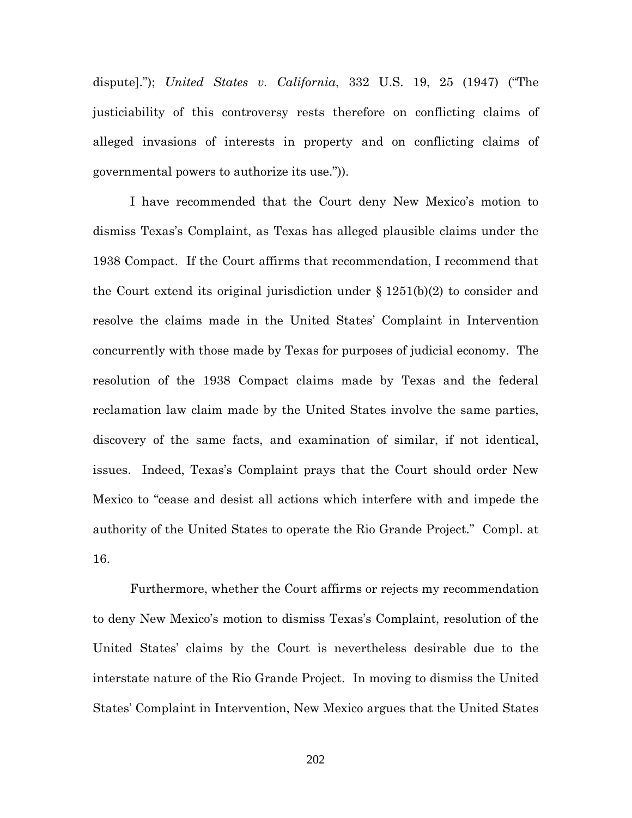dispute]."); *United States v. California*, 332 U.S. 19, 25 (1947) ("The justiciability of this controversy rests therefore on conflicting claims of alleged invasions of interests in property and on conflicting claims of governmental powers to authorize its use.")).

I have recommended that the Court deny New Mexico's motion to dismiss Texas's Complaint, as Texas has alleged plausible claims under the 1938 Compact. If the Court affirms that recommendation, I recommend that the Court extend its original jurisdiction under  $\S 1251(b)(2)$  to consider and resolve the claims made in the United States' Complaint in Intervention concurrently with those made by Texas for purposes of judicial economy. The resolution of the 1938 Compact claims made by Texas and the federal reclamation law claim made by the United States involve the same parties, discovery of the same facts, and examination of similar, if not identical, issues. Indeed, Texas's Complaint prays that the Court should order New Mexico to "cease and desist all actions which interfere with and impede the authority of the United States to operate the Rio Grande Project." Compl. at 16.

Furthermore, whether the Court affirms or rejects my recommendation to deny New Mexico's motion to dismiss Texas's Complaint, resolution of the United States' claims by the Court is nevertheless desirable due to the interstate nature of the Rio Grande Project. In moving to dismiss the United States' Complaint in Intervention, New Mexico argues that the United States

202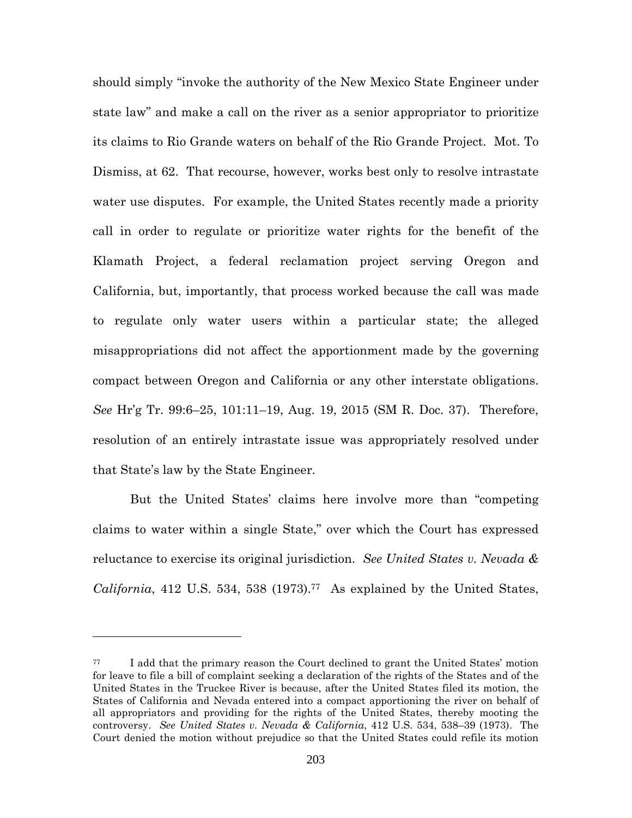should simply "invoke the authority of the New Mexico State Engineer under state law" and make a call on the river as a senior appropriator to prioritize its claims to Rio Grande waters on behalf of the Rio Grande Project. Mot. To Dismiss, at 62. That recourse, however, works best only to resolve intrastate water use disputes. For example, the United States recently made a priority call in order to regulate or prioritize water rights for the benefit of the Klamath Project, a federal reclamation project serving Oregon and California, but, importantly, that process worked because the call was made to regulate only water users within a particular state; the alleged misappropriations did not affect the apportionment made by the governing compact between Oregon and California or any other interstate obligations. *See* Hr'g Tr. 99:6–25, 101:11–19, Aug. 19, 2015 (SM R. Doc. 37). Therefore, resolution of an entirely intrastate issue was appropriately resolved under that State's law by the State Engineer.

But the United States' claims here involve more than "competing claims to water within a single State," over which the Court has expressed reluctance to exercise its original jurisdiction. *See United States v. Nevada & California*, 412 U.S. 534, 538 (1973).<sup>77</sup> As explained by the United States,

<sup>77</sup> I add that the primary reason the Court declined to grant the United States' motion for leave to file a bill of complaint seeking a declaration of the rights of the States and of the United States in the Truckee River is because, after the United States filed its motion, the States of California and Nevada entered into a compact apportioning the river on behalf of all appropriators and providing for the rights of the United States, thereby mooting the controversy. *See United States v. Nevada & California*, 412 U.S. 534, 538–39 (1973). The Court denied the motion without prejudice so that the United States could refile its motion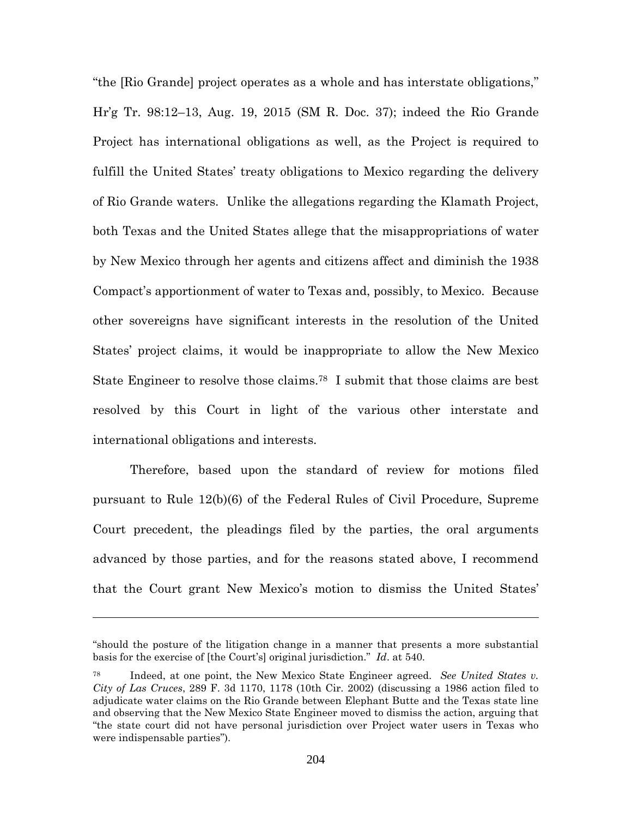"the [Rio Grande] project operates as a whole and has interstate obligations," Hr'g Tr. 98:12–13, Aug. 19, 2015 (SM R. Doc. 37); indeed the Rio Grande Project has international obligations as well, as the Project is required to fulfill the United States' treaty obligations to Mexico regarding the delivery of Rio Grande waters. Unlike the allegations regarding the Klamath Project, both Texas and the United States allege that the misappropriations of water by New Mexico through her agents and citizens affect and diminish the 1938 Compact's apportionment of water to Texas and, possibly, to Mexico. Because other sovereigns have significant interests in the resolution of the United States' project claims, it would be inappropriate to allow the New Mexico State Engineer to resolve those claims.<sup>78</sup> I submit that those claims are best resolved by this Court in light of the various other interstate and international obligations and interests.

Therefore, based upon the standard of review for motions filed pursuant to Rule 12(b)(6) of the Federal Rules of Civil Procedure, Supreme Court precedent, the pleadings filed by the parties, the oral arguments advanced by those parties, and for the reasons stated above, I recommend that the Court grant New Mexico's motion to dismiss the United States'

<sup>&</sup>quot;should the posture of the litigation change in a manner that presents a more substantial basis for the exercise of [the Court's] original jurisdiction." *Id*. at 540.

<sup>78</sup> Indeed, at one point, the New Mexico State Engineer agreed. *See United States v. City of Las Cruces*, 289 F. 3d 1170, 1178 (10th Cir. 2002) (discussing a 1986 action filed to adjudicate water claims on the Rio Grande between Elephant Butte and the Texas state line and observing that the New Mexico State Engineer moved to dismiss the action, arguing that "the state court did not have personal jurisdiction over Project water users in Texas who were indispensable parties").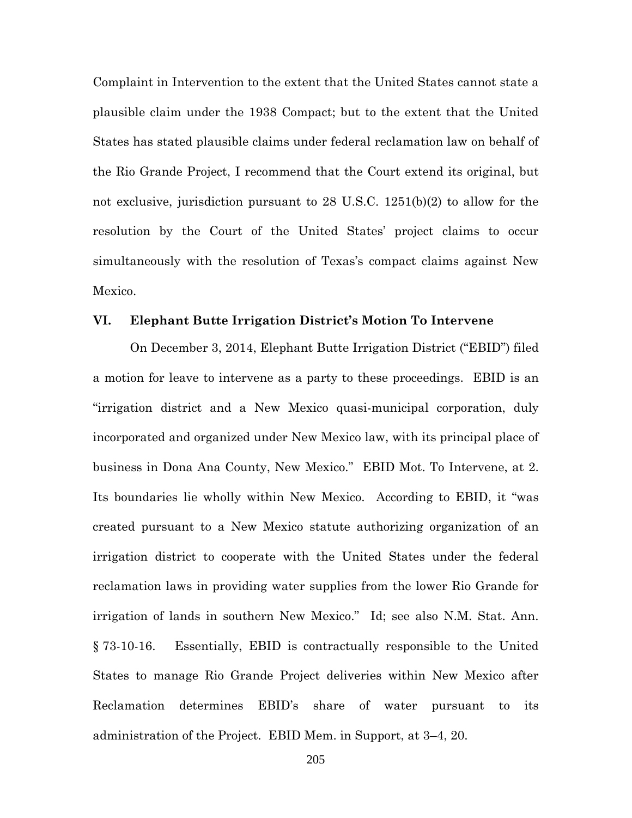Complaint in Intervention to the extent that the United States cannot state a plausible claim under the 1938 Compact; but to the extent that the United States has stated plausible claims under federal reclamation law on behalf of the Rio Grande Project, I recommend that the Court extend its original, but not exclusive, jurisdiction pursuant to 28 U.S.C. 1251(b)(2) to allow for the resolution by the Court of the United States' project claims to occur simultaneously with the resolution of Texas's compact claims against New Mexico.

#### **VI. Elephant Butte Irrigation District's Motion To Intervene**

On December 3, 2014, Elephant Butte Irrigation District ("EBID") filed a motion for leave to intervene as a party to these proceedings. EBID is an "irrigation district and a New Mexico quasi-municipal corporation, duly incorporated and organized under New Mexico law, with its principal place of business in Dona Ana County, New Mexico." EBID Mot. To Intervene, at 2. Its boundaries lie wholly within New Mexico. According to EBID, it "was created pursuant to a New Mexico statute authorizing organization of an irrigation district to cooperate with the United States under the federal reclamation laws in providing water supplies from the lower Rio Grande for irrigation of lands in southern New Mexico." Id; see also N.M. Stat. Ann. § 73-10-16. Essentially, EBID is contractually responsible to the United States to manage Rio Grande Project deliveries within New Mexico after Reclamation determines EBID's share of water pursuant to its administration of the Project. EBID Mem. in Support, at 3–4, 20.

205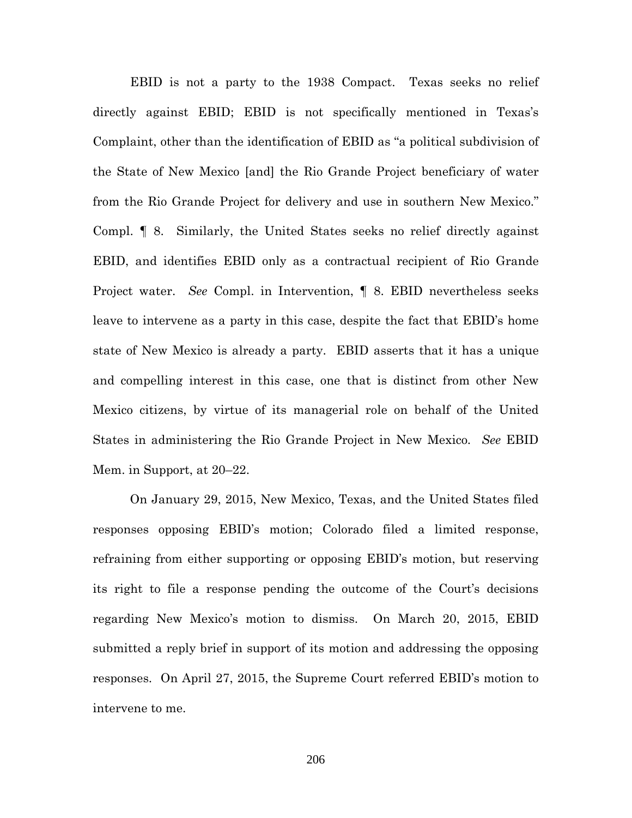EBID is not a party to the 1938 Compact. Texas seeks no relief directly against EBID; EBID is not specifically mentioned in Texas's Complaint, other than the identification of EBID as "a political subdivision of the State of New Mexico [and] the Rio Grande Project beneficiary of water from the Rio Grande Project for delivery and use in southern New Mexico." Compl. ¶ 8. Similarly, the United States seeks no relief directly against EBID, and identifies EBID only as a contractual recipient of Rio Grande Project water. *See* Compl. in Intervention, ¶ 8. EBID nevertheless seeks leave to intervene as a party in this case, despite the fact that EBID's home state of New Mexico is already a party. EBID asserts that it has a unique and compelling interest in this case, one that is distinct from other New Mexico citizens, by virtue of its managerial role on behalf of the United States in administering the Rio Grande Project in New Mexico. *See* EBID Mem. in Support, at 20–22.

On January 29, 2015, New Mexico, Texas, and the United States filed responses opposing EBID's motion; Colorado filed a limited response, refraining from either supporting or opposing EBID's motion, but reserving its right to file a response pending the outcome of the Court's decisions regarding New Mexico's motion to dismiss. On March 20, 2015, EBID submitted a reply brief in support of its motion and addressing the opposing responses. On April 27, 2015, the Supreme Court referred EBID's motion to intervene to me.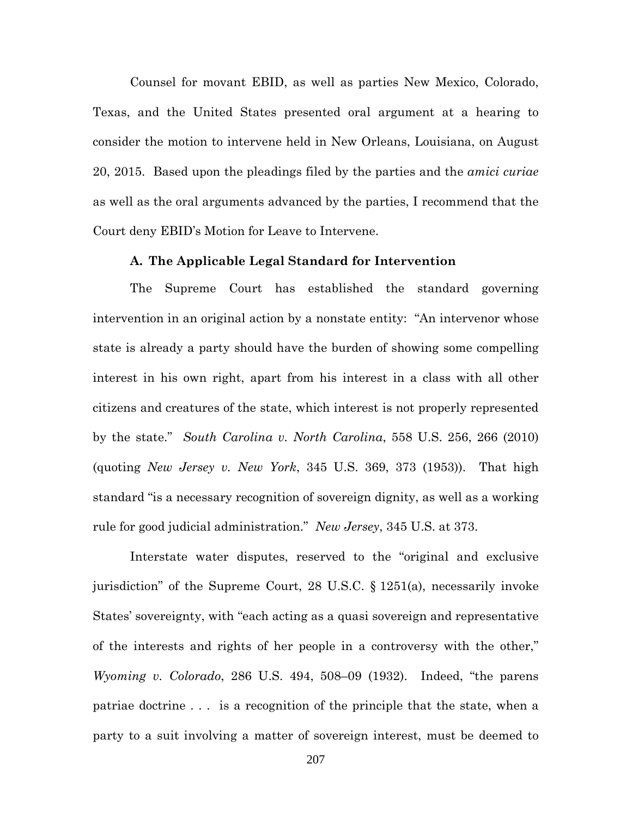Counsel for movant EBID, as well as parties New Mexico, Colorado, Texas, and the United States presented oral argument at a hearing to consider the motion to intervene held in New Orleans, Louisiana, on August 20, 2015. Based upon the pleadings filed by the parties and the *amici curiae* as well as the oral arguments advanced by the parties, I recommend that the Court deny EBID's Motion for Leave to Intervene.

### **A. The Applicable Legal Standard for Intervention**

The Supreme Court has established the standard governing intervention in an original action by a nonstate entity: "An intervenor whose state is already a party should have the burden of showing some compelling interest in his own right, apart from his interest in a class with all other citizens and creatures of the state, which interest is not properly represented by the state." *South Carolina v. North Carolina*, 558 U.S. 256, 266 (2010) (quoting *New Jersey v. New York*, 345 U.S. 369, 373 (1953)). That high standard "is a necessary recognition of sovereign dignity, as well as a working rule for good judicial administration." *New Jersey*, 345 U.S. at 373.

Interstate water disputes, reserved to the "original and exclusive jurisdiction" of the Supreme Court, 28 U.S.C. § 1251(a), necessarily invoke States' sovereignty, with "each acting as a quasi sovereign and representative of the interests and rights of her people in a controversy with the other," *Wyoming v. Colorado*, 286 U.S. 494, 508–09 (1932). Indeed, "the parens patriae doctrine . . . is a recognition of the principle that the state, when a party to a suit involving a matter of sovereign interest, must be deemed to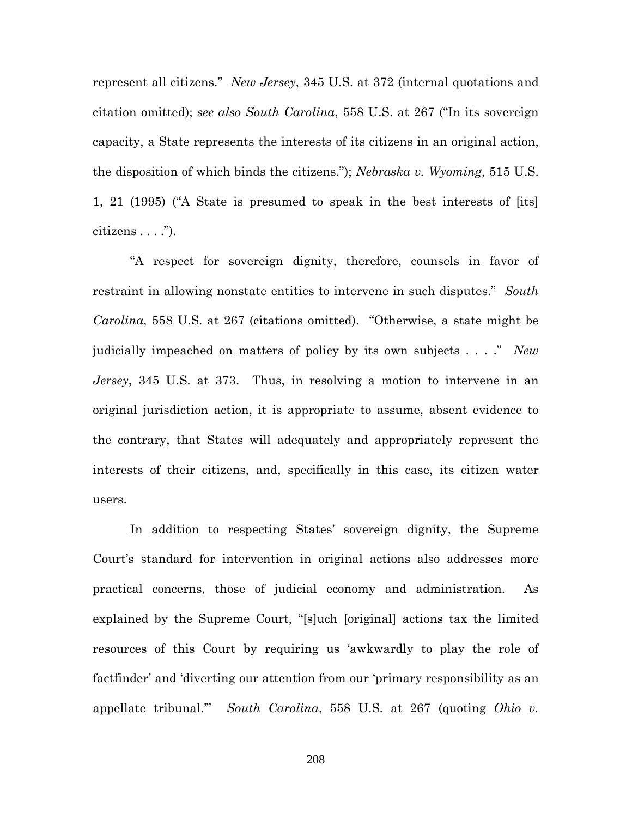represent all citizens." *New Jersey*, 345 U.S. at 372 (internal quotations and citation omitted); *see also South Carolina*, 558 U.S. at 267 ("In its sovereign capacity, a State represents the interests of its citizens in an original action, the disposition of which binds the citizens."); *Nebraska v. Wyoming*, 515 U.S. 1, 21 (1995) ("A State is presumed to speak in the best interests of [its] citizens . . . .").

"A respect for sovereign dignity, therefore, counsels in favor of restraint in allowing nonstate entities to intervene in such disputes." *South Carolina*, 558 U.S. at 267 (citations omitted). "Otherwise, a state might be judicially impeached on matters of policy by its own subjects . . . ." *New Jersey*, 345 U.S. at 373. Thus, in resolving a motion to intervene in an original jurisdiction action, it is appropriate to assume, absent evidence to the contrary, that States will adequately and appropriately represent the interests of their citizens, and, specifically in this case, its citizen water users.

In addition to respecting States' sovereign dignity, the Supreme Court's standard for intervention in original actions also addresses more practical concerns, those of judicial economy and administration. As explained by the Supreme Court, "[s]uch [original] actions tax the limited resources of this Court by requiring us 'awkwardly to play the role of factfinder' and 'diverting our attention from our 'primary responsibility as an appellate tribunal.'" *South Carolina*, 558 U.S. at 267 (quoting *Ohio v.*

208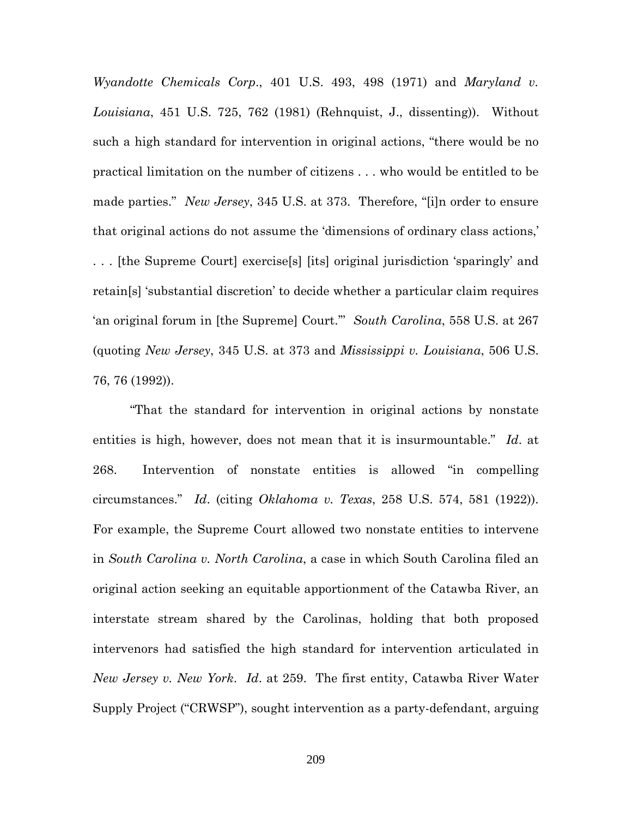*Wyandotte Chemicals Corp*., 401 U.S. 493, 498 (1971) and *Maryland v. Louisiana*, 451 U.S. 725, 762 (1981) (Rehnquist, J., dissenting)). Without such a high standard for intervention in original actions, "there would be no practical limitation on the number of citizens . . . who would be entitled to be made parties." *New Jersey*, 345 U.S. at 373. Therefore, "[i]n order to ensure that original actions do not assume the 'dimensions of ordinary class actions,' . . . [the Supreme Court] exercise[s] [its] original jurisdiction 'sparingly' and retain[s] 'substantial discretion' to decide whether a particular claim requires 'an original forum in [the Supreme] Court.'" *South Carolina*, 558 U.S. at 267 (quoting *New Jersey*, 345 U.S. at 373 and *Mississippi v. Louisiana*, 506 U.S. 76, 76 (1992)).

"That the standard for intervention in original actions by nonstate entities is high, however, does not mean that it is insurmountable." *Id*. at 268. Intervention of nonstate entities is allowed "in compelling circumstances." *Id*. (citing *Oklahoma v. Texas*, 258 U.S. 574, 581 (1922)). For example, the Supreme Court allowed two nonstate entities to intervene in *South Carolina v. North Carolina*, a case in which South Carolina filed an original action seeking an equitable apportionment of the Catawba River, an interstate stream shared by the Carolinas, holding that both proposed intervenors had satisfied the high standard for intervention articulated in *New Jersey v. New York*. *Id*. at 259. The first entity, Catawba River Water Supply Project ("CRWSP"), sought intervention as a party-defendant, arguing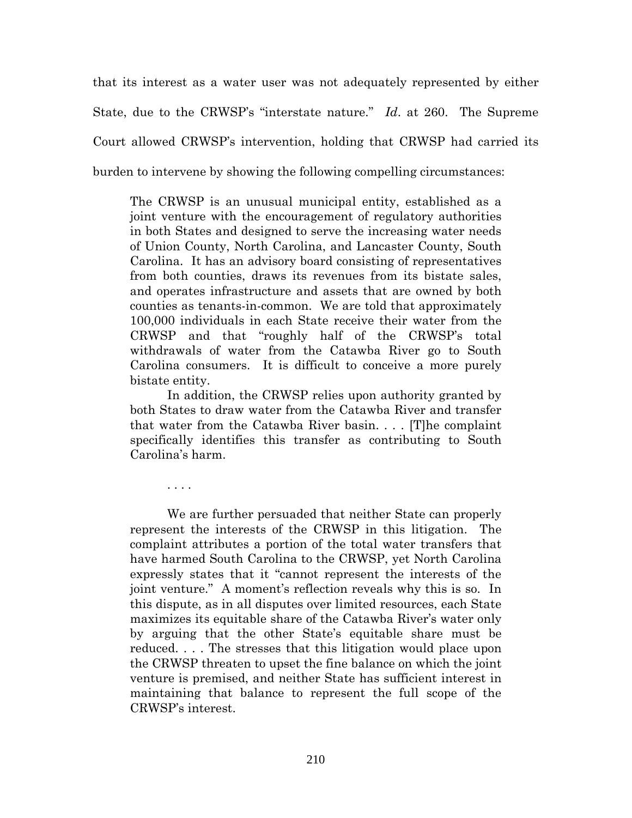that its interest as a water user was not adequately represented by either State, due to the CRWSP's "interstate nature." *Id*. at 260. The Supreme Court allowed CRWSP's intervention, holding that CRWSP had carried its burden to intervene by showing the following compelling circumstances:

The CRWSP is an unusual municipal entity, established as a joint venture with the encouragement of regulatory authorities in both States and designed to serve the increasing water needs of Union County, North Carolina, and Lancaster County, South Carolina. It has an advisory board consisting of representatives from both counties, draws its revenues from its bistate sales, and operates infrastructure and assets that are owned by both counties as tenants-in-common. We are told that approximately 100,000 individuals in each State receive their water from the CRWSP and that "roughly half of the CRWSP's total withdrawals of water from the Catawba River go to South Carolina consumers. It is difficult to conceive a more purely bistate entity.

In addition, the CRWSP relies upon authority granted by both States to draw water from the Catawba River and transfer that water from the Catawba River basin. . . . [T]he complaint specifically identifies this transfer as contributing to South Carolina's harm.

. . . .

We are further persuaded that neither State can properly represent the interests of the CRWSP in this litigation. The complaint attributes a portion of the total water transfers that have harmed South Carolina to the CRWSP, yet North Carolina expressly states that it "cannot represent the interests of the joint venture." A moment's reflection reveals why this is so. In this dispute, as in all disputes over limited resources, each State maximizes its equitable share of the Catawba River's water only by arguing that the other State's equitable share must be reduced. . . . The stresses that this litigation would place upon the CRWSP threaten to upset the fine balance on which the joint venture is premised, and neither State has sufficient interest in maintaining that balance to represent the full scope of the CRWSP's interest.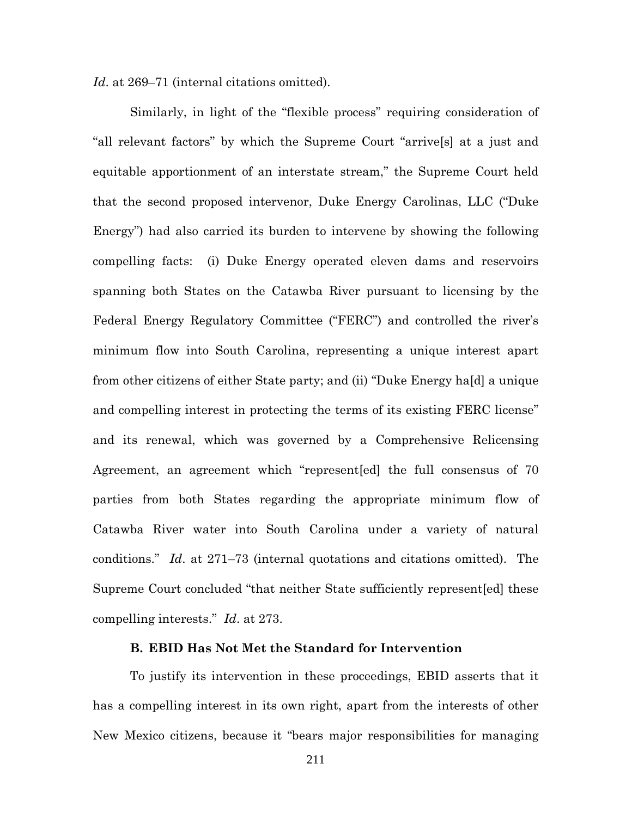*Id*. at 269–71 (internal citations omitted).

Similarly, in light of the "flexible process" requiring consideration of "all relevant factors" by which the Supreme Court "arrive[s] at a just and equitable apportionment of an interstate stream," the Supreme Court held that the second proposed intervenor, Duke Energy Carolinas, LLC ("Duke Energy") had also carried its burden to intervene by showing the following compelling facts: (i) Duke Energy operated eleven dams and reservoirs spanning both States on the Catawba River pursuant to licensing by the Federal Energy Regulatory Committee ("FERC") and controlled the river's minimum flow into South Carolina, representing a unique interest apart from other citizens of either State party; and (ii) "Duke Energy ha[d] a unique and compelling interest in protecting the terms of its existing FERC license" and its renewal, which was governed by a Comprehensive Relicensing Agreement, an agreement which "represent[ed] the full consensus of 70 parties from both States regarding the appropriate minimum flow of Catawba River water into South Carolina under a variety of natural conditions." *Id*. at 271–73 (internal quotations and citations omitted). The Supreme Court concluded "that neither State sufficiently represent[ed] these compelling interests." *Id*. at 273.

### **B. EBID Has Not Met the Standard for Intervention**

To justify its intervention in these proceedings, EBID asserts that it has a compelling interest in its own right, apart from the interests of other New Mexico citizens, because it "bears major responsibilities for managing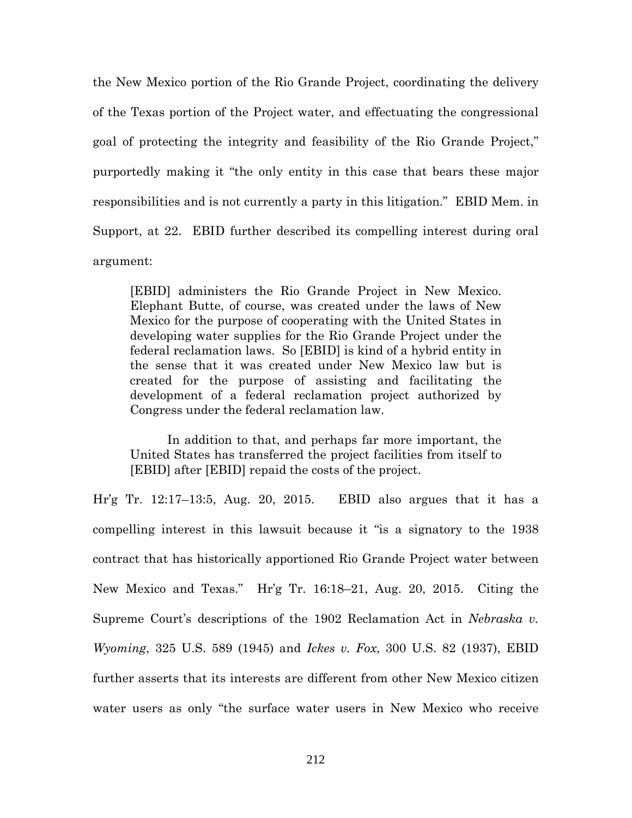the New Mexico portion of the Rio Grande Project, coordinating the delivery of the Texas portion of the Project water, and effectuating the congressional goal of protecting the integrity and feasibility of the Rio Grande Project," purportedly making it "the only entity in this case that bears these major responsibilities and is not currently a party in this litigation." EBID Mem. in Support, at 22. EBID further described its compelling interest during oral argument:

[EBID] administers the Rio Grande Project in New Mexico. Elephant Butte, of course, was created under the laws of New Mexico for the purpose of cooperating with the United States in developing water supplies for the Rio Grande Project under the federal reclamation laws. So [EBID] is kind of a hybrid entity in the sense that it was created under New Mexico law but is created for the purpose of assisting and facilitating the development of a federal reclamation project authorized by Congress under the federal reclamation law.

In addition to that, and perhaps far more important, the United States has transferred the project facilities from itself to [EBID] after [EBID] repaid the costs of the project.

Hr'g Tr. 12:17–13:5, Aug. 20, 2015. EBID also argues that it has a compelling interest in this lawsuit because it "is a signatory to the 1938 contract that has historically apportioned Rio Grande Project water between New Mexico and Texas." Hr'g Tr. 16:18–21, Aug. 20, 2015. Citing the Supreme Court's descriptions of the 1902 Reclamation Act in *Nebraska v. Wyoming*, 325 U.S. 589 (1945) and *Ickes v. Fox*, 300 U.S. 82 (1937), EBID further asserts that its interests are different from other New Mexico citizen water users as only "the surface water users in New Mexico who receive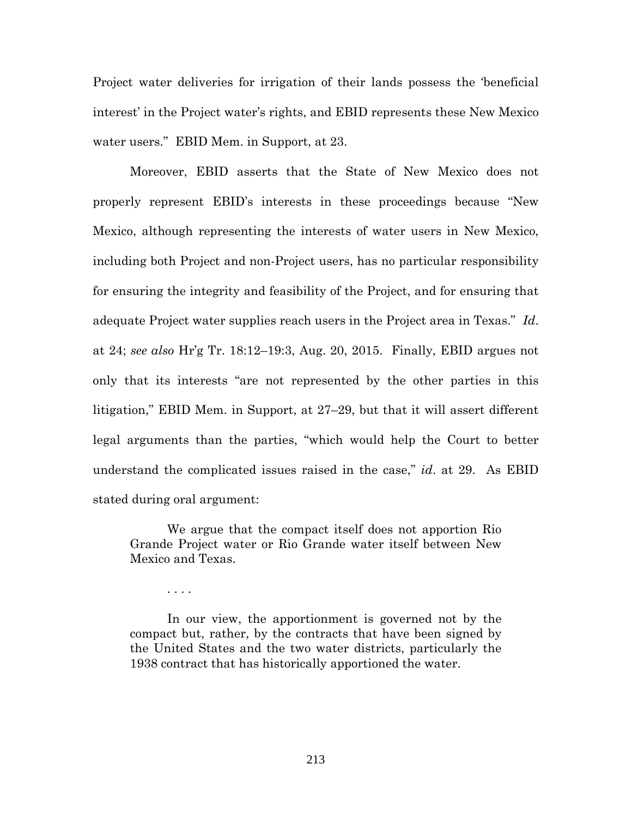Project water deliveries for irrigation of their lands possess the 'beneficial interest' in the Project water's rights, and EBID represents these New Mexico water users." EBID Mem. in Support, at 23.

Moreover, EBID asserts that the State of New Mexico does not properly represent EBID's interests in these proceedings because "New Mexico, although representing the interests of water users in New Mexico, including both Project and non-Project users, has no particular responsibility for ensuring the integrity and feasibility of the Project, and for ensuring that adequate Project water supplies reach users in the Project area in Texas." *Id*. at 24; *see also* Hr'g Tr. 18:12–19:3, Aug. 20, 2015. Finally, EBID argues not only that its interests "are not represented by the other parties in this litigation," EBID Mem. in Support, at 27–29, but that it will assert different legal arguments than the parties, "which would help the Court to better understand the complicated issues raised in the case," *id*. at 29. As EBID stated during oral argument:

We argue that the compact itself does not apportion Rio Grande Project water or Rio Grande water itself between New Mexico and Texas.

. . . .

In our view, the apportionment is governed not by the compact but, rather, by the contracts that have been signed by the United States and the two water districts, particularly the 1938 contract that has historically apportioned the water.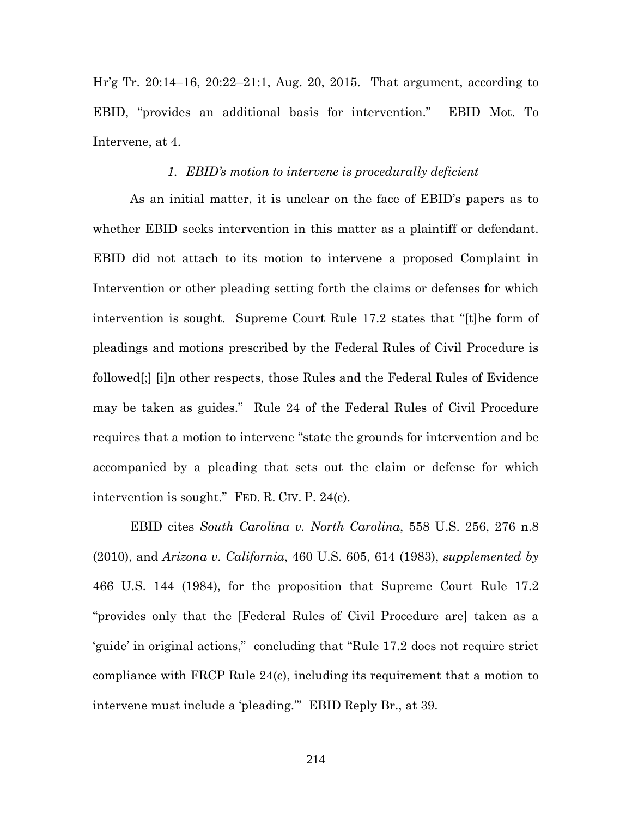Hr'g Tr. 20:14–16, 20:22–21:1, Aug. 20, 2015. That argument, according to EBID, "provides an additional basis for intervention." EBID Mot. To Intervene, at 4.

#### *1. EBID's motion to intervene is procedurally deficient*

As an initial matter, it is unclear on the face of EBID's papers as to whether EBID seeks intervention in this matter as a plaintiff or defendant. EBID did not attach to its motion to intervene a proposed Complaint in Intervention or other pleading setting forth the claims or defenses for which intervention is sought. Supreme Court Rule 17.2 states that "[t]he form of pleadings and motions prescribed by the Federal Rules of Civil Procedure is followed[;] [i]n other respects, those Rules and the Federal Rules of Evidence may be taken as guides." Rule 24 of the Federal Rules of Civil Procedure requires that a motion to intervene "state the grounds for intervention and be accompanied by a pleading that sets out the claim or defense for which intervention is sought." FED. R. CIV. P. 24(c).

EBID cites *South Carolina v. North Carolina*, 558 U.S. 256, 276 n.8 (2010), and *Arizona v. California*, 460 U.S. 605, 614 (1983), *supplemented by* 466 U.S. 144 (1984), for the proposition that Supreme Court Rule 17.2 "provides only that the [Federal Rules of Civil Procedure are] taken as a 'guide' in original actions," concluding that "Rule 17.2 does not require strict compliance with FRCP Rule 24(c), including its requirement that a motion to intervene must include a 'pleading.'" EBID Reply Br., at 39.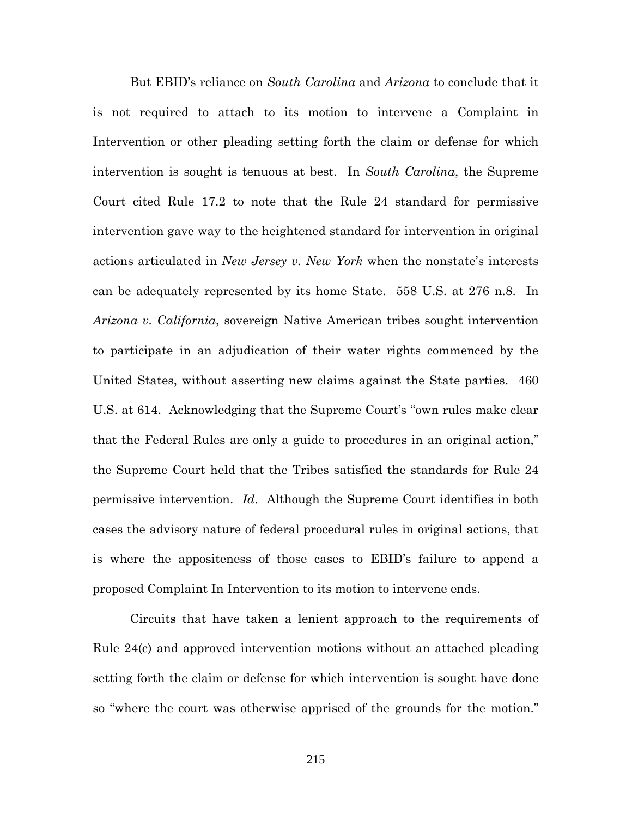But EBID's reliance on *South Carolina* and *Arizona* to conclude that it is not required to attach to its motion to intervene a Complaint in Intervention or other pleading setting forth the claim or defense for which intervention is sought is tenuous at best. In *South Carolina*, the Supreme Court cited Rule 17.2 to note that the Rule 24 standard for permissive intervention gave way to the heightened standard for intervention in original actions articulated in *New Jersey v. New York* when the nonstate's interests can be adequately represented by its home State. 558 U.S. at 276 n.8. In *Arizona v. California*, sovereign Native American tribes sought intervention to participate in an adjudication of their water rights commenced by the United States, without asserting new claims against the State parties. 460 U.S. at 614. Acknowledging that the Supreme Court's "own rules make clear that the Federal Rules are only a guide to procedures in an original action," the Supreme Court held that the Tribes satisfied the standards for Rule 24 permissive intervention. *Id*. Although the Supreme Court identifies in both cases the advisory nature of federal procedural rules in original actions, that is where the appositeness of those cases to EBID's failure to append a proposed Complaint In Intervention to its motion to intervene ends.

Circuits that have taken a lenient approach to the requirements of Rule 24(c) and approved intervention motions without an attached pleading setting forth the claim or defense for which intervention is sought have done so "where the court was otherwise apprised of the grounds for the motion."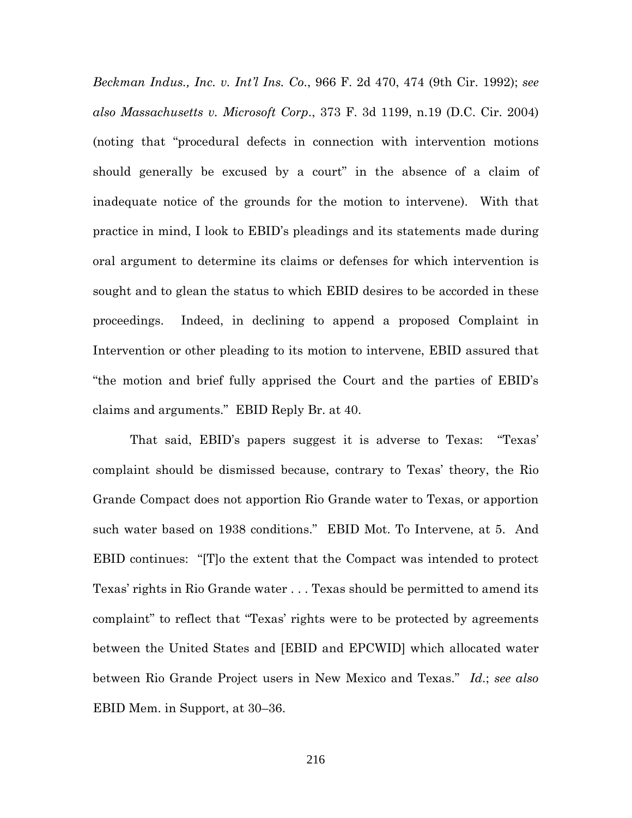*Beckman Indus., Inc. v. Int'l Ins. Co*., 966 F. 2d 470, 474 (9th Cir. 1992); *see also Massachusetts v. Microsoft Corp*., 373 F. 3d 1199, n.19 (D.C. Cir. 2004) (noting that "procedural defects in connection with intervention motions should generally be excused by a court" in the absence of a claim of inadequate notice of the grounds for the motion to intervene). With that practice in mind, I look to EBID's pleadings and its statements made during oral argument to determine its claims or defenses for which intervention is sought and to glean the status to which EBID desires to be accorded in these proceedings. Indeed, in declining to append a proposed Complaint in Intervention or other pleading to its motion to intervene, EBID assured that "the motion and brief fully apprised the Court and the parties of EBID's claims and arguments." EBID Reply Br. at 40.

That said, EBID's papers suggest it is adverse to Texas: "Texas' complaint should be dismissed because, contrary to Texas' theory, the Rio Grande Compact does not apportion Rio Grande water to Texas, or apportion such water based on 1938 conditions." EBID Mot. To Intervene, at 5. And EBID continues: "[T]o the extent that the Compact was intended to protect Texas' rights in Rio Grande water . . . Texas should be permitted to amend its complaint" to reflect that "Texas' rights were to be protected by agreements between the United States and [EBID and EPCWID] which allocated water between Rio Grande Project users in New Mexico and Texas." *Id*.; *see also* EBID Mem. in Support, at 30–36.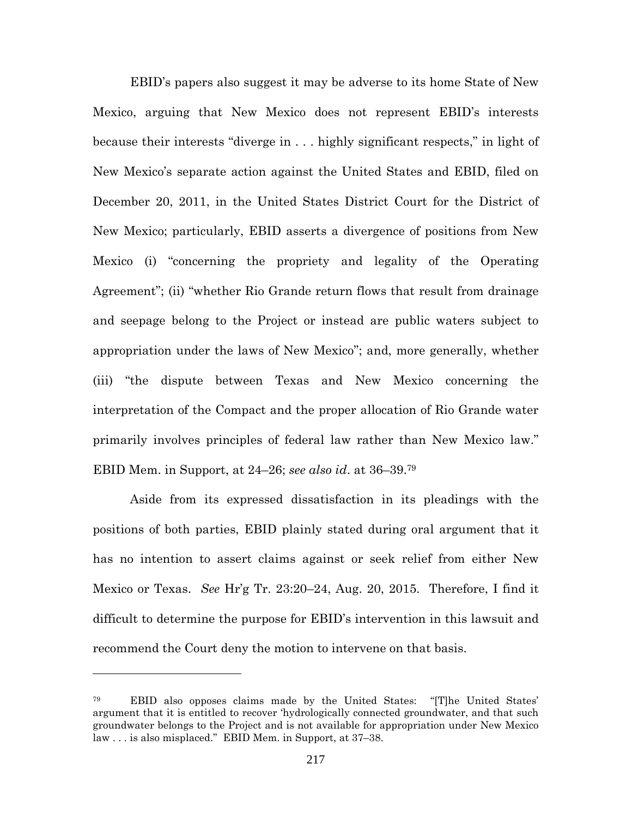EBID's papers also suggest it may be adverse to its home State of New Mexico, arguing that New Mexico does not represent EBID's interests because their interests "diverge in . . . highly significant respects," in light of New Mexico's separate action against the United States and EBID, filed on December 20, 2011, in the United States District Court for the District of New Mexico; particularly, EBID asserts a divergence of positions from New Mexico (i) "concerning the propriety and legality of the Operating Agreement"; (ii) "whether Rio Grande return flows that result from drainage and seepage belong to the Project or instead are public waters subject to appropriation under the laws of New Mexico"; and, more generally, whether (iii) "the dispute between Texas and New Mexico concerning the interpretation of the Compact and the proper allocation of Rio Grande water primarily involves principles of federal law rather than New Mexico law." EBID Mem. in Support, at 24–26; *see also id*. at 36–39.<sup>79</sup>

Aside from its expressed dissatisfaction in its pleadings with the positions of both parties, EBID plainly stated during oral argument that it has no intention to assert claims against or seek relief from either New Mexico or Texas. *See* Hr'g Tr. 23:20–24, Aug. 20, 2015. Therefore, I find it difficult to determine the purpose for EBID's intervention in this lawsuit and recommend the Court deny the motion to intervene on that basis.

<sup>79</sup> EBID also opposes claims made by the United States: "[T]he United States' argument that it is entitled to recover 'hydrologically connected groundwater, and that such groundwater belongs to the Project and is not available for appropriation under New Mexico law . . . is also misplaced." EBID Mem. in Support, at 37–38.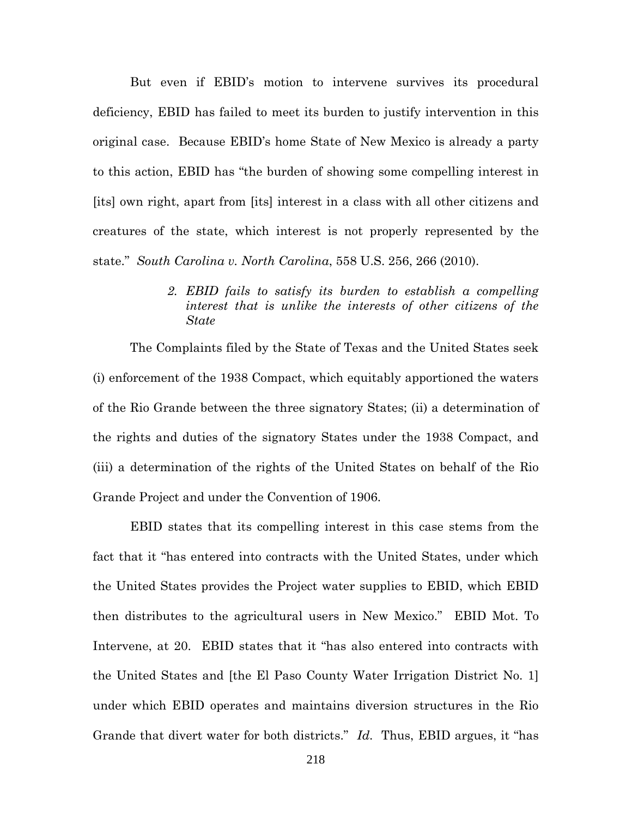But even if EBID's motion to intervene survives its procedural deficiency, EBID has failed to meet its burden to justify intervention in this original case. Because EBID's home State of New Mexico is already a party to this action, EBID has "the burden of showing some compelling interest in [its] own right, apart from [its] interest in a class with all other citizens and creatures of the state, which interest is not properly represented by the state." *South Carolina v. North Carolina*, 558 U.S. 256, 266 (2010).

> *2. EBID fails to satisfy its burden to establish a compelling interest that is unlike the interests of other citizens of the State*

The Complaints filed by the State of Texas and the United States seek (i) enforcement of the 1938 Compact, which equitably apportioned the waters of the Rio Grande between the three signatory States; (ii) a determination of the rights and duties of the signatory States under the 1938 Compact, and (iii) a determination of the rights of the United States on behalf of the Rio Grande Project and under the Convention of 1906.

EBID states that its compelling interest in this case stems from the fact that it "has entered into contracts with the United States, under which the United States provides the Project water supplies to EBID, which EBID then distributes to the agricultural users in New Mexico." EBID Mot. To Intervene, at 20. EBID states that it "has also entered into contracts with the United States and [the El Paso County Water Irrigation District No. 1] under which EBID operates and maintains diversion structures in the Rio Grande that divert water for both districts." *Id*. Thus, EBID argues, it "has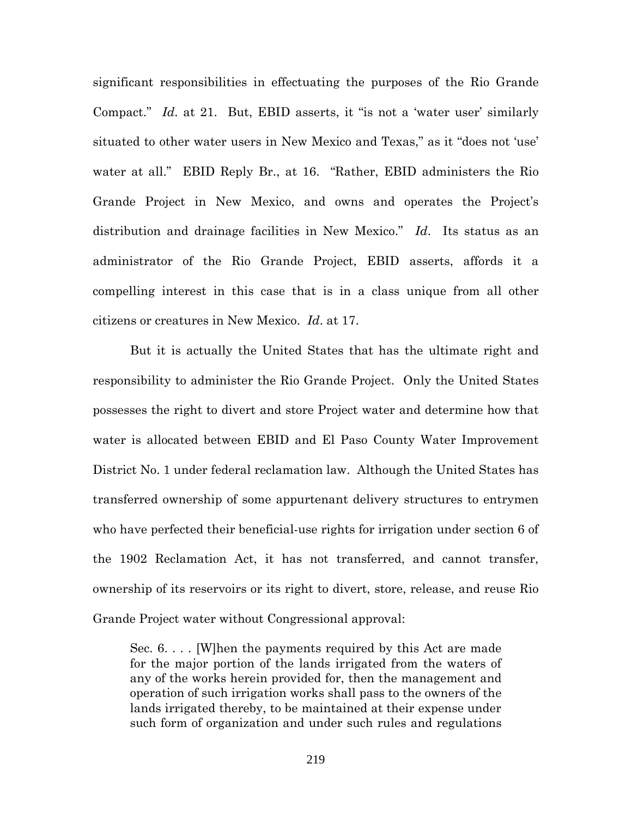significant responsibilities in effectuating the purposes of the Rio Grande Compact." *Id*. at 21. But, EBID asserts, it "is not a 'water user' similarly situated to other water users in New Mexico and Texas," as it "does not 'use' water at all." EBID Reply Br., at 16. "Rather, EBID administers the Rio Grande Project in New Mexico, and owns and operates the Project's distribution and drainage facilities in New Mexico." *Id*. Its status as an administrator of the Rio Grande Project, EBID asserts, affords it a compelling interest in this case that is in a class unique from all other citizens or creatures in New Mexico. *Id*. at 17.

But it is actually the United States that has the ultimate right and responsibility to administer the Rio Grande Project. Only the United States possesses the right to divert and store Project water and determine how that water is allocated between EBID and El Paso County Water Improvement District No. 1 under federal reclamation law. Although the United States has transferred ownership of some appurtenant delivery structures to entrymen who have perfected their beneficial-use rights for irrigation under section 6 of the 1902 Reclamation Act, it has not transferred, and cannot transfer, ownership of its reservoirs or its right to divert, store, release, and reuse Rio Grande Project water without Congressional approval:

Sec. 6. . . . [W]hen the payments required by this Act are made for the major portion of the lands irrigated from the waters of any of the works herein provided for, then the management and operation of such irrigation works shall pass to the owners of the lands irrigated thereby, to be maintained at their expense under such form of organization and under such rules and regulations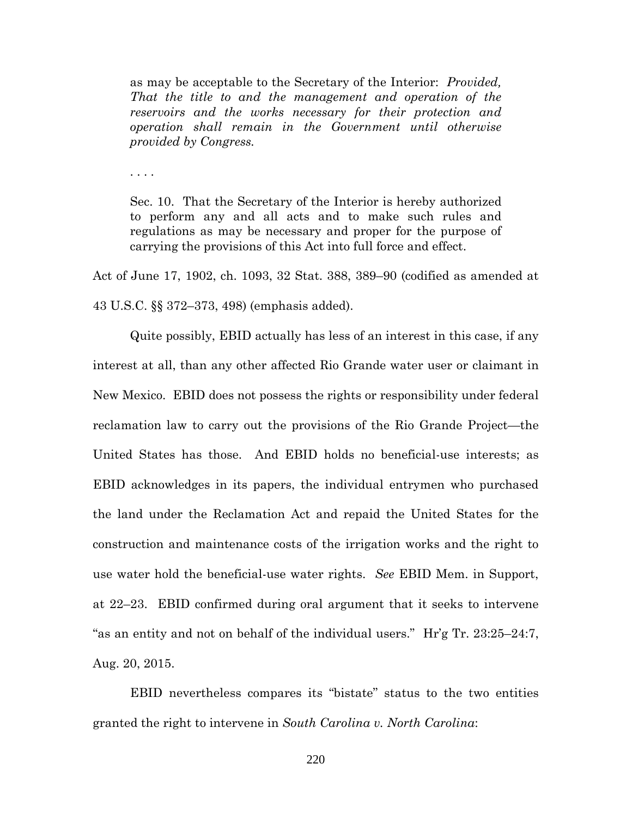as may be acceptable to the Secretary of the Interior: *Provided, That the title to and the management and operation of the reservoirs and the works necessary for their protection and operation shall remain in the Government until otherwise provided by Congress.*

. . . .

Sec. 10. That the Secretary of the Interior is hereby authorized to perform any and all acts and to make such rules and regulations as may be necessary and proper for the purpose of carrying the provisions of this Act into full force and effect.

Act of June 17, 1902, ch. 1093, 32 Stat. 388, 389–90 (codified as amended at 43 U.S.C. §§ 372–373, 498) (emphasis added).

Quite possibly, EBID actually has less of an interest in this case, if any interest at all, than any other affected Rio Grande water user or claimant in New Mexico. EBID does not possess the rights or responsibility under federal reclamation law to carry out the provisions of the Rio Grande Project—the United States has those. And EBID holds no beneficial-use interests; as EBID acknowledges in its papers, the individual entrymen who purchased the land under the Reclamation Act and repaid the United States for the construction and maintenance costs of the irrigation works and the right to use water hold the beneficial-use water rights. *See* EBID Mem. in Support, at 22–23. EBID confirmed during oral argument that it seeks to intervene "as an entity and not on behalf of the individual users." Hr'g Tr. 23:25–24:7, Aug. 20, 2015.

EBID nevertheless compares its "bistate" status to the two entities granted the right to intervene in *South Carolina v. North Carolina*:

220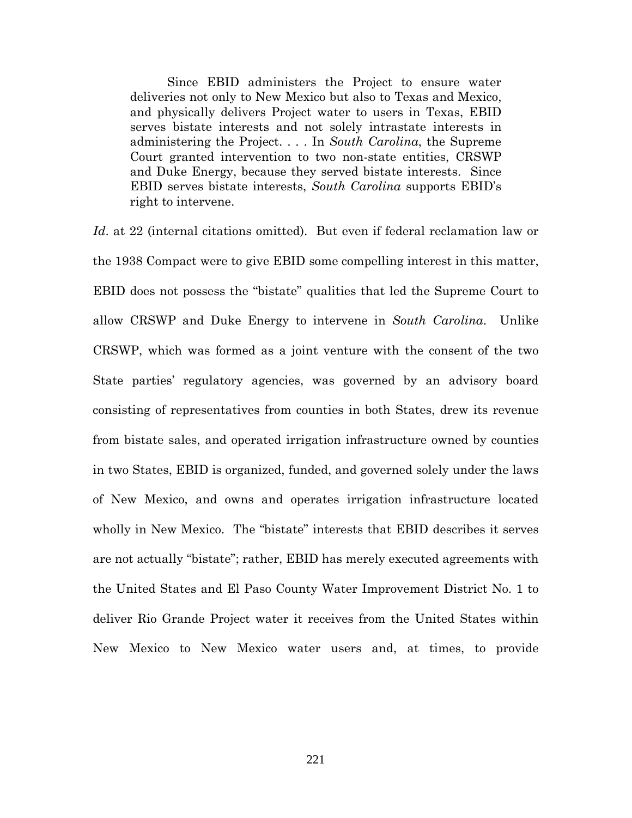Since EBID administers the Project to ensure water deliveries not only to New Mexico but also to Texas and Mexico, and physically delivers Project water to users in Texas, EBID serves bistate interests and not solely intrastate interests in administering the Project. . . . In *South Carolina*, the Supreme Court granted intervention to two non-state entities, CRSWP and Duke Energy, because they served bistate interests. Since EBID serves bistate interests, *South Carolina* supports EBID's right to intervene.

*Id*. at 22 (internal citations omitted). But even if federal reclamation law or the 1938 Compact were to give EBID some compelling interest in this matter, EBID does not possess the "bistate" qualities that led the Supreme Court to allow CRSWP and Duke Energy to intervene in *South Carolina*. Unlike CRSWP, which was formed as a joint venture with the consent of the two State parties' regulatory agencies, was governed by an advisory board consisting of representatives from counties in both States, drew its revenue from bistate sales, and operated irrigation infrastructure owned by counties in two States, EBID is organized, funded, and governed solely under the laws of New Mexico, and owns and operates irrigation infrastructure located wholly in New Mexico. The "bistate" interests that EBID describes it serves are not actually "bistate"; rather, EBID has merely executed agreements with the United States and El Paso County Water Improvement District No. 1 to deliver Rio Grande Project water it receives from the United States within New Mexico to New Mexico water users and, at times, to provide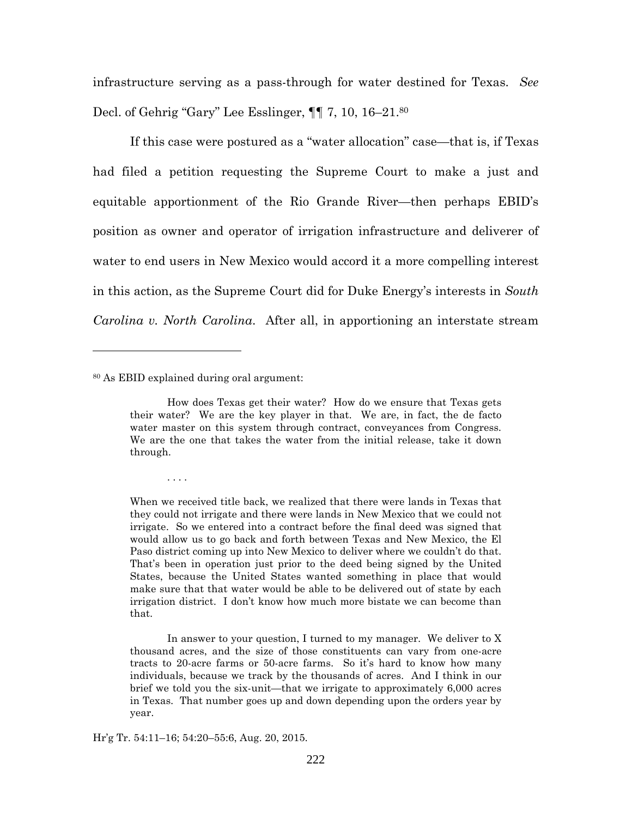infrastructure serving as a pass-through for water destined for Texas. *See* Decl. of Gehrig "Gary" Lee Esslinger, ¶¶ 7, 10, 16–21.<sup>80</sup>

If this case were postured as a "water allocation" case—that is, if Texas had filed a petition requesting the Supreme Court to make a just and equitable apportionment of the Rio Grande River—then perhaps EBID's position as owner and operator of irrigation infrastructure and deliverer of water to end users in New Mexico would accord it a more compelling interest in this action, as the Supreme Court did for Duke Energy's interests in *South Carolina v. North Carolina*. After all, in apportioning an interstate stream

<sup>80</sup> As EBID explained during oral argument:

. . . .

Hr'g Tr. 54:11–16; 54:20–55:6, Aug. 20, 2015.

How does Texas get their water? How do we ensure that Texas gets their water? We are the key player in that. We are, in fact, the de facto water master on this system through contract, conveyances from Congress. We are the one that takes the water from the initial release, take it down through.

When we received title back, we realized that there were lands in Texas that they could not irrigate and there were lands in New Mexico that we could not irrigate. So we entered into a contract before the final deed was signed that would allow us to go back and forth between Texas and New Mexico, the El Paso district coming up into New Mexico to deliver where we couldn't do that. That's been in operation just prior to the deed being signed by the United States, because the United States wanted something in place that would make sure that that water would be able to be delivered out of state by each irrigation district. I don't know how much more bistate we can become than that.

In answer to your question, I turned to my manager. We deliver to X thousand acres, and the size of those constituents can vary from one-acre tracts to 20-acre farms or 50-acre farms. So it's hard to know how many individuals, because we track by the thousands of acres. And I think in our brief we told you the six-unit—that we irrigate to approximately 6,000 acres in Texas. That number goes up and down depending upon the orders year by year.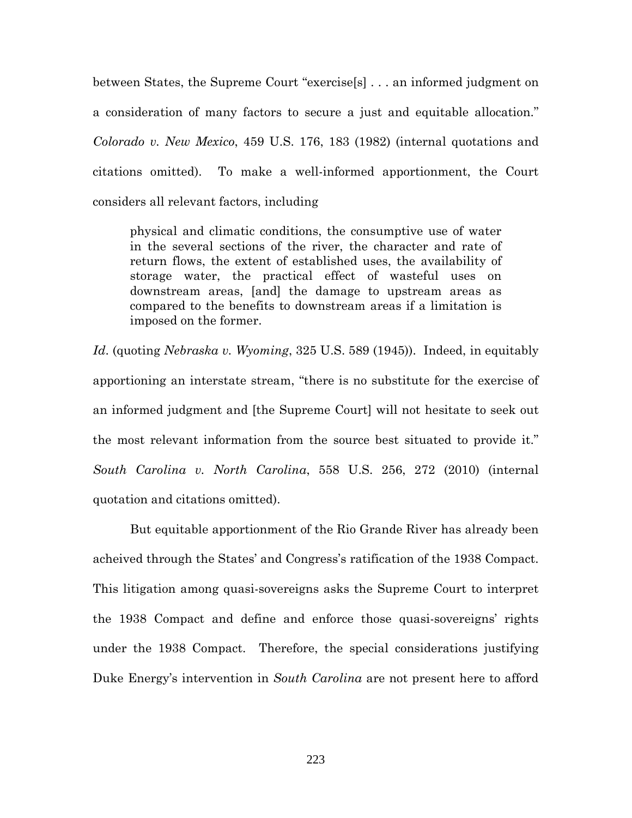between States, the Supreme Court "exercise[s] . . . an informed judgment on a consideration of many factors to secure a just and equitable allocation." *Colorado v. New Mexico*, 459 U.S. 176, 183 (1982) (internal quotations and citations omitted). To make a well-informed apportionment, the Court considers all relevant factors, including

physical and climatic conditions, the consumptive use of water in the several sections of the river, the character and rate of return flows, the extent of established uses, the availability of storage water, the practical effect of wasteful uses on downstream areas, [and] the damage to upstream areas as compared to the benefits to downstream areas if a limitation is imposed on the former.

*Id*. (quoting *Nebraska v. Wyoming*, 325 U.S. 589 (1945)). Indeed, in equitably apportioning an interstate stream, "there is no substitute for the exercise of an informed judgment and [the Supreme Court] will not hesitate to seek out the most relevant information from the source best situated to provide it." *South Carolina v. North Carolina*, 558 U.S. 256, 272 (2010) (internal quotation and citations omitted).

But equitable apportionment of the Rio Grande River has already been acheived through the States' and Congress's ratification of the 1938 Compact. This litigation among quasi-sovereigns asks the Supreme Court to interpret the 1938 Compact and define and enforce those quasi-sovereigns' rights under the 1938 Compact. Therefore, the special considerations justifying Duke Energy's intervention in *South Carolina* are not present here to afford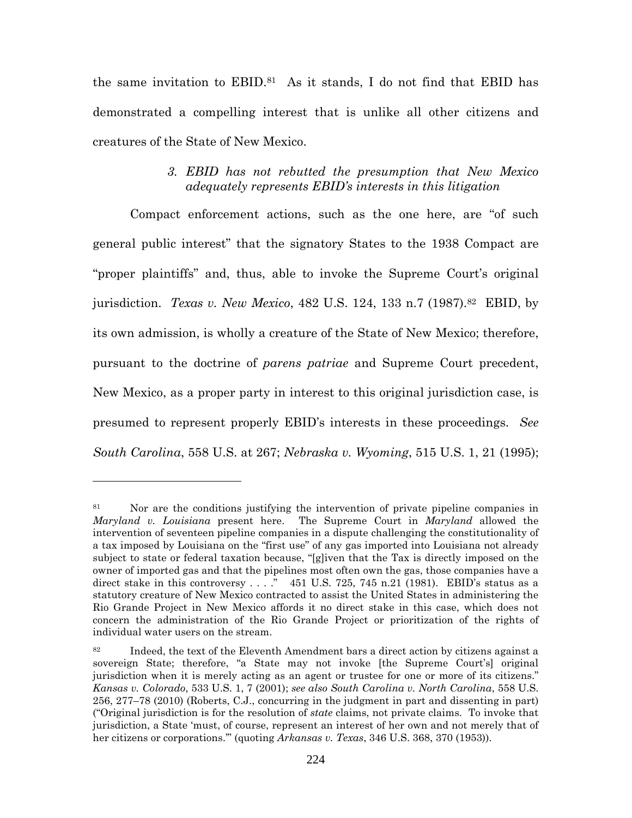the same invitation to  $EBID<sup>.81</sup>$  As it stands, I do not find that EBID has demonstrated a compelling interest that is unlike all other citizens and creatures of the State of New Mexico.

# *3. EBID has not rebutted the presumption that New Mexico adequately represents EBID's interests in this litigation*

Compact enforcement actions, such as the one here, are "of such general public interest" that the signatory States to the 1938 Compact are "proper plaintiffs" and, thus, able to invoke the Supreme Court's original jurisdiction. *Texas v. New Mexico*, 482 U.S. 124, 133 n.7 (1987).<sup>82</sup> EBID, by its own admission, is wholly a creature of the State of New Mexico; therefore, pursuant to the doctrine of *parens patriae* and Supreme Court precedent, New Mexico, as a proper party in interest to this original jurisdiction case, is presumed to represent properly EBID's interests in these proceedings. *See South Carolina*, 558 U.S. at 267; *Nebraska v. Wyoming*, 515 U.S. 1, 21 (1995);

<sup>&</sup>lt;sup>81</sup> Nor are the conditions justifying the intervention of private pipeline companies in *Maryland v. Louisiana* present here. The Supreme Court in *Maryland* allowed the intervention of seventeen pipeline companies in a dispute challenging the constitutionality of a tax imposed by Louisiana on the "first use" of any gas imported into Louisiana not already subject to state or federal taxation because, "[g]iven that the Tax is directly imposed on the owner of imported gas and that the pipelines most often own the gas, those companies have a direct stake in this controversy . . . ." 451 U.S. 725, 745 n.21 (1981). EBID's status as a statutory creature of New Mexico contracted to assist the United States in administering the Rio Grande Project in New Mexico affords it no direct stake in this case, which does not concern the administration of the Rio Grande Project or prioritization of the rights of individual water users on the stream.

 $82$  Indeed, the text of the Eleventh Amendment bars a direct action by citizens against a sovereign State; therefore, "a State may not invoke [the Supreme Court's] original jurisdiction when it is merely acting as an agent or trustee for one or more of its citizens." *Kansas v. Colorado*, 533 U.S. 1, 7 (2001); *see also South Carolina v. North Carolina*, 558 U.S. 256, 277–78 (2010) (Roberts, C.J., concurring in the judgment in part and dissenting in part) ("Original jurisdiction is for the resolution of *state* claims, not private claims. To invoke that jurisdiction, a State 'must, of course, represent an interest of her own and not merely that of her citizens or corporations.'" (quoting *Arkansas v. Texas*, 346 U.S. 368, 370 (1953)).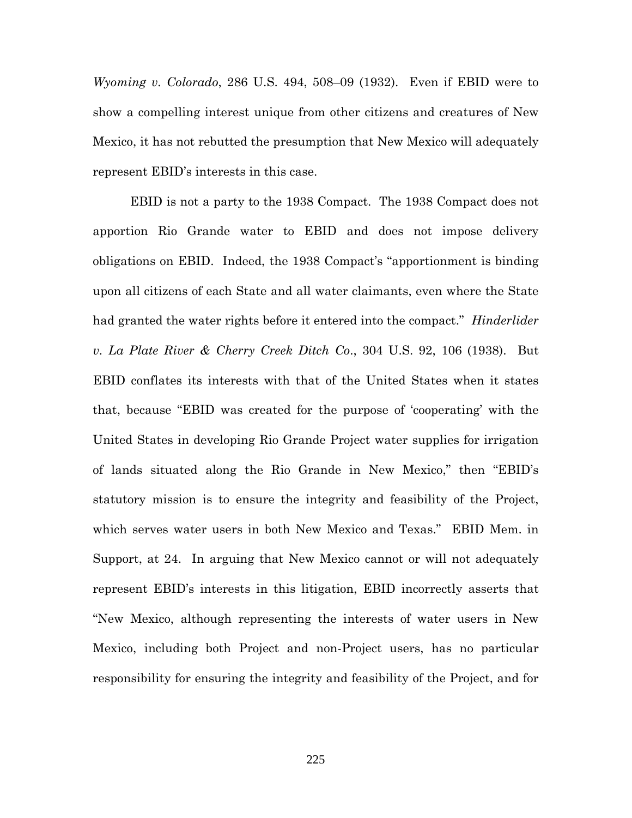*Wyoming v. Colorado*, 286 U.S. 494, 508–09 (1932). Even if EBID were to show a compelling interest unique from other citizens and creatures of New Mexico, it has not rebutted the presumption that New Mexico will adequately represent EBID's interests in this case.

EBID is not a party to the 1938 Compact. The 1938 Compact does not apportion Rio Grande water to EBID and does not impose delivery obligations on EBID. Indeed, the 1938 Compact's "apportionment is binding upon all citizens of each State and all water claimants, even where the State had granted the water rights before it entered into the compact." *Hinderlider v. La Plate River & Cherry Creek Ditch Co*., 304 U.S. 92, 106 (1938). But EBID conflates its interests with that of the United States when it states that, because "EBID was created for the purpose of 'cooperating' with the United States in developing Rio Grande Project water supplies for irrigation of lands situated along the Rio Grande in New Mexico," then "EBID's statutory mission is to ensure the integrity and feasibility of the Project, which serves water users in both New Mexico and Texas." EBID Mem. in Support, at 24. In arguing that New Mexico cannot or will not adequately represent EBID's interests in this litigation, EBID incorrectly asserts that "New Mexico, although representing the interests of water users in New Mexico, including both Project and non-Project users, has no particular responsibility for ensuring the integrity and feasibility of the Project, and for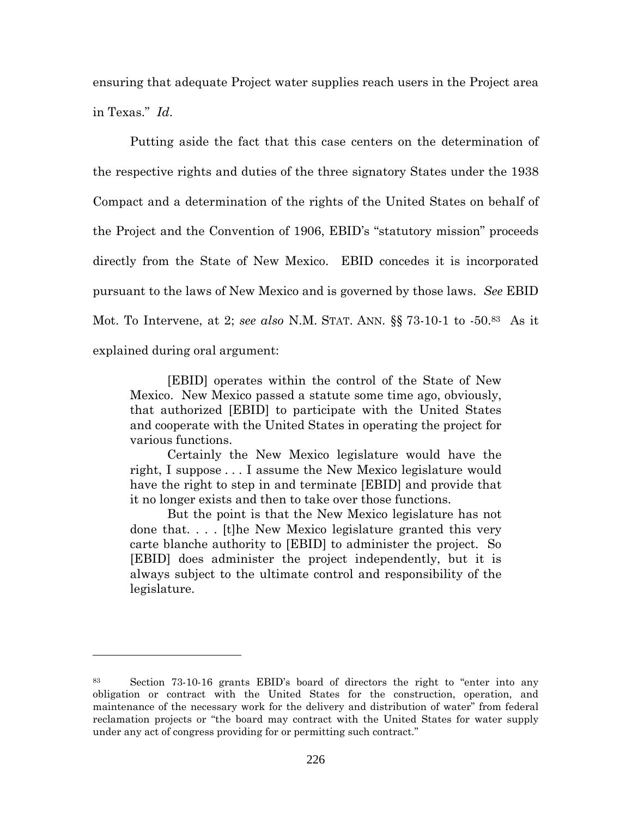ensuring that adequate Project water supplies reach users in the Project area in Texas." *Id*.

Putting aside the fact that this case centers on the determination of the respective rights and duties of the three signatory States under the 1938 Compact and a determination of the rights of the United States on behalf of the Project and the Convention of 1906, EBID's "statutory mission" proceeds directly from the State of New Mexico. EBID concedes it is incorporated pursuant to the laws of New Mexico and is governed by those laws. *See* EBID Mot. To Intervene, at 2; *see also* N.M. STAT. ANN. §§ 73-10-1 to -50.<sup>83</sup> As it explained during oral argument:

[EBID] operates within the control of the State of New Mexico. New Mexico passed a statute some time ago, obviously, that authorized [EBID] to participate with the United States and cooperate with the United States in operating the project for various functions.

Certainly the New Mexico legislature would have the right, I suppose . . . I assume the New Mexico legislature would have the right to step in and terminate [EBID] and provide that it no longer exists and then to take over those functions.

But the point is that the New Mexico legislature has not done that. . . . [t]he New Mexico legislature granted this very carte blanche authority to [EBID] to administer the project. So [EBID] does administer the project independently, but it is always subject to the ultimate control and responsibility of the legislature.

<sup>83</sup> Section 73-10-16 grants EBID's board of directors the right to "enter into any obligation or contract with the United States for the construction, operation, and maintenance of the necessary work for the delivery and distribution of water" from federal reclamation projects or "the board may contract with the United States for water supply under any act of congress providing for or permitting such contract."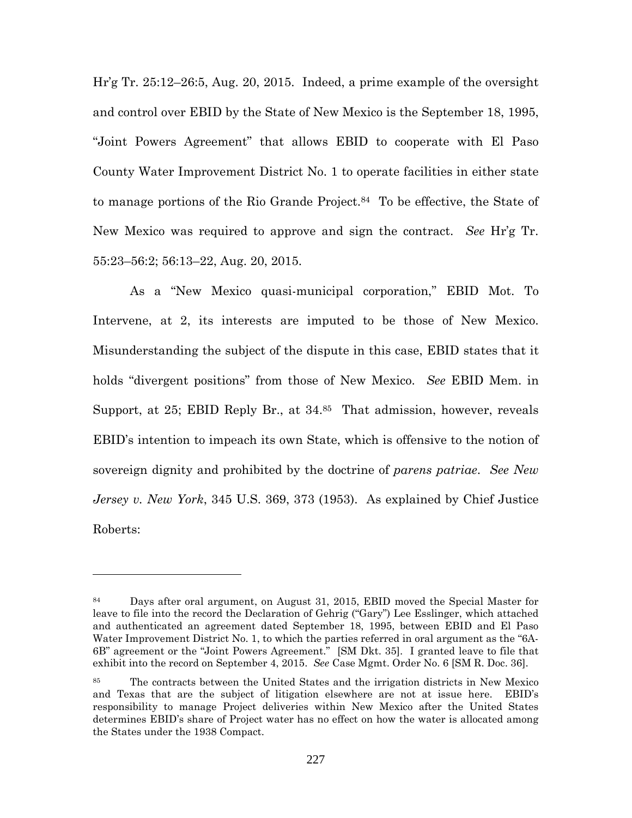Hr'g Tr. 25:12–26:5, Aug. 20, 2015. Indeed, a prime example of the oversight and control over EBID by the State of New Mexico is the September 18, 1995, "Joint Powers Agreement" that allows EBID to cooperate with El Paso County Water Improvement District No. 1 to operate facilities in either state to manage portions of the Rio Grande Project.<sup>84</sup> To be effective, the State of New Mexico was required to approve and sign the contract. *See* Hr'g Tr. 55:23–56:2; 56:13–22, Aug. 20, 2015.

As a "New Mexico quasi-municipal corporation," EBID Mot. To Intervene, at 2, its interests are imputed to be those of New Mexico. Misunderstanding the subject of the dispute in this case, EBID states that it holds "divergent positions" from those of New Mexico. *See* EBID Mem. in Support, at 25; EBID Reply Br., at 34.<sup>85</sup> That admission, however, reveals EBID's intention to impeach its own State, which is offensive to the notion of sovereign dignity and prohibited by the doctrine of *parens patriae*. *See New Jersey v. New York*, 345 U.S. 369, 373 (1953). As explained by Chief Justice Roberts:

<sup>84</sup> Days after oral argument, on August 31, 2015, EBID moved the Special Master for leave to file into the record the Declaration of Gehrig ("Gary") Lee Esslinger, which attached and authenticated an agreement dated September 18, 1995, between EBID and El Paso Water Improvement District No. 1, to which the parties referred in oral argument as the "6A-6B" agreement or the "Joint Powers Agreement." [SM Dkt. 35]. I granted leave to file that exhibit into the record on September 4, 2015. *See* Case Mgmt. Order No. 6 [SM R. Doc. 36].

<sup>85</sup> The contracts between the United States and the irrigation districts in New Mexico and Texas that are the subject of litigation elsewhere are not at issue here. EBID's responsibility to manage Project deliveries within New Mexico after the United States determines EBID's share of Project water has no effect on how the water is allocated among the States under the 1938 Compact.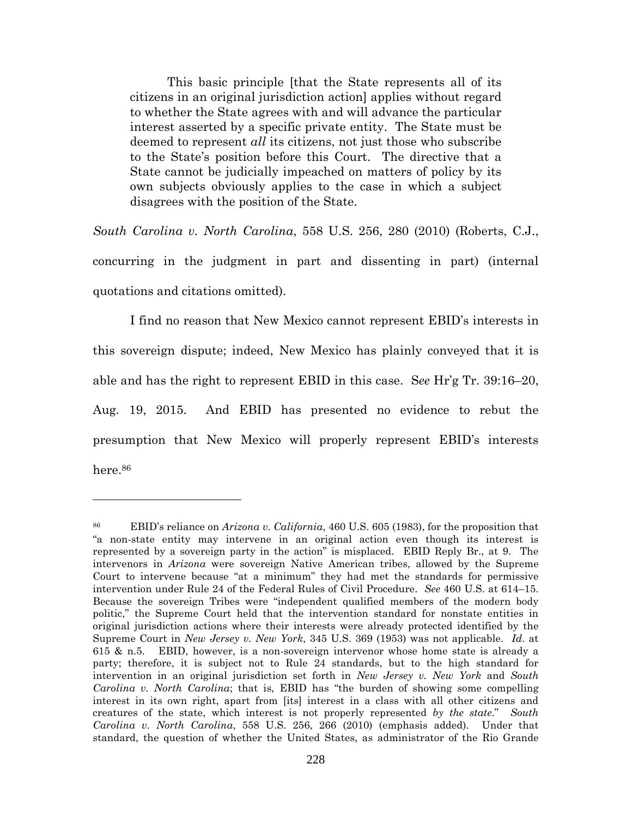This basic principle [that the State represents all of its citizens in an original jurisdiction action] applies without regard to whether the State agrees with and will advance the particular interest asserted by a specific private entity. The State must be deemed to represent *all* its citizens, not just those who subscribe to the State's position before this Court. The directive that a State cannot be judicially impeached on matters of policy by its own subjects obviously applies to the case in which a subject disagrees with the position of the State.

*South Carolina v. North Carolina*, 558 U.S. 256, 280 (2010) (Roberts, C.J., concurring in the judgment in part and dissenting in part) (internal quotations and citations omitted).

I find no reason that New Mexico cannot represent EBID's interests in this sovereign dispute; indeed, New Mexico has plainly conveyed that it is able and has the right to represent EBID in this case. S*ee* Hr'g Tr. 39:16–20, Aug. 19, 2015. And EBID has presented no evidence to rebut the presumption that New Mexico will properly represent EBID's interests here.<sup>86</sup>

<sup>86</sup> EBID's reliance on *Arizona v. California*, 460 U.S. 605 (1983), for the proposition that "a non-state entity may intervene in an original action even though its interest is represented by a sovereign party in the action" is misplaced. EBID Reply Br., at 9. The intervenors in *Arizona* were sovereign Native American tribes, allowed by the Supreme Court to intervene because "at a minimum" they had met the standards for permissive intervention under Rule 24 of the Federal Rules of Civil Procedure. *See* 460 U.S. at 614–15. Because the sovereign Tribes were "independent qualified members of the modern body politic," the Supreme Court held that the intervention standard for nonstate entities in original jurisdiction actions where their interests were already protected identified by the Supreme Court in *New Jersey v. New York*, 345 U.S. 369 (1953) was not applicable. *Id*. at 615 & n.5. EBID, however, is a non-sovereign intervenor whose home state is already a party; therefore, it is subject not to Rule 24 standards, but to the high standard for intervention in an original jurisdiction set forth in *New Jersey v. New York* and *South Carolina v. North Carolina*; that is, EBID has "the burden of showing some compelling interest in its own right, apart from [its] interest in a class with all other citizens and creatures of the state, which interest is not properly represented *by the state*." *South Carolina v. North Carolina*, 558 U.S. 256, 266 (2010) (emphasis added). Under that standard, the question of whether the United States, as administrator of the Rio Grande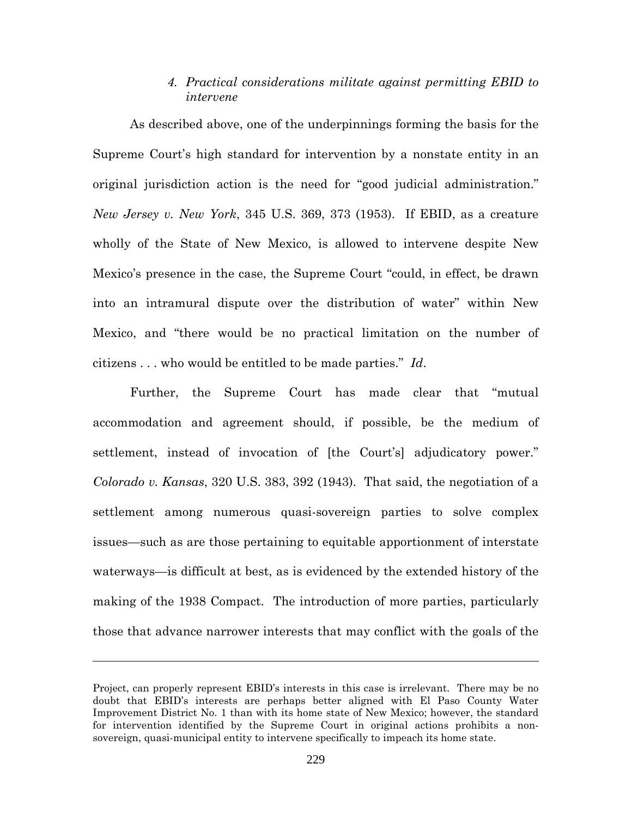## *4. Practical considerations militate against permitting EBID to intervene*

As described above, one of the underpinnings forming the basis for the Supreme Court's high standard for intervention by a nonstate entity in an original jurisdiction action is the need for "good judicial administration." *New Jersey v. New York*, 345 U.S. 369, 373 (1953). If EBID, as a creature wholly of the State of New Mexico, is allowed to intervene despite New Mexico's presence in the case, the Supreme Court "could, in effect, be drawn into an intramural dispute over the distribution of water" within New Mexico, and "there would be no practical limitation on the number of citizens . . . who would be entitled to be made parties." *Id*.

Further, the Supreme Court has made clear that "mutual accommodation and agreement should, if possible, be the medium of settlement, instead of invocation of [the Court's] adjudicatory power." *Colorado v. Kansas*, 320 U.S. 383, 392 (1943). That said, the negotiation of a settlement among numerous quasi-sovereign parties to solve complex issues—such as are those pertaining to equitable apportionment of interstate waterways—is difficult at best, as is evidenced by the extended history of the making of the 1938 Compact. The introduction of more parties, particularly those that advance narrower interests that may conflict with the goals of the

Project, can properly represent EBID's interests in this case is irrelevant. There may be no doubt that EBID's interests are perhaps better aligned with El Paso County Water Improvement District No. 1 than with its home state of New Mexico; however, the standard for intervention identified by the Supreme Court in original actions prohibits a nonsovereign, quasi-municipal entity to intervene specifically to impeach its home state.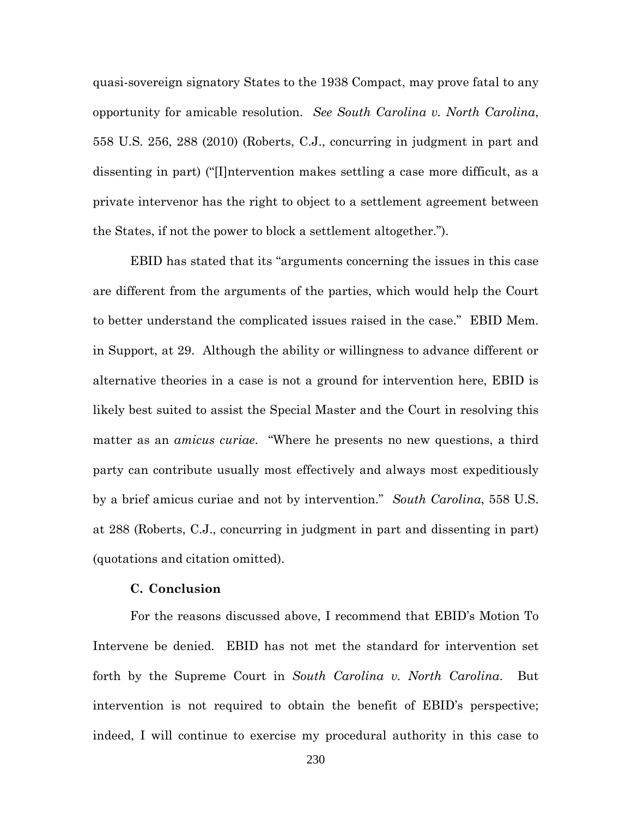quasi-sovereign signatory States to the 1938 Compact, may prove fatal to any opportunity for amicable resolution. *See South Carolina v. North Carolina*, 558 U.S. 256, 288 (2010) (Roberts, C.J., concurring in judgment in part and dissenting in part) ("[I]ntervention makes settling a case more difficult, as a private intervenor has the right to object to a settlement agreement between the States, if not the power to block a settlement altogether.").

EBID has stated that its "arguments concerning the issues in this case are different from the arguments of the parties, which would help the Court to better understand the complicated issues raised in the case." EBID Mem. in Support, at 29. Although the ability or willingness to advance different or alternative theories in a case is not a ground for intervention here, EBID is likely best suited to assist the Special Master and the Court in resolving this matter as an *amicus curiae*. "Where he presents no new questions, a third party can contribute usually most effectively and always most expeditiously by a brief amicus curiae and not by intervention." *South Carolina*, 558 U.S. at 288 (Roberts, C.J., concurring in judgment in part and dissenting in part) (quotations and citation omitted).

### **C. Conclusion**

For the reasons discussed above, I recommend that EBID's Motion To Intervene be denied. EBID has not met the standard for intervention set forth by the Supreme Court in *South Carolina v. North Carolina*. But intervention is not required to obtain the benefit of EBID's perspective; indeed, I will continue to exercise my procedural authority in this case to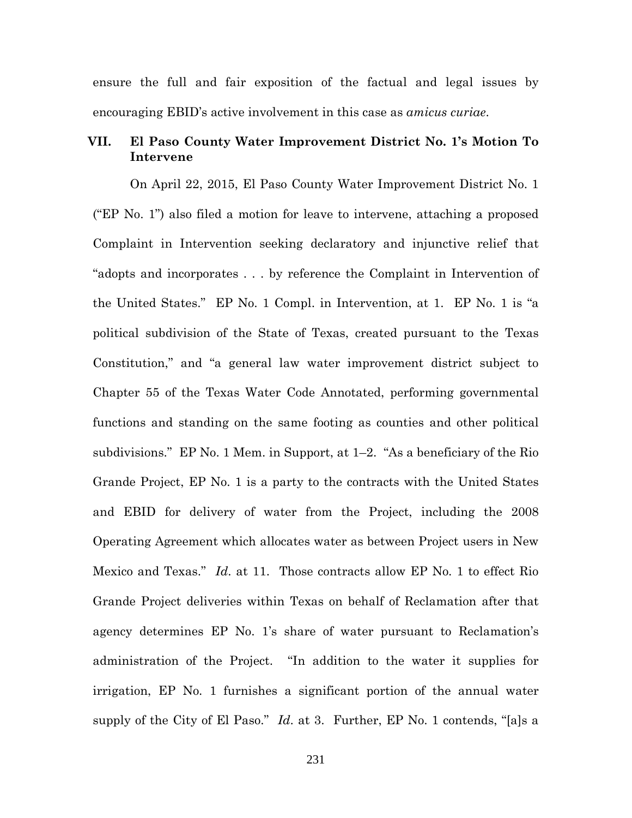ensure the full and fair exposition of the factual and legal issues by encouraging EBID's active involvement in this case as *amicus curiae*.

## **VII. El Paso County Water Improvement District No. 1's Motion To Intervene**

On April 22, 2015, El Paso County Water Improvement District No. 1 ("EP No. 1") also filed a motion for leave to intervene, attaching a proposed Complaint in Intervention seeking declaratory and injunctive relief that "adopts and incorporates . . . by reference the Complaint in Intervention of the United States." EP No. 1 Compl. in Intervention, at 1. EP No. 1 is "a political subdivision of the State of Texas, created pursuant to the Texas Constitution," and "a general law water improvement district subject to Chapter 55 of the Texas Water Code Annotated, performing governmental functions and standing on the same footing as counties and other political subdivisions." EP No. 1 Mem. in Support, at 1–2. "As a beneficiary of the Rio Grande Project, EP No. 1 is a party to the contracts with the United States and EBID for delivery of water from the Project, including the 2008 Operating Agreement which allocates water as between Project users in New Mexico and Texas." *Id*. at 11. Those contracts allow EP No. 1 to effect Rio Grande Project deliveries within Texas on behalf of Reclamation after that agency determines EP No. 1's share of water pursuant to Reclamation's administration of the Project. "In addition to the water it supplies for irrigation, EP No. 1 furnishes a significant portion of the annual water supply of the City of El Paso." *Id*. at 3. Further, EP No. 1 contends, "[a]s a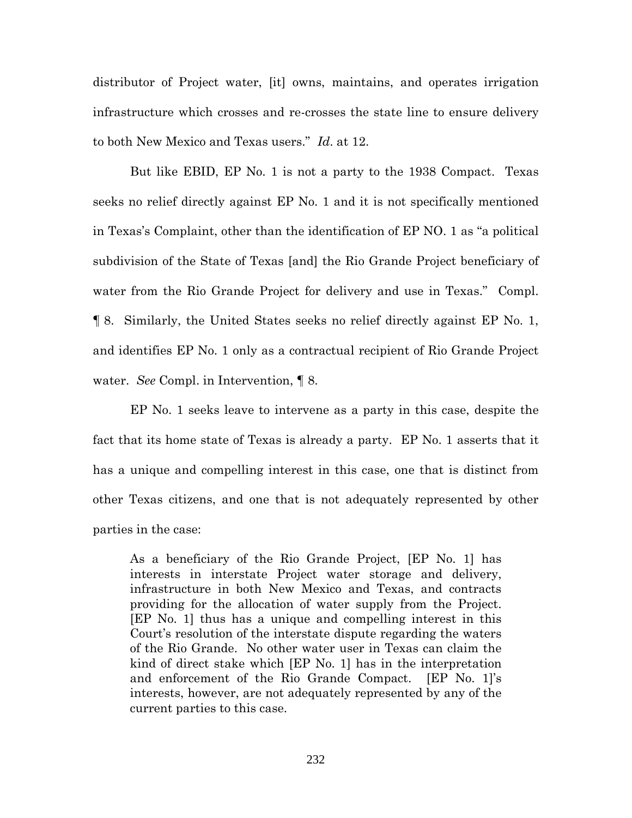distributor of Project water, [it] owns, maintains, and operates irrigation infrastructure which crosses and re-crosses the state line to ensure delivery to both New Mexico and Texas users." *Id*. at 12.

But like EBID, EP No. 1 is not a party to the 1938 Compact. Texas seeks no relief directly against EP No. 1 and it is not specifically mentioned in Texas's Complaint, other than the identification of EP NO. 1 as "a political subdivision of the State of Texas [and] the Rio Grande Project beneficiary of water from the Rio Grande Project for delivery and use in Texas." Compl. ¶ 8. Similarly, the United States seeks no relief directly against EP No. 1, and identifies EP No. 1 only as a contractual recipient of Rio Grande Project water. *See* Compl. in Intervention, ¶ 8.

EP No. 1 seeks leave to intervene as a party in this case, despite the fact that its home state of Texas is already a party. EP No. 1 asserts that it has a unique and compelling interest in this case, one that is distinct from other Texas citizens, and one that is not adequately represented by other parties in the case:

As a beneficiary of the Rio Grande Project, [EP No. 1] has interests in interstate Project water storage and delivery, infrastructure in both New Mexico and Texas, and contracts providing for the allocation of water supply from the Project. [EP No. 1] thus has a unique and compelling interest in this Court's resolution of the interstate dispute regarding the waters of the Rio Grande. No other water user in Texas can claim the kind of direct stake which [EP No. 1] has in the interpretation and enforcement of the Rio Grande Compact. [EP No. 1]'s interests, however, are not adequately represented by any of the current parties to this case.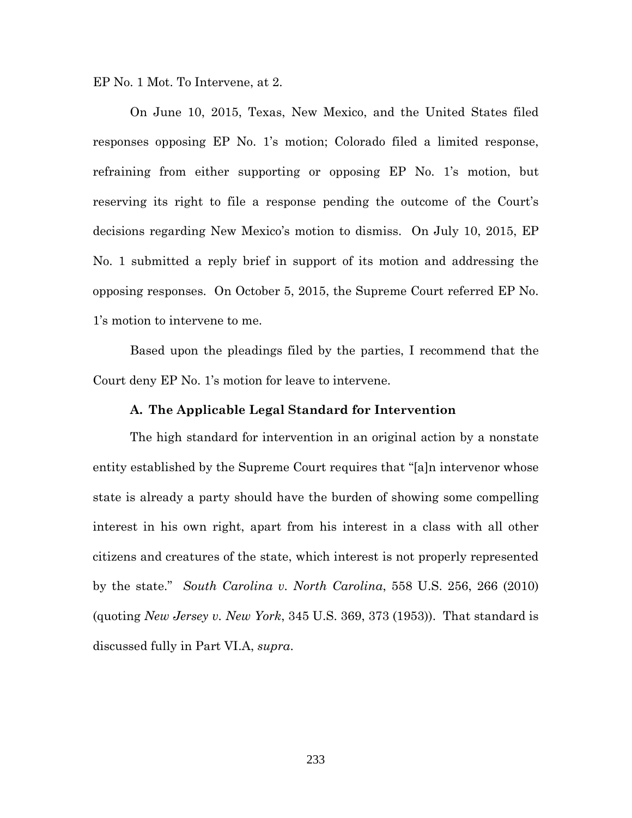EP No. 1 Mot. To Intervene, at 2.

On June 10, 2015, Texas, New Mexico, and the United States filed responses opposing EP No. 1's motion; Colorado filed a limited response, refraining from either supporting or opposing EP No. 1's motion, but reserving its right to file a response pending the outcome of the Court's decisions regarding New Mexico's motion to dismiss. On July 10, 2015, EP No. 1 submitted a reply brief in support of its motion and addressing the opposing responses. On October 5, 2015, the Supreme Court referred EP No. 1's motion to intervene to me.

Based upon the pleadings filed by the parties, I recommend that the Court deny EP No. 1's motion for leave to intervene.

### **A. The Applicable Legal Standard for Intervention**

The high standard for intervention in an original action by a nonstate entity established by the Supreme Court requires that "[a]n intervenor whose state is already a party should have the burden of showing some compelling interest in his own right, apart from his interest in a class with all other citizens and creatures of the state, which interest is not properly represented by the state." *South Carolina v. North Carolina*, 558 U.S. 256, 266 (2010) (quoting *New Jersey v. New York*, 345 U.S. 369, 373 (1953)). That standard is discussed fully in Part VI.A, *supra*.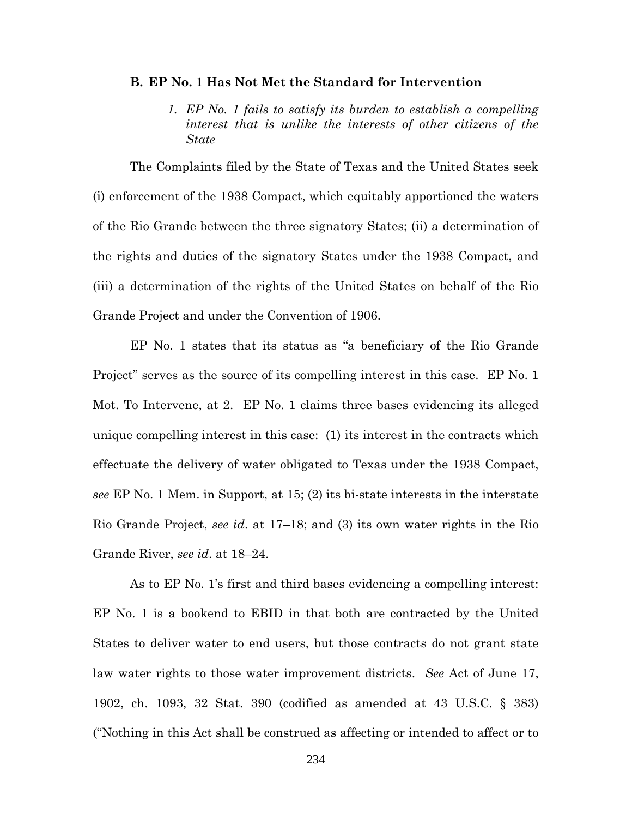### **B. EP No. 1 Has Not Met the Standard for Intervention**

*1. EP No. 1 fails to satisfy its burden to establish a compelling interest that is unlike the interests of other citizens of the State*

The Complaints filed by the State of Texas and the United States seek (i) enforcement of the 1938 Compact, which equitably apportioned the waters of the Rio Grande between the three signatory States; (ii) a determination of the rights and duties of the signatory States under the 1938 Compact, and (iii) a determination of the rights of the United States on behalf of the Rio Grande Project and under the Convention of 1906.

EP No. 1 states that its status as "a beneficiary of the Rio Grande Project" serves as the source of its compelling interest in this case. EP No. 1 Mot. To Intervene, at 2. EP No. 1 claims three bases evidencing its alleged unique compelling interest in this case: (1) its interest in the contracts which effectuate the delivery of water obligated to Texas under the 1938 Compact, *see* EP No. 1 Mem. in Support, at 15; (2) its bi-state interests in the interstate Rio Grande Project, *see id*. at 17–18; and (3) its own water rights in the Rio Grande River, *see id*. at 18–24.

As to EP No. 1's first and third bases evidencing a compelling interest: EP No. 1 is a bookend to EBID in that both are contracted by the United States to deliver water to end users, but those contracts do not grant state law water rights to those water improvement districts. *See* Act of June 17, 1902, ch. 1093, 32 Stat. 390 (codified as amended at 43 U.S.C. § 383) ("Nothing in this Act shall be construed as affecting or intended to affect or to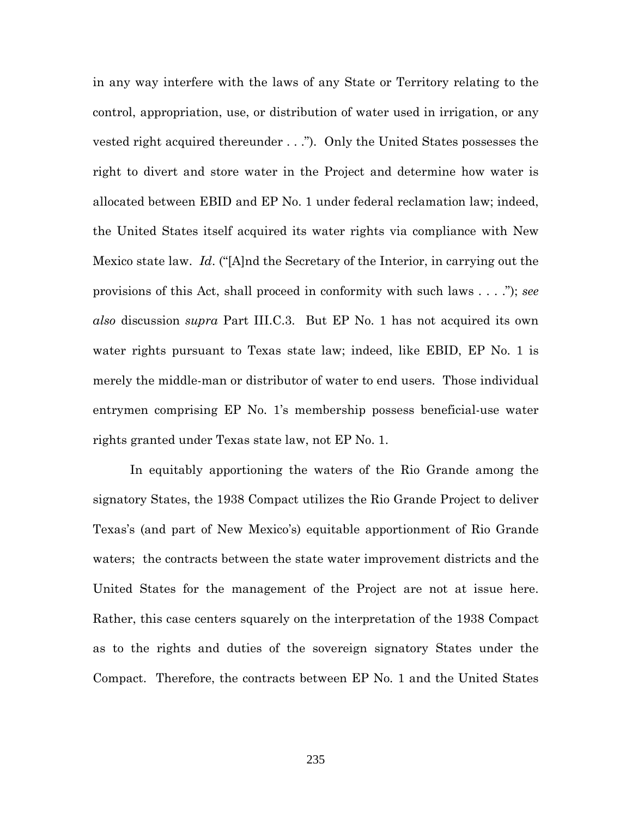in any way interfere with the laws of any State or Territory relating to the control, appropriation, use, or distribution of water used in irrigation, or any vested right acquired thereunder . . ."). Only the United States possesses the right to divert and store water in the Project and determine how water is allocated between EBID and EP No. 1 under federal reclamation law; indeed, the United States itself acquired its water rights via compliance with New Mexico state law. *Id*. ("[A]nd the Secretary of the Interior, in carrying out the provisions of this Act, shall proceed in conformity with such laws . . . ."); *see also* discussion *supra* Part III.C.3. But EP No. 1 has not acquired its own water rights pursuant to Texas state law; indeed, like EBID, EP No. 1 is merely the middle-man or distributor of water to end users. Those individual entrymen comprising EP No. 1's membership possess beneficial-use water rights granted under Texas state law, not EP No. 1.

In equitably apportioning the waters of the Rio Grande among the signatory States, the 1938 Compact utilizes the Rio Grande Project to deliver Texas's (and part of New Mexico's) equitable apportionment of Rio Grande waters; the contracts between the state water improvement districts and the United States for the management of the Project are not at issue here. Rather, this case centers squarely on the interpretation of the 1938 Compact as to the rights and duties of the sovereign signatory States under the Compact. Therefore, the contracts between EP No. 1 and the United States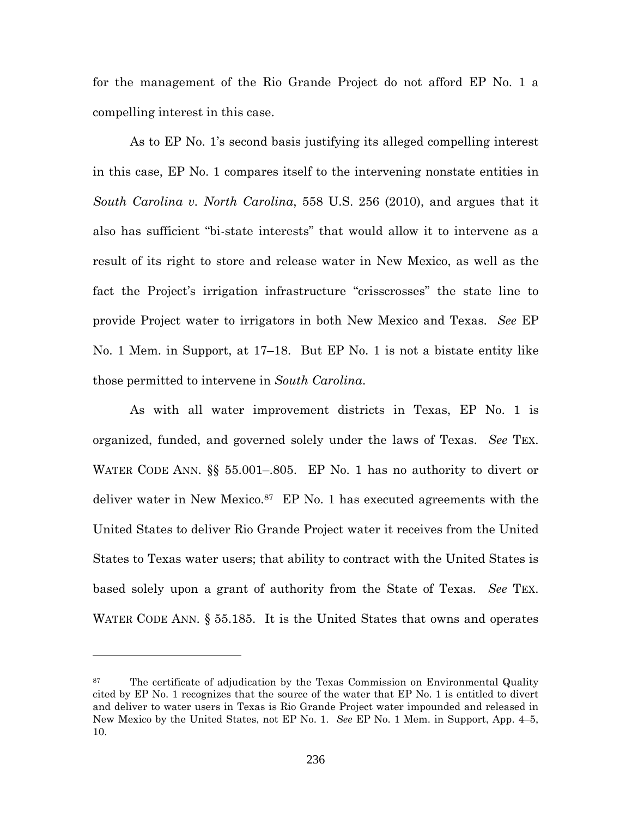for the management of the Rio Grande Project do not afford EP No. 1 a compelling interest in this case.

As to EP No. 1's second basis justifying its alleged compelling interest in this case, EP No. 1 compares itself to the intervening nonstate entities in *South Carolina v. North Carolina*, 558 U.S. 256 (2010), and argues that it also has sufficient "bi-state interests" that would allow it to intervene as a result of its right to store and release water in New Mexico, as well as the fact the Project's irrigation infrastructure "crisscrosses" the state line to provide Project water to irrigators in both New Mexico and Texas. *See* EP No. 1 Mem. in Support, at 17–18. But EP No. 1 is not a bistate entity like those permitted to intervene in *South Carolina*.

As with all water improvement districts in Texas, EP No. 1 is organized, funded, and governed solely under the laws of Texas. *See* TEX. WATER CODE ANN. §§ 55.001–.805. EP No. 1 has no authority to divert or deliver water in New Mexico.<sup>87</sup> EP No. 1 has executed agreements with the United States to deliver Rio Grande Project water it receives from the United States to Texas water users; that ability to contract with the United States is based solely upon a grant of authority from the State of Texas. *See* TEX. WATER CODE ANN. § 55.185. It is the United States that owns and operates

<sup>&</sup>lt;sup>87</sup> The certificate of adjudication by the Texas Commission on Environmental Quality cited by EP No. 1 recognizes that the source of the water that EP No. 1 is entitled to divert and deliver to water users in Texas is Rio Grande Project water impounded and released in New Mexico by the United States, not EP No. 1. *See* EP No. 1 Mem. in Support, App. 4–5, 10.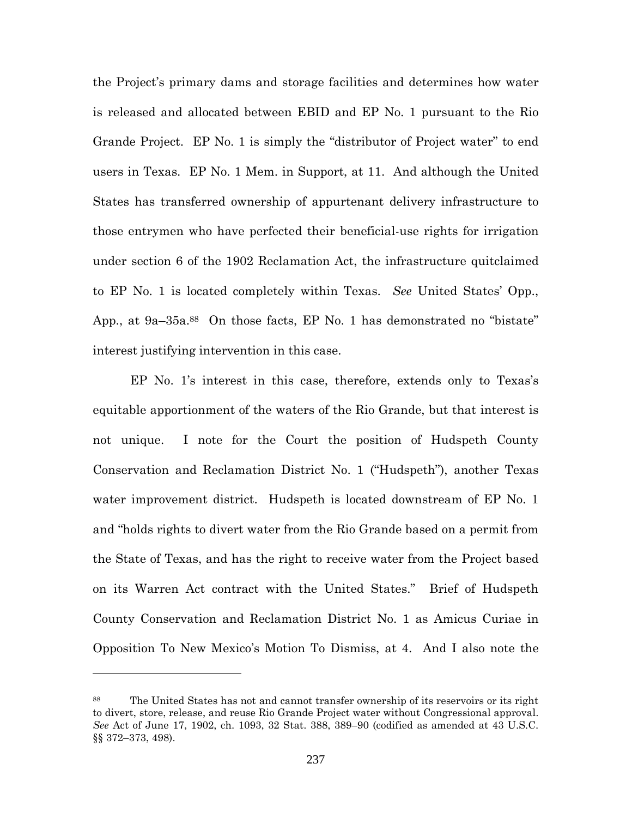the Project's primary dams and storage facilities and determines how water is released and allocated between EBID and EP No. 1 pursuant to the Rio Grande Project. EP No. 1 is simply the "distributor of Project water" to end users in Texas. EP No. 1 Mem. in Support, at 11. And although the United States has transferred ownership of appurtenant delivery infrastructure to those entrymen who have perfected their beneficial-use rights for irrigation under section 6 of the 1902 Reclamation Act, the infrastructure quitclaimed to EP No. 1 is located completely within Texas. *See* United States' Opp., App., at 9a–35a.<sup>88</sup> On those facts, EP No. 1 has demonstrated no "bistate" interest justifying intervention in this case.

EP No. 1's interest in this case, therefore, extends only to Texas's equitable apportionment of the waters of the Rio Grande, but that interest is not unique. I note for the Court the position of Hudspeth County Conservation and Reclamation District No. 1 ("Hudspeth"), another Texas water improvement district. Hudspeth is located downstream of EP No. 1 and "holds rights to divert water from the Rio Grande based on a permit from the State of Texas, and has the right to receive water from the Project based on its Warren Act contract with the United States." Brief of Hudspeth County Conservation and Reclamation District No. 1 as Amicus Curiae in Opposition To New Mexico's Motion To Dismiss, at 4. And I also note the

<sup>88</sup> The United States has not and cannot transfer ownership of its reservoirs or its right to divert, store, release, and reuse Rio Grande Project water without Congressional approval. *See* Act of June 17, 1902, ch. 1093, 32 Stat. 388, 389–90 (codified as amended at 43 U.S.C. §§ 372–373, 498).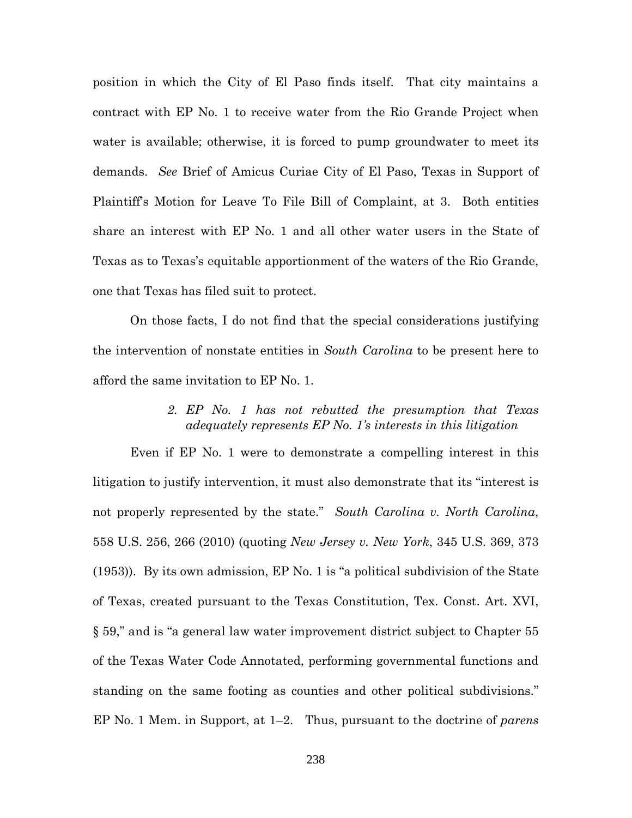position in which the City of El Paso finds itself. That city maintains a contract with EP No. 1 to receive water from the Rio Grande Project when water is available; otherwise, it is forced to pump groundwater to meet its demands. *See* Brief of Amicus Curiae City of El Paso, Texas in Support of Plaintiff's Motion for Leave To File Bill of Complaint, at 3. Both entities share an interest with EP No. 1 and all other water users in the State of Texas as to Texas's equitable apportionment of the waters of the Rio Grande, one that Texas has filed suit to protect.

On those facts, I do not find that the special considerations justifying the intervention of nonstate entities in *South Carolina* to be present here to afford the same invitation to EP No. 1.

> *2. EP No. 1 has not rebutted the presumption that Texas adequately represents EP No. 1's interests in this litigation*

Even if EP No. 1 were to demonstrate a compelling interest in this litigation to justify intervention, it must also demonstrate that its "interest is not properly represented by the state." *South Carolina v. North Carolina*, 558 U.S. 256, 266 (2010) (quoting *New Jersey v. New York*, 345 U.S. 369, 373 (1953)). By its own admission, EP No. 1 is "a political subdivision of the State of Texas, created pursuant to the Texas Constitution, Tex. Const. Art. XVI, § 59," and is "a general law water improvement district subject to Chapter 55 of the Texas Water Code Annotated, performing governmental functions and standing on the same footing as counties and other political subdivisions." EP No. 1 Mem. in Support, at 1–2. Thus, pursuant to the doctrine of *parens*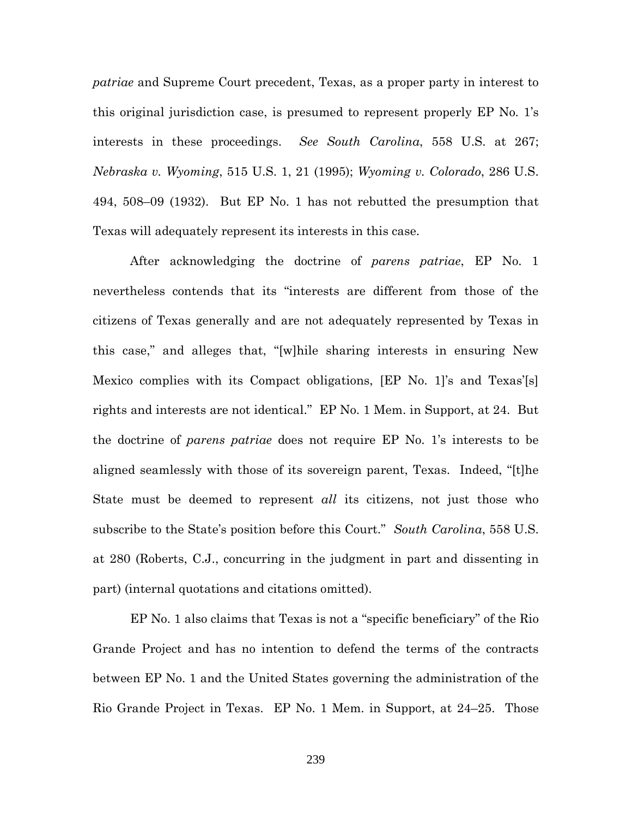*patriae* and Supreme Court precedent, Texas, as a proper party in interest to this original jurisdiction case, is presumed to represent properly EP No. 1's interests in these proceedings. *See South Carolina*, 558 U.S. at 267; *Nebraska v. Wyoming*, 515 U.S. 1, 21 (1995); *Wyoming v. Colorado*, 286 U.S. 494, 508–09 (1932). But EP No. 1 has not rebutted the presumption that Texas will adequately represent its interests in this case.

After acknowledging the doctrine of *parens patriae*, EP No. 1 nevertheless contends that its "interests are different from those of the citizens of Texas generally and are not adequately represented by Texas in this case," and alleges that, "[w]hile sharing interests in ensuring New Mexico complies with its Compact obligations, [EP No. 1]'s and Texas'[s] rights and interests are not identical." EP No. 1 Mem. in Support, at 24. But the doctrine of *parens patriae* does not require EP No. 1's interests to be aligned seamlessly with those of its sovereign parent, Texas. Indeed, "[t]he State must be deemed to represent *all* its citizens, not just those who subscribe to the State's position before this Court." *South Carolina*, 558 U.S. at 280 (Roberts, C.J., concurring in the judgment in part and dissenting in part) (internal quotations and citations omitted).

EP No. 1 also claims that Texas is not a "specific beneficiary" of the Rio Grande Project and has no intention to defend the terms of the contracts between EP No. 1 and the United States governing the administration of the Rio Grande Project in Texas. EP No. 1 Mem. in Support, at 24–25. Those

239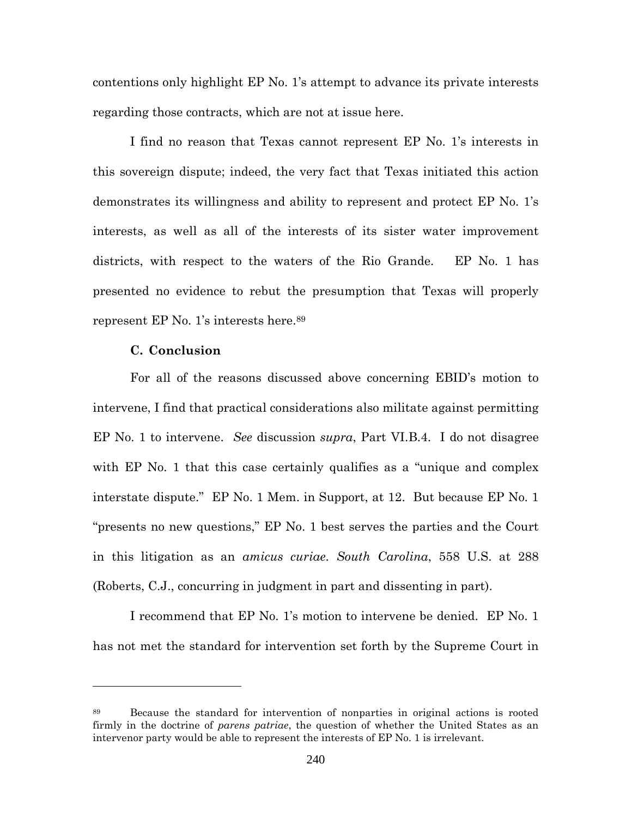contentions only highlight EP No. 1's attempt to advance its private interests regarding those contracts, which are not at issue here.

I find no reason that Texas cannot represent EP No. 1's interests in this sovereign dispute; indeed, the very fact that Texas initiated this action demonstrates its willingness and ability to represent and protect EP No. 1's interests, as well as all of the interests of its sister water improvement districts, with respect to the waters of the Rio Grande. EP No. 1 has presented no evidence to rebut the presumption that Texas will properly represent EP No. 1's interests here.<sup>89</sup>

### **C. Conclusion**

For all of the reasons discussed above concerning EBID's motion to intervene, I find that practical considerations also militate against permitting EP No. 1 to intervene. *See* discussion *supra*, Part VI.B.4. I do not disagree with EP No. 1 that this case certainly qualifies as a "unique and complex interstate dispute." EP No. 1 Mem. in Support, at 12. But because EP No. 1 "presents no new questions," EP No. 1 best serves the parties and the Court in this litigation as an *amicus curiae*. *South Carolina*, 558 U.S. at 288 (Roberts, C.J., concurring in judgment in part and dissenting in part).

I recommend that EP No. 1's motion to intervene be denied. EP No. 1 has not met the standard for intervention set forth by the Supreme Court in

<sup>89</sup> Because the standard for intervention of nonparties in original actions is rooted firmly in the doctrine of *parens patriae*, the question of whether the United States as an intervenor party would be able to represent the interests of EP No. 1 is irrelevant.